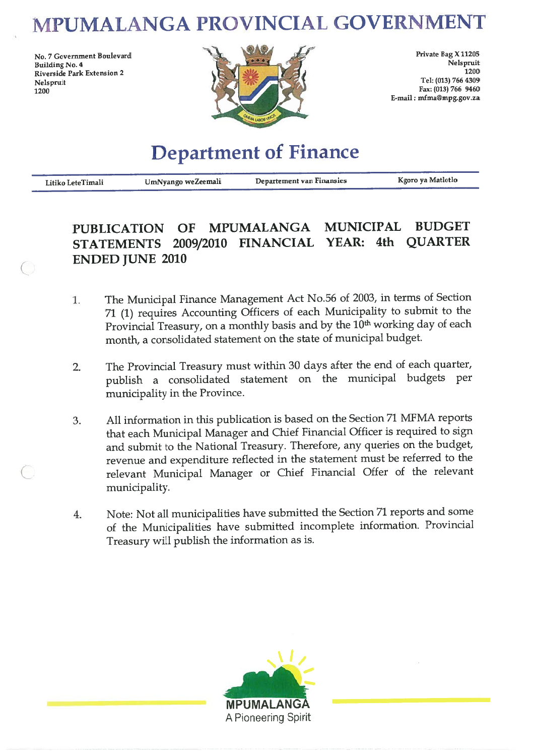# MPUMALANGA PROVINCIAL GOVERNMENT

No. 7 Government Boulevard **Building No. 4** Riverside Park Extension 2 Nelspruit 1200



Private Bag X 11205 Nelspruit  $1200$ Tel: (013) 766 4309 Fax: (013) 766 9460 E-mail: mfma@mpg.gov.za

# **Department of Finance**

| Litiko LeteTimali | UmNyango weZeemali | Departement van Finansies | Kgoro ya Matlotlo |
|-------------------|--------------------|---------------------------|-------------------|
|                   |                    |                           |                   |

#### **BUDGET MUNICIPAL MPUMALANGA PUBLICATION** OF STATEMENTS 2009/2010 FINANCIAL YEAR: 4th QUARTER **ENDED JUNE 2010**

- The Municipal Finance Management Act No.56 of 2003, in terms of Section 1. 71 (1) requires Accounting Officers of each Municipality to submit to the Provincial Treasury, on a monthly basis and by the 10<sup>th</sup> working day of each month, a consolidated statement on the state of municipal budget.
- The Provincial Treasury must within 30 days after the end of each quarter,  $2.$ publish a consolidated statement on the municipal budgets per municipality in the Province.
- All information in this publication is based on the Section 71 MFMA reports 3. that each Municipal Manager and Chief Financial Officer is required to sign and submit to the National Treasury. Therefore, any queries on the budget, revenue and expenditure reflected in the statement must be referred to the relevant Municipal Manager or Chief Financial Offer of the relevant municipality.
- Note: Not all municipalities have submitted the Section 71 reports and some  $4.$ of the Municipalities have submitted incomplete information. Provincial Treasury will publish the information as is.

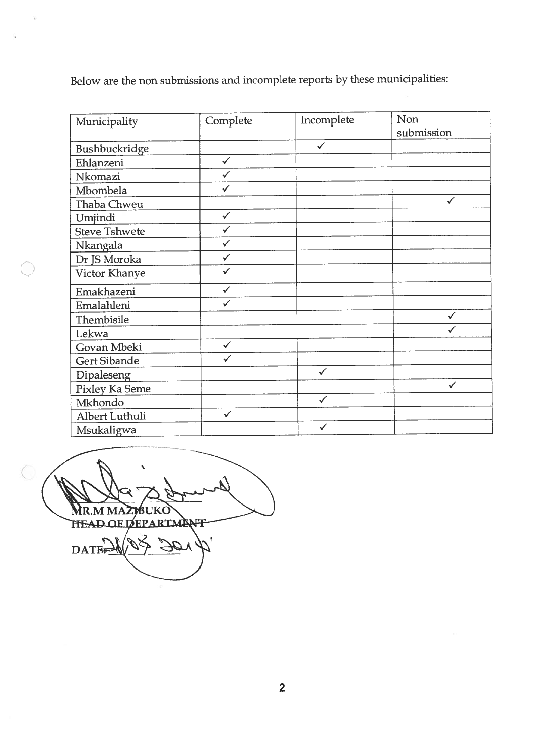Below are the non submissions and incomplete reports by these municipalities:

| Municipality         | Complete     | Incomplete   | Non<br>submission |
|----------------------|--------------|--------------|-------------------|
| Bushbuckridge        |              | $\checkmark$ |                   |
| Ehlanzeni            | $\checkmark$ |              |                   |
| Nkomazi              | $\checkmark$ |              |                   |
| Mbombela             | $\checkmark$ |              |                   |
| Thaba Chweu          |              |              | ✓                 |
| Umjindi              | $\checkmark$ |              |                   |
| <b>Steve Tshwete</b> |              |              |                   |
| Nkangala             | ✓            |              |                   |
| Dr JS Moroka         | $\checkmark$ |              |                   |
| Victor Khanye        | $\checkmark$ |              |                   |
| Emakhazeni           | $\checkmark$ |              |                   |
| Emalahleni           | $\checkmark$ |              |                   |
| Thembisile           |              |              |                   |
| Lekwa                |              |              |                   |
| Govan Mbeki          | $\checkmark$ |              |                   |
| Gert Sibande         | $\checkmark$ |              |                   |
| Dipaleseng           |              | $\checkmark$ |                   |
| Pixley Ka Seme       |              |              |                   |
| Mkhondo              |              | $\checkmark$ |                   |
| Albert Luthuli       | $\checkmark$ |              |                   |
| Msukaligwa           |              | ✓            |                   |

 $\bigcirc$ ₿∏K∪ M<sub>M</sub> **MR HEAD OF DEPARTMENT** DATE:

Ž.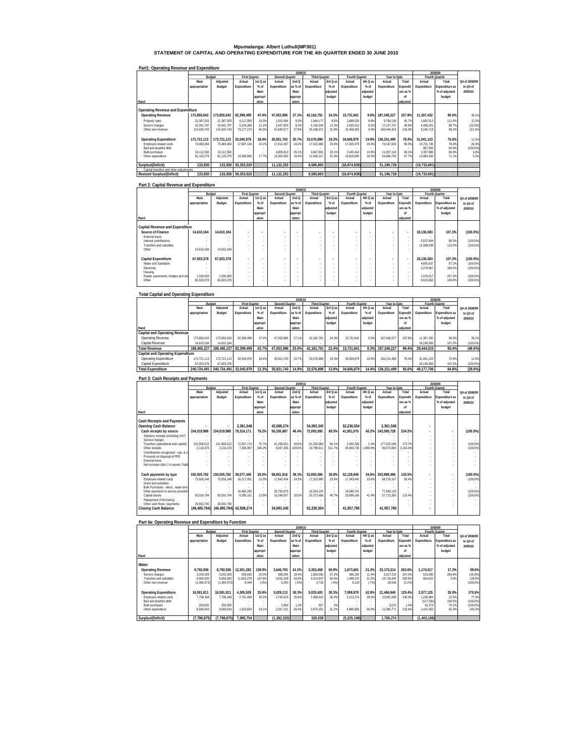# **Mpumalanga: Albert Luthuli(MP301) STATEMENT OF CAPITAL AND OPERATING EXPENDITURE FOR THE 4th QUARTER ENDED 30 JUNE 2010**

#### **Part1: Operating Revenue and Expenditure**

|                                         |               |             |                      |                          |                | 2009/10 |                      |          |                |          |              |          |                | 2008/09        |               |
|-----------------------------------------|---------------|-------------|----------------------|--------------------------|----------------|---------|----------------------|----------|----------------|----------|--------------|----------|----------------|----------------|---------------|
|                                         |               | Budget      | <b>First Quarter</b> |                          | Second Quarter |         | <b>Third Quarter</b> |          | Fourth Quarter |          | Year to Date |          |                | Fourth Quarter |               |
|                                         | Main          | Adiusted    | Actual               | 1st Q as                 | Actual         | 2ndQ    | Actual               | 3rd Q as | Actual         | 4th Q as | Actual       | Total    | Actual         | Total          | Q4 of 2008/09 |
|                                         | appropriation | Budget      | Expenditure          | $%$ of                   | Expenditure    | as % of | Expenditure          | $%$ of   | Expenditure    | $%$ of   | Expenditure  | Expendit | Expenditure    | Expenditure as | to Q4 of      |
|                                         |               |             |                      | Main                     |                | Main    |                      | adjusted |                | adjusted |              | ure as % |                | % of adjusted  | 2009/10       |
|                                         |               |             |                      | appropri                 |                | appropr |                      | budget   |                | budget   |              | nf       |                | budget         |               |
| Rand                                    |               |             |                      | ation                    |                | iation  |                      |          |                |          |              | adjusted |                |                |               |
|                                         |               |             |                      |                          |                |         |                      |          |                |          |              |          |                |                |               |
| Operating Revenue and Expenditure       |               |             |                      |                          |                |         |                      |          |                |          |              |          |                |                |               |
| <b>Operating Revenue</b>                | 173.855.043   | 173.855.043 | 82.399.499           | 47.4%                    | 47.053.996     | 27.1%   | 42.162.791           | 24.3%    | 15.731.941     | 9.0%     | 187.348.227  | 107.8%   | 11.307.432     | 90.6%          | 39.1%         |
| Property rates                          | 21.387.503    | 21.387.503  | 4.117.959            | 19.3%                    | 1.915.494      | 9.0%    | 1.844.177            | 8.6%     | 1.888.526      | 8.8%     | 9.766.156    | 45.7%    | 1.682.513      | 111.6%         | 12.2%         |
| Service charges                         | 42.041.797    | 42.041.797  | 5.104.266            | 12.1%                    | 3.447.925      | 8.2%    | 5.150.543            | 12.3%    | 3.435.013      | 8.2%     | 17.137.747   | 40.8%    | 4.458.201      | 88.7%          | $(23.0\%)$    |
| Other own revenue                       | 110.425.743   | 110.425.743 | 73.177.274           | 66.3%                    | 41.690.577     | 37.8%   | 35.168.071           | 31.8%    | 10.408.402     | 9.4%     | 160.444.324  | 145.3%   | 5.166.718      | 88.2%          | 101.5%        |
|                                         |               |             |                      |                          |                |         |                      |          |                |          |              |          |                |                |               |
| <b>Operating Expenditure</b>            | 173.721.113   | 173.721.113 | 32.045.979           | 18.4%                    | 35.921.743     | 20.7%   | 33.576.898           | 19.3%    | 34.606.879     | 19.9%    | 136.151.499  | 78.4%    | 31.041.123     | 75.6%          | 11.5%         |
| Employee related costs                  | 73.483.284    | 73.483.284  | 17.687.134           | 24.1%                    | 17.812.437     | 24.2%   | 17.322.680           | 23.6%    | 17.345.379     | 23.6%    | 70.167.630   | 95.5%    | 13.731.745     | 78.4%          | 26.3%         |
| Bad and doubtful debt                   |               |             |                      | $\overline{\phantom{a}}$ |                |         |                      |          |                |          |              |          | 867.055        | 64.9%          | $(100.0\%)$   |
| <b>Bulk purchases</b>                   | 19.112.550    | 19.112.550  |                      | $\sim$                   | 4.805.813      | 25.1%   | 3.847.901            | 20.1%    | 2.443.410      | 12.8%    | 11.097.124   | 58.1%    | 2.357.980      | 86.9%          | 3.6%          |
| Other expenditure                       | 81.125.279    | 81.125.279  | 14.358.845           | 17.7%                    | 13.303.493     | 16.4%   | 12.406.317           | 15.3%    | 14.818.090     | 18.3%    | 54.886.745   | 67.7%    | 14.084.343     | 71.1%          | 5.2%          |
|                                         |               |             |                      |                          |                |         |                      |          |                |          |              |          |                |                |               |
| Surplus/(Deficit)                       | 133.930       | 133.930     | 50.353.520           |                          | 11.132.253     |         | 8.585.893            |          | (18.874.938)   |          | 51.196.728   |          | (19.733.691)   |                |               |
| Capital transfers and other adjustments |               |             |                      | ٠                        |                |         |                      |          |                |          |              |          |                |                | $\sim$        |
| <b>Revised Surplus/(Deficit)</b>        | 133.930       |             | 133,930 50,353,520   |                          | 11.132.253     |         | 8.585.893            |          | (18.874.938)   |          | 51.196.728   |          | (19, 733, 691) |                |               |

### **Part 2: Capital Revenue and Expenditure**

|                                   |               | 2009/10<br>2008/09 |                          |                          |                |         |               |          |                          |          |                          |                          |             |                |               |
|-----------------------------------|---------------|--------------------|--------------------------|--------------------------|----------------|---------|---------------|----------|--------------------------|----------|--------------------------|--------------------------|-------------|----------------|---------------|
|                                   | Budget        |                    | <b>First Quarter</b>     |                          | Second Quarter |         | Third Quarter |          | Fourth Quarter           |          | Year to Date             |                          |             | Fourth Quarter |               |
|                                   | Main          | Adjusted           | Actual                   | 1st Q as                 | Actual         | 2ndQ    | Actual        | 3rd Q as | Actual                   | 4th Q as | Actual                   | Total                    | Actual      | Total          | Q4 of 2008/09 |
|                                   | appropriation | Budget             | Expenditure              | $%$ of                   | Expenditure    | as % of | Expenditure   | $%$ of   | Expenditure              | $%$ of   | Expenditure              | Expendit                 | Expenditure | Expenditure as | to Q4 of      |
|                                   |               |                    |                          | Main                     |                | Main    |               | adjusted |                          | adjusted |                          | ure as %                 |             | % of adjusted  | 2009/10       |
|                                   |               |                    |                          | appropri                 |                | appropr |               | budget   |                          | budget   |                          | nf                       |             | budget         |               |
| Rand                              |               |                    |                          | ation                    |                | iation  |               |          |                          |          |                          | adiusted                 |             |                |               |
|                                   |               |                    |                          |                          |                |         |               |          |                          |          |                          |                          |             |                |               |
| Capital Revenue and Expenditure   |               |                    |                          |                          |                |         |               |          |                          |          |                          |                          |             |                |               |
| Source of Finance                 | 14.610.184    | 14.610.184         | $\overline{\phantom{a}}$ | ٠                        |                |         |               | ٠        | $\overline{\phantom{a}}$ | ٠        |                          | $\overline{\phantom{a}}$ | 18.136.583  | 107.3%         | $(100.0\%)$   |
| External loans                    |               |                    | $\sim$                   | $\sim$                   | $\sim$         |         |               |          |                          | ٠        | $\sim$                   |                          |             | $\sim$         |               |
| Internal contributions            |               |                    | $\sim$                   | $\sim$                   |                |         |               |          |                          | ٠        | $\sim$                   | ×.                       | 5.537.944   | 80.3%          | $(100.0\%)$   |
| Transfers and subsidies           |               |                    |                          | $\sim$                   |                |         |               |          |                          | ٠        | $\sim$                   | ×.                       | 12.598.639  | 115.0%         | $(100.0\%)$   |
| Other                             | 14,610.184    | 14,610.184         | ×.                       |                          |                |         |               |          |                          |          |                          |                          |             | ×.             |               |
|                                   |               |                    |                          |                          |                |         |               |          |                          |          |                          |                          |             |                |               |
| Capital Expenditure               | 67.003.378    | 67.003.378         | ٠                        |                          |                |         |               | ٠        | $\overline{\phantom{a}}$ | $\sim$   |                          | $\overline{\phantom{a}}$ | 18.136.583  | 107.3%         | $(100.0\%)$   |
| Water and Sanitation              |               |                    | $\sim$                   | $\sim$                   | $\sim$         |         |               |          |                          | ٠        | $\sim$                   | $\sim$                   | 4.655.637   | 57.2%          | $(100.0\%)$   |
| Electricity                       |               |                    | $\sim$                   | $\overline{\phantom{a}}$ |                |         |               |          |                          | ٠        | $\overline{\phantom{a}}$ | $\sim$                   | 2.278.967   | 160.5%         | $(100.0\%)$   |
| Housing                           |               |                    | ×.                       | $\sim$                   |                |         |               |          |                          | ٠        | $\sim$                   |                          |             | $\sim$         |               |
| Roads, pavements, bridges and sto | 1,500,000     | 1,500,000          | $\sim$                   | $\sim$                   |                |         |               |          |                          | ٠        | $\sim$                   | ×.                       | 1,578,317   | 207.3%         | $(100.0\%)$   |
| Other                             | 65,503,378    | 65,503,378         |                          |                          |                |         |               |          |                          |          |                          |                          | 9,623,662   | 130.9%         | $(100.0\%)$   |
|                                   |               |                    |                          |                          |                |         |               |          |                          |          |                          |                          |             |                |               |

#### **Total Capital and Operating Expenditure**

|                                    |               |                        |                      |          |                | 2008/09 |                      |          |                |          |              |          |             |                |               |
|------------------------------------|---------------|------------------------|----------------------|----------|----------------|---------|----------------------|----------|----------------|----------|--------------|----------|-------------|----------------|---------------|
|                                    |               | Budget                 | <b>First Quarter</b> |          | Second Quarter |         | <b>Third Quarter</b> |          | Fourth Quarter |          | Year to Date |          |             | Fourth Quarter |               |
|                                    | Main          | Adjusted               | Actual               | 1st Q as | Actual         | 2ndQ    | Actual               | 3rd Q as | Actual         | 4th Q as | Actual       | Total    | Actual      | Total          | Q4 of 2008/09 |
|                                    | appropriation | Budget                 | Expenditure          | $%$ of   | Expenditure    | as % of | Expenditure          | $%$ of   | Expenditure    | $%$ of   | Expenditure  | Expendit | Expenditure | Expenditure as | to Q4 of      |
|                                    |               |                        |                      | Main     |                | Main    |                      | adjusted |                | adiusted |              | ure as % |             | % of adjusted  | 2009/10       |
|                                    |               |                        |                      | appropri |                | appropr |                      | budget   |                | budget   |              | nf       |             | budget         |               |
| Rand                               |               |                        |                      | ation    |                | iation  |                      |          |                |          |              | adiusted |             |                |               |
| Capital and Operating Revenue      |               |                        |                      |          |                |         |                      |          |                |          |              |          |             |                |               |
| Operating Revenue                  | 173.855.043   | 173.855.043            | 82.399.499           | 47.4%    | 47.053.996     | 27.1%   | 42.162.791           | 24.3%    | 15.731.941     | 9.0%     | 187.348.227  | 107.8%   | 11.307.432  | 90.6%          | 39.1%         |
| Capital Revenue                    | 14.610.184    | 14.610.184             |                      |          |                |         |                      |          |                |          |              |          | 18.136.583  | 107.3%         | $(100.0\%)$   |
| <b>Total Revenue</b>               | 188.465.227   | 188.465.227 82.399.499 |                      | 43.7%    | 47.053.996     | 25.0%   | 42.162.791           | 22.4%    | 15.731.941     | 8.3%     | 187.348.227  | 99.4%    | 29.444.015  | 95.4%          | (46.6%)       |
| Capital and Operating Expenditure  |               |                        |                      |          |                |         |                      |          |                |          |              |          |             |                |               |
| <b>Operating Expenditure</b>       | 173.721.113   | 173.721.113            | 32.045.979           | 18.4%    | 35.921.743     | 20.7%   | 33.576.898           | 19.3%    | 34.606.879     | 19.9%    | 136.151.499  | 78.4%    | 31.041.123  | 75.6%          | 11.5%         |
| Capital Expenditure                | 67.003.378    | 67.003.378             |                      | $\sim$   |                |         |                      |          |                |          |              |          | 18.136.583  | 107.3%         | $(100.0\%)$   |
| <b>Total Expenditure</b>           | 240.724.491   | 240.724.491 32.045.979 |                      | 13.3%    | 35.921.743     | 14.9%   | 33.576.898           | 13.9%    | 34.606.879     | 14.4%    | 136.151.499  | 56.6%    | 49.177.706  | 84.8%          | (29.6%)       |
| Part 3: Cash Receipts and Payments |               |                        |                      |          |                |         |                      |          |                |          |              |          |             |                |               |
|                                    |               |                        |                      |          |                |         |                      |          |                |          |              |          |             |                |               |

|                                         |                | 2009/10                  |                      |          |                |                          |                      |          |                |          |              | 2008/09  |             |                |               |
|-----------------------------------------|----------------|--------------------------|----------------------|----------|----------------|--------------------------|----------------------|----------|----------------|----------|--------------|----------|-------------|----------------|---------------|
|                                         | Budget         |                          | <b>First Quarter</b> |          | Second Quarter |                          | <b>Third Quarter</b> |          | Fourth Quarter |          | Year to Date |          |             | Fourth Quarter |               |
|                                         | Main           | Adjusted                 | Actual               | 1st Q as | Actual         | 2ndQ                     | Actual               | 3rd Q as | Actual         | 4th Q as | Actual       | Total    | Actual      | Total          | O4 of 2008/09 |
|                                         | appropriation  | Budget                   | Expenditure          | $%$ of   | Expenditure    | as % of                  | Expenditure          | $%$ of   | Expenditure    | $%$ of   | Expenditure  | Expendit | Expenditure | Expenditure as | to Q4 of      |
|                                         |                |                          |                      | Main     |                | Main                     |                      | adiusted |                | adjusted |              | ure as % |             | % of adjusted  | 2009/10       |
|                                         |                |                          |                      | appropri |                | appropr                  |                      | budget   |                | budget   |              | nf       |             | budget         |               |
| Rand                                    |                |                          |                      | ation    |                | iation                   |                      |          |                |          |              | adiusted |             |                |               |
|                                         |                |                          |                      |          |                |                          |                      |          |                |          |              |          |             |                |               |
| <b>Cash Receipts and Payments</b>       |                |                          |                      |          |                |                          |                      |          |                |          |              |          |             |                |               |
| <b>Opening Cash Balance</b>             |                | $\overline{\phantom{a}}$ | 2,361,548            |          | 42.598.274     |                          | 34.093.345           |          | 52.236.554     |          | 2.361.548    |          |             |                |               |
| Cash receipts by source                 | 104.019.988    | 104.019.988              | 79,314,171           | 76.2%    | 50,336,887     | 48.4%                    | 72.093.595           | 69.3%    | 41.851.075     | 40.2%    | 243,595,728  | 234.2%   |             |                | $(100.0\%)$   |
| Statutory receipts (including VAT)      |                |                          |                      |          |                |                          |                      |          |                |          |              |          |             |                |               |
| Service charges                         |                |                          |                      |          |                |                          |                      |          |                |          |              |          |             |                |               |
| Transfers (operational and capital)     | 101.909.512    | 101.909.512              | 72.007.174           | 70.7%    | 41.269.551     | 40.5%                    | 61.294.984           | 60.1%    | 2.450.339      | 2.4%     | 177.022.048  | 173.7%   |             |                | (100.0%       |
| Other receipts                          | 2.110.476      | 2.110.476                | 7.306.997            | 346.2%   | 9.067.336      | 429.6%                   | 10.798.61            | 511.7%   | 39.400.736     | .866.9%  | 66.573.680   | 3.154.4% |             |                | (100.0%)      |
| Contributions recognised - cap. & cr    |                |                          |                      |          |                |                          |                      |          |                |          |              |          |             |                |               |
| Proceeds on disposal of PPE             |                |                          |                      |          |                |                          |                      |          |                |          |              |          |             |                |               |
| <b>External loans</b>                   |                |                          |                      |          |                |                          |                      |          |                |          |              |          |             |                |               |
| Net increase (decr.) in assets / liabil |                |                          |                      |          |                |                          |                      |          |                |          |              |          |             |                |               |
| Cash payments by type                   | 150.505.782    | 150,505,782              | 39.077.445           | 26.0%    | 58.841.816     | 39.1%                    | 53.950.386           | 35.8%    | 52.129.849     | 34.6%    | 203.999.496  | 135.5%   |             | $\overline{a}$ | $(100.0\%)$   |
| Employee related costs                  | 73.556.248     | 73.556.248               | 16.217.051           | 22.0%    | 17.842.434     | 24.3%                    | 17.322.680           | 23.6%    | 17.343.942     | 23.6%    | 68.726.107   | 93.4%    |             |                | (100.0%       |
| Grant and subsidies                     |                |                          |                      |          |                |                          |                      |          |                |          |              |          |             |                |               |
| Bulk Purchases - electr., water and     |                |                          |                      |          |                |                          |                      | ٠        |                | $\sim$   |              |          |             |                |               |
| Other payments to service providers     |                |                          | 16.465.293           |          | 30.750.875     | $\overline{\phantom{a}}$ | 16,254,220           | ×.       | 14.089.741     | ×.       | 77.560.129   |          |             |                | (100.0%       |
| Capital assets                          | 50.016.794     | 50.016.794               | 6.395.101            | 12.8%    | 10.248.507     | 20.5%                    | 20.373.486           | 40.7%    | 20.696.166     | 41 4%    | 57.713.260   | 115.4%   |             |                | (100.0%       |
| Repayment of borrowing                  |                |                          |                      |          |                |                          |                      |          |                |          |              |          |             |                |               |
| Other cash flows / payments             | 26.932.740     | 26.932.740               |                      |          |                |                          |                      |          |                |          |              |          |             |                |               |
| Closing Cash Balance                    | (46, 485, 794) | (46, 485, 794)           | 42,598,274           |          | 34.093.345     |                          | 52.236.554           |          | 41.957.780     |          | 41.957.780   |          |             |                |               |
|                                         |                |                          |                      |          |                |                          |                      |          |                |          |              |          |             |                |               |

#### **Part 4a: Operating Revenue and Expenditure by Function Rand Main appropriation Adjusted Budget Actual Expenditure 1st Q as % of Main appropri ation Actual Expenditure 2nd Q as % of Main appropr iation Actual Expenditure 3rd Q as % of adjusted budget Actual Expenditure 4th Q as % of adjusted budget Actual Expenditure Total Expendit ure as % of adjusted Actual Expenditure**  ter<br>Total<br>enditure **Expenditure as % of adjusted budget Water Operating Revenue 8,792,936 8,792,936 12,301,282 139.9% 3,646,793 41.5% 5,353,458 60.9% 1,873,681 21.3% 23,175,214 263.6% 1,174,017 17.3% 59.6%** Service charges 3,203,309 3,203,309 639,555 20.0% 588,284 18.4% 1,833,092 57.2% 366,283 11.4% 3,427,214 107.0% 519,395 284.8% (29.5%) Transfers and subsidies | 6,954,000 6,954,000 11,653,278 167.6% 3,052,249 43.9% 3,514,647 50.5% 1,498,270 21.5% 19,718,444 283.6% 654,622 3.5% 128.9% Other own revenue (1,364,373) 8,449 (1,364,373) (.6%) 6,260 (.5%) 5,719 (.4%) 9,128 (.7%) 29,556 (2.2%) - - (100.0%) **Operating Expenditure 16,591,811 16,591,811 4,305,528 25.9% 5,029,113 30.3% 5,033,420 30.3% 7,098,879 42.8% 21,466,940 129.4% 2,577,125 35.9% 175.5%** Employee related costs 7,758,168 7,758,168 2,751,694 35.5% 2,759,019 35.6% 2,358,612 30.4% 2,213,274 28.5% 10,082,599 130.0% 1,246,984 22.5% 77.5% Bad and doubtful debt - - - - - - - - - - - - 100.0% (127,535) (100.0%) Bulk purchases 250,000 | 250,000 | - | - | 2,963 | 1.2% | 607 | .2% | - | - | 3,570 | 1.4% | 42,274 | 70.1% | (100.0%) Other expenditure 8,583,643 | 8,583,643 | 1,553,834 | 18.1% | 2,267,131 | 26.4% | 2,454,201 | 31,2% | 4,885,605 | 56.4% | 1,3190,771 | 132.6% | 1,415,402 | 55.4% | 245.2%  **Fourth Quarter 2009/10 2008/09 Q4 of 2008/09 to Q4 of 2009/10 Budget First Quarter Second Quarter Third Quarter Fourth Quarter Year to Date**

**Surplus/(Deficit) (7,798,875 (7,798,875 ) 7,995,75 ) (1,382,320 4 320,03 ) (5,225,198 8 1,708,27 ) (1,403,108 4 )**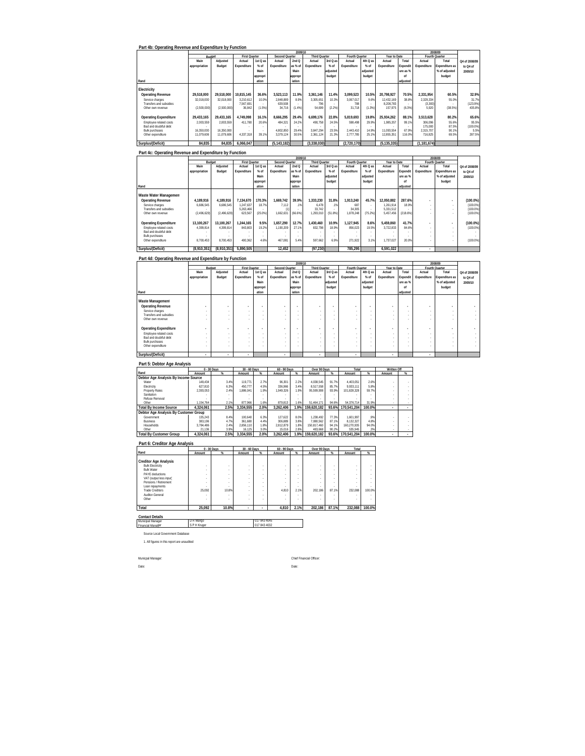|  | Part 4b: Operating Revenue and Expenditure by Function |  |
|--|--------------------------------------------------------|--|

|                                                 |               | 2009/10     |                        |          |                      |         |                      |          |                  |           |                         |          |                       | 2008/09         |                   |
|-------------------------------------------------|---------------|-------------|------------------------|----------|----------------------|---------|----------------------|----------|------------------|-----------|-------------------------|----------|-----------------------|-----------------|-------------------|
|                                                 | <b>Budget</b> |             | <b>First Quarter</b>   |          | Second Quarter       |         | <b>Third Quarter</b> |          | Fourth Quarter   |           | Year to Date            |          |                       | Fourth Quarter  |                   |
|                                                 | Main          | Adjusted    | Actual                 | 1st Q as | Actual               | 2nd Q   | Actual               | 3rd Q as | Actual           | 4th Q as  | Actual                  | Total    | Actual                | Total           | Q4 of 2008/09     |
|                                                 | appropriation | Budget      | Expenditure            | $%$ of   | Expenditure          | as % of | Expenditure          | $%$ of   | Expenditure      | $%$ of    | Expenditure             | Expendit | Expenditure           | Expenditure as  | to Q4 of          |
|                                                 |               |             |                        | Main     |                      | Main    |                      | adjusted |                  | adiusted  |                         | ure as % |                       | % of adjusted   | 2009/10           |
|                                                 |               |             |                        | appropri |                      | appropr |                      | budget   |                  | budget    |                         | nf       |                       | budget          |                   |
| Rand                                            |               |             |                        | ation    |                      | iation  |                      |          |                  |           |                         | adiusted |                       |                 |                   |
| Electricity                                     |               |             |                        |          |                      |         |                      |          |                  |           |                         |          |                       |                 |                   |
| Operating Revenue                               | 29.518.000    | 29.518.000  | 10.815.145             | 36.6%    | 3.523.113            | 11.9%   | 3.361.146            | 11.4%    | 3.099.523        | 10.5%     | 20.798.927              | 70.5%    | 2.331.954             | 60.5%           | 32.9%             |
| Service charges<br>Transfers and subsidies      | 32.018.000    | 32.018.000  | 3.210.612<br>7.567.691 | 10.0%    | 2.848.889<br>639.508 | 8.9%    | 3.305.651<br>796     | 10.3%    | 3.067.017<br>788 | 9.6%<br>٠ | 12.432.169<br>8,208.783 | 38.8%    | 2.329.334<br>(3, 300) | 55.0%<br>$\sim$ | 31.7%<br>(123.9%  |
| Other own revenue                               | (2.500.000)   | (2.500.000) | 36.842                 | (1.5%)   | 34.716               | (1.4%   | 54.699               | (2.2%)   | 31.718           | (1.3%)    | 157.975                 | (6.3%)   | 5.920                 | (38.5%)         | 435.8%            |
| <b>Operating Expenditure</b>                    | 29.433.165    | 29.433.165  | 4.749.098              | 16.1%    | 8.666.295            | 29.4%   | 6.699.176            | 22.8%    | 5.819.693        | 19.8%     | 25.934.262              | 88.1%    | 3.513.628             | 80.2%           | 65.6%             |
| Employee related costs<br>Bad and doubtful debt | 2.003.559     | 2.003.559   | 411.780                | 20.6%    | 484.321              | 24.2%   | 490.758              | 24.5%    | 598.498          | 29.9%     | 1.985.357               | 99.1%    | 306.096<br>175.000    | 55.6%<br>87.5%  | 95.5%<br>(100.0%) |
| <b>Bulk purchases</b>                           | 16.350.000    | 16.350.000  |                        |          | 4.802.850            | 29.4%   | 3.847.294            | 23.5%    | 2.443.410        | 14.9%     | 11.093.554              | 67.9%    | 2.315.707             | 90.1%           | 5.5%              |
| Other expenditure                               | 11.079.606    | 11.079.606  | 4.337.318              | 39.1%    | 3.379.124            | 30.5%   | 2.361.124            | 21.3%    | 2.777.785        | 25.1%     | 12.855.351              | 116.0%   | 716.825               | 69.5%           | 287.5%            |
| Surplus/(Deficit)                               | 84.835        | 84.835      | 6.066.047              |          | (5.143.182)          |         | (3.338.030)          |          | (2.720.170)      |           | (5.135.335)             |          | (1.181.674)           |                 |                   |

|                              |               |             |                      |            |                | 2009/10 |                      |          |                |          |              |          |             | 2008/09        |               |
|------------------------------|---------------|-------------|----------------------|------------|----------------|---------|----------------------|----------|----------------|----------|--------------|----------|-------------|----------------|---------------|
|                              | Budget        |             | <b>First Quarter</b> |            | Second Quarter |         | <b>Third Quarter</b> |          | Fourth Quarter |          | Year to Date |          |             | Fourth Quarter |               |
|                              | Main          | Adjusted    | Actual               | 1st Q as   | Actual         | 2ndQ    | Actual               | 3rd Q as | Actual         | 4th Q as | Actual       | Total    | Actual      | Total          | Q4 of 2008/09 |
|                              | appropriation | Budget      | Expenditure          | $%$ of     | Expenditure    | as % of | Expenditure          | $%$ of   | Expenditure    | $%$ of   | Expenditure  | Expendit | Expenditure | Expenditure as | to Q4 of      |
|                              |               |             |                      | Main       |                | Main    |                      | adjusted |                | adiusted |              | ure as % |             | % of adjusted  | 2009/10       |
|                              |               |             |                      | appropri   |                | appropr |                      | budget   |                | budget   |              | nl       |             | budget         |               |
| Rand                         |               |             |                      | ation      |                | iation  |                      |          |                |          |              | adjusted |             |                |               |
|                              |               |             |                      |            |                |         |                      |          |                |          |              |          |             |                |               |
| Waste Water Management       |               |             |                      |            |                |         |                      |          |                |          |              |          |             |                |               |
| <b>Operating Revenue</b>     | 4.189.916     | 4.189.916   | 7.134.670            | 170.3%     | 1.669.742      | 39.9%   | 1.333.230            | 31.8%    | 1.913.240      | 45.7%    | 12.050.882   | 287.6%   |             |                | $(100.0\%)$   |
| Service charges              | 6.686.545     | 6.686.545   | 1.247.637            | 18.7%      | 7.112          | .1%     | 6.478                | 1%       | 687            |          | 1.261.914    | 18.9%    |             |                | $(100.0\%)$   |
| Transfers and subsidies      |               |             | 5.263.466            |            |                |         | 33.742               |          | 34.305         |          | 5.331.512    |          |             |                | $(100.0\%)$   |
| Other own revenue            | (2.496.629)   | (2.496.629) | 623.567              | $(25.0\%)$ | 1.662.631      | (66.6%) | 1.293.010            | (51.8%)  | 1.878.248      | (75.2%)  | 5.457.456    | (218.6%) |             |                | $(100.0\%)$   |
|                              |               |             |                      |            |                |         |                      |          |                |          |              |          |             |                |               |
| <b>Operating Expenditure</b> | 13.100.267    | 13.100.267  | 1.244.165            | 9.5%       | 1.657.290      | 12.7%   | 1.430.460            | 10.9%    | 1.127.945      | 8.6%     | 5.459.860    | 41.7%    |             |                | $(100.0\%)$   |
| Employee related costs       | 4.399.814     | 4.399.814   | 843.803              | 19.2%      | 1.190.209      | 27.1%   | 832.798              | 18 9%    | 856.023        | 19.5%    | 3.722.833    | 84.6%    |             |                | $(100.0\%)$   |
| Bad and doubtful debt        |               |             |                      |            |                |         |                      |          |                |          |              |          |             |                |               |
| Bulk purchases               |               |             |                      |            |                |         |                      |          |                |          |              |          |             |                |               |
| Other expenditure            | 8.700.453     | 8.700.453   | 400.362              | 4.6%       | 467.081        | 5.4%    | 597.662              | 6.9%     | 271.922        | 3.1%     | 1.737.027    | 20.0%    |             |                | $(100.0\%)$   |
|                              |               |             |                      |            |                |         |                      |          |                |          |              |          |             |                |               |
| Surplus/(Deficit)            | (8.910.351)   | (8.910.351) | 5.890.505            |            | 12.452         |         | (97, 230)            |          | 785.295        |          | 6.591.022    |          | ٠           |                |               |

### **Part 4d: Operating Revenue and Expenditure by Function**

|                                              |                          | 2009/10                  |                      |          |                          |         |                          |                |                          |          |              |                          |                          | 2008/09                  |               |
|----------------------------------------------|--------------------------|--------------------------|----------------------|----------|--------------------------|---------|--------------------------|----------------|--------------------------|----------|--------------|--------------------------|--------------------------|--------------------------|---------------|
|                                              |                          | Budget                   | <b>First Quarter</b> |          | Second Quarter           |         | Third Quarter            |                | Fourth Quarter           |          | Year to Date |                          |                          | Fourth Quarter           |               |
|                                              | Main                     | Adjusted                 | Actual               | 1st Q as | Actual                   | 2ndQ    | Actual                   | 3rd Q as       | Actual                   | 4th Q as | Actual       | Total                    | Actual                   | Total                    | Q4 of 2008/09 |
|                                              | appropriation            | Budget                   | Expenditure          | $%$ of   | Expenditure              | as % of | Expenditure              | $%$ of         | Expenditure              | $%$ of   | Expenditure  | Expendit                 | Expenditure              | Expenditure as           | to Q4 of      |
|                                              |                          |                          |                      | Main     |                          | Main    |                          | adjusted       |                          | adjusted |              | ure as %                 |                          | % of adjusted            | 2009/10       |
|                                              |                          |                          |                      | appropri |                          | appropr |                          | budget         |                          | budget   |              | of                       |                          | budget                   |               |
| Rand                                         |                          |                          |                      | ation    |                          | iation  |                          |                |                          |          |              | adjusted                 |                          |                          |               |
| Waste Management                             |                          |                          |                      |          |                          |         |                          |                |                          |          |              |                          |                          |                          |               |
| <b>Operating Revenue</b>                     | $\overline{\phantom{a}}$ | $\overline{\phantom{a}}$ | ٠                    | ٠        | $\overline{\phantom{a}}$ | ÷       | $\overline{\phantom{a}}$ | $\overline{a}$ | $\overline{\phantom{a}}$ |          | $\sim$       | $\overline{\phantom{a}}$ | $\overline{\phantom{a}}$ | $\overline{\phantom{a}}$ |               |
| Service charges                              |                          | . .                      | $\sim$               |          | $\sim$                   | ٠       | ٠                        |                | ٠                        | ٠        | $\sim$       | ٠                        | $\sim$                   |                          |               |
| Transfers and subsidies<br>Other own revenue |                          | . .                      |                      |          | $\sim$                   | ٠       |                          |                | ٠                        |          | $\sim$       | ٠                        | $\sim$                   |                          |               |
|                                              |                          |                          | ×.                   | ٠        |                          | ٠       |                          |                | ٠                        |          | $\sim$       |                          | $\sim$                   |                          |               |
| <b>Operating Expenditure</b>                 | ۰                        | $\overline{\phantom{a}}$ | ٠                    | ٠        | $\overline{\phantom{a}}$ |         | $\overline{\phantom{a}}$ | ۰              | ÷                        |          |              | $\sim$                   | $\overline{\phantom{a}}$ | $\overline{\phantom{a}}$ | ۰             |
| Employee related costs                       |                          | . .                      |                      | ٠        | $\sim$                   | ٠       | ٠                        |                | ٠                        | ٠        | $\sim$       | $\sim$                   |                          |                          |               |
| Bad and doubtful debt                        |                          | . .                      | $\sim$               |          | $\sim$                   | $\sim$  | ٠                        |                | ٠                        | ٠        | $\sim$       | $\sim$                   |                          |                          |               |
| <b>Bulk purchases</b>                        |                          | . .                      |                      |          | $\sim$                   | ٠       |                          |                | ٠                        |          | $\sim$       | $\sim$                   | $\sim$                   |                          |               |
| Other expenditure                            |                          |                          |                      |          | ۰                        | ٠       |                          |                | ٠                        |          | $\sim$       |                          | $\sim$                   |                          |               |
| Surplus/(Deficit)                            |                          | ٠                        | ٠                    |          |                          |         | $\mathbf{r}$             |                |                          |          |              |                          |                          |                          |               |

#### **Part 5: Debtor Age Analysis**

|                                       |           | $0 - 30$ Days | $30 - 60$ Days |      | 60 - 90 Days |      | Over 90 Days |       | Total       |        | Written Off |   |
|---------------------------------------|-----------|---------------|----------------|------|--------------|------|--------------|-------|-------------|--------|-------------|---|
| Rand                                  | Amount    | %             | Amount         | $\%$ | Amount       | $\%$ | Amount       | $\%$  | Amount      | $\%$   | Amount      | % |
| Debtor Age Analysis By Income Source  |           |               |                |      |              |      |              |       |             |        |             |   |
| Water                                 | 148.434   | 3.4%          | 119.771        | 2.7% | 96.301       | 2.2% | 4.038.545    | 91.7% | 4.403.051   | 2.6%   |             |   |
| Electricity                           | 627.810   | 6.3%          | 450.777        | 4.5% | 336.966      | 3.4% | 8.517.558    | 85.7% | 9.933.111   | 5.8%   |             |   |
| <b>Property Rates</b>                 | 2.393.053 | 2.4%          | .886.041       | 1.9% | 1.949.326    | 1.9% | 95.599.908   | 93.9% | 101.828.328 | 59.7%  |             |   |
| Sanitation                            |           |               |                |      |              |      |              |       |             |        |             |   |
| Refuse Removal                        |           |               |                |      |              |      |              |       |             |        |             |   |
| Other                                 | 1.154.764 | 2.1%          | 877.966        | 1.6% | 879.813      | 1.6% | 51.464.171   | 94.6% | 54.376.714  | 31.9%  |             |   |
| <b>Total By Income Source</b>         | 4.324.061 | 2.5%          | 3.334.555      | 2.0% | 3.262.406    | 1.9% | 159.620.182  | 93.6% | 170.541.204 | 100.0% |             |   |
| Debtor Age Analysis By Customer Group |           |               |                |      |              |      |              |       |             |        |             |   |
| Government                            | 135.243   | 8.4%          | 100.640        | 6.3% | 127.622      | 8.0% | 1.238.492    | 77.3% | 1.601.997   | .9%    |             |   |
| <b>Business</b>                       | 383.196   | 4.7%          | 361.680        | 4.4% | 306.889      | 3.8% | 7.080.562    | 87.1% | 8.132.327   | 4.8%   |             |   |
| Households                            | 3.784.486 | 2.4%          | 2.856.110      | 1.8% | 2.812.879    | 18%  | 150.817.460  | 94.1% | 160.270.935 | 94.0%  |             |   |
| Other                                 | 21.136    | 3.9%          | 16.125         | 3.0% | 15.016       | 2.8% | 483.668      | 90.2% | 535.945     | .3%    |             |   |
| <b>Total By Customer Group</b>        | 4.324.061 | 2.5%          | 3.334.555      | 2.0% | 3.262.406    | 1.9% | 159.620.182  | 93.6% | 170.541.204 | 100.0% |             |   |

#### **Part 6: Creditor Age Analysis**

|                                                                                                                                                                                                  |                            | $0 - 30$ Days                       | 30 - 60 Days |                                 | 60 - 90 Days                                       |                                                        | Over 90 Days                |                                     | Total        |        |
|--------------------------------------------------------------------------------------------------------------------------------------------------------------------------------------------------|----------------------------|-------------------------------------|--------------|---------------------------------|----------------------------------------------------|--------------------------------------------------------|-----------------------------|-------------------------------------|--------------|--------|
| Rand                                                                                                                                                                                             | Amount                     | %                                   | Amount       | %                               | Amount                                             | $\%$                                                   | Amount                      | %                                   | Amount       | %      |
| <b>Creditor Age Analysis</b><br><b>Bulk Electricity</b><br><b>Bulk Water</b><br>PAYE deductions<br>VAT (output less input)<br>Pensions / Retirement<br>Loan repayments<br><b>Trade Creditors</b> | ٠<br>٠<br>٠<br>٠<br>25.092 | ٠<br>٠<br>٠<br>٠<br>٠<br>٠<br>10.8% | ٠            | ٠<br>٠<br>٠<br>٠<br>٠<br>٠<br>٠ | ٠<br>٠<br>$\sim$<br>$\sim$<br>$\sim$<br>٠<br>4.810 | ٠<br>٠<br>$\sim$<br>$\sim$<br>$\sim$<br>$\sim$<br>2.1% | ٠<br>٠<br>٠<br>٠<br>202.186 | ٠<br>٠<br>٠<br>٠<br>٠<br>٠<br>87.1% | ٠<br>232.088 | 100.0% |
| Auditor-General<br>Other<br>Total                                                                                                                                                                | ٠<br>٠<br>25,092           | ٠<br>٠<br>10.8%                     | ٠            | ٠<br>٠<br>٠                     | ٠<br>$\sim$<br>4.810                               | ٠<br>٠<br>2.1%                                         | 202.186                     | ٠<br>87.1%                          | 232,088      | 100.0% |

#### **Contact Details** Municipal Manager Financial Manager D R Mango 017 843 4045 S P H Kruger 017 843 4032

Source Local Government Database 1. All figures in this report are unaudited

Municpal Manager: Chief Financial Officer:

Date: Date: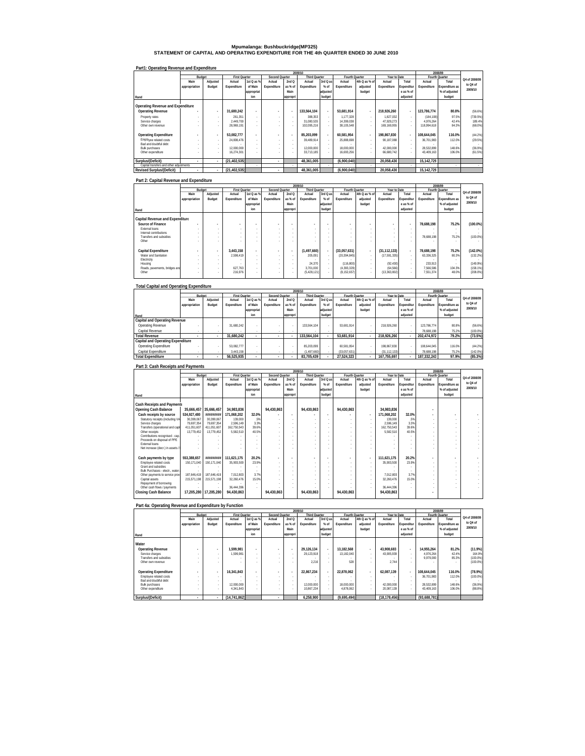## **Mpumalanga: Bushbuckridge(MP325) STATEMENT OF CAPITAL AND OPERATING EXPENDITURE FOR THE 4th QUARTER ENDED 30 JUNE 2010**

### **Part1: Operating Revenue and Expenditure**

|                                         |               |          |                      |                          |                |          | 2009/10              |                          |                |               |              |            |             | 2008/09        |               |
|-----------------------------------------|---------------|----------|----------------------|--------------------------|----------------|----------|----------------------|--------------------------|----------------|---------------|--------------|------------|-------------|----------------|---------------|
|                                         | Budget        |          | <b>First Quarter</b> |                          | Second Quarter |          | <b>Third Quarter</b> |                          | Fourth Quarter |               | Year to Date |            |             | Fourth Quarter |               |
|                                         | Main          | Adjusted | Actual               | 1st Q as %               | Actual         | 2ndQ     | Actual               | 3rd Q as                 | Actual         | 4th Q as % of | Actual       | Total      | Actual      | Total          | Q4 of 2008/09 |
|                                         | appropriation | Budget   | Expenditure          | of Main                  | Expenditure    | as % of  | Expenditure          | % of                     | Expenditure    | adjusted      | Expenditure  | Expenditur | Expenditure | Expenditure as | to Q4 of      |
|                                         |               |          |                      | appropriat               |                | Main     |                      | adjusted                 |                | budget        |              | e as % of  |             | % of adjusted  | 2009/10       |
| Rand                                    |               |          |                      | ion                      |                | appropri |                      | budget                   |                |               |              | adiusted   |             | budget         |               |
|                                         |               |          |                      |                          |                |          |                      |                          |                |               |              |            |             |                |               |
| Operating Revenue and Expenditure       |               |          |                      |                          |                |          |                      |                          |                |               |              |            |             |                |               |
| <b>Operating Revenue</b>                |               |          | 31.680.242           |                          |                | ٠.       | 133.564.104          | $\overline{\phantom{a}}$ | 53.681.914     |               | 218.926.260  |            | 123.786.774 | 80.8%          | (56.6%)       |
| Property rates                          |               |          | 261.351              |                          |                |          | 388.353              | ×.                       | 1.177.328      | $\sim$        | 1.827.032    | ×.         | (184, 108)  | 97.5%          | (739.5%)      |
| Service charges                         |               |          | 2.449.700            | ×.                       |                |          | 31.080.535           | $\sim$                   | 14.399.038     | $\sim$        | 47.929.273   | ×.         | 4.976.264   | 42.4%          | 189.4%        |
| Other own revenue                       |               |          | 28.969.191           |                          |                |          | 102.095.216          |                          | 38.105.548     |               | 169.169.955  |            | 18.994.618  | 84.3%          | $(68.0\%)$    |
|                                         |               |          |                      |                          |                |          |                      |                          |                |               |              |            |             |                |               |
| <b>Operating Expenditure</b>            |               |          | 53.082.777           | $\overline{\phantom{a}}$ | ٠              | ٠.       | 85.203.099           | $\overline{\phantom{a}}$ | 60.581.954     | $\sim$        | 198.867.830  |            | 108.644.045 | 116.0%         | (44.2%)       |
| Employee related costs                  |               | $\sim$   | 24.808.476           |                          |                |          | 39.489.914           | $\sim$                   | 25.888.698     | $\sim$        | 90.187.088   |            | 36.701.983  | 112.0%         | (29.5%)       |
| Bad and doubtful debt                   |               |          |                      |                          |                |          |                      | $\sim$                   |                |               |              |            |             |                |               |
| <b>Bulk purchases</b>                   |               |          | 12.000.000           |                          |                |          | 12.000.000           | ×.                       | 18.000.000     | $\sim$        | 42.000.000   |            | 28.532.899  | 148.6%         | (36.9%)       |
| Other expenditure                       |               |          | 16.274.301           |                          |                |          | 33.713.185           |                          | 16.693.256     |               | 66.680.742   |            | 43.409.163  | 106.0%         | (61.5%)       |
|                                         |               |          |                      |                          |                |          |                      |                          |                |               |              |            |             |                |               |
| Surplus/(Deficit)                       | ٠             |          | (21.402.535)         |                          | ٠              |          | 48.361.005           |                          | (6.900.040)    |               | 20.058.430   |            | 15.142.729  |                |               |
| Capital transfers and other adjustments |               |          |                      |                          |                |          |                      |                          |                |               |              |            |             |                |               |
| <b>Revised Surplus/(Deficit)</b>        | ٠             |          | (21, 402, 535)       |                          | ٠              |          | 48.361.005           |                          | (6,900,040)    |               | 20.058.430   |            | 15.142.729  |                |               |

#### **Part 2: Capital Revenue and Expenditure**

|                                 |               |          |                          |            |                |          | 2009/10                  |                          |                |               |                          |            |                | 2008/09        |               |
|---------------------------------|---------------|----------|--------------------------|------------|----------------|----------|--------------------------|--------------------------|----------------|---------------|--------------------------|------------|----------------|----------------|---------------|
|                                 | Budget        |          | <b>First Quarter</b>     |            | Second Quarter |          | <b>Third Quarter</b>     |                          | Fourth Quarter |               | Year to Date             |            | Fourth Quarter |                | Q4 of 2008/09 |
|                                 | Main          | Adjusted | Actual                   | 1st Q as % | Actual         | 2ndQ     | Actual                   | 3rd Q as                 | Actual         | 4th Q as % of | Actual                   | Total      | Actual         | Total          |               |
|                                 | appropriation | Budget   | Expenditure              | of Main    | Expenditure    | as % of  | Expenditure              | % of                     | Expenditure    | adjusted      | Expenditure              | Expenditur | Expenditure    | Expenditure as | to Q4 of      |
|                                 |               |          |                          | appropriat |                | Main     |                          | adjusted                 |                | budget        |                          | e as % of  |                | % of adjusted  | 2009/10       |
| Rand                            |               |          |                          | ion        |                | appropri |                          | budget                   |                |               |                          | adjusted   |                | budget         |               |
|                                 |               |          |                          |            |                |          |                          |                          |                |               |                          |            |                |                |               |
| Capital Revenue and Expenditure |               |          |                          |            |                |          |                          |                          |                |               |                          |            |                |                |               |
| Source of Finance               |               |          | $\overline{\phantom{a}}$ |            |                |          | $\overline{\phantom{a}}$ | $\overline{\phantom{a}}$ |                | ٠             | $\overline{\phantom{a}}$ |            | 78.688.198     | 75.2%          | $(100.0\%)$   |
| External loans                  |               |          |                          | $\sim$     |                | $\sim$   |                          | $\sim$                   |                |               | $\sim$                   |            |                |                |               |
| Internal contributions          |               |          |                          |            |                |          |                          | $\sim$                   | $\sim$         |               | $\sim$                   |            |                |                |               |
| Transfers and subsidies         |               |          | $\sim$                   |            |                |          |                          | $\sim$                   |                |               | $\sim$                   |            | 78.688.198     | 75.2%          | $(100.0\%)$   |
| Other                           |               |          |                          |            |                |          |                          |                          |                |               |                          |            |                |                |               |
| Capital Expenditure             | $\sim$        |          | 3.443.158                |            |                |          | (1,497,660)              |                          | (33,057,631)   |               | (31, 112, 133)           |            | 78,688,198     | 75.2%          | $(142.0\%)$   |
|                                 |               |          |                          |            |                | $\sim$   |                          | ٠                        |                | $\sim$        |                          | ٠          |                |                |               |
| Water and Sanitation            |               | $\sim$   | 2.598.419                | $\sim$     |                | $\sim$   | 205.091                  | $\sim$                   | (20, 394, 845) | $\sim$        | (17, 591, 335)           |            | 63,336,325     | 80.3%          | (132.2%)      |
| Electricity                     |               |          |                          |            |                | $\sim$   |                          | $\sim$                   |                |               |                          |            |                |                |               |
| Housing                         |               |          |                          | $\sim$     |                | $\sim$   | 24.370                   | $\sim$                   | (116.800)      | $\sim$        | (92, 430)                | ×.         | 233.913        |                | (149.9%)      |
| Roads, pavements, bridges and   |               |          | 627.763                  | $\sim$     |                | $\sim$   | 3.701.000                |                          | (4.393.329)    | $\sim$        | (64, 566)                |            | 7.566.586      | 104.3%         | $(158.1\%)$   |
| Other                           |               |          | 216.976                  |            |                | $\sim$   | (5.428.121)              | $\sim$                   | (8.152.657)    | $\sim$        | (13, 363, 802)           |            | 7.551.374      | 48.0%          | $(208.0\%)$   |
|                                 |               |          |                          |            |                |          |                          |                          |                |               |                          |            |                |                |               |

### **Total Capital and Operating Expenditure**

|                                   |               |          |                      |             |                |          | 2009/10              |                          |                |               |              |            |             | 2008/09        |               |
|-----------------------------------|---------------|----------|----------------------|-------------|----------------|----------|----------------------|--------------------------|----------------|---------------|--------------|------------|-------------|----------------|---------------|
|                                   | Budget        |          | <b>First Quarter</b> |             | Second Quarter |          | <b>Third Quarter</b> |                          | Fourth Quarter |               | Year to Date |            |             | Fourth Quarter |               |
|                                   | Main          | Adiusted | Actual               | 1st Q as %  | Actual         | 2ndQ     | Actual               | 3rd Q as                 | Actual         | 4th Q as % of | Actual       | Total      | Actual      | Total          | Q4 of 2008/09 |
|                                   | appropriation | Budget   | Expenditure          | of Main     | Expenditure    | as % of  | Expenditure          | % of                     | Expenditure    | adiusted      | Expenditure  | Expenditur | Expenditure | Expenditure as | to Q4 of      |
|                                   |               |          |                      | lappropriat |                | Main     |                      | adiusted                 |                | budget        |              | e as % of  |             | % of adjusted  | 2009/10       |
| Rand                              |               |          |                      | ion         |                | appropri |                      | budget                   |                |               |              | adiusted   |             | budget         |               |
| Capital and Operating Revenue     |               |          |                      |             |                |          |                      |                          |                |               |              |            |             |                |               |
| Operating Revenue                 |               |          | 31.680.242           |             |                |          | 133.564.104          | $\sim$                   | 53.681.914     |               | 218,926.260  |            | 123.786.774 | 80.8%          | (56.6%)       |
| Capital Revenue                   |               |          |                      |             |                |          |                      |                          |                |               |              |            | 78.688.198  | 75.2%          | $(100.0\%)$   |
| <b>Total Revenue</b>              |               |          | 31.680.242           |             |                |          | 133.564.104          |                          | 53.681.914     |               | 218.926.260  |            | 202.474.972 | 79.2%          | (73.5%)       |
| Capital and Operating Expenditure |               |          |                      |             |                |          |                      |                          |                |               |              |            |             |                |               |
| Operating Expenditure             |               |          | 53.082.777           |             |                |          | 85,203,099           | $\overline{\phantom{a}}$ | 60.581.954     | $\sim$        | 198.867.830  |            | 108.644.045 | 116.0%         | (44.2%)       |
| Capital Expenditure               |               |          | 3.443.158            |             |                |          | (1.497.660)          |                          | (33.057.631)   |               | (31.112.133) |            | 78.688.198  | 75.2%          | (142.0%       |
| <b>Total Expenditure</b>          |               |          | 56.525.935           |             |                |          | 83.705.439           |                          | 27.524.323     | ٠             | 167.755.697  |            | 187.332.243 | 97.9%          | (85.3%)       |

# **Part 3: Cash Receipts and Payments**

|                                   |                       |                       |                      |            |                |          | 2009/10                  |                          |                |               |              |            |             | 2008/09        |               |
|-----------------------------------|-----------------------|-----------------------|----------------------|------------|----------------|----------|--------------------------|--------------------------|----------------|---------------|--------------|------------|-------------|----------------|---------------|
|                                   | Budget                |                       | <b>First Quarter</b> |            | Second Quarter |          | <b>Third Quarter</b>     |                          | Fourth Quarter |               | Year to Date |            |             | Fourth Quarter |               |
|                                   | Main                  | Adjusted              | Actual               | 1st Q as % | Actual         | 2nd Q    | Actual                   | 3rd Q as                 | Actual         | 4th Q as % of | Actual       | Total      | Actual      | Total          | Q4 of 2008/09 |
|                                   | appropriation         | Budget                | Expenditure          | of Main    | Expenditure    | as % of  | Expenditure              | % of                     | Expenditure    | adiusted      | Expenditure  | Expenditur | Expenditure | Expenditure as | to Q4 of      |
|                                   |                       |                       |                      | appropriat |                | Main     |                          | adjusted                 |                | budget        |              | e as % of  |             | % of adjusted  | 2009/10       |
| Rand                              |                       |                       |                      | ion        |                | appropri |                          | budget                   |                |               |              | adjusted   |             | budget         |               |
|                                   |                       |                       |                      |            |                |          |                          |                          |                |               |              |            |             |                |               |
| <b>Cash Receipts and Payments</b> |                       |                       |                      |            |                |          |                          |                          |                |               |              |            |             |                |               |
| Opening Cash Balance              |                       | 35,666,457 35,666,457 | 34,983,836           |            | 94.430.863     |          | 94,430,863               |                          | 94.430.863     |               | 34.983.836   |            |             |                |               |
| Cash receipts by source           | 534.927.480           | *********             | 171.068.202          | 32.0%      |                | ٠        |                          | $\overline{\phantom{a}}$ |                |               | 171.068.202  | 32.0%      |             |                |               |
| Statutory receipts (including VA  | 30.399.067            | 30.399.067            | 139.000              | .5%        |                |          |                          |                          |                |               | 139.000      | .5%        |             |                |               |
| Service charges                   | 79.697.354            | 79.697.354            | 2.596.149            | 3.3%       |                |          |                          |                          |                |               | 2.596.149    | 3.3%       |             |                |               |
| Transfers (operational and capit  | 411.051.607           | 411.051.607           | 162.750.543          | 39.6%      |                |          |                          |                          |                |               | 162.750.543  | 39.6%      |             |                |               |
| Other receipts                    | 13.779.452            | 13.779.452            | 5,582,510            | 40.5%      |                |          |                          |                          |                |               | 5,582,510    | 40.5%      |             |                |               |
| Contributions recognised - cap.   |                       |                       |                      |            |                |          |                          |                          |                |               |              |            |             |                |               |
| Proceeds on disposal of PPE       |                       |                       |                      |            |                |          |                          |                          |                |               |              |            |             |                |               |
| <b>External Inans</b>             |                       |                       |                      |            |                |          |                          |                          |                |               |              |            |             |                |               |
| Net increase (decr.) in assets /  |                       |                       |                      |            |                |          |                          |                          |                |               |              |            |             |                |               |
|                                   |                       |                       |                      |            |                |          |                          |                          |                |               |              |            |             |                |               |
| Cash payments by type             | 553.388.657           | *********             | 111.621.175          | 20.2%      |                |          | $\overline{\phantom{a}}$ | $\overline{\phantom{a}}$ | $\blacksquare$ |               | 111.621.175  | 20.2%      |             |                |               |
| Employee related costs            | 150.171.040           | 150.171.040           | 35.903.500           | 23.9%      |                |          |                          |                          | ٠              |               | 35.903.500   | 23.9%      |             |                |               |
| Grant and subsidies               |                       |                       |                      |            |                |          |                          |                          |                |               |              |            |             |                |               |
| Bulk Purchases - electr., water.  |                       |                       |                      |            |                |          |                          |                          |                |               |              |            |             |                |               |
| Other payments to service provi   | 187.646.419           | 187.646.419           | 7.012.803            | 3.7%       |                |          |                          |                          |                |               | 7.012.803    | 3.7%       |             |                |               |
| Capital assets                    | 215.571.198           | 215.571.198           | 32.260.476           | 15.0%      |                |          |                          |                          |                |               | 32.260.476   | 15.0%      |             |                |               |
| Repayment of borrowing            |                       |                       |                      |            |                |          |                          |                          |                |               |              |            |             |                |               |
| Other cash flows / payments       |                       |                       | 36.444.396           |            |                |          |                          |                          |                |               | 36.444.396   |            |             |                |               |
| <b>Closing Cash Balance</b>       | 17.205.280 17.205.280 |                       | 94,430,863           |            | 94.430.863     |          | 94.430.863               |                          | 94.430.863     |               | 94.430.863   |            |             |                |               |
|                                   |                       |                       |                      |            |                |          |                          |                          |                |               |              |            |             |                |               |

### **Part 4a: Operating Revenue and Expenditure by Function**

|                              |               |          |                      |             |                |          | 2009/10              |                          |                |               |              |            |              | 2008/09        |               |
|------------------------------|---------------|----------|----------------------|-------------|----------------|----------|----------------------|--------------------------|----------------|---------------|--------------|------------|--------------|----------------|---------------|
|                              | Budget        |          | <b>First Quarter</b> |             | Second Quarter |          | <b>Third Quarter</b> |                          | Fourth Quarter |               | Year to Date |            |              | Fourth Quarter |               |
|                              | Main          | Adiusted | Actual               | 1st Q as %  | Actual         | 2ndQ     | Actual               | 3rd Q as                 | Actual         | 4th Q as % of | Actual       | Total      | Actual       | Total          | Q4 of 2008/09 |
|                              | appropriation | Budget   | Expenditure          | of Main     | Expenditure    | as % of  | Expenditure          | % of                     | Expenditure    | adiusted      | Expenditure  | Expenditur | Expenditure  | Expenditure as | to Q4 of      |
|                              |               |          |                      | lappropriat |                | Main     |                      | adjusted                 |                | budget        |              | e as % of  |              | % of adjusted  | 2009/10       |
| Rand                         |               |          |                      | ion         |                | appropri |                      | budget                   |                |               |              | adjusted   |              | budget         |               |
|                              |               |          |                      |             |                |          |                      |                          |                |               |              |            |              |                |               |
| Water                        |               |          |                      |             |                |          |                      |                          |                |               |              |            |              |                |               |
| <b>Operating Revenue</b>     |               |          | 1.599.981            |             |                |          | 29.126.134           | $\overline{\phantom{a}}$ | 13.182.568     |               | 43.908.683   |            | 14.955.264   | 81.2%          | (11.9%)       |
| Service charges              |               |          | .599.981             |             |                | $\sim$   | 29.123.918           | $\sim$                   | 13.182.040     | .             | 43.905.939   | ×.         | 4.976.264    | 42.4%          | 164.9%        |
| Transfers and subsidies      |               |          |                      |             |                |          |                      | ×.                       |                |               |              |            | 9.979.000    | 85.3%          | $(100.0\%)$   |
| Other own revenue            |               |          |                      |             |                |          | 2.216                |                          | 528            |               | 2.744        |            |              |                | $(100.0\%)$   |
| <b>Operating Expenditure</b> |               |          | 16.341.843           |             | ٠              |          | 22.867.234           | $\overline{\phantom{a}}$ | 22.878.062     |               | 62.087.139   |            | 108.644.045  | 116.0%         | (78.9%)       |
| Employee related costs       |               |          |                      |             |                |          |                      | ٠                        |                |               |              |            | 36.701.983   | 112.0%         | $(100.0\%)$   |
| Bad and doubtful debt        |               |          |                      |             |                | $\sim$   |                      | ٠                        |                |               |              |            |              |                |               |
| Bulk purchases               |               | ٠        | 12.000.000           |             |                | $\sim$   | 12.000.000           | ×.                       | 18.000.000     | $\sim$        | 42.000.000   | ×.         | 28.532.899   | 148.6%         | (36.9%)       |
| Other expenditure            |               |          | 4.341.843            |             |                | $\sim$   | 10.867.234           | ٠                        | 4.878.062      |               | 20.087.139   |            | 43.409.163   | 106.0%         | (88.8%)       |
| Surplus/(Deficit)            |               |          | (14.741.862)         |             |                |          | 6.258.900            |                          |                |               | (18.178.456) |            | (93.688.781) |                |               |
|                              |               | ٠        |                      |             |                |          |                      |                          | (9,695,494)    |               |              |            |              |                |               |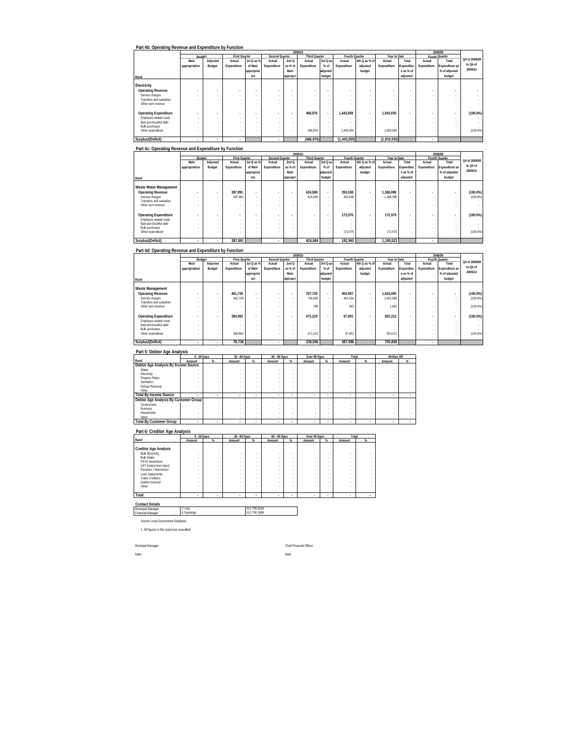| Part 4b: Operating Revenue and Expenditure by Function |                          |                          |                          |                |                |                          |                          |                          |                          |               |                          |            |                |                          |               |
|--------------------------------------------------------|--------------------------|--------------------------|--------------------------|----------------|----------------|--------------------------|--------------------------|--------------------------|--------------------------|---------------|--------------------------|------------|----------------|--------------------------|---------------|
|                                                        |                          |                          |                          |                |                |                          | 2009/10                  |                          |                          |               |                          |            |                | 2008/09                  |               |
|                                                        | Budget                   |                          | First Quarter            |                | Second Quarter |                          | <b>Third Quarter</b>     |                          | Fourth Quarter           |               | Year to Date             |            |                | Fourth Quarter           |               |
|                                                        | Main                     | Adjusted                 | Actual                   | 1st Q as %     | Actual         | 2ndQ                     | Actual                   | 3rd Q as                 | Actual                   | 4th Q as % of | Actual                   | Total      | Actual         | Total                    | Q4 of 2008/09 |
|                                                        | appropriation            | Budget                   | Expenditure              | of Main        | Expenditure    | as % of                  | Expenditure              | % of                     | Expenditure              | adjusted      | Expenditure              | Expenditur | Expenditure    | Expenditure as           | to Q4 of      |
|                                                        |                          |                          |                          | lappropriat    |                | Main                     |                          | adjusted                 |                          | budget        |                          | e as % of  |                | % of adjusted            | 2009/10       |
|                                                        |                          |                          |                          |                |                |                          |                          |                          |                          |               |                          |            |                |                          |               |
| Rand                                                   |                          |                          |                          | ion            |                | appropri                 |                          | budget                   |                          |               |                          | adjusted   |                | budget                   |               |
| Electricity                                            |                          |                          |                          |                |                |                          |                          |                          |                          |               |                          |            |                |                          |               |
| <b>Operating Revenue</b>                               | $\overline{\phantom{a}}$ | ٠                        | $\overline{\phantom{a}}$ | $\overline{a}$ |                | ٠                        | $\overline{\phantom{a}}$ | $\overline{\phantom{a}}$ | $\overline{\phantom{a}}$ |               | ٠                        |            | $\overline{a}$ |                          |               |
| Service charges                                        |                          |                          | $\sim$                   | $\sim$         |                |                          | $\sim$                   |                          | $\sim$                   | ٠             | $\sim$                   |            |                | ۰                        |               |
| Transfers and subsidies                                | $\sim$                   |                          | $\sim$                   | $\sim$         | ٠              | ٠                        | $\sim$                   |                          | $\sim$                   | ٠             | $\overline{\phantom{a}}$ |            |                |                          |               |
| Other own revenue                                      |                          |                          |                          |                |                |                          | $\sim$                   |                          | $\sim$                   |               | ٠                        |            |                |                          | . .           |
|                                                        |                          |                          |                          |                |                |                          |                          |                          |                          |               |                          |            |                |                          |               |
| <b>Operating Expenditure</b>                           | $\overline{\phantom{a}}$ | $\overline{\phantom{a}}$ | $\overline{\phantom{a}}$ | $\overline{a}$ |                | $\overline{\phantom{a}}$ | 466.976                  | ٠                        | 1.443.059                | $\sim$        | 1.910.035                | ٠          | $\overline{a}$ | $\overline{\phantom{a}}$ | $(100.0\%)$   |
| Employee related costs                                 |                          | ×.                       | $\sim$                   | $\sim$         | ×.             | $\sim$                   |                          |                          | $\sim$                   | ٠             |                          |            | ×.             |                          |               |
| Bad and doubtful debt                                  |                          |                          | $\sim$                   |                |                |                          | $\sim$                   |                          | $\sim$                   | ٠             |                          |            |                |                          |               |
| <b>Bulk purchases</b>                                  |                          |                          | $\sim$                   | ۰              |                |                          |                          |                          | $\sim$                   | ٠             |                          |            |                |                          |               |
| Other expenditure                                      |                          |                          | $\sim$                   |                |                |                          | 466,976                  |                          | 1.443.059                |               | 1,910,035                |            |                |                          | $(100.0\%)$   |
| Surplus/(Deficit)                                      | ٠                        | ٠                        |                          |                |                |                          | (466, 976)               |                          | (1,443,059)              |               | (1,910,035)              |            | ٠              |                          |               |

|                              |               |                          |                          |                |                |          | 2009/10                  |                          |                |               |              |            |             | 2008/09                  |               |
|------------------------------|---------------|--------------------------|--------------------------|----------------|----------------|----------|--------------------------|--------------------------|----------------|---------------|--------------|------------|-------------|--------------------------|---------------|
|                              | Budget        |                          | <b>First Quarter</b>     |                | Second Quarter |          | <b>Third Quarter</b>     |                          | Fourth Quarter |               | Year to Date |            |             | Fourth Quarter           | Q4 of 2008/09 |
|                              | Main          | Adjusted                 | Actual                   | 1st Q as %     | Actual         | 2ndQ     | Actual                   | 3rd Q as                 | Actual         | 4th Q as % of | Actual       | Total      | Actual      | Total                    |               |
|                              | appropriation | Budget                   | Expenditure              | of Main        | Expenditure    | as % of  | Expenditure              | % of                     | Expenditure    | adjusted      | Expenditure  | Expenditur | Expenditure | Expenditure as           | to Q4 of      |
|                              |               |                          |                          | appropriat     |                | Main     |                          | adjusted                 |                | budget        |              | e as % of  |             | % of adjusted            | 2009/10       |
| Rand                         |               |                          |                          | ion            |                | appropri |                          | budget                   |                |               |              | adjusted   |             | budget                   |               |
|                              |               |                          |                          |                |                |          |                          |                          |                |               |              |            |             |                          |               |
| Waste Water Managemen        |               |                          |                          |                |                |          |                          |                          |                |               |              |            |             |                          |               |
| <b>Operating Revenue</b>     |               | $\overline{\phantom{a}}$ | 387.991                  | $\overline{a}$ |                |          | 624.569                  | $\sim$                   | 355.538        |               | 1.368.098    |            |             |                          | $(100.0\%)$   |
| Service charges              |               |                          | 387.991                  |                | ٠              |          | 624.569                  | $\sim$                   | 355.538        | $\sim$        | .368.098     | ٠          | $\sim$      |                          | $(100.0\%)$   |
| Transfers and subsidies      |               |                          |                          |                |                |          |                          | $\sim$                   |                |               |              |            |             |                          |               |
| Other own revenue            |               |                          |                          |                |                |          | ٠                        |                          |                |               |              |            |             |                          |               |
|                              |               |                          |                          |                |                |          |                          |                          |                |               |              |            |             |                          |               |
| <b>Operating Expenditure</b> |               |                          | $\overline{\phantom{a}}$ |                |                | ٠        | $\overline{\phantom{a}}$ | $\overline{\phantom{a}}$ | 172.575        |               | 172.575      |            |             | $\overline{\phantom{a}}$ | $(100.0\%)$   |
| Employee related costs       |               |                          |                          |                |                |          | $\sim$                   |                          | . .            |               |              |            |             |                          |               |
| Bad and doubtful debt        |               |                          |                          |                |                |          | $\sim$                   | $\sim$                   | $\sim$         |               | $\sim$       |            |             |                          |               |
| <b>Bulk purchases</b>        |               |                          |                          |                |                |          | ٠                        |                          |                |               |              |            |             |                          |               |
| Other expenditure            |               |                          |                          |                |                |          | ٠                        | $\sim$                   | 172.575        |               | 172.575      |            |             |                          | $(100.0\%)$   |
| Surplus/(Deficit)            | ٠             |                          | 387.991                  |                | ٠              |          | 624.569                  |                          | 182.963        |               | 1.195.523    |            |             |                          |               |

#### **Part 4d: Operating Revenue and Expenditure by Function**

|                              |               | 2009/10<br><b>First Quarter</b><br>Second Quarter<br>Fourth Quarter<br>Budget |             |             |             |                          |                      |          |             |               |              |                          |             | 2008/09        |               |
|------------------------------|---------------|-------------------------------------------------------------------------------|-------------|-------------|-------------|--------------------------|----------------------|----------|-------------|---------------|--------------|--------------------------|-------------|----------------|---------------|
|                              |               |                                                                               |             |             |             |                          | <b>Third Quarter</b> |          |             |               | Year to Date |                          |             | Fourth Quarter |               |
|                              | Main          | Adjusted                                                                      | Actual      | 1st Q as %  | Actual      | 2ndQ                     | Actual               | 3rd Q as | Actual      | 4th Q as % of | Actual       | Total                    | Actual      | Total          | Q4 of 2008/09 |
|                              | appropriation | Budget                                                                        | Expenditure | of Main     | Expenditure | as % of                  | Expenditure          | % of     | Expenditure | adjusted      | Expenditure  | Expenditur               | Expenditure | Expenditure as | to Q4 of      |
|                              |               |                                                                               |             | lappropriat |             | Main                     |                      | adjusted |             | budget        |              | e as % of                |             | % of adjusted  | 2009/10       |
| Rand                         |               |                                                                               |             | ion         |             | appropri                 |                      | budget   |             |               |              | adjusted                 |             | budget         |               |
|                              |               |                                                                               |             |             |             |                          |                      |          |             |               |              |                          |             |                |               |
| Waste Management             |               |                                                                               |             |             |             |                          |                      |          |             |               |              |                          |             |                |               |
| <b>Operating Revenue</b>     | $\sim$        | $\overline{\phantom{a}}$                                                      | 461.728     |             |             | $\overline{\phantom{a}}$ | 707.725              | ٠        | 454.597     | . .           | 1.624.050    | $\overline{\phantom{a}}$ |             |                | $(100.0\%)$   |
| Service charges              |               |                                                                               | 461.728     | $\sim$      |             | ٠                        | 706.936              | $\sim$   | 454.334     |               | 1.622.998    | ٠                        |             |                | $(100.0\%)$   |
| Transfers and subsidies      |               |                                                                               |             |             |             | ٠                        |                      | $\sim$   |             |               |              | ٠                        |             |                |               |
| Other own revenue            |               |                                                                               |             |             |             |                          | 789                  |          | 263         |               | 1.052        |                          |             |                | $(100.0\%)$   |
| <b>Operating Expenditure</b> |               |                                                                               | 384.992     |             |             | $\overline{\phantom{a}}$ | 471.219              | ٠        | 67.001      | . .           | 923.212      | ٠                        | ۰           |                | $(100.0\%)$   |
| Employee related costs       |               |                                                                               |             |             |             | ٠                        |                      | $\sim$   | $\sim$      |               |              |                          |             |                |               |
| Bad and doubtful debt        |               |                                                                               |             |             |             |                          | $\sim$               | $\sim$   |             |               |              |                          |             |                |               |
| <b>Bulk purchases</b>        |               |                                                                               |             |             |             | ٠                        |                      | $\sim$   |             |               |              | ٠                        |             |                |               |
| Other expenditure            |               |                                                                               | 384.992     |             |             | ٠                        | 471.219              |          | 67.001      |               | 923.212      |                          |             |                | $(100.0\%)$   |
| Surplus/(Deficit)            |               |                                                                               | 76.736      |             |             |                          | 236.506              |          | 387.596     |               | 700.838      |                          |             |                |               |

# **Part 5: Debtor Age Analysis**

|                                       | 0 - 30 Days |        | $30 - 60$ Days |   | 60 - 90 Days |      | Over 90 Days |   | Total                    |   | Written Off |   |  |
|---------------------------------------|-------------|--------|----------------|---|--------------|------|--------------|---|--------------------------|---|-------------|---|--|
| Rand                                  | Amount      | $\%$   | Amount         | % | Amount       | $\%$ | Amount       | % | Amount                   | % | Amount      | % |  |
| Debtor Age Analysis By Income Source  |             |        |                |   |              |      |              |   |                          |   |             |   |  |
| Water                                 |             |        |                |   |              |      |              |   |                          |   |             |   |  |
| Electricity                           |             |        |                |   |              |      |              |   |                          |   |             |   |  |
| <b>Property Rates</b>                 |             |        |                |   |              |      |              |   |                          |   |             |   |  |
| Sanitation                            |             |        |                |   |              |      |              |   |                          |   |             |   |  |
| Refuse Removal                        |             |        |                |   |              |      |              |   |                          |   |             |   |  |
| Other                                 | ٠           |        |                | ٠ |              | ٠    |              |   |                          |   |             |   |  |
| <b>Total By Income Source</b>         | ٠           |        |                |   |              |      |              |   | $\overline{\phantom{a}}$ |   | ٠           |   |  |
| Debtor Age Analysis By Customer Group |             |        |                |   |              |      |              |   |                          |   |             |   |  |
| Government                            |             |        |                |   |              |      |              |   |                          |   |             |   |  |
| <b>Business</b>                       |             |        |                |   |              |      |              |   |                          |   |             |   |  |
| Households                            |             |        |                |   |              |      |              |   |                          |   |             |   |  |
| Other                                 |             |        |                |   |              | ٠    |              |   |                          |   | ٠           |   |  |
| <b>Total By Customer Group</b>        | ٠           | $\sim$ | ٠              |   |              |      | $\sim$       |   | $\overline{\phantom{a}}$ |   | ٠           |   |  |

### **Part 6: Creditor Age Analysis**

|                                                                                                 | 0 - 30 Days |           | 30 - 60 Days |             | 60 - 90 Days |      | Over 90 Days |             | Total  |  |
|-------------------------------------------------------------------------------------------------|-------------|-----------|--------------|-------------|--------------|------|--------------|-------------|--------|--|
| Rand                                                                                            | Amount      | $\propto$ | Amount       | %           | Amount       | $\%$ | Amount       | $\%$        | Amount |  |
| <b>Creditor Age Analysis</b><br><b>Bulk Electricity</b><br><b>Bulk Water</b><br>PAYE deductions |             | ٠<br>٠    |              | ٠<br>٠      |              | ٠    | ٠<br>٠       | ٠<br>٠      |        |  |
| VAT (output less input)<br>Pensions / Retirement                                                | ٠<br>٠      | ٠         |              | ٠<br>٠      |              |      | ٠<br>٠       | ٠<br>٠      |        |  |
| Loan repayments<br><b>Trade Creditors</b><br>Auditor-General                                    |             | ٠<br>٠    |              | ٠<br>٠<br>٠ |              |      | ٠<br>٠       | ٠<br>٠<br>٠ |        |  |
| Other                                                                                           | ٠           |           |              | ٠           |              |      |              | ٠           |        |  |
| Total                                                                                           | ٠           | ٠         | ٠            | ٠           | ٠            | ٠    |              | ٠           |        |  |

**Contact Details** Municipal Manager Financial Manager C Lisa 013 708 6018 E Nyalungu 013 799 1889

Source Local Government Database

1. All figures in this report are unaudited

Municpal Manager: Chief Financial Officer: Date: Date: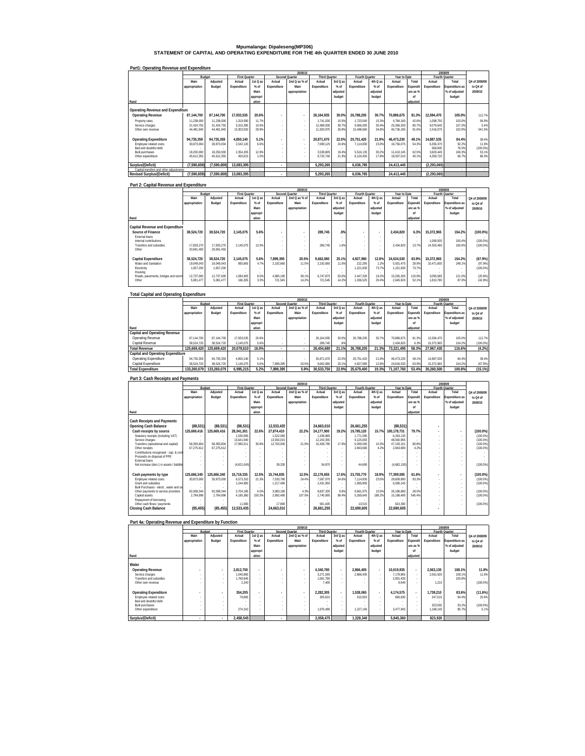# **Mpumalanga: Dipaleseng(MP306) STATEMENT OF CAPITAL AND OPERATING EXPENDITURE FOR THE 4th QUARTER ENDED 30 JUNE 2010**

| Part1: Operating Revenue and Expenditure |  |
|------------------------------------------|--|

|                                         |               |             |                      |          |             | 2009/10               |                      |          |                |                          |              |          |               | 2008/09               |               |
|-----------------------------------------|---------------|-------------|----------------------|----------|-------------|-----------------------|----------------------|----------|----------------|--------------------------|--------------|----------|---------------|-----------------------|---------------|
|                                         |               | Budget      | <b>First Quarter</b> |          |             | <b>Second Quarter</b> | <b>Third Quarter</b> |          | Fourth Quarter |                          | Year to Date |          |               | Fourth Quarter        |               |
|                                         | Main          | Adiusted    | Actual               | 1st Q as | Actual      | 2nd Q as % of         | Actual               | 3rd Q as | Actual         | 4th Q as                 | Actual       | Total    | Actual        | Total                 | Q4 of 2008/09 |
|                                         | appropriation | Budget      | Expenditure          | $%$ of   | Expenditure | Main                  | Expenditure          | $%$ of   | Expenditure    | $%$ of                   | Expenditure  | Expendit | Expenditure   | <b>Expenditure as</b> | to Q4 of      |
|                                         |               |             |                      | Main     |             | appropriation         |                      | adiusted |                | adiusted                 |              | ure as % |               | % of adjusted         | 2009/10       |
|                                         |               |             |                      | appropri |             |                       |                      | budget   |                | budget                   |              | nf       |               | budget                |               |
| Rand                                    |               |             |                      | ation    |             |                       |                      |          |                |                          |              | adjusted |               |                       |               |
| Operating Revenue and Expenditure       |               |             |                      |          |             |                       |                      |          |                |                          |              |          |               |                       |               |
|                                         |               |             |                      |          |             |                       |                      |          |                |                          |              |          |               |                       |               |
| <b>Operating Revenue</b>                | 87.144.700    | 87.144.700  | 17.933.535           | 20.6%    |             | $\sim$                | 26.164.935           | 30.0%    | 26.788.205     | 30.7%                    | 70.886.675   | 81.3%    | 12.594.470    | 105.0%                | 112.7%        |
| Property rates                          | 11.238.000    | 11,238,000  | 1.319.590            | 11.7%    | $\sim$      | $\sim$                | 1.741.030            | 15.5%    | 1.723.540      | 15.3%                    | 4.784.160    | 42.6%    | 1.098.750     | 103.0%                | 56.9%         |
| Service charges                         | 31.424.755    | 31.424.755  | 3.310.395            | 10.5%    | $\sim$      | $\sim$                | 12.489.930           | 39.7%    | 9.566.005      | 30.4%                    | 25.366.330   | 80.7%    | 9.079.645     | 107.3%                | 5.4%          |
| Other own revenue                       | 44.481.945    | 44.481.945  | 13.303.550           | 29.9%    |             |                       | 11.933.975           | 26.8%    | 15.498.660     | 34.8%                    | 40.736.185   | 91.6%    | 2.416.075     | 102.9%                | 541.5%        |
|                                         |               |             |                      |          |             |                       |                      |          |                |                          |              |          |               |                       |               |
| <b>Operating Expenditure</b>            | 94.735.359    | 94.735.359  | 4.850.140            | 5.1%     |             | $\sim$                | 20.871.670           | 22.0%    | 20.751.420     | 21.9%                    | 46.473.230   | 49.1%    | 14.887.535    | 84.4%                 | 39.4%         |
| Employee related costs                  | 30.873.004    | 30.873.004  | 2.042.120            | 6.6%     | $\sim$      | $\sim$                | 7.599.125            | 24.6%    | 7.114.830      | 23.0%                    | 16.756.075   | 54.3%    | 6.356.370     | 92.2%                 | 11.9%         |
| Bad and doubtful debt                   |               |             |                      |          |             | $\sim$                |                      |          |                | $\overline{\phantom{a}}$ |              |          | 568.000       | 76.5%                 | $(100.0\%)$   |
| <b>Bulk purchases</b>                   | 18,250,000    | 18,250,000  | 2.354.205            | 12.9%    |             | $\sim$                | 3.539.805            | 19.4%    | 5.516.135      | 30.2%                    | 11.410.145   | 62.5%    | 3.603.445     | 106.3%                | 53.1%         |
| Other expenditure                       | 45.612.355    | 45.612.355  | 453.815              | 1.0%     |             | $\sim$                | 9.732.740            | 21.3%    | 8.120.455      | 17.8%                    | 18.307.010   | 40.1%    | 4.359.720     | 66.7%                 | 86.3%         |
|                                         |               |             |                      |          |             |                       |                      |          |                |                          |              |          |               |                       |               |
| Surplus/(Deficit)                       | (7.590.659)   | (7.590.659) | 13.083.395           |          | ٠           |                       | 5.293.265            |          | 6.036.785      |                          | 24.413.445   |          | (2, 293, 065) |                       |               |
| Capital transfers and other adjustments |               |             |                      |          |             |                       |                      |          |                |                          |              |          |               |                       |               |
| <b>Revised Surplus/(Deficit)</b>        | (7,590,659)   | (7,590,659) | 13.083.395           |          | ٠           |                       | 5.293.265            |          | 6.036.785      |                          | 24.413.445   |          | (2.293.065)   |                       |               |

#### **Part 2: Capital Revenue and Expenditure**

|                                        |               |            |                      |          |             | 2009/10        |                      |                          |                          |                          |              |          |             | 2008/09        |               |
|----------------------------------------|---------------|------------|----------------------|----------|-------------|----------------|----------------------|--------------------------|--------------------------|--------------------------|--------------|----------|-------------|----------------|---------------|
|                                        | Budget        |            | <b>First Quarter</b> |          |             | Second Quarter | <b>Third Quarter</b> |                          | Fourth Quarter           |                          | Year to Date |          |             | Fourth Quarter |               |
|                                        | Main          | Adjusted   | Actual               | 1st Q as | Actual      | 2nd Q as % of  | Actual               | 3rd Q as                 | Actual                   | 4th Q as                 | Actual       | Total    | Actual      | Total          | Q4 of 2008/09 |
|                                        | appropriation | Budget     | Expenditure          | $%$ of   | Expenditure | Main           | Expenditure          | % of                     | Expenditure              | % of                     | Expenditure  | Expendit | Expenditure | Expenditure as | to Q4 of      |
|                                        |               |            |                      | Main     |             | appropriation  |                      | adjusted                 |                          | adjusted                 |              | ure as % |             | % of adjusted  | 2009/10       |
|                                        |               |            |                      | appropri |             |                |                      | budget                   |                          | budget                   |              | nf       |             | budget         |               |
| Rand                                   |               |            |                      | ation    |             |                |                      |                          |                          |                          |              | adjusted |             |                |               |
|                                        |               |            |                      |          |             |                |                      |                          |                          |                          |              |          |             |                |               |
| <b>Capital Revenue and Expenditure</b> |               |            |                      |          |             |                |                      |                          |                          |                          |              |          |             |                |               |
| Source of Finance                      | 38.524.720    | 38.524.720 | 2.145.075            | 5.6%     |             | $\sim$         | 289.745              | .8%                      | $\overline{\phantom{a}}$ | $\overline{\phantom{a}}$ | 2.434.820    | 6.3%     | 15.372.965  | 154.2%         | $(100.0\%)$   |
| External loans                         |               |            |                      |          |             | ×.             |                      |                          | $\sim$                   |                          |              |          |             |                |               |
| Internal contributions                 |               |            |                      |          |             |                |                      |                          |                          |                          |              |          | 1.069.505   | 100.4%         | $(100.0\%)$   |
| Transfers and subsidies                | 17.833.270    | 17.833.270 | 2.145.075            | 12.0%    | ×.          | ×.             | 289.745              | 1.6%                     |                          | $\sim$                   | 2.434.820    | 13.7%    | 14.303.460  | 160.6%         | $(100.0\%)$   |
| Other                                  | 20.691.450    | 20.691.450 |                      |          |             | ×.             |                      |                          |                          |                          |              |          |             |                |               |
|                                        |               |            |                      |          |             |                |                      |                          |                          |                          |              |          |             |                |               |
| Capital Expenditure                    | 38.524.720    | 38.524.720 | 2.145.075            | 5.6%     | 7.899.395   | 20.5%          | 9.662.080            | 25.1%                    | 4.927.980                | 12.8%                    | 24.634.530   | 63.9%    | 15.372.965  | 154.2%         | (67.9%)       |
| Water and Sanitation                   | 19.049.043    | 19.049.043 | 893.865              | 4.7%     | 2.192.660   | 11.5%          | 2.192.660            | 11.5%                    | 222.290                  | 1.2%                     | 5.501.475    | 28.9%    | 10.471.600  | 248.1%         | (97.9%)       |
| Electricity                            | 1,657,200     | 1.657.200  |                      | ×.       |             | ×.             |                      | $\overline{\phantom{a}}$ | 1,221,830                | 73.7%                    | 1,221,830    | 73.7%    |             |                | $(100.0\%)$   |
| Housing                                |               |            |                      |          |             |                |                      |                          |                          |                          |              |          |             |                |               |
| Roads, payements, bridges and storm    | 12.737.000    | 12.737.000 | 1.084.905            | 8.5%     | 4.985.190   | 39.1%          | 6.747.875            | 53.0%                    | 2.447.335                | 19.2%                    | 15,265,305   | 119.9%   | 3.090.585   | 121.0%         | (20.8%)       |
| Other                                  | 5.081.477     | 5.081.477  | 166.305              | 3.3%     | 721.545     | 14.2%          | 721.545              | 14.2%                    | 1.036.525                | 20.4%                    | 2,645,920    | 52.1%    | 1.810.780   | 87.0%          | (42.8%)       |
|                                        |               |            |                      |          |             |                |                      |                          |                          |                          |              |          |             |                |               |

|                                   |               |             |                      |          |             | 2009/10        |                      |          |                |          |              |          |             | 9008/09        |               |
|-----------------------------------|---------------|-------------|----------------------|----------|-------------|----------------|----------------------|----------|----------------|----------|--------------|----------|-------------|----------------|---------------|
|                                   |               | Budget      | <b>First Quarter</b> |          |             | Second Quarter | <b>Third Quarter</b> |          | Fourth Quarter |          | Year to Date |          |             | Fourth Quarter |               |
|                                   | Main          | Adiusted    | Actual               | 1st Q as | Actual      | 2nd Q as % of  | Actual               | 3rd Q as | Actual         | 4th Q as | Actual       | Total    | Actual      | Total          | Q4 of 2008/09 |
|                                   | appropriation | Budget      | Expenditure          | $%$ of   | Expenditure | Main           | Expenditure          | % of     | Expenditure    | % of     | Expenditure  | Expendit | Expenditure | Expenditure as | to Q4 of      |
|                                   |               |             |                      | Main     |             | appropriation  |                      | adjusted |                | adjusted |              | ure as % |             | % of adjusted  | 2009/10       |
|                                   |               |             |                      | appropri |             |                |                      | budget   |                | budget   |              | nf       |             | budget         |               |
| Rand                              |               |             |                      | ation    |             |                |                      |          |                |          |              | adjusted |             |                |               |
| Capital and Operating Revenue     |               |             |                      |          |             |                |                      |          |                |          |              |          |             |                |               |
| Operating Revenue                 | 87.144.700    | 87.144.700  | 17.933.535           | 20.6%    |             |                | 26.164.935           | 30.09    | 26.788.205     | 30.79    | 70.886.675   | 81.3%    | 12.594.470  | 105.0%         | 112.7%        |
| Capital Revenue                   | 38.524.720    | 38.524.720  | 2.145.075            | 5.6%     |             |                | 289.745              | 89       |                | $\sim$   | 2.434.820    | 6.3%     | 15.372.965  | 154.2%         | $(100.0\%)$   |
| <b>Total Revenue</b>              | 125.669.420   | 125.669.420 | 20.078.610           | 16.0%    |             | $\mathbf{r}$   | 26.454.680           | 21.1%    | 26.788.205     | 21.3%    | 73.321.495   | 58.3%    | 27.967.435  | 116.6%         | (4.2%)        |
| Capital and Operating Expenditure |               |             |                      |          |             |                |                      |          |                |          |              |          |             |                |               |
| Operating Expenditure             | 94.735.359    | 94.735.359  | 4.850.140            | 5.1%     |             | ٠              | 20.871.670           | 22.0%    | 20.751.420     | 21.9%    | 46.473.230   | 49.1%    | 14.887.535  | 84.4%          | 39.4%         |
| Capital Expenditure               | 38.524.720    | 38.524.720  | 2.145.075            | 5.6%     | 7.899.395   | 20.5%          | 9.662.080            | 25.1%    | 4.927.980      | 12.8%    | 24.634.530   | 63.99    | 15.372.965  | 154.2%         | (67.9%)       |
| <b>Total Expenditure</b>          | 133.260.079   | 133.260.079 | 6,995,215            | 5.2%     | 7.899.395   | 5.9%           | 30,533,750           | 22.9%    | 25,679,400     | 19.3%    | 71.107.760   | 53.4%    | 30,260,500  | 100.8%         | $(15.1\%)$    |

#### **Rand Main appropriation Adjusted Budget Actual Expenditure 1st Q as % of Main appropri ation Actual Expenditure 2nd Q as % of Main appropriation Actual Expenditure 3rd Q as % of adjusted budget Fourth C**<br>Actual **Expenditure 4th Q as % of adjusted budget Actual Expenditure Total Expendit ure as % of adjusted Rourth Quarter**<br> **Actual Expenditure Total Expenditure as % of adjusted budget Cash Receipts and Payments Opening Cash Balance (88,531 (88,531) (88,531 ) 12,533,43 ) 24,663,01 5 26,661,25 0 (88,531 5 - ) Cash receipts by source 125,669,416 125,669,416 28,341,301 22.6% 27,874,410 22.2% 24,177,900 19.2% 19,785,120 15.7% 100,178,731 79.7% - - (100.0%)** Statutory receipts (including VAT) - - 1,530,095 - 1,522,060 - 1,439,885 - 1,771,095 - 6,263,135 - - - (100.0%) Service charges - - 13,641,940 - 13,550,015 - 12,243,355 - 9,125,655 - 48,560,965 - - - (100.0%) Transfers (operational and capital) 58,393,804 58,393,804 17,990,311 30.8% 12,763,000 21.9% 10,439,790 17.9% 6,000,000 10.3% 47,193,101 80.8% - - (100.0%) Other receipts 67,275,612 67,275,612 - - - - - - 2,843,680 4.2% 2,843,680 4.2% - - (100.0%) Contributions recognised - cap. & cont - - - - - - - - - - - - - - - Proceeds on disposal of PPE - - - - - - - - - - - - - - - External loans - - - - - - - - - - - - - - - Net increase (decr.) in assets / liabilitie - - - (4,821,045) 39,335 - 54,870 - 44,690 - - (4,682,150) - - (100.0%) **Cash payments by type 125,666,340 125,666,340 15,719,335 12.5% 15,744,835 12.5% 22,179,655 17.6% 23,755,770 18.9% 77,399,595 61.6% - - (100.0%)** Employee related costs 30,873,000 30,873,000 6,573,310 21.3% 7,533,780 24.4% 7,587,970 24.6% 7,114,830 23.0% 28,809,890 93.3% - - (100.0%) Grant and subsidies - - 1,244,900 - 1,217,490 - 2,431,950 - 1,695,805 - 6,590,145 - - - (100.0%) Bulk Purchases - electr., water and se - - - - - - - - - - - - - - - Other payments to service providers 92,008,344 92,008,344 3,704,185 4.0% 3,983,185 4.3% 8,837,335 9.6% 9,661,975 10.5% 26,186,680 28.5% - - (100.0%) Capital assets 2,784,996 2,784,996 4,185,360 150.3% 2,992,490 107.5% 2,740,995 98.4% 5,269,645 189.2% 15,188,490 545.4% - - (100.0%) Repayment of borrowing - - - - - - - - - - - - - - - Other cash flows / payments - - 11,580 - 17,890 - 581,405 - 13,515 - 624,390 - - - (100.0%) **Closing Cash Balance (85,455 (85,455) 12,533,43 ) 24,663,01 5 26,661,25 0 22,690,60 5 22,690,60 5 - 5 2009/10 2008/09 Q4 of 2008/09 to Q4 of 2009/10 Budget First Quarter First Quarter Second Quarter First Third Quarter Fourth Quarter Fourth Cuarter Figure 1, Second Quarter Property Control Property Control on the Second Quarter Property Control Property Control on the**

| Part 4a: Operating Revenue and Expenditure by Function |               |                          |                      |          |                          |                |                      |          |                |                          |              |          |             |                |               |
|--------------------------------------------------------|---------------|--------------------------|----------------------|----------|--------------------------|----------------|----------------------|----------|----------------|--------------------------|--------------|----------|-------------|----------------|---------------|
|                                                        |               |                          |                      |          |                          | 2009/10        |                      |          |                |                          |              |          |             | 2008/09        |               |
|                                                        | Budget        |                          | <b>First Quarter</b> |          |                          | Second Quarter | <b>Third Quarter</b> |          | Fourth Quarter |                          | Year to Date |          |             | Fourth Quarter |               |
|                                                        | Main          | Adjusted                 | Actual               | 1st Q as | Actual                   | 2nd Q as % of  | Actual               | 3rd Q as | Actual         | 4th Q as                 | Actual       | Total    | Actual      | Total          | Q4 of 2008/09 |
|                                                        | appropriation | Budget                   | Expenditure          | $%$ of   | Expenditure              | Main           | Expenditure          | % of     | Expenditure    | % of                     | Expenditure  | Expendit | Expenditure | Expenditure as | to Q4 of      |
|                                                        |               |                          |                      | Main     |                          | appropriation  |                      | adjusted |                | adjusted                 |              | ure as % |             | % of adjusted  | 2009/10       |
|                                                        |               |                          |                      | appropri |                          |                |                      | budget   |                | budget                   |              | nf       |             | budget         |               |
|                                                        |               |                          |                      |          |                          |                |                      |          |                |                          |              |          |             |                |               |
| Rand                                                   |               |                          |                      | ation    |                          |                |                      |          |                |                          |              | adjusted |             |                |               |
| Water                                                  |               |                          |                      |          |                          |                |                      |          |                |                          |              |          |             |                |               |
| <b>Operating Revenue</b>                               |               | $\overline{a}$           | 2.812.750            | ٠        | $\overline{\phantom{a}}$ | $\sim$         | 4.340.780            | $\sim$   | 2.866.405      | $\overline{\phantom{a}}$ | 10.019.935   | ٠        | 2.563.130   | 108.1%         | 11.8%         |
| Service charges                                        |               | $\overline{\phantom{a}}$ | 1.040.865            |          |                          | . .            | 3.271.595            |          | 2.866.405      |                          | 7.178.865    | ٠        | 2.561.920   | 108.1%         | 11.9%         |
| Transfers and subsidies                                |               | $\sim$                   | 1.769.645            |          |                          | $\sim$         | 1.061.785            |          |                |                          | 2.831.430    | ٠        |             | 105.8%         |               |
| Other own revenue                                      |               |                          | 2.240                |          |                          | $\sim$         | 7,400                |          |                |                          | 9.640        |          | 1,210       | . .            | (100.0%       |
| <b>Operating Expenditure</b>                           |               | $\overline{\phantom{a}}$ | 354.205              | ٠        | $\blacksquare$           | $\sim$         | 2.282.305            | . .      | 1.538.065      | $\overline{\phantom{a}}$ | 4.174.575    | ٠        | 1.739.210   | 83.6%          | (11.6%)       |
|                                                        |               |                          |                      |          |                          |                |                      |          |                |                          |              |          |             |                |               |
| Employee related costs                                 |               | $\sim$                   | 79.895               |          | $\sim$                   | $\sim$         | 305.815              |          | 310.920        |                          | 696.630      | $\sim$   | 247.515     | 94.4%          | 25.6%         |
| Bad and doubtful debt                                  |               | $\sim$                   |                      |          |                          | $\sim$         |                      | $\sim$   |                | $\sim$                   |              | ٠        |             |                |               |
| <b>Bulk purchases</b>                                  |               | $\sim$                   |                      |          | $\sim$                   | $\sim$         |                      |          |                |                          |              | ٠        | 323.550     | 53.2%          | (100.0%       |
| Other expenditure                                      |               | $\sim$                   | 274.310              |          |                          | $\sim$         | 1.976.490            |          | 1,227.145      | ×.                       | 3.477.945    | ٠        | 1.168.145   | 85.7%          | 5.1%          |
| Surplus/(Deficit)                                      | $\sim$        | ٠                        | 2,458,545            |          | ٠                        |                | 2.058.475            |          | 1.328.340      |                          | 5.845.360    |          | 823.920     |                |               |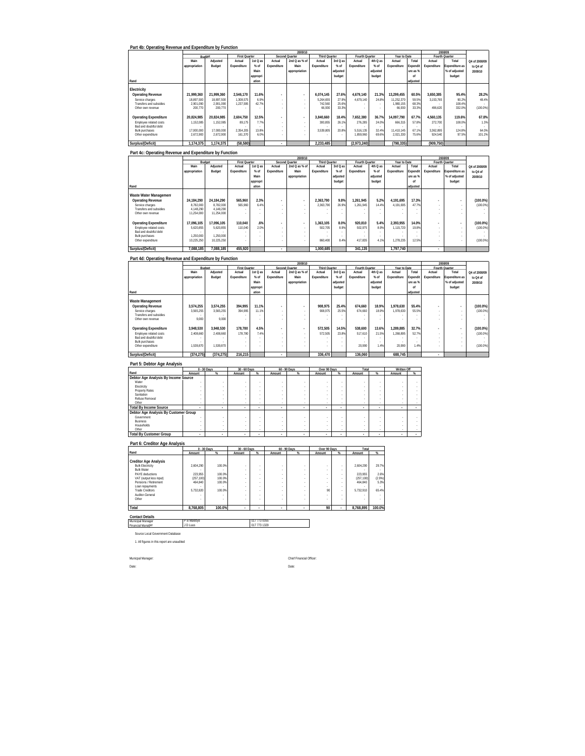| Part 4b: Operating Revenue and Expenditure by Function |               |            |                      |          |                          |                |                      |          |                |                          |              |          |                |                |               |
|--------------------------------------------------------|---------------|------------|----------------------|----------|--------------------------|----------------|----------------------|----------|----------------|--------------------------|--------------|----------|----------------|----------------|---------------|
|                                                        |               |            |                      |          |                          | 2009/10        |                      |          |                |                          |              |          |                | 2008/09        |               |
|                                                        | Budget        |            | <b>First Quarter</b> |          |                          | Second Quarter | <b>Third Quarter</b> |          | Fourth Quarter |                          | Year to Date |          | Fourth Quarter |                |               |
|                                                        | Main          | Adjusted   | Actual               | 1st Q as | Actual                   | 2nd Q as % of  | Actual               | 3rd Q as | Actual         | 4th Q as                 | Actual       | Total    | Actual         | Total          | Q4 of 2008/09 |
|                                                        | appropriation | Budget     | Expenditure          | $%$ of   | Expenditure              | Main           | Expenditure          | % of     | Expenditure    | % of                     | Expenditure  | Expendit | Expenditure    | Expenditure as | to Q4 of      |
|                                                        |               |            |                      | Main     |                          | appropriation  |                      | adjusted |                | adjusted                 |              | ure as % |                | % of adjusted  | 2009/10       |
|                                                        |               |            |                      | appropri |                          |                |                      | budget   |                | budget                   |              | nf       |                | budget         |               |
| Rand                                                   |               |            |                      | ation    |                          |                |                      |          |                |                          |              | adiusted |                |                |               |
| Electricity                                            |               |            |                      |          |                          |                |                      |          |                |                          |              |          |                |                |               |
| <b>Operating Revenue</b>                               | 21.999.360    | 21.999.360 | 2.546.170            | 11.6%    | $\blacksquare$           | $\sim$         | 6.074.145            | 27.6%    | 4.679.140      | 21.3%                    | 13.299.455   | 60.5%    | 3.650.385      | 95.4%          | 28.2%         |
| Service charges                                        | 18.897.500    | 18.897.500 | 1.308.575            | 6.9%     | ۰                        | $\sim$         | 5.264.655            | 27.9%    | 4.679.140      | 24.8%                    | 11.252.370   | 59.5%    | 3.153.765      | 90.2%          | 48.4%         |
| Transfers and subsidies                                | 2.901.090     | 2.901.090  | 1.237.595            | 42.7%    | ÷.                       | $\sim$         | 742.560              | 25.6%    |                | $\overline{\phantom{a}}$ | 1.980.155    | 68.3%    |                | 108.4%         |               |
| Other own revenue                                      | 200.770       | 200.770    |                      |          |                          | $\sim$         | 66.930               | 33.3%    |                |                          | 66.930       | 33.3%    | 496.620        | 332.0%         | $(100.0\%)$   |
|                                                        |               |            |                      |          |                          |                |                      |          |                |                          |              |          |                |                |               |
| <b>Operating Expenditure</b>                           | 20.824.985    | 20.824.985 | 2.604.750            | 12.5%    | $\blacksquare$           | $\sim$         | 3.840.660            | 18.4%    | 7.652.380      | 36.7%                    | 14.097.790   | 67.7%    | 4.560.135      | 119.6%         | 67.8%         |
| Employee related costs                                 | 1,152,085     | 152.085    | 89.175               | 7.7%     |                          | $\sim$         | 300.855              | 26.1%    | 276.285        | 24.0%                    | 666,315      | 57.8%    | 272.700        | 108.0%         | 1.3%          |
| Bad and doubtful debt                                  |               |            |                      |          | ٠                        |                |                      |          |                |                          |              |          |                |                |               |
| <b>Bulk purchases</b>                                  | 17.000.000    | 17,000,000 | 2.354.205            | 13.8%    |                          | $\sim$         | 3.539.805            | 20.8%    | 5.516.135      | 32.4%                    | 11.410.145   | 67.1%    | 3.362.895      | 124.8%         | 64.0%         |
| Other expenditure                                      | 2,672,900     | 2.672.900  | 161.370              | 6.0%     |                          |                |                      |          | 1.859.960      | 69.6%                    | 2,021,330    | 75.6%    | 924.540        | 97.5%          | 101.2%        |
| Surplus/(Deficit)                                      | 1.174.375     | 1.174.375  | (58, 580)            |          | $\overline{\phantom{a}}$ |                | 2.233.485            |          | (2,973,240)    |                          | (798, 335)   |          | (909, 750)     |                |               |

|                              |               |            |                      |          |                          | 2009/10                  |                      |          |                |          |              |          |                | 2008/09        |               |
|------------------------------|---------------|------------|----------------------|----------|--------------------------|--------------------------|----------------------|----------|----------------|----------|--------------|----------|----------------|----------------|---------------|
|                              | Budget        |            | <b>First Quarter</b> |          |                          | Second Quarter           | <b>Third Quarter</b> |          | Fourth Quarter |          | Year to Date |          | Fourth Quarter |                |               |
|                              | Main          | Adjusted   | Actual               | 1st Q as | Actual                   | 2nd Q as % of            | Actual               | 3rd Q as | Actual         | 4th Q as | Actual       | Total    | Actual         | Total          | Q4 of 2008/09 |
|                              | appropriation | Budget     | Expenditure          | $%$ of   | Expenditure              | Main                     | Expenditure          | % of     | Expenditure    | % of     | Expenditure  | Expendit | Expenditure    | Expenditure as | to Q4 of      |
|                              |               |            |                      | Main     |                          | appropriation            |                      | adjusted |                | adjusted |              | ure as % |                | % of adjusted  | 2009/10       |
|                              |               |            |                      | appropri |                          |                          |                      | budget   |                | budget   |              | nf       |                | budget         |               |
| Rand                         |               |            |                      | ation    |                          |                          |                      |          |                |          |              | adjusted |                |                |               |
| Waste Water Managemen        |               |            |                      |          |                          |                          |                      |          |                |          |              |          |                |                |               |
| <b>Operating Revenue</b>     | 24.184.290    | 24.184.290 | 565.960              | 2.3%     |                          | $\overline{\phantom{a}}$ | 2.363.790            | 9.8%     | 1.261.945      | 5.2%     | 4.191.695    | 17.3%    | ٠              |                | $(100.0\%)$   |
| Service charges              | 8.782.000     | 8.782.000  | 565.960              | 6.4%     |                          | $\sim$                   | 2.363.790            | 26.9%    | 1.261.945      | 14.4%    | 4.191.695    | 47.7%    | ×.             |                | (100.0%       |
| Transfers and subsidies      | 4.148.290     | 4.148.290  |                      |          |                          | $\sim$                   |                      |          |                | $\sim$   |              |          | ×.             |                |               |
| Other own revenue            | 11.254.000    | 11,254,000 |                      |          |                          | ٠                        |                      |          |                |          |              |          |                |                |               |
| <b>Operating Expenditure</b> | 17.096.105    | 17.096.105 | 110.040              | .6%      | $\overline{\phantom{a}}$ | $\overline{\phantom{a}}$ | 1.363.105            | 8.0%     | 920.810        | 5.4%     | 2.393.955    | 14.0%    |                |                | $(100.0\%)$   |
| Employee related costs       | 5.620.855     | 5.620.855  | 110,040              | 2.0%     |                          | $\overline{\phantom{a}}$ | 502.705              | 8.9%     | 502.975        | 8.9%     | 1.115.720    | 19.8%    | ×.             |                | $(100.0\%)$   |
| Bad and doubtful debt        |               |            |                      |          |                          | $\overline{\phantom{a}}$ |                      |          |                | $\sim$   |              |          |                |                |               |
| Bulk purchases               | 1.250.000     | 1.250.000  |                      |          |                          | $\overline{\phantom{a}}$ |                      |          |                | $\sim$   |              |          | ×.             |                |               |
| Other expenditure            | 10.225.250    | 10.225.250 |                      |          |                          | ٠                        | 860.400              | 8.4%     | 417.835        | 4.1%     | 1.278.235    | 12.5%    | ÷.             |                | $(100.0\%)$   |
| Surplus/(Deficit)            | 7.088.185     | 7.088.185  | 455.920              |          |                          |                          | 1.000.685            |          | 341.135        |          | 1.797.740    |          |                |                |               |

### **Part 4d: Operating Revenue and Expenditure by Function**

|                              |               |            |                      |          |                          | 2009/10                  |                      |          |                |          |              |          |             | 2008/09        |               |
|------------------------------|---------------|------------|----------------------|----------|--------------------------|--------------------------|----------------------|----------|----------------|----------|--------------|----------|-------------|----------------|---------------|
|                              |               | Budget     | <b>First Quarter</b> |          |                          | Second Quarter           | <b>Third Quarter</b> |          | Fourth Quarter |          | Year to Date |          |             | Fourth Quarter |               |
|                              | Main          | Adjusted   | Actual               | 1st Q as | Actual                   | 2nd Q as % of            | Actual               | 3rd Q as | Actual         | 4th Q as | Actual       | Total    | Actual      | Total          | Q4 of 2008/09 |
|                              | appropriation | Budget     | Expenditure          | $%$ of   | Expenditure              | Main                     | Expenditure          | % of     | Expenditure    | % of     | Expenditure  | Expendit | Expenditure | Expenditure as | to Q4 of      |
|                              |               |            |                      | Main     |                          | appropriation            |                      | adjusted |                | adjusted |              | ure as % |             | % of adjusted  | 2009/10       |
|                              |               |            |                      | appropri |                          |                          |                      | budget   |                | budget   |              | nf       |             | budget         |               |
| Rand                         |               |            |                      | ation    |                          |                          |                      |          |                |          |              | adjusted |             |                |               |
| Waste Management             |               |            |                      |          |                          |                          |                      |          |                |          |              |          |             |                |               |
| <b>Operating Revenue</b>     | 3.574.255     | 3.574.255  | 394.995              | 11.1%    |                          | $\overline{\phantom{a}}$ | 908.975              | 25.4%    | 674.660        | 18.9%    | 1.978.630    | 55.4%    | ٠           |                | $(100.0\%)$   |
| Service charges              | 3,565,255     | 3.565.255  | 394.995              | 11.1%    |                          | $\overline{\phantom{a}}$ | 908.975              | 25.5%    | 674.660        | 18.9%    | 1,978,630    | 55.5%    | ×.          |                | $(100.0\%)$   |
| Transfers and subsidies      |               |            |                      |          |                          | $\overline{\phantom{a}}$ |                      |          |                | $\sim$   |              |          | ×.          |                |               |
| Other own revenue            | 9.000         | 9.000      |                      |          |                          |                          |                      |          |                |          |              |          |             |                |               |
|                              |               |            |                      |          |                          |                          |                      |          |                |          |              |          |             |                |               |
| <b>Operating Expenditure</b> | 3.948.530     | 3.948.530  | 178.780              | 4.5%     | $\overline{\phantom{a}}$ | $\overline{a}$           | 572.505              | 14.5%    | 538.600        | 13.6%    | 1.289.885    | 32.7%    |             |                | $(100.0\%)$   |
| Employee related costs       | 2.408.660     | 2.408.660  | 178,780              | 74%      |                          | $\overline{\phantom{a}}$ | 572.505              | 23.8%    | 517.610        | 21.5%    | 1.268.895    | 52.7%    | ×.          |                | $(100.0\%)$   |
| Bad and doubtful debt        |               |            |                      |          |                          | $\overline{\phantom{a}}$ |                      |          |                | $\sim$   |              |          |             |                |               |
| <b>Bulk purchases</b>        |               |            |                      |          |                          | ٠                        |                      |          |                | $\sim$   |              |          |             |                |               |
| Other expenditure            | 1.539.870     | 1.539.870  |                      |          |                          | ٠                        |                      |          | 20.990         | 1.4%     | 20.990       | 1.4%     | ×.          |                | $(100.0\%)$   |
| Surplus/(Deficit)            | (374.275)     | (374, 275) | 216.215              |          | ٠                        |                          | 336.470              |          | 136.060        |          | 688.745      |          | ٠           |                |               |

| Part 5: Debtor Age Analysis           |        |               |                |        |              |        |              |        |        |        |             |   |
|---------------------------------------|--------|---------------|----------------|--------|--------------|--------|--------------|--------|--------|--------|-------------|---|
|                                       |        | $0 - 30$ Days | $30 - 60$ Days |        | 60 - 90 Days |        | Over 90 Days |        | Total  |        | Written Off |   |
| Rand                                  | Amount | %             | Amount         | %      | Amount       | %      | Amount       | %      | Amount | %      | Amount      | % |
| Debtor Age Analysis By Income Source  |        |               |                |        |              |        |              |        |        |        |             |   |
| Water                                 | ٠      |               |                |        |              |        |              |        |        |        |             |   |
| Electricity                           |        |               |                |        |              |        |              |        |        |        |             |   |
| <b>Property Rates</b>                 |        |               |                |        |              |        |              |        |        |        |             |   |
| Sanitation                            |        |               |                |        |              |        |              |        |        |        |             |   |
| Refuse Removal                        |        |               |                |        |              |        |              |        |        |        |             |   |
| Other                                 | ٠      | ٠             |                | ٠      | ٠            |        | $\sim$       | $\sim$ |        |        |             |   |
| <b>Total By Income Source</b>         | $\sim$ |               | ٠              | $\sim$ | ٠            | ٠      | ٠            | -      |        |        | ٠           |   |
| Debtor Age Analysis By Customer Group |        |               |                |        |              |        |              |        |        |        |             |   |
| Government                            |        |               |                |        |              |        |              |        |        |        |             |   |
| <b>Business</b>                       |        |               |                |        |              |        |              |        |        |        |             |   |
| Households                            |        |               |                |        |              |        |              |        |        |        |             |   |
| Other                                 | ٠      | ٠             |                | ٠      | ٠            |        | $\sim$       | $\sim$ |        | $\sim$ |             |   |
| <b>Total By Customer Group</b>        | $\sim$ |               |                |        |              | $\sim$ | ٠            | $\sim$ |        |        | $\sim$      |   |

**Part 6: Creditor Age Analysis**

|                                                                                                                                   | $0 - 30$ Days                     |                            | 30 - 60 Days          |                              |        | 60 - 90 Days          | Over 90 Days                |                                      | Total                             |                         |
|-----------------------------------------------------------------------------------------------------------------------------------|-----------------------------------|----------------------------|-----------------------|------------------------------|--------|-----------------------|-----------------------------|--------------------------------------|-----------------------------------|-------------------------|
| Rand                                                                                                                              | Amount                            | %                          | Amount                | %                            | Amount | %                     | Amount                      | $\%$                                 | Amount                            | %                       |
| <b>Creditor Age Analysis</b><br><b>Bulk Electricity</b><br><b>Bulk Water</b><br><b>PAYE</b> deductions<br>VAT (output less input) | 2.604.290<br>223.955<br>(257.100) | 100.0%<br>100.0%<br>100.0% | ٠<br>٠<br>٠           | ٠<br>٠<br>٠<br>٠             |        | ٠<br>٠<br>٠<br>٠      | ٠<br>٠<br>٠<br>٠            | -<br>٠<br>٠<br>٠                     | 2.604.290<br>223.955<br>(257.100) | 29.7%<br>2.6%<br>(2.9%) |
| Pensions / Retirement<br>Loan repayments<br><b>Trade Creditors</b><br>Auditor-General<br>Other                                    | 464.840<br>5.732.820              | 100.0%<br>100.0%           | ٠<br>٠<br>٠<br>٠<br>٠ | ٠<br>٠<br>٠<br>٠<br>٠        |        | ٠<br>٠<br>٠<br>٠<br>٠ | $\sim$<br>٠<br>90<br>٠<br>٠ | $\sim$<br>$\sim$<br>$\sim$<br>٠<br>٠ | 464.840<br>5.732.910              | 5.3%<br>65.4%           |
| Total                                                                                                                             | 8,768,805                         | 100.0%                     |                       | ٠                            | ٠      | ٠                     | 90                          | ٠                                    | 8.768.895                         | 100.0%                  |
| <b>Contact Details</b><br>Municipal Manager<br><b>Financial Manager</b>                                                           | P B Malebye<br>J D Luus           |                            |                       | 017 773 0055<br>017 773 1329 |        |                       |                             |                                      |                                   |                         |

Municipal Manager Financial Manager Source Local Government Database

1. All figures in this report are unaudited

Municpal Manager: Chief Financial Officer:

Date: Date: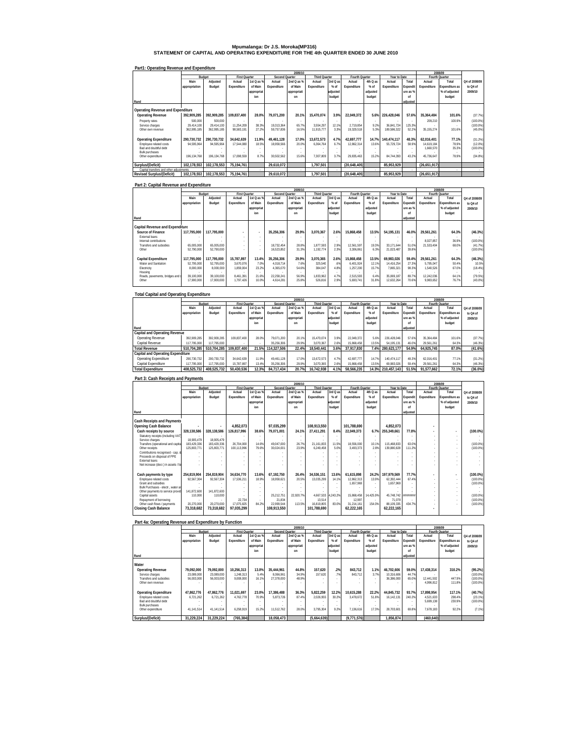# **Mpumalanga: Dr J.S. Moroka(MP316) STATEMENT OF CAPITAL AND OPERATING EXPENDITURE FOR THE 4th QUARTER ENDED 30 JUNE 2010**

|                                         |               |             |                      |            |                | 2009/10     |               |          |                |          |              |                          |              | 2008/09        |               |
|-----------------------------------------|---------------|-------------|----------------------|------------|----------------|-------------|---------------|----------|----------------|----------|--------------|--------------------------|--------------|----------------|---------------|
|                                         |               | Budget      | <b>First Quarter</b> |            | Second Quarter |             | Third Quarter |          | Fourth Quarter |          | Year to Date |                          |              | Fourth Quarter |               |
|                                         | Main          | Adjusted    | Actual               | 1st Q as % | Actual         | 2nd Q as %  | Actual        | 3rd Q as | Actual         | 4th Q as | Actual       | Total                    | Actual       | Total          | Q4 of 2008/09 |
|                                         | appropriation | Budget      | Expenditure          | of Main    | Expenditure    | of Main     | Expenditure   | $%$ of   | Expenditure    | $%$ of   | Expenditure  | Expendit                 | Expenditure  | Expenditure as | to Q4 of      |
|                                         |               |             |                      | appropriat |                | appropriati |               | adjusted |                | adjusted |              | ure as %                 |              | % of adiusted  | 2009/10       |
|                                         |               |             |                      | inn        |                | nn          |               | budget   |                | budget   |              | nf                       |              | budget         |               |
| Rand                                    |               |             |                      |            |                |             |               |          |                |          |              | adjusted                 |              |                |               |
|                                         |               |             |                      |            |                |             |               |          |                |          |              |                          |              |                |               |
| Operating Revenue and Expenditure       |               |             |                      |            |                |             |               |          |                |          |              |                          |              |                |               |
| <b>Operating Revenue</b>                | 392.909.285   | 392.909.285 | 109.837.400          | 28.0%      | 79.071.200     | 20.1%       | 15.470.074    | 3.9%     | 22.049.372     | 5.6%     | 226.428.046  | 57.6%                    | 35.364.484   | 101.6%         | (37.7%)       |
| Property rates                          | 500.000       | 500.000     |                      |            |                |             |               | $\sim$   |                |          |              | $\overline{\phantom{a}}$ | 209.210      | 100.9%         | (100.0%       |
| Service charges                         | 29.414.100    | 29.414.100  | 11.254.209           | 38.3%      | 19.313.364     | 65.7%       | 3.554.297     | 12.1%    | 2.719.854      | 9.2%     | 36.841.724   | 125.3%                   |              |                | (100.0%       |
| Other own revenue                       | 362.995.185   | 362.995.185 | 98.583.191           | 27.2%      | 59.757.836     | 16.5%       | 11.915.777    | 3.3%     | 19.329.518     | 5.3%     | 189.586.322  | 52.2%                    | 35.155.274   | 101.6%         | $(45.0\%)$    |
|                                         |               |             |                      |            |                |             |               |          |                |          |              |                          |              |                |               |
| <b>Operating Expenditure</b>            | 290.730.732   | 290.730.732 | 34.642.639           | 11.9%      | 49.461.128     | 17.0%       | 13.672.573    | 4.7%     | 42.697.777     | 14.7%    | 140.474.117  | 48.3%                    | 62.016.401   | 77.1%          | (31.2%)       |
| Employee related costs                  | 94.595.964    | 94.595.964  | 17.544.080           | 18.5%      | 18.958.566     | 20.0%       | 6.364.764     | 6.7%     | 12.862.314     | 13.6%    | 55.729.724   | 58.9%                    | 14.619.184   | 78.9%          | $(12.0\%)$    |
| Bad and doubtful debt                   |               |             |                      |            |                |             |               |          |                |          |              |                          | 1.660.570    | 35.3%          | $(100.0\%)$   |
| <b>Bulk purchases</b>                   |               |             |                      |            |                |             |               |          |                |          |              |                          |              |                |               |
| Other expenditure                       | 196.134.768   | 196.134.768 | 17.098.559           | 8.7%       | 30.502.562     | 15.6%       | 7.307.809     | 3.7%     | 29.835.463     | 15.2%    | 84.744.393   | 43.2%                    | 45.736.647   | 78.9%          | (34.8%)       |
|                                         |               |             |                      |            |                |             |               |          |                |          |              |                          |              |                |               |
| Surplus/(Deficit)                       | 102.178.553   | 102,178,553 | 75.194.761           |            | 29.610.072     |             | 1.797.501     |          | (20.648.405)   |          | 85.953.929   |                          | (26.651.917) |                |               |
| Capital transfers and other adjustments |               |             |                      |            |                |             |               |          |                |          |              |                          |              |                |               |
| <b>Revised Surplus/(Deficit)</b>        | 102.178.553   | 102.178.553 | 75.194.761           |            | 29.610.072     |             | 1.797.501     |          | (20.648.405)   |          | 85.953.929   |                          | (26.651.917) |                |               |

#### **Part1: Operating Revenue and Expenditure**

#### **Part 2: Capital Revenue and Expenditure**

|                                          |               |               |                          |                          |                | 2009/10     |                      |          |                |          |              |          | 2008/09        |                |               |
|------------------------------------------|---------------|---------------|--------------------------|--------------------------|----------------|-------------|----------------------|----------|----------------|----------|--------------|----------|----------------|----------------|---------------|
|                                          |               | <b>Budget</b> | <b>First Quarter</b>     |                          | Second Quarter |             | <b>Third Quarter</b> |          | Fourth Quarter |          | Year to Date |          | Fourth Quarter |                |               |
|                                          | Main          | Adjusted      | Actual                   | 1st Q as %               | Actual         | 2nd Q as %  | Actual               | 3rd Q as | Actual         | 4th Q as | Actual       | Total    | Actual         | Total          | Q4 of 2008/09 |
|                                          | appropriation | Budget        | Expenditure              | of Main                  | Expenditure    | of Main     | Expenditure          | $%$ of   | Expenditure    | $%$ of   | Expenditure  | Expendit | Expenditure    | Expenditure as | to Q4 of      |
|                                          |               |               |                          | appropriat               |                | appropriati |                      | adjusted |                | adjusted |              | ure as % |                | % of adiusted  | 2009/10       |
|                                          |               |               |                          | ion                      |                | on          |                      | budget   |                | budget   |              | nf       |                | budget         |               |
| Rand                                     |               |               |                          |                          |                |             |                      |          |                |          |              | adiusted |                |                |               |
|                                          |               |               |                          |                          |                |             |                      |          |                |          |              |          |                |                |               |
| Capital Revenue and Expenditure          |               |               |                          |                          |                |             |                      |          |                |          |              |          |                |                |               |
| Source of Finance                        | 117.795.000   | 117.795.000   | $\overline{\phantom{a}}$ | $\overline{\phantom{a}}$ | 35.256.306     | 29.9%       | 3.070.367            | 2.6%     | 15.868.458     | 13.5%    | 54.195.131   | 46.0%    | 29.561.261     | 64.3%          | (46.3%)       |
| External loans<br>Internal contributions |               |               | $\sim$<br>٠              |                          |                |             |                      |          |                | $\sim$   |              |          | 8.027.857      | 36.9%          | $(100.0\%)$   |
| <b>Transfers and subsidies</b>           | 65.005.000    | 65.005.000    | $\sim$                   | $\sim$                   | 18.732.454     | 28.8%       | 1.877.593            | 2.9%     | 12.561.597     | 19.3%    | 33.171.644   | 51.0%    | 21.533.404     | 68.09          | (41.7%)       |
| Other                                    | 52.790.000    | 52.790.000    | ٠                        |                          | 16.523.852     | 31.3%       | 1.192.774            | 2.3%     | 3.306.861      | 6.3%     | 21.023.487   | 39.8%    |                |                | $(100.0\%)$   |
| Capital Expenditure                      | 117.795.000   | 117.795.000   | 15.787.897               | 13.4%                    | 35.256.306     | 29.9%       | 3.070.365            | 2.6%     | 15.868.458     | 13.5%    | 69.983.026   | 59.4%    | 29.561.261     | 64.3%          | (46.3%)       |
| Water and Sanitation                     | 52.795.000    | 52.795.000    | 3.670.076                | 7.0%                     | 4.018.714      | 7.6%        | 325.540              | .6%      | 6.401.924      | 12.1%    | 14.416.254   | 27.3%    | 5.795.047      | 50.4%          | 10.5%         |
| Electricity                              | 8.000.000     | 8.000.000     | 1.859.004                | 23.2%                    | 4.365.070      | 54.6%       | 384.047              | 4.8%     | 1,257,200      | 15.7%    | 7.865.321    | 98.3%    | 1.540.526      | 67.0%          | (18.4%)       |
| Housing                                  |               |               |                          |                          |                |             |                      |          |                |          |              |          |                |                |               |
| Roads, pavements, bridges and            | 39.100.000    | 39.100.000    | 8.461.391                | 21.6%                    | 22.258.241     | 56.9%       | 1.833.962            | 4.7%     | 2.515.593      | 6.4%     | 35.069.187   | 89.7%    | 12.242.036     | 64.1%          | (79.5%)       |
| Other                                    | 17.900.000    | 17.900.000    | 1.797.426                | 10.0%                    | 4.614.281      | 25.8%       | 526.816              | 2.9%     | 5.693.741      | 31.8%    | 12.632.264   | 70.6%    | 9.983.652      | 76.7%          | $(43.0\%)$    |
|                                          |               |               |                          |                          |                |             |                      |          |                |          |              |          |                |                |               |

#### **Total Capital and Operating Expenditure**

|                                      |               |             |                      |            |                | 2009/10        |                      |          |                |          |              |          |                | 2008/09        |               |
|--------------------------------------|---------------|-------------|----------------------|------------|----------------|----------------|----------------------|----------|----------------|----------|--------------|----------|----------------|----------------|---------------|
|                                      | Budget        |             | <b>First Quarter</b> |            | Second Quarter |                | <b>Third Quarter</b> |          | Fourth Quarter |          | Year to Date |          | Fourth Quarter |                |               |
|                                      | Main          | Adjusted    | Actual               | 1st Q as % | Actual         | 2nd $Q$ as $%$ | Actual               | 3rd Q as | Actual         | 4th Q as | Actual       | Total    | Actual         | Total          | Q4 of 2008/09 |
|                                      | appropriation | Budget      | Expenditure          | of Main    | Expenditure    | of Main        | Expenditure          | $%$ of   | Expenditure    | $%$ of   | Expenditure  | Expendit | Expenditure    | Expenditure as | to Q4 of      |
|                                      |               |             |                      | appropriat |                | appropriati    |                      | adjusted |                | adjusted |              | ure as % |                | % of adiusted  | 2009/10       |
|                                      |               |             |                      | ion        |                | on             |                      | budget   |                | budget   |              | nf       |                | budget         |               |
| Rand                                 |               |             |                      |            |                |                |                      |          |                |          |              | adjusted |                |                |               |
| <b>Capital and Operating Revenue</b> |               |             |                      |            |                |                |                      |          |                |          |              |          |                |                |               |
| Operating Revenue                    | 392.909.285   | 392.909.285 | 109.837.400          | 28.0%      | 79.071.200     | 20.1%          | 15.470.074           | 3.9%     | 22.049.372     | 5.6%     | 226.428.046  | 57.6%    | 35.364.484     | 101.6%         | (37.7%)       |
| Capital Revenue                      | 117.795.000   | 117.795.000 |                      |            | 35.256.306     | 29.9%          | 3.070.367            | 2.6%     | 15.868.458     | 13.5%    | 54.195.131   | 46.09    | 29.561.261     | 64.3%          | (46.3%)       |
| <b>Total Revenue</b>                 | 510.704.285   | 510.704.285 | 109.837.400          | 21.5%      | 114.327.506    | 22.4%          | 18.540.441           | 3.6%     | 37.917.830     | 7.4%     | 280.623.177  | 54.9%    | 64.925.745     | 87.0%          | (41.6%)       |
| Capital and Operating Expenditure    |               |             |                      |            |                |                |                      |          |                |          |              |          |                |                |               |
| Operating Expenditure                | 290.730.732   | 290.730.732 | 34.642.639           | 11.9%      | 49.461.128     | 17.0%          | 13.672.573           | 4.7%     | 42.697.777     | 14.7%    | 140.474.117  | 48.3%    | 62.016.401     | 77.1%          | (31.2%)       |
| Capital Expenditure                  | 117,795,000   | 117.795.000 | 15.787.897           | 13.4%      | 35.256.306     | 29.9%          | 3.070.365            | 2.6%     | 15.868.458     | 13.5%    | 69.983.026   | 59.4%    | 29.561.261     | 64.3%          | $(46.3\%)$    |
| <b>Total Expenditure</b>             | 408.525.732   | 408.525.732 | 50.430.536           | 12.3%      | 84.717.434     | 20.7%          | 16.742.938           | 4.1%     | 58.566.235     | 14.3%    | 210.457.143  | 51.5%    | 91.577.662     | 72.1%          | $(36.0\%)$    |
| Part 3: Cash Receipts and Payments   |               |             |                      |            |                |                |                      |          |                |          |              |          |                |                |               |

#### **Rand Main appropriation Adjusted Budget Actual Expenditure 1st Q as % of Main appropriat ion Actual Expenditure 2nd Q as % of Main appropriati on Actual Expenditure 3rd Q as % of adjusted budget Actual Expenditure 4th Q as % of adjusted budget Actual Expenditure Total Expendit ure as % of adjusted Rourth Quarter**<br> **Actual Expenditure Total Expenditure as % of adjusted budget**  Cash Rockering Cash Balance<br>
Cash Rockering Cash Balance<br>
Subukiyy source 328,138,586 328,138,586 428,17,996 38.6% 79,071,001 24.1% 27,411,291 8.4% 22,049,373 6.7% 255,349,641 77.8% 326,17% 255,349,641 77.8% 326,17% 255,3 **Cash payments by type 254,819,904 254,819,904 34,634,770 13.6% 67,192,750 26.4% 34,536,151 13.6% 61,615,898 24.2% 197,979,569 77.7% - - (100.0%)** Employee related costs 92,567,304 92,567,304 17,536,211 18.9% 18,958,621 20.5% 13,035,299 14.1% 12,862,313 13.9% 62,392,444 67.4% - - (100.0%) Grant and subsidies - - - - - - - - 1,657,969 - 1,657,969 - - - (100.0%) Bulk Purchases - electr., water an - - - - - - - - - - - - - - - Other payments to service provid 141,872,600 141,872,600 - - - - - - - - - - - - - Capital assets 110,000 110,000 - - 25,212,751 22,920.7% 4,667,533 4,243.2% 15,868,458 14,425.9% 45,748,742 ######## - - (100.0%) Repayment of borrowing - - 22,734 - 21,834 - 13,514 - 12,997 - 71,079 - - - (100.0%) Other cash flows / payments 20,270,000 20,270,000 17,075,825 84.2% 22,999,544 113.5% 16,819,805 83.0% 31,214,161 154.0% 88,109,335 434.7% - - (100.0%) **Closing Cash Balance 73,318,68 73,318,682 97,035,29 2 108,913,55 9 101,788,69 0 62,222,16 0 62,222,16 5 - 5 2009/10 2008/09 Q4 of 2008/09 to Q4 of 2009/10 Budget First Quarter International Second Quarter Third Quarter Fourth Quarter Property Pear to Date**

| Part 4a: Operating Revenue and Expenditure by Function |                          |                          |                         |               |                         |                |                    |                 |                    |              |                          |                  |                         |                  |                    |
|--------------------------------------------------------|--------------------------|--------------------------|-------------------------|---------------|-------------------------|----------------|--------------------|-----------------|--------------------|--------------|--------------------------|------------------|-------------------------|------------------|--------------------|
|                                                        |                          |                          |                         |               |                         | 2009/10        |                    |                 |                    |              |                          |                  |                         | 2008/09          |                    |
|                                                        | Budget                   |                          | <b>First Quarter</b>    |               | Second Quarter          |                | Third Quarter      |                 | Fourth Quarter     |              | Year to Date             |                  |                         | Fourth Quarter   |                    |
|                                                        | Main                     | Adjusted                 | Actual                  | 1st Q as %    | Actual                  | 2nd Q as %     | Actual             | 3rd Q as        | Actual             | 4th Q as     | Actual                   | Total            | Actual                  | Total            | Q4 of 2008/09      |
|                                                        | appropriation            | Budget                   | Expenditure             | of Main       | Expenditure             | of Main        | Expenditure        | $%$ of          | Expenditure        | $%$ of       | Expenditure              | <b>Expendit</b>  | Expenditure             | Expenditure as   | to Q4 of           |
|                                                        |                          |                          |                         | appropriat    |                         | appropriati    |                    | adjusted        |                    | adjusted     |                          | ure as %         |                         | % of adjusted    | 2009/10            |
|                                                        |                          |                          |                         | inn           |                         | nn             |                    | budget          |                    | budget       |                          | nf               |                         | budget           |                    |
| Rand                                                   |                          |                          |                         |               |                         |                |                    |                 |                    |              |                          | adjusted         |                         |                  |                    |
| Water                                                  |                          |                          |                         |               |                         |                |                    |                 |                    |              |                          |                  |                         |                  |                    |
| Operating Revenue<br>Service charges                   | 79.092.000<br>23.089.000 | 79.092.000<br>23.089.000 | 10.256.313<br>1.248.313 | 13.0%<br>5.4% | 35.444.961<br>8.066.961 | 44.8%<br>34.9% | 157.620<br>157.620 | .2%<br>7%       | 843.712<br>843.712 | 1.1%<br>3.7% | 46.702.606<br>10.316.606 | 59.0%<br>44.7%   | 17.438.314              | 310.2%           | (95.2%)<br>(100.0% |
| Transfers and subsidies<br>Other own revenue           | 56.003.000               | 56.003.000               | 9.008.000               | 16.1%         | 27.378.000              | 48.9%          |                    | $\sim$          |                    |              | 36.386.000               | 65.0%            | 12.441.502<br>4.996.812 | 447.9%<br>111.8% | (100.0%<br>(100.0% |
| <b>Operating Expenditure</b>                           | 47.862.776               | 47.862.776               | 11.021.697              | 23.0%         | 17.386.488              | 36.3%          | 5.822.259          | 12.2%           | 10.615.288         | 22.2%        | 44.845.732               | 93.7%            | 17.898.954              | 117.1%           | (40.7%             |
| Employee related costs<br>Bad and doubtful debt        | 6.721.262                | 6.721.262                | 4.762.778               | 70.9%         | 5.873.726               | 87.4%          | 2.026.955          | 30.2%<br>$\sim$ | 3.478.672          | 51.8%        | 16.142.131               | 240.2%<br>$\sim$ | 4.521.633<br>5.699.138  | 298.4%<br>230.9% | (23.1%)<br>(100.0% |
| <b>Bulk purchases</b><br>Other expenditure             | 41.141.514               | 41.141.514               | 6.258.919               | 15.2%         | 11.512.762              | 28.0%          | 3.795.304          | $\sim$<br>9.2%  | 7.136.616          | 17.3%        | 28.703.601               | 69.8%            | 7.678.183               | 92.2%            | (7.1%              |
| Surplus/(Deficit)                                      | 31.229.224               | 31.229.224               | (765, 384)              |               | 18.058.473              |                | (5,664,639)        |                 | (9.771.576)        |              | 1.856.874                |                  | (460.640)               |                  |                    |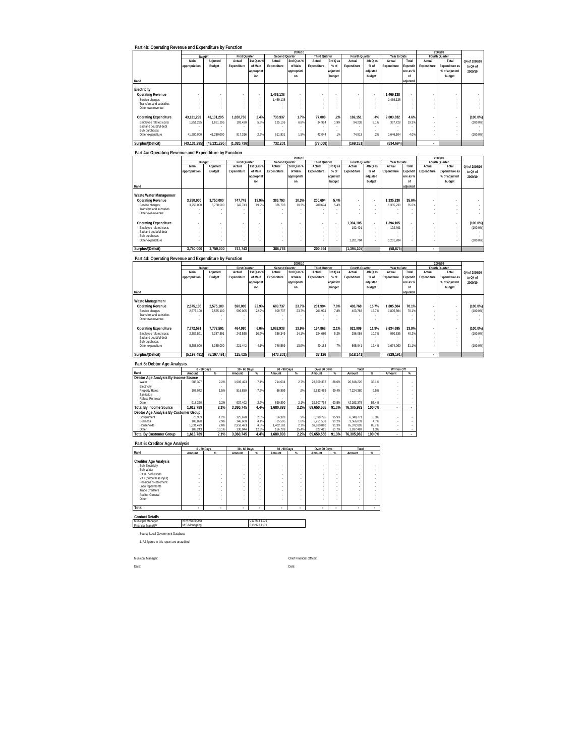| Part 4b: Operating Revenue and Expenditure by Function |  |  |
|--------------------------------------------------------|--|--|

|                              |                |                          |               |                          |                | 2009/10        |                      |          |                |          |              |                          |             | 2008/09        |               |
|------------------------------|----------------|--------------------------|---------------|--------------------------|----------------|----------------|----------------------|----------|----------------|----------|--------------|--------------------------|-------------|----------------|---------------|
|                              | Budget         |                          | First Quarter |                          | Second Quarter |                | <b>Third Quarter</b> |          | Fourth Quarter |          | Year to Date |                          |             | Fourth Quarter |               |
|                              | Main           | Adjusted                 | Actual        | 1st Q as %               | Actual         | 2nd Q as %     | Actual               | 3rd Q as | Actual         | 4th Q as | Actual       | Total                    | Actual      | Total          | Q4 of 2008/09 |
|                              | appropriation  | Budget                   | Expenditure   | of Main                  | Expenditure    | of Main        | Expenditure          | $%$ of   | Expenditure    | $%$ of   | Expenditure  | Expendit                 | Expenditure | Expenditure as | to Q4 of      |
|                              |                |                          |               | appropriat               |                | appropriati    |                      | adjusted |                | adjusted |              | ure as %                 |             | % of adjusted  | 2009/10       |
|                              |                |                          |               | ion                      |                | on             |                      | budget   |                | budget   |              | nf                       |             | budget         |               |
| Rand                         |                |                          |               |                          |                |                |                      |          |                |          |              | adiusted                 |             |                |               |
|                              |                |                          |               |                          |                |                |                      |          |                |          |              |                          |             |                |               |
| Electricity                  |                |                          |               |                          |                |                |                      |          |                |          |              |                          |             |                |               |
| <b>Operating Revenue</b>     | ×              | $\overline{\phantom{a}}$ |               | $\overline{\phantom{a}}$ | 1.469.138      | $\overline{a}$ | $\overline{a}$       |          | ٠              | $\sim$   | 1.469.138    | $\overline{\phantom{a}}$ |             | ٠              |               |
| Service charges              |                |                          | ٠             |                          | .469.138       |                | $\sim$               |          |                | $\sim$   | 1.469.138    | $\sim$                   | ٠           |                |               |
| Transfers and subsidies      |                |                          |               |                          |                |                | ×.                   |          |                |          |              |                          |             |                |               |
| Other own revenue            |                |                          |               |                          |                |                |                      |          |                |          |              |                          |             |                |               |
|                              |                |                          |               |                          |                |                |                      |          |                |          |              |                          |             |                |               |
| <b>Operating Expenditure</b> | 43.131.295     | 43.131.295               | 1.020.736     | 2.4%                     | 736.937        | 1.7%           | 77.008               | .2%      | 169.151        | .4%      | 2.003.832    | 4.6%                     |             | ٠              | $(100.0\%)$   |
| Employee related costs       | 1.851.295      | 1.851.295                | 103.420       | 5.6%                     | 125.106        | 6.8%           | 34.964               | 1.9%     | 94.238         | 5.1%     | 357.728      | 19.3%                    | $\sim$      |                | $(100.0\%)$   |
| Bad and doubtful debt        |                |                          |               |                          |                |                |                      |          |                |          |              |                          | ۰           |                |               |
| <b>Bulk purchases</b>        |                |                          |               |                          |                |                | ×.                   |          |                |          |              |                          |             |                |               |
| Other expenditure            | 41.280.000     | 41.280.000               | 917.316       | 2.2%                     | 611.831        | 1.5%           | 42.044               | .1%      | 74.913         | 2%       | 1.646.104    | 4.0%                     |             |                | $(100.0\%)$   |
| Surplus/(Deficit)            | (43, 131, 295) | (43, 131, 295)           | (1.020.736)   |                          | 732.201        |                | (77,008)             |          | (169.151)      |          | (534, 694)   |                          | ٠           |                |               |

|                              |               |           |                      |            |                | 2009/10        |                      |          |                          |                          |              |                          |             | 2008/09        |               |
|------------------------------|---------------|-----------|----------------------|------------|----------------|----------------|----------------------|----------|--------------------------|--------------------------|--------------|--------------------------|-------------|----------------|---------------|
|                              |               | Budget    | <b>First Quarter</b> |            | Second Quarter |                | <b>Third Quarter</b> |          | Fourth Quarter           |                          | Year to Date |                          |             | Fourth Quarter |               |
|                              | Main          | Adjusted  | Actual               | 1st Q as % | Actual         | 2nd $Q$ as $%$ | Actual               | 3rd Q as | Actual                   | 4th Q as                 | Actual       | Total                    | Actual      | Total          | Q4 of 2008/09 |
|                              | appropriation | Budget    | Expenditure          | of Main    | Expenditure    | of Main        | Expenditure          | $%$ of   | Expenditure              | $%$ of                   | Expenditure  | Expendit                 | Expenditure | Expenditure as | to Q4 of      |
|                              |               |           |                      | appropriat |                | appropriati    |                      | adjusted |                          | adjusted                 |              | ure as %                 |             | % of adjusted  | 2009/10       |
|                              |               |           |                      | ion        |                | on             |                      | budget   |                          | budget                   |              | nf                       |             | budget         |               |
| Rand                         |               |           |                      |            |                |                |                      |          |                          |                          |              | adjusted                 |             |                |               |
|                              |               |           |                      |            |                |                |                      |          |                          |                          |              |                          |             |                |               |
| Waste Water Management       |               |           |                      |            |                |                |                      |          |                          |                          |              |                          |             |                |               |
| <b>Operating Revenue</b>     | 3,750,000     | 3.750.000 | 747.743              | 19.9%      | 386.793        | 10.3%          | 200.694              | 5.4%     | $\overline{\phantom{a}}$ | $\overline{\phantom{a}}$ | 1.335.230    | 35.6%                    |             |                |               |
| Service charges              | 3.750.000     | 3.750.000 | 747.743              | 19.9%      | 386.793        | 10.3%          | 200.694              | 5.4%     | $\sim$                   |                          | 1.335.230    | 35.6%                    |             |                |               |
| Transfers and subsidies      |               |           |                      |            |                |                | ٠                    |          |                          |                          |              |                          |             |                |               |
| Other own revenue            |               |           |                      |            |                |                |                      |          |                          |                          |              |                          |             |                |               |
|                              |               |           |                      |            |                |                |                      |          |                          |                          |              |                          |             |                |               |
| <b>Operating Expenditure</b> |               |           |                      |            |                |                | ٠                    |          | 1.394.105                | $\overline{\phantom{a}}$ | 1.394.105    | $\overline{\phantom{a}}$ |             |                | $(100.0\%)$   |
| Employee related costs       |               |           |                      |            |                |                | ×.                   | $\sim$   | 192.401                  |                          | 192.401      | $\overline{\phantom{a}}$ | $\sim$      |                | $(100.0\%)$   |
| Bad and doubtful debt        |               |           |                      |            |                |                |                      |          |                          |                          |              | ٠                        |             |                |               |
| <b>Bulk purchases</b>        |               |           |                      |            |                |                | ٠                    |          |                          |                          |              |                          |             |                |               |
| Other expenditure            |               |           | $\sim$               |            |                |                | ٠                    | $\sim$   | 1.201.704                | . .                      | 1.201.704    | ٠                        |             |                | $(100.0\%)$   |
| Surplus/(Deficit)            | 3.750.000     | 3,750,000 | 747.743              |            | 386,793        |                | 200.694              |          | (1, 394, 105)            |                          | (58, 875)    |                          | ٠           |                |               |

#### **Part 4d: Operating Revenue and Expenditure by Function**

|                                                |               |             |                      |            |                | 2009/10     |                      |          |                |          |              |          |                          | 2008/09        |               |
|------------------------------------------------|---------------|-------------|----------------------|------------|----------------|-------------|----------------------|----------|----------------|----------|--------------|----------|--------------------------|----------------|---------------|
|                                                | Budget        |             | <b>First Quarter</b> |            | Second Quarter |             | <b>Third Quarter</b> |          | Fourth Quarter |          | Year to Date |          |                          | Fourth Quarter |               |
|                                                | Main          | Adjusted    | Actual               | 1st Q as % | Actual         | 2nd Q as %  | Actual               | 3rd Q as | Actual         | 4th Q as | Actual       | Total    | Actual                   | Total          | Q4 of 2008/09 |
|                                                | appropriation | Budget      | Expenditure          | of Main    | Expenditure    | of Main     | Expenditure          | $%$ of   | Expenditure    | $%$ of   | Expenditure  | Expendi  | Expenditure              | Expenditure as | to Q4 of      |
|                                                |               |             |                      | appropriat |                | appropriati |                      | adjusted |                | adjusted |              | ure as % |                          | % of adjusted  | 2009/10       |
|                                                |               |             |                      | ion        |                | on          |                      | budget   |                | budget   |              | of       |                          | budget         |               |
| Rand                                           |               |             |                      |            |                |             |                      |          |                |          |              | adjusted |                          |                |               |
| Waste Management                               |               |             |                      |            |                |             |                      |          |                |          |              |          |                          |                |               |
| <b>Operating Revenue</b>                       | 2.575.100     | 2.575.100   | 590.005              | 22.9%      | 609.737        | 23.7%       | 201.994              | 7.8%     | 403.768        | 15.7%    | 1.805.504    | 70.1%    | ٠                        | ٠              | $(100.0\%)$   |
| Service charges<br>Transfers and subsidies     | 2.575.100     | 2.575.100   | 590.005              | 22.9%      | 609.737        | 23.7%       | 201.994<br>$\sim$    | 7.8%     | 403.768        | 15.7%    | 1.805.504    | 70.1%    | ۰<br>$\sim$              | ٠              | $(100.0\%)$   |
| Other own revenue                              |               |             |                      |            |                |             | ×.                   |          |                |          |              |          |                          |                |               |
| <b>Operating Expenditure</b>                   | 7.772.591     | 7.772.591   | 464.980              | 6.0%       | 1.082.938      | 13.9%       | 164.868              | 2.1%     | 921.909        | 11.9%    | 2.634.695    | 33.9%    | $\overline{\phantom{a}}$ | ٠              | $(100.0\%)$   |
| Employee related costs                         | 2.387.591     | 2.387.591   | 243.538              | 10.2%      | 336.349        | 14.1%       | 124,680              | 5.2%     | 256.068        | 10.7%    | 960.635      | 40.2%    | ۰                        |                | $(100.0\%)$   |
| Bad and doubtful debt<br><b>Bulk purchases</b> |               |             |                      |            |                |             | $\sim$               |          |                |          |              |          | $\sim$<br>۰              |                |               |
| Other expenditure                              | 5.385.000     | 5.385.000   | 221.442              | 4 1%       | 746.589        | 13.9%       | 40.188               | 7%       | 665.841        | 12.4%    | 1.674.060    | 31.1%    |                          |                | $(100.0\%)$   |
| Surplus/(Deficit)                              | (5.197.491)   | (5.197.491) | 125.025              |            | (473.201)      |             | 37.126               |          | (518.141)      |          | (829.191)    |          | ٠                        |                |               |

| Part 5: Debtor Age Analysis           |             |       |              |       |              |       |              |       |            |        |                    |   |
|---------------------------------------|-------------|-------|--------------|-------|--------------|-------|--------------|-------|------------|--------|--------------------|---|
|                                       | 0 - 30 Days |       | 30 - 60 Days |       | 60 - 90 Days |       | Over 90 Days |       | Total      |        | <b>Written Off</b> |   |
| Rand                                  | Amount      | %     | Amount       | %     | Amount       | $\%$  | Amount       | $\%$  | Amount     | %      | Amount             | % |
| Debtor Age Analysis By Income Source  |             |       |              |       |              |       |              |       |            |        |                    |   |
| Water                                 | 588.397     | 2.2%  | 1.906.493    | 7.1%  | 714.004      | 2.7%  | 23.609.332   | 88.0% | 26.818.226 | 35.1%  |                    |   |
| Electricity                           |             |       |              |       |              |       |              |       |            |        |                    |   |
| Property Rates                        | 107.072     | 1.5%  | 516.850      | 7.2%  | 66.999       | .9%   | 6.533.459    | 90.4% | 7.224.380  | 9.5%   |                    |   |
| Sanitation                            |             |       |              |       |              |       |              |       |            |        |                    |   |
| Refuse Removal                        |             |       |              |       |              |       |              |       |            |        |                    |   |
| Other                                 | 918.320     | 2.2%  | 937.402      | 2.2%  | 899.890      | 2.1%  | 39.507.764   | 93.5% | 42.263.376 | 55.4%  |                    |   |
| <b>Total By Income Source</b>         | 1.613.789   | 2.1%  | 3.360.745    | 4.4%  | .680.893     | 2.2%  | 69.650.555   | 91.3% | 76.305.982 | 100.0% |                    |   |
| Debtor Age Analysis By Customer Group |             |       |              |       |              |       |              |       |            |        |                    |   |
| Government                            | 75.969      | 1.2%  | 125.678      | 2.0%  | 56.328       | .9%   | 6.090.796    | 95.9% | 6.348.771  | 8.3%   |                    |   |
| <b>Business</b>                       | 103.098     | 2.9%  | 146.600      | 4.1%  | 65.595       | 1.8%  | 3.251.538    | 91.2% | 3.566.831  | 4.7%   |                    |   |
| Households                            | 1.331.479   | 2.0%  | 2.958.423    | 4.5%  | 1.402.181    | 2.1%  | 59,680,810   | 91.3% | 65.372.893 | 85.7%  |                    |   |
| Other                                 | 103.243     | 10.1% | 130.044      | 12.8% | 156.789      | 15.4% | 627.411      | 61.7% | 1.017.487  | 1.3%   |                    |   |
| <b>Total By Customer Group</b>        | 1.613.789   | 2.1%  | 3.360.745    | 4.4%  | .680.893     | 2.2%  | 69.650.555   | 91.3% | 76.305.982 | 100.0% |                    |   |

**Part 6: Creditor Age Analysis**

|                                                                                                                                                                                                                              | $0 - 30$ Days                             |                                                                                        | 30 - 60 Days                                                       |                                 | 60 - 90 Days |                                           | Over 90 Days                              |                                                                    | Total                                     |   |
|------------------------------------------------------------------------------------------------------------------------------------------------------------------------------------------------------------------------------|-------------------------------------------|----------------------------------------------------------------------------------------|--------------------------------------------------------------------|---------------------------------|--------------|-------------------------------------------|-------------------------------------------|--------------------------------------------------------------------|-------------------------------------------|---|
| Rand                                                                                                                                                                                                                         | Amount                                    | %                                                                                      | Amount                                                             | %                               | Amount       | %                                         | Amount                                    | %                                                                  | Amount                                    | % |
| <b>Creditor Age Analysis</b><br><b>Bulk Electricity</b><br><b>Bulk Water</b><br>PAYE deductions<br>VAT (output less input)<br>Pensions / Retirement<br>Loan repayments<br><b>Trade Creditors</b><br>Auditor-General<br>Other | ٠<br>٠<br>٠<br>٠<br>٠<br>٠<br>٠<br>٠<br>٠ | $\sim$<br>$\sim$<br>$\sim$<br>$\sim$<br>$\sim$<br>$\sim$<br>$\sim$<br>$\sim$<br>$\sim$ | $\sim$<br>$\sim$<br>٠<br>٠<br>٠<br>$\sim$<br>$\sim$<br>$\sim$<br>٠ | ٠<br>٠<br>٠<br>٠<br>٠<br>٠<br>٠ | ٠<br>٠<br>٠  | ٠<br>٠<br>٠<br>٠<br>٠<br>٠<br>٠<br>٠<br>٠ | ٠<br>٠<br>٠<br>٠<br>٠<br>٠<br>٠<br>٠<br>٠ | $\sim$<br>-<br>-<br>$\sim$<br>-<br>$\sim$<br>$\sim$<br>$\sim$<br>- | ٠<br>٠<br>٠<br>٠<br>٠<br>٠<br>٠<br>٠<br>٠ |   |
|                                                                                                                                                                                                                              |                                           |                                                                                        |                                                                    |                                 |              |                                           |                                           |                                                                    |                                           |   |
| Total                                                                                                                                                                                                                        | ٠                                         | ٠                                                                                      | ٠                                                                  | ٠                               | ٠            | $\overline{\phantom{a}}$                  | ٠                                         | ٠                                                                  | ٠                                         | ٠ |
| <b>Contact Details</b><br>Municipal Manager<br><b>Financial Manager</b>                                                                                                                                                      | M M Mathebela<br>M S Monageng             |                                                                                        |                                                                    | 013 973 1101<br>013 973 1101    |              |                                           |                                           |                                                                    |                                           |   |

Source Local Government Database 1. All figures in this report are unaudited

Municpal Manager: Chief Fit and the Chief Fit and the Chief Fit and the Chief Fit and the Date: Date:

Chief Financial Officer: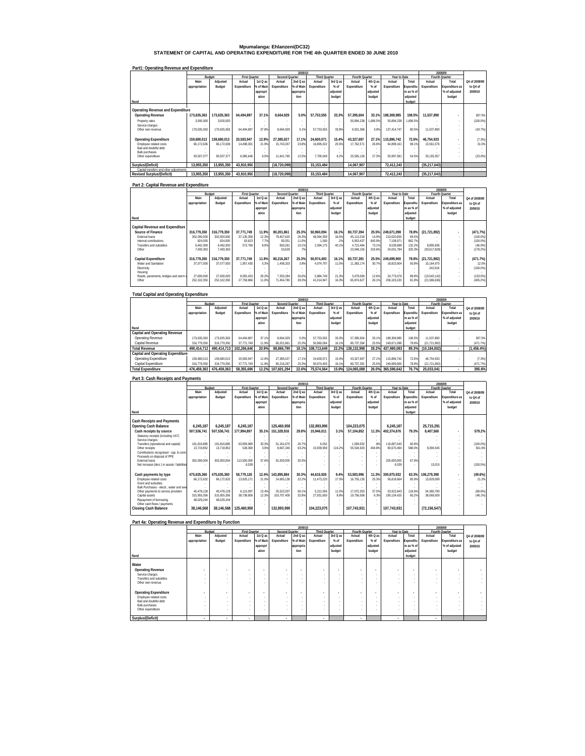# **Mpumalanga: Ehlanzeni(DC32) STATEMENT OF CAPITAL AND OPERATING EXPENDITURE FOR THE 4th QUARTER ENDED 30 JUNE 2010**

### **Part1: Operating Revenue and Expenditure**

|                                         |               |             |                      |           |                | 2009/10   |                      |          |                |                          |              |            |                | 2008/09               |               |
|-----------------------------------------|---------------|-------------|----------------------|-----------|----------------|-----------|----------------------|----------|----------------|--------------------------|--------------|------------|----------------|-----------------------|---------------|
|                                         | Budget        |             | <b>First Quarter</b> |           | Second Quarter |           | <b>Third Quarter</b> |          | Fourth Quarter |                          | Year to Date |            | Fourth Quarter |                       |               |
|                                         | Main          | Adjusted    | Actual               | 1st Q as  | Actual         | 2nd Q as  | Actual               | 3rd Q as | Actual         | 4th Q as                 | Actual       | Total      | Actual         | Total                 | Q4 of 2008/09 |
|                                         | appropriation | Budget      | Expenditure          | % of Main | Expenditure    | % of Main | Expenditure          | $%$ of   | Expenditure    | $%$ of                   | Expenditure  | Expenditu  | Expenditure    | <b>Expenditure as</b> | to Q4 of      |
|                                         |               |             |                      | appropri  |                | appropria |                      | adiusted |                | adiusted                 |              | re as % of |                | % of adjusted         | 2009/10       |
|                                         |               |             |                      | ation     |                | tion      |                      | budget   |                | budget                   |              | adjusted   |                | budget                |               |
| Rand                                    |               |             |                      |           |                |           |                      |          |                |                          |              | budget     |                |                       |               |
| Operating Revenue and Expenditure       |               |             |                      |           |                |           |                      |          |                |                          |              |            |                |                       |               |
| <b>Operating Revenue</b>                | 173.635.363   | 173.635.363 | 64.494.897           | 37.1%     | 8.664.929      | 5.0%      | 57.753.555           | 33.3%    | 57.395.604     | 33.1%                    | 188.308.985  | 108.5%     | 11.537.890     |                       | 397.5%        |
| Property rates                          | 3.000.000     | 3.000.000   |                      |           |                |           |                      |          | 50.894.238     | .696.5%                  | 50.894.238   | 1.696.5%   |                |                       | $(100.0\%)$   |
| Service charges                         |               |             |                      |           |                |           |                      |          |                | $\overline{\phantom{a}}$ |              |            |                |                       |               |
| Other own revenue                       | 170.635.363   | 170.635.363 | 64.494.897           | 37.8%     | 8.664.929      | 5.1%      | 57.753.555           | 33.8%    | 6.501.366      | 3.8%                     | 137.414.747  | 80.5%      | 11.537.890     |                       | (43.7%)       |
| <b>Operating Expenditure</b>            | 159.680.013   | 159.680.013 | 20.583.947           | 12.9%     | 27.385.027     | 17.1%     | 24.600.071           | 15.4%    | 43.327.697     | 27.1%                    | 115.896.742  | 72.6%      | 46.754.933     | ٠                     | (7.3%)        |
| Employee related costs                  | 66.172.636    | 66.172.636  | 14.498.301           | 21.9%     | 15.743.267     | 23.8%     | 16.895.022           | 25.5%    | 17.762.571     | 26.8%                    | 64.899.161   | 98.1%      | 13.561.576     |                       | 31.0%         |
| Bad and doubtful debt                   |               |             |                      |           |                |           |                      |          |                |                          |              |            |                |                       |               |
| <b>Bulk purchases</b>                   |               |             |                      |           |                |           |                      |          |                | $\sim$                   |              |            |                |                       |               |
| Other expenditure                       | 93.507.377    | 93.507.377  | 6.085.646            | 6.5%      | 11.641.760     | 12.5%     | 7.705.049            | 8.2%     | 25.565.126     | 27.3%                    | 50.997.581   | 54.5%      | 33.193.357     |                       | $(23.0\%)$    |
| Surplus/(Deficit)                       | 13.955.350    | 13.955.350  | 43.910.950           |           | (18.720.098)   |           | 33.153.484           |          | 14.067.907     |                          | 72.412.243   |            | (35.217.043)   |                       |               |
| Capital transfers and other adjustments |               |             |                      |           |                |           |                      |          |                |                          |              |            |                |                       |               |
| <b>Revised Surplus/(Deficit)</b>        | 13.955.350    | 13.955.350  | 43.910.950           |           | (18.720.098)   |           | 33.153.484           |          | 14.067.907     |                          | 72.412.243   |            | (35, 217, 043) |                       |               |

# **Part 2: Capital Revenue and Expenditure**

|                                     |                        |                        |                      |           |                   | 2009/10      |                      |          |                         |                 |                         |                  |                           | 2008/09                  |                     |
|-------------------------------------|------------------------|------------------------|----------------------|-----------|-------------------|--------------|----------------------|----------|-------------------------|-----------------|-------------------------|------------------|---------------------------|--------------------------|---------------------|
|                                     |                        | Budget                 | <b>First Quarter</b> |           | Second Quarter    |              | <b>Third Quarter</b> |          | Fourth Quarter          |                 | Year to Date            |                  |                           | Fourth Quarter           |                     |
|                                     | Main                   | Adiusted               | Actual               | 1st Q as  | Actual            | 2nd Q as     | Actual               | 3rd Q as | Actual                  | 4th Q as        | Actual                  | Total            | Actual                    | Total                    | Q4 of 2008/09       |
|                                     | appropriation          | Budget                 | Expenditure          | 6 of Main | Expenditure       | % of Main    | Expenditure          | $%$ of   | Expenditure             | $%$ of          | Expenditure             | Expenditu        | Expenditure               | Expenditure as           | to Q4 of            |
|                                     |                        |                        |                      | appropri  |                   | appropria    |                      | adjusted |                         | adiusted        |                         | re as % of       |                           | % of adjusted            | 2009/10             |
|                                     |                        |                        |                      | ation     |                   | tion         |                      | budget   |                         | budget          |                         | adjusted         |                           | budget                   |                     |
| Rand                                |                        |                        |                      |           |                   |              |                      |          |                         |                 |                         | budget           |                           |                          |                     |
| Capital Revenue and Expenditure     |                        |                        |                      |           |                   |              |                      |          |                         |                 |                         |                  |                           |                          |                     |
| Source of Finance                   | 316.779.350            | 316.779.350            | 37.771.749           | 11.9%     | 80.201.861        | 25.3%        | 50.960.094           | 16.1%    | 80.737.394              | 25.5%           | 249.671.098             | 78.8%            | (21.721.892)              |                          | (471.7%)            |
| External loans                      | 302.000.000            | 302.000.000            | 37.135.358           | 12.3%     | 79.407.620        | 26.3%        | 48.364.359           | 16.09    | 45.113.318              | 14.9%           | 210.020.655             | 69.5%            |                           |                          | (100.0%)            |
| Internal contributions              | 824.000                | 824.000                | 63.623               | 7.7%      | 90.351            | 11.0%        | 1.560                | .2%      | 6.953.437               | 843.9%          | 7.108.971               | 862.7%           |                           |                          | (100.0%)            |
| Transfers and subsidies<br>Other    | 6.462.000<br>7.493.350 | 6.462.000<br>7.493.350 | 572.768              | 8.9%      | 650.261<br>53.629 | 10.1%<br>.7% | 2.594.175            | 40.1%    | 4.722.484<br>23.948.155 | 73.1%<br>319.6% | 8.539.688<br>24.001.784 | 132.2%<br>320.3% | 8.895.936<br>(30,617,828) |                          | (46.9%)<br>(178.2%) |
|                                     |                        |                        |                      |           |                   |              |                      |          |                         |                 |                         |                  |                           |                          |                     |
| Capital Expenditure                 | 316.779.350            | 316.779.350            | 37.771.749           | 11.9%     | 80.216.267        | 25.3%        | 50.974.493           | 16.1%    | 80.737.391              | 25.5%           | 249.699.900             | 78.8%            | (21.721.892)              | $\overline{\phantom{a}}$ | (471.7%)            |
| Water and Sanitation                | 37.077.000             | 37.077.000             | 1.957.430            | 5.3%      | 1.408.203         | 3.8%         | 4.074.797            | 11.0%    | 11.383.174              | 30.7%           | 18.823.604              | 50.8%            | 10.164.970                |                          | 12.0%               |
| Electricity                         |                        |                        |                      |           |                   |              |                      |          |                         |                 | ×.                      |                  | 242.916                   |                          | $(100.0\%)$         |
| Housing                             |                        |                        |                      |           |                   |              |                      |          |                         |                 |                         |                  |                           |                          |                     |
| Roads, pavements, bridges and storm | 27.600.000             | 27.600.000             | 8.055.453            | 29.2%     | 7.353.284         | 26.6%        | 5.884.749            | 21.3%    | 3.479.590               | 12.6%           | 24.773.076              | 89.8%            | (10.543.142)              |                          | $(133.0\%)$         |
| Other                               | 252.102.350            | 252.102.350            | 27,758,866           | 11.0%     | 71,454,780        | 28.39        | 41.014.947           | 16.39    | 65,874,627              | 26.1%           | 206.103.220             | 81.8%            | (21, 586, 636)            |                          | (405.2%)            |
|                                     |                        |                        |                      |           |                   |              |                      |          |                         |                 |                         |                  |                           |                          |                     |

| <b>Total Capital and Operating Expenditure</b> |  |
|------------------------------------------------|--|
|                                                |  |
|                                                |  |

|                                          |               |             |                      |           |                | 2009/10   |                      |          |                       |          |              |            |                | 2008/09               |               |
|------------------------------------------|---------------|-------------|----------------------|-----------|----------------|-----------|----------------------|----------|-----------------------|----------|--------------|------------|----------------|-----------------------|---------------|
|                                          |               | Budget      | <b>First Quarter</b> |           | Second Quarter |           | <b>Third Quarter</b> |          | <b>Fourth Quarter</b> |          | Year to Date |            |                | <b>Fourth Ouarter</b> |               |
|                                          | Main          | Adiusted    | Actual               | 1st Q as  | Actual         | 2nd Q as  | Actual               | 3rd Q as | Actual                | 4th Q as | Actual       | Total      | Actual         | Total                 | Q4 of 2008/09 |
|                                          | appropriation | Budget      | Expenditure          | % of Main | Expenditure    | % of Main | Expenditure          | $%$ of   | Expenditure           | $%$ of   | Expenditure  | Expenditu  | Expenditure    | <b>Expenditure as</b> | to Q4 of      |
|                                          |               |             |                      | appropri  |                | appropria |                      | adiusted |                       | adiusted |              | re as % of |                | % of adjusted         | 2009/10       |
|                                          |               |             |                      | ation     |                | tion      |                      | budget   |                       | budget   |              | adjusted   |                | budget                |               |
| Rand                                     |               |             |                      |           |                |           |                      |          |                       |          |              | budget     |                |                       |               |
| Capital and Operating Revenue            |               |             |                      |           |                |           |                      |          |                       |          |              |            |                |                       |               |
| Operating Revenue                        | 173.635.363   | 173.635.363 | 64.494.897           | 37.1%     | 8.664.929      | 5.0%      | 57.753.555           | 33.3%    | 57.395.604            | 33.19    | 188.308.985  | 108.5%     | 11.537.890     |                       | 397.5%        |
| Capital Revenue                          | 316.779.350   | 316.779.350 | 37.771.749           | 11.9%     | 80.201.861     | 25.3%     | 50.960.094           | 16.1%    | 80.737.394            | 25.59    | 249.671.098  | 78.8%      | (21.721.892)   |                       | (471.7%       |
| <b>Total Revenue</b>                     | 490.414.713   | 490.414.713 | 102.266.646          | 20.9%     | 88.866.790     | 18.1%     | 108.713.649          | 22.2%    | 138.132.998           | 28.2%    | 437.980.083  | 89.3%      | (10.184.002)   |                       | $(1.456.4\%)$ |
| <b>Capital and Operating Expenditure</b> |               |             |                      |           |                |           |                      |          |                       |          |              |            |                |                       |               |
| Operating Expenditure                    | 159.680.013   | 159.680.013 | 20.583.947           | 12.9%     | 27.385.027     | 17.1%     | 24.600.071           | 15.4%    | 43.327.697            | 27.19    | 115.896.742  | 72.6%      | 46.754.933     |                       | (7.3%)        |
| Capital Expenditure                      | 316.779.350   | 316.779.350 | 37.771.749           | 11.9%     | 80.216.267     | 25.3%     | 50.974.493           | 16.1%    | 80.737.391            | 25.59    | 249.699.900  | 78.8%      | (21, 721, 892) |                       | (471.7%)      |
| <b>Total Expenditure</b>                 | 476.459.363   | 476.459.363 | 58.355.696           | 12.2%     | 107.601.294    | 22.6%     | 75.574.564           | 15.9%    | 124.065.088           | 26.0%    | 365.596.642  | 76.7%      | 25.033.041     |                       | 395.6%        |
|                                          |               |             |                      |           |                |           |                      |          |                       |          |              |            |                |                       |               |
| Part 3: Cash Receipts and Payments       |               |             |                      |           |                |           |                      |          |                       |          |              |            |                |                       |               |
|                                          |               |             |                      |           |                |           |                      |          |                       |          |              |            |                |                       |               |

|                                                                |               |             | 2009/10              |           |                |           |                      |          |                |          | 2008/09      |            |                       |                |               |
|----------------------------------------------------------------|---------------|-------------|----------------------|-----------|----------------|-----------|----------------------|----------|----------------|----------|--------------|------------|-----------------------|----------------|---------------|
|                                                                | Budget        |             | <b>First Quarter</b> |           | Second Quarter |           | <b>Third Quarter</b> |          | Fourth Quarter |          | Year to Date |            | <b>Fourth Quarter</b> |                |               |
|                                                                | Main          | Adjusted    | Actual               | 1st Q as  | Actual         | 2nd Q as  | Actual               | 3rd Q as | Actual         | 4th Q as | Actual       | Total      | Actual                | Total          | Q4 of 2008/09 |
|                                                                | appropriation | Budget      | Expenditure          | % of Main | Expenditure    | % of Main | Expenditure          | $%$ of   | Expenditure    | $%$ of   | Expenditure  | Expenditu  | Expenditure           | Expenditure as | to Q4 of      |
|                                                                |               |             |                      | appropri  |                | appropria |                      | adiusted |                | adiusted |              | re as % of |                       | % of adjusted  | 2009/10       |
|                                                                |               |             |                      | ation     |                | tion      |                      | budget   |                | budget   |              | adiusted   |                       | budget         |               |
| Rand                                                           |               |             |                      |           |                |           |                      |          |                |          |              | budget     |                       |                |               |
|                                                                |               |             |                      |           |                |           |                      |          |                |          |              |            |                       |                |               |
| <b>Cash Receipts and Payments</b>                              |               |             |                      |           |                |           |                      |          |                |          |              |            |                       |                |               |
| Opening Cash Balance                                           | 6.245.187     | 6.245.187   | 6.245.187            |           | 125.460.958    |           | 132.893.990          |          | 104.223.075    |          | 6.245.187    |            | 25,715,291            |                |               |
| Cash receipts by source                                        | 507,536,741   | 507,536,741 | 177.994.897          | 35.1%     | 151,328,916    | 29.8%     | 15.946.011           | 3.1%     | 57.104.852     | 11.3%    | 402,374,676  | 79.3%      | 8.407.560             |                | 579.2%        |
| Statutory receipts (including VAT)                             |               |             |                      |           |                |           |                      |          |                |          |              |            |                       |                |               |
| Service charges                                                |               |             |                      |           |                |           |                      |          |                |          |              |            |                       |                |               |
| Transfers (operational and capital)                            | 191.816.885   | 191.816.885 | 63.959.989           | 33.3%     | 51.161.670     | 26.7%     | 6.052                |          | 1.569.932      | 8%       | 116.697.643  | 60.8%      |                       |                | $(100.0\%)$   |
| Other receipts                                                 | 13.719.852    | 13.719.852  | 528.369              | 3.9%      | 8.667.246      | 63.2%     | 15.939.959           | 116.2%   | 55.534.920     | 404.8%   | 80.670.494   | 588.0%     | 8.394.545             |                | 561.6%        |
| Contributions recognised - cap. & contr.                       |               |             |                      |           |                |           |                      |          |                |          |              |            |                       |                |               |
| Proceeds on disposal of PPE                                    |               |             |                      |           |                |           |                      |          |                |          |              |            |                       |                |               |
| <b>External loans</b>                                          | 302.000.004   | 302.000.004 | 113.500.000          | 37.6%     | 91.500.000     | 30.3%     |                      |          |                | ٠        | 205.000.000  | 67.9%      |                       |                |               |
| Net increase (decr.) in assets / liabilities                   |               |             | 6.539                |           |                |           |                      |          |                |          | 6.539        |            | 13.015                |                | (100.0%       |
|                                                                |               |             |                      |           |                |           |                      |          |                |          |              |            |                       |                |               |
| Cash payments by type                                          | 475.635.360   | 475.635.360 | 58.779.126           | 12.4%     | 143.895.884    | 30.3%     | 44.616.926           | 9.4%     | 53.583.996     | 11.3%    | 300.875.932  | 63.3%      | 106.279.398           |                | (49.6%)       |
| Employee related costs                                         | 66.172.632    | 66.172.632  | 13.925.171           | 21.0%     | 14.665.138     | 22.2%     | 11.473.220           | 17.3%    | 16.755.135     | 25.3%    | 56.818.664   | 85.9%      | 13.829.099            |                | 21.2%         |
| Grant and subsidies<br>Bulk Purchases - electr., water and sew |               |             |                      |           |                |           |                      |          |                |          |              |            |                       |                |               |
| Other payments to service providers                            | 45.478.128    | 45.478.128  | 6.115.097            | 13.4%     | 25.523.337     | 56.1%     | 5.212.056            | 11.5%    | 17.072.353     | 37.5%    | 53.922.843   | 118.6%     | 54.380.790            |                | (68.6%)       |
| Capital assets                                                 | 315.955.356   | 315.955.356 | 38.738.858           | 12.3%     | 103.707.409    | 32.8%     | 27.931.650           | 8.8%     | 19.756.508     | 6.3%     | 190.134.425  | 60.2%      | 38.069.509            |                | (48.1%)       |
| Repayment of borrowing                                         | 48.029.244    | 48.029.244  |                      |           |                |           |                      |          |                |          |              |            |                       |                |               |
| Other cash flows / payments                                    |               |             |                      |           |                |           |                      |          |                |          |              |            |                       |                |               |
| Closing Cash Balance                                           | 38.146.568    | 38.146.568  | 125.460.958          |           | 132.893.990    |           | 104.223.075          |          | 107.743.931    |          | 107.743.931  |            | (72, 156, 547)        |                |               |
|                                                                |               |             |                      |           |                |           |                      |          |                |          |              |            |                       |                |               |

| Part 4a: Operating Revenue and Expenditure by Function |                          |                          |                          |                          |                          |                          |                          |                          |                          |                          |                          |            |                          |                          |               |
|--------------------------------------------------------|--------------------------|--------------------------|--------------------------|--------------------------|--------------------------|--------------------------|--------------------------|--------------------------|--------------------------|--------------------------|--------------------------|------------|--------------------------|--------------------------|---------------|
|                                                        |                          |                          |                          |                          |                          | 2009/10                  |                          |                          |                          |                          |                          |            |                          | 2008/09                  |               |
|                                                        |                          | Budget                   | <b>First Quarter</b>     |                          | Second Quarter           |                          | <b>Third Quarter</b>     |                          | Fourth Quarter           |                          | Year to Date             |            |                          | Fourth Quarter           |               |
|                                                        | Main                     | Adjusted                 | Actual                   | 1st Q as                 | Actual                   | 2nd Q as                 | Actual                   | 3rd Q as                 | Actual                   | 4th Q as                 | Actual                   | Total      | Actual                   | Total                    | Q4 of 2008/09 |
|                                                        | appropriation            | Budget                   | Expenditure              | % of Main                | Expenditure              | % of Main                | Expenditure              | $%$ of                   | Expenditure              | $%$ of                   | Expenditure              | Expenditu  | Expenditure              | Expenditure as           | to Q4 of      |
|                                                        |                          |                          |                          | appropri                 |                          | appropria                |                          | adjusted                 |                          | adjusted                 |                          | re as % of |                          | % of adjusted            | 2009/10       |
|                                                        |                          |                          |                          | ation                    |                          | tion                     |                          | budget                   |                          | budget                   |                          | adjusted   |                          | budget                   |               |
| Rand                                                   |                          |                          |                          |                          |                          |                          |                          |                          |                          |                          |                          | budget     |                          |                          |               |
| Water                                                  |                          |                          |                          |                          |                          |                          |                          |                          |                          |                          |                          |            |                          |                          |               |
| <b>Operating Revenue</b>                               | $\overline{\phantom{a}}$ | $\overline{\phantom{a}}$ | $\sim$                   | $\blacksquare$           | ٠                        | $\overline{\phantom{a}}$ | $\overline{\phantom{a}}$ | $\overline{\phantom{a}}$ | $\overline{\phantom{a}}$ | $\overline{\phantom{a}}$ | $\overline{\phantom{a}}$ |            | $\overline{\phantom{a}}$ | $\overline{\phantom{a}}$ |               |
| Service charges                                        | $\sim$                   |                          |                          |                          | $\sim$                   | . .                      |                          | ٠                        | ٠                        |                          |                          |            |                          | ×.                       |               |
| Transfers and subsidies                                | $\sim$                   |                          |                          | ٠                        | $\sim$                   | ٠.                       |                          | ٠                        | ٠                        |                          |                          |            |                          | ×.                       |               |
| Other own revenue                                      |                          |                          |                          |                          | $\sim$                   |                          |                          |                          |                          |                          | $\overline{\phantom{a}}$ |            |                          | $\sim$                   |               |
| <b>Operating Expenditure</b>                           | $\overline{\phantom{a}}$ |                          |                          | $\overline{\phantom{a}}$ | $\overline{\phantom{a}}$ |                          | $\overline{\phantom{a}}$ | ٠                        | $\overline{\phantom{a}}$ | ÷                        | $\overline{\phantom{a}}$ |            | $\overline{\phantom{a}}$ | $\overline{\phantom{a}}$ |               |
| Employee related costs                                 | $\sim$                   |                          | $\sim$                   |                          | $\sim$                   | . .                      | . .                      | ٠                        | ٠                        | $\sim$                   |                          |            |                          | $\sim$                   |               |
| Bad and doubtful debt                                  |                          |                          |                          |                          |                          |                          |                          |                          | ٠                        |                          |                          |            |                          |                          |               |
| <b>Bulk purchases</b>                                  |                          | ×.                       | $\overline{\phantom{a}}$ | ٠                        | $\sim$                   | ٠.                       | $\sim$                   |                          | ×,                       |                          | $\sim$                   | $\sim$     |                          |                          |               |
| Other expenditure                                      |                          |                          |                          | ٠                        |                          |                          |                          |                          |                          |                          | $\sim$                   |            |                          |                          |               |
| Surplus/(Deficit)                                      |                          |                          | $\overline{a}$           |                          | ٠                        |                          | ٠                        |                          |                          |                          | $\overline{a}$           |            | ٠                        |                          |               |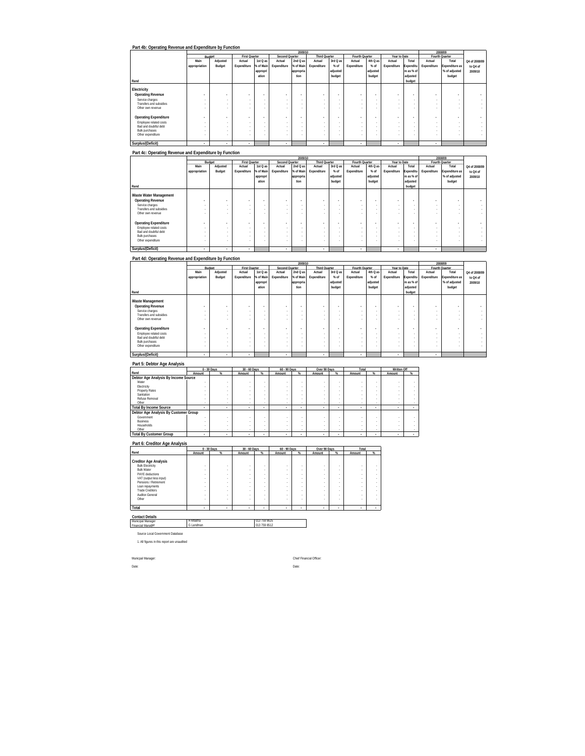|                              |                          |          |                          |           |                          | 2009/10   |                      |          |                          |          |                |            |                          | 2008/09        |               |
|------------------------------|--------------------------|----------|--------------------------|-----------|--------------------------|-----------|----------------------|----------|--------------------------|----------|----------------|------------|--------------------------|----------------|---------------|
|                              |                          | Budget   | First Quarter            |           | Second Quarter           |           | <b>Third Quarter</b> |          | Fourth Quarter           |          | Year to Date   |            |                          | Fourth Quarter |               |
|                              | Main                     | Adjusted | Actual                   | 1st Q as  | Actual                   | 2nd Q as  | Actual               | 3rd Q as | Actual                   | 4th Q as | Actual         | Total      | Actual                   | Total          | Q4 of 2008/09 |
|                              | appropriation            | Budget   | Expenditure              | % of Main | Expenditure              | % of Main | Expenditure          | $%$ of   | Expenditure              | $%$ of   | Expenditure    | Expenditu  | Expenditure              | Expenditure as | to Q4 of      |
|                              |                          |          |                          | appropri  |                          | appropria |                      | adjusted |                          | adjusted |                | re as % of |                          | % of adjusted  | 2009/10       |
|                              |                          |          |                          | ation     |                          | tion      |                      | budget   |                          | budget   |                | adjusted   |                          | budget         |               |
| Rand                         |                          |          |                          |           |                          |           |                      |          |                          |          |                | budget     |                          |                |               |
|                              |                          |          |                          |           |                          |           |                      |          |                          |          |                |            |                          |                |               |
| Electricity                  |                          |          |                          |           |                          |           |                      |          |                          |          |                |            |                          |                |               |
| <b>Operating Revenue</b>     | $\sim$                   |          | $\overline{\phantom{a}}$ |           | $\overline{\phantom{a}}$ |           | $\sim$               | ÷        | $\overline{\phantom{a}}$ | . .      | $\sim$         |            | ٠                        |                |               |
| Service charges              | $\overline{\phantom{a}}$ |          |                          |           | $\sim$                   |           | ×.                   | ٠        | $\overline{\phantom{a}}$ | $\sim$   | $\sim$         |            | $\sim$                   |                |               |
| Transfers and subsidies      | $\sim$                   |          |                          |           |                          |           |                      | ٠        | $\overline{\phantom{a}}$ |          | $\sim$         |            | $\sim$                   |                |               |
| Other own revenue            |                          |          |                          |           |                          |           |                      |          | $\sim$                   |          |                |            |                          |                |               |
|                              |                          |          |                          |           |                          |           |                      |          |                          |          |                |            |                          |                |               |
| <b>Operating Expenditure</b> |                          |          |                          |           |                          |           | $\sim$               |          | $\overline{\phantom{a}}$ | . .      | $\sim$         |            | $\overline{\phantom{a}}$ |                |               |
| Employee related costs       | $\overline{\phantom{a}}$ |          |                          |           | $\sim$                   |           | ×.                   | ٠        | $\overline{\phantom{a}}$ | $\sim$   | $\sim$         |            | $\sim$                   | $\sim$         |               |
| Bad and doubtful debt        | $\sim$                   |          |                          |           | $\sim$                   |           |                      | ٠        | $\overline{\phantom{a}}$ |          | <b>м.</b>      |            | $\sim$                   |                |               |
| <b>Bulk purchases</b>        |                          |          |                          |           |                          |           | ×.                   |          | $\sim$                   | $\sim$   | $\sim$         |            |                          |                |               |
| Other expenditure            |                          |          |                          |           |                          |           |                      | ٠        | $\sim$                   | $\sim$   | $\sim$         |            | $\sim$                   |                |               |
|                              |                          |          |                          |           |                          |           |                      |          |                          |          |                |            |                          |                |               |
| Surplus/(Deficit)            | ٠                        | ٠        | $\mathbf{r}$             |           | ٠                        |           | $\mathbf{r}$         |          | ٠                        |          | $\overline{a}$ |            |                          |                |               |

### **Part 4c: Operating Revenue and Expenditure by Function**

|                              |                          |          |               |           |                          | 2009/10   |                          |          |                          |                          |              |            |                | 2008/09        |                          |
|------------------------------|--------------------------|----------|---------------|-----------|--------------------------|-----------|--------------------------|----------|--------------------------|--------------------------|--------------|------------|----------------|----------------|--------------------------|
|                              |                          | Budget   | First Quarter |           | Second Quarter           |           | <b>Third Quarter</b>     |          | Fourth Quarter           |                          | Year to Date |            | Fourth Quarter |                |                          |
|                              | Main                     | Adjusted | Actual        | 1st Q as  | Actual                   | 2nd Q as  | Actual                   | 3rd Q as | Actual                   | 4th Q as                 | Actual       | Total      | Actual         | Total          | Q4 of 2008/09            |
|                              | appropriation            | Budget   | Expenditure   | % of Main | Expenditure              | % of Main | Expenditure              | $%$ of   | Expenditure              | $%$ of                   | Expenditure  | Expenditu  | Expenditure    | Expenditure as | to Q4 of                 |
|                              |                          |          |               | appropri  |                          | appropria |                          | adjusted |                          | adjusted                 |              | re as % of |                | % of adjusted  | 2009/10                  |
|                              |                          |          |               | ation     |                          | tion      |                          | budget   |                          | budget                   |              | adjusted   |                | budget         |                          |
| Rand                         |                          |          |               |           |                          |           |                          |          |                          |                          |              | budget     |                |                |                          |
|                              |                          |          |               |           |                          |           |                          |          |                          |                          |              |            |                |                |                          |
| Waste Water Management       |                          |          |               |           |                          |           |                          |          |                          |                          |              |            |                |                |                          |
| <b>Operating Revenue</b>     | $\overline{\phantom{a}}$ |          |               |           | $\overline{\phantom{a}}$ |           | $\overline{\phantom{a}}$ |          | ٠                        | $\overline{\phantom{a}}$ | $\bullet$    |            |                |                |                          |
| Service charges              |                          |          |               |           |                          |           |                          |          | . .                      | ٠                        |              | ٠          |                |                |                          |
| Transfers and subsidies      |                          |          |               |           |                          |           |                          |          |                          |                          | ٠            |            |                |                |                          |
| Other own revenue            |                          |          |               |           |                          |           |                          |          |                          |                          |              |            |                |                | ×.                       |
|                              |                          |          |               |           |                          |           |                          |          |                          |                          |              |            |                |                |                          |
| <b>Operating Expenditure</b> |                          |          |               |           | ٠                        |           | $\overline{\phantom{a}}$ |          | ۰                        | ٠                        | $\bullet$    | ٠          |                |                | $\overline{\phantom{a}}$ |
| Employee related costs       |                          |          |               |           |                          | ٠         |                          | $\sim$   | $\overline{\phantom{a}}$ | $\sim$                   | ×.           |            | ×.             |                | ×.                       |
| Bad and doubtful debt        |                          |          |               |           |                          |           |                          |          |                          |                          |              |            |                |                |                          |
| <b>Bulk purchases</b>        |                          |          |               |           |                          |           |                          |          |                          |                          |              |            |                |                | ×.                       |
| Other expenditure            |                          |          |               |           |                          |           |                          |          | . .                      |                          |              |            | ÷.             |                |                          |
| Surplus/(Deficit)            |                          | ٠        | ٠             |           | ٠                        |           | $\overline{\phantom{a}}$ |          | ٠                        |                          | ٠            |            | ٠              |                |                          |

### **Part 4d: Operating Revenue and Expenditure by Function**

|                                            |               |          |                          |           |                | 2009/10   |                          |          |                          |                          |              |            |                          | 2008/09        |               |
|--------------------------------------------|---------------|----------|--------------------------|-----------|----------------|-----------|--------------------------|----------|--------------------------|--------------------------|--------------|------------|--------------------------|----------------|---------------|
|                                            |               | Budget   | <b>First Quarter</b>     |           | Second Quarter |           | <b>Third Quarter</b>     |          | Fourth Quarter           |                          | Year to Date |            |                          | Fourth Quarter |               |
|                                            | Main          | Adjusted | Actual                   | 1st Q as  | Actual         | 2nd Q as  | Actual                   | 3rd Q as | Actual                   | 4th Q as                 | Actual       | Total      | Actual                   | Total          | Q4 of 2008/09 |
|                                            | appropriation | Budget   | Expenditure              | % of Main | Expenditure    | % of Main | Expenditure              | $%$ of   | Expenditure              | $%$ of                   | Expenditure  | Expenditu  | Expenditure              | Expenditure as | to Q4 of      |
|                                            |               |          |                          | appropri  |                | appropria |                          | adjusted |                          | adjusted                 |              | re as % of |                          | % of adjusted  | 2009/10       |
|                                            |               |          |                          | ation     |                | tion      |                          | budget   |                          | budget                   |              | adjusted   |                          | budget         |               |
| Rand                                       |               |          |                          |           |                |           |                          |          |                          |                          |              | budget     |                          |                |               |
| Waste Management                           |               |          |                          |           |                |           |                          |          |                          |                          |              |            |                          |                |               |
| <b>Operating Revenue</b>                   |               | ٠        | $\bullet$                |           |                | ٠         | $\overline{\phantom{a}}$ | ٠        | $\overline{\phantom{a}}$ | $\overline{\phantom{a}}$ | $\sim$       |            |                          |                |               |
| Service charges                            |               | ۰        |                          | ٠         |                | ٠         | ٠                        | $\sim$   | . .                      | ٠                        | $\sim$       | ٠          | $\sim$                   |                |               |
| Transfers and subsidies                    | $\sim$        | ۰        | $\sim$                   |           |                | $\sim$    | ٠                        | $\sim$   | . .                      | ٠                        | $\sim$       |            | $\sim$                   |                |               |
| Other own revenue                          |               |          |                          |           |                |           |                          |          |                          |                          |              |            |                          |                |               |
|                                            |               |          |                          |           |                |           |                          |          |                          |                          |              |            |                          |                |               |
| <b>Operating Expenditure</b>               | ۰             | ۰        | $\overline{\phantom{a}}$ |           |                | ۰         | $\sim$                   | ۰        | $\overline{\phantom{a}}$ | $\overline{\phantom{a}}$ | $\sim$       |            |                          |                |               |
| Employee related costs                     |               | ۰        |                          | ٠         |                | ٠         | ٠                        | $\sim$   | . .                      | ٠                        |              | ٠          | $\sim$                   |                |               |
| Bad and doubtful debt                      |               | ۰        |                          | ٠         |                |           | ٠                        | ٠        |                          | ٠                        | $\sim$       |            | $\sim$                   |                |               |
| <b>Bulk purchases</b><br>Other expenditure |               |          |                          |           |                |           | ٠                        |          |                          |                          | ٠<br>٠       |            | $\overline{\phantom{a}}$ |                |               |
|                                            |               |          |                          | ٠         | $\sim$         |           |                          |          |                          | ٠                        |              |            |                          |                |               |
| Surplus/(Deficit)                          | ٠             | ٠        | $\overline{\phantom{a}}$ |           |                |           | $\overline{\phantom{a}}$ |          | ٠                        |                          | ٠            |            | ٠                        |                |               |

#### **Part 5: Debtor Age Analysis**

|                                       |        | $0 - 30$ Days | 30 - 60 Days |   | 60 - 90 Days |                 | Over 90 Days |        | Total  |   | Written Off |   |
|---------------------------------------|--------|---------------|--------------|---|--------------|-----------------|--------------|--------|--------|---|-------------|---|
| Rand                                  | Amount | %             | Amount       | % | Amount       | %               | Amount       | %      | Amount | % | Amount      | % |
| Debtor Age Analysis By Income Source  |        |               |              |   |              |                 |              |        |        |   |             |   |
| Water                                 |        |               |              |   |              |                 |              |        |        |   |             |   |
| Electricity                           |        |               |              |   |              |                 |              |        |        |   |             |   |
| <b>Property Rates</b>                 |        |               |              |   |              |                 |              | ٠      |        |   |             |   |
| Sanitation                            |        |               |              |   |              |                 |              |        |        |   |             |   |
| Refuse Removal                        |        |               |              |   |              |                 |              |        |        |   |             |   |
| Other                                 |        | . .           |              | ٠ |              |                 | ٠            | ٠      | $\sim$ |   |             |   |
| <b>Total By Income Source</b>         |        | ٠             | ٠            |   |              | <b>Security</b> |              |        |        |   |             | - |
| Debtor Age Analysis By Customer Group |        |               |              |   |              |                 |              |        |        |   |             |   |
| Government                            |        |               |              |   |              |                 |              |        |        |   |             |   |
| <b>Business</b>                       |        |               |              |   |              |                 |              |        |        |   |             |   |
| Households                            |        |               |              |   |              |                 |              | ٠      |        |   |             |   |
| Other                                 |        | $\sim$        |              | ٠ | ٠            | ٠               | ٠            | $\sim$ | $\sim$ | ٠ | ٠           |   |
| <b>Total By Customer Group</b>        | ٠      | ٠             | ٠            |   |              | $\sim$          |              |        |        |   |             |   |

**Part 6: Creditor Age Analysis**

|                                                                                                                                                                                                                              |                       | $0 - 30$ Days | 30 - 60 Days               |                                      | 60 - 90 Days                    |                                           | Over 90 Days                         |                                                                                   | Total                                |   |
|------------------------------------------------------------------------------------------------------------------------------------------------------------------------------------------------------------------------------|-----------------------|---------------|----------------------------|--------------------------------------|---------------------------------|-------------------------------------------|--------------------------------------|-----------------------------------------------------------------------------------|--------------------------------------|---|
|                                                                                                                                                                                                                              |                       |               |                            |                                      |                                 |                                           |                                      |                                                                                   |                                      |   |
| Rand                                                                                                                                                                                                                         | Amount                | $\%$          | Amount                     | %                                    | Amount                          | %                                         | Amount                               | %                                                                                 | Amount                               | % |
| <b>Creditor Age Analysis</b><br><b>Bulk Electricity</b><br><b>Bulk Water</b><br>PAYE deductions<br>VAT (output less input)<br>Pensions / Retirement<br>Loan repayments<br><b>Trade Creditors</b><br>Auditor-General<br>Other | ٠<br>٠<br>٠<br>٠<br>٠ |               | ٠<br>٠<br>٠<br>٠<br>٠<br>٠ | ٠<br>٠<br>٠<br>٠<br>٠<br>٠<br>٠<br>٠ | ٠<br>٠<br>٠<br>٠<br>٠<br>٠<br>٠ | ٠<br>٠<br>٠<br>٠<br>٠<br>٠<br>٠<br>٠<br>٠ | ٠<br>٠<br>٠<br>٠<br>٠<br>٠<br>٠<br>٠ | ٠<br>$\sim$<br>$\sim$<br>$\sim$<br>$\sim$<br>$\sim$<br>$\sim$<br>$\sim$<br>$\sim$ | ٠<br>۰<br>٠<br>۰<br>٠<br>۰<br>۰<br>٠ |   |
| Total                                                                                                                                                                                                                        | $\sim$                | ٠             | $\overline{\phantom{a}}$   | ٠                                    | ٠                               | ٠                                         | ٠                                    | ٠                                                                                 | ٠                                    |   |
| <b>Contact Details</b>                                                                                                                                                                                                       |                       |               |                            |                                      |                                 |                                           |                                      |                                                                                   |                                      |   |
| Municipal Manager<br>Financial Manager                                                                                                                                                                                       | H Mbatha<br>G Landman |               |                            | 013 759 8625<br>013 759 8512         |                                 |                                           |                                      |                                                                                   |                                      |   |

Financial Manager Source Local Government Database

1. All figures in this report are unaudited

Municpal Manager: Chief Financial Officer:

Date: Date: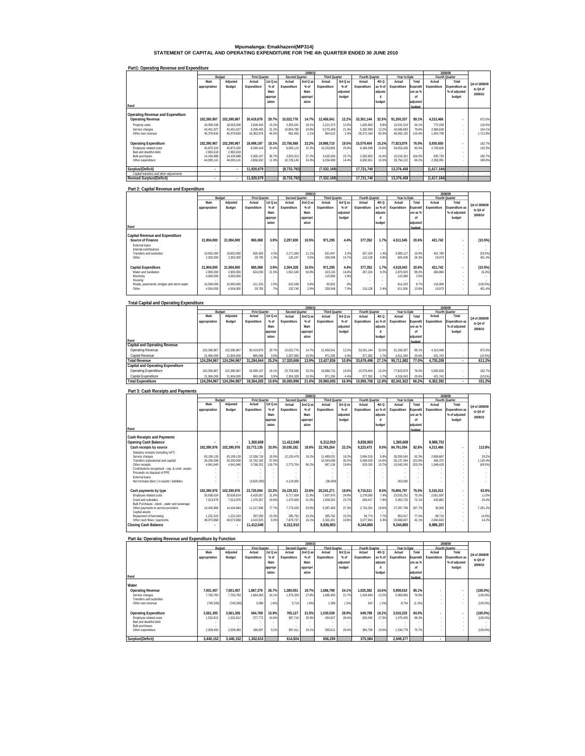# **Mpumalanga: Emakhazeni(MP314) STATEMENT OF CAPITAL AND OPERATING EXPENDITURE FOR THE 4th QUARTER ENDED 30 JUNE 2010**

| Part1: Operating Revenue and Expenditure |               |             |                      |          |                |          |                      |            |                |         |              |          |             |                       |               |
|------------------------------------------|---------------|-------------|----------------------|----------|----------------|----------|----------------------|------------|----------------|---------|--------------|----------|-------------|-----------------------|---------------|
|                                          |               |             |                      |          |                | 2009/10  |                      |            |                |         |              |          |             | 2008/09               |               |
|                                          | Budget        |             | <b>First Quarter</b> |          | Second Quarter |          | <b>Third Quarter</b> |            | Fourth Quarter |         | Year to Date |          |             | Fourth Quarter        |               |
|                                          | Main          | Adjusted    | Actual               | 1st Q as | Actual         | 2nd Q as | Actual               | $3rd$ O as | Actual         | 4th Q   | Actual       | Total    | Actual      | Total                 | Q4 of 2008/09 |
|                                          | appropriation | Budget      | Expenditure          | $%$ of   | Expenditure    | $%$ of   | Expenditure          | $%$ of     | Expenditure    | as % of | Expenditure  | Expendi  | Expenditure | <b>Expenditure as</b> |               |
|                                          |               |             |                      | Main     |                | Main     |                      | adjusted   |                | adjuste |              | ure as % |             | % of adjusted         | to Q4 of      |
|                                          |               |             |                      | appropr  |                | appropri |                      | budget     |                |         |              | nf       |             | budget                | 2009/10       |
|                                          |               |             |                      | iation   |                | ation    |                      |            |                | budget  |              | adjusted |             |                       |               |
| Rand                                     |               |             |                      |          |                |          |                      |            |                |         |              |          |             |                       |               |
|                                          |               |             |                      |          |                |          |                      |            |                |         |              | budget   |             |                       |               |
| Operating Revenue and Expenditure        |               |             |                      |          |                |          |                      |            |                |         |              |          |             |                       |               |
|                                          | 102.390.967   | 102.390.967 | 30.419.876           | 29.7%    | 15.022.776     | 14.7%    | 12.456.541           | 12.2%      | 33.301.144     | 32.5%   | 91.200.337   | 89.1%    | 4.313.466   |                       |               |
| <b>Operating Revenue</b>                 |               |             |                      |          |                |          |                      |            |                |         |              |          |             |                       | 672.0%        |
| Property rates                           | 18.559.206    | 18.559.206  | 2.828.445            | 15.2%    | 3.355.541      | 18.1%    | 2.221.573            | 12.0%      | 1.625.960      | 8.8%    | 10.031.519   | 54.1%    | 772.039     | $\sim$                | 110.6%        |
| Service charges                          | 43.451.927    | 43.451.927  | 9.208.455            | 21.2%    | 10.804.780     | 24.9%    | 9.270.458            | 21.3%      | 5.302.990      | 12.2%   | 34.586.683   | 79.6%    | 2.086.628   | ×.                    | 154.1%        |
| Other own revenue                        | 40.379.834    | 40.379.834  | 18.382.976           | 45.5%    | 862.455        | 2.1%     | 964.510              | 2.4%       | 26.372.194     | 65.3%   | 46.582.135   | 115.4%   | 1.454.799   |                       | 1.712.8%      |
|                                          |               |             |                      |          |                |          |                      |            |                |         |              |          |             |                       |               |
| <b>Operating Expenditure</b>             | 102.390.967   | 102.390.967 | 18.499.197           | 18.1%    | 23.756.568     | 23.2%    | 19.988.710           | 19.5%      | 15.579.404     | 15.2%   | 77.823.879   | 76.0%    | 5.930.650   | ٠                     | 162.7%        |
| Employee related costs                   | 40.870.320    | 40.870.320  | 8.340.418            | 20.4%    | 9.095.115      | 22.3%    | 10.233.805           | 25.0%      | 6.384.098      | 15.6%   | 34.053.436   | 83.3%    | 2.736.826   | $\sim$                | 133.3%        |
| Bad and doubtful debt                    | 2.992.618     | 2.992.618   |                      |          |                |          |                      |            |                |         |              |          |             |                       |               |
| Bulk purchases                           | 14.434.888    | 14.434.888  | 5.300.147            | 36.7%    | 3.933.313      | 27.2%    | 3.420.206            | 23.7%      | 2.362.655      | 16.4%   | 15.016.321   | 104.0%   | 835.733     |                       | 182.7%        |
| Other expenditure                        | 44.093.141    | 44.093.141  | 4.858.632            | 11.0%    | 10.728.140     | 24.3%    | 6.334.699            | 14.4%      | 6.832.651      | 15.5%   | 28.754.122   | 65.2%    | 2.358.091   |                       | 189.8%        |
|                                          |               |             |                      |          |                |          |                      |            |                |         |              |          |             |                       |               |
| Surplus/(Deficit)                        | $\mathbf{r}$  |             | 11.920.679           |          | (8, 733, 792)  |          | (7.532.169)          |            | 17.721.740     |         | 13.376.458   |          | (1.617.184) |                       |               |
| Capital transfers and other adjustments  |               |             |                      |          |                |          |                      |            |                |         |              |          |             |                       |               |
| <b>Revised Surplus/(Deficit)</b>         | ٠             |             | 11.920.679           |          | (8, 733, 792)  |          | (7,532,169)          |            | 17.721.740     |         | 13.376.458   |          | (1,617,184) |                       |               |

### **Part 2: Capital Revenue and Expenditure**

|                                                    |                         |            |                      |             |                | 2009/10      |                      |             |                |         |              |               |             | 2008/09                  |                     |
|----------------------------------------------------|-------------------------|------------|----------------------|-------------|----------------|--------------|----------------------|-------------|----------------|---------|--------------|---------------|-------------|--------------------------|---------------------|
|                                                    | Budget                  |            | <b>First Quarter</b> |             | Second Quarter |              | <b>Third Quarter</b> |             | Fourth Quarter |         | Year to Date |               |             | Fourth Quarter           |                     |
|                                                    | Main                    | Adjusted   | Actual               | 1st Q as    | Actual         | 2nd Q as     | Actual               | 3rd Q as    | Actual         | 4th Q   | Actual       | Total         | Actual      | Total                    | Q4 of 2008/09       |
|                                                    | appropriation           | Budget     | Expenditure          | $%$ of      | Expenditure    | $%$ of       | Expenditure          | $%$ of      | Expenditure    | as % of | Expenditure  | Expendit      | Expenditure | Expenditure as           |                     |
|                                                    |                         |            |                      | Main        |                | Main         |                      | adjusted    |                | adjuste |              | ure as %      |             | % of adjusted            | to Q4 of<br>2009/10 |
|                                                    |                         |            |                      | appropr     |                | appropri     |                      | budget      |                |         |              | 'n            |             | budget                   |                     |
|                                                    |                         |            |                      | iation      |                | ation        |                      |             |                | budget  |              | adjusted      |             |                          |                     |
| Rand                                               |                         |            |                      |             |                |              |                      |             |                |         |              | budget        |             |                          |                     |
| Capital Revenue and Expenditure                    |                         |            |                      |             |                |              |                      |             |                |         |              |               |             |                          |                     |
| Source of Finance                                  | 21.904.000              | 21,904.000 | 865.068              | 3.9%        | 2.297.830      | 10.5%        | 971.295              | 4.4%        | 377.352        | 1.7%    | 4.511.545    | 20.6%         | 421.742     |                          | (10.5%)             |
| External loans                                     |                         |            |                      |             |                |              |                      |             |                |         |              |               |             |                          |                     |
| Internal contributions                             |                         |            |                      | $\sim$      |                | ٠            | $\sim$<br>$\sim$     | ×.          |                |         |              |               |             |                          |                     |
| Transfers and subsidies                            | 19.602.000              | 19.602.000 | 835.363              | 4.3%        | 2.171.583      | 11.1%        | 631.947              | 3.2%        | 267.224        | 1.4%    | 3.906.117    | 19 9%         | 401.769     | ×.                       | (33.5%)             |
| Other                                              | 2,302,000               | 2.302.000  | 29.705               | 1.3%        | 126.247        | 5.5%         | 339.348              | 14.7%       | 110.128        | 4.8%    | 605.428      | 26.3%         | 19.973      |                          | 451.4%              |
|                                                    |                         |            |                      |             |                |              |                      |             |                |         |              |               |             |                          |                     |
| Capital Expenditure                                | 21.904.000              | 21.904.000 | 865.068              | 3.9%        | 2.304.328      | 10.5%        | 971.295              | 4.4%        | 377.352        | 1.7%    | 4.518.043    | 20.6%         | 421.742     | $\overline{\phantom{a}}$ | (10.5%)             |
| Water and Sanitation                               | 2,900.000               | 2,900,000  | 624.030              | 21.5%       | 1.561.545      | 53.8%        | 423.126              | 14.6%       | 267.224        | 9.2%    | 2.875.925    | 99.2%         | 284.869     |                          | (6.2%)              |
| Electricity                                        | 4.000.000               | 4,000,000  |                      |             |                |              | 115.969              | 2.9%        |                |         | 115.969      | 2.9%          |             |                          |                     |
| Housing                                            |                         |            |                      |             |                |              | $\sim$               |             |                |         |              |               |             |                          |                     |
| Roads, pavements, bridges and storm water<br>Other | 10.500.000<br>4.504.000 | 10.500.000 | 211.333<br>29.705    | 2.0%<br>.7% | 610.038        | 5.8%<br>2.9% | 92.852               | .9%<br>7.5% | 110.128        | 2.4%    | 914.223      | 8.7%<br>13.6% | 116,900     |                          | (100.0%<br>451.4%   |
|                                                    |                         | 4,504,000  |                      |             | 132,745        |              | 339,348              |             |                |         | 611,926      |               | 19,973      |                          |                     |

| <b>Total Capital and Operating Expenditure</b> |               |             |                      |          |                |          |                      |          |                |         |              |                |             |                       |               |
|------------------------------------------------|---------------|-------------|----------------------|----------|----------------|----------|----------------------|----------|----------------|---------|--------------|----------------|-------------|-----------------------|---------------|
|                                                |               |             |                      |          |                | 2009/10  |                      |          |                |         |              |                |             | 2008/09               |               |
|                                                |               | Budget      | <b>First Quarter</b> |          | Second Quarter |          | <b>Third Quarter</b> |          | Fourth Quarter |         | Year to Date |                |             | Fourth Quarter        |               |
|                                                | Main          | Adjusted    | Actual               | 1st Q as | Actual         | 2nd Q as | Actual               | 3rd Q as | Actual         | 4th Q   | Actual       | Total          | Actual      | Total                 | Q4 of 2008/09 |
|                                                | appropriation | Budget      | Expenditure          | $%$ of   | Expenditure    | $%$ of   | Expenditure          | $%$ of   | Expenditure    | as % of | Expenditure  | <b>xpendit</b> | Expenditure | <b>Expenditure as</b> | to Q4 of      |
|                                                |               |             |                      | Main     |                | Main     |                      | adiusted |                | adjuste |              | ure as %       |             | % of adjusted         | 2009/10       |
|                                                |               |             |                      | appropr  |                | appropri |                      | budget   |                |         |              | n              |             | budget                |               |
|                                                |               |             |                      | iation   |                | ation    |                      |          |                | budget  |              | adjusted       |             |                       |               |
| Rand                                           |               |             |                      |          |                |          |                      |          |                |         |              | budget         |             |                       |               |
| Capital and Operating Revenue                  |               |             |                      |          |                |          |                      |          |                |         |              |                |             |                       |               |
| Operating Revenue                              | 102.390.967   | 102.390.967 | 30.419.876           | 29.7%    | 15.022.776     | 14.7%    | 12.456.541           | 12.2%    | 33.301.144     | 32.5%   | 91.200.337   | 89.1%          | 4.313.466   |                       | 672.0%        |
| Capital Revenue                                | 21.904.000    | 21.904.000  | 865.068              | 3.9%     | 2,297.830      | 10.5%    | 971.295              | 4 4%     | 377.352        | 1.7%    | 4.511.545    | 20.6%          | 421.742     |                       | (10.5%)       |
| <b>Total Revenue</b>                           | 124.294.967   | 124.294.967 | 31.284.944           | 25.2%    | 17.320.606     | 13.9%    | 13.427.836           | 10.8%    | 33.678.496     | 27.1%   | 95.711.882   | 77.0%          | 4.735.208   |                       | 611.2%        |
| Capital and Operating Expenditure              |               |             |                      |          |                |          |                      |          |                |         |              |                |             |                       |               |
| Operating Expenditure                          | 102.390.967   | 102.390.967 | 18.499.197           | 18.1%    | 23.756.568     | 23.2%    | 19.988.710           | 19.5%    | 15.579.404     | 15.2%   | 77.823.879   | 76.0%          | 5.930.650   |                       | 162.7%        |
| Capital Expenditure                            | 21.904.000    | 21.904.000  | 865.068              | 3.9%     | 2.304.328      | 10.5%    | 971.295              | 4.4%     | 377.352        | 1.7%    | 4.518.043    | 20.6%          | 421.742     |                       | (10.5%)       |
| <b>Total Expenditure</b>                       | 124.294.967   | 124.294.967 | 19.364.265           | 15.6%    | 26.060.896     | 21.0%    | 20.960.005           | 16.9%    | 15.956.756     | 12.8%   | 82.341.922   | 66.2%          | 6.352.392   |                       | 151.2%        |

#### **Part 3: Cash Receipts and Payments**

|                                                 |               |                          |                      |          |                | 2009/10  |                      |          |                |         |              |          |             | 2008/09                  |               |
|-------------------------------------------------|---------------|--------------------------|----------------------|----------|----------------|----------|----------------------|----------|----------------|---------|--------------|----------|-------------|--------------------------|---------------|
|                                                 | Budget        |                          | <b>First Quarter</b> |          | Second Quarter |          | <b>Third Quarter</b> |          | Fourth Quarter |         | Year to Date |          |             | Fourth Quarter           |               |
|                                                 | Main          | Adjusted                 | Actual               | 1st Q as | Actual         | 2nd Q as | Actual               | 3rd Q as | Actual         | 4th Q   | Actual       | Total    | Actual      | Total                    | O4 of 2008/09 |
|                                                 | appropriation | Budget                   | Expenditure          | $%$ of   | Expenditure    | $%$ of   | Expenditure          | $%$ of   | Expenditure    | as % of | Expenditure  | Expendit | Expenditure | <b>Expenditure as</b>    |               |
|                                                 |               |                          |                      | Main     |                | Main     |                      | adiusted |                | adjuste |              | ure as % |             | % of adjusted            | to 04 of      |
|                                                 |               |                          |                      |          |                |          |                      | budget   |                | d       |              | nf       |             | budget                   | 2009/10       |
|                                                 |               |                          |                      | appropr  |                | appropri |                      |          |                |         |              |          |             |                          |               |
|                                                 |               |                          |                      | iation   |                | ation    |                      |          |                | budget  |              | adiusted |             |                          |               |
| Rand                                            |               |                          |                      |          |                |          |                      |          |                |         |              | hudnot   |             |                          |               |
| Cash Receipts and Payments                      |               |                          |                      |          |                |          |                      |          |                |         |              |          |             |                          |               |
|                                                 |               |                          |                      |          |                |          |                      |          |                |         |              |          |             |                          |               |
| Opening Cash Balance                            |               | $\overline{\phantom{a}}$ | 1.360.608            |          | 11.412.049     |          | 6.312.910            |          | 8.836.903      |         | 1.360.608    |          | 9.988.753   |                          |               |
| Cash receipts by source                         | 102,390,976   | 102,390,976              | 33,772,135           | 33.0%    | 19,030,182     | 18.6%    | 22,765,264           | 22.2%    | 9,223,473      | 9.0%    | 84,791,054   | 82.8%    | 4.313.466   | $\overline{\phantom{a}}$ | 113.8%        |
| Statutory receipts (including VAT)              |               |                          |                      |          |                |          |                      |          |                |         |              |          |             | $\sim$                   |               |
| Service charges                                 | 63.199.128    | 63.199.128               | 12.036.718           | 19.0%    | 12.130.478     | 19.2%    | 11.489.031           | 18.2%    | 3.694.318      | 5.8%    | 39.350.545   | 62.3%    | 2.858.667   | $\sim$                   | 29.2%         |
| Transfers (operational and capital)             | 34.250.008    | 34.250.008               | 19.792.165           | 57.8%    |                | $\sim$   | 10.345.099           | 30.2%    | 5.000.000      | 14.6%   | 35.137.264   | 102.6%   | 406.370     | ×.                       | 1.130.4%      |
| Other receipts                                  | 4.941.840     | 4.941.840                | 5.768.252            | 116.7%   | 2.775.704      | 56.2%    | 967.134              | 19.6%    | 529.155        | 10.7%   | 10.040.245   | 203.2%   | 1.048.429   |                          | (49.5%)       |
| Contributions recognised - cap. & contr. assets |               |                          |                      |          |                |          |                      |          |                |         |              |          |             |                          |               |
| Proceeds on disposal of PPE                     |               |                          |                      |          |                |          |                      |          |                |         |              |          |             |                          |               |
| <b>External loans</b>                           |               |                          |                      |          |                |          |                      |          |                |         |              |          |             |                          |               |
| Net increase (decr.) in assets / liabilities    |               |                          | (3.825.000)          |          | 4.124.000      |          | (36.000)             |          |                |         | 263.000      |          |             |                          |               |
|                                                 |               |                          |                      |          |                |          |                      |          |                |         |              |          |             |                          |               |
| Cash payments by type                           | 102.390.976   | 102.390.976              | 23.720.694           | 23.2%    | 24.129.321     | 23.6%    | 20.241.271           | 19.8%    | 8.715.511      | 8.5%    | 76.806.797   | 75.0%    | 5.316.012   | $\overline{a}$           | 63.9%         |
| Employee related costs                          | 30.636.624    | 30.636.624               | 6.429.657            | 21.0%    | 6.717.834      | 21.9%    | 7.607.676            | 24.8%    | 2.278.085      | 7.4%    | 23.033.252   | 75.2%    | 2.051.697   | $\sim$                   | 11.0%         |
| Grant and subsidies                             | 7.013.976     | 7.013.976                | 1.375.057            | 19.6%    | 1.470.929      | 21.0%    | 1.659.322            | 23.7%    | 548.417        | 7.8%    | 5.053.725    | 72.1%    | 433.862     |                          | 26.4%         |
| Bulk Purchases - electr., water and sewerage    |               |                          |                      |          |                | $\sim$   |                      | <b>A</b> |                |         |              |          |             | $\sim$                   |               |
| Other payments to service providers             | 14.434.884    | 14.434.884               | 11.217.996           | 77.7%    | 7.776.029      | 53.9%    | 5.387.480            | 37.3%    | 2.716.291      | 18.8%   | 27.097.796   | 187.7%   | 36.900      | $\sim$                   | 7.261.2%      |
| Capital assets                                  |               |                          |                      | - 1      |                | $\sim$   |                      | <b>A</b> |                | $\sim$  |              | $\sim$   |             | $\sim$                   |               |
| Repayment of borrowing                          | 1,231.524     | 1.231.524                | 287.059              | 23.3%    | 285.792        | 23.2%    | 285.792              | 23.2%    | 94.774         | 7.7%    | 953.417      | 77.4%    | 98.710      |                          | (4.0%)        |
| Other cash flows / payments                     | 49.073.968    | 49.073.968               | 4.410.925            | 9.0%     | 7.878.737      | 16.1%    | 5.301.001            | 10.8%    | 3.077.944      | 6.3%    | 20.668.607   | 42.1%    | 2.694.843   |                          | 14.2%         |
| Closing Cash Balance                            |               |                          | 11,412,049           |          | 6.312.910      |          | 8.836.903            |          | 9.344.865      |         | 9.344.865    |          | 8.986.207   |                          |               |
|                                                 |               |                          |                      |          |                |          |                      |          |                |         |              |          |             |                          |               |

| Part 4a: Operating Revenue and Expenditure by Function |               |            |                      |          |                |          |                      |          |                |         |              |          |             |                          |               |
|--------------------------------------------------------|---------------|------------|----------------------|----------|----------------|----------|----------------------|----------|----------------|---------|--------------|----------|-------------|--------------------------|---------------|
|                                                        |               |            |                      |          |                | 2009/10  |                      |          |                |         |              |          |             | 2008/09                  |               |
|                                                        | Budget        |            | <b>First Quarter</b> |          | Second Quarter |          | <b>Third Quarter</b> |          | Fourth Quarter |         | Year to Date |          |             | Fourth Quarter           |               |
|                                                        | Main          | Adjusted   | Actual               | 1st Q as | Actual         | 2nd Q as | Actual               | 3rd Q as | Actual         | 4th Q   | Actual       | Total    | Actual      | Total                    |               |
|                                                        | appropriation | Budget     | Expenditure          | $%$ of   | Expenditure    | $%$ of   | Expenditure          | $%$ of   | Expenditure    | as % of | Expenditure  | Expendit | Expenditure | <b>Expenditure as</b>    | Q4 of 2008/09 |
|                                                        |               |            |                      | Main     |                | Main     |                      | adiusted |                | adjuste |              | ure as % |             | % of adjusted            | to Q4 of      |
|                                                        |               |            |                      |          |                |          |                      |          |                |         |              |          |             |                          | 2009/10       |
|                                                        |               |            |                      | appropr  |                | appropri |                      | budget   |                | п       |              | <b>n</b> |             | budget                   |               |
|                                                        |               |            |                      | iation   |                | ation    |                      |          |                | budget  |              | adjusted |             |                          |               |
| Rand                                                   |               |            |                      |          |                |          |                      |          |                |         |              | budget   |             |                          |               |
| Water                                                  |               |            |                      |          |                |          |                      |          |                |         |              |          |             |                          |               |
| <b>Operating Revenue</b>                               | 7.001.457     | 7.001.457  | 1.867.379            | 26.7%    | 1.380.051      | 19.7%    | 1.686.798            | 24.1%    | 1.025.382      | 14.6%   | 5.959.610    | 85.1%    |             | ٠                        | $(100.0\%)$   |
| Service charges                                        | 7.750.783     | 7.750.783  | 1.864.283            | 24.1%    | 1.376.333      | 17.8%    | 1.685.400            | 21.7%    | 1.024.840      | 13.2%   | 5.950.856    | 76.8%    |             | $\overline{\phantom{a}}$ | (100.0%       |
| Transfers and subsidies                                |               |            |                      |          |                |          |                      |          |                |         |              |          |             | $\sim$                   |               |
| Other own revenue                                      | (749, 326)    | (749, 326) | 3.096                | (.4%     | 3.718          | (.5%     | 1.398                | (.2%     | 542            | (.1%    | 8.754        | (1.2%)   |             | $\overline{\phantom{a}}$ | (100.0%       |
|                                                        |               |            |                      |          |                |          |                      |          |                |         |              |          |             |                          |               |
| <b>Operating Expenditure</b>                           | 3.561.305     | 3.561.305  | 564.769              | 15.9%    | 765.127        | 21.5%    | 1.030.539            | 28.9%    | 649.798        | 18.2%   | 3.010.233    | 84.5%    |             | ٠                        | $(100.0\%)$   |
| Employee related costs                                 | 1,532,812     | 1.532.812  | 377.772              | 24.6%    | 397.716        | 25.9%    | 434.927              | 28.4%    | 265.040        | 17.3%   | 1.475.455    | 96.3%    |             | $\overline{\phantom{a}}$ | (100.0%       |
| Bad and doubtful debt                                  |               |            |                      |          |                |          | $\sim$               |          |                |         |              |          |             | $\overline{\phantom{a}}$ |               |
| <b>Bulk purchases</b>                                  |               |            |                      |          |                |          | $\sim$               | ٠        |                |         |              |          |             | $\overline{\phantom{a}}$ |               |
| Other expenditure                                      | 2.028.493     | 2.028.493  | 186.997              | 9.2%     | 367.411        | 18.1%    | 595.612              | 29.4%    | 384.758        | 19.0%   | 1.534.778    | 75.7%    |             | $\overline{\phantom{a}}$ | $(100.0\%)$   |
|                                                        |               |            |                      |          |                |          |                      |          |                |         |              |          |             |                          |               |
| Surplus/(Deficit)                                      | 3.440.152     | 3.440.152  | 1.302.610            |          | 614.924        |          | 656.259              |          | 375.584        |         | 2.949.377    |          | ٠           |                          |               |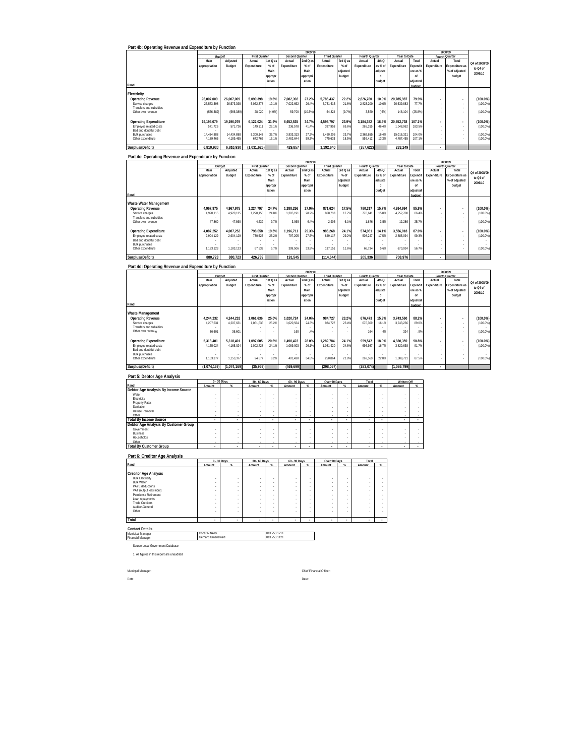| Part 4b: Operating Revenue and Expenditure by Function                                                      |                       |             |                                |                |                          | 2009/1                   |                                |                    |                          |                           |                        |                     |                          | 2008/09                                |               |
|-------------------------------------------------------------------------------------------------------------|-----------------------|-------------|--------------------------------|----------------|--------------------------|--------------------------|--------------------------------|--------------------|--------------------------|---------------------------|------------------------|---------------------|--------------------------|----------------------------------------|---------------|
|                                                                                                             | Budget<br>Main        | Adjusted    | <b>First Quarter</b><br>Actual | $1st$ Q a      | Second Quarter<br>Actual | 2ndQa                    | <b>Third Quarter</b><br>Actual | 3rd Q as           | Fourth Quarter<br>Actual | 4th <sub>Q</sub>          | Year to Date<br>Actual | Total               | Fourth Quarter<br>Actual | Total                                  | O4 of 2008/09 |
|                                                                                                             | appropriation         | Budget      | Expenditure                    | $%$ of<br>Main | Expenditure              | $%$ of<br>Main           | Expenditure                    | $%$ of<br>adjusted | Expenditure              | as % of<br>adjuste        | Expenditure            | <b>Expendit</b>     | Expenditure              | <b>Expenditure as</b><br>% of adjusted | to Q4 of      |
|                                                                                                             |                       |             |                                | approp         |                          | appropri                 |                                | budget             |                          | d                         |                        | ure as 9<br>of      |                          | budget                                 | 2009/10       |
| Rand                                                                                                        |                       |             |                                | iation         |                          | ation                    |                                |                    |                          | budget                    |                        | adjusted            |                          |                                        |               |
|                                                                                                             |                       |             |                                |                |                          |                          |                                |                    |                          |                           |                        | budget              |                          |                                        |               |
| Electricity<br><b>Operating Revenue</b>                                                                     | 26.007.009            | 26,007,009  | 5.090.398                      | 19.6%          | 7.082.392                | 27.29                    | 5,786,437                      | 22.2%              | 2,826,760                | 10.9%                     | 20.785.987             | 79.9%               | ä,                       |                                        | $(100.0\%)$   |
| Service charges                                                                                             | 26,573,398            | 26,573,398  | 5,062,378                      | 19.19          | 7,022,692                | 26.49                    | 5,731,613                      | 21.69              | 2,823,200                | 10.69                     | 20,639,883             | 77.79               |                          |                                        | (100.0%       |
| Transfers and subsidies<br>Other own revenue                                                                | (566, 389)            | (566.389)   | 28,020                         | (4.9%          | 59,700                   | (10.5%)                  | 54.824                         | (9.7%              | 3.560                    | (6%                       | 146,104                | (25.8%              |                          |                                        | (100.0%       |
| <b>Operating Expenditure</b>                                                                                | 19.196.079            | 19,196,079  | 6,122,024                      | 31.9%          | 6,652,535                | 34.79                    | 4.593.797                      | 23.99              | 3,184,382                | 16.6%                     | 20.552.738             | 107.1%              |                          |                                        | $(100.0\%)$   |
| Employee related costs                                                                                      | 571,726               | 571,726     | 149,111                        | 26.19          | 236,578                  | 41.49                    | 397,958                        | 69.69              | 265,315                  | 46.49                     | 1,048,962              | 183.5%              |                          |                                        | (100.0%       |
| Bad and doubtful debt<br><b>Bulk purchases</b>                                                              | 14 434 885            | 14 434 888  | 5.300.147                      | 36.79          | 3 9 3 3 3 1 3            | 27.29                    | 3.420.206                      | 23.75              | 2.362.655                | 16.49                     | 15 016 321             | 104.0%              | i,                       |                                        | (100.0%)      |
| Other expenditure                                                                                           | 4,189,465             | 4.189.465   | 672,766                        | 16.19          | 2,482,644                | 59.39                    | 775,633                        | 18.59              | 556,412                  | 13.3%                     | 4,487,455              | 107.1%              |                          |                                        | (100.0%       |
| Surplus/(Deficit)                                                                                           | 6,810,930             | 6,810,930   | (1,031,626)                    |                | 429,857                  |                          | 1,192,640                      |                    | (357, 622)               |                           | 233,249                |                     |                          |                                        |               |
| Part 4c: Operating Revenue and Expenditure by Function                                                      |                       |             |                                |                |                          |                          |                                |                    |                          |                           |                        |                     |                          |                                        |               |
|                                                                                                             | Budget                |             | First Quarter                  |                | Second Quarter           | 2009/1                   | <b>Third Quarter</b>           |                    | Fourth Quarter           |                           | Year to Date           |                     | Fourth Quarter           | 2008/09                                |               |
|                                                                                                             | Main                  | Adjusted    | Actual                         | 1st Q a        | Actual                   | 2ndQa                    | Actual                         | 3rd Q as           | Actual                   | 4th Q                     | Actual                 | Total               | Actual                   | Total                                  | Q4 of 2008/09 |
|                                                                                                             | appropriation         | Budget      | Expenditure                    | $%$ of<br>Main | Expenditure              | $%$ of<br>Main           | Expenditure                    | $%$ of<br>adjusted | Expenditure              | as % of<br>adjuste        | Expenditure            | xpendit<br>ure as 9 | Expenditure              | <b>Expenditure as</b><br>% of adjusted | to Q4 of      |
|                                                                                                             |                       |             |                                | approp         |                          | appropr                  |                                | budget             |                          | $\mathsf d$               |                        | of                  |                          | budget                                 | 2009/10       |
| Rand                                                                                                        |                       |             |                                | iation         |                          | ation                    |                                |                    |                          | budget                    |                        | ıdjusted<br>budget  |                          |                                        |               |
|                                                                                                             |                       |             |                                |                |                          |                          |                                |                    |                          |                           |                        |                     |                          |                                        |               |
| Waste Water Management<br><b>Operating Revenue</b>                                                          | 4,967,975             | 4,967,975   | 1,224,797                      | 24.7%          | 1,388,256                | 27.9%                    | 871.624                        | 17.5%              | 780,317                  | 15.7%                     | 4,264,994              | 85.8%               |                          |                                        | $(100.0\%)$   |
| Service charges<br>Transfers and subsidies                                                                  | 4,920,115             | 4,920,115   | 1,220,158                      | 24.89          | 1,385,191                | 28.29                    | 868,718                        | 17.75              | 778,641                  | 15.89                     | 4,252,708              | 86.49               |                          |                                        | (100.0%       |
| Other own revenue                                                                                           | 47.860                | 47.860      | 4.639                          | 9.79           | 3.065                    | 6.49                     | 2.906                          | 6.1%               | 1.676                    | 3.5%                      | 12.286                 | 25.7%               |                          | ł,                                     | (100.0%       |
| <b>Operating Expenditure</b>                                                                                | 4,087,252             | 4,087,252   | 798,058                        | 19.5%          | 1,196,711                | 29.3%                    | 986,268                        | 24.1%              | 574,981                  | 14.1%                     | 3,556,018              | 87.0%               |                          |                                        | $(100.0\%)$   |
| Employee related costs                                                                                      | 2,904,129             | 2,904,129   | 730.525                        | 25.29          | 797,205                  | 27.59                    | 849,117                        | 29.29              | 508.247                  | 17.59                     | 2,885.094              | 99.3%               |                          |                                        | (100.0%       |
| Bad and doubtful debt<br>Bulk purchases                                                                     |                       |             |                                |                |                          |                          |                                |                    |                          |                           |                        |                     | ×                        |                                        |               |
| Other expenditure                                                                                           | 1,183,123             | 1,183,123   | 67,533                         | 5.79           | 399,506                  | 33.8%                    | 137,151                        | 11.6%              | 66,734                   | 5.6%                      | 670,924                | 56.7%               | ÷                        |                                        | (100.0%       |
| Surplus/(Deficit)                                                                                           | 880,723               | 880,723     | 426,739                        |                | 191,545                  |                          | (114.644                       |                    | 205,336                  |                           | 708,976                |                     |                          |                                        |               |
| Part 4d: Operating Revenue and Expenditure by Function                                                      |                       |             |                                |                |                          |                          |                                |                    |                          |                           |                        |                     |                          |                                        |               |
|                                                                                                             |                       |             | <b>First Quarte</b>            |                | Second Quarter           | 2009/10                  | <b>Third Quarte</b>            |                    | Fourth Quarter           |                           | Year to Date           |                     | Fourth Quarter           | 2008/09                                |               |
|                                                                                                             | Main                  | Adiusted    | Actual                         | 1stQa          | Actual                   | 2ndQa                    | Actual                         | 3rd Q as           | Actual                   | 4th Q                     | Actual                 | Total               | Actual                   | Total                                  | Q4 of 2008/09 |
|                                                                                                             | appropriation         | Budget      | Expenditure                    | $%$ of<br>Main | Expenditure              | $%$ of<br>Main           | Expenditure                    | $%$ of<br>adjusted | Expenditure              | as % ol<br>adjuste        | Expenditure            | xpendi<br>ure as 9  | Expenditure              | Expenditure as<br>% of adjusted        | to Q4 of      |
|                                                                                                             |                       |             |                                | approp         |                          | appropr                  |                                | budget             |                          | d                         |                        | of                  |                          | budget                                 | 2009/10       |
| Rand                                                                                                        |                       |             |                                | iation         |                          | ation                    |                                |                    |                          | budget                    |                        | adiustec<br>udae    |                          |                                        |               |
|                                                                                                             |                       |             |                                |                |                          |                          |                                |                    |                          |                           |                        |                     |                          |                                        |               |
| Waste Management<br><b>Operating Revenue</b>                                                                | 4,244,232             | 4,244,232   | 1,061,636                      | 25.0%          | 1,020,724                | 24.0%                    | 984,727                        | 23.29              | 676,473                  | 15.9%                     | 3,743,560              | 88.2%               |                          |                                        | $(100.0\%)$   |
| Service charges<br>Transfers and subsidies                                                                  | 4,207,631             | 4,207,631   | 1,061,636                      | 25.29          | 1,020,564                | 24.3%                    | 984,727                        | 23.4%              | 676,309                  | 16.1%                     | 3,743,236              | 89.0%               |                          |                                        | (100.0%       |
| Other own revenue                                                                                           | 36,601                | 36,601      |                                |                | 160                      | .4%                      |                                |                    | 164                      | .4%                       | 324                    | .9%                 |                          |                                        | (100.0%       |
| <b>Operating Expenditure</b>                                                                                | 5,318,401             | 5,318,401   | 1,097,605                      | 20.6%          | 1,490,423                | 28.0%                    | 1,282,784                      | 24.1%              | 959,547                  | 18.0%                     | 4,830,359              | 90.8%               |                          |                                        | $(100.0\%)$   |
| Employee related costs                                                                                      | 4,165,024             | 4,165,024   | 1,002,728                      | 24.1%          | 1,089,003                | 26.1%                    | 1,031,920                      | 24.8%              | 696,987                  | 16.7%                     | 3,820,638              | 91.7%               |                          |                                        | (100.0%       |
| Bad and doubtful debt<br><b>Bulk purchases</b>                                                              |                       |             |                                |                |                          |                          |                                |                    |                          |                           |                        |                     |                          |                                        |               |
| Other expenditure                                                                                           | 1,153,377             | 1,153,377   | 94,877                         | 8.25           | 401,420                  | 34.89                    | 250,864                        | 21.85              | 262.560                  | 22.89                     | 1,009,721              | 87.59               | í,                       |                                        | (100.0%       |
| Surplus/(Deficit)                                                                                           | (1,074,169)           | (1,074,169) | (35,969)                       |                | (469,699)                |                          | (298, 057)                     |                    | (283, 074)               |                           | (1,086,799)            |                     |                          |                                        |               |
| Part 5: Debtor Age Analysis                                                                                 |                       |             |                                |                |                          |                          |                                |                    |                          |                           |                        |                     |                          |                                        |               |
| Rand                                                                                                        | 0 - 30 Days<br>Amount |             | 30 - 60 Days                   |                | 60 - 90 Days             |                          | Over 90 Days                   |                    | Total<br>Amount          |                           | Written Off            |                     |                          |                                        |               |
| Debtor Age Analysis By Income Source                                                                        |                       |             | Amount                         |                | Amount                   |                          | Amount                         |                    |                          |                           | Amount                 |                     |                          |                                        |               |
| Water<br>Electricity                                                                                        |                       |             |                                |                |                          |                          |                                |                    |                          |                           |                        |                     |                          |                                        |               |
| <b>Property Rates</b><br>Sanitation                                                                         |                       |             |                                | ż              |                          |                          | í,                             |                    | ż                        |                           |                        |                     |                          |                                        |               |
|                                                                                                             |                       |             |                                |                |                          |                          | í,                             |                    |                          | ×                         |                        |                     |                          |                                        |               |
| Refuse Removal                                                                                              |                       |             |                                | ż              |                          |                          |                                |                    |                          |                           |                        |                     |                          |                                        |               |
| Other                                                                                                       |                       |             |                                |                |                          |                          | $\overline{\phantom{a}}$       |                    |                          | $\cdot$                   |                        |                     |                          |                                        |               |
| <b>Total By Income Source</b><br>Debtor Age Analysis By Customer Group                                      |                       |             |                                |                |                          |                          |                                |                    |                          |                           |                        |                     |                          |                                        |               |
| Government<br><b>Business</b>                                                                               |                       | ×           |                                |                |                          |                          | ×,                             |                    | ×                        |                           |                        |                     |                          |                                        |               |
| Households<br>Other                                                                                         | ×                     | ٠           |                                | ×              |                          |                          | $\cdot$                        |                    |                          | ٠                         |                        |                     |                          |                                        |               |
| <b>Total By Customer Group</b>                                                                              |                       |             |                                |                |                          |                          |                                |                    |                          |                           |                        |                     |                          |                                        |               |
|                                                                                                             |                       |             |                                |                |                          |                          |                                |                    |                          |                           |                        |                     |                          |                                        |               |
| Part 6: Creditor Age Analysis                                                                               | 0 - 30 Days           |             | 30 - 60 Days                   |                | 60 - 90 Days             |                          | Over 90 Days                   |                    | Total                    |                           |                        |                     |                          |                                        |               |
| Rand                                                                                                        | Amount                |             | Amount                         | ×.             | Amount                   | $\alpha$                 | Amount                         |                    | Amount                   | $\alpha$                  |                        |                     |                          |                                        |               |
| <b>Creditor Age Analysis</b><br><b>Bulk Electricity</b>                                                     |                       |             |                                |                |                          |                          |                                |                    |                          |                           |                        |                     |                          |                                        |               |
| <b>Bulk Water</b>                                                                                           |                       | ×           |                                |                |                          |                          | à,                             |                    | $\epsilon$               | $\cdot$                   |                        |                     |                          |                                        |               |
| PAYE deductions<br>VAT (output less input)                                                                  |                       | ×           |                                | ×              |                          |                          | à,<br>ł,                       |                    | $\epsilon$<br>×          | $\cdot$<br>$\cdot$        |                        |                     |                          |                                        |               |
| Pensions / Retirement<br>Loan repayments                                                                    |                       | ×           |                                | ×              |                          | $\overline{\phantom{a}}$ | ł,<br>ł,                       |                    | ÷                        | $\frac{1}{2}$             |                        |                     |                          |                                        |               |
| <b>Trade Creditors</b><br>Auditor-General                                                                   |                       |             |                                | ł,<br>í,       |                          |                          | ł<br>í,                        |                    |                          | $\ddot{\phantom{0}}$<br>÷ |                        |                     |                          |                                        |               |
| Other                                                                                                       |                       |             |                                | ż              |                          |                          | í,                             |                    | à,                       | $\cdot$                   |                        |                     |                          |                                        |               |
| Total                                                                                                       |                       |             |                                |                |                          |                          |                                |                    |                          |                           |                        |                     |                          |                                        |               |
|                                                                                                             |                       |             |                                |                |                          |                          |                                |                    |                          |                           |                        |                     |                          |                                        |               |
| <b>Contact Details</b><br>Municipal Manager                                                                 | Oscar N Nkos          |             |                                | 013 253 1211   |                          |                          |                                |                    |                          |                           |                        |                     |                          |                                        |               |
|                                                                                                             | Gerhard Groenewald    |             |                                | 013 253 1121   |                          |                          |                                |                    |                          |                           |                        |                     |                          |                                        |               |
| <b>Financial Manager</b><br>Source Local Government Database<br>1. All figures in this report are unaudited |                       |             |                                |                |                          |                          |                                |                    |                          |                           |                        |                     |                          |                                        |               |

Date: Date:

Municpal Manager: Chief Financial Officer: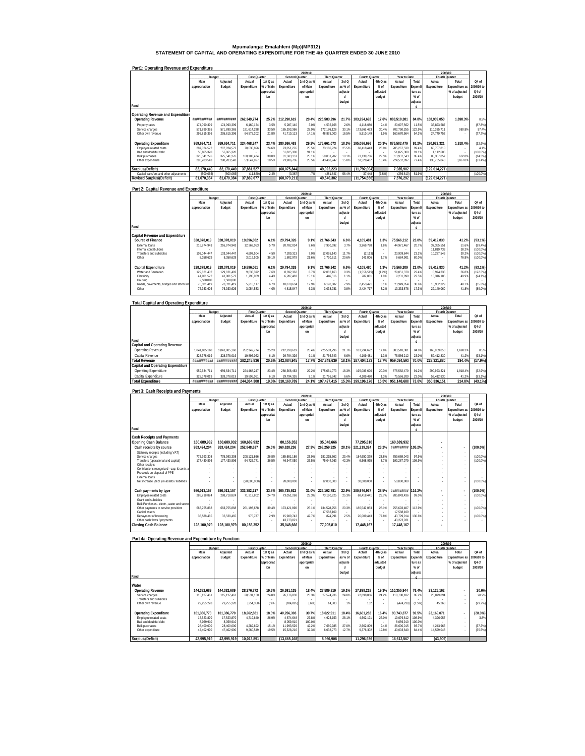# **Mpumalanga: Emalahleni (Mp)(MP312) STATEMENT OF CAPITAL AND OPERATING EXPENDITURE FOR THE 4th QUARTER ENDED 30 JUNE 2010**

|                                         |               |             |                      |            |                |             |                      |         |                |          | 2008/09      |         |               |                |             |
|-----------------------------------------|---------------|-------------|----------------------|------------|----------------|-------------|----------------------|---------|----------------|----------|--------------|---------|---------------|----------------|-------------|
|                                         |               | Budget      | <b>First Quarter</b> |            | Second Quarter |             | <b>Third Quarter</b> |         | Fourth Quarter |          | Year to Date |         |               | Fourth Quarter |             |
|                                         | Main          | Adjusted    | Actual               | 1st Q as   | Actual         | 2nd Q as %  | Actual               | 3rd Q   | Actual         | 4th Q as | Actual       | Total   | Actual        | Total          | Q4 of       |
|                                         | appropriation | Budget      | Expenditure          | % of Main  | Expenditure    | of Main     | Expenditure          | as % of | Expenditure    | $%$ of   | Expenditure  | Expendi | Expenditure   | Expenditure as | 2008/09 to  |
|                                         |               |             |                      | appropriat |                | appropriati |                      | adjuste |                | adjusted |              | ture as |               | % of adjusted  | Q4 of       |
|                                         |               |             |                      | inn        |                | nn          |                      |         |                | budget   |              | $%$ of  |               | budget         | 2009/10     |
|                                         |               |             |                      |            |                |             |                      | budget  |                |          |              | adiuste |               |                |             |
| Rand                                    |               |             |                      |            |                |             |                      |         |                |          |              |         |               |                |             |
|                                         |               |             |                      |            |                |             |                      |         |                |          |              |         |               |                |             |
| Operating Revenue and Expenditure       |               |             |                      |            |                |             |                      |         |                |          |              |         |               |                |             |
| <b>Operating Revenue</b>                | ***********   | *********** | 262.349.774          | 25.2%      | 212.290.619    |             | 20.4% 225.583.296    | 21.7%   | 183,294.692    | 17.6%    | 883.518.381  | 84.8%   | 168.909.050   | 1.698.3%       | 8.5%        |
| Property rates                          | 174.090.399   | 174.090.399 | 6.160.174            | 3.5%       | 5.287.140      | 3.0%        | 4.532.168            | 2.6%    | 4.118.080      | 2.4%     | 20.097.562   | 11.5%   | 33.823.587    | $\sim$         | (87.8%)     |
| Service charges                         | 571.899.365   | 571.899.365 | 191.614.298          | 33.5%      | 165.293.366    | 28.9%       | 172.176.128          | 30.1%   | 173.666.463    | 30.4%    | 702.750.255  | 122.9%  | 110.335.711   | 980.8%         | 57.4%       |
| Other own revenue                       | 295.815.396   | 295.815.396 | 64.575.302           | 21.8%      | 41.710.113     | 14.1%       | 48.875.000           | 16.5%   | 5.510.149      | 1 9%     | 160.670.564  | 54.3%   | 24.749.752    |                | (77.7%)     |
|                                         |               |             |                      |            |                |             |                      |         |                |          |              |         |               |                |             |
| <b>Operating Expenditure</b>            | 959.634.711   | 959.634.711 | 224.468.247          | 23.4%      | 280.366.463    |             | 29.2% 175.661.073    | 18.3%   | 195.086.696    | 20.3%    | 875.582.479  | 91.2%   | 290.923.321   | 1.918.4%       | (32.9%)     |
| Employee related costs                  | 287.024.572   | 287.024.572 | 70.636.896           | 24.6%      | 73.051.276     | 25.5%       | 73.160.924           | 25.5%   | 68.418.443     | 23.8%    | 285,267.539  | 99.4%   | 65,707,810    |                | 4.1%        |
| Bad and doubtful debt                   | 56.865.320    | 56.865.320  |                      |            | 51.825.300     | 91.1%       |                      |         |                |          | 51.825.300   | 91.1%   | 1.112.606     | $\sim$         | $(100.0\%)$ |
| Bulk purchases                          | 325.541.276   | 325.541.276 | 100.183.424          | 30.8%      | 81.583.151     | 25.1%       | 59.031.202           | 18.1%   | 73.139.766     | 22.5%    | 313.937.543  | 96.4%   | 85.367.857    | 632.8%         | (14.3%)     |
| Other expenditure                       | 290.203.543   | 290.203.543 | 53.647.927           | 18.5%      | 73.906.736     | 25.5%       | 43.468.947           | 15.0%   | 53.528.487     | 18.4%    | 224.552.097  | 77.4%   | 138.735.048   | 3.867.0%       | (61.4%)     |
|                                         |               |             |                      |            |                |             |                      |         |                |          |              |         |               |                |             |
| Surplus/(Deficit)                       | 82.170.449    | 82,170,449  | 37.881.527           |            | (68,075,844)   |             | 49.922.223           |         | (11, 792, 004) |          | 7.935.902    |         | (122.014.271) |                |             |
| Capital transfers and other adjustments | (500.065)     | (500.065)   | (11.850)             | 2.4%       | (3.367)        | .7%         | (281, 841)           | 56.4%   | 37.448         | (7.5%)   | (259.610)    | 51.9%   |               | $\sim$         | $(100.0\%)$ |
| <b>Revised Surplus/(Deficit)</b>        | 81.670.384    | 81.670.384  | 37,869,677           |            | (68.079.211)   |             | 49.640.382           |         | (11, 754, 556) |          | 7.676.292    |         | (122.014.271) |                |             |

# **Part1: Operating Revenue and Expenditure**

### **Part 2: Capital Revenue and Expenditure**

|                                                 |               |             |                      |            |                | 2009/10     |                      |         |                |          |              |         | 2008/09        |                |             |
|-------------------------------------------------|---------------|-------------|----------------------|------------|----------------|-------------|----------------------|---------|----------------|----------|--------------|---------|----------------|----------------|-------------|
|                                                 | Budget        |             | <b>First Quarter</b> |            | Second Quarter |             | <b>Third Quarter</b> |         | Fourth Quarter |          | Year to Date |         | Fourth Quarter |                |             |
|                                                 | Main          | Adjusted    | Actual               | 1st Q as   | Actual         | 2nd Q as %  | Actual               | 3rd Q   | Actual         | 4th Q as | Actual       | Total   | Actual         | Total          | Q4 of       |
|                                                 | appropriation | Budget      | Expenditure          | % of Main  | Expenditure    | of Main     | Expenditure          | as % of | Expenditure    | $%$ of   | Expenditure  | Expendi | Expenditure    | Expenditure as | 2008/09 to  |
|                                                 |               |             |                      | appropriat |                | appropriati |                      | adjuste |                | adjusted |              | ture as |                | % of adjusted  | Q4 of       |
|                                                 |               |             |                      | ion        |                | nn          |                      |         |                | budget   |              | $%$ of  |                | budget         | 2009/10     |
|                                                 |               |             |                      |            |                |             |                      | budget  |                |          |              | adjuste |                |                |             |
| Rand                                            |               |             |                      |            |                |             |                      |         |                |          |              |         |                |                |             |
|                                                 |               |             |                      |            |                |             |                      |         |                |          |              |         |                |                |             |
| Capital Revenue and Expenditure                 |               |             |                      |            |                |             |                      |         |                |          |              |         |                |                |             |
| Source of Finance                               | 328.378.019   | 328.378.019 | 19.896.062           | 6.1%       | 29.794.326     | 9.1%        | 21.766.343           | 6.6%    | 4.109.481      | 1.3%     | 75.566.212   | 23.0%   | 59.412.830     | 41.2%          | $(93.1\%)$  |
| External loans                                  | 216.974.943   | 216.974.943 | 12.269.053           | 5.7%       | 20.782.034     | 9.69        | 7.950.592            | 3.7%    | 3.969.788      | 1.8%     | 44.971.467   | 20.7%   | 37.365.551     | 51.6%          | (89.4%)     |
| Internal contributions                          |               |             |                      |            |                | $\sim$      |                      | $\sim$  |                |          |              | $\sim$  | 11.819.733     | 38.2%          | $(100.0\%)$ |
| Transfers and subsidies                         | 103.044.447   | 103.044.447 | 4.607.504            | 4.5%       | 7.209.313      | 7.0%        | 12.095.140           | 11.7%   | (2.113)        |          | 23.909.844   | 23.2%   | 10.227.546     | 30.2%          | $(100.0\%)$ |
| Other                                           | 8.358.629     | 8.358.629   | 3.019.505            | 36.1%      | 1.802.979      | 21.6%       | 1.720.611            | 20.6%   | 141.806        | 17%      | 6.684.901    | 80.09   |                | 76.8%          | $(100.0\%)$ |
|                                                 |               |             |                      |            |                |             |                      |         |                |          |              |         |                |                |             |
| <b>Capital Expenditure</b>                      | 328.378.019   | 328.378.019 | 19.896.061           | 6.1%       | 29.794.326     | 9.1%        | 21.766.342           | 6.6%    | 4.109.480      | 1.3%     | 75.566.209   | 23.0%   | 59.412.830     | 41.2%          | $(93.1\%)$  |
| Water and Sanitation                            | 129.621.402   | 129.621.402 | 9.833.372            | 7.6%       | 8.692.362      | 6.7%        | 12.082.163           | 9.3%    | (1.556.519)    | (1.2%)   | 29.051.378   | 22.4%   | 6.974.336      | 36.89          | $(122.3\%)$ |
| Electricity                                     | 41.001.572    | 41.001.572  | 1.790.039            | 4.4%       | 6.207.483      | 15.1%       | 446.516              | 1.1%    | 787.861        | 1.9%     | 9,231,899    | 22.59   | 13.316.105     | 49.9%          | (94.1%)     |
| Housing                                         | 2.500.000     | 2,500,000   |                      |            |                |             |                      | $\sim$  |                |          |              |         |                | ×.             |             |
| Roads, pavements, bridges and storm wa<br>Other | 78.321.419    | 78.321.419  | 5.218.117            | 6.7%       | 10.078.634     | 12.9%       | 6.198.882            | 7.9%    | 2.453.421      | 3.1%     | 23.949.054   | 30.6%   | 16.982.329     | 40.1%          | (85.6%)     |
|                                                 | 76.933.626    | 76.933.626  | 3.054.533            | 4.0%       | 4.815.847      | 6.3%        | 3,038,781            | 3.9%    | 2.424.717      | 3.2%     | 13.333.878   | 17.3%   | 22.140.060     | 41.8%          | $(89.0\%)$  |
|                                                 |               |             |                      |            |                |             |                      |         |                |          |              |         |                |                |             |

| <b>Total Capital and Operating Expenditure</b> |               |               |                      |            |                |             |                      |           |                   |          |              |         |             |                |            |
|------------------------------------------------|---------------|---------------|----------------------|------------|----------------|-------------|----------------------|-----------|-------------------|----------|--------------|---------|-------------|----------------|------------|
|                                                |               |               |                      |            |                | 2009/10     |                      |           |                   |          |              |         |             | 2008/09        |            |
|                                                |               | Budget        | <b>First Quarter</b> |            | Second Quarter |             | <b>Third Quarter</b> |           | Fourth Quarter    |          | Year to Date |         |             | Fourth Quarter |            |
|                                                | Main          | Adjusted      | Actual               | 1st Q as   | Actual         | 2nd Q as %  | Actual               | 3rd Q     | Actual            | 4th Q as | Actual       | Total   | Actual      | Total          | Q4 of      |
|                                                | appropriation | Budget        | Expenditure          | % of Main  | Expenditure    | of Main     | Expenditure          | as % of I | Expenditure       | $%$ of   | Expenditure  | Expendi | Expenditure | Expenditure as | 2008/09 to |
|                                                |               |               |                      | appropriat |                | appropriati |                      | adiuste   |                   | adiusted |              | ture as |             | % of adjusted  | Q4 of      |
|                                                |               |               |                      | inn        |                | nn          |                      |           |                   | budget   |              | $%$ of  |             | budget         | 2009/10    |
|                                                |               |               |                      |            |                |             |                      | budget    |                   |          |              | adjuste |             |                |            |
| Rand                                           |               |               |                      |            |                |             |                      |           |                   |          |              |         |             |                |            |
| Capital and Operating Revenue                  |               |               |                      |            |                |             |                      |           |                   |          |              |         |             |                |            |
| Operating Revenue                              | 1.041.805.160 | 1.041.805.160 | 262.349.774          | 25.2%      | 212.290.619    | 20.4%       | 225.583.296          | 21.7%     | 183.294.692       | 17.6%    | 883.518.381  | 84.8%   | 168.909.050 | 1.698.3%       | 8.5%       |
| Capital Revenue                                | 328.378.019   | 328.378.019   | 19.896.062           | 6 1%       | 29.794.326     | 9.1%        | 21.766.343           | 6.6%      | 4.109.481         | 1.3%     | 75.566.212   | 23.0%   | 59.412.830  | 41.2%          | (93.1%)    |
| <b>Total Revenue</b>                           | ***********   | ,,,,,,,,,,    | 282.245.836          | 20.6%      | 242.084.945    | 17.7%       | 247.349.639          | 18.1%     | 187.404.173       | 13.7%    | 959.084.593  | 70.0%   | 228.321.880 | 194.4%         | (17.9%)    |
| Capital and Operating Expenditure              |               |               |                      |            |                |             |                      |           |                   |          |              |         |             |                |            |
| Operating Expenditure                          | 959.634.711   | 959.634.711   | 224.468.247          | 23.4%      | 280.366.463    | 29.2%       | 175.661.073          | 18.3%     | 195.086.696       | 20.3%    | 875.582.479  | 91.2%   | 290.923.321 | 1.918.4%       | (32.9%)    |
| Capital Expenditure                            | 328.378.019   | 328.378.019   | 19.896.061           | 6.1%       | 29.794.326     | 9.1%        | 21.766.342           | 6.6%      | 4.109.480         | 1.3%     | 75.566.209   | 23.0%   | 59.412.830  | 41.2%          | (93.1%)    |
| <b>Total Expenditure</b>                       | ************  | ##########    | 244.364.308          | 19.0%      | 310.160.789    | 24.1%       | 197,427,415          |           | 15.3% 199.196.176 | 15.5%    | 951.148.688  | 73.8%   | 350.336.151 | 214.8%         | (43.1%)    |

#### **Part 3: Cash Receipts and Payments**

|                                                        |                            |                            |                           |                |                           | 2009/10        |                           |                |                          |               |                            |                 | 2008/09        |                          |             |
|--------------------------------------------------------|----------------------------|----------------------------|---------------------------|----------------|---------------------------|----------------|---------------------------|----------------|--------------------------|---------------|----------------------------|-----------------|----------------|--------------------------|-------------|
|                                                        | Budget                     |                            | <b>First Quarter</b>      |                | Second Quarter            |                | <b>Third Quarter</b>      |                | Fourth Quarter           |               | Year to Date               |                 | Fourth Quarter |                          |             |
|                                                        | Main                       | Adjusted                   | Actual                    | 1st Q as       | Actual                    | 2nd Q as %     | Actual                    | 3rd Q          | Actual                   | 4th Q as      | Actual                     | Total           | Actual         | Total                    | O4 of       |
|                                                        | appropriation              | Budget                     | Expenditure               | % of Main      | Expenditure               | of Main        | Expenditure               | as % of        | Expenditure              | $%$ of        | Expenditure                | <b>Expendi</b>  | Expenditure    | Expenditure as           | 2008/09 to  |
|                                                        |                            |                            |                           | appropriat     |                           | appropriati    |                           | adiuste        |                          | adjusted      |                            | ture as         |                | % of adjusted            | Q4 of       |
|                                                        |                            |                            |                           | inn            |                           | nn             |                           |                |                          | budget        |                            | $%$ of          |                | budget                   | 2009/10     |
|                                                        |                            |                            |                           |                |                           |                |                           | budget         |                          |               |                            | adiuste         |                |                          |             |
| Rand                                                   |                            |                            |                           |                |                           |                |                           |                |                          |               |                            |                 |                |                          |             |
|                                                        |                            |                            |                           |                |                           |                |                           |                |                          |               |                            |                 |                |                          |             |
| Cash Receipts and Payments                             |                            |                            |                           |                |                           |                |                           |                |                          |               |                            |                 |                |                          |             |
| Opening Cash Balance                                   | 160.689.932                | 160.689.932                | 160.689.932               |                | 80.156.352                |                | 35.048.666                |                | 77.205.810               |               | 160.689.932                |                 |                |                          |             |
| Cash receipts by source                                | 953.424.204                | 953.424.204                | 252,848,637               | 26.5%          | 260,628,236               | 27.3%          | 268,259,925               | 28.1%          | 221.219.324              | 23.2%         | ***********                | 105.2%          |                |                          | (100.0%     |
|                                                        |                            |                            |                           |                |                           |                |                           |                |                          |               |                            |                 |                | $\overline{\phantom{a}}$ |             |
| Statutory receipts (including VAT)                     |                            |                            |                           |                |                           |                |                           |                |                          |               |                            |                 |                |                          |             |
| Service charges<br>Transfers (operational and capital) | 775.993.308<br>177.430.896 | 775.993.308<br>177.430.896 | 208.121.866<br>64.726.771 | 26.8%<br>36.5% | 185.681.186<br>46.947.050 | 23.99<br>26.5% | 181,215.662<br>75.044.263 | 23.4%<br>42.3% | 184.650.329<br>6.568.995 | 23.8%<br>3.7% | 759.669.043<br>193,287.079 | 97.9%<br>108.9% |                | ٠                        | (100.0%     |
| Other receipts                                         |                            |                            |                           |                |                           |                |                           |                |                          |               |                            |                 |                | ٠                        | (100.0%     |
| Contributions recognised - cap. & contr. a             |                            |                            |                           |                |                           |                |                           |                |                          |               |                            |                 |                |                          |             |
| Proceeds on disposal of PPE                            |                            |                            |                           |                |                           |                |                           |                |                          |               |                            |                 |                |                          |             |
| <b>External loans</b>                                  |                            |                            |                           |                |                           |                |                           |                |                          |               |                            |                 |                |                          |             |
| Net increase (decr.) in assets / liabilities           |                            |                            | (20,000,000)              |                | 28.000.000                |                | 12.000.000                |                | 30,000,000               |               | 50.000.000                 |                 |                | ٠                        | (100.0%     |
|                                                        |                            |                            |                           |                |                           |                |                           |                |                          |               |                            |                 |                |                          |             |
| Cash payments by type                                  | 986.013.157                | 986.013.157                | 333.382.217               | 33.8%          | 305.735.922               | 31.0%          | 226.102.781               | 22.9%          | 280.976.967              | 28.5%         | ***********                | 116.2%          |                |                          | $(100.0\%)$ |
| Employee related costs                                 | 288.718.824                | 288.718.824                | 71.212.802                | 24.7%          | 73.051.268                | 25.3%          | 73.160.925                | 25.3%          | 68.418.441               | 23.7%         | 285.843.436                | 99.0%           |                |                          | $(100.0\%)$ |
| Grant and subsidies                                    |                            |                            |                           |                |                           |                |                           |                |                          |               |                            |                 |                |                          |             |
| Bulk Purchases - electr., water and sewer              |                            |                            |                           |                |                           |                |                           |                |                          |               |                            |                 |                |                          |             |
| Other payments to service providers                    | 663.755.868                | 663.755.868                | 261.193.678               | 39.4%          | 173.421.890               | 26.1%          | 134.528.756               | 20.3%          | 186.549.083              | 28.1%         | 755.693.407                | 113 9%          |                | ٠                        | (100.0%     |
| Capital assets                                         |                            |                            |                           | $\sim$         |                           | $\sim$         | 17.588.109                |                |                          | $\sim$        | 17.588.109                 |                 |                | ٠                        |             |
| Repayment of borrowing                                 | 33.538.465                 | 33.538.465                 | 975.737                   | 2.9%           | 15.989.743                | 47.7%          | 824.991                   | 2.5%           | 26.009.443               | 77.6%         | 43.799.914                 | 130.6%          |                | ×                        | $(100.0\%)$ |
| Other cash flows / payments                            |                            |                            |                           |                | 43.273.021                |                |                           |                |                          |               | 43.273.021                 |                 |                |                          |             |
| <b>Closing Cash Balance</b>                            | 128.100.979                | 128.100.979                | 80.156.352                |                | 35,048,666                |                | 77.205.810                |                | 17.448.167               |               | 17.448.167                 |                 |                |                          |             |
|                                                        |                            |                            |                           |                |                           |                |                           |                |                          |               |                            |                 |                |                          |             |

| Part 4a: Operating Revenue and Expenditure by Function |                          |                          |                        |                |                          |                |                      |                |                        |               |                          |                |                         |                          |            |
|--------------------------------------------------------|--------------------------|--------------------------|------------------------|----------------|--------------------------|----------------|----------------------|----------------|------------------------|---------------|--------------------------|----------------|-------------------------|--------------------------|------------|
|                                                        |                          |                          |                        |                |                          | 2009/10        |                      |                |                        |               |                          |                |                         | 2008/09                  |            |
|                                                        |                          | Budget                   | <b>First Quarter</b>   |                | Second Quarter           |                | <b>Third Quarter</b> |                | Fourth Quarter         |               | Year to Date             |                |                         | Fourth Quarter           |            |
|                                                        | Main                     | Adjusted                 | Actual                 | 1st Q as       | Actual                   | 2nd Q as %     | Actual               | 3rd Q          | Actual                 | 4th Q as      | Actual                   | Total          | Actual                  | Total                    | Q4 of      |
|                                                        | appropriation            | Budget                   | Expenditure            | % of Main      | Expenditure              | of Main        | Expenditure          | as % of        | Expenditure            | $%$ of        | Expenditure              | xpendi         | Expenditure             | <b>Expenditure as</b>    | 2008/09 to |
|                                                        |                          |                          |                        | appropriat     |                          | appropriati    |                      | adjuste        |                        | adjusted      |                          | ture as        |                         | % of adjusted            | Q4 of      |
|                                                        |                          |                          |                        | inn            |                          | nn             |                      |                |                        | budget        |                          | $%$ of         |                         | budget                   | 2009/10    |
|                                                        |                          |                          |                        |                |                          |                |                      | budget         |                        |               |                          | adiuste        |                         |                          |            |
| Rand                                                   |                          |                          |                        |                |                          |                |                      |                |                        |               |                          |                |                         |                          |            |
| Water                                                  |                          |                          |                        |                |                          |                |                      |                |                        |               |                          |                |                         |                          |            |
| Operating Revenue                                      | 144.382.689              | 144.382.689              | 28.276.772             | 19.6%          | 26.591.135               | 18.4%          | 27.589.819           | 19.1%          | 27.898.218             | 19.3%         | 110.355.944              | 76.4%          | 23.125.162              | $\overline{\phantom{a}}$ | 20.6%      |
| Service charges<br>Transfers and subsidies             | 115.127.461              | 115.127.461              | 28.531.130             | 24.8%          | 26.776.030               | 23.3%          | 27.574.936           | 24.0%          | 27.898.086             | 24.2%         | 110.780.182              | 96.2%          | 23.079.894              | $\sim$<br>$\sim$         | 20.9%      |
| Other own revenue                                      | 29.255.228               | 29.255.228               | (254.358)              | (.9%           | (184.895)                | $(.6\%)$       | 14.883               | 1%             | 132                    |               | (424.238)                | (1.5%          | 45.268                  | $\sim$                   | (99.7%     |
| <b>Operating Expenditure</b>                           | 101.386.770              | 101.386.770              | 18.262.881             | 18.0%          | 40.256.303               | 39.7%          | 18.622.911           | 18.4%          | 16.601.282             | 16.4%         | 93.743.377               | 92.5%          | 23.169.071              | $\overline{\phantom{a}}$ | (28.3%)    |
| Employee related costs                                 | 17.523.870               | 17.523.870               | 4.719.640              | 26.9%          | 4.874.648                | 27.8%          | 4.923.153            | 28.1%          | 4.562.171              | 26.0%         | 19.079.612               | 108.9%         | 4.396.057               | ٠                        | 3.8%       |
| Bad and doubtful debt                                  | 8.059.910                | 8.059.910                |                        |                | 8.059.910                | 100.0%         |                      |                |                        |               | 8.059.910                | 100.0%         |                         | ٠                        |            |
| <b>Bulk purchases</b>                                  | 28,400,000<br>47.402.990 | 28.400.000<br>47.402.990 | 4.282.692<br>9.260.549 | 15.1%<br>19.5% | 11.993.529<br>15.328.216 | 42.2%<br>32.3% | 7.660.985            | 27.0%<br>12.7% | 2.662.809<br>9.376.302 | 9.4%<br>19.8% | 26.600.015<br>40.003.840 | 93.7%<br>84.4% | 4.243.966<br>14.529.048 | ٠                        | (37.3%)    |
| Other expenditure                                      |                          |                          |                        |                |                          |                | 6,038,773            |                |                        |               |                          |                |                         | ٠                        | (35.5%)    |
| Surplus/(Deficit)                                      | 42.995.919               | 42.995.919               | 10.013.891             |                | (13.665.168)             |                | 8.966.908            |                | 11.296.936             |               | 16.612.567               |                | (43.909)                |                          |            |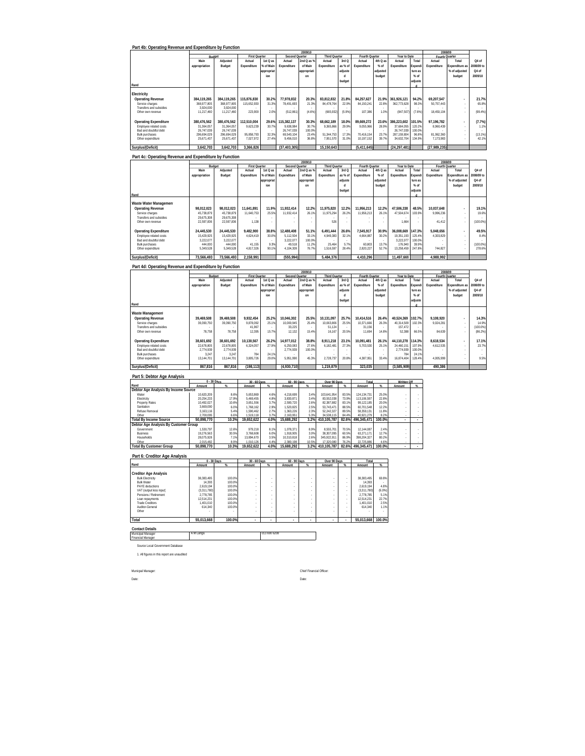| Part 4b: Operating Revenue and Expenditure by Function                 |                            |                            |                                |                        |                          | 2009/10                  |                                |                               |                           |                    |                            |                   | 2008/09                   |                                |                     |
|------------------------------------------------------------------------|----------------------------|----------------------------|--------------------------------|------------------------|--------------------------|--------------------------|--------------------------------|-------------------------------|---------------------------|--------------------|----------------------------|-------------------|---------------------------|--------------------------------|---------------------|
|                                                                        | Main                       | Budget<br>Adjusted         | <b>First Quarter</b><br>Actual | 1st Q as               | Second Quarter           | 2nd Q as 9               | <b>Third Quarter</b>           | 3rdQ                          | <b>Fourth Quarter</b>     | 4th Q as           | Year to Date               | Total             | Fourth Quarter<br>Actual  | Total                          | Q4 of               |
|                                                                        | appropriation              | Budget                     | Expenditure                    | % of Mair              | Actual<br>Expenditure    | of Main                  | Actual<br>Expenditure          | as % of                       | Actual<br>Expenditure     | $%$ of             | Actual<br>Expenditure      | :xpend            | Expenditure               | <b>Expenditure</b> as          | 008/09 to           |
|                                                                        |                            |                            |                                | appropria              |                          | appropriati              |                                | adjuste                       |                           | adiusted           |                            | ture as           |                           | % of adjusted                  | Q4 of               |
|                                                                        |                            |                            |                                | ion                    |                          | on                       |                                | $\mathsf{d}$<br>budget        |                           | budget             |                            | $%$ of<br>adjuste |                           | budget                         | 2009/10             |
| Rand                                                                   |                            |                            |                                |                        |                          |                          |                                |                               |                           |                    |                            |                   |                           |                                |                     |
| Electricity                                                            |                            |                            |                                |                        |                          |                          |                                |                               |                           |                    |                            |                   |                           |                                |                     |
| <b>Operating Revenue</b><br>Service charges                            | 384,119,265<br>368,977,805 | 384,119,265<br>368,977,805 | 115,876,830<br>115,652,930     | 30.2%<br>31.39         | 77,978,832<br>78,491,693 | 20.3%<br>21.3%           | 83,812,832<br>84,478,764       | 21.8%<br>22.9%                | 84,257,627<br>84,150,241  | 21.9%<br>22.8%     | 361,926,121<br>362,773,628 | 94.2%<br>98.39    | 69,207,547<br>50,757,443  | $\cdot$                        | 21.7%<br>65.8%      |
| Transfers and subsidies<br>Other own revenue                           | 3,924,000<br>11,217,460    | 3,924,000<br>11,217,460    | 223.900                        | 2.09                   | (512, 861)               | (4.6%                    | (665, 932)                     | (5.9%)                        | 107,386                   | 1.0%               | (847, 507)                 | (7.6%             | 18,450,104                | $\cdot$                        | (99.4%)             |
|                                                                        |                            |                            |                                |                        |                          |                          |                                |                               |                           |                    |                            |                   |                           |                                |                     |
| <b>Operating Expenditure</b><br>Employee related costs                 | 380,476,562<br>31,364,057  | 380,476,562<br>31,364,057  | 112,510,004<br>9,623,239       | 29.6%<br>30.79         | 115,382,137<br>9,638,984 | 30.3%<br>30.7%           | 68,662,189<br>9,365,86         | 18.0%<br>29.99                | 89,669,272<br>9,055,966   | 23.6%<br>28.99     | 386,223,602<br>37,684,055  | 101.5%<br>120.29  | 97,196,782<br>8,960,439   |                                | (7.7%)<br>1.1%      |
| Bad and doubtful debt<br><b>Bulk purchases</b>                         | 26,747,039<br>296,694,029  | 26,747,039<br>296,694,029  | 95,858,793                     | 32.39                  | 26,747,039<br>69,540,104 | 100.0%<br>23.4%          | 51,344,753                     | 17.3%                         | 70,416,154                | 23.79              | 26,747,039<br>287,159,804  | 100.09<br>96.89   | 81.062.360                | $\cdot$<br>$\cdot$             | (13.1%)             |
| Other expenditure                                                      | 25,671,437                 | 25,671,437                 | 7,027,972                      | 27.49                  | 9,456,010                | 36.89                    | 7,951,570                      | 31.0%                         | 10,197,152                | 39.79              | 34,632,704                 | 134.99            | 7,173,983                 | ÷,                             | 42.1%               |
| Surplus/(Deficit)                                                      | 3,642,703                  | 3,642,703                  | 3,366,826                      |                        | (37, 403, 305)           |                          | 15,150,643                     |                               | (5,411,645)               |                    | (24, 297, 481)             |                   | (27,989,235               |                                |                     |
| Part 4c: Operating Revenue and Expenditure by Function                 |                            |                            |                                |                        |                          |                          |                                |                               |                           |                    |                            |                   |                           |                                |                     |
|                                                                        |                            |                            |                                |                        |                          | 2009/10                  |                                |                               |                           |                    |                            |                   | 2008/09                   |                                |                     |
|                                                                        | Main                       | Adjusted                   | First Quarter<br>Actual        | 1st Q as               | Second Q<br>Actual       | uarter<br>2nd $Q$ as $9$ | <b>Third Quarter</b><br>Actual | 3rd Q                         | Fourth Quarter<br>Actual  | 4th Q as           | Year to Date<br>Actual     | Total             | Fourth Quarter<br>Actual  | Total                          | Q4 of               |
|                                                                        | appropriation              | Budget                     | Expenditure                    | % of Mair              | Expenditure              | of Main                  | Expenditure                    | as % of<br>adjuste            | Expenditure               | $%$ of<br>adjustec | Expenditure                | xpend<br>ture a:  | Expenditure               | xpenditure as<br>% of adjusted | 2008/09 to<br>Q4 of |
|                                                                        |                            |                            |                                | appropria<br>ion       |                          | appropriati<br>on        |                                | d                             |                           | budget             |                            | $%$ of            |                           | budget                         | 2009/10             |
| Rand                                                                   |                            |                            |                                |                        |                          |                          |                                | budget                        |                           |                    |                            | adjuste<br>d      |                           |                                |                     |
|                                                                        |                            |                            |                                |                        |                          |                          |                                |                               |                           |                    |                            |                   |                           |                                |                     |
| Waste Water Management<br><b>Operating Revenue</b>                     | 98.012.023                 | 98.012.023                 | 11,641,891                     | 11.99                  | 11.932.414               | 12.2%                    | 11,975,820                     | 12.2%                         | 11.956.213                | 12.2%              | 47.506.338                 | 48.5%             | 10.037.648                |                                | 19.1%               |
| Service charges<br>Transfers and subsidies                             | 45,738,879<br>29,675,308   | 45,738,879<br>29.675.308   | 11,640,753                     | 25.59                  | 11,932,414               | 26.19                    | 11,975,294                     | 26.2%                         | 11,956,213                | 26.19              | 47,504,674                 | 103.99            | 9,996,236                 | $\overline{\phantom{a}}$       | 19.69               |
| Other own revenue                                                      | 22,597,836                 | 22,597,836                 | 1,138                          |                        |                          |                          | 526                            |                               |                           |                    | 1,664                      |                   | 41.412                    | ÷,                             | $(100.0\%)$         |
| <b>Operating Expenditure</b>                                           | 24,445,530                 | 24 445 530                 | 9.482.900                      | 38.8%                  | 12.488.408               | 51.1%                    | 6.491.444                      | 26.6%                         | 7.545.917                 | 30.9%              | 36.008.669                 | 47.3%             | 5,048,656                 |                                | 49.5%               |
| Employee related costs                                                 | 15.429.925                 | 15.429.925                 | 4,624,419                      | 30.09                  | 5.112.504                | 33.19                    | 4,949,383                      | 32.1%                         | 4,664,887                 | 30.29              | 19.351.193                 | 125.49            | 4,303,829                 | ÷,                             | 8.4%                |
| Bad and doubtful debt<br><b>Bulk purchases</b>                         | 3.222.077<br>444,000       | 3,222,077<br>444.000       | 41.155                         | 9.3%                   | 3,222,077<br>49.518      | 100.09<br>11.29          | 25.464                         | 5.7%                          | 60.803                    | 13.79              | 3,222,077<br>176,940       | 100.0%<br>39.99   |                           | $\overline{\phantom{a}}$       | $(100.0\%)$         |
| Other expenditure                                                      | 5,349,528                  | 5.349.528                  | 4,817,326                      | 90.19                  | 4,104,309                | 76.79                    | 1,516,597                      | 28.4%                         | 2,820,227                 | 52.79              | 13,258,459                 | 247.8%            | 744.827                   |                                | 278.6%              |
| Surplus/(Deficit)                                                      | 73,566,493                 | 73,566,493                 | 2,158,991                      |                        | (555, 994)               |                          | 5,484,376                      |                               | 4.410.296                 |                    | 11,497,669                 |                   | 4,988,992                 |                                |                     |
| Part 4d: Operating Revenue and Expenditure by Function                 |                            |                            |                                |                        |                          |                          |                                |                               |                           |                    |                            |                   |                           |                                |                     |
|                                                                        |                            |                            | <b>First Quarter</b>           |                        | Second O                 | 2009/10<br><b>Jarter</b> | <b>Third Quarter</b>           |                               | Fourth Os                 | <u>rarter</u>      | Year to Date               |                   | 2008/09<br>Fourth Quarter |                                |                     |
|                                                                        | Main                       | Adjusted                   | Actual                         | 1st Q as               | Actual                   | 2nd Q as 9               | Actual                         | 3rd Q                         | Actual                    | 4th Q as           | Actual                     | Total             | Actual                    | Total                          | O4 of               |
|                                                                        | appropriation              | Budget                     | Expenditure                    | % of Main<br>appropria | Expenditure              | of Main<br>ippropriati   | Expenditure                    | as % of<br>adjuste            | Expenditure               | $%$ of<br>adjusted | Expenditure                | xpend<br>ture a:  | Expenditure               | xpenditure as<br>% of adjusted | 008/09 to<br>Q4 of  |
|                                                                        |                            |                            |                                | ion                    |                          | on                       |                                | d                             |                           | budget             |                            | $%$ of            |                           | budget                         | 2009/10             |
| Rand                                                                   |                            |                            |                                |                        |                          |                          |                                | budget                        |                           |                    |                            | adjust            |                           |                                |                     |
| Waste Management                                                       |                            |                            |                                |                        |                          |                          |                                |                               |                           |                    |                            |                   |                           |                                |                     |
| <b>Operating Revenue</b>                                               | 39,469,508                 | 39.469.508                 | 9.932.454                      | 25.2%                  | 10,046,302               | 25.5%                    | 10,131,097                     | 25.7%                         | 10,414,516                | 26.4%              | 40,524,369                 | 102.7%            | 9.108.920                 |                                | 14.3%               |
| Service charges<br>Transfers and subsidies                             | 39.390.750                 | 39.390.750                 | 9.878.092<br>41.967            | 25.19                  | 10.000.945<br>33.225     | 25.4%                    | 10.063.806<br>51.124           | 25.5%                         | 10.371.666<br>31.156      | 26.39              | 40.314.509<br>157.472      | 102.3%            | 9.024.281                 | $\sim$<br>$\sim$               | 14.9%<br>(100.0%)   |
| Other own revenue                                                      | 78,758                     | 78,758                     | 12,395                         | 15.79                  | 12,132                   | 15.49                    | 16, 16                         | 20.5%                         | 11,694                    | 14.89              | 52.388                     | 66.59             | 84,639                    | $\overline{\phantom{a}}$       | (86.2%)             |
| <b>Operating Expenditure</b>                                           | 38,601,692                 | 38,601,692                 | 10,130,567                     | 26.2%                  | 14,977,012               | 38.8%                    | 8,911,218                      | 23.1%                         | 10,091,481                | 26.1%              | 44,110,278                 | 14.3%             | 8.618.534                 |                                | 17.1%               |
| Employee related costs<br>Bad and doubtful debt                        | 22.678.805<br>2,774,939    | 22.678.805<br>2,774,939    | 6,324,057                      | 27.99                  | 6.250.083<br>2,774,939   | 27.69<br>100.0%          | 6.182.481                      | 27.3%                         | 5.703.530                 | 25.19              | 24.460.151<br>2,774,939    | 107.99<br>100.09  | 4.612.535                 | $\epsilon$<br>$\cdot$          | 23.7%               |
| <b>Bulk purchases</b><br>Other expenditure                             | 3,247<br>13,144,701        | 3,247<br>13,144,701        | 784<br>3,805,726               | 24.19<br>29.09         | 5,951,990                | 45.3%                    | 2,728,737                      | 20.8%                         | 4,387,951                 | 33.4%              | 784<br>16,874,404          | 24.19<br>128.49   | 4,005,999                 | ÷,                             | 9.5%                |
|                                                                        |                            |                            |                                |                        | (4,930,710)              |                          |                                |                               |                           |                    | (3,585,909)                |                   |                           |                                |                     |
| Surplus/(Deficit)                                                      | 867,816                    | 867,816                    | (198, 113)                     |                        |                          |                          | 1,219,879                      |                               | 323,035                   |                    |                            |                   | 490,386                   |                                |                     |
| Part 5: Debtor Age Analysis                                            |                            | 0 - 30 Days                | 30 - 60 Days                   |                        | 60 - 90 Days             |                          | Over 90 Days                   |                               | Total                     |                    | Written Off                |                   |                           |                                |                     |
|                                                                        | Amount                     |                            | Amount                         |                        | Amount                   |                          | Amount                         | -96                           | Amount                    |                    | Amount                     | %                 |                           |                                |                     |
| Debtor Age Analysis By Income Source<br>Water                          | 10.620.209                 | 8.6%                       | 5.653.869                      | 4.6%                   | 4.218.699                | 3.49                     | 103.641.954                    | 83.5%                         | 124.134.731               | 25.09              |                            |                   |                           |                                |                     |
| Electricity<br>Property Rates                                          | 20,254,233<br>10,492,027   | 17.9%<br>10.6%             | 5,469,455<br>3,651,556         | 4.8%<br>3.7%           | 3,830,871<br>2,590,720   | 3.4%<br>2.6%             | 83,552,038<br>82,387,882       | 73.9%<br>83.1%                | 113,106,597<br>99,122,185 | 22.89<br>20.09     |                            | ÷                 |                           |                                |                     |
| Sanitation<br>Refuse Removal                                           | 3,669,090<br>3,163,116     | 6.09<br>5.4%               | 1,768,162<br>1,590,462         | 2.99<br>2.79           | 1,520,825<br>1,363,226   | 2.59<br>2.3%             | 53,743,471<br>52,242,327       | 88.5%<br>89.5%                | 60,701,548<br>58,359,131  | 12.29<br>11.8%     |                            | ×                 |                           |                                |                     |
| Other                                                                  | 2,700,099                  | 6.69                       | 1,519,118                      | 3.79                   | 2,163,951                | 5.39                     | 34,538,119                     | 84.4%                         | 40,921,279                | 8.29               |                            |                   |                           |                                |                     |
| <b>Total By Income Source</b><br>Debtor Age Analysis By Customer Group | 50,898,770                 | 10.3%                      | 19,652,622                     | 4.0%                   | 15,688,292               | 3.2%                     | 410,105,787                    | 82.6%                         | 496,345,471               | 100.0%             |                            |                   |                           |                                |                     |
| Government<br><b>Business</b>                                          | 1.530.797<br>19.276.563    | 12.69<br>30.59             | 979.218<br>3,768,608           | 8.19<br>6.09           | 1.078.371<br>1.918.905   | 899<br>3.0%              | 8 555 701<br>38.307.095        | 70.59<br>60.5%                | 12.144.087<br>63.271.171  | 2.49<br>12.7%      |                            |                   |                           |                                |                     |
| Households                                                             | 28.075.928                 | 7.19                       | 13.894.670                     | 3.5%                   | 10.310.818               | 2.6%                     | 345.922.911                    | 86.9%                         | 398.204.327               | 80.29              |                            | $\epsilon$        |                           |                                |                     |
| Other<br><b>Total By Customer Group</b>                                | 2.015.482<br>50,898,770    | 8.99<br>10.3%              | 1.010.126<br>19,652,622        | 4.49<br>4.0%           | 2.380.198<br>15,688,292  | 10.59<br>3.2%            | 17.320.080<br>410,105,787      | 76.29<br>82.6%                | 22 725 886<br>496,345,471 | 4.69<br>100.0%     | ٠                          | $\cdot$           |                           |                                |                     |
|                                                                        |                            |                            |                                |                        |                          |                          |                                |                               |                           |                    |                            |                   |                           |                                |                     |
| Part 6: Creditor Age Analysis                                          |                            | 0 - 30 Days                | 30 - 60 Days                   |                        | 60 - 90 Days             |                          | Over 90 Days                   |                               | Total                     |                    |                            |                   |                           |                                |                     |
| Rand                                                                   | Amount                     |                            | Amount                         |                        | Amount                   |                          | Amount                         |                               | Amount                    |                    |                            |                   |                           |                                |                     |
| Creditor Age Analysis<br><b>Bulk Electricity</b>                       | 38,383,495                 | 100.0%                     |                                |                        |                          |                          |                                |                               | 38,383,495                | 69.8%              |                            |                   |                           |                                |                     |
| <b>Bulk Water</b>                                                      | 14,393                     | 100.0%                     | $\cdot$                        |                        |                          |                          |                                |                               | 14.393                    |                    |                            |                   |                           |                                |                     |
| PAYE deductions<br>VAT (output less input)                             | 2.619.194<br>(3.311.780)   | 100.0%<br>100.0%           | ÷,<br>$\cdot$                  | ä,<br>$\epsilon$       | ÷,<br>×                  | ł.<br>×                  |                                |                               | 2.619.194<br>(3.311.780)  | 489<br>(6.0%       |                            |                   |                           |                                |                     |
| Pensions / Retirement<br>Loan repayments                               | 2.778.785<br>12,514,231    | 100.0%<br>100.0%           | ÷,<br>ł,                       | $\epsilon$<br>à,       | ÷,<br>ł,                 | $\cdot$                  | ×.                             | ×<br>$\overline{\phantom{a}}$ | 2.778.785<br>12,514,231   | 5.19<br>22.79      |                            |                   |                           |                                |                     |
| <b>Trade Creditors</b><br>Auditor-General                              | 1,401,010<br>614,340       | 100.0%<br>100.0%           | ÷<br>ł,                        | ×                      | $\cdot$                  | ï                        |                                | $\cdot$                       | 1,401,010<br>614,340      | 2.5%<br>1.19       |                            |                   |                           |                                |                     |
| Other                                                                  |                            |                            | ł                              |                        | ÷                        |                          |                                |                               |                           |                    |                            |                   |                           |                                |                     |
| Total                                                                  | 55,013,668                 | 100.0%                     |                                |                        |                          |                          |                                |                               | 55,013,668                | 100.0%             |                            |                   |                           |                                |                     |
| <b>Contact Details</b>                                                 |                            |                            |                                |                        |                          |                          |                                |                               |                           |                    |                            |                   |                           |                                |                     |
| Municipal Manager                                                      | A M Langa                  |                            |                                | 013 690 6208           |                          |                          |                                |                               |                           |                    |                            |                   |                           |                                |                     |
| <b>Financial Manager</b>                                               |                            |                            |                                |                        |                          |                          |                                |                               |                           |                    |                            |                   |                           |                                |                     |
| Source Local Government Database                                       |                            |                            |                                |                        |                          |                          |                                |                               |                           |                    |                            |                   |                           |                                |                     |
| 1. All figures in this report are unaudited                            |                            |                            |                                |                        |                          |                          |                                |                               |                           |                    |                            |                   |                           |                                |                     |
|                                                                        |                            |                            |                                |                        |                          |                          |                                |                               |                           |                    |                            |                   |                           |                                |                     |
| Municpal Manager:                                                      |                            |                            |                                |                        |                          | Chief Financial Officer  |                                |                               |                           |                    |                            |                   |                           |                                |                     |
| Date                                                                   |                            |                            |                                |                        |                          | Date                     |                                |                               |                           |                    |                            |                   |                           |                                |                     |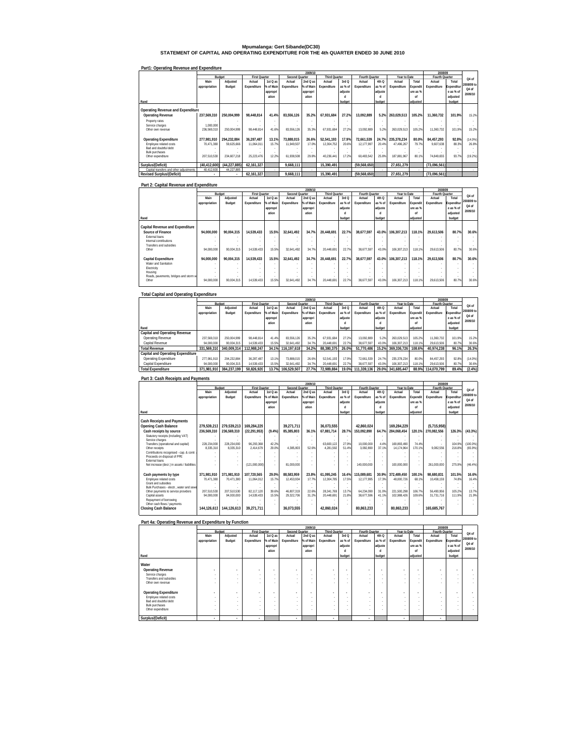**Mpumalanga: Gert Sibande(DC30) STATEMENT OF CAPITAL AND OPERATING EXPENDITURE FOR THE 4th QUARTER ENDED 30 JUNE 2010**

|--|

|                                         |               |              |                      |           |                | 2009/10   |                      |         |                |         |              |          | 2008/09        |                          |            |
|-----------------------------------------|---------------|--------------|----------------------|-----------|----------------|-----------|----------------------|---------|----------------|---------|--------------|----------|----------------|--------------------------|------------|
|                                         |               | Budget       | <b>First Quarter</b> |           | Second Quarter |           | <b>Third Quarter</b> |         | Fourth Quarter |         | Year to Date |          | Fourth Quarter |                          | Q4 of      |
|                                         | Main          | Adiusted     | Actual               | 1st Q as  | Actual         | 2nd Q as  | Actual               | 3rd Q   | Actual         | 4th Q   | Actual       | Total    | Actual         | Total                    |            |
|                                         | appropriation | Budget       | Expenditure          | % of Main | Expenditure    | % of Main | Expenditure          | as % of | Expenditure    | as % of | Expenditure  | Expendit | Expenditure    | Expenditur               | 2008/09 to |
|                                         |               |              |                      | appropri  |                | appropri  |                      | adjuste |                | adjuste |              | ure as % |                | e as % of                | Q4 of      |
|                                         |               |              |                      | ation     |                | ation     |                      |         |                |         |              | nf       |                | adjusted                 | 2009/10    |
| Rand                                    |               |              |                      |           |                |           |                      | budget  |                | budget  |              | adiusted |                | budget                   |            |
|                                         |               |              |                      |           |                |           |                      |         |                |         |              |          |                |                          |            |
| Operating Revenue and Expenditure       |               |              |                      |           |                |           |                      |         |                |         |              |          |                |                          |            |
| <b>Operating Revenue</b>                | 237.569.310   | 250.004.999  | 98.448.814           | 41.4%     | 83.556.126     | 35.2%     | 67.931.684           | 27.2%   | 13.092.889     | 5.2%    | 263.029.513  | 105.2%   | 11.360.732     | 101.9%                   | 15.2%      |
| Property rates                          |               |              |                      |           |                |           |                      |         |                |         |              |          |                |                          |            |
| Service charges                         | 000.000       |              |                      |           |                |           |                      |         |                |         |              |          |                | $\overline{\phantom{a}}$ |            |
| Other own revenue                       | 236.569.310   | 250.004.999  | 98.448.814           | 41.6%     | 83.556.126     | 35.3%     | 67.931.684           | 27.2%   | 13.092.889     | 5.2%    | 263.029.513  | 105.2%   | 11.360.732     | 101.9%                   | 15.2%      |
|                                         |               |              |                      |           |                |           |                      |         |                |         |              |          |                |                          |            |
| <b>Operating Expenditure</b>            | 277.981.910   | 294.232.884  | 36.287.487           | 13.1%     | 73.888.015     | 26.6%     | 52.541.193           | 17.9%   | 72.661.539     | 24.7%   | 235.378.234  | 80.0%    | 84.457.293     | 92.8%                    | (14.0%     |
| Employee related costs                  | 70.471.380    | 59.625.666   | 11.064.011           | 15.7%     | 11.949.507     | 17.0%     | 12.304.752           | 20.6%   | 12.177.997     | 20.4%   | 47.496.267   | 79.7%    | 9.607.638      | 88.3%                    | 26.8%      |
| Bad and doubtful debt                   |               |              |                      |           |                |           |                      |         |                |         |              |          |                |                          |            |
| <b>Bulk purchases</b>                   |               |              |                      |           |                |           |                      |         |                |         |              |          |                |                          |            |
| Other expenditure                       | 207.510.530   | 234.607.218  | 25.223.476           | 12.2%     | 61.938.508     | 29.8%     | 40.236.441           | 17.2%   | 60.483.542     | 25.8%   | 187.881.967  | 80.1%    | 74.849.655     | 93.7%                    | (19.2%)    |
|                                         |               |              |                      |           |                |           |                      |         |                |         |              |          |                |                          |            |
| Surplus/(Deficit)                       | (40.412.600)  | (44.227.885) | 62.161.327           |           | 9.668.111      |           | 15.390.491           |         | (59, 568, 650) |         | 27.651.279   |          | (73.096.561)   |                          |            |
| Capital transfers and other adjustments | 40.412.600    | 44.227.885   |                      |           |                |           |                      |         |                |         |              |          |                |                          |            |
| <b>Revised Surplus/(Deficit)</b>        | ٠             | ٠            | 62.161.327           |           | 9.668.111      |           | 15.390.491           |         | (59.568.650)   |         | 27.651.279   |          | (73.096.561)   |                          |            |

# **Part 2: Capital Revenue and Expenditure**

|                                        |               |               |                      |           |                | 2009/10   |                      |         |                |         |              |                 | 2008/09        |            |            |
|----------------------------------------|---------------|---------------|----------------------|-----------|----------------|-----------|----------------------|---------|----------------|---------|--------------|-----------------|----------------|------------|------------|
|                                        |               | <b>Budget</b> | <b>First Quarter</b> |           | Second Quarter |           | <b>Third Quarter</b> |         | Fourth Quarter |         | Year to Date |                 | Fourth Quarter |            | Q4 of      |
|                                        | Main          | Adjusted      | Actual               | 1st Q as  | Actual         | $2ndQ$ as | Actual               | 3rd Q   | Actual         | 4th Q   | Actual       | Total           | Actual         | Total      |            |
|                                        | appropriation | Budget        | Expenditure          | % of Main | Expenditure    | % of Main | Expenditure          | as % of | Expenditure    | as % of | Expenditure  | <b>Expendit</b> | Expenditure    | Expenditur | 2008/09 to |
|                                        |               |               |                      | appropri  |                | appropri  |                      | adjuste |                | adjuste |              | ure as %        |                | e as % of  | Q4 of      |
|                                        |               |               |                      | ation     |                | ation     |                      | d       |                |         |              | nf              |                | adjusted   | 2009/10    |
| Rand                                   |               |               |                      |           |                |           |                      | budget  |                | budget  |              | adiusted        |                | budget     |            |
|                                        |               |               |                      |           |                |           |                      |         |                |         |              |                 |                |            |            |
| Capital Revenue and Expenditure        |               |               |                      |           |                |           |                      |         |                |         |              |                 |                |            |            |
| Source of Finance                      | 94.000.000    | 90.004.315    | 14.539.433           | 15.5%     | 32.641.492     | 34.7%     | 20.448.691           | 22.7%   | 38.677.597     | 43.0%   | 106.307.213  | 118.1%          | 29.613.506     | 80.7%      | 30.6%      |
| External loans                         |               |               |                      |           |                |           |                      |         |                |         |              |                 |                |            |            |
| Internal contributions                 |               |               |                      |           |                |           |                      |         |                |         |              |                 |                |            |            |
| Transfers and subsidies                |               |               |                      |           |                |           |                      |         |                |         |              |                 |                |            |            |
| Other                                  | 94.000.000    | 90.004.315    | 14.539.433           | 15.5%     | 32.641.492     | 34.7%     | 20.448.691           | 22.7%   | 38.677.597     | 43.0%   | 106.307.213  | 118.1%          | 29.613.506     | 80.7%      | 30.6%      |
|                                        |               |               |                      |           |                |           |                      |         |                |         |              |                 |                |            |            |
| Capital Expenditure                    | 94.000.000    | 90.004.315    | 14.539.433           | 15.5%     | 32.641.492     | 34.7%     | 20.448.691           | 22.7%   | 38.677.597     | 43.0%   | 106.307.213  | 118.1%          | 29.613.506     | 80.7%      | 30.6%      |
| Water and Sanitation                   |               |               |                      |           |                |           |                      |         |                |         |              |                 |                |            |            |
| Electricity                            |               |               |                      |           |                |           |                      |         |                |         |              |                 |                |            |            |
| Housing                                |               |               |                      |           |                |           |                      |         |                |         |              |                 |                |            |            |
| Roads, pavements, bridges and storm wa |               |               |                      |           |                |           |                      |         |                |         |              |                 |                | $\sim$     |            |
| Other                                  | 94.000.000    | 90.004.315    | 14.539.433           | 15.5%     | 32.641.492     | 34.7%     | 20.448.691           | 22.7%   | 38.677.597     | 43.0%   | 106.307.213  | 118.1%          | 29.613.506     | 80.7%      | 30.6%      |
|                                        |               |               |                      |           |                |           |                      |         |                |         |              |                 |                |            |            |

### **Total Capital and Operating Expenditure**

|                                      |               |             |                      |           |                | 2009/10   |                      |         |                |         |              |          | 2008/09           |            |            |
|--------------------------------------|---------------|-------------|----------------------|-----------|----------------|-----------|----------------------|---------|----------------|---------|--------------|----------|-------------------|------------|------------|
|                                      |               | Budget      | <b>First Quarter</b> |           | Second Quarter |           | <b>Third Quarter</b> |         | Fourth Quarter |         | Year to Date |          | Fourth Quarter    |            | Q4 of      |
|                                      | Main          | Adiusted    | Actual               | 1st Q as  | Actual         | $2ndQ$ as | Actual               | 3rd Q   | Actual         | 4th Q   | Actual       | Total    | Actual            | Total      |            |
|                                      | appropriation | Budget      | Expenditure          | % of Main | Expenditure    | % of Main | Expenditure          | as % of | Expenditure    | as % of | Expenditure  | Expendit | Expenditure       | Expenditur | 2008/09 to |
|                                      |               |             |                      | appropri  |                | appropri  |                      | adjuste |                | adjuste |              | ure as % |                   | e as % of  | Q4 of      |
|                                      |               |             |                      | ation     |                | ation     |                      | п       |                |         |              | nf       |                   | adjusted   | 2009/10    |
| Rand                                 |               |             |                      |           |                |           |                      | budget  |                | budget  |              | adiusted |                   | budget     |            |
| <b>Capital and Operating Revenue</b> |               |             |                      |           |                |           |                      |         |                |         |              |          |                   |            |            |
| Operating Revenue                    | 237.569.310   | 250.004.999 | 98.448.814           | 41.4%     | 83.556.126     | 35.2%     | 67.931.684           | 27.2%   | 13.092.889     | 5.2%    | 263.029.513  | 105.2%   | 11.360.732        | 101.9%     | 15.2%      |
| Capital Revenue                      | 94.000.000    | 90.004.315  | 14.539.433           | 15.5%     | 32.641.492     | 34.7%     | 20.448.691           | 22.7%   | 38.677.597     | 43.0%   | 106.307.213  | 118.1%   | 29.613.506        | 80.7%      | 30.6%      |
| <b>Total Revenue</b>                 | 331.569.310   | 340.009.314 | 112.988.247          | 34.1%     | 116.197.618    | 34.2%     | 88.380.375           | 26.0%   | 51.770.486     | 15.2%   | 369.336.726  | 108.6%   | 40.974.238        | 96.1%      | 26.3%      |
| Capital and Operating Expenditure    |               |             |                      |           |                |           |                      |         |                |         |              |          |                   |            |            |
| Operating Expenditure                | 277.981.910   | 294.232.884 | 36.287.487           | 13.1%     | 73.888.015     | 26.6%     | 52.541.193           | 17.9%   | 72.661.539     | 24.7%   | 235.378.234  | 80.0%    | 84.457.293        | 92.8%      | (14.0%     |
| Capital Expenditure                  | 94.000.000    | 90.004.315  | 14.539.433           | 15.5%     | 32.641.492     | 34.7%     | 20.448.691           | 22.7%   | 38.677.597     | 43.0%   | 106.307.213  | 118.1%   | 29.613.506        | 80.7%      | 30.6%      |
| <b>Total Expenditure</b>             | 371.981.910   | 384.237.199 | 50.826.920           | 13.7%     | 106.529.507    | 27.7%     | 72.989.884           | 19.0%   | 111.339.136    | 29.0%   | 341.685.447  |          | 88.9% 114.070.799 | 89.4%      | (2.4%)     |
|                                      |               |             |                      |           |                |           |                      |         |                |         |              |          |                   |            |            |

| Part 3: Cash Receipts and Payments                    |                           |                           |                          |                |                          |                |                          |                |                          |                |                            |                  |                          |                  |                 |
|-------------------------------------------------------|---------------------------|---------------------------|--------------------------|----------------|--------------------------|----------------|--------------------------|----------------|--------------------------|----------------|----------------------------|------------------|--------------------------|------------------|-----------------|
|                                                       |                           |                           |                          |                |                          | 2009/10        |                          |                |                          |                |                            |                  | 2008/09                  |                  |                 |
|                                                       |                           | Budget                    | <b>First Quarter</b>     |                | Second Quarter           |                | <b>Third Quarter</b>     |                | Fourth Quarter           |                | Year to Date               |                  | Fourth Quarter           |                  | 04 <sub>0</sub> |
|                                                       | Main                      | Adjusted                  | Actual                   | 1st Q as       | Actual                   | 2nd Q as       | Actual                   | 3rd Q          | Actual                   | 4th Q          | Actual                     | Total            | Actual                   | Total            |                 |
|                                                       | appropriation             | Budget                    | Expenditure              | % of Main      | Expenditure              | % of Main      | Expenditure              | as % of        | Expenditure              | as % of        | Expenditure                | Expendit         | Expenditure              | Expenditur       | 2008/09 to      |
|                                                       |                           |                           |                          | appropri       |                          | appropri       |                          | adjuste        |                          | adjuste        |                            | ure as %         |                          | e as % of        | 04 <sub>0</sub> |
|                                                       |                           |                           |                          | ation          |                          | ation          |                          |                |                          |                |                            | nf               |                          | adjusted         | 2009/10         |
| Rand                                                  |                           |                           |                          |                |                          |                |                          | budget         |                          | budget         |                            | adiusted         |                          | budget           |                 |
|                                                       |                           |                           |                          |                |                          |                |                          |                |                          |                |                            |                  |                          |                  |                 |
| <b>Cash Receipts and Payments</b>                     |                           |                           |                          |                |                          |                |                          |                |                          |                |                            |                  |                          |                  |                 |
| Opening Cash Balance                                  | 279.539.213               | 279.539.213               | 169.284.229              |                | 39.271.711               |                | 36.073.555               |                | 42.860.024               |                | 169.284.229                |                  | (5,715,958)              |                  |                 |
| Cash receipts by source                               | 236.569.310               | 236,569,310               | (22, 291, 953)           | (9.4%          | 85.385.803               | 36.1%          | 67.881.714               | 28.7%          | 153.092.890              | 64.7%          | 284.068.454                | 120.1%           | 270.082.556              | 126.3%           | (43.3%)         |
| Statutory receipts (including VAT)                    |                           |                           |                          |                |                          |                |                          |                |                          |                |                            |                  |                          |                  |                 |
| Service charges                                       |                           |                           |                          |                |                          |                |                          |                |                          |                |                            |                  |                          |                  |                 |
| Transfers (operational and capital)                   | 228.234.000               | 228.234.000               | 96.293.368               | 42.2%          |                          | ٠              | 63.600.122               | 27.9%          | 10.000.000               | 4.4%           | 169.893.490                | 74 4%            |                          | 104.9%           | (100.0%         |
| Other receipts                                        | 8.335.310                 | 8.335.310                 | 2.414.679                | 29.0%          | 4.385.803                | 52.6%          | 4.281.592                | 51.4%          | 3.092.890                | 37.1%          | 14.174.964                 | 170.1%           | 9.082.556                | 216.8%           | (65.9%)         |
| Contributions recognised - cap. & contr.              |                           |                           |                          |                |                          |                |                          |                |                          |                |                            |                  |                          |                  |                 |
| Proceeds on disposal of PPE                           |                           |                           |                          |                |                          |                |                          |                |                          |                |                            |                  |                          |                  |                 |
| <b>External loans</b>                                 |                           |                           |                          |                |                          |                |                          |                |                          |                |                            |                  |                          |                  |                 |
| Net increase (decr.) in assets / liabilities          |                           |                           | (121.000.000)            |                | 81.000.000               |                |                          |                | 140.000.000              |                | 100.000.000                |                  | 261.000.000              | 275.9%           | (46.4%)         |
| Cash payments by type                                 | 371.981.910               | 371,981,910               | 107.720.565              | 29.0%          | 88.583.959               | 23.8%          | 61.095.245               | 16.4%          | 115.089.681              | 30.9%          | 372.489.450                | 100.1%           | 98.680.831               | 101.5%           | 16.6%           |
| Employee related costs                                | 70.471.380                | 70.471.380                | 11.064.012               | 15.7%          | 12.453.934               | 17 7%          | 12.304.785               | 17.5%          | 12.177.995               | 17.3%          | 48.000.726                 | 68.1%            | 10.458.159               | 74.8%            | 16.4%           |
| Grant and subsidies                                   |                           |                           |                          |                |                          |                |                          |                |                          |                |                            |                  |                          |                  |                 |
| Bulk Purchases - electr., water and sewe              |                           |                           |                          |                |                          |                |                          |                |                          |                |                            |                  |                          |                  |                 |
|                                                       |                           |                           |                          |                |                          |                |                          |                |                          |                |                            |                  |                          |                  | 13.7%           |
| Other payments to service providers<br>Capital assets | 207.510.530<br>94.000.000 | 207.510.530<br>94,000,000 | 82.117.120<br>14.539.433 | 39.6%<br>15.5% | 46 807 319<br>29.322.706 | 22.6%<br>31.2% | 28.341.769<br>20.448.691 | 13.7%<br>21.8% | 64.234.090<br>38.677.596 | 31.0%<br>41.1% | 221.500.298<br>102.988.426 | 106.7%<br>109.6% | 56 490 956<br>31.731.716 | 105.2%<br>111.9% | 21.9%           |
|                                                       |                           |                           |                          |                |                          |                |                          |                |                          |                |                            |                  |                          |                  |                 |
| Repayment of borrowing<br>Other cash flows / payments |                           |                           |                          |                |                          |                |                          |                |                          |                |                            |                  |                          |                  |                 |
| <b>Closing Cash Balance</b>                           | 144.126.613               | 144.126.613               | 39.271.711               |                | 36.073.555               |                | 42.860.024               |                | 80.863.233               |                | 80.863.233                 |                  | 165.685.767              |                  |                 |
|                                                       |                           |                           |                          |                |                          |                |                          |                |                          |                |                            |                  |                          |                  |                 |

### **Part 4a: Operating Revenue and Expenditure by Function**

|                              |               |          |                          |                          |                | 2009/10   |                      |         |                          |                          |              |                          | 2008/09                  |                          |            |
|------------------------------|---------------|----------|--------------------------|--------------------------|----------------|-----------|----------------------|---------|--------------------------|--------------------------|--------------|--------------------------|--------------------------|--------------------------|------------|
|                              |               | Budget   | <b>First Quarter</b>     |                          | Second Quarter |           | <b>Third Quarter</b> |         | Fourth Quarter           |                          | Year to Date |                          | Fourth Quarter           |                          | Q4 of      |
|                              | Main          | Adjusted | Actual                   | 1st Q as                 | Actual         | $2ndQ$ as | Actual               | 3rd Q   | Actual                   | 4th Q                    | Actual       | Total                    | Actual                   | Total                    |            |
|                              | appropriation | Budget   | Expenditure              | % of Main                | Expenditure    | % of Main | Expenditure          | as % of | Expenditure              | as % of                  | Expenditure  | Expendit                 | Expenditure              | Expenditur               | 2008/09 to |
|                              |               |          |                          | appropri                 |                | appropri  |                      | adjuste |                          | adjuste                  |              | ure as %                 |                          | e as % of                | Q4 of      |
|                              |               |          |                          | ation                    |                | ation     |                      | d       |                          | d                        |              | nf                       |                          | adjusted                 | 2009/10    |
| Rand                         |               |          |                          |                          |                |           |                      | budget  |                          | budget                   |              | adjusted                 |                          | budget                   |            |
| Water                        |               |          |                          |                          |                |           |                      |         |                          |                          |              |                          |                          |                          |            |
|                              |               |          |                          |                          |                |           |                      |         |                          |                          |              |                          |                          |                          |            |
| <b>Operating Revenue</b>     |               |          | $\overline{\phantom{a}}$ | $\overline{\phantom{a}}$ | ٠              |           |                      | ٠       | $\overline{\phantom{a}}$ | $\overline{\phantom{a}}$ | ٠            | $\overline{\phantom{a}}$ | $\overline{\phantom{a}}$ | $\overline{\phantom{a}}$ |            |
| Service charges              | ٠             | $\sim$   | . .                      | $\sim$                   |                |           | $\sim$               |         | ٠                        | ٠                        | $\sim$       |                          | $\sim$                   | $\sim$                   |            |
| Transfers and subsidies      | ٠             | $\sim$   | $\overline{\phantom{a}}$ | ٠                        |                |           | $\sim$               | ٠       | ٠                        | ٠                        | ٠            |                          |                          | $\overline{\phantom{a}}$ |            |
| Other own revenue            | ٠             | $\sim$   | . .                      |                          |                |           |                      |         |                          |                          |              |                          |                          | $\sim$                   |            |
|                              |               |          |                          |                          |                |           |                      |         |                          |                          |              |                          |                          |                          |            |
| <b>Operating Expenditure</b> |               |          | $\blacksquare$           | $\bullet$                | ٠              |           |                      |         |                          | ٠                        | ٠            | ٠                        | ٠                        |                          |            |
| Employee related costs       | ٠             | $\sim$   | . .                      | ٠                        |                |           | $\sim$               |         | ٠                        | ٠                        | ٠            |                          |                          |                          |            |
| Bad and doubtful debt        | ٠             | $\sim$   | $\overline{\phantom{a}}$ | ٠                        |                |           | $\sim$               |         |                          |                          | ٠            |                          |                          | $\sim$                   |            |
| <b>Bulk purchases</b>        | ٠             | $\sim$   | . .                      |                          |                |           | $\sim$               |         |                          |                          |              |                          |                          |                          |            |
| Other expenditure            | ٠             | $\sim$   | $\overline{\phantom{a}}$ |                          |                |           | $\sim$               |         |                          | ٠                        | ٠            |                          |                          | $\sim$                   |            |
| Surplus/(Deficit)            |               | ٠        | ٠                        |                          | ٠              |           |                      |         | ٠                        |                          | ٠            |                          | ٠                        |                          |            |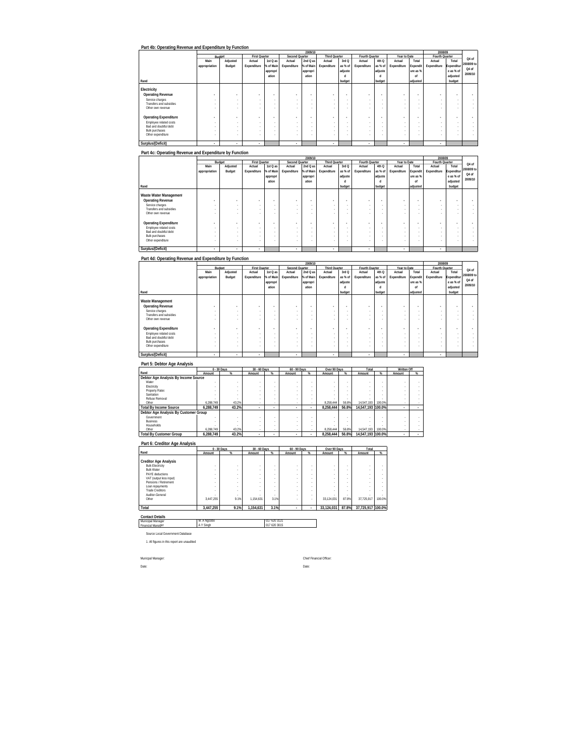|                              |               |          |                          |           |                | 2009/10   |               |         |                |                          |              |          | 2008/09        |            |            |
|------------------------------|---------------|----------|--------------------------|-----------|----------------|-----------|---------------|---------|----------------|--------------------------|--------------|----------|----------------|------------|------------|
|                              |               | Budget   | <b>First Quarter</b>     |           | Second Quarter |           | Third Quarter |         | Fourth Quarter |                          | Year to Date |          | Fourth Quarter |            | Q4 of      |
|                              | Main          | Adjusted | Actual                   | 1st Q as  | Actual         | 2nd Q as  | Actual        | 3rd Q   | Actual         | 4th Q                    | Actual       | Total    | Actual         | Total      |            |
|                              | appropriation | Budget   | Expenditure              | % of Main | Expenditure    | % of Main | Expenditure   | as % of | Expenditure    | as % of                  | Expenditure  | Expendit | Expenditure    | Expenditur | 2008/09 to |
|                              |               |          |                          | appropri  |                | appropri  |               | adjuste |                | adjuste                  |              | ure as % |                | e as % of  | Q4 of      |
|                              |               |          |                          | ation     |                | ation     |               | п       |                | п                        |              | nf       |                | adjusted   | 2009/10    |
| Rand                         |               |          |                          |           |                |           |               | budget  |                | budget                   |              | adiusted |                | budget     |            |
|                              |               |          |                          |           |                |           |               |         |                |                          |              |          |                |            |            |
| Electricity                  |               |          |                          |           |                |           |               |         |                |                          |              |          |                |            |            |
| <b>Operating Revenue</b>     |               | ۰        | . .                      |           |                |           |               |         |                | $\overline{\phantom{a}}$ |              | ۰        | ۰              |            |            |
| Service charges              |               | $\sim$   | $\sim$                   | . .       |                |           | $\sim$        | ٠       |                | ٠                        |              | $\sim$   | $\sim$         | $\sim$     |            |
| Transfers and subsidies      |               |          |                          |           |                |           |               |         |                |                          |              |          |                | $\sim$     |            |
| Other own revenue            |               |          |                          |           |                |           |               |         |                |                          |              |          |                | -          |            |
|                              |               |          |                          |           |                |           |               |         |                |                          |              |          |                |            |            |
| <b>Operating Expenditure</b> |               | ۰        | $\overline{\phantom{a}}$ |           |                |           |               |         |                | $\overline{\phantom{a}}$ |              | ٠        |                |            |            |
| Employee related costs       |               | $\sim$   |                          | . .       |                |           |               |         | ٠              | ٠                        | ٠            | $\sim$   |                | $\sim$     |            |
| Bad and doubtful debt        |               | $\sim$   | ×.                       | . .       |                |           | $\sim$        |         | ٠              |                          | ٠            | $\sim$   |                | $\sim$     |            |
| <b>Bulk purchases</b>        |               |          | $\sim$                   |           |                |           |               |         |                |                          |              |          |                |            |            |
| Other expenditure            |               | $\sim$   |                          |           |                |           |               |         |                |                          |              |          |                | $\sim$     |            |
|                              |               |          |                          |           |                |           |               |         |                |                          |              |          |                |            |            |
| Surplus/(Deficit)            | ٠             | ٠        | $\overline{a}$           |           | ٠              |           |               |         | ٠              |                          |              |          | ٠              |            |            |

**Part 4c: Operating Revenue and Expenditure by Function**

|                              |               |                   |                          |           |                | 2009/10   |               |         |                |         |              |          | 2008/09        |            |            |
|------------------------------|---------------|-------------------|--------------------------|-----------|----------------|-----------|---------------|---------|----------------|---------|--------------|----------|----------------|------------|------------|
|                              |               | Budget            | <b>First Quarter</b>     |           | Second Quarter |           | Third Quarter |         | Fourth Quarter |         | Year to Date |          | Fourth Quarter |            | Q4 of      |
|                              | Main          | Adjusted          | Actual                   | 1st Q as  | Actual         | 2nd Q as  | Actual        | 3rd Q   | Actual         | 4th Q   | Actual       | Total    | Actual         | Total      |            |
|                              | appropriation | Budget            | Expenditure              | % of Main | Expenditure    | % of Main | Expenditure   | as % of | Expenditure    | as % of | Expenditure  | Expendit | Expenditure    | Expenditur | 2008/09 to |
|                              |               |                   |                          | appropri  |                | appropri  |               | adjuste |                | adjuste |              | ure as % |                | e as % of  | Q4 of      |
|                              |               |                   |                          | ation     |                | ation     |               | п       |                | п       |              | nf       |                | adjusted   | 2009/10    |
| Rand                         |               |                   |                          |           |                |           |               | budget  |                | budget  |              | adjusted |                | budget     |            |
|                              |               |                   |                          |           |                |           |               |         |                |         |              |          |                |            |            |
| Waste Water Management       |               |                   |                          |           |                |           |               |         |                |         |              |          |                |            |            |
| <b>Operating Revenue</b>     |               | <b>COLLECTION</b> | . .                      |           | . .            |           |               |         |                |         |              | ۰        | ۰              |            |            |
| Service charges              |               | $\sim$            | $\sim$                   | . .       |                |           | $\sim$        | ٠       |                | ٠       |              | $\sim$   | $\sim$         | $\sim$     |            |
| Transfers and subsidies      |               |                   |                          |           |                |           |               |         |                |         |              |          |                | $\sim$     |            |
| Other own revenue            |               |                   |                          |           |                |           |               |         |                |         |              |          |                | -          |            |
|                              |               |                   |                          |           |                |           |               |         |                |         |              |          |                |            |            |
| <b>Operating Expenditure</b> |               |                   | $\overline{\phantom{a}}$ |           |                |           |               |         |                | ٠       |              | ٠        |                |            |            |
| Employee related costs       |               | $\sim$            |                          | . .       |                |           |               |         |                |         | ٠            | $\sim$   |                | $\sim$     |            |
| Bad and doubtful debt        |               |                   |                          |           |                |           |               |         |                |         |              |          |                | $\sim$     |            |
| Bulk purchases               |               |                   | $\sim$                   |           |                |           |               |         |                |         |              |          |                |            |            |
| Other expenditure            |               |                   |                          |           |                |           |               |         |                |         |              |          |                | $\sim$     |            |
|                              |               |                   |                          |           |                |           |               |         |                |         |              |          |                |            |            |
| Surplus/(Deficit)            | ٠             | ٠                 | ٠                        |           | ٠              |           |               |         |                |         | ٠            |          | ٠              |            |            |

### **Part 4d: Operating Revenue and Expenditure by Function**

|                              |                          |                          |                          |           |                | 2009/10   |               |           |                |         |              |          | 2008/09        |            |            |
|------------------------------|--------------------------|--------------------------|--------------------------|-----------|----------------|-----------|---------------|-----------|----------------|---------|--------------|----------|----------------|------------|------------|
|                              |                          | Budget                   | <b>First Quarter</b>     |           | Second Quarter |           | Third Quarter |           | Fourth Quarter |         | Year to Date |          | Fourth Quarter |            | Q4 of      |
|                              | Main                     | Adjusted                 | Actual                   | 1st Q as  | Actual         | $2ndQ$ as | Actual        | 3rd Q     | Actual         | 4th Q   | Actual       | Total    | Actual         | Total      |            |
|                              | appropriation            | Budget                   | Expenditure              | % of Main | Expenditure    | % of Main | Expenditure   | as % of   | Expenditure    | as % of | Expenditure  | Expendit | Expenditure    | Expenditur | 2008/09 to |
|                              |                          |                          |                          | appropri  |                | appropri  |               | adjuste   |                | adjuste |              | ure as % |                | e as % of  | Q4 of      |
|                              |                          |                          |                          | ation     |                | ation     |               | d         |                |         |              | of       |                | adjusted   | 2009/10    |
| Rand                         |                          |                          |                          |           |                |           |               | budget    |                | budget  |              | adjusted |                | budget     |            |
|                              |                          |                          |                          |           |                |           |               |           |                |         |              |          |                |            |            |
| Waste Management             |                          |                          |                          |           |                |           |               |           |                |         |              |          |                |            |            |
| <b>Operating Revenue</b>     | ۰                        | ۰                        | $\overline{\phantom{a}}$ | $\bullet$ | ٠              |           |               |           |                |         |              | ٠        | ۰              |            |            |
| Service charges              |                          | $\sim$                   | . .                      |           |                |           |               |           | ٠              |         | $\sim$       |          |                | $\sim$     |            |
| Transfers and subsidies      |                          |                          |                          | $\sim$    |                |           |               |           | ٠              |         | $\sim$       | $\sim$   |                | $\sim$     |            |
| Other own revenue            |                          |                          |                          |           |                |           |               |           |                |         | $\sim$       |          |                |            |            |
|                              |                          |                          |                          |           |                |           |               |           |                |         |              |          |                |            |            |
| <b>Operating Expenditure</b> | $\overline{\phantom{a}}$ | $\overline{\phantom{a}}$ | $\overline{\phantom{a}}$ | $\bullet$ |                | ۰         | ۰             | $\bullet$ |                |         |              |          |                |            |            |
| Employee related costs       |                          | $\sim$                   | . .                      |           |                |           |               |           | ٠              |         | $\sim$       | ٠        |                | $\sim$     |            |
| Bad and doubtful debt        |                          |                          | . .                      |           |                |           |               |           | ٠              |         | $\sim$       |          |                | $\sim$     |            |
| Bulk purchases               |                          |                          | $\sim$                   |           |                |           |               |           |                |         | $\sim$       |          |                | -          |            |
| Other expenditure            |                          |                          | $\overline{\phantom{a}}$ |           |                |           |               |           |                | ٠       | $\sim$       |          |                | $\sim$     |            |
|                              |                          |                          |                          |           |                |           |               |           |                |         |              |          |                |            |            |
| Surplus/(Deficit)            | ٠                        | ٠                        | ٠                        |           | ٠              |           |               |           | ٠              |         | ٠            |          | ٠              |            |            |

### **Part 5: Debtor Age Analysis**

|                                       |           | 0 - 30 Days | 30 - 60 Days |   | 60 - 90 Days |   | Over 90 Days |       | Total             |        | Written Off |   |
|---------------------------------------|-----------|-------------|--------------|---|--------------|---|--------------|-------|-------------------|--------|-------------|---|
| Rand                                  | Amount    | $\%$        | Amount       | % | Amount       | % | Amount       | $\%$  | Amount            | %      | Amount      | % |
| Debtor Age Analysis By Income Source  |           |             |              |   |              |   |              |       |                   |        |             |   |
| Water                                 |           |             |              |   |              |   |              |       |                   |        |             |   |
| Electricity                           |           |             |              |   |              |   |              |       |                   |        |             |   |
| Property Rates                        |           |             |              |   |              |   |              |       |                   |        |             |   |
| Sanitation                            |           |             |              |   |              |   |              |       |                   |        |             |   |
| Refuse Removal                        |           |             |              |   |              |   |              |       |                   |        |             |   |
| Other                                 | 6.288.749 | 43.2%       |              |   |              |   | 8.258.444    | 56.8% | 14.547.193        | 100.0% |             |   |
| <b>Total By Income Source</b>         | 6.288.749 | 43.2%       | ٠            |   |              |   | 8.258.444    | 56.8% | 14.547.193 100.0% |        |             |   |
| Debtor Age Analysis By Customer Group |           |             |              |   |              |   |              |       |                   |        |             |   |
| Government                            |           |             |              |   |              |   |              |       |                   |        |             |   |
| <b>Business</b>                       |           |             |              |   |              |   |              |       |                   |        |             |   |
| Households                            |           |             |              |   |              |   |              |       |                   |        |             |   |
| Other                                 | 6.288.749 | 43.2%       |              |   |              |   | 8.258.444    | 56.8% | 14.547.193        | 100.0% |             |   |
| <b>Total By Customer Group</b>        | 6.288.749 | 43.2%       |              |   |              |   | 8.258.444    | 56.8% | 14.547.193 100.0% |        |             |   |

|                                                  | 0 - 30 Days |                               | 30 - 60 Days |        | 60 - 90 Days |        | Over 90 Days |        | Total             |        |
|--------------------------------------------------|-------------|-------------------------------|--------------|--------|--------------|--------|--------------|--------|-------------------|--------|
| Rand                                             | Amount      | %                             | Amount       | %      | Amount       | %      | Amount       | $\%$   | Amount            | %      |
| <b>Creditor Age Analysis</b>                     |             |                               |              |        |              |        |              |        |                   |        |
| <b>Bulk Electricity</b><br><b>Bulk Water</b>     |             | ٠<br>$\sim$                   | ٠<br>٠       | ٠<br>٠ | ٠            | ٠<br>٠ | ٠<br>٠       | ٠      | ٠                 |        |
| PAYE deductions                                  |             | ٠                             | ٠            | ٠      | ٠            | ٠      | ٠            |        |                   |        |
| VAT (output less input)<br>Pensions / Retirement |             | ٠<br>٠                        | ٠<br>٠       | ٠<br>٠ | ٠<br>٠       | ٠<br>٠ | ٠<br>٠       | ٠<br>٠ |                   |        |
| Loan repayments<br><b>Trade Creditors</b>        |             | ٠                             | ٠<br>×,      | ٠      | ٠            | ٠<br>٠ | ٠            |        |                   |        |
| Auditor-General                                  |             | ٠<br>$\overline{\phantom{a}}$ | ×,           | ٠<br>٠ | ٠<br>٠       | ٠      | ٠<br>٠       | ٠<br>٠ |                   |        |
| Other                                            | 3.447.255   | 9.1%                          | 1.154.631    | 3.1%   | ٠            | ٠      | 33.124.031   | 87.8%  | 37.725.917        | 100.0% |
| Total                                            | 3.447.255   | 9.1%                          | 1.154.631    | 3.1%   | ٠            | ٠      | 33.124.031   | 87.8%  | 37,725,917 100.0% |        |

**Contact Details** Municipal Manager Financial Manager M. A Ngcobo 017 620 3121 A Y Singh 017 620 3015

Source Local Government Database 1. All figures in this report are unaudited

Municpal Manager: Chief Financial Officer:

Date: **Date:** Date: **Date:** Partners of the Contract of the Contract of the Contract of the Contract of the Contract of the Contract of the Contract of the Contract of the Contract of the Contract of the Contract of the Co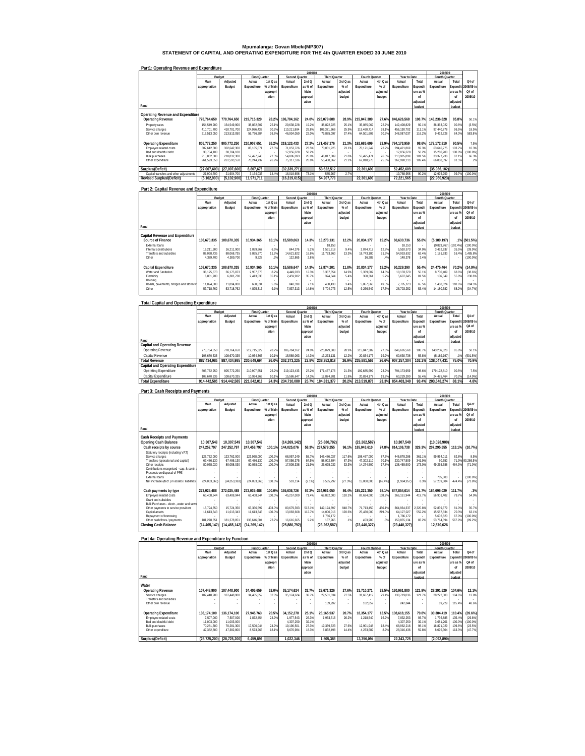# **Mpumalanga: Govan Mbeki(MP307) STATEMENT OF CAPITAL AND OPERATING EXPENDITURE FOR THE 4th QUARTER ENDED 30 JUNE 2010**

|                                         |               |               |                      |           |                | 2009/10  |                      |          |                |          |              |          | 2008/09        |          |            |
|-----------------------------------------|---------------|---------------|----------------------|-----------|----------------|----------|----------------------|----------|----------------|----------|--------------|----------|----------------|----------|------------|
|                                         |               | Budget        | <b>First Quarter</b> |           | Second Quarter |          | <b>Third Quarter</b> |          | Fourth Quarter |          | Year to Date |          | Fourth Quarter |          |            |
|                                         | Main          | Adjusted      | Actual               | 1st Q as  | Actual         | 2ndQ     | Actual               | 3rd Q as | Actual         | 4th Q as | Actual       | Total    | Actual         | Total    | Q4 of      |
|                                         | appropriation | Budget        | Expenditure          | % of Main | Expenditure    | as % of  | Expenditure          | $%$ of   | Expenditure    | $%$ of   | Expenditure  | Expendit | Expenditure    | Expendit | 2008/09 to |
|                                         |               |               |                      | appropri  |                | Main     |                      | adjusted |                | adjusted |              | ure as % |                | ure as % | Q4 of      |
|                                         |               |               |                      | ation     |                | appropri |                      | budget   |                | budget   |              | nf       |                | nf       | 2009/10    |
|                                         |               |               |                      |           |                | ation    |                      |          |                |          |              | adiusted |                | adiusted |            |
| Rand                                    |               |               |                      |           |                |          |                      |          |                |          |              | budget   |                | budget   |            |
|                                         |               |               |                      |           |                |          |                      |          |                |          |              |          |                |          |            |
| Operating Revenue and Expenditure       |               |               |                      |           |                |          |                      |          |                |          |              |          |                |          |            |
| <b>Operating Revenue</b>                | 778.764.650   | 778,764,650   | 219.715.329          | 28.2%     | 186.784.162    | 24.0%    | 225.079.688          | 28.9%    | 215.047.389    | 27.6%    | 846.626.568  | 108.7%   | 143.236.628    | 85.8%    | 50.1%      |
| Property rates                          | 154.549.900   | 154.549.900   | 38.862.607           | 25.1%     | 29.638.228     | 19.2%    | 38.822.925           | 25.1%    | 35.085.069     | 22.7%    | 142.408.829  | 92.1%    | 36.363.022     | 90.6%    | (3.5%)     |
| Service charges                         | 410.701.700   | 410.701.700   | 124.086.438          | 30.2%     | 110.211.884    | 26.8%    | 106.371.666          | 25.9%    | 115.460.714    | 28.1%    | 456.130.702  | 111.1%   | 97.440.878     | 96.5%    | 18.5%      |
| Other own revenue                       | 213,513,050   | 213,513,050   | 56.766.284           | 26.6%     | 46.934.050     | 22.0%    | 79.885.097           | 37.4%    | 64.501.606     | 30.2%    | 248.087.037  | 116.2%   | 9,432,728      | 64.09    | 583.8%     |
|                                         |               |               |                      |           |                |          |                      |          |                |          |              |          |                |          |            |
| <b>Operating Expenditure</b>            | 805.772.250   | 805.772.250   | 210.907.651          | 26.2%     | 219, 123, 433  | 27.2%    | 171.457.176          | 21.3%    | 192.685.699    | 23.9%    | 794.173.959  | 98.6%    | 179.172.810    | 90.5%    | 7.5%       |
| Employee related costs                  | 302.642.300   | 302.642.300   | 83.165.671           | 27.5%     | 71.053.726     | 23.5%    | 70.031.225           | 23.1%    | 70.171.247     | 23.2%    | 294.421.869  | 97.3%    | 63.646.275     | 103.7%   | 10.3%      |
| Bad and doubtful debt                   | 30.704.100    | 30.704.100    |                      |           | 17.856.078     | 58.2%    |                      |          |                |          | 17.856.078   | 58.2%    | 15.260.700     | 100.09   | (100.0%)   |
| <b>Bulk purchases</b>                   | 210.832.300   | 210.832.300   | 57.497.243           | 27.3%     | 54.896.093     | 26.0%    | 46.017.089           | 21.8%    | 55.495.474     | 26.3%    | 213.905.899  | 101.5%   | 33.377.238     | 87.1%    | 66.3%      |
| Other expenditure                       | 261.593.550   | 261.593.550   | 70.244.737           | 26.9%     | 75.317.536     | 28.8%    | 55.408.862           | 21.2%    | 67.018.978     | 25.6%    | 267.990.113  | 102.4%   | 66,888,597     | 81.5%    | .2%        |
|                                         |               |               |                      |           |                |          |                      |          |                |          |              |          |                |          |            |
| Surplus/(Deficit)                       | (27.007.600)  | (27.007.600)  | 8.807.678            |           | (32.339.271)   |          | 53.622.512           |          | 22.361.690     |          | 52.452.609   |          | (35,936,182)   |          |            |
| Capital transfers and other adiustments | 21.904.700    | 21.904.700    | 3.164.033            | 14.4%     | 16.019.656     | 73.1%    | 585.267              | 2.7%     |                |          | 19.768.956   | 90.2%    | 12.975.259     | 99.79    | (100.0%    |
| <b>Revised Surplus/(Deficit)</b>        | (5.102.900)   | (5, 102, 900) | 11.971.711           |           | (16.319.615)   |          | 54.207.779           |          | 22.361.690     |          | 72.221.565   |          | (22,960,923)   |          |            |

#### **Part1: Operating Revenue and Expenditure**

## **Part 2: Capital Revenue and Expenditure**

|                                       |               |             |                      |           |                       | 2009/10  |                      |           |                |          |              |          | 2008/09              |          |              |
|---------------------------------------|---------------|-------------|----------------------|-----------|-----------------------|----------|----------------------|-----------|----------------|----------|--------------|----------|----------------------|----------|--------------|
|                                       |               | Budget      | <b>First Quarter</b> |           | <b>Second Quarter</b> |          | <b>Third Quarter</b> |           | Fourth Quarter |          | Year to Date |          | Fourth Quarter       |          |              |
|                                       | Main          | Adjusted    | Actual               | 1st Q as  | Actual                | 2ndQ     | Actual               | 3rd Q as  | Actual         | 4th Q as | Actual       | Total    | Actual               | Total    | Q4 of        |
|                                       | appropriation | Budget      | Expenditure          | % of Main | Expenditure           | as % of  | Expenditure          | % of      | Expenditure    | % of     | Expenditure  | Expendit | Expenditure          | Expendit | 2008/09 to   |
|                                       |               |             |                      | appropri  |                       | Main     |                      | adiusted  |                | adiusted |              | ure as % |                      | ure as % | Q4 of        |
|                                       |               |             |                      | ation     |                       | appropri |                      | budget    |                | budget   |              | nf       |                      | nf       | 2009/10      |
|                                       |               |             |                      |           |                       | ation    |                      |           |                |          |              | adiusted |                      | adiusted |              |
| Rand                                  |               |             |                      |           |                       |          |                      |           |                |          |              | budget   |                      | budget   |              |
|                                       |               |             |                      |           |                       |          |                      |           |                |          |              |          |                      |          |              |
| Capital Revenue and Expenditure       |               |             |                      |           |                       |          |                      |           |                |          |              |          |                      |          |              |
| Source of Finance                     | 108.670.335   | 108.670.335 | 10.934.365           | 10.1%     | 15.589.063            | 14.3%    | 13.273.131           | 12.2%     | 20.834.177     | 19.2%    | 60.630.736   | 55.8%    | (5.189.197)          |          | .1% (501.5%) |
| External loans                        |               |             |                      |           |                       |          | 18.153               | <b>м.</b> |                |          | 18.153       |          | (9.823.767) (102.4%) |          | (100.0%      |
| Internal contributions                | 16.211.900    | 16.211.900  | 1.059.867            | 6.5%      | 844.376               | 5.2%     | 1.531.618            | 9.4%      | 2.074.712      | 12.8%    | 5.510.573    | 34.0%    | 3.452.637            | 35.5%    | (39.9%       |
| <b>Transfers and subsidies</b>        | 88.068.735    | 88.068.735  | 9.865.270            | 11.2%     | 14.621.822            | 16.69    | 11.723.360           | 13.3%     | 18.743.180     | 21.3%    | 54.953.632   | 62.4%    | 1.181.933            | 16.49    | .485.8%      |
| Other                                 | 4.389.700     | 4.389.700   | 9.228                | .2%       | 122.865               | 2.8%     |                      |           | 16.285         | .4%      | 148.378      | 3.4%     |                      |          | (100.0%      |
|                                       |               |             |                      |           |                       |          |                      |           |                |          |              |          |                      |          |              |
| <b>Capital Expenditure</b>            | 108.670.335   | 108.670.335 | 10.934.365           | 10.1%     | 15.586.647            | 14.3%    | 12.874.201           | 11.8%     | 20.834.177     | 19.2%    | 60.229.390   | 55.4%    | 24.475.464           | 70.2%    | (14.9%)      |
| Water and Sanitation                  | 36.175.873    | 36.175.873  | 2.957.376            | 8.2%      | 4.449.033             | 12.3%    | 5.387.354            | 14.9%     | 5.339.607      | 14.8%    | 18.133.370   | 50.1%    | 8.700.409            | 68.6%    | (38.6%)      |
| Electricity                           | 6.881.700     | 6.881.700   | 2,413,038            | 35.1%     | 2,459,902             | 35.7%    | 374.344              | 5.4%      | 360.361        | 5.2%     | 5.607.645    | 81.5%    | 106.349              | 55.8%    | 238.8%       |
| Housing                               |               |             |                      |           |                       |          |                      |           |                |          |              |          |                      |          |              |
| Roads, pavements, bridges and storm w | 11.894.000    | 11.894.000  | 668.634              | 5.6%      | 840.399               | 7.1%     | 408.430              | 3.4%      | 5.867.660      | 49.3%    | 7.785.123    | 65.5%    | 1.488.024            | 110.6%   | 294.3%       |
| Other                                 | 53.718.762    | 53.718.762  | 4,895,317            | 9.1%      | 7,837,313             | 14.69    | 6.704.073            | 12.5%     | 9.266.549      | 17.3%    | 28.703.252   | 53.4%    | 14.180.682           | 68.2%    | (34.7%)      |
|                                       |               |             |                      |           |                       |          |                      |           |                |          |              |          |                      |          |              |

| <b>Total Capital and Operating Expenditure</b> |               |             |                      |           |                |          |                      |          |                |          |              |          |                |          |            |
|------------------------------------------------|---------------|-------------|----------------------|-----------|----------------|----------|----------------------|----------|----------------|----------|--------------|----------|----------------|----------|------------|
|                                                |               |             |                      |           |                | 2009/10  |                      |          |                |          |              |          | 2008/09        |          |            |
|                                                |               | Budget      | <b>First Quarter</b> |           | Second Quarter |          | <b>Third Quarter</b> |          | Fourth Quarter |          | Year to Date |          | Fourth Quarter |          |            |
|                                                | Main          | Adjusted    | Actual               | 1st Q as  | Actual         | 2ndQ     | Actual               | 3rd Q as | Actual         | 4th Q as | Actual       | Total    | Actual         | Total    | Q4 of      |
|                                                | appropriation | Budget      | Expenditure          | % of Main | Expenditure    | as % of  | Expenditure          | % of     | Expenditure    | % of     | Expenditure  | Expendi  | Expenditure    | Expendit | 2008/09 to |
|                                                |               |             |                      | appropri  |                | Main     |                      | adiusted |                | adiusted |              | ure as % |                | ure as % | Q4 of      |
|                                                |               |             |                      | ation     |                | appropri |                      | budget   |                | budget   |              | n        |                | of       | 2009/10    |
|                                                |               |             |                      |           |                | ation    |                      |          |                |          |              | adiusted |                | adjusted |            |
| Rand                                           |               |             |                      |           |                |          |                      |          |                |          |              | budget   |                | budget   |            |
| Capital and Operating Revenue                  |               |             |                      |           |                |          |                      |          |                |          |              |          |                |          |            |
| Operating Revenue                              | 778.764.650   | 778.764.650 | 219.715.329          | 28.2%     | 186.784.162    | 24.0%    | 225.079.688          | 28.9%    | 215.047.389    | 27.6%    | 846.626.568  | 108.7%   | 143.236.628    | 85.8%    | 50.1%      |
| Capital Revenue                                | 108.670.335   | 108.670.335 | 10.934.365           | 10.1%     | 15.589.063     | 14.3%    | 13.273.131           | 12.2%    | 20.834.177     | 19.2%    | 60.630.736   | 55.8%    | (5.189.197)    |          | (501.5%)   |
| <b>Total Revenue</b>                           | 887.434.985   | 887.434.985 | 230.649.694          | 26.0%     | 202.373.225    | 22.8%    | 238.352.819          | 26.9%    | 235.881.566    | 26.6%    | 907.257.304  | 102.2%   | 138.047.431    | 75.0%    | 70.9%      |
| Capital and Operating Expenditure              |               |             |                      |           |                |          |                      |          |                |          |              |          |                |          |            |
| <b>Operating Expenditure</b>                   | 805.772.250   | 805.772.250 | 210.907.651          | 26.2%     | 219.123.433    | 27.2%    | 171.457.176          | 21.3%    | 192.685.699    | 23.9%    | 794.173.959  | 98.69    | 179.172.810    | 90.5%    | 7.5%       |
| Capital Expenditure                            | 108.670.335   | 108.670.335 | 10.934.365           | 10.1%     | 15.586.647     | 14.3%    | 12.874.201           | 11.8%    | 20.834.177     | 19.2%    | 60.229.390   | 55.4%    | 24.475.464     | 70.29    | (14.9%)    |
| <b>Total Expenditure</b>                       | 914.442.585   | 914.442.585 | 221.842.016          | 24.3%     | 234.710.080    | 25.7%    | 184.331.377          | 20.2%    | 213.519.876    | 23.3%    | 854.403.349  | 93.4%    | 203.648.274    | 88.1%    | 4.8%       |

#### **Part 3: Cash Receipts and Payments Rand Main appropriation Adjusted Budget Actual Expenditure 1st Q as % of Main appropri ation Actual Expenditure 2nd Q as % of Main appropri ation Actual Expenditure 3rd Q as % of adjusted budget Actual Expenditure 4th Q as % of adjusted budget Actual Expenditure Total Expend ure as % of adjusted budget Actual Fourth Quarter Expenditure Total Expendit ure as % of adjusted budget Cash Receipts and Payments Opening Cash Balance 10,307,54 10,307,549 10,307,54 9 (14,269,142 9 (25,880,792 ) (23,262,587 ) 10,307,54 ) (10,028,900 9 ) Cash receipts by source 247,252,797 247,252,797 247,458,797 100.1% 144,025,076 58.3% 237,579,255 96.1% 185,043,610 74.8% 814,106,738 329.3% 207,295,555 113.1% (10.7%)** Statutory receipts (including VAT) - - - - - - - - - - - - - - - Service charges 123,762,000 123,762,000 123,968,000 100.2% 68,957,249 55.7% 145,486,037 117.6% 108,467,000 87.6% 446,878,286 361.1% 99,954,011 82.8% 8.5% Transfers (operational and capital) 67,486,130 67,486,130 67,486,130 100.0% 57,056,375 84.5% 58,902,894 87.3% 47,302,110 70.1% 230,747,509 341.9% 50,652 71.9% 93,286.5% Other receipts 80,058,030 80,058,030 80,058,030 100.0% 17,508,338 21.9% 26,625,032 33.3% 14,274,500 17.8% 138,465,900 173.0% 49,265,688 464.3% (71.0%) Contributions recognised - cap. & contr. a - - - - - - - - - - - - - - - Proceeds on disposal of PPE - - - - - - - - - - - - - - - External loans - - - - - - - - - - - - 785,600 - (100.0%) Net increase (decr.) in assets / liabilities (24,053,363) (24,053,363) 100.0% 503,114 (24,053,363) (2.1%) 6,565,292 (27.3%) 15,000,000 (62.4%) 8.3% 57,239,604 (1,984,957) 474.4% (73.8%) **Cash payments by type 272,025,488 272,025,488 272,035,488 100.0% 155,636,726 57.2% 234,961,050 86.4% 185,221,350 68.1% 847,854,614 311.7% 184,696,029 111.7% .3%** Employee related costs 63,408,944 63,408,944 63,408,944 100.0% 45,257,000 71.4% 69,862,000 110.2% 87,624,000 138.2% 266,151,944 419.7% 56,901,402 79.7% 54.0% Grant and subsidies - - - - - - - - - - - - - - - Bulk Purchases - electr., water and sewe - - - - - - - - - - - - - - - Other payments to service providers 15,724,350 15,724,350 63,366,597 403.0% 80,679,393 513.1% 149,174,897 948.7% 71,713,450 456.1% 364,934,337 2,320.8% 52,839,679 81.0% 35.7% Capital assets 11,613,343 11,613,343 11,613,343 100.0% 13,083,668 112.7% 14,000,016 120.6% 25,430,000 219.0% 64,127,027 552.2% 15,587,834 70.3% 63.1% Repayment of borrowing - - - - - - 1,786,172 - - - 1,786,172 - 5,602,520 67.0% (100.0%) Other cash flows / payments 181,278,851 181,278,851 133,646,604 73.7% 16,616,665 9.2% 137,965 .1% 453,900 .3% 150,855,134 83.2% 53,764,594 567.9% (99.2%) **Closing Cash Balance (14,465,142 (14,465,142) (14,269,142 ) (25,880,792 ) (23,262,587 ) (23,440,327 ) (23,440,327 ) 12,570,62 ) 6 2009/10 2008/09 Q4 of 2008/09 to Q4 of 2009/10 Budget First Quarter Second Quarter Third Quarter Fourth Quarter Property Sear to Date**

| Part 4a: Operating Revenue and Expenditure by Function |               |              |                      |           |                       |          |                      |          |                |                          |              |          |                |             |            |
|--------------------------------------------------------|---------------|--------------|----------------------|-----------|-----------------------|----------|----------------------|----------|----------------|--------------------------|--------------|----------|----------------|-------------|------------|
|                                                        |               |              |                      |           |                       | 2009/10  |                      |          |                |                          |              |          | 2008/09        |             |            |
|                                                        |               | Budget       | <b>First Quarter</b> |           | <b>Second Quarter</b> |          | <b>Third Quarter</b> |          | Fourth Quarter |                          | Year to Date |          | Fourth Quarter |             |            |
|                                                        | Main          | Adjusted     | Actual               | 1st Q as  | Actual                | 2ndQ     | Actual               | 3rd Q as | Actual         | 4th Q as                 | Actual       | Total    | Actual         | Total       | Q4 of      |
|                                                        | appropriation | Budget       | Expenditure          | % of Main | Expenditure           | as % of  | Expenditure          | $%$ of   | Expenditure    | % of                     | Expenditure  | Expendit | Expenditure    | Expendit    | 2008/09 to |
|                                                        |               |              |                      | appropri  |                       | Main     |                      | adjusted |                | adjusted                 |              | ure as % |                | lure as % I | Q4 of      |
|                                                        |               |              |                      | ation     |                       | appropri |                      | budget   |                | budget                   |              | nf       |                | nf          | 2009/10    |
|                                                        |               |              |                      |           |                       | ation    |                      |          |                |                          |              | adiusted |                | adjusted    |            |
| Rand                                                   |               |              |                      |           |                       |          |                      |          |                |                          |              | hudnot   |                | hudget      |            |
| Water                                                  |               |              |                      |           |                       |          |                      |          |                |                          |              |          |                |             |            |
| <b>Operating Revenue</b>                               | 107.448.900   | 107.448.900  | 34.405.659           | 32.0%     | 35.174.624            | 32.7%    | 29.671.326           | 27.6%    | 31.710.271     | 29.5%                    | 130.961.880  | 121.9%   | 28.291.529     | 104.6%      | 12.1%      |
| Service charges                                        | 107.448.900   | 107.448.900  | 34.405.659           | 32.0%     | 35.174.624            | 32.7%    | 29.531.334           | 27.5%    | 31.607.419     | 29.4%                    | 130.719.036  | 121.7%   | 28.222.300     | 104.6%      | 12.0%      |
| Transfers and subsidies                                |               |              |                      |           |                       |          |                      |          |                |                          |              |          |                |             |            |
| Other own revenue                                      |               |              |                      |           |                       |          | 139.992              |          | 102.852        | $\overline{\phantom{a}}$ | 242.844      |          | 69.229         | 115.4%      | 48.6%      |
|                                                        |               |              |                      |           |                       |          |                      |          |                |                          |              |          |                |             |            |
| <b>Operating Expenditure</b>                           | 136.174.100   | 136.174.100  | 27.945.763           | 20.5%     | 34.152.278            | 25.1%    | 28.165.937           | 20.7%    | 18.354.177     | 13.5%                    | 108.618.155  | 79.8%    | 30.384.419     | 110.4%      | (39.6%)    |
| Employee related costs                                 | 7.507.000     | 7.507.000    | 1.872.454            | 24.9%     | 1.977.543             | 26.3%    | 1.963.716            | 26.2%    | 1.218.540      | 16.2%                    | 7.032.253    | 93.7%    | 1.736.885      | 135.4%      | (29.8%)    |
| Bad and doubtful debt                                  | 11.003.000    | 11.003.000   |                      |           | 4.307.250             | 39.1%    |                      | ٠        |                | $\overline{\phantom{a}}$ | 4.307.250    | 39.1%    | 3.681.201      | 100.09      | (100.0%)   |
| Bulk purchases                                         | 70.281.300    | 70.281.300   | 17.500.044           | 24.9%     | 19.190.501            | 27.3%    | 19.369.723           | 27.6%    | 12.901.948     | 18.4%                    | 68.962.216   | 98.1%    | 16.871.029     | 109.6%      | (23.5%)    |
| Other expenditure                                      | 47.382.800    | 47.382.800   | 8.573.265            | 18.1%     | 8.676.984             | 18.3%    | 6.832.498            | 14.4%    | 4.233.689      | 8.9%                     | 28.316.436   | 59.8%    | 8.095.304      | 113.3%      | (47.7%)    |
| Surplus/(Deficit)                                      | (28.725.200)  | (28.725.200) | 6.459.896            |           | 1.022.346             |          | 1.505.389            |          | 13.356.094     |                          | 22.343.725   |          | (2.092.890)    |             |            |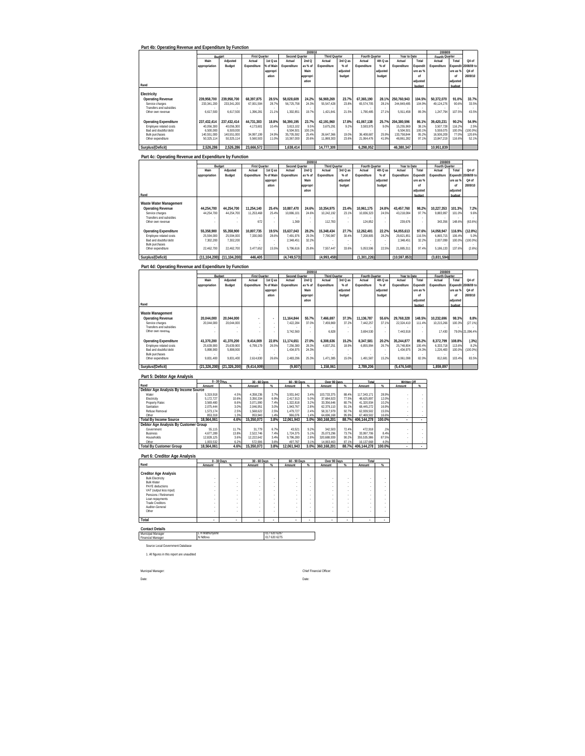|  | Part 4b: Operating Revenue and Expenditure by Function |  |
|--|--------------------------------------------------------|--|

|                                                                                                                               |                                                                     |                                                                     |                                                              |                                                              |                                                                  | 2009/10                                   |                                                     |                                 |                                                     |                                                     |                                                                     |                                            | 2008/09                                                          |                                              |                                              |
|-------------------------------------------------------------------------------------------------------------------------------|---------------------------------------------------------------------|---------------------------------------------------------------------|--------------------------------------------------------------|--------------------------------------------------------------|------------------------------------------------------------------|-------------------------------------------|-----------------------------------------------------|---------------------------------|-----------------------------------------------------|-----------------------------------------------------|---------------------------------------------------------------------|--------------------------------------------|------------------------------------------------------------------|----------------------------------------------|----------------------------------------------|
|                                                                                                                               |                                                                     | Budget                                                              | <b>First Quarter</b>                                         |                                                              | Second Quarter                                                   |                                           | <b>Third Quarter</b>                                |                                 | Fourth Quarter                                      |                                                     | Year to Date                                                        |                                            | Fourth Quarter                                                   |                                              |                                              |
|                                                                                                                               | Main                                                                | Adjusted                                                            | Actual                                                       | 1st Q as                                                     | Actual                                                           | 2ndQ                                      | Actual                                              | 3rd Q as                        | Actual                                              | 4th Q as                                            | Actual                                                              | Total                                      | Actual                                                           | Total                                        | Q4 of                                        |
|                                                                                                                               | appropriation                                                       | Budget                                                              | Expenditure                                                  | % of Main                                                    | Expenditure                                                      | as % of                                   | Expenditure                                         | % of                            | Expenditure                                         | % of                                                | Expenditure                                                         | Expendit                                   | Expenditure                                                      |                                              | Expendit 2008/09 to                          |
|                                                                                                                               |                                                                     |                                                                     |                                                              | appropri                                                     |                                                                  | Main                                      |                                                     | adjusted                        |                                                     | adjusted                                            |                                                                     | ure as %                                   |                                                                  | lure as % I                                  | Q4 of                                        |
|                                                                                                                               |                                                                     |                                                                     |                                                              | ation                                                        |                                                                  | appropri                                  |                                                     | budget                          |                                                     | budget                                              |                                                                     | nf                                         |                                                                  | of                                           | 2009/10                                      |
|                                                                                                                               |                                                                     |                                                                     |                                                              |                                                              |                                                                  | ation                                     |                                                     |                                 |                                                     |                                                     |                                                                     | adiusted                                   |                                                                  | adjusted                                     |                                              |
| Rand                                                                                                                          |                                                                     |                                                                     |                                                              |                                                              |                                                                  |                                           |                                                     |                                 |                                                     |                                                     |                                                                     | budget                                     |                                                                  | hudget                                       |                                              |
| Electricity<br>Operating Revenue<br>Service charges<br>Transfers and subsidies<br>Other own revenue                           | 239.958.700<br>233.341.200<br>٠<br>6.617.500                        | 239.958.700<br>233.341.200<br>6.617.500                             | 68.397.875<br>67.001.594<br>$\sim$<br>1.396.281              | 28.5%<br>28.7%<br>21.1%                                      | 58.028.609<br>56.725.758<br>1.302.851                            | 24.2%<br>24.3%<br>19.7%                   | 56.969.269<br>55.547.428<br>1.421.841               | 23.7%<br>23.8%<br>21.5%         | 67.365.190<br>65.574.705<br>1.790.485               | 28.1%<br>28.1%<br>$\overline{\phantom{a}}$<br>27.1% | 250.760.943<br>244.849.485<br>5.911.458                             | 104.5%<br>104.9%<br>89.3%                  | 50.372.070<br>49.124.276<br>1,247.794                            | 91.0%<br>90.6%<br>107.5%                     | 33.7%<br>33.5%<br>43.5%                      |
| <b>Operating Expenditure</b><br>Employee related costs<br>Bad and doubtful debt<br><b>Bulk purchases</b><br>Other expenditure | 237.432.414<br>40.056.300<br>6.500.000<br>140.551.000<br>50.325.114 | 237.432.414<br>40.056.300<br>6.500.000<br>140.551.000<br>50.325.114 | 44.731.303<br>4.173.601<br>$\sim$<br>34.997.199<br>5.560.503 | 18.8%<br>10.4%<br>$\overline{\phantom{a}}$<br>24.9%<br>11.0% | 56.390.195<br>3.813.102<br>6.504.501<br>35.705.592<br>10.367.000 | 23.7%<br>9.5%<br>100.1%<br>25.4%<br>20.6% | 42.191.960<br>3.675.291<br>26.647.366<br>11.869.303 | 17.8%<br>9.2%<br>19.0%<br>23.6% | 61.067.138<br>3.593.975<br>36.408.687<br>21.064.476 | 25.7%<br>9.0%<br>$\sim$<br>25.9%<br>41.9%           | 204.380.596<br>15.255.969<br>6.504.501<br>133.758.844<br>48.861.282 | 86.1%<br>38.19<br>100.1%<br>95.2%<br>97.1% | 39.420.231<br>3.507.728<br>5.559.075<br>16.506.209<br>13.847.219 | 90.2%<br>116.2%<br>100.09<br>77.0%<br>116.6% | 54.9%<br>2.5%<br>(100.0%)<br>120.6%<br>52.1% |
| Surplus/(Deficit)                                                                                                             | 2.526.286                                                           | 2.526.286                                                           | 23.666.572                                                   |                                                              | 1.638.414                                                        |                                           | 14.777.309                                          |                                 | 6.298.052                                           |                                                     | 46.380.347                                                          |                                            | 10.951.839                                                       |                                              |                                              |

|                                            |               |              |                      |           |                | 2009/10  |                      |          |                |                          |              |          | 2008/09        |                 |            |
|--------------------------------------------|---------------|--------------|----------------------|-----------|----------------|----------|----------------------|----------|----------------|--------------------------|--------------|----------|----------------|-----------------|------------|
|                                            |               | Budget       | <b>First Quarter</b> |           | Second Quarter |          | <b>Third Quarter</b> |          | Fourth Quarter |                          | Year to Date |          | Fourth Quarter |                 |            |
|                                            | Main          | Adjusted     | Actual               | 1st Q as  | Actual         | 2ndQ     | Actual               | 3rd Q as | Actual         | 4th Q as                 | Actual       | Total    | Actual         | Total           | Q4 of      |
|                                            | appropriation | Budget       | Expenditure          | % of Main | Expenditure    | as % of  | Expenditure          | $%$ of   | Expenditure    | % of                     | Expenditure  | Expendit | Expenditure    | <b>Expendit</b> | 2008/09 to |
|                                            |               |              |                      | appropri  |                | Main     |                      | adjusted |                | adjusted                 |              | ure as % |                | ure as %        | Q4 of      |
|                                            |               |              |                      | ation     |                | appropri |                      | budget   |                | budget                   |              | nf       |                | of              | 2009/10    |
|                                            |               |              |                      |           |                | ation    |                      |          |                |                          |              | adiusted |                | adiusted        |            |
| Rand                                       |               |              |                      |           |                |          |                      |          |                |                          |              | budget   |                | budget          |            |
| Waste Water Management                     |               |              |                      |           |                |          |                      |          |                |                          |              |          |                |                 |            |
| <b>Operating Revenue</b>                   | 44.254.700    | 44.254.700   | 11.254.140           | 25.4%     | 10.887.470     | 24.6%    | 10.354.975           | 23.4%    | 10.961.175     | 24.8%                    | 43.457.760   | 98.2%    | 10.227.353     | 101.3%          | 7.2%       |
| Service charges<br>Transfers and subsidies | 44.254.700    | 44.254.700   | 11.253.468           | 25.4%     | 10.886.101     | 24.6%    | 10.242.192           | 23.1%    | 10.836.323     | 24.5%                    | 43.218.084   | 97.7%    | 9.883.997      | 101.0%          | 9.6%       |
| Other own revenue                          |               |              | 672                  |           | 1.369          |          | 112.783              |          | 124.852        | ٠                        | 239.676      |          | 343.356        | 148.6%          | (63.6%)    |
| <b>Operating Expenditure</b>               | 55.358.900    | 55.358.900   | 10.807.735           | 19.5%     | 15.637.043     | 28.2%    | 15.348.434           | 27.7%    | 12.262.401     | 22.2%                    | 54.055.613   | 97.6%    | 14.058.947     | 116.9%          | $(12.8\%)$ |
| Employee related costs                     | 25.594.000    | 25.594.000   | 7.330.083            | 28.6%     | 7.491.976      | 29.3%    | 7.790.987            | 30.4%    | 7.208.805      | 28.2%                    | 29.821.851   | 116.5%   | 6.865.715      | 106.4%          | 5.0%       |
| Bad and doubtful debt                      | 1,302,200     | 7.302.200    | ×.                   |           | 2.348.451      | 32.2%    |                      |          |                | $\overline{\phantom{a}}$ | 2.348.451    | 32.2%    | 2.007.099      | 100.09          | (100.0%)   |
| <b>Bulk purchases</b>                      |               |              |                      |           |                |          |                      |          |                |                          |              |          |                |                 |            |
| Other expenditure                          | 22.462.700    | 22.462.700   | 3.477.652            | 15.5%     | 5.796.616      | 25.8%    | 7.557.447            | 33.6%    | 5.053.596      | 22.59                    | 21.885.311   | 97.4%    | 5.186.133      | 137.6%          | (2.6%)     |
| Surplus/(Deficit)                          | (11.104.200)  | (11.104.200) | 446.405              |           | (4.749.573)    |          | (4,993,459)          |          | (1.301.226)    |                          | (10.597.853) |          | (3,831,594)    |                 |            |

# **Part 4d: Operating Revenue and Expenditure by Function**

|                                                                                                                               |                                                    |                                                    |                                           |                         |                                                   | 2009/10                          |                                     |                              |                                      |                                                      |                                                    |                                   | 2008/09                                        |                                      |                                   |
|-------------------------------------------------------------------------------------------------------------------------------|----------------------------------------------------|----------------------------------------------------|-------------------------------------------|-------------------------|---------------------------------------------------|----------------------------------|-------------------------------------|------------------------------|--------------------------------------|------------------------------------------------------|----------------------------------------------------|-----------------------------------|------------------------------------------------|--------------------------------------|-----------------------------------|
|                                                                                                                               |                                                    | Budget                                             | <b>First Quarter</b>                      |                         | Second Quarter                                    |                                  | <b>Third Quarter</b>                |                              | Fourth Quarter                       |                                                      | Year to Date                                       |                                   | Fourth Quarter                                 |                                      |                                   |
|                                                                                                                               | Main                                               | Adiusted                                           | Actual                                    | 1st Q as                | Actual                                            | 2ndQ                             | Actual                              | 3rd Q as                     | Actual                               | 4th Q as                                             | Actual                                             | Total                             | Actual                                         | Total                                | Q4 of                             |
|                                                                                                                               | appropriation                                      | Budget                                             | Expenditure                               | % of Main               | Expenditure                                       | as % of                          | Expenditure                         | % of                         | Expenditure                          | % of                                                 | Expenditure                                        | Expendi                           | Expenditure                                    | Expendit                             | 2008/09 to                        |
|                                                                                                                               |                                                    |                                                    |                                           | appropri                |                                                   | Main                             |                                     | adjusted                     |                                      | adjusted                                             |                                                    | ure as %                          |                                                | ure as %                             | Q4 of                             |
|                                                                                                                               |                                                    |                                                    |                                           | ation                   |                                                   | appropri                         |                                     | budget                       |                                      | budget                                               |                                                    | nf                                |                                                | nf                                   | 2009/10                           |
|                                                                                                                               |                                                    |                                                    |                                           |                         |                                                   | ation                            |                                     |                              |                                      |                                                      |                                                    | adjusted                          |                                                | adjusted                             |                                   |
| Rand                                                                                                                          |                                                    |                                                    |                                           |                         |                                                   |                                  |                                     |                              |                                      |                                                      |                                                    | hudnot                            |                                                | hudget                               |                                   |
| Waste Management<br>Operating Revenue<br>Service charges<br>Transfers and subsidies<br>Other own revenue                      | 20.044.000<br>20.044.000                           | 20.044.000<br>20.044.000                           | ×.<br>×.<br>٠                             |                         | 11.164.844<br>7.422.284<br>3.742.560              | 55.7%<br>37.0%                   | 7.466.697<br>7.459.869<br>6.828     | 37.3%<br>37.2%<br>٠<br>ä,    | 11.136.787<br>7.442.257<br>3.694.530 | 55.6%<br>37.1%<br>$\overline{\phantom{a}}$<br>$\sim$ | 29.768.328<br>22.324.410<br>7.443.918              | 148.5%<br>111.4%                  | 10.232.696<br>10.215.266<br>17.430             | 98.3%<br>100.3%<br>79.0%             | 8.8%<br>(27.1%)<br>21.096.4%      |
| <b>Operating Expenditure</b><br>Employee related costs<br>Bad and doubtful debt<br><b>Bulk purchases</b><br>Other expenditure | 41.370.200<br>25.639.900<br>5.898.900<br>9.831.400 | 41.370.200<br>25.639.900<br>5.898.900<br>9.831.400 | 9.414.009<br>6.799.179<br>×.<br>2.614.830 | 22.8%<br>26.5%<br>26.6% | 11.174.651<br>7.256.380<br>1.434.975<br>2.483.296 | 27.0%<br>28.3%<br>24.3%<br>25.3% | 6.308.636<br>4.837.251<br>1.471.385 | 15.2%<br>18.9%<br>٠<br>15.0% | 8.347.581<br>6.855.994<br>1.491.587  | 20.2%<br>26.7%<br>$\overline{\phantom{a}}$<br>15.2%  | 35.244.877<br>25.748.804<br>1.434.975<br>8.061.098 | 85.2%<br>100.4%<br>24.3%<br>82.09 | 8.372.799<br>6.333.718<br>1,226.400<br>812.681 | 108.8%<br>113.6%<br>100.09<br>103.4% | (.3%)<br>8.2%<br>(100.0%<br>83.5% |
| Surplus/(Deficit)                                                                                                             | (21, 326, 200)                                     | (21.326.200)                                       | (9.414.009)                               |                         | (9.807)                                           |                                  | 1.158.061                           |                              | 2.789.206                            |                                                      | (5.476.549)                                        |                                   | 1.859.897                                      |                                      |                                   |

#### **Part 5: Debtor Age Analysis Rand Amount % Amount % Amount % Amount % Amount % Amount % Broom Age Analysis By Income Source**<br>
Water (1998)<br>
Electricity<br>
Property Rates<br>
Santalion<br>
Render Removal<br>
1.573,174<br>
Cher (1998)<br>
Debter (1998)<br>
Property (1998)<br>
Property (1998)<br>
Property (1998)<br>
Property (1998)<br>
Proper - II 5,319,918 4.5% 4,358,236 3.7% 3,931,642 3.4% 103,733,375 88.4% 117,343,171 28.9% - - - - - - - - - - - - -Electricity 10.6% 3,350,334 5,172,727 6.9% 2,417,913 5.0% 37,684,923 77.5% 48,625,897 12.0% - - Property Rates 8.6% 3,569,480 | 8.6% 3,071,990 7.4% 1,322,818 3.2% 33,356,646 80.7% 41,320,934 10.2% | -Sanitation 2,075,444 3.0% 2,046,951 3.0% 1,943,767 2.8% 62,379,110 91.1% 68,445,272 16.9% - -Refuse Removal | 1,573,174 | 2.5% | 1,568,622 | 2.5% | 1,479,727 | 2.4% | 58,317,979 | 92.7% | 62,939,502 | 15.5% | - - - -Other 853,318 1.3% 953,940 1.4% 966,076 1.4% 64,696,168 95.9% 67,469,502 16.6% - - **Total By Income Source 4.6% 15,350,07 18,564,061 3.8% 12,061,94 3 3.0% 360,168,201 3 88.7% 100.0 406,144,278 % - - Debtor Age Analysis By Customer Group** Government 55,115 11.7% 31,779 6.7% 43,521 9.2% 342,503 72.4% 472,918 .1% - - Business 4,677,289 13.8% 2,522,746 7.4% 1,724,375 5.1% 25,073,296 73.7% 33,997,706 8.4% - - Households 12,828,125 3.6% 12,222,642 3.4% 9,796,280 2.8% 320,688,939 90.2% 355,535,986 87.5% - - Other 1,003,532 6.2% 572,906 3.6% 497,767 3.1% 14,063,463 87.1% 16,137,668 4.0% - - 1.003.532 **1.033.532 1.033.532 <b>1.033.532 1.033.638 12,061,848 12,061,943 3.0% 3.0% 10.000 4.6% 15,350,073 3.8% 12,061,943 3.0% 3.01/88.201 88.7% 406.144,278 100.0% Written Off 0 - 30 Days 30 - 60 Days 60 - 90 Days Over 90 Days Total**

|                                              | $0 - 30$ Days |    | 30 - 60 Days |                | 60 - 90 Days |        | Over 90 Days |        | Total  |   |
|----------------------------------------------|---------------|----|--------------|----------------|--------------|--------|--------------|--------|--------|---|
| Rand                                         | Amount        | qc | Amount       | $\mathsf{Q}_n$ | Amount       | $\%$   | Amount       | $\%$   | Amount | ĸ |
| <b>Creditor Age Analysis</b>                 |               |    |              |                |              |        |              |        |        |   |
| <b>Bulk Electricity</b><br><b>Bulk Water</b> |               |    | ٠            | ٠              |              | ٠      | ٠            | ٠<br>٠ |        |   |
| PAYE deductions<br>VAT (output less input)   | ٠             |    | ٠            | ٠<br>٠         | ٠            | ٠<br>٠ | ٠<br>٠       | ٠<br>٠ | ä,     |   |
| Pensions / Retirement                        | ٠             | ٠  | ٠            | ٠              | ٠            | ٠      | ٠            | ٠      |        |   |
| Loan repayments<br><b>Trade Creditors</b>    | ٠             |    | ٠            | ٠              |              |        |              | ٠      |        |   |
| Auditor-General                              | ٠<br>٠        | ٠  | ٠<br>٠       | ٠<br>٠         |              | ٠      | ٠            | ٠<br>٠ | ä,     |   |
| Other                                        |               |    | ٠            |                |              |        | ٠            | ٠      |        |   |
| Total                                        | ٠             | ٠  | ٠            | ٠              | ٠            | ٠      | ٠            | ٠      |        |   |

**Contact Detai** Municipal Manager

Financial Manager L H Mathunyane 017 620 6287 N Ndlovu 017 620 6275

Source Local Government Database

1. All figures in this report are unaudited

Municpal Manager: Chief Financial Officer: Date: Date: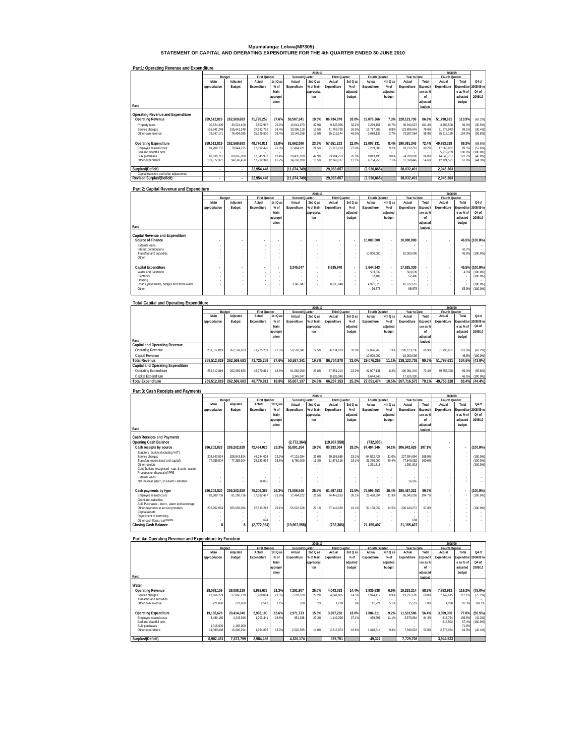# **Mpumalanga: Lekwa(MP305) STATEMENT OF CAPITAL AND OPERATING EXPENDITURE FOR THE 4th QUARTER ENDED 30 JUNE 2010**

| Part1: Operating Revenue and Expenditure |               |                          |                      |          |                |            |                      |          |                |          |              |          |                |            |                   |
|------------------------------------------|---------------|--------------------------|----------------------|----------|----------------|------------|----------------------|----------|----------------|----------|--------------|----------|----------------|------------|-------------------|
|                                          |               |                          |                      |          |                | 2009/10    |                      |          |                |          |              |          | 2008/09        |            |                   |
|                                          | Budget        |                          | <b>First Quarter</b> |          | Second Quarter |            | <b>Third Quarter</b> |          | Fourth Quarter |          | Year to Date |          | Fourth Quarter |            |                   |
|                                          | Main          | Adjusted                 | Actual               | 1st Q as | Actual         | 2nd Q as   | Actual               | 3rd Q as | Actual         | 4th Q as | Actual       | Total    | Actual         | Total      | Q4 of             |
|                                          | appropriation | Budget                   | Expenditure          | $%$ of   | Expenditure    | % of Main  | Expenditure          | $%$ of   | Expenditure    | $%$ of   | Expenditure  | Expendit | Expenditure    | Expenditur | 2008/09 to        |
|                                          |               |                          |                      | Main     |                | appropriat |                      | adjusted |                | adiusted |              | ure as % |                | e as % of  | O <sub>4</sub> of |
|                                          |               |                          |                      | appropri |                | ion        |                      | budget   |                | budget   |              | nf       |                | adjusted   | 2009/10           |
|                                          |               |                          |                      | ation    |                |            |                      |          |                |          |              | adjusted |                | budget     |                   |
| Rand                                     |               |                          |                      |          |                |            |                      |          |                |          |              |          |                |            |                   |
|                                          |               |                          |                      |          |                |            |                      |          |                |          |              | budget   |                |            |                   |
| Operating Revenue and Expenditure        |               |                          |                      |          |                |            |                      |          |                |          |              |          |                |            |                   |
|                                          |               |                          |                      |          |                |            |                      |          |                |          |              |          |                |            |                   |
| <b>Operating Revenue</b>                 | 259.512.819   | 262.569.683              | 71.725.259           | 27.6%    | 50.587.341     | 19.5%      | 86.734.870           | 33.0%    | 19.076.266     | 7.3%     | 228.123.736  | 86.9%    | 51.798.631     | 113.9%     | (63.2%)           |
| Property rates                           | 30.524.400    | 30.524.400               | 7.802.967            | 25.6%    | 10.041.973     | 32.9%      | 9.825.936            | 32.2%    | 3.269.151      | 10.7%    | 30.940.027   | 101.4%   | 4.706.508      | 99.0%      | (30.5%)           |
| Service charges                          | 155.641.248   | 155.641.248              | 37.992.762           | 24.4%    | 30.396.110     | 19.5%      | 41.789.790           | 26.9%    | 13.717.983     | 8.8%     | 123.896.645  | 79.6%    | 21.575.943     | 99.1%      | (36.4%)           |
| Other own revenue                        | 73.347.171    | 76.404.035               | 25.929.530           | 35.4%    | 10.149.258     | 13.8%      | 35.119.144           | 46.0%    | 2.089.132      | 27%      | 73.287.064   | 95.9%    | 25.516.180     | 154.0%     | (91.8%)           |
|                                          |               |                          |                      |          |                |            |                      |          |                |          |              |          |                |            |                   |
| <b>Operating Expenditure</b>             | 259.512.819   | 262.569.683              | 48.770.811           | 18.8%    | 61.662.090     | 23.8%      | 57.651.213           | 22.0%    | 22.007.131     | 8.4%     | 190.091.245  | 72.4%    | 49.753.328     | 89.3%      | (55.8%)           |
| Employee related costs                   | 81,200,737    | 78.944.225               | 17.692.476           | 21.8%    | 17.464.221     | 21.5%      | 21,316,633           | 27.0%    | 7.239.388      | 9.2%     | 63.712.718   | 80.7%    | 17.065.801     | 89.5%      | (57.6%)           |
| <b>Bad and doubtful debt</b>             |               |                          |                      |          |                |            |                      |          |                |          |              |          | 5.719.239      | 100.0%     | (100.0%           |
| <b>Bulk purchases</b>                    | 68.639.711    | 89.065.000               | 13.345.987           | 19 4%    | 29.435.839     | 42.9%      | 23.984.763           | 26.9%    | 8.013.493      | 9.0%     | 74.780.082   | 84.0%    | 14.843.767     | 122.7%     | (46.0%)           |
| Other expenditure                        | 109.672.371   | 94.560.458               | 17.732.348           | 16.2%    | 14.762.030     | 13.5%      | 12.349.817           | 13.1%    | 6.754.250      | 7.1%     | 51.598.445   | 54.6%    | 12.124.521     | 61.8%      | $(44.3\%)$        |
|                                          |               |                          |                      |          |                |            |                      |          |                |          |              |          |                |            |                   |
| Surplus/(Deficit)                        | ٠             | $\overline{\phantom{a}}$ | 22.954.448           |          | (11, 074, 749) |            | 29.083.657           |          | (2.930.865)    |          | 38.032.491   |          | 2.045.303      |            |                   |
| Capital transfers and other adjustments  |               |                          |                      |          |                |            |                      |          |                |          |              | $\sim$   |                | ٠          |                   |
| <b>Revised Surplus/(Deficit)</b>         |               | $\mathbf{r}$             | 22.954.448           |          | (11, 074, 749) |            | 29.083.657           |          | (2,930,865)    |          | 38.032.491   |          | 2,045,303      |            |                   |

| Part 2: Capital Revenue and Expenditure   |               |          |                      |          |                          |            |                      |          |                |                          |              |          |                |            |                |
|-------------------------------------------|---------------|----------|----------------------|----------|--------------------------|------------|----------------------|----------|----------------|--------------------------|--------------|----------|----------------|------------|----------------|
|                                           |               |          |                      |          |                          | 2009/10    |                      |          |                |                          |              |          | 2008/09        |            |                |
|                                           |               | Budget   | <b>First Quarter</b> |          | Second Quarter           |            | <b>Third Quarter</b> |          | Fourth Quarter |                          | Year to Date |          | Fourth Quarter |            |                |
|                                           | Main          | Adjusted | Actual               | 1st Q as | Actual                   | 2nd Q as   | Actual               | 3rd Q as | Actual         | 4th Q as                 | Actual       | Total    | Actual         | Total      | Q4 of          |
|                                           | appropriation | Budget   | Expenditure          | % of     | Expenditure              | % of Main  | Expenditure          | $%$ of   | Expenditure    | $%$ of                   | Expenditure  | Expendit | Expenditure    | Expenditur | 2008/09 to     |
|                                           |               |          |                      | Main     |                          | appropriat |                      | adjusted |                | adjusted                 |              | ure as % |                | e as % of  | Q4 of          |
|                                           |               |          |                      |          |                          | ion        |                      | budget   |                | budget                   |              | nf       |                | adjusted   | 2009/10        |
|                                           |               |          |                      | appropri |                          |            |                      |          |                |                          |              |          |                |            |                |
|                                           |               |          |                      | ation    |                          |            |                      |          |                |                          |              | adjusted |                | budget     |                |
| Rand                                      |               |          |                      |          |                          |            |                      |          |                |                          |              | budget   |                |            |                |
| Capital Revenue and Expenditure           |               |          |                      |          |                          |            |                      |          |                |                          |              |          |                |            |                |
| Source of Finance                         |               |          |                      | ٠        | ٠                        | ٠          |                      | ٠        | 10.000.000     |                          | 10.000.000   | $\sim$   |                |            | 46.5% (100.0%) |
| External loans                            |               | $\sim$   | ×.                   | $\sim$   | $\overline{\phantom{a}}$ | $\sim$     | $\sim$               | $\sim$   |                |                          | ٠            | ×.       | $\sim$         |            |                |
| Internal contributions                    |               |          | ×.                   | $\sim$   | $\overline{\phantom{a}}$ | $\sim$     |                      | $\sim$   |                |                          |              |          | $\sim$         | 42.7%      |                |
| Transfers and subsidies                   |               |          | ×.                   | $\sim$   | $\overline{\phantom{a}}$ | $\sim$     |                      | $\sim$   | 10.000.000     |                          | 10.000.000   |          | $\sim$         | 46.8%      | $(100.0\%)$    |
| Other                                     |               |          | ٠                    |          | ٠                        |            |                      | ٠        |                |                          |              |          |                |            |                |
|                                           |               |          |                      |          |                          |            |                      |          |                |                          |              |          |                |            |                |
| Capital Expenditure                       |               |          |                      | ٠        | 3.345.047                | $\sim$     | 8.635.940            |          | 5.644.343      | $\overline{\phantom{a}}$ | 17.625.330   | $\sim$   |                |            | 46.5% (100.0%) |
| Water and Sanitation                      |               | $\sim$   | ×.                   | $\sim$   | $\sim$                   | $\sim$     |                      | $\sim$   | 503.639        | ×.                       | 503.639      |          | $\sim$         | 4.3%       | $(100.0\%)$    |
| Electricity                               |               |          | ×.                   | $\sim$   | $\overline{\phantom{a}}$ | $\sim$     |                      |          | 52.406         |                          | 52.406       |          | $\sim$         |            | $(100.0\%)$    |
| Housing                                   |               |          | ×.                   | $\sim$   |                          | $\sim$     |                      | $\sim$   |                | $\sim$                   |              |          | $\sim$         |            |                |
| Roads, pavements, bridges and storm water |               | ×.       | ٠                    | $\sim$   | 3.345.047                | <b>.</b>   | 8.635.940            | $\sim$   | 4.991.623      | ×.                       | 16,972,610   |          | $\sim$         |            | $(100.0\%)$    |
| Other                                     |               |          | ×.                   | ٠        |                          | $\sim$     |                      | ٠        | 96,675         |                          | 96,675       |          | $\sim$         | 53.9%      | $(100.0\%)$    |
|                                           |               |          |                      |          |                          |            |                      |          |                |                          |              |          |                |            |                |

| <b>Total Capital and Operating Expenditure</b> |               |             |                      |          |                |            |                      |          |                |          |              |          |                |                       |         |
|------------------------------------------------|---------------|-------------|----------------------|----------|----------------|------------|----------------------|----------|----------------|----------|--------------|----------|----------------|-----------------------|---------|
|                                                |               |             |                      |          |                | 2009/10    |                      |          |                |          |              |          | 2008/09        |                       |         |
|                                                |               | Budget      | <b>First Quarter</b> |          | Second Quarter |            | <b>Third Quarter</b> |          | Fourth Quarter |          | Year to Date |          | Fourth Quarter |                       |         |
|                                                | Main          | Adjusted    | Actual               | 1st Q as | Actual         | 2nd Q as   | Actual               | 3rd Q as | Actual         | 4th Q as | Actual       | Total    | Actual         | Total                 | Q4 of   |
|                                                | appropriation | Budget      | Expenditure          | % of     | Expenditure    | % of Main  | Expenditure          | $%$ of   | Expenditure    | $%$ of   | Expenditure  | Expendit | Expenditure    | Expenditur 2008/09 to |         |
|                                                |               |             |                      | Main     |                | appropriat |                      | adjusted |                | adjusted |              | ure as % |                | e as % of             | Q4 of   |
|                                                |               |             |                      | appropri |                | ion        |                      | budget   |                | budget   |              | nf       |                | adjusted              | 2009/10 |
|                                                |               |             |                      | ation    |                |            |                      |          |                |          |              | adjusted |                | budget                |         |
| Rand                                           |               |             |                      |          |                |            |                      |          |                |          |              | budget   |                |                       |         |
| Capital and Operating Revenue                  |               |             |                      |          |                |            |                      |          |                |          |              |          |                |                       |         |
| Operating Revenue                              | 259.512.819   | 262.569.683 | 71.725.259           | 27.6%    | 50.587.341     | 19.5%      | 86.734.870           | 33.0%    | 19.076.266     | 7.3%     | 228.123.736  | 86.9%    | 51.798.631     | 113.9%                | (63.2%) |
| Capital Revenue                                |               |             |                      |          |                |            |                      |          | 10.000.000     |          | 10.000.000   |          |                | 46.5%                 | (100.0% |
| <b>Total Revenue</b>                           | 259.512.819   | 262.569.683 | 71.725.259           | 27.6%    | 50.587.341     | 19.3%      | 86.734.870           | 33.0%    | 29.076.266     | 11.1%    | 238.123.736  | 90.7%    | 51.798.631     | 104.6%                | (43.9%  |
| Capital and Operating Expenditure              |               |             |                      |          |                |            |                      |          |                |          |              |          |                |                       |         |
| Operating Expenditure                          | 259.512.819   | 262.569.683 | 48.770.811           | 18.89    | 61.662.090     | 23.8%      | 57.651.213           | 22.0%    | 22.007.131     | 8.4%     | 190.091.245  | 72.4%    | 49.753.328     | 89.3%                 | (55.8%) |
| Capital Expenditure                            |               |             |                      |          | 3.345.047      |            | 8.635.940            |          | 5.644.343      |          | 17.625.330   | .        |                | 46.5%                 | (100.0% |
| <b>Total Expenditure</b>                       | 259.512.819   | 262.569.683 | 48.770.811           | 18.8%    | 65.007.137     | 24.8%      | 66.287.153           | 25.2%    | 27.651.474     | 10.5%    | 207.716.575  | 79.1%    | 49.753.328     | 83.4%                 | (44.4%) |

| Part 3: Cash Receipts and Payments                   |               |             |                      |          |                |            |                      |          |                |          |              |          |                |                          |                   |
|------------------------------------------------------|---------------|-------------|----------------------|----------|----------------|------------|----------------------|----------|----------------|----------|--------------|----------|----------------|--------------------------|-------------------|
|                                                      |               |             |                      |          |                | 2009/10    |                      |          |                |          |              |          | 2008/09        |                          |                   |
|                                                      |               | Budget      | <b>First Quarter</b> |          | Second Quarter |            | <b>Third Quarter</b> |          | Fourth Quarter |          | Year to Date |          | Fourth Quarter |                          |                   |
|                                                      | Main          | Adjusted    | Actual               | 1st Q as | Actual         | 2nd Q as   | Actual               | 3rd Q as | Actual         | 4th Q as | Actual       | Total    | Actual         | Total                    | 04 <sub>0</sub> f |
|                                                      | appropriation | Budget      | Expenditure          | % of     | Expenditure    | % of Main  | Expenditure          | $%$ of   | Expenditure    | $%$ of   | Expenditure  | Expendit | Expenditure    | Expenditur               | 2008/09 to        |
|                                                      |               |             |                      | Main     |                | appropriat |                      | adjusted |                | adjusted |              | ure as % |                | e as % of                | 04 <sub>0</sub>   |
|                                                      |               |             |                      | appropri |                | ion        |                      | budget   |                | budget   |              | nf       |                | adjusted                 | 2009/10           |
|                                                      |               |             |                      | ation    |                |            |                      |          |                |          |              | adjusted |                | budget                   |                   |
| Rand                                                 |               |             |                      |          |                |            |                      |          |                |          |              | budget   |                |                          |                   |
|                                                      |               |             |                      |          |                |            |                      |          |                |          |              |          |                |                          |                   |
| <b>Cash Receipts and Payments</b>                    |               |             |                      |          |                |            |                      |          |                |          |              |          |                |                          |                   |
| <b>Opening Cash Balance</b>                          |               |             |                      |          | (2,772,364)    |            | (19.967.558)         |          | (732, 386)     |          |              |          |                |                          |                   |
| Cash receipts by source                              | 286.202.828   | 286.202.828 | 72.434.025           | 25.3%    | 55.891.354     | 19.5%      | 80.833.004           | 28.2%    | 97.484.246     | 34.1%    | 306.642.629  | 107.1%   |                |                          | 100.0%)           |
| Statutory receipts (including VAT)                   |               |             |                      |          |                | <b>м.</b>  |                      | $\sim$   |                |          |              |          |                |                          |                   |
| Service charges                                      | 208.843.824   | 208.843.824 | 46.284.026           | 22.2%    | 47.131.354     | 22.6%      | 69.156.886           | 33.1%    | 64.822.428     | 31.0%    | 227.394.694  | 108.9%   |                |                          | $(100.0\%)$       |
| Transfers (operational and capital)                  | 77.359.004    | 77.359.004  | 26.133.934           | 33.8%    | 8.760.000      | 11 3%      | 11.676.118           | 15 1%    | 31,270,000     | 40.4%    | 77.840.052   | 100.6%   |                |                          | $(100.0\%)$       |
| Other receipts                                       |               |             |                      |          |                |            |                      |          | 1.391.818      |          | 1.391.818    |          |                |                          | $(100.0\%)$       |
| Contributions recognised - cap. & contr. assets      |               |             |                      |          |                |            |                      |          |                |          |              |          |                |                          |                   |
| Proceeds on disposal of PPE<br><b>External loans</b> |               |             |                      |          |                |            |                      |          |                |          |              |          |                |                          |                   |
| Net increase (decr.) in assets / liabilities         |               |             | 16.065               |          |                |            |                      |          |                |          | 16.065       |          |                |                          |                   |
|                                                      |               |             |                      |          |                |            |                      |          |                |          |              |          |                |                          |                   |
| Cash payments by type                                | 286.202.820   | 286.202.820 | 75.206.389           | 26.3%    | 73.086.548     | 25.5%      | 61.597.832           | 21.5%    | 75.596.453     | 26.4%    | 285.487.222  | 99.7%    |                |                          | 100.0%)           |
| Employee related costs                               | 81,200.736    | 81.200.736  | 17.692.477           | 21.8%    | 17.464.222     | 21.5%      | 24.448.163           | 30.1%    | 25.438.394     | 31.3%    | 85.043.256   | 104.7%   |                |                          | $(100.0\%)$       |
| Grant and subsidies                                  |               |             |                      |          |                |            |                      |          |                |          |              |          |                |                          |                   |
| Bulk Purchases - electr., water and sewerage         |               |             |                      |          |                |            |                      |          |                |          |              |          |                |                          |                   |
| Other payments to service providers                  | 205.002.084   | 205.002.084 | 57.513.218           | 28.1%    | 55.622.326     | 27.1%      | 37.149.669           | 18.1%    | 50.158.059     | 24.5%    | 200.443.272  | 97.8%    |                | $\overline{\phantom{a}}$ | $(100.0\%)$       |
| Capital assets                                       |               |             |                      |          |                |            |                      |          |                |          |              |          |                |                          |                   |
| Repayment of borrowing                               |               |             |                      |          |                |            |                      |          |                |          |              |          |                |                          |                   |
| Other cash flows / payments                          |               |             | 694                  |          |                |            |                      |          |                |          | 694          |          |                |                          |                   |
| <b>Closing Cash Balance</b>                          | я             |             | (2, 772, 364)        |          | (19.967.558)   |            | (732, 386)           |          | 21.155.407     |          | 21.155.407   |          |                |                          |                   |
|                                                      |               |             |                      |          |                |            |                      |          |                |          |              |          |                |                          |                   |

| Part 4a: Operating Revenue and Expenditure by Function |               |            |                      |          |                |            |                      |          |                |          |              |          |                |            |             |
|--------------------------------------------------------|---------------|------------|----------------------|----------|----------------|------------|----------------------|----------|----------------|----------|--------------|----------|----------------|------------|-------------|
|                                                        |               |            |                      |          |                | 2009/10    |                      |          |                |          |              |          | 2008/09        |            |             |
|                                                        | Budget        |            | <b>First Quarter</b> |          | Second Quarter |            | <b>Third Quarter</b> |          | Fourth Quarter |          | Year to Date |          | Fourth Quarter |            |             |
|                                                        | Main          | Adjusted   | Actual               | 1st Q as | Actual         | 2nd Q as   | Actual               | 3rd Q as | Actual         | 4th Q as | Actual       | Total    | Actual         | Total      | Q4 of       |
|                                                        | appropriation | Budget     | Expenditure          | % of     | Expenditure    | % of Main  | Expenditure          | $%$ of   | Expenditure    | $%$ of   | Expenditure  | Expendit | Expenditure    | Expenditur | 2008/09 to  |
|                                                        |               |            |                      | Main     |                | appropriat |                      | adjusted |                | adiusted |              | ure as % |                | e as % of  | Q4 of       |
|                                                        |               |            |                      | appropri |                | ion        |                      | budget   |                | budget   |              | of       |                | adjusted   | 2009/10     |
|                                                        |               |            |                      | ation    |                |            |                      |          |                |          |              | adiusted |                | budget     |             |
| Rand                                                   |               |            |                      |          |                |            |                      |          |                |          |              | hudget   |                |            |             |
| Water                                                  |               |            |                      |          |                |            |                      |          |                |          |              |          |                |            |             |
| Operating Revenue                                      | 28.088.139    | 28.088.139 | 5.982.636            | 21.3%    | 7.291.907      | 26.0%      | 4.043.033            | 14.4%    | 1.935.638      | 6.9%     | 19.253.214   | 68.5%    | 7.753.913      | 116.3%     | $(75.0\%)$  |
| Service charges<br>Transfers and subsidies             | 27.866.279    | 27.866.279 | 5.980.094            | 21.5%    | 7.291.379      | 26.2%      | 4.041.805            | 14.5%    | 1.924.417      | 6.9%     | 19.237.695   | 69.0%    | 7.749.615      | 117.1%     | (75.2%)     |
| Other own revenue                                      | 221.860       | 221.860    | 2.542                | 1 1%     | 528            | 2%         | 1.228                | .6%      | 11.221         | 5.1%     | 15.519       | 7.0%     | 4.298          | 10.3%      | 161.1%      |
| <b>Operating Expenditure</b>                           | 19.185.678    | 20.414.340 | 2.998.180            | 15.6%    | 2.971.733      | 15.5%      | 3.667.282            | 18.0%    | 1.886.311      | 9.2%     | 11.523.506   | 56.4%    | 3.809.380      | 77.8%      | (50.5%)     |
| Employee related costs                                 | 3.480.180     | 4.243.046  | 1.003.341            | 28.8%    | 951.338        | 27.3%      | 1.149.308            | 27.1%    | 469.697        | 11.1%    | 3.573.684    | 84.2%    | 813.794        | 156.5%     | $(42.3\%)$  |
| Bad and doubtful debt                                  |               |            |                      |          |                |            |                      |          |                |          |              |          | 617.502        | 67.4%      | $(100.0\%)$ |
| <b>Bulk purchases</b>                                  | 1.315.000     | 1.165.000  |                      |          |                |            |                      |          |                |          |              |          |                | 71.8%      |             |
| Other expenditure                                      | 14.390.498    | 15.006.294 | 1.994.839            | 13.9%    | 2.020.395      | 14.0%      | 2.517.974            | 16.8%    | 1.416.614      | 9.4%     | 7.949.822    | 53.0%    | 2.378.084      | 64.9%      | (40.4%)     |
| Surplus/(Deficit)                                      | 8.902.461     | 7.673.799  | 2.984.456            |          | 4.320.174      |            | 375.751              |          | 49.327         |          | 7.729.708    |          | 3.944.533      |            |             |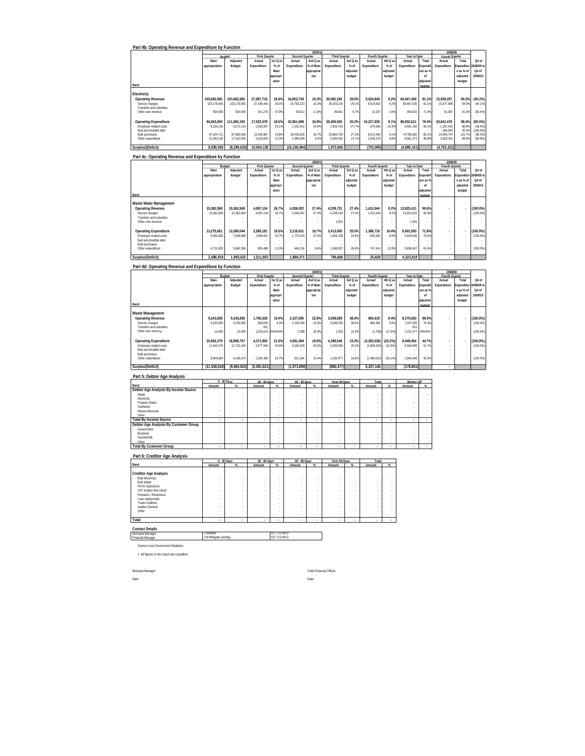| Part 4b: Operating Revenue and Expenditure by Function |                          |                          |                                |                 |                          | 2009/1                    |                                |                    |                                 |                    |                         |                          |                           |                       |                        |
|--------------------------------------------------------|--------------------------|--------------------------|--------------------------------|-----------------|--------------------------|---------------------------|--------------------------------|--------------------|---------------------------------|--------------------|-------------------------|--------------------------|---------------------------|-----------------------|------------------------|
|                                                        | Main                     | Adjusted                 | <b>First Quarter</b><br>Actual | 1st Q as        | Second Op<br>Actual      | <i>varter</i><br>2nd Q as | <b>Third Quarter</b><br>Actual | 3rd Q as           | <b>Fourth Quarter</b><br>Actual | 4th Q as           | Year to Date<br>Actual  | Total                    | Fourth Quarter<br>Actual  | Total                 | Q4 of                  |
|                                                        | appropriation            | Budget                   | Expenditure                    | % of            | Expenditure              | % of Main                 | Expenditure                    | $%$ of             | Expenditure                     | $%$ of             | Expenditure             | Expendit                 | Expenditure               | <i>xpenditu</i>       | 008/09 t               |
|                                                        |                          |                          |                                | Main<br>appropr |                          | appropria<br>ion          |                                | adjusted<br>budget |                                 | adjusted<br>budget |                         | ure as 9<br>of           |                           | e as % of<br>adjusted | Q4 of<br>2009/10       |
| Rand                                                   |                          |                          |                                | ation           |                          |                           |                                |                    |                                 |                    |                         | adjustec<br><b>hudge</b> |                           | budget                |                        |
| Electricity                                            |                          |                          |                                |                 |                          |                           |                                |                    |                                 |                    |                         |                          |                           |                       |                        |
| <b>Operating Revenue</b>                               | 103,682,565              | 103,682,565              | 27,587,716                     | 26.6%           | 16,852,734               | 16.3%                     | 30,082,160                     | 29.0%              | 9,524,840                       | 9.2%               | 84,047,450              | 81.1%                    | 15,939,257                | 94.2%                 | (40.2%                 |
| Service charges<br>Transfers and subsidies             | 103,178,565              | 103,178,565              | 27,346,440<br>241,276          | 26.5%           | 16,793,223               | 16.39                     | 30,033,219                     | 29.19              | 9,514,653                       | 9.2%               | 83,687,535              | 81.19                    | 15,877,890                | 94.59                 | (40.1%                 |
| Other own revenue                                      | 504.000                  | 504.000                  |                                | 47.9%           | 59.511                   | 11.89                     | 48.941                         | 9.79               | 10.187                          | 2.0%               | 359.915                 | 71.49                    | 61.367                    | 41.0%                 | (83.4%                 |
| <b>Operating Expenditure</b><br>Employee related costs | 94,843,000<br>6,226,154  | 111,982,193<br>6,572,134 | 17.533.578<br>1,563,937        | 18.5%<br>25.1%  | 32.961.698<br>1,531,451  | 34.8%<br>24.69            | 28,209.500<br>1,820,705        | 25.2%<br>27.79     | 10.227.835<br>675,063           | 9.1%<br>10.3%      | 88,932,611<br>5,591,156 | 79.4%<br>85.19           | 20,641,479<br>1.307.491   | 99.4%<br>80.8%        | (50.5%<br>(48.4%       |
| Bad and doubtful debt<br><b>Bulk purchases</b>         | 67.324.711               | 87.900.000               | 13.345.987                     | 19.8%           | 29.435.839               | 43.79                     | 23.984.763                     | 27.39              | 8.013.493                       | 9.1%               | 74.780.082              | 85.19                    | 560,940<br>14.843.767     | 20.4%<br>122.7%       | (100.0%<br>(46.0%      |
| Other expenditure                                      | 21,292,135               | 17,510,059               | 2,623,654                      | 12.3%           | 1,994,408                | 9.4%                      | 2,404,032                      | 13.7%              | 1,539,279                       | 8.8%               | 8,561,373               | 48.9%                    | 3,929,281                 | 88.9%                 | (60.8%                 |
| Surplus/(Deficit)                                      | 8,839,565                | (8,299,628)              | 10,054,138                     |                 | (16, 108, 964)           |                           | 1,872,660                      |                    | (702, 995)                      |                    | (4,885,161)             |                          | (4,702,222)               |                       |                        |
| Part 4c: Operating Revenue and Expenditure by Function |                          |                          |                                |                 |                          | 2009/1                    |                                |                    |                                 |                    |                         |                          | 2008/09                   |                       |                        |
|                                                        | Main                     | Adjusted                 | <b>First Quarter</b><br>Actual | 1st Q as        | Second Quarter<br>Actual | 2nd Q as                  | <b>Third Quarter</b><br>Actual | 3rd Q as           | <b>Fourth Quarter</b><br>Actual | 4th Q as           | Year to Date<br>Actual  | Total                    | Fourth Quarte<br>Actual   | Total                 | Q4 of                  |
|                                                        | appropriation            | Budget                   | Expenditure                    | % of            | Expenditure              | % of Main                 | Expenditure                    | $%$ of             | Expenditure                     | $%$ of             | Expenditure             | :xpendit                 | Expenditure               | xpenditu              | 008/09                 |
|                                                        |                          |                          |                                | Main<br>appropr |                          | appropria<br>ion          |                                | adjusted<br>budget |                                 | adjusted<br>budget |                         | ure as 9<br>of           |                           | e as % of<br>adjusted | Q4 of<br>2009/10       |
| Rand                                                   |                          |                          |                                | ation           |                          |                           |                                |                    |                                 |                    |                         | adjustec<br>budge        |                           | budget                |                        |
| Waste Water Managemen!                                 |                          |                          |                                |                 |                          |                           |                                |                    |                                 |                    |                         |                          |                           |                       |                        |
| <b>Operating Revenue</b>                               | 15,362,569               | 15,362,569               | 4,097,134                      | 26.7%           | 4,206,002                | 27.4%                     | 4,209,731                      | 27.4%              | 1,412,544                       | 9.2%               | 13,925,411              | 90.6%                    |                           |                       | $(100.0\%)$            |
| Service charges<br>Transfers and subsidies             | 15.362.569               | 15.362.569               | 4,097,134                      | 26.7%           | 4.206.002                | 27.4%                     | 4.208.230                      | 27.4%              | 1,412,544                       | 9.2%               | 13,923.910              | 90.69                    |                           |                       | (100.0%                |
| Other own revenue                                      |                          |                          |                                |                 |                          |                           | 1,501                          |                    |                                 |                    | 1,501                   |                          |                           |                       |                        |
| <b>Operating Expenditure</b><br>Employee related costs | 13,275,651<br>6,564,826  | 13,369,044<br>7,508,688  | 2,585,181<br>1,689,691         | 19.5%<br>25.7%  | 2,216,631<br>1,770,415   | 16.79<br>27.0%            | 3,413,065<br>1,844,138         | 25.5%<br>24.6%     | 1,386,716<br>639,302            | 10.4%<br>8.5%      | 9,601,593<br>5,943,546  | 71.8%<br>79.29           |                           |                       | $(100.0\%)$<br>(100.0% |
| Bad and doubtful debt<br><b>Bulk purchases</b>         |                          |                          |                                |                 |                          |                           |                                |                    |                                 |                    |                         |                          |                           |                       |                        |
| Other expenditure                                      | 6,710,825                | 5,860,356                | 895,490                        | 13.3%           | 446,216                  | 6.69                      | 1,568,927                      | 26.8%              | 747,414                         | 12.8%              | 3,658,047               | 62.49                    |                           |                       | (100.0%                |
| Surplus/(Deficit)                                      | 2,086,918                | 1,993,525                | 1,511,953                      |                 | 1.989.371                |                           | 796,666                        |                    | 25.828                          |                    | 4,323,818               |                          |                           |                       |                        |
| Part 4d: Operating Revenue and Expenditure by Function |                          |                          |                                |                 |                          |                           |                                |                    |                                 |                    |                         |                          |                           |                       |                        |
|                                                        | Main                     | Budge<br>Adjusted        | <b>First Quarter</b>           | 1st Q as        | <b>Second Quarter</b>    | 2009/1<br>2nd Q as        | <b>Third Quarter</b>           | 3rd Q as           | Fourth Quarter                  | 4th Q as           | Year to Date<br>Actual  | Tota                     | 2008/09<br>Fourth Quarter | Total                 | Q4 of                  |
|                                                        | appropriation            | Budget                   | Actual<br>Expenditure          | % of            | Actual<br>Expenditure    | % of Mair                 | Actual<br>Expenditure          | $%$ of             | Actual<br>Expenditure           | $%$ of             | Expenditure             | Expendit                 | Actual<br>Expenditure     | xpenditu              | 008/09 t               |
|                                                        |                          |                          |                                | Main<br>appropr |                          | appropria<br>ion          |                                | adjusted<br>budget |                                 | adjusted<br>budget |                         | ure as 9<br>of           |                           | e as % of<br>adjusted | Q4 of<br>2009/10       |
| Rand                                                   |                          |                          |                                | ation           |                          |                           |                                |                    |                                 |                    |                         | adjustec<br>budget       |                           | budget                |                        |
| Waste Management                                       |                          |                          |                                |                 |                          |                           |                                |                    |                                 |                    |                         |                          |                           |                       |                        |
| <b>Operating Revenue</b>                               | 9,243,835                | 9,243,835                | 1,790,329                      | 19.4%           | 2,107,595                | 22.8%                     | 3,508,069                      | 38.0%              | 864,610                         | 9.4%               | 8,270,603               | 89.5%                    |                           |                       | $(100.0\%)$            |
| Service charges<br>Transfers and subsidies             | 9,233,835                | 9,233,835                | 569,094<br>621                 | 6.2%            | 2,105,506                | 22.89                     | 3,506,536                      | 38.09              | 866,369                         | 9.4%               | 7,047,505<br>621        | 76.35                    |                           |                       | (100.0%                |
| Other own revenue                                      | 10,000                   | 10,000                   | 1,220,614                      | ,,,,,,,,        | 2,089                    | 20.99                     | 1,533                          | 15.39              | (1,759)                         | (17.6%             | 1,222,477               | ,,,,,,,                  |                           |                       | (100.0%                |
| <b>Operating Expenditure</b><br>Employee related costs | 20,802,379<br>11,942,475 | 18,908,757<br>12,742,183 | 4,371,950<br>2,977,565         | 21.0%<br>24.9%  | 4,081,494<br>3,160,200   | 19.6%<br>26.59            | 4,388,546<br>3,355,569         | 23.2%<br>26.39     | (4, 392, 536)<br>(2,908,526)    | (23.2%)<br>(22.8%  | 8,449,454<br>6,584,808  | 44.7%<br>51.79           |                           |                       | 100.0%<br>(100.0%      |
| Bad and doubtful debt<br><b>Bulk purchases</b>         |                          |                          |                                |                 |                          |                           |                                |                    |                                 |                    |                         |                          |                           |                       |                        |
| Other expenditure                                      | 8.859.904                | 6.166.574                | 1.394.385                      | 15.7%           | 921,294                  | 10.49                     | 1,032,977                      | 16.8%              | (1,484,010)                     | (24.1%             | 1.864,646               | 30.29                    |                           | ł,                    | (100.0%                |
| Surplus/(Deficit)                                      | (11, 558, 544)           | (9,664,922)              | (2,581,621)                    |                 | (1,973,899)              |                           | (880, 477)                     |                    | 5,257,146                       |                    | (178, 851)              |                          |                           |                       |                        |
| Part 5: Debtor Age Analysis                            |                          | 0 - 30 Days              | 30 - 60 Days                   |                 | 60 - 90 Days             |                           | Over 90 Days                   |                    | Tota                            |                    | Written Off             |                          |                           |                       |                        |
| Rand<br>Debtor Age Analysis By Income Source           | Amount                   |                          | Amount                         |                 | Amount                   |                           | Amount                         | $\alpha$           | Amount                          |                    | Amount                  | $\gamma$                 |                           |                       |                        |
| Water                                                  |                          |                          |                                |                 |                          |                           |                                |                    |                                 |                    |                         |                          |                           |                       |                        |
| Electricity<br>Property Rates<br>Sanitation            |                          |                          | ×                              |                 |                          |                           |                                |                    |                                 |                    |                         |                          |                           |                       |                        |
| Refuse Removal<br>Other                                | ×,                       |                          | ×                              |                 | ×                        |                           | ×                              |                    |                                 |                    |                         |                          |                           |                       |                        |
| <b>Total By Income Source</b>                          | ٠                        | ٠                        | ٠                              | ٠               | $\sim$                   | ٠                         | $\sim$                         | ٠                  |                                 |                    | ×                       | $\overline{\phantom{a}}$ |                           |                       |                        |
| Debtor Age Analysis By Customer Group<br>Government    |                          |                          |                                |                 |                          |                           |                                |                    |                                 |                    |                         |                          |                           |                       |                        |
| Business<br>Households                                 |                          |                          | ÷                              | ×               | ×                        | ł                         |                                |                    |                                 |                    |                         |                          |                           |                       |                        |
| <b>Total By Customer Group</b>                         |                          |                          |                                |                 |                          |                           |                                |                    |                                 |                    |                         |                          |                           |                       |                        |
| Part 6: Creditor Age Analysis                          |                          |                          |                                |                 |                          |                           |                                |                    |                                 |                    |                         |                          |                           |                       |                        |
| Rand                                                   | Amount                   | $0 - 30$ Days            | 30 - 60 Days<br>Amount         | %               | 60 - 90 Days<br>Amount   |                           | Over 90 Days<br>Amount         |                    | Total<br>Amount                 |                    |                         |                          |                           |                       |                        |
| Creditor Age Analysis                                  |                          |                          |                                |                 |                          |                           |                                |                    |                                 |                    |                         |                          |                           |                       |                        |
| <b>Bulk Electricity</b><br><b>Bulk Water</b>           |                          |                          | $\overline{\phantom{a}}$       |                 |                          |                           |                                |                    |                                 |                    |                         |                          |                           |                       |                        |
| PAYE deductions<br>VAT (output less input)             |                          |                          |                                |                 |                          |                           |                                |                    |                                 |                    |                         |                          |                           |                       |                        |
| Pensions / Retirement<br>Loan repayments               |                          |                          | ×                              | ×               |                          |                           |                                |                    |                                 |                    |                         |                          |                           |                       |                        |
| <b>Trade Creditors</b><br>Auditor-General              |                          |                          | à,<br>×                        | ż               |                          | ×                         |                                |                    |                                 |                    |                         |                          |                           |                       |                        |
| Other                                                  |                          |                          | ×                              | ×               |                          | ×                         |                                |                    |                                 |                    |                         |                          |                           |                       |                        |
| Total                                                  |                          |                          |                                |                 |                          | ×.                        |                                |                    |                                 |                    |                         |                          |                           |                       |                        |
| <b>Contact Details</b><br>Municipal Manage             | Sindane                  |                          |                                | 017 712 9613    |                          |                           |                                |                    |                                 |                    |                         |                          |                           |                       |                        |
| Financial Manage                                       | J M Mokgatsi (acting)    |                          |                                | 017 712 9613    |                          |                           |                                |                    |                                 |                    |                         |                          |                           |                       |                        |
| Source Local Government Database                       |                          |                          |                                |                 |                          |                           |                                |                    |                                 |                    |                         |                          |                           |                       |                        |
| 1. All figures in this report are unaudited            |                          |                          |                                |                 |                          |                           |                                |                    |                                 |                    |                         |                          |                           |                       |                        |
|                                                        |                          |                          |                                |                 |                          |                           |                                |                    |                                 |                    |                         |                          |                           |                       |                        |
| Municpal Manager:                                      |                          |                          |                                |                 |                          | Chief Financial Officer:  |                                |                    |                                 |                    |                         |                          |                           |                       |                        |
| Date:                                                  |                          |                          |                                |                 |                          | Date:                     |                                |                    |                                 |                    |                         |                          |                           |                       |                        |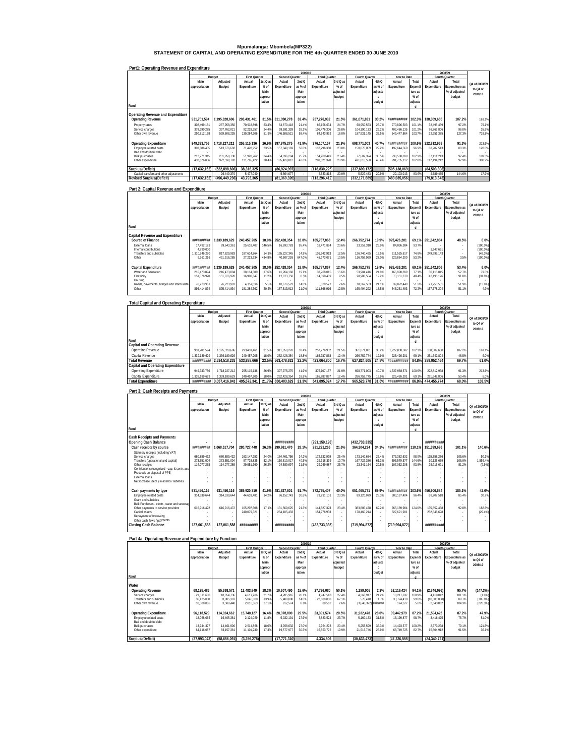# **Mpumalanga: Mbombela(MP322) STATEMENT OF CAPITAL AND OPERATING EXPENDITURE FOR THE 4th QUARTER ENDED 30 JUNE 2010**

|                                         |               |               |                      |          |                | 2009/10 |                      |          |                |         |               |         |                | 2008/09        |               |
|-----------------------------------------|---------------|---------------|----------------------|----------|----------------|---------|----------------------|----------|----------------|---------|---------------|---------|----------------|----------------|---------------|
|                                         |               | Budget        | <b>First Quarter</b> |          | Second Quarter |         | <b>Third Quarter</b> |          | Fourth Quarter |         | Year to Date  |         |                | Fourth Quarter |               |
|                                         | Main          | Adjusted      | Actual               | 1st Q as | Actual         | 2ndQ    | Actual               | 3rd Q as | Actual         | 4th Q   | Actual        | Total   | Actual         | Total          | Q4 of 2008/09 |
|                                         | appropriation | Budget        | Expenditure          | $%$ of   | Expenditure    | as % of | Expenditure          | $%$ of   | Expenditure    | as % of | Expenditure   | Expendi | Expenditure    | Expenditure as |               |
|                                         |               |               |                      | Main     |                | Main    |                      | adjusted |                | adiuste |               | ture as |                | % of adiusted  | to Q4 of      |
|                                         |               |               |                      | appropr  |                | appropr |                      | budget   |                |         |               | $%$ of  |                | budget         | 2009/10       |
|                                         |               |               |                      | iation   |                | iation  |                      |          |                | budget  |               | adjuste |                |                |               |
| Rand                                    |               |               |                      |          |                |         |                      |          |                |         |               |         |                |                |               |
|                                         |               |               |                      |          |                |         |                      |          |                |         |               |         |                |                |               |
| Operating Revenue and Expenditure       |               |               |                      |          |                |         |                      |          |                |         |               |         |                |                |               |
| <b>Operating Revenue</b>                | 931.701.594   | 195.328.606   | 293.431.461          | 31.5%    | 311.050.278    | 33.4%   | 257.276.932          | 21.5%    | 361.071.831    | 30.2%   | ***********   | 102.3%  | 138.309.660    | 107.2%         | 161.1%        |
| Property rates                          | 302.499.151   | 267.958.350   | 70.918.898           | 23.4%    | 64.870.418     | 21.4%   | 66.156.634           | 24.7%    | 68.950.553     | 25.7%   | 270.896.503   | 101.1%  | 38.495.469     | 97.2%          | 79.1%         |
| Service charges                         | 378,390,285   | 397.762.021   | 92.228.357           | 24.4%    | 99.591.339     | 26.3%   | 106.476.306          | 26.8%    | 104.190.133    | 26.2%   | 402.486.135   | 101.2%  | 76.862.806     | 96.0%          | 35.6%         |
| Other own revenue                       | 250.812.158   | 529.608.235   | 130.284.206          | 51.9%    | 146.588.521    | 58.4%   | 84.643.992           | 16.0%    | 187.931.145    | 35.5%   | 549.447.864   | 103.7%  | 22.951.385     | 127.3%         | 718.8%        |
| <b>Operating Expenditure</b>            | 949.333.756   | 1.718.227.212 | 255.115.136          | 26.9%    | 397.975.275    | 41.9%   | 376.107.157          | 21.9%    | 698.771.003    | 40.7%   | ***********   | 100.6%  | 222.812.968    | 91.3%          | 213.6%        |
| Employee related costs                  | 303.686.405   | 513.676.682   | 71.428.952           | 23.5%    | 157.849.169    | 52.0%   | 118,296.380          | 23.0%    | 150.070.059    | 29.2%   | 497.644.560   | 96.9%   | 68.207.513     | 88.3%          | 120.0%        |
| Bad and doubtful debt                   |               |               |                      |          |                |         |                      |          |                |         |               |         |                |                |               |
| <b>Bulk purchases</b>                   | 212.771.315   | 231.950.738   | 51,920.762           | 24.4%    | 54.696.294     | 25.7%   | 54.289.449           | 23.4%    | 77.682.394     | 33.5%   | 238.588.899   | 102.9%  | 37.111.213     | 92.4%          | 109.3%        |
| Other expenditure                       | 432.876.036   | 972.599.792   | 131.765.422          | 30.4%    | 185.429.812    | 42.8%   | 203.521.328          | 20.9%    | 471.018.550    | 48.4%   | 991.735.112   | 102.0%  | 117.494.242    | 92.9%          | 300.9%        |
|                                         |               |               |                      |          |                |         |                      |          |                |         |               |         |                |                |               |
| Surplus/(Deficit)                       | (17,632,162)  | (522.898.606) | 38.316.325           |          | (86.924.997)   |         | (118.830.225)        |          | (337.699.172)  |         | (505.138.069) |         | (84, 503, 308) |                |               |
| Capital transfers and other adjustments |               | 26.449.370    | 5.477.040            |          | 5.564.677      |         | 5.533.813            | 20.9%    | 5.527.483      | 20.9%   | 22.103.013    | 83.6%   | 4.689.465      | 144.6%         | 17.9%         |
| <b>Revised Surplus/(Deficit)</b>        | (17.632.162)  | (496.449.236) | 43.793.365           |          | (81.360.320)   |         | (113.296.412)        |          | (332.171.689)  |         | (483.035.056) |         | (79, 813, 843) |                |               |

#### **Part1: Operating Revenue and Expenditure**

#### **Part 2: Capital Revenue and Expenditure**

|                                           |               |               |                      |          |                       | 2009/10 |                      |          |                |         |              |         |                | 2008/09        |               |
|-------------------------------------------|---------------|---------------|----------------------|----------|-----------------------|---------|----------------------|----------|----------------|---------|--------------|---------|----------------|----------------|---------------|
|                                           |               | Budget        | <b>First Quarter</b> |          | <b>Second Quarter</b> |         | <b>Third Quarter</b> |          | Fourth Quarter |         | Year to Date |         | Fourth Quarter |                |               |
|                                           | Main          | Adiusted      | Actual               | 1st Q as | Actual                | 2ndQ    | Actual               | 3rd Q as | Actual         | 4th Q   | Actual       | Total   | Actual         | Total          | Q4 of 2008/09 |
|                                           | appropriation | Budget        | Expenditure          | $%$ of   | Expenditure           | as % of | Expenditure          | $%$ of   | Expenditure    | as % of | Expenditure  | Expendi | Expenditure    | Expenditure as |               |
|                                           |               |               |                      | Main     |                       | Main    |                      | adjusted |                | adjuste |              | ture as |                | % of adiusted  | to Q4 of      |
|                                           |               |               |                      | appropr  |                       | appropr |                      | budget   |                |         |              | $%$ of  |                | budget         | 2009/10       |
|                                           |               |               |                      | iation   |                       | iation  |                      |          |                | budget  |              | adjuste |                |                |               |
| Rand                                      |               |               |                      |          |                       |         |                      |          |                |         |              |         |                |                |               |
|                                           |               |               |                      |          |                       |         |                      |          |                |         |              |         |                |                |               |
| Capital Revenue and Expenditure           |               |               |                      |          |                       |         |                      |          |                |         |              |         |                |                |               |
| Source of Finance                         | ***********   | 1.339.189.629 | 240.457.205          | 18.0%    | 252.428.354           | 18.8%   | 165.787.868          | 12.4%    | 266.752.774    | 19.9%   | 925.426.201  | 69.1%   | 251.642.804    | 48.5%          | 6.0%          |
| External loans                            | 17.492.123    | 89.643.361    | 25.618.407           | 146.5%   | 16.693.783            | 95.4%   | 18.471.884           | 20.6%    | 23.252.310     | 25.9%   | 84.036.384   | 93.7%   |                | $\sim$         | $(100.0\%)$   |
| Internal contributions                    | 4.790.000     |               |                      |          |                       | ٠       |                      | $\sim$   |                |         |              | $\sim$  | 1.647.661      | <b>A</b>       | $(100.0\%)$   |
| Transfers and subsidies                   | 1.310.646.290 | 817.629.983   | 187.614.864          | 14.3%    | 195.227.345           | 14.9%   | 101.942.913          | 12.5%    | 126.740.495    | 15.5%   | 611.525.617  | 74.8%   | 249.995.143    | . .            | (49.3%)       |
| Other                                     | 6.261.216     | 431.916.285   | 27.223.934           | 434.8%   | 40.507.226            | 647.0%  | 45.373.071           | 10.5%    | 116.759.969    | 27.0%   | 229.864.200  | 53.2%   |                | 3.5%           | $(100.0\%)$   |
|                                           |               |               |                      |          |                       |         |                      |          |                |         |              |         |                |                |               |
| Capital Expenditure                       | ***********   | 1.339.189.629 | 240.457.205          | 18.0%    | 252.428.354           | 18.8%   | 165.787.867          | 12.4%    | 266.752.775    | 19.9%   | 925.426.201  | 69.1%   | 251.642.806    | 53.4%          | 6.0%          |
| Water and Sanitation                      | 216.473.894   | 216.473.894   | 38.114.300           | 17.6%    | 41.264.168            | 19.1%   | 33.708.015           | 15.6%    | 53.904.416     | 24.9%   | 166.990.899  | 77.1%   | 30.115.845     | 52.7%          | 79.0%         |
| Electricity                               | 151.076.920   | 151.076.920   | 16.900.647           | 11.2%    | 12.873.750            | 8.5%    | 14.390.409           | 9.5%     | 28,986,564     | 19.2%   | 73,151,370   | 48.4%   | 42.498.176     | 91.8%          | (31.8%)       |
| Housing                                   | $\sim$        |               |                      |          |                       | ÷.      |                      | $\sim$   |                |         |              | $\sim$  |                | . .            |               |
| Roads, pavements, bridges and storm water | 76.223.981    | 76.223.981    | 4.157.896            | 5.5%     | 10.676.523            | 14.0%   | 5.820.527            | 7.6%     | 18.367.503     | 24.1%   | 39.022.449   | 51.2%   | 21.250.581     | 51.9%          | (13.6%)       |
| Other                                     | 895.414.834   | 895.414.834   | 181.284.362          | 20.2%    | 187,613,913           | 21.0%   | 111.868.916          | 12.5%    | 165.494.292    | 18.5%   | 646.261.483  | 72.2%   | 157.778.204    | 51.1%          | 4.9%          |
|                                           |               |               |                      |          |                       |         |                      |          |                |         |              |         |                |                |               |

#### **Total Capital and Operating Expenditure**

|                                   |               |                         |                      |          |                | 2009/10 |                      |          |                |          |               |                      |             | 2008/09        |               |
|-----------------------------------|---------------|-------------------------|----------------------|----------|----------------|---------|----------------------|----------|----------------|----------|---------------|----------------------|-------------|----------------|---------------|
|                                   |               | Budget                  | <b>First Quarter</b> |          | Second Quarter |         | <b>Third Quarter</b> |          | Fourth Quarter |          | Year to Date  |                      |             | Fourth Quarter |               |
|                                   | Main          | Adjusted                | Actual               | 1st Q as | Actual         | 2ndQ    | Actual               | 3rd Q as | Actual         | 4th Q    | Actual        | Total                | Actual      | Total          | Q4 of 2008/09 |
|                                   | appropriation | Budget                  | Expenditure          | $%$ of   | Expenditure    | as % of | Expenditure          | $%$ of   | Expenditure    | as % of  | Expenditure   | Expendi <sup>I</sup> | Expenditure | Expenditure as | to Q4 of      |
|                                   |               |                         |                      | Main     |                | Main    |                      | adiusted |                | adiuste  |               | ture as              |             | % of adjusted  |               |
|                                   |               |                         |                      | appropr  |                | appropr |                      | budget   |                | <b>d</b> |               | $%$ of               |             | budget         | 2009/10       |
|                                   |               |                         |                      | iation   |                | iation  |                      |          |                | budget   |               | adjuste              |             |                |               |
| Rand                              |               |                         |                      |          |                |         |                      |          |                |          |               |                      |             |                |               |
| Capital and Operating Revenue     |               |                         |                      |          |                |         |                      |          |                |          |               |                      |             |                |               |
| Operating Revenue                 | 931.701.594   | 1.195.328.606           | 293.431.461          | 31.5%    | 311.050.278    | 33.4%   | 257.276.932          | 21.5%    | 361.071.831    | 30.2%    | 1222 830.502  | 102.3%               | 138.309.660 | 107.2%         | 161.1%        |
| Capital Revenue                   | 1.339.189.629 | 1.339.189.629           | 240.457.205          | 18.0%    | 252.428.354    | 18.8%   | 165.787.868          | 12.4%    | 266.752.774    | 19.9%    | 925.426.201   | 69.1%                | 251.642.804 | 48.5%          | 6.0%          |
| <b>Total Revenue</b>              |               | ######### 2.534.518.235 | 533.888.666          | 23.5%    | 563.478.632    | 22.2%   | 423.064.800          | 16.7%    | 627.824.605    | 24.8%    | ************  | 84.8%                | 389.952.464 | 69.7%          | 61.0%         |
| Capital and Operating Expenditure |               |                         |                      |          |                |         |                      |          |                |          |               |                      |             |                |               |
| Operating Expenditure             | 949.333.756   | 1.718.227.212           | 255.115.136          | 26.9%    | 397.975.275    | 41.9%   | 376.107.157          | 21.9%    | 698.771.003    | 40.7%    | 1.727.968.571 | 100.6%               | 222.812.968 | 91.3%          | 213.6%        |
| Capital Expenditure               | 1.339.189.629 | 1.339.189.629           | 240.457.205          | 18.0%    | 252.428.354    | 18.8%   | 165.787.867          | 12.4%    | 266.752.775    | 19.9%    | 925.426.201   | 69.1%                | 251.642.806 | 53.4%          | 6.0%          |
| <b>Total Expenditure</b>          |               |                         | 495.572.341          | 21.7%    | 650.403.629    | 21.3%   | 541.895.024          | 17.7%    | 965.523.778    | 31.6%    | ************  | 86.8%                | 474.455.774 | 68.0%          | 103.5%        |

#### **Part 3: Cash Receipts and Payments**

|                                               |               |               |                      |          |                       | 2009/10                  |                      |          |                       |         |                 |         | 2008/09     |                |               |
|-----------------------------------------------|---------------|---------------|----------------------|----------|-----------------------|--------------------------|----------------------|----------|-----------------------|---------|-----------------|---------|-------------|----------------|---------------|
|                                               |               | Budget        | <b>First Quarter</b> |          | <b>Second Quarter</b> |                          | <b>Third Quarter</b> |          | <b>Fourth Quarter</b> |         | Year to Date    |         |             | Fourth Quarter |               |
|                                               | Main          | Adiusted      | Actual               | 1st Q as | Actual                | 2ndQ                     | Actual               | 3rd Q as | Actual                | 4th Q   | Actual          | Total   | Actual      | Total          | O4 of 2008/09 |
|                                               | appropriation | Budget        | Expenditure          | $%$ of   | Expenditure           | as % of                  | Expenditure          | $%$ of   | Expenditure           | as % of | Expenditure     | Expend  | Expenditure | Expenditure as | to Q4 of      |
|                                               |               |               |                      | Main     |                       | Main                     |                      | adiusted |                       | adiuste |                 | ture as |             | % of adiusted  |               |
|                                               |               |               |                      | appropr  |                       | appropr                  |                      | budget   |                       |         |                 | $%$ of  |             | budget         | 2009/10       |
|                                               |               |               |                      | iation   |                       | iation                   |                      |          |                       | budget  |                 | adjuste |             |                |               |
| Rand                                          |               |               |                      |          |                       |                          |                      |          |                       |         |                 |         |             |                |               |
|                                               |               |               |                      |          |                       |                          |                      |          |                       |         |                 |         |             |                |               |
| Cash Receipts and Payments                    |               |               |                      |          |                       |                          |                      |          |                       |         |                 |         |             |                |               |
| Opening Cash Balance                          |               |               |                      |          | ***********           |                          | (291, 159, 193)      |          | (432, 733, 335)       |         |                 |         | *********** |                |               |
| Cash receipts by source                       | **********    | 1.068.517.704 | 280.727.448          | 26.3%    | 299.861.470           | 28.1%                    | 231.221.265          | 21.6%    | 364.204.234           | 34.1%   | ***********     | 110.1%  | 151.399.636 | 101.1%         | 140.6%        |
| Statutory receipts (including VAT)            |               |               |                      |          |                       | $\overline{\phantom{a}}$ |                      | . .      |                       |         |                 |         |             | . .            |               |
| Service charges                               | 680.889.432   | 680.889.432   | 163.147.253          | 24.09    | 164.461.756           | 24.2%                    | 172.632.939          | 25.4%    | 173.140.684           | 25.4%   | 673 382 632     | 98.9%   | 115.358.276 | 105.6%         | 50.1%         |
| Transfers (operational and capital)           | 273.551.004   | 273.551.004   | 87.728.835           | 32.1%    | 110.810.017           | 40.5%                    | 29.318.339           | 10.7%    | 167.722.386           | 61.3%   | 395.579.577     | 144.6%  | 10.125.669  | 106.9%         | 1.556.4%      |
| Other receipts                                | 114.077.268   | 114.077.268   | 29.851.360           | 26.2%    | 24.589.697            | 21.6%                    | 29.269.987           | 25.7%    | 23.341.164            | 20.5%   | 107.052.208     | 93.8%   | 25.915.691  | 81.2%          | (9.9%)        |
| Contributions recognised - cap. & contr. ass- |               |               |                      |          |                       |                          |                      |          |                       |         |                 |         |             |                |               |
| Proceeds on disposal of PPE                   |               |               |                      |          |                       |                          |                      |          |                       |         |                 |         |             |                |               |
| External loans                                |               |               |                      |          |                       |                          |                      |          |                       |         |                 |         |             |                |               |
| Net increase (decr.) in assets / liabilities  |               |               |                      |          |                       |                          |                      |          |                       |         |                 |         |             |                |               |
| Cash payments by type                         | 931.456.116   | 931.456.116   | 389.920.310          | 41.9%    | 481.827.801           | 51.7%                    | 372.795.407          | 40.0%    | 651.465.771           | 69.9%   | ***********     | 203.6%  | 456.906.684 | 185.1%         | 42.6%         |
| Employee related costs                        | 314.539.644   | 314.539.644   | 44.633.481           | 14.2%    | 96.152.743            | 30.6%                    | 73.291.101           | 23.3%    | 89.120.079            | 28.3%   | 303.197.404     | 96.4%   | 68.207.518  | 85.4%          | 30.7%         |
| Grant and subsidies                           |               |               |                      |          |                       |                          |                      |          |                       |         |                 |         |             |                |               |
| Bulk Purchases - electr., water and sewerad   |               |               |                      |          |                       |                          |                      |          |                       |         |                 |         |             |                |               |
| Other payments to service providers           | 616.916.472   | 616.916.472   | 105.207.508          | 17.1%    | 131.569.625           | 21.3%                    | 144.527.373          | 23.4%    | 383.885.478           | 62.2%   | 765 189 984     | 124.0%  | 135.852.468 | 92.8%          | 182.6%        |
| Capital assets                                |               |               | 240.079.321          |          | 254.105.433           |                          | 154.976.933          |          | 178.460.214           |         | 827.621.901     |         | 252.846.698 |                | (29.4%)       |
| Repayment of borrowing                        |               |               |                      |          |                       |                          |                      |          |                       |         |                 |         |             |                |               |
| Other cash flows / payments                   |               |               |                      |          |                       |                          |                      |          |                       |         |                 |         |             |                |               |
| Closing Cash Balance                          | 137.061.588   | 137.061.588   | ***********          |          | ***********           |                          | (432, 733, 335)      |          | (719.994.872)         |         | (719, 994, 872) |         | *********** |                |               |
|                                               |               |               |                      |          |                       |                          |                      |          |                       |         |                 |         |             |                |               |

#### **Part 4a: Operating Revenue and Expenditure by Function Rand Main appropriation Adjusted Budget Actual Expenditure 1st Q as % of Main appropr iation Actual Expenditure 2nd Q as % of Main appropr iation Actual Expenditure 3rd Q as % of adjusted budget Actual Expenditure 4th Q as % of adjuste d budget Actual Expenditure Total Expendi ture as % of adjuste d Actual Expenditure Total Expenditure as % of adjusted budget Water Operating Revenue 68,125,486 55,368,571 12,483,849 18.3% 10,607,490 15.6% 27,726,080 50.1% 1,299,005 2.3% 52,116,424 94.1% (2,746,096) 95.7% (147.3%)** Service charges 21,311,600 18,054,736 4,617,286 21.7% 4,285,916 20.1% 4,947,518 27.4% 4,366,917 24.2% 18,217,637 100.9% 4,410,842 101.1% (1.0%) Transfers and subsidies 36,425,000 | 33,805,387 | 5,048,000 | 13.9% | 5,409,000 | 67.1% | 578,410 | 1.7% | 33,724,410 | 99.8% | (10,000,000 | 89.7% | (105.8%) Other own revenue 3,508,448 10,388,886 2,818,563 27.1% 912,574 8.8% 89,562 2.6% ####### 174,377 (3,646,322) 5.0% 2,843,062 104.3% (228.3%) **Operating Expenditure 96,118,529 114,024,662 15,740,127 16.4% 28,378,800 29.5% 23,391,574 20.5% 31,932,478 28.0% 99,442,979 87.2% 21,594,625 87.2% 47.9%** Employee related costs 18,058,065 16,405,381 2,124,029 11.8% 5,032,191 27.9% 3,883,524 23.7% 5,160,133 31.5% 16,199,877 98.7% 3,416,475 75.7% 51.0% - Bad and doubt[uldebt | - - | - - | - - | - - | - - | - - | - - | - - | - - | - - | - - | - - | - - | - - | -Bulk purchases 13,944,377 14,461,900 2,514,868 18.0% 3,768,632 27.0% 2,954,278 20.4% 5,255,599 36.3% 14,493,377 100.2% 2,373,238 79.1% 121.5% Other expenditure | 64,116,087 | 83,157,381 | 11,101,230 | 17.3% | 19,577,977 | 30.5% | 16,553,772 | 19,9% | 21,516,746 | 25.9% | 68,749,725 | 82.7% | 15,804,912 | 91.5% | 36.1% **Surplus/(Deficit) (27,993,043 (58,656,091 ) (3,256,278 ) (17,771,310 ) 4,334,50 ) (30,633,473 6 (47,326,555 ) (24,340,721 ) ) Fourth Quarter 2009/10 2008/09 Q4 of 2008/09 to Q4 of 2009/10 Budget First Quarter Second Quarter Third Quarter Fourth Quarter Year to Date**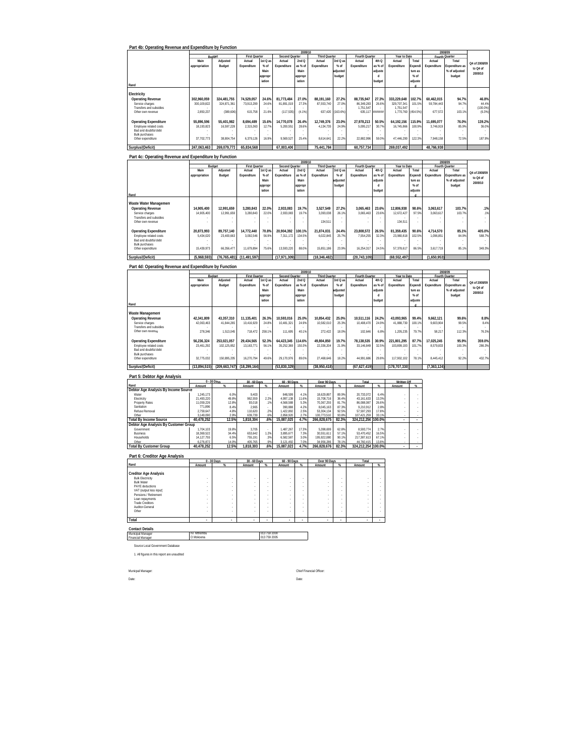|                                                                        |                            | Part 4b: Operating Revenue and Expenditure by Function |                        |                              |                         | 2009/10         |                           |                    |                            |                             |                            |                   |                         | 2008/0                         |                     |
|------------------------------------------------------------------------|----------------------------|--------------------------------------------------------|------------------------|------------------------------|-------------------------|-----------------|---------------------------|--------------------|----------------------------|-----------------------------|----------------------------|-------------------|-------------------------|--------------------------------|---------------------|
|                                                                        |                            | Budget                                                 | <b>First Quarter</b>   |                              | <b>Second Quarter</b>   |                 | <b>Third Quarter</b>      |                    | <b>Fourth Quarter</b>      |                             | Year to Date               |                   | Fourth Quarter          |                                |                     |
|                                                                        | Main<br>appropriation      | Adjusted<br>Budget                                     | Actual<br>Expenditure  | $1st$ Q a<br>$%$ of          | Actual<br>Expenditure   | 2ndQ<br>as % of | Actual<br>Expenditure     | $3rd$ Q a<br>% of  | Actual<br>Expenditure      | 4th <sub>Q</sub><br>as % of | Actual<br>Expenditure      | Total<br>xpendi   | Actual<br>Expenditure   | Total<br>xpenditure as         | Q4 of 2008/09       |
|                                                                        |                            |                                                        |                        | Main                         |                         | Main            |                           | adjusted           |                            | adjuste                     |                            | ture as           |                         | % of adjusted                  | to Q4 of<br>2009/10 |
|                                                                        |                            |                                                        |                        | approp                       |                         | pprop           |                           | budget             |                            | d                           |                            | $%$ of            |                         | budget                         |                     |
| Rand                                                                   |                            |                                                        |                        | iation                       |                         | iation          |                           |                    |                            | budget                      |                            | adjuste           |                         |                                |                     |
| Electricity                                                            |                            |                                                        |                        |                              |                         |                 |                           |                    |                            |                             |                            |                   |                         |                                |                     |
| <b>Operating Revenue</b>                                               | 302,960,059                | 324,481,755                                            | 74,529,057             | 24.6%                        | 81,773,484              | 27.0%           | 88,191,160                | 27.2%              | 88,735,947                 | 27.3%                       | 333,229,648                | 102.7%            | 60.462.015              | 94.7%                          | 46.8%               |
| Service charges                                                        | 300,109,822                | 324.871.361                                            | 73,913,299             | 24.6%                        | 81,891,019              | 27.39           | 87,553,740                | 27.0%              | 86,349,283                 | 26.6%                       | 329,707,341                | 101.59            | 59,784,443              | 94.79                          | 44.49               |
| Transfers and subsidies<br>Other own revenue                           | 2.850.237                  | (389, 606)                                             | 615,758                | 21.6%                        | (117, 535)              | (4.1%           | 637,420                   | (163.6%            | 1,751,547<br>635,117       | ,,,,,,,                     | 1,751,547<br>1,770,760     | 454.5%            | 677,572                 | 103.1%                         | (100.0%<br>(6.3%    |
|                                                                        |                            |                                                        |                        |                              |                         |                 |                           |                    |                            |                             |                            |                   |                         |                                |                     |
| <b>Operating Expenditure</b><br>Employee related costs                 | 55.896.596<br>18,193,823   | 55,401,982<br>16,597,228                               | 8,694,489<br>2,315,363 | 15.6%<br>12.79               | 14,770,078<br>5,200,551 | 26.4%<br>28.69  | 12,749,376<br>4,134,735   | 23.0%<br>24.99     | 27,978,213<br>5,095,217    | 50.5%<br>30.7%              | 64,192,156<br>16,745,866   | 115.99<br>100.99  | 11,695,077<br>3,746,919 | 76.0%<br>85.99                 | 139.29<br>36.09     |
| Bad and doubtful debt                                                  |                            |                                                        |                        |                              |                         |                 |                           |                    |                            |                             |                            |                   |                         |                                |                     |
| <b>Bulk purchases</b><br>Other expenditure                             | 37.702.773                 | 38.804.754                                             | 6,379,126              | 16.9%                        | 9.569.527               | 25.4%           | 8.614,641                 | 22.29              | 22.882.996                 | 59.0%                       | 47,446,290                 | 122.39            | 7,948,158               | 72.5%                          | 187.9%              |
|                                                                        |                            |                                                        |                        |                              |                         |                 |                           |                    |                            |                             |                            |                   |                         |                                |                     |
| Surplus/(Deficit)                                                      | 247,063,463                | 269,079,773                                            | 65,834,568             |                              | 67,003,406              |                 | 75,441,784                |                    | 60,757,734                 |                             | 269,037,492                |                   | 48,766,938              |                                |                     |
| Part 4c: Operating Revenue and Expenditure by Function                 |                            |                                                        |                        |                              |                         |                 |                           |                    |                            |                             |                            |                   |                         |                                |                     |
|                                                                        |                            | Budget                                                 | First Quarter          |                              | <b>Second Quarter</b>   | 2009/10         | <b>Third Quarter</b>      |                    | Fourth Quarter             |                             | Year to Date               |                   | Fourth Quarter          |                                |                     |
|                                                                        | Main                       | Adjusted                                               | Actual                 | 1st Q at                     | Actual                  | 2ndQ            | Actual                    | 3rd Q at           | Actual                     | 4th Q                       | Actual                     | Total             | Actual                  | Total                          | Q4 of 2008/09       |
|                                                                        | appropriation              | Budget                                                 | Expenditure            | $%$ of<br>Main               | Expenditure             | as % of<br>Main | Expenditure               | $%$ of<br>adjustec | Expenditure                | as % of<br>adjuste          | Expenditure                | Expend<br>ture as | Expenditure             | xpenditure as<br>% of adjusted | to Q4 of            |
|                                                                        |                            |                                                        |                        | approp                       |                         | approp          |                           | budget             |                            | d                           |                            | $%$ of            |                         | budget                         | 2009/10             |
|                                                                        |                            |                                                        |                        | iation                       |                         | iation          |                           |                    |                            | budget                      |                            | adjuste           |                         |                                |                     |
| Rand                                                                   |                            |                                                        |                        |                              |                         |                 |                           |                    |                            |                             |                            | d                 |                         |                                |                     |
| Waste Water Management                                                 |                            |                                                        |                        |                              |                         |                 |                           |                    |                            |                             |                            |                   |                         |                                |                     |
| <b>Operating Revenue</b><br>Service charges                            | 14.905.400<br>14,905,400   | 12,991,659<br>12,991,659                               | 3.280.843<br>3,280,843 | 22.0%<br>22.09               | 2,933,083<br>2,933,083  | 19.7%<br>19.79  | 3,527,549<br>3,393,038    | 27.2%<br>26.1%     | 3.065.463<br>3,065,463     | 23.6%<br>23.6%              | 12.806.938<br>12,672,427   | 98.6%<br>97.59    | 3.063.617<br>3,063,617  | 103.7%<br>103.79               | .1%<br>.19          |
| Transfers and subsidies                                                |                            |                                                        |                        |                              |                         |                 |                           |                    |                            |                             |                            |                   |                         |                                |                     |
| Other own revenue                                                      |                            |                                                        |                        |                              |                         |                 | 134.511                   |                    |                            |                             | 134.511                    |                   |                         |                                |                     |
| <b>Operating Expenditure</b>                                           | 20,873,993                 | 89,757,140                                             | 14,772,440             | 70.8%                        | 20,904,392              | 100.19          | 21,874,031                | 24.4%              | 23,808,572                 | 26.5%                       | 81,359,435                 | 90.6%             | 4,714,570               | 85.1%                          | 405.0%              |
| Employee related costs                                                 | 5,434,020                  | 23,400,663                                             | 3.092.546              | 56.99                        | 7,311,172               | 134.59          | 6,022,845                 | 25.79              | 7,554,255                  | 32.3%                       | 23,980,818                 | 102.59            | 1,096,851               | 84.9%                          | 588.79              |
| Bad and doubtful debt<br><b>Bulk purchases</b>                         |                            |                                                        |                        |                              |                         |                 |                           |                    |                            |                             |                            |                   |                         |                                |                     |
| Other expenditure                                                      | 15,439,973                 | 66,356,477                                             | 11,679,894             | 75.6%                        | 13,593,220              | 88.0%           | 15,851,186                | 23.9%              | 16,254,317                 | 24.5%                       | 57,378,617                 | 86.59             | 3,617,719               | 85.1%                          | 349.3%              |
| Surplus/(Deficit)                                                      | (5,968,593)                | (76, 765, 481)                                         | (11, 491, 597)         |                              | (17,971,309             |                 | (18,346,482               |                    | (20,743,109                |                             | (68.552.497                |                   | (1,650,953              |                                |                     |
|                                                                        |                            |                                                        |                        |                              |                         |                 |                           |                    |                            |                             |                            |                   |                         |                                |                     |
| Part 4d: Operating Revenue and Expenditure by Function                 |                            |                                                        |                        |                              |                         | 2009/10         |                           |                    |                            |                             |                            |                   |                         | 2008/09                        |                     |
|                                                                        |                            |                                                        | First Q                |                              | <b>Second Quarter</b>   |                 | Third Qua                 |                    | Fourth Quarte              |                             | Year to Dat                |                   | Fourth Quarter          |                                |                     |
|                                                                        | Main<br>appropriation      | Adjusted<br>Budget                                     | Actual<br>Expenditure  | $1st$ Q as<br>$%$ of         | Actual<br>Expenditure   | 2ndQ<br>as % o  | Actual<br>Expenditure     | 3rd Q a<br>$%$ of  | Actual<br>Expenditure      | 4th Q<br>as % of            | Actual<br>Expenditure      | Total<br>xpend    | Actual<br>Expenditure   | Total<br>xpenditure a          | Q4 of 2008/09       |
|                                                                        |                            |                                                        |                        | Main                         |                         | Main            |                           | adjusteo           |                            | adjuste                     |                            | ture as           |                         | % of adjusted                  | to Q4 of<br>2009/10 |
|                                                                        |                            |                                                        |                        | approp                       |                         | approp          |                           | budget             |                            | d                           |                            | $%$ of            |                         | budget                         |                     |
| Rand                                                                   |                            |                                                        |                        | iation                       |                         | iation          |                           |                    |                            | budget                      |                            | adjuste           |                         |                                |                     |
| Waste Management                                                       |                            |                                                        |                        |                              |                         |                 |                           |                    |                            |                             |                            |                   |                         |                                |                     |
| <b>Operating Revenue</b>                                               | 42,341,809                 | 43,357,310                                             | 11,135,401             | 26.3%                        | 10,593,016              | 25.0%           | 10,854,432                | 25.0%              | 10,511,116                 | 24.2%                       | 43,093,965                 | 99.4%             | 9,662,121               | 99.6%                          | 8.8%                |
| Service charges                                                        | 42,063,463                 | 41,844,265                                             | 10,416,929             | 24.8%                        | 10,481,321              | 24.9%           | 10,582,010                | 25.3%              | 10,408,470                 | 24.9%                       | 41,888,730                 | 100.1%            | 9,603,904               | 99.59                          | 8.4%                |
| Transfers and subsidies<br>Other own revenue                           | 278,346                    | 1,513,045                                              | 718,472                | 258.1%                       | 111,695                 | 40.19           | 272,422                   | 18.0%              | 102,646                    | 6.8%                        | 1,205,235                  | 79.79             | 58,217                  | 112.3%                         | 76.3%               |
|                                                                        |                            |                                                        |                        |                              |                         |                 |                           |                    |                            |                             |                            |                   |                         |                                |                     |
| <b>Operating Expenditure</b><br>Employee related costs                 | 56,236,324                 | 253,021,057                                            | 29,434,565             | 52.3%                        | 64,423,345              | 14.6%<br>150.3% | 49,804,850<br>22,336,204  | 19.7%<br>21.9%     | 78,138,535<br>33,146,849   | 30.9%<br>32.5%              | 221,801,295<br>103,899,193 | 87.7%<br>101.7%   | 17,025,245<br>8,579,833 | 95.9%<br>100.3%                | 359.0%<br>286.3%    |
| Bad and doubtful debt                                                  |                            |                                                        |                        |                              |                         |                 |                           |                    |                            |                             |                            |                   |                         |                                |                     |
|                                                                        | 23,461,292                 | 102,125,852                                            | 13,163,771             | 56.1%                        | 35,252,369              |                 |                           |                    |                            |                             |                            |                   |                         |                                |                     |
| <b>Bulk purchases</b>                                                  | 32.775.032                 |                                                        |                        | 49.6%                        |                         | 89.09           |                           |                    |                            | 29.8%                       |                            |                   |                         |                                |                     |
| Other expenditure                                                      |                            | 150,895,205                                            | 16,270,794             |                              | 29,170,976              |                 | 27,468,646                | 18.29              | 44,991,686                 |                             | 117,902,102                | 78.19             | 8,445,412               | 92.29                          | 432.7%              |
| Surplus/(Deficit)                                                      | (13,894,515)               | (209, 663, 747)                                        | (18, 299, 164)         |                              | (53,830,329             |                 | (38,950,418)              |                    | (67, 627, 419)             |                             | (178, 707, 330)            |                   | (7, 363, 124)           |                                |                     |
| Part 5: Debtor Age Analysis                                            |                            |                                                        |                        |                              |                         |                 |                           |                    |                            |                             |                            |                   |                         |                                |                     |
| Rand                                                                   |                            | 0 - 30 Days                                            | 30 - 60 Days           |                              | 60 - 90 Days            |                 | Over 90 Days              |                    | Total                      |                             | Written Off                |                   |                         |                                |                     |
| Debtor Age Analysis By Income Source                                   | Amount                     |                                                        | Amount                 |                              | Amount                  |                 | Amount                    |                    | Amount                     |                             | Amount                     |                   |                         |                                |                     |
| Water<br>Electricity                                                   | 1,245,173<br>21,493,220    | 6.0%<br>49.8%                                          | 9,403<br>962,559       | 2.2%                         | 848.599<br>4,997,138    | 4.19<br>11.6%   | 18,629,897<br>15,708,716  | 89.9%<br>36.4%     | 20,733,072<br>43, 161, 633 | 6.4%<br>13.3%               |                            |                   |                         |                                |                     |
| Property Rates                                                         | 11,059,226                 | 12.8%                                                  | 93,018                 | .19                          | 4,568,588               | 5.3%            | 70,367,255                | 81.75              | 86,088,087                 | 26.6%                       |                            |                   |                         |                                |                     |
| Sanitation<br>Refuse Removal                                           | 771.896<br>2,759,647       | 8.4%<br>4.8%                                           | 2.965<br>110,620       | 2%                           | 390.888<br>1,422,892    | 4.2%<br>2.5%    | 8.045.163<br>53,304,134   | 87.3%<br>92.59     | 9,210,912<br>57,597,293    | 2.8%<br>17.8%               |                            |                   |                         |                                |                     |
| Other                                                                  | 3 149 090                  | 2.99                                                   | 639.739                | .69                          | 2.858.920               | 279             | 100.773.510               | 93.89              | 107.421.259                | 33 1%                       |                            |                   |                         |                                |                     |
| <b>Total By Income Source</b><br>Debtor Age Analysis By Customer Group | 40,478,252                 | 12.5%                                                  | 1,818,304              | .6%                          | 15,087,025              | 4.7%            | 266,828,675               | 82.3%              | 324,212,256 100.0%         |                             |                            |                   |                         |                                |                     |
| Governmen                                                              | 1.704.103                  | 19.8%                                                  | 3.705                  |                              | 1.487.267               | 17.3%           | 5.398.699                 | 62.89              | 8.593.774                  | 2.7%                        |                            |                   |                         |                                |                     |
| <b>Business</b><br>Households                                          | 18.369.522<br>14, 127, 755 | 34.4%<br>6.5%                                          | 653.642<br>755,191     | 1.2%<br>.3%                  | 3.895.677<br>6,582,587  | 7.3%<br>3.0%    | 30.551.611<br>195,922,080 | 57.1%<br>90.1%     | 53.470.452<br>217,387,613  | 16.5%<br>67.1%              | ٠                          |                   |                         |                                |                     |
| Other                                                                  | 6,276,872                  | 14.09                                                  | 405,765                | .9%                          | 3,121,492               | 7.09            | 34,956,286                | 78.19              | 44,760,415                 | 13.89                       |                            |                   |                         |                                |                     |
| <b>Total By Customer Group</b>                                         | 40,478,252                 | 12.5%                                                  | 1.818.303              | .6%                          | 15.087.023              | 4.7%            | 266,828,676               | 82.3%              | 324,212,254                | 100.0%                      |                            |                   |                         |                                |                     |
| Part 6: Creditor Age Analysis                                          |                            |                                                        |                        |                              |                         |                 |                           |                    |                            |                             |                            |                   |                         |                                |                     |
| Rand                                                                   | Amount                     | 0 - 30 Days                                            | 30 - 60 Day<br>Amount  | x                            | 60 - 90 Day:<br>Amount  |                 | Over 90 Days<br>Amount    | $\alpha$           | Total<br>Amount            | %                           |                            |                   |                         |                                |                     |
|                                                                        |                            |                                                        |                        |                              |                         |                 |                           |                    |                            |                             |                            |                   |                         |                                |                     |
| Creditor Age Analysis<br><b>Bulk Electricity</b>                       |                            |                                                        |                        |                              |                         |                 |                           |                    |                            |                             |                            |                   |                         |                                |                     |
| <b>Bulk Water</b>                                                      |                            |                                                        |                        |                              |                         |                 |                           |                    |                            |                             |                            |                   |                         |                                |                     |
| PAYE deductions<br>VAT (output less input)                             | ż                          | ×                                                      | ×                      |                              |                         | à,              | ×                         |                    | ×                          |                             |                            |                   |                         |                                |                     |
| Pensions / Retirement                                                  |                            | ł                                                      | ×                      |                              |                         | $\cdot$         | ×                         | $\epsilon$         |                            | ٠                           |                            |                   |                         |                                |                     |
| Loan repayments<br><b>Trade Creditors</b>                              |                            |                                                        |                        |                              |                         | ×               |                           | ×                  |                            | ÷                           |                            |                   |                         |                                |                     |
| Auditor-General<br>Other                                               |                            | ×                                                      | ×<br>×                 |                              |                         | ÷,<br>÷,        |                           | à.<br>à.           |                            | $\cdot$                     |                            |                   |                         |                                |                     |
|                                                                        |                            |                                                        |                        |                              |                         |                 |                           |                    |                            |                             |                            |                   |                         |                                |                     |
| Total                                                                  |                            |                                                        |                        |                              |                         |                 |                           |                    |                            |                             |                            |                   |                         |                                |                     |
| <b>Contact Details</b>                                                 | NT Mihombi                 |                                                        |                        |                              |                         |                 |                           |                    |                            |                             |                            |                   |                         |                                |                     |
| Municipal Manager<br>Financial Manager                                 | O Mokoena                  |                                                        |                        | 013 759 2000<br>013 759 2005 |                         |                 |                           |                    |                            |                             |                            |                   |                         |                                |                     |
|                                                                        |                            |                                                        |                        |                              |                         |                 |                           |                    |                            |                             |                            |                   |                         |                                |                     |
| Source Local Government Database                                       |                            |                                                        |                        |                              |                         |                 |                           |                    |                            |                             |                            |                   |                         |                                |                     |
| 1. All figures in this report are unaudited                            |                            |                                                        |                        |                              |                         |                 |                           |                    |                            |                             |                            |                   |                         |                                |                     |
|                                                                        |                            |                                                        |                        |                              |                         |                 |                           |                    |                            |                             |                            |                   |                         |                                |                     |
| Municpal Manager:                                                      |                            |                                                        |                        |                              |                         |                 | Chief Financial Officer:  |                    |                            |                             |                            |                   |                         |                                |                     |
| Date                                                                   |                            |                                                        |                        |                              |                         | Date            |                           |                    |                            |                             |                            |                   |                         |                                |                     |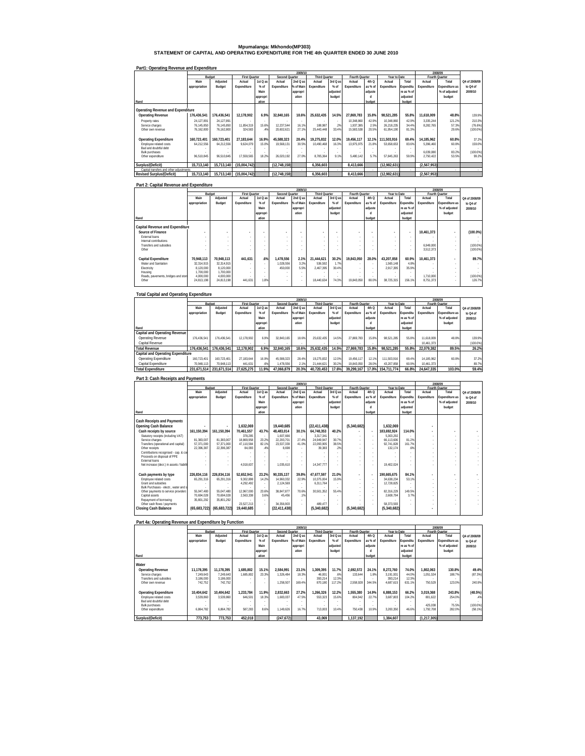**Mpumalanga: Mkhondo(MP303) STATEMENT OF CAPITAL AND OPERATING EXPENDITURE FOR THE 4th QUARTER ENDED 30 JUNE 2010**

|                                         |               | 2009/10     |                      |          |                |           |                      |                          |                |         |              |            |             | 2008/09        |               |
|-----------------------------------------|---------------|-------------|----------------------|----------|----------------|-----------|----------------------|--------------------------|----------------|---------|--------------|------------|-------------|----------------|---------------|
|                                         |               | Budget      | <b>First Quarter</b> |          | Second Quarter |           | <b>Third Quarter</b> |                          | Fourth Quarter |         | Year to Date |            |             | Fourth Quarter |               |
|                                         | Main          | Adjusted    | Actual               | 1st Q as | Actual         | 2nd Q as  | Actual               | 3rd Q as                 | Actual         | 4th Q   | Actual       | Total      | Actual      | Total          | Q4 of 2008/09 |
|                                         | appropriation | Budget      | Expenditure          | $%$ of   | Expenditure    | % of Main | Expenditure          | % of                     | Expenditure    | as % of | Expenditure  | Expenditu  | Expenditure | Expenditure as | to Q4 of      |
|                                         |               |             |                      | Main     |                | appropri  |                      | adiusted                 |                | adjuste |              | re as % of |             | % of adjusted  | 2009/10       |
|                                         |               |             |                      | appropri |                | ation     |                      | budget                   |                |         |              | adiusted   |             | budget         |               |
| Rand                                    |               |             |                      | ation    |                |           |                      |                          |                | budget  |              | budget     |             |                |               |
|                                         |               |             |                      |          |                |           |                      |                          |                |         |              |            |             |                |               |
| Operating Revenue and Expenditure       |               |             |                      |          |                |           |                      |                          |                |         |              |            |             |                |               |
| <b>Operating Revenue</b>                | 176.436.541   | 176.436.541 | 12.178.902           | 6.9%     | 32.840.165     | 18.6%     | 25.632.435           | 14.5%                    | 27.869.783     | 15.8%   | 98.521.285   | 55.8%      | 11.618.009  | 48.8%          | 139.9%        |
| Property rates                          | 24.127.891    | 24.127.891  |                      |          |                |           |                      | $\overline{\phantom{a}}$ | 10.348.860     | 42.9%   | 10.348.860   | 42.9%      | 3.335.244   | 121.2%         | 210.3%        |
| Service charges                         | 76.145.850    | 76.145.850  | 11.854.319           | 15.6%    | 12.237.544     | 16.1%     | 188.987              | .2%                      | 1.937.385      | 2.5%    | 26.218.235   | 34.4%      | 8.282.765   | 57.3%          | (76.6%)       |
| Other own revenue                       | 76.162.800    | 76.162.800  | 324.583              | 4%       | 20.602.621     | 27.1%     | 25.443.448           | 33.4%                    | 15.583.538     | 20.5%   | 61.954.190   | 81.3%      |             | 29.6%          | $(100.0\%)$   |
|                                         |               |             |                      |          |                |           |                      |                          |                |         |              |            |             |                |               |
| <b>Operating Expenditure</b>            | 160.723.401   | 160.723.401 | 27.183.644           | 16.9%    | 45.588.323     | 28.4%     | 19.275.832           | 12.0%                    | 19.456.117     | 12.1%   | 111.503.916  | 69.4%      | 14.185.962  | 60.8%          | 37.2%         |
| Employee related costs                  | 64.212.556    | 64.212.556  | 9.624.079            | 15.09    | 19.568.131     | 30.5%     | 10.490.468           | 16.3%                    | 13.975.975     | 21.8%   | 53.658.653   | 83.6%      | 5.396.460   | 60.8%          | 159.0%        |
| Bad and doubtful debt                   |               |             |                      |          |                |           |                      |                          |                |         |              |            |             |                |               |
| <b>Bulk purchases</b>                   |               |             |                      |          |                |           |                      |                          |                |         |              |            | 6.039.080   | 83.2%          | $(100.0\%)$   |
| Other expenditure                       | 96.510.845    | 96.510.845  | 17.559.565           | 18.2%    | 26.020.192     | 27.0%     | 8.785.364            | 9.1%                     | 5.480.142      | 5.7%    | 57.845.263   | 59.9%      | 2.750.422   | 53.5%          | 99.2%         |
|                                         |               |             |                      |          |                |           |                      |                          |                |         |              |            |             |                |               |
| Surplus/(Deficit)                       | 15.713.140    | 15.713.140  | (15,004,742)         |          | (12, 748, 158) |           | 6.356.603            |                          | 8.413.666      |         | (12.982.631) |            | (2,567,953) |                |               |
| Capital transfers and other adjustments |               |             |                      |          |                |           |                      |                          |                |         |              |            |             |                |               |
| <b>Revised Surplus/(Deficit)</b>        | 15.713.140    | 15.713.140  | (15.004.742)         |          | (12.748.158)   |           | 6.356.603            |                          | 8.413.666      |         | (12.982.631) |            | (2.567.953) |                |               |

#### **Part1: Operating Revenue and Expenditure**

# **Part 2: Capital Revenue and Expenditure**

|                                     |               | 2009/10<br>2008/09       |                          |                          |                |           |                          |                          |                |                          |              |            |                |                          |               |
|-------------------------------------|---------------|--------------------------|--------------------------|--------------------------|----------------|-----------|--------------------------|--------------------------|----------------|--------------------------|--------------|------------|----------------|--------------------------|---------------|
|                                     | <b>Budget</b> |                          | <b>First Quarter</b>     |                          | Second Quarter |           | <b>Third Quarter</b>     |                          | Fourth Quarter |                          | Year to Date |            | Fourth Quarter |                          |               |
|                                     | Main          | Adjusted                 | Actual                   | 1st Q as                 | Actual         | 2nd Q as  | Actual                   | $3rdQ$ as                | Actual         | 4th Q                    | Actual       | Total      | Actual         | Total                    | Q4 of 2008/09 |
|                                     | appropriation | Budget                   | Expenditure              | % of                     | Expenditure    | % of Main | Expenditure              | $%$ of                   | Expenditure    | as % of                  | Expenditure  | Expenditu  | Expenditure    | Expenditure as           | to Q4 of      |
|                                     |               |                          |                          | Main                     |                | appropri  |                          | adjusted                 |                | adjuste                  |              | re as % of |                | % of adjusted            | 2009/10       |
|                                     |               |                          |                          | appropri                 |                | ation     |                          | budget                   |                |                          |              | adjusted   |                | budget                   |               |
| Rand                                |               |                          |                          | ation                    |                |           |                          |                          |                | budget                   |              | budget     |                |                          |               |
|                                     |               |                          |                          |                          |                |           |                          |                          |                |                          |              |            |                |                          |               |
| Capital Revenue and Expenditure     |               |                          |                          |                          |                |           |                          |                          |                |                          |              |            |                |                          |               |
| Source of Finance                   |               | $\overline{\phantom{a}}$ | $\overline{\phantom{a}}$ | $\overline{\phantom{a}}$ | ٠              | ٠         | $\overline{\phantom{a}}$ | $\overline{\phantom{a}}$ |                | $\overline{\phantom{a}}$ |              |            | 10.461.373     | $\sim$                   | $(100.0\%)$   |
| External loans                      |               |                          | $\sim$                   |                          | $\sim$         | ٠         | $\overline{\phantom{a}}$ | $\sim$                   | ×,             |                          |              |            |                |                          |               |
| Internal contributions              |               |                          | $\sim$                   |                          | $\sim$         |           | $\sim$                   |                          |                |                          |              |            |                |                          |               |
| Transfers and subsidies             |               |                          | $\sim$                   | ٠                        | $\sim$         | $\sim$    | $\sim$                   | $\sim$                   |                |                          |              | $\sim$     | 6.949.000      |                          | $(100.0\%)$   |
| Other                               |               |                          | ٠                        |                          | $\sim$         |           | $\sim$                   |                          |                |                          |              |            | 3.512.373      |                          | (100.0%       |
|                                     |               |                          |                          |                          |                |           |                          |                          |                |                          |              |            |                |                          |               |
| Capital Expenditure                 | 70.948.113    | 70.948.113               | 441.631                  | .6%                      | 1.478.556      | 2.1%      | 21.444.621               | 30.2%                    | 19.843.050     | 28.0%                    | 43.207.858   | 60.9%      | 10.461.373     | $\overline{\phantom{a}}$ | 89.7%         |
| Water and Sanitation                | 32.314.915    | 32.314.915               | $\sim$                   | ٠                        | 1.028.556      | 3.2%      | 536.592                  | 1.7%                     | $\sim$         |                          | 1.565.148    | 4.8%       |                |                          |               |
| Electricity                         | 8,120,000     | 8.120.000                | ×.                       | ٠                        | 450.000        | 5.5%      | 2.467.395                | 30.4%                    |                |                          | 2.917.395    | 35.9%      |                |                          |               |
| Housing                             | 1,700,000     | 1,700,000                | $\sim$                   | ٠                        | $\sim$         |           | $\sim$                   |                          |                |                          |              |            |                |                          |               |
| Roads, payements, bridges and storn | 4,000,000     | 4,000,000                |                          |                          |                | ٠         |                          |                          |                |                          |              |            | 1.710.000      |                          | $(100.0\%)$   |
| Other                               | 24.813.198    | 24.813.198               | 441.631                  | 1.8%                     | $\sim$         | $\sim$    | 18.440.634               | 74.39                    | 19.843.050     | 80.09                    | 38.725.315   | 156.1%     | 8.751.373      |                          | 126.7%        |
|                                     |               |                          |                          |                          |                |           |                          |                          |                |                          |              |            |                |                          |               |

#### **Total Capital and Operating Expenditure**

|                                          |               | 2009/10     |                      |          |                |           |                      |          |                |         |              |            |                       |                |               |
|------------------------------------------|---------------|-------------|----------------------|----------|----------------|-----------|----------------------|----------|----------------|---------|--------------|------------|-----------------------|----------------|---------------|
|                                          | Budget        |             | <b>First Quarter</b> |          | Second Quarter |           | <b>Third Quarter</b> |          | Fourth Quarter |         | Year to Date |            | <b>Fourth Quarter</b> |                |               |
|                                          | Main          | Adiusted    | Actual               | 1st Q as | Actual         | 2nd Q as  | Actual               | 3rd Q as | Actual         | 4th Q   | Actual       | Total      | Actual                | Total          | Q4 of 2008/09 |
|                                          | appropriation | Budget      | Expenditure          | % of     | Expenditure    | % of Main | Expenditure          | % of     | Expenditure    | as % of | Expenditure  | Expenditu  | Expenditure           | Expenditure as | to Q4 of      |
|                                          |               |             |                      | Main     |                | appropri  |                      | adjusted |                | adjuste |              | re as % of |                       | % of adjusted  | 2009/10       |
|                                          |               |             |                      | appropri |                | ation     |                      | budget   |                |         |              | adjusted   |                       | budget         |               |
| Rand                                     |               |             |                      | ation    |                |           |                      |          |                | budget  |              | budget     |                       |                |               |
| Capital and Operating Revenue            |               |             |                      |          |                |           |                      |          |                |         |              |            |                       |                |               |
| Operating Revenue                        | 176.436.541   | 176.436.541 | 12.178.902           | 6.9%     | 32.840.165     | 18.6%     | 25.632.435           | 14.5%    | 27.869.783     | 15.8%   | 98.521.285   | 55.8%      | 11.618.009            | 48.8%          | 139.9%        |
| Capital Revenue                          |               |             |                      |          |                |           |                      |          |                |         |              |            | 10.461.373            |                | (100.0%)      |
| <b>Total Revenue</b>                     | 176.436.541   | 176.436.541 | 12.178.902           | 6.9%     | 32.840.165     | 18.6%     | 25.632.435           | 14.5%    | 27.869.783     | 15.8%   | 98.521.285   | 55.8%      | 22.079.382            | 89.5%          | 26.2%         |
| <b>Capital and Operating Expenditure</b> |               |             |                      |          |                |           |                      |          |                |         |              |            |                       |                |               |
| <b>Operating Expenditure</b>             | 160.723.401   | 160.723.401 | 27.183.644           | 16.9%    | 45.588.323     | 28.4%     | 19.275.832           | 12.0%    | 19.456.117     | 12.1%   | 111.503.916  | 69.4%      | 14.185.962            | 60.8%          | 37.2%         |
| Capital Expenditure                      | 70.948.113    | 70.948.113  | 441.631              | .6%      | 1.478.556      | 2.1%      | 21.444.621           | 30.2%    | 19.843.050     | 28.0%   | 43.207.858   | 60.9%      | 10.461.373            |                | 89.7%         |
| <b>Total Expenditure</b>                 | 231.671.514   | 231.671.514 | 27.625.275           | 11.9%    | 47.066.879     | 20.3%     | 40.720.453           | 17.6%    | 39.299.167     | 17.0%   | 154.711.774  | 66.8%      | 24.647.335            | 103.0%         | 59.4%         |
|                                          |               |             |                      |          |                |           |                      |          |                |         |              |            |                       |                |               |

#### **Part 3: Cash Receipts and Payments Rand Main appropriation Adjusted Budget Actual Expenditure 1st Q as % of Main appropri ation Actual 2nd Q as % of Main Expenditure appropri ation Actual Expenditure 3rd Q as % of adjusted budget Actual Expenditure 4th Q as % of adjuste d budget**  Year to<br>Actual **Expenditure Total Expenditu re as % of adjusted budget Actual Expenditure Fourth Quarter**<br> **ual** Total **Expenditure as % of adjusted budget**  Cash Receipts and Payments<br>
Cash Receipts and Payments<br>
Cash receipts by source (16,150,394)<br>
Cash receipts by source (16,150,394)<br>
Samular process (notice and the state of the state of the state of the state of the state Net increase (decr.) in assets / liabilit - - 4,018,637 - 1,035,610 - 14,347,777 - - - 19,402,024 - - - - Cash payments by type 226,831,7116  $\frac{(26,831.716)}{20,833.72}$  (5.40,682)<br>
Constant absolutes the context of the context of the context of the context of the context of the context of the context of the context of the con  **2009/10 2008/09 Q4 of 2008/09 to Q4 of 2009/10 Budget First Quarter Second Quarter First Operator Date**

|                              | Part 4a: Operating Revenue and Expenditure by Function |            |                      |          |                |           |                      |          |                |         |              |            |             |                |               |
|------------------------------|--------------------------------------------------------|------------|----------------------|----------|----------------|-----------|----------------------|----------|----------------|---------|--------------|------------|-------------|----------------|---------------|
|                              |                                                        |            |                      |          |                | 2009/10   |                      |          |                |         |              |            |             | 2008/09        |               |
|                              | Budget                                                 |            | <b>First Quarter</b> |          | Second Quarter |           | <b>Third Quarter</b> |          | Fourth Quarter |         | Year to Date |            |             | Fourth Quarter |               |
|                              | Main                                                   | Adjusted   | Actual               | 1st Q as | Actual         | 2nd Q as  | Actual               | 3rd Q as | Actual         | 4th Q   | Actual       | Total      | Actual      | Total          | Q4 of 2008/09 |
|                              | appropriation                                          | Budget     | Expenditure          | % of     | Expenditure    | % of Main | Expenditure          | % of     | Expenditure    | as % of | Expenditure  | Expenditu  | Expenditure | Expenditure as | to Q4 of      |
|                              |                                                        |            |                      | Main     |                | appropri  |                      | adjusted |                | adjuste |              | re as % of |             | % of adjusted  | 2009/10       |
|                              |                                                        |            |                      | appropri |                | ation     |                      | budget   |                |         |              | adjusted   |             | budget         |               |
| Rand                         |                                                        |            |                      | ation    |                |           |                      |          |                | budget  |              | budget     |             |                |               |
|                              |                                                        |            |                      |          |                |           |                      |          |                |         |              |            |             |                |               |
| Water                        |                                                        |            |                      |          |                |           |                      |          |                |         |              |            |             |                |               |
| <b>Operating Revenue</b>     | 11.178.395                                             | 11.178.395 | 1.685.802            | 15.1%    | 2.584.991      | 23.1%     | 1.309.395            | 11.7%    | 2.692.572      | 24.1%   | 8.272.760    | 74.0%      | 1.802.063   | 130.8%         | 49.4%         |
| Service charges              | 7.249.643                                              | 7.249.643  | 1.685.802            | 23.3%    | 1.326.484      | 18.3%     | 46.001               | 69       | 133.644        | 1.8%    | 3.191.931    | 44.0%      | 1.051.534   | 188.7%         | (87.3%        |
| Transfers and subsidies      | 3,186,000                                              | 3,186,000  |                      |          |                |           | 393.214              | 12.3%    |                |         | 393.214      | 12.3%      |             |                |               |
| Other own revenue            | 742.752                                                | 742.752    |                      |          | 1.258.507      | 169.4%    | 870.180              | 117.2%   | 2.558.928      | 344.5%  | 4.687.615    | 631.1%     | 750.529     | 123.0%         | 240.9%        |
|                              |                                                        |            |                      |          |                |           |                      |          |                |         |              |            |             |                |               |
| <b>Operating Expenditure</b> | 10.404.642                                             | 10.404.642 | 1.233.784            | 11.9%    | 2.832.663      | 27.2%     | 1.266.326            | 12.2%    | 1.555.380      | 14.9%   | 6.888.153    | 66.2%      | 3.019.368   | 243.8%         | (48.5%)       |
| Employee related costs       | 3.539.860                                              | 3.539.860  | 646.501              | 18.39    | 1.683.037      | 47.5%     | 553.323              | 15.6%    | 804.942        | 22.7%   | 3.687.803    | 104.2%     | 801.622     | 254.0%         | .4%           |
| Bad and doubtful debt        |                                                        |            |                      |          |                |           |                      |          |                |         |              |            |             |                |               |
| <b>Bulk purchases</b>        |                                                        |            |                      |          |                |           |                      |          |                |         |              |            | 425.038     | 75.5%          | $(100.0\%)$   |
| Other expenditure            | 6.864.782                                              | 6.864.782  | 587.283              | 8.6%     | 1.149.626      | 16.7%     | 713.003              | 10.4%    | 750.438        | 10.9%   | 3.200.350    | 46.69      | 1.792.708   | 282.0%         | (58.1%        |
| Surplus/(Deficit)            | 773.753                                                | 773.753    | 452.018              |          | (247, 672)     |           | 43.069               |          | 1.137.192      |         | 1.384.607    |            | (1.217.305) |                |               |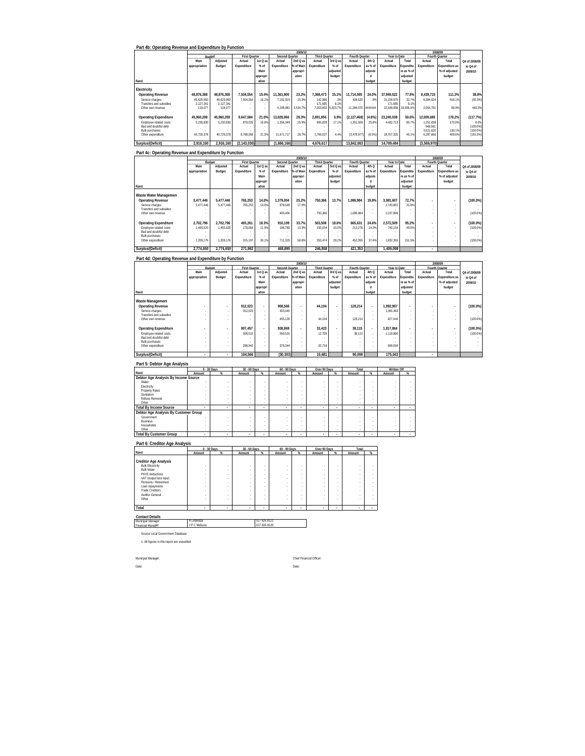|                                                 | Part 4b: Operating Revenue and Expenditure by Function |                         |                      |          |                |           |                      |            |                    |         |                       |               |                      |                |                     |
|-------------------------------------------------|--------------------------------------------------------|-------------------------|----------------------|----------|----------------|-----------|----------------------|------------|--------------------|---------|-----------------------|---------------|----------------------|----------------|---------------------|
|                                                 |                                                        |                         |                      |          |                | 2009/10   |                      |            |                    |         |                       |               |                      | 2008/09        |                     |
|                                                 | <b>Budget</b>                                          |                         | <b>First Quarter</b> |          | Second Quarter |           | <b>Third Quarter</b> |            | Fourth Quarter     |         | Year to Date          |               |                      | Fourth Quarter |                     |
|                                                 | Main                                                   | Adjusted                | Actual               | 1st Q as | Actual         | 2nd Q as  | Actual               | 3rd Q as   | Actual             | 4th Q   | Actual                | Total         | Actual               | Total          | Q4 of 2008/09       |
|                                                 | appropriation                                          | Budget                  | Expenditure          | $%$ of   | Expenditure    | % of Main | Expenditure          | % of       | Expenditure        | as % of | Expenditure           | Expenditu     | Expenditure          | Expenditure as | to Q4 of            |
|                                                 |                                                        |                         |                      | Main     |                | appropri  |                      | adjusted   |                    | adjuste |                       | re as % of    |                      | % of adjusted  | 2009/10             |
|                                                 |                                                        |                         |                      | appropri |                | ation     |                      | budget     |                    |         |                       | adjusted      |                      | budget         |                     |
| Rand                                            |                                                        |                         |                      | ation    |                |           |                      |            |                    | budget  |                       | budget        |                      |                |                     |
| Electricity                                     |                                                        |                         |                      |          |                |           |                      |            |                    |         |                       |               |                      |                |                     |
| <b>Operating Revenue</b>                        | 48.876.368                                             | 48.876.368              | 7.504.554            | 15.4%    | 11.361.900     | 23.2%     | 7.368.473            | 15.1%      | 11.714.595         | 24.0%   | 37.949.522            | 77.6%         | 8.439.715            | 111.3%         | 38.8%               |
| Service charges<br>Transfers and subsidies      | 46.629.950<br>2.127.341                                | 46.629.950<br>2.127.341 | 7.504.554            | 16.1%    | 7.152.919      | 15.3%     | 142.986<br>171.685   | .3%<br>819 | 428.520            | 9%      | 15.228.979<br>171.685 | 32.7%<br>8 1% | 6.384.924            | 918.1%         | $(93.3\%)$          |
| Other own revenue                               | 119.077                                                | 119.077                 |                      |          | 4.208.981      | 3.534.7%  | 7.053.802            | 5.923.7%   | 11.286.075 ####### |         | 22.548.858            | 18.936.4%     | 2.054.791            | 89.9%          | 449.3%              |
| <b>Operating Expenditure</b>                    | 45.960.208                                             | 45.960.208              | 9.647.584            | 21.0%    | 13.028.066     | 28.3%     | 2.691.856            | 5.9%       | (2.127.468)        | (4.6%)  | 23.240.038            | 50.6%         | 12.009.685           | 178.2%         | (117.7%)            |
| Employee related costs<br>Rad and doubtful debt | 5.230.830                                              | 5.230.830               | 879.026              | 16.8%    | 1.356.349      | 25.9%     | 895.829              | 17.1%      | 1.351.509          | 25.8%   | 4.482.713             | 85.7%         | 1,251.838<br>948.561 | 170.9%         | 8.0%<br>$(100.0\%)$ |
| <b>Bulk purchases</b>                           |                                                        |                         |                      |          |                |           |                      |            |                    |         |                       |               | 3.521.620            | 130.1%         | $(100.0\%)$         |
| Other expenditure                               | 40.729.378                                             | 40.729.378              | 8.768.558            | 21.5%    | 11.671.717     | 28.7%     | 1.796.027            | 4.4%       | (3,478,977)        | (8.5%)  | 18.757.325            | 46.1%         | 6.287.666            | 409.6%         | (155.3%)            |
| Surplus/(Deficit)                               | 2.916.160                                              | 2.916.160               | (2, 143, 030)        |          | (1,666,166)    |           | 4.676.617            |            | 13.842.063         |         | 14.709.484            |               | (3,569,970)          |                |                     |

|                              |               | 2009/10   |                      |          |                |           |                          |          |                |         |              |            | 2008/09        |                          |               |
|------------------------------|---------------|-----------|----------------------|----------|----------------|-----------|--------------------------|----------|----------------|---------|--------------|------------|----------------|--------------------------|---------------|
|                              | Budget        |           | <b>First Quarter</b> |          | Second Quarter |           | <b>Third Quarter</b>     |          | Fourth Quarter |         | Year to Date |            | Fourth Quarter |                          |               |
|                              | Main          | Adiusted  | Actual               | 1st Q as | Actual         | 2nd Q as  | Actual                   | 3rd Q as | Actual         | 4th Q   | Actual       | Total      | Actual         | Total                    | Q4 of 2008/09 |
|                              | appropriation | Budget    | Expenditure          | % of     | Expenditure    | % of Main | Expenditure              | % of     | Expenditure    | as % of | Expenditure  | Expenditu  | Expenditure    | Expenditure as           | to Q4 of      |
|                              |               |           |                      | Main     |                | appropri  |                          | adjusted |                | adjuste |              | re as % of |                | % of adjusted            | 2009/10       |
|                              |               |           |                      | appropri |                | ation     |                          | budget   |                | п       |              | adiusted   |                | budget                   |               |
| Rand                         |               |           |                      | ation    |                |           |                          |          |                | budget  |              | budget     |                |                          |               |
| Waste Water Management       |               |           |                      |          |                |           |                          |          |                |         |              |            |                |                          |               |
| <b>Operating Revenue</b>     | 5.477.446     | 5.477.446 | 765.253              | 14.0%    | 1.379.004      | 25.2%     | 750.366                  | 13.7%    | 1.086.984      | 19.8%   | 3.981.607    | 72.7%      |                | $\overline{\phantom{a}}$ | $(100.0\%)$   |
| Service charges              | 5.477.446     | 5.477.446 | 765.253              | 14.0%    | 978.548        | 17.9%     | $\overline{\phantom{a}}$ | $\sim$   | ×.             |         | 1.743.801    | 31.8%      |                |                          |               |
| Transfers and subsidies      |               |           |                      |          |                |           |                          | $\sim$   |                |         |              | ×.         | $\sim$         |                          |               |
| Other own revenue            |               |           |                      |          | 400.456        |           | 750.366                  | $\sim$   | 1.086.984      |         | 2.237.806    |            | $\sim$         |                          | $(100.0\%)$   |
|                              |               |           |                      |          |                |           |                          |          |                |         |              |            |                |                          |               |
| <b>Operating Expenditure</b> | 2.702.796     | 2.702.796 | 493.261              | 18.3%    | 910.109        | 33.7%     | 503.508                  | 18.6%    | 665.631        | 24.6%   | 2.572.509    | 95.2%      |                | $\blacksquare$           | $(100.0\%)$   |
| Employee related costs       | 1.493.620     | 1.493.620 | 178.064              | 11.9%    | 198,780        | 13.3%     | 150.034                  | 10.0%    | 213.276        | 14.3%   | 740.154      | 49.6%      |                |                          | $(100.0\%)$   |
| Bad and doubtful debt        |               |           |                      |          |                |           | . .                      | $\sim$   |                |         |              |            | $\sim$         |                          |               |
| <b>Bulk purchases</b>        |               |           |                      |          |                |           |                          | $\sim$   |                |         |              |            | $\sim$         |                          |               |
| Other expenditure            | 1.209.176     | 1.209.176 | 315.197              | 26.1%    | 711.329        | 58.8%     | 353.474                  | 29.2%    | 452.355        | 37.4%   | 1.832.355    | 151.5%     | ٠              |                          | $(100.0\%)$   |
| Surplus/(Deficit)            | 2.774.650     | 2.774.650 | 271.992              |          | 468.895        |           | 246.858                  |          | 421.353        |         | 1.409.098    |            | ٠              |                          |               |

#### **Part 4d: Operating Revenue and Expenditure by Function**

|                              | 2009/10       |                          |                      |                          |                          |           |                      |                          |                |         |              |            |             | 2008/09                  |               |
|------------------------------|---------------|--------------------------|----------------------|--------------------------|--------------------------|-----------|----------------------|--------------------------|----------------|---------|--------------|------------|-------------|--------------------------|---------------|
|                              |               | Budget                   | <b>First Quarter</b> |                          | Second Quarter           |           | <b>Third Quarter</b> |                          | Fourth Quarter |         | Year to Date |            |             | Fourth Quarter           |               |
|                              | Main          | Adjusted                 | Actual               | 1st Q as                 | Actual                   | 2nd Q as  | Actual               | 3rd Q as                 | Actual         | 4th Q   | Actual       | Total      | Actual      | Total                    | Q4 of 2008/09 |
|                              | appropriation | Budget                   | Expenditure          | % of                     | Expenditure              | % of Main | Expenditure          | % of                     | Expenditure    | as % of | Expenditure  | Expenditu  | Expenditure | Expenditure as           | to Q4 of      |
|                              |               |                          |                      | Main                     |                          | appropri  |                      | adjusted                 |                | adjuste |              | re as % of |             | % of adjusted            | 2009/10       |
|                              |               |                          |                      | appropri                 |                          | ation     |                      | budget                   |                | d       |              | adjusted   |             | budget                   |               |
| Rand                         |               |                          |                      | ation                    |                          |           |                      |                          |                | budget  |              | budget     |             |                          |               |
| Waste Management             |               |                          |                      |                          |                          |           |                      |                          |                |         |              |            |             |                          |               |
| <b>Operating Revenue</b>     |               | $\overline{\phantom{a}}$ | 912.023              | $\overline{\phantom{a}}$ | 908.566                  | ٠         | 44.104               | $\overline{\phantom{a}}$ | 128.214        |         | 1.992.907    |            |             | $\overline{\phantom{a}}$ | $(100.0\%)$   |
| Service charges              |               |                          | 912.023              | ×.                       | 453.440                  | $\sim$    | $\sim$               | ٠                        | $\sim$         |         | 1.365.463    | ٠          |             |                          |               |
| Transfers and subsidies      |               | $\sim$                   |                      |                          |                          |           | $\sim$               | $\sim$                   |                |         |              | ٠          | $\sim$      |                          |               |
| Other own revenue            |               |                          | $\sim$               |                          | 455.126                  |           | 44.104               | ٠                        | 128.214        |         | 627.444      |            |             |                          | $(100.0\%)$   |
| <b>Operating Expenditure</b> |               | $\overline{\phantom{a}}$ | 807.457              | $\sim$                   | 938.869                  |           | 33.423               | $\sim$                   | 38.115         |         | 1.817.864    | ٠          |             | $\overline{\phantom{a}}$ | $(100.0\%)$   |
| Employee related costs       |               |                          | 508.515              | ×.                       | 560.525                  | $\sim$    | 12.705               | ×.                       | 38.115         | ×.      | 1.119.860    | ٠          | ٠           |                          | $(100.0\%)$   |
| Bad and doubtful debt        |               |                          | $\sim$               |                          | $\overline{\phantom{a}}$ |           | $\sim$               | ٠                        |                |         |              |            | ٠           |                          |               |
| <b>Bulk purchases</b>        |               |                          |                      |                          |                          |           |                      | ٠                        |                |         |              |            |             |                          |               |
| Other expenditure            |               |                          | 298.942              |                          | 378.344                  |           | 20.718               | ٠                        |                |         | 698.004      |            |             |                          |               |
| Surplus/(Deficit)            |               |                          | 104.566              |                          | (30, 303)                |           | 10.681               |                          | 90.099         |         | 175.043      |            | ٠           |                          |               |

#### **Part 5: Debtor Age Analysis**

|                                       |        | 0 - 30 Days | 30 - 60 Days |   | 60 - 90 Days |        | Over 90 Days |        | Total  |        | Written Off    |      |
|---------------------------------------|--------|-------------|--------------|---|--------------|--------|--------------|--------|--------|--------|----------------|------|
| Rand                                  | Amount | $\%$        | Amount       | % | Amount       | %      | Amount       | $\%$   | Amount | $\%$   | Amount         | $\%$ |
| Debtor Age Analysis By Income Source  |        |             |              |   |              |        |              |        |        |        |                |      |
| Water                                 |        |             |              |   |              |        |              |        |        |        |                |      |
| Electricity                           |        |             |              |   |              |        |              |        |        |        |                |      |
| <b>Property Rates</b>                 |        |             |              |   |              |        |              |        |        |        |                |      |
| Sanitation                            |        |             |              |   |              |        |              |        |        |        |                |      |
| Refuse Removal                        |        |             |              |   |              |        |              |        |        |        |                |      |
| Other                                 | ٠      | ٠           | ٠            | ٠ | ٠            | ٠      |              | $\sim$ | ٠.     | ٠      |                |      |
| <b>Total By Income Source</b>         |        | ٠           | ٠            |   |              |        |              | $\sim$ |        | $\sim$ | $\sim$         |      |
| Debtor Age Analysis By Customer Group |        |             |              |   |              |        |              |        |        |        |                |      |
| Government                            |        |             |              |   |              |        |              |        |        |        |                |      |
| <b>Business</b>                       |        |             |              |   |              |        |              |        |        |        |                |      |
| Households                            |        |             |              |   |              |        |              |        |        |        |                |      |
| Other                                 |        | ٠           | ٠            | ٠ | ٠            | $\sim$ |              | $\sim$ |        |        |                |      |
| <b>Total By Customer Group</b>        | ٠      | ٠           | ٠            |   | ٠            |        |              | $\sim$ |        |        | <b>COLLECT</b> |      |

# **Part 6: Creditor Age Analysis Rand Amount % Amount % Amount % Amount % Amount %** Creditor Appe Analysis<br>
Bulk Electrony<br>
PANT deductions<br>
PANT deductions<br>
VAT deductions<br>
PANT deductions<br>
Channel Designed Management<br>
Languagements<br>
Channel Deductions<br>
Trade Creditors<br>
Channel Deductions<br>
Channel Deduct **Total - - - - - - - - - - Total 0 - 30 Days 30 - 60 Days 60 - 90 Days Over 90 Days**

**Contact Details** Municipal Manager Financial Manager R Ledwaba 017 826 8121 J P C Mabuza 017 826 8120

Source Local Government Database

1. All figures in this report are unaudited

Municpal Manager: Chief Financial Officer: Date: Date:

 $\Box$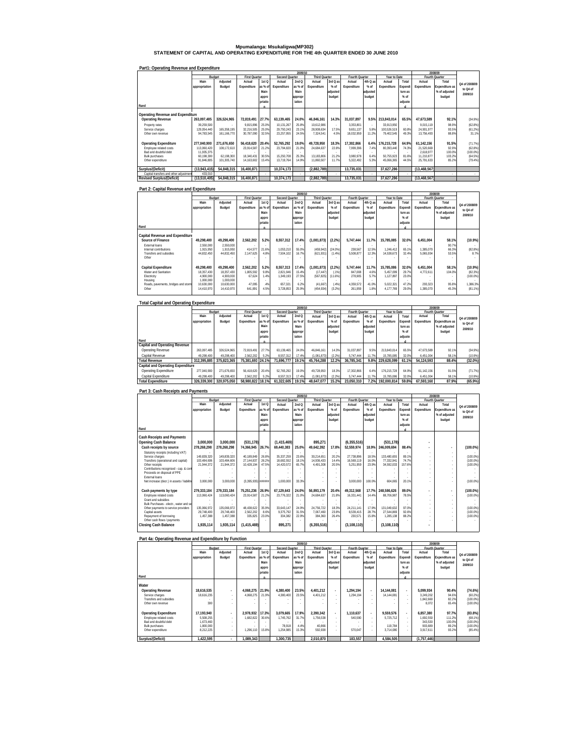# **Mpumalanga: Msukaligwa(MP302) STATEMENT OF CAPITAL AND OPERATING EXPENDITURE FOR THE 4th QUARTER ENDED 30 JUNE 2010**

|                                       | Part1: Operating Revenue and Expenditure<br>2008/09 |             |                      |                  |                |         |                      |          |                |          |              |         |                |                |               |
|---------------------------------------|-----------------------------------------------------|-------------|----------------------|------------------|----------------|---------|----------------------|----------|----------------|----------|--------------|---------|----------------|----------------|---------------|
|                                       |                                                     |             |                      |                  |                | 2009/10 |                      |          |                |          |              |         |                |                |               |
|                                       |                                                     | Budget      | <b>First Quarter</b> |                  | Second Quarter |         | <b>Third Quarter</b> |          | Fourth Quarter |          | Year to Date |         |                | Fourth Quarter |               |
|                                       | Main                                                | Adiusted    | Actual               | 1st <sub>O</sub> | Actual         | 2ndQ    | Actual               | 3rd Q as | Actual         | 4th Q as | Actual       | Total   | Actual         | Total          | O4 of 2008/09 |
|                                       | appropriation                                       | Budget      | Expenditure          | as % of          | Expenditure    | as % of | Expenditure          | % of     | Expenditure    | % of     | Expenditure  | Expendi | Expenditure    | Expenditure as |               |
|                                       |                                                     |             |                      | Main             |                | Main    |                      | adjusted |                | adjusted |              | ture as |                | % of adjusted  | to Q4 of      |
|                                       |                                                     |             |                      | appro            |                | appropr |                      | budget   |                | budget   |              | $%$ of  |                | budget         | 2009/10       |
|                                       |                                                     |             |                      |                  |                | iation  |                      |          |                |          |              |         |                |                |               |
| Rand                                  |                                                     |             |                      | priatio          |                |         |                      |          |                |          |              | adjuste |                |                |               |
|                                       |                                                     |             |                      |                  |                |         |                      |          |                |          |              |         |                |                |               |
| Operating Revenue and Expenditure     |                                                     |             |                      |                  |                |         |                      |          |                |          |              |         |                |                |               |
| Operating Revenue                     | 263.097.485                                         | 326.524.965 | 72.819.491           | 27.7%            | 63.139.465     | 24.0%   | 46.846.161           | 14.3%    | 31.037.897     | 9.5%     | 213.843.014  | 65.5%   | 47.673.589     | 92.1%          | (34.9%)       |
|                                       |                                                     |             |                      |                  |                |         |                      |          |                |          |              |         |                |                |               |
| Property rates                        | 39,259,500                                          |             | 9.815.896            | 25.0%            | 10.131.267     | 25.8%   | 10.612.986           | и.       | 3.353.801      |          | 33.913.950   |         | 9.015.119      | 98.9%          | (62.8%)       |
| Service charges                       | 129.054.440                                         | 165.358.195 | 32.216.505           | 25.0%            | 29.750.243     | 23.1%   | 28.908.634           | 17.5%    | 9.651.137      | 5.8%     | 100.526.519  | 60.8%   | 24.901.977     | 93.5%          | (61.2%)       |
| Other own revenue                     | 94.783.545                                          | 161.166.770 | 30.787.090           | 32.5%            | 23.257.955     | 24.5%   | 7.324.541            | 4.5%     | 18.032.959     | 11.2%    | 79.402.545   | 49.3%   | 13.756.493     | 88.8%          | 31.1%         |
|                                       |                                                     |             |                      |                  |                |         |                      |          |                |          |              |         |                |                |               |
| <b>Operating Expenditure</b>          | 277.040.900                                         | 271.676.650 | 56.418.620           | 20.4%            | 52.765.292     | 19.0%   | 49.728.950           | 18.3%    | 17.302.866     | 6.4%     | 176.215.728  | 64.9%   | 61.142.156     | 91.5%          | (71.7%)       |
| Employee related costs                | 113.060.420                                         | 108.172.610 | 23.914.587           | 21.2%            | 23.794.820     | 21.0%   | 24.684.637           | 22.8%    | 7.999.396      | 7.4%     | 80.393.440   | 74.3%   | 21.520.669     | 92.9%          | (62.8%)       |
| Bad and doubtful debt                 | 11.935.375                                          |             |                      |                  |                |         |                      |          |                |          |              |         | 2.618.977      | 100.0%         | $(100.0\%)$   |
| Bulk purchases                        | 60.198.300                                          | 62.198.300  | 18.340.431           | 30.5%            | 15.250.708     | 25.3%   | 13.183.806           | 21.2%    | 3.980.978      | 6.4%     | 50.755.923   | 81.6%   | 11.210.877     | 103.2%         | (64.5%)       |
| Other expenditure                     | 91.846.805                                          | 101.305.740 | 14.163.602           | 15.4%            | 13.719.764     | 14.9%   | 11.860.507           | 11.7%    | 5.322.492      | 5.3%     | 45.066.365   | 44.5%   | 25.791.633     | 85.2%          | (79.4%)       |
|                                       |                                                     |             |                      |                  |                |         |                      |          |                |          |              |         |                |                |               |
| Surplus/(Deficit)                     | (13.943.415)                                        | 54.848.315  | 16.400.871           |                  | 10.374.173     |         | (2.882.789)          |          | 13.735.031     |          | 37.627.286   |         | (13.468.567)   |                |               |
| Capital transfers and other adjustmen | 433.010                                             |             |                      |                  |                |         |                      |          |                |          |              |         |                |                |               |
| <b>Revised Surplus/(Deficit)</b>      | (13,510,405)                                        | 54.848.315  | 16.400.871           |                  | 10.374.173     |         | (2,882,789)          |          | 13.735.031     |          | 37.627.286   |         | (13, 468, 567) |                |               |

| Part 2: Capital Revenue and Expenditure |               |            |                      |                  |                |         |                      |            |                       |          |              |         |             |                |               |
|-----------------------------------------|---------------|------------|----------------------|------------------|----------------|---------|----------------------|------------|-----------------------|----------|--------------|---------|-------------|----------------|---------------|
|                                         |               |            |                      |                  |                | 2009/10 |                      |            |                       |          |              |         |             | 2008/09        |               |
|                                         | Budget        |            | <b>First Quarter</b> |                  | Second Quarter |         | <b>Third Quarter</b> |            | <b>Fourth Quarter</b> |          | Year to Date |         |             | Fourth Quarter |               |
|                                         | Main          | Adjusted   | Actual               | 1st <sub>O</sub> | Actual         | 2ndQ    | Actual               | 3rd Q as   | Actual                | 4th Q as | Actual       | Total   | Actual      | Total          |               |
|                                         | appropriation | Budget     | Expenditure          | as % of          | Expenditure    | as % of | Expenditure          | % of       | Expenditure           | % of     | Expenditure  | Expendi | Expenditure | Expenditure as | Q4 of 2008/09 |
|                                         |               |            |                      | Main             |                | Main    |                      | adjusted   |                       | adjusted |              | ture as |             | % of adjusted  | to Q4 of      |
|                                         |               |            |                      |                  |                |         |                      |            |                       | budget   |              | $%$ of  |             | budget         | 2009/10       |
|                                         |               |            |                      | appro            |                | appropr |                      | budget     |                       |          |              |         |             |                |               |
|                                         |               |            |                      | priatio          |                | iation  |                      |            |                       |          |              | adjuste |             |                |               |
| Rand                                    |               |            |                      |                  |                |         |                      |            |                       |          |              |         |             |                |               |
| Capital Revenue and Expenditure         |               |            |                      |                  |                |         |                      |            |                       |          |              |         |             |                |               |
| Source of Finance                       | 49.298.400    | 49.298.400 | 2,562,202            | 5.2%             | 8.557.312      | 17.4%   | (1,081,873)          | (2.2%)     | 5.747.444             | 11.7%    | 15.785.085   | 32.0%   | 6.451.004   | 58.1%          | (10.9%        |
| <b>External loans</b>                   | 2.550.000     | 2.550.000  |                      |                  |                |         |                      |            |                       |          |              |         |             | 90.7%          |               |
| Internal contributions                  | 1.915.950     | 1.915.950  | 414.577              | 21.6%            | 1.053.210      | 55.0%   | (459, 942)           | $(24.0\%)$ | 238.567               | 12.5%    | 1.246.412    | 65.1%   | 1.385.070   | 66.3%          | (82.8%)       |
| Transfers and subsidies                 | 44.832.450    | 44.832.450 | 2.147.625            | 4.8%             | 7.504.102      | 16.7%   | (621, 931)           | (1.4%)     | 5,508.877             | 12.3%    | 14.538.673   | 32.4%   | 5.065.934   | 53.5%          | 8.7%          |
| Other                                   |               |            |                      |                  |                |         |                      |            |                       |          |              |         |             |                |               |
|                                         |               |            |                      |                  |                |         |                      |            |                       |          |              |         |             |                |               |
| Capital Expenditure                     | 49.298.400    | 49.298.400 | 2.562.202            | 5.2%             | 8.557.313      | 17.4%   | (1,081,873)          | (2.2%)     | 5.747.444             | 11.7%    | 15.785.086   | 32.0%   | 6.451.004   | 58.1%          | (10.9%)       |
| Water and Sanitation                    | 18.357.430    | 18.357.430 | 1,805,592            | 9.8%             | 2.821.946      | 15.4%   | (17, 447)            | (.1%       | 847.008               | 4.6%     | 5.457.099    | 29.7%   | 4.772.611   | 104.0%         | (82.3%)       |
| Electricity                             | 4.900.000     | 4.900.000  | 67.624               | 1.4%             | 1.349.193      | 27.5%   | (567, 825)           | (11.6%     | 278.905               | 5.7%     | 1.127.897    | 23.0%   |             |                | (100.0%)      |
| Housing                                 | 1,000,000     | 1.000.000  |                      |                  |                |         |                      |            |                       |          |              |         |             |                |               |
| Roads, payements, bridges and storm     | 10.630.000    | 10.630.000 | 47.095               | .4%              | 657.321        | 6.2%    | (41, 667)            | (.4%       | 4.359.572             | 41.0%    | 5.022.321    | 47.2%   | 293.323     | 95.8%          | .386.3%       |
| Other                                   | 14.410.970    | 14.410.970 | 641.891              | 4.5%             | 3.728.853      | 25.9%   | (454, 934)           | (3.2%)     | 261.959               | 1.8%     | 4.177.769    | 29.0%   | 1.385.070   | 45.3%          | (81.1%        |
|                                         |               |            |                      |                  |                |         |                      |            |                       |          |              |         |             |                |               |

| <b>Total Capital and Operating Expenditure</b> |               |             |                      |                  |                |         |                      |          |                |          |              |         |             |                |               |
|------------------------------------------------|---------------|-------------|----------------------|------------------|----------------|---------|----------------------|----------|----------------|----------|--------------|---------|-------------|----------------|---------------|
|                                                |               |             |                      |                  |                | 2009/10 |                      |          |                |          |              |         |             | 2008/09        |               |
|                                                |               | Budget      | <b>First Quarter</b> |                  | Second Quarter |         | <b>Third Quarter</b> |          | Fourth Quarter |          | Year to Date |         |             | Fourth Quarter |               |
|                                                | Main          | Adjusted    | Actual               | 1st <sub>Q</sub> | Actual         | 2ndQ    | Actual               | 3rd Q as | Actual         | 4th Q as | Actual       | Total   | Actual      | Total          | Q4 of 2008/09 |
|                                                | appropriation | Budget      | Expenditure          | as % of          | Expenditure    | as % of | Expenditure          | % of     | Expenditure    | $%$ of   | Expenditure  | Expendi | Expenditure | Expenditure as | to Q4 of      |
|                                                |               |             |                      | Main             |                | Main    |                      | adiusted |                | adjusted |              | ture as |             | % of adjusted  | 2009/10       |
|                                                |               |             |                      | appro            |                | appropr |                      | budget   |                | budget   |              | $%$ of  |             | budget         |               |
|                                                |               |             |                      | priatio          |                | iation  |                      |          |                |          |              | adjuste |             |                |               |
| Rand                                           |               |             |                      |                  |                |         |                      |          |                |          |              |         |             |                |               |
| Capital and Operating Revenue                  |               |             |                      |                  |                |         |                      |          |                |          |              |         |             |                |               |
| Operating Revenue                              | 263.097.485   | 326.524.965 | 72.819.491           | 27.7%            | 63.139.465     | 24.0%   | 46.846.161           | 14.3%    | 31.037.897     | 9.5%     | 213.843.014  | 65.5%   | 47.673.589  | 92.1%          | (34.9%)       |
| Capital Revenue                                | 49.298.400    | 49.298.400  | 2,562,202            | 5.2%             | 8.557.312      | 17.4%   | (1,081,873)          | (2.2%)   | 5.747.444      | 11.7%    | 15.785.085   | 32.0%   | 6.451.004   | 58.1%          | (10.9%        |
| <b>Total Revenue</b>                           | 312.395.885   | 375.823.365 | 75.381.693 24.1%     |                  | 71.696.777     | 19.1%   | 45.764.288           | 12.2%    | 36.785.341     | 9.8%     | 229.628.099  | 61.1%   | 54.124.593  | 88.4%          | $(32.0\%)$    |
| Capital and Operating Expenditure              |               |             |                      |                  |                |         |                      |          |                |          |              |         |             |                |               |
| Operating Expenditure                          | 277.040.900   | 271.676.650 | 56.418.620           | 20.4%            | 52.765.292     | 19.0%   | 49.728.950           | 18.3%    | 17.302.866     | 6.4%     | 176.215.728  | 64.9%   | 61.142.156  | 91.5%          | (71.7%)       |
| Capital Expenditure                            | 49.298.400    | 49.298.400  | 2.562.202            | 5.2%             | 8.557.313      | 17.4%   | (1,081,873)          | (2.2%)   | 5.747.444      | 11.7%    | 15.785.086   | 32.0%   | 6.451.004   | 58.1%          | (10.9%        |
| <b>Total Expenditure</b>                       | 326.339.300   | 320.975.050 | 58.980.822 18.1%     |                  | 61.322.605     | 19.1%   | 48.647.077           | 15.2%    | 23.050.310     | 7.2%     | 192.000.814  | 59.8%   | 67.593.160  | 87.9%          | (65.9%)       |

| Part 3: Cash Receipts and Payments<br>2008/09 |               |             |                      |                  |                |         |                      |                          |                       |          |              |         |             |                |               |
|-----------------------------------------------|---------------|-------------|----------------------|------------------|----------------|---------|----------------------|--------------------------|-----------------------|----------|--------------|---------|-------------|----------------|---------------|
|                                               |               |             |                      |                  |                | 2009/10 |                      |                          |                       |          |              |         |             |                |               |
|                                               | Budget        |             | <b>First Quarter</b> |                  | Second Quarter |         | <b>Third Quarter</b> |                          | <b>Fourth Quarter</b> |          | Year to Date |         |             | Fourth Quarter |               |
|                                               | Main          | Adjusted    | Actual               | 1st <sub>O</sub> | Actual         | 2ndQ    | Actual               | 3rd Q as                 | Actual                | 4th Q as | Actual       | Total   | Actual      | Total          | Q4 of 2008/09 |
|                                               | appropriation | Budget      | Expenditure          | as % of          | Expenditure    | as % of | Expenditure          | % of                     | Expenditure           | $%$ of   | Expenditure  | Expendi | Expenditure | Expenditure as | to Q4 of      |
|                                               |               |             |                      | Main             |                | Main    |                      | adiusted                 |                       | adiusted |              | ture as |             | % of adjusted  |               |
|                                               |               |             |                      | appro            |                | appropr |                      | budget                   |                       | budget   |              | % of    |             | budget         | 2009/10       |
|                                               |               |             |                      | priatio          |                | iation  |                      |                          |                       |          |              | adjuste |             |                |               |
| Rand                                          |               |             |                      |                  |                |         |                      |                          |                       |          |              |         |             |                |               |
|                                               |               |             |                      |                  |                |         |                      |                          |                       |          |              |         |             |                |               |
| <b>Cash Receipts and Payments</b>             |               |             |                      |                  |                |         |                      |                          |                       |          |              |         |             |                |               |
| <b>Opening Cash Balance</b>                   | 3.000.000     | 3.000.000   | (531.178)            |                  | (1.415.469)    |         | 895.271              |                          | (6, 355, 516)         |          | (531.178)    |         |             |                |               |
| Cash receipts by source                       | 278.268.298   | 278.268.298 | 74.366.945           | 26.7%            | 69.440.383     | 25.0%   | 49.642.392           | 17.8%                    | 52.559.974            | 18.9%    | 246.009.694  | 88.4%   |             |                | $(100.0\%)$   |
| Statutory receipts (including VAT)            |               |             |                      |                  |                |         |                      | $\overline{\phantom{a}}$ |                       |          |              |         |             |                |               |
| Service charges                               | 149.839.320   | 149.839.320 | 40.189.849           | 26.8%            | 35.337.259     | 23.6%   | 30.214.651           | 20.2%                    | 27.738.896            | 18.59    | 133.480.655  | 89 1%   |             |                | $(100.0\%)$   |
| Transfers (operational and capital)           | 103.484.606   | 103.484.606 | 27.144.837           | 26.2%            | 18.682.552     | 18.1%   | 14.936.433           | 14.4%                    | 16.569.119            | 16.0%    | 77.332.941   | 74.7%   |             |                | $(100.0\%)$   |
| Other receipts                                | 21.944.372    | 21,944.372  | 10.428.194           | 47.5%            | 14.420.572     | 65.7%   | 4.491.308            | 20.5%                    | 5.251.959             | 23.9%    | 34.592.033   | 157.6%  |             |                | $(100.0\%)$   |
| Contributions recognised - cap. & con         |               |             |                      |                  |                |         |                      | ٠                        |                       |          |              |         |             |                |               |
| Proceeds on disposal of PPE                   |               |             |                      |                  |                |         |                      |                          |                       |          |              |         |             |                |               |
| <b>External loans</b>                         |               |             |                      |                  |                |         |                      |                          |                       |          |              |         |             |                |               |
| Net increase (decr.) in assets / liabiliti    | 3.000.000     | 3.000.000   | (3.395.935) ######   |                  | 1.000.000      | 33.3%   |                      |                          | 3.000.000             | 100.09   | 604.065      | 20 1%   |             |                | $(100.0\%)$   |
|                                               |               |             |                      |                  |                |         |                      |                          |                       |          |              |         |             |                |               |
| Cash payments by type                         | 279.333.184   | 279.333.184 | 75.251.236           | 26.9%            | 67.129.643     | 24.0%   | 56.893.179           | 20.4%                    | 49.312.568            | 17.7%    | 248.586.626  | 89.0%   |             |                | $(100.0\%)$   |
| Employee related costs                        | 113.060.424   | 113.060.424 | 23.914.587           | 21.2%            | 23.776.322     | 21.0%   | 24.684.637           | 21.8%                    | 16.331.441            | 14.4%    | 88.706.987   | 78.5%   |             |                | $(100.0\%)$   |
| Grant and subsidies                           |               |             |                      |                  |                |         |                      |                          |                       |          |              |         |             |                |               |
| Bulk Purchases - electr., water and se        |               |             |                      |                  |                |         |                      |                          |                       |          |              |         |             |                |               |
| Other payments to service providers           | 135.066.972   | 135.066.972 | 48.438.622           | 35.9%            | 33.643.147     | 24.9%   | 24.756.722           | 18.3%                    | 24.211.141            | 17 99    | 131.049.632  | 97.0%   |             |                | $(100.0\%)$   |
| Capital assets                                | 29.748.400    | 29.748.400  | 2.562.202            | 8.6%             | 9.375.792      | 31.5%   | 7.067.460            | 23.8%                    | 8.539.415             | 28.7%    | 27.544.869   | 92.6%   |             |                | $(100.0\%)$   |
| Repayment of borrowing                        | 1.457.388     | 1.457.388   | 335.825              | 23.0%            | 334.382        | 22.9%   | 384.360              | 26.4%                    | 230.571               | 15.8%    | 1.285.138    | 88.2%   |             |                | $(100.0\%)$   |
| Other cash flows / payments                   |               |             |                      |                  |                |         |                      |                          |                       |          |              |         |             |                |               |
| <b>Closing Cash Balance</b>                   | 1.935.114     | 1.935.114   | (1.415.469)          |                  | 895.271        |         | (6,355,516)          |                          | (3, 108, 110)         |          | (3.108.110)  |         |             |                |               |
|                                               |               |             |                      |                  |                |         |                      |                          |                       |          |              |         |             |                |               |

| Part 4a: Operating Revenue and Expenditure by Function |               |                          |                      |                  |                |         |                      |          |                |          |              |         |             |                |               |
|--------------------------------------------------------|---------------|--------------------------|----------------------|------------------|----------------|---------|----------------------|----------|----------------|----------|--------------|---------|-------------|----------------|---------------|
|                                                        |               |                          |                      |                  |                | 2009/10 |                      |          |                |          |              |         |             | 2008/09        |               |
|                                                        | Budget        |                          | <b>First Quarter</b> |                  | Second Quarter |         | <b>Third Quarter</b> |          | Fourth Quarter |          | Year to Date |         |             | Fourth Quarter |               |
|                                                        | Main          | Adjusted                 | Actual               | 1st <sub>Q</sub> | Actual         | 2ndQ    | Actual               | 3rd Q as | Actual         | 4th Q as | Actual       | Total   | Actual      | Total          | Q4 of 2008/09 |
|                                                        | appropriation | Budget                   | Expenditure          | as % of          | Expenditure    | as % of | Expenditure          | % of     | Expenditure    | % of     | Expenditure  | Expendi | Expenditure | Expenditure as |               |
|                                                        |               |                          |                      | Main             |                | Main    |                      | adiusted |                | adjusted |              | ture as |             | % of adjusted  | to Q4 of      |
|                                                        |               |                          |                      | appro            |                | appropr |                      | budget   |                | budget   |              | $%$ of  |             | budget         | 2009/10       |
|                                                        |               |                          |                      | priatio          |                | iation  |                      |          |                |          |              | adjuste |             |                |               |
| Rand                                                   |               |                          |                      |                  |                |         |                      |          |                |          |              |         |             |                |               |
|                                                        |               |                          |                      |                  |                |         |                      |          |                |          |              |         |             |                |               |
| Water                                                  |               |                          |                      |                  |                |         |                      |          |                |          |              |         |             |                |               |
| <b>Operating Revenue</b>                               | 18.616.535    | $\overline{\phantom{a}}$ | 4.068.275            | 21.9%            | 4.380.400      | 23.5%   | 4.401.212            |          | 1.294.194      | ٠        | 14.144.081   |         | 5.099.934   | 90.4%          | (74.6%)       |
| Service charges                                        | 18.616.235    | $\sim$                   | 4.068.275            | 21.9%            | 4.380.400      | 23.5%   | 4.401.212            | $\sim$   | 1.294.194      | $\sim$   | 14.144.081   |         | 3.249.202   | 94.6%          | (60.2%)       |
| Transfers and subsidies                                |               | $\sim$                   |                      |                  |                |         |                      |          |                |          |              |         | 1.842.660   | 82.2%          | $(100.0\%)$   |
| Other own revenue                                      | 300           | ×,                       |                      |                  |                |         |                      |          |                |          |              |         | 8.072       | 65.4%          | $(100.0\%)$   |
|                                                        |               |                          |                      |                  |                |         |                      |          |                |          |              |         |             |                |               |
| <b>Operating Expenditure</b>                           | 17.193.940    | $\overline{\phantom{a}}$ | 2.978.932            | 17.3%            | 3.079.665      | 17.9%   | 2.390.342            |          | 1.110.637      | ٠        | 9.559.576    |         | 6.857.380   | 97.7%          | (83.8%)       |
| Employee related costs                                 | 5.508.255     | $\overline{\phantom{a}}$ | .682.822             | 30.6%            | 1,745,762      | 31.7%   | 1.756.538            | $\sim$   | 540.590        |          | 5.725.712    |         | 1.692.550   | 111.2%         | $(68.1\%)$    |
| Bad and doubtful debt                                  | 1.673.460     | $\sim$                   |                      |                  |                |         |                      |          |                |          |              |         | 343.530     | 100.0%         | $(100.0\%)$   |
| <b>Bulk purchases</b>                                  | 1.800.000     | $\sim$                   |                      |                  | 78.918         | 4 4%    | 40.866               |          |                |          | 119.784      |         | 903.689     | 89.2%          | $(100.0\%)$   |
| Other expenditure                                      | 8.212.225     | $\sim$                   | 1.296.110            | 15.8%            | 1.254.985      | 15.3%   | 592.938              |          | 570.047        |          | 3.714.080    |         | 3.917.611   | 93.2%          | (85.4%)       |
|                                                        |               |                          |                      |                  |                |         |                      |          |                |          |              |         |             |                |               |
| Surplus/(Deficit)                                      | 1.422.595     | $\mathbf{r}$             | 1.089.343            |                  | 300,735        |         | 2.010.870            |          | 183.557        |          | 4.584.505    |         | (1,757,446) |                |               |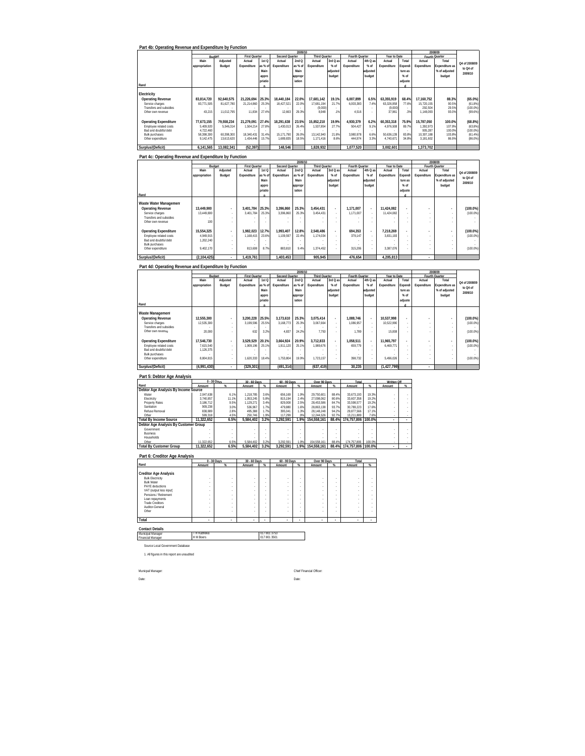| Part 4b: Operating Revenue and Expenditure by Function                                                |                          |                          |                                |                              |                                 |                  |                                |                               |                                                      |                    |                          |                    |                          | 2008/09                         |                           |
|-------------------------------------------------------------------------------------------------------|--------------------------|--------------------------|--------------------------------|------------------------------|---------------------------------|------------------|--------------------------------|-------------------------------|------------------------------------------------------|--------------------|--------------------------|--------------------|--------------------------|---------------------------------|---------------------------|
|                                                                                                       | Budget<br>Main           | Adjusted                 | First Quarter<br>Actual        | 1st Q                        | Second Quarter<br>Actual        | 2009/1<br>2nd Q  | Third Quarter<br>Actual        | 3rd Q as                      | Fourth Quarter<br>Actual                             | 4th Q at           | Year to Date<br>Actual   | Total              | Actual                   | Fourth Quarter<br>Total         |                           |
|                                                                                                       | appropriation            | Budget                   | Expenditure                    | as % of<br>Main              | Expenditure                     | as % of<br>Main  | Expenditure                    | % of<br>adjusted              | Expenditure                                          | % of<br>adjusted   | Expenditure              | Expendi<br>ture as | Expenditure              | Expenditure as<br>% of adjusted | Q4 of 2008/09<br>to Q4 of |
|                                                                                                       |                          |                          |                                | appro<br>priatic             |                                 | approp<br>iation |                                | budget                        |                                                      | budget             |                          | % of               |                          | budget                          | 2009/10                   |
| Rand                                                                                                  |                          |                          |                                |                              |                                 |                  |                                |                               |                                                      |                    |                          | adjuste            |                          |                                 |                           |
| Electricity<br><b>Operating Revenue</b>                                                               | 83,814,720               | 92,640,575               | 21,226,694                     | 25.3%                        | 18,440,184                      | 22.0%            | 17,681,142                     | 19.1%                         | 6,007,899                                            | 6.5%               | 63,355,919               | 68.4%              | 17,160,752               | 88.3%                           | $(65.0\%)$                |
| Service charges<br>Transfers and subsidies                                                            | 83,771,505               | 81.627.780               | 21.214.860                     | 25.3%                        | 18.427.521                      | 22.0%            | 17.681.194<br>(9.000)          | 21.7%                         | 6.003.383                                            | 7.49               | 63 326 958<br>(9.000)    | 77.6%              | 15.720.155<br>292.504    | 90.5%<br>29.5%                  | (61.8%<br>(100.0%         |
| Other own revenue                                                                                     | 43,215                   | 11,012,795               | 11,834                         | 27.4%                        | 12,663                          | 29.3%            | 8,948                          | .1%                           | 4,516                                                |                    | 37,961                   | .3%                | 1,148,093                | 93.0%                           | (99.6%                    |
| <b>Operating Expenditure</b>                                                                          | 77,673,155               | 79,558,234               | 21,279,091                     | 27.4%                        | 18,291,638                      | 23.5%            | 15,852,210                     | 19.9%                         | 4,930,379                                            | 6.2%               | 60,353,318               | 75.9%              | 15,787,050               | 100.0%                          | (68.8%)                   |
| Employee related costs<br>Bad and doubtful debt                                                       | 5,409,920<br>4,722,460   | 5,546,314                | 1,504,214                      | 27.8%                        | 1,430,013                       | 26.4%<br>26.09   | 1,537,854                      | 27.7%                         | 504,427                                              | 9.19               | 4,976,508                | 89.79<br>83.8%     | 1,392,973<br>905,287     | 107.9%<br>100.0%                | (63.8%<br>$(100.0\%)$     |
| <b>Bulk purchases</b><br>Other expenditure                                                            | 58,398,300<br>9,142,475  | 60,398,300<br>13,613,620 | 18,340,431<br>1,434,446        | 31.4%<br>15.7%               | 15,171,790<br>1,689,835         | 18.5%            | 13,142,940<br>1,171,416        | 21.8%<br>8.6%                 | 3,980,978<br>444,974                                 | 6.6%<br>3.3%       | 50,636,139<br>4,740,671  | 34.8%              | 10,307,188<br>3,181,602  | 103.8%<br>86.9%                 | (61.4%<br>(86.0%          |
| Surplus/(Deficit)                                                                                     | 6,141,565                | 13,082,341               | (52, 397)                      |                              | 148,546                         |                  | 1,828,932                      |                               | 1,077,520                                            |                    | 3,002,601                |                    | 1,373,702                |                                 |                           |
| Part 4c: Operating Revenue and Expenditure by Function                                                |                          |                          |                                |                              |                                 |                  |                                |                               |                                                      |                    |                          |                    |                          |                                 |                           |
|                                                                                                       | Budae<br>Main            | Adjusted                 | <b>First Quarter</b><br>Actual | 1st Q                        | <b>Second Quarter</b><br>Actual | 2009/1<br>2nd Q  | <b>Third Quarter</b><br>Actual | 3rd Q as                      | Fourth Quarter<br>Actual                             | 4th Q as           | Year to Date<br>Actual   | Total              | Fourth Quarter<br>Actual | 2008/09<br>Total                |                           |
|                                                                                                       | appropriation            | Budget                   | Expenditure                    | as % of                      | Expenditure                     | as % of          | Expenditure                    | % of                          | Expenditure                                          | % of               | Expenditure              | xpendi             | Expenditure              | xpenditure as                   | Q4 of 2008/09<br>to Q4 of |
|                                                                                                       |                          |                          |                                | Main<br>appro                |                                 | Main<br>approp   |                                | adjusted<br>budget            |                                                      | adjusted<br>budget |                          | ture as<br>% of    |                          | % of adjusted<br>budget         | 2009/10                   |
| Rand                                                                                                  |                          |                          |                                | priatio<br>$\overline{a}$    |                                 | iation           |                                |                               |                                                      |                    |                          | adjuste            |                          |                                 |                           |
| Waste Water Management                                                                                |                          |                          |                                |                              |                                 |                  |                                |                               |                                                      |                    |                          |                    |                          |                                 |                           |
| <b>Operating Revenue</b><br>Service charges                                                           | 13,449,900<br>13,449,800 |                          | 3,401,784<br>3,401,784         | 25.3%<br>25.3%               | 3,396,860<br>3,396,860          | 25.3%<br>25.3%   | 3,454,431<br>3,454,431         | $\cdot$                       | 1,171,007<br>1,171,007                               |                    | 11,424,082<br>11,424,082 |                    |                          |                                 | (100.0%<br>(100.0%        |
| Transfers and subsidies<br>Other own revenue                                                          | 100                      |                          |                                |                              |                                 |                  |                                |                               |                                                      |                    |                          |                    |                          |                                 |                           |
| <b>Operating Expenditure</b>                                                                          | 15.554.325               |                          | 1.982.023                      | 12.7%                        | 1.993.407                       | 12.8%            | 2.548.486                      | L.                            | 694.353                                              |                    | 7.218.269                |                    |                          |                                 | (100.0%                   |
| Employee related costs<br>Bad and doubtful debt                                                       | 4,949,915<br>1,202,240   |                          | 1,168,415                      | 23.69                        | 1,109,597                       | 22.49            | 1,174,034                      | ł,                            | 379,147                                              |                    | 3,831,193                |                    |                          |                                 | (100.0%                   |
| <b>Bulk purchases</b><br>Other expenditure                                                            | 9,402,170                |                          | 813,608                        | 8.7%                         | 883,810                         | 9.49             | 1,374,452                      | ×                             | 315.206                                              |                    | 3.387.076                |                    |                          |                                 | (100.0%                   |
| Surplus/(Deficit)                                                                                     | (2, 104, 425)            |                          | 1,419,761                      |                              | 1,403,453                       |                  | 905,945                        |                               | 476,654                                              |                    | 4,205,813                |                    |                          |                                 |                           |
|                                                                                                       |                          |                          |                                |                              |                                 |                  |                                |                               |                                                      |                    |                          |                    |                          |                                 |                           |
| Part 4d: Operating Revenue and Expenditure by Function                                                |                          |                          |                                |                              |                                 | 2009/10          |                                |                               |                                                      |                    |                          |                    |                          | 2008/09                         |                           |
|                                                                                                       | Main                     | Adjusted                 | <b>First Quarte</b><br>Actual  | 1st Q                        | Second Quarter<br>Actual        | 2ndQ             | <b>Third Quarter</b><br>Actual | 3rd Q as                      | Fourth OL<br>Actual                                  | rter<br>4th Q at   | Year to Date<br>Actual   | Total              | Fourth Quarter<br>Actual | Total                           | Q4 of 2008/09             |
|                                                                                                       | appropriation            | Budget                   | Expenditure                    | as % of<br>Main              | Expenditure                     | as % of<br>Main  | Expenditure                    | % of<br>adjusted              | Expenditure                                          | $%$ of<br>idjusted | Expenditure              | Expendi<br>ture as | Expenditure              | Expenditure as<br>% of adjusted | to Q4 of<br>2009/10       |
|                                                                                                       |                          |                          |                                | appro<br>priatio             |                                 | ipprop<br>iation |                                | budget                        |                                                      | budget             |                          | % of<br>adjuste    |                          | budget                          |                           |
| Rand                                                                                                  |                          |                          |                                | $\overline{ }$               |                                 |                  |                                |                               |                                                      |                    |                          | d.                 |                          |                                 |                           |
| Waste Management<br><b>Operating Revenue</b>                                                          | 12,555,300               |                          | 3.200.228                      | 25.5%                        | 3.173.610                       | 25.3%            | 3,075,414                      |                               | 1,088,746                                            |                    | 10,537,998               |                    |                          |                                 | $(100.0\%)$               |
| Service charges<br>Transfers and subsidies                                                            | 12.535.300               |                          | 3.199.596                      | 25.5%                        | 3,168,773                       | 25.3%            | 3,067,664                      | $\cdot$<br>×                  | 1,086,957                                            |                    | 10,522,990               |                    | ×,                       | ÷.<br>÷,                        | (100.0%                   |
| Other own revenue                                                                                     | 20,000                   | ×                        | 632                            | 3.2%                         | 4.837                           | 24.29            | 7.750                          | $\cdot$                       | 1.789                                                |                    | 15,008                   |                    | Î,                       | ÷.                              | (100.0%                   |
| <b>Operating Expenditure</b><br>Employee related costs                                                | 17.546.730<br>7.615.540  |                          | 3.529.529<br>1,909,196         | 20.1%<br>25.1%               | 3.664.924<br>1,911,120          | 20.9%<br>25.1%   | 3,712,833<br>1,989,676         | ÷,                            | 1.058.511<br>659,779                                 |                    | 11.965.797<br>6,469,771  |                    | ×,                       | ÷,                              | $(100.0\%)$<br>(100.0%    |
| Bad and doubtful debt<br><b>Bulk purchases</b>                                                        | 1,126,375                | $\overline{\phantom{a}}$ |                                |                              |                                 |                  |                                | ×<br>$\cdot$                  |                                                      |                    |                          |                    | Î,<br>i,                 | ×<br>$\cdot$                    |                           |
| Other expenditure                                                                                     | 8,804,815                |                          | 1,620,333                      | 18.4%                        | 1,753,804                       | 19.9%            | 1,723,157                      |                               | 398,732                                              |                    | 5,496,026                |                    |                          | ×                               | $(100.0\%)$               |
| Surplus/(Deficit)                                                                                     | (4,991,430)              |                          | (329, 301)                     |                              | (491,314                        |                  | (637, 419)                     |                               | 30,235                                               |                    | (1, 427, 799)            |                    |                          |                                 |                           |
| Part 5: Debtor Age Analysis                                                                           |                          |                          |                                |                              |                                 |                  |                                |                               | Total                                                |                    |                          |                    |                          |                                 |                           |
| Rand<br>Debtor Age Analysis By Income Source                                                          | Amount                   | 30 Days                  | 30 - 60 Days<br>Amount         | $\propto$                    | 60 - 90 Days<br>Amount          | $\gamma$         | Over 90 Days<br>Amount         | -%                            | Amount                                               | ×.                 | Written Off<br>Amount    | ്യ                 |                          |                                 |                           |
| Water<br>Electricity                                                                                  | 2.047.638<br>3.740.857   | 6 1%<br>11.1%            | 1 218 785<br>1.953.245         | 3.6%<br>5.8%                 | 656 169<br>815.194              | 1.99<br>2.4%     | 29 750 601<br>27.098.062       | 88.4%<br>80.6%                | 33.673.193<br>33.607.358                             | 19 39<br>19.29     |                          |                    |                          |                                 |                           |
| <b>Property Rates</b><br>Sanitation                                                                   | 3.186.712<br>909,238     | 9.5%<br>3.0%             | 1.129.271<br>536,967           | 3.4%<br>1.7%                 | 829.008<br>479,880              | 2.5%<br>1.6%     | 28.453.586<br>28,863,138       | 84.7%<br>93.7%                | 33.598.577<br>30,789,223                             | 19.2%<br>17.6%     |                          |                    |                          |                                 |                           |
| Refuse Removal<br>Other                                                                               | 838,889<br>599,318       | 2.8%<br>4.5%             | 495,388<br>250,746             | 1.7%<br>1.9%                 | 395,041<br>117,299              | 1.3%<br>.99      | 28,148,248<br>12,244,52        | 94.2%<br>92.79                | 29,877,566<br>13,211,889                             | 17.1%<br>7.65      |                          |                    |                          |                                 |                           |
| <b>Total By Income Source</b><br>Debtor Age Analysis By Customer Group                                | 11.322.652               | 6.5%                     | 5,584,402                      | 3.2%                         | 3,292,591                       | 1.9%             | 154,558,161                    | 88.4%                         | 174.757.806                                          | 100.0%             |                          |                    |                          |                                 |                           |
| Governmen<br><b>Business</b>                                                                          |                          | ÷                        |                                |                              |                                 |                  |                                |                               |                                                      |                    |                          |                    |                          |                                 |                           |
| Households<br>Other                                                                                   | 11 322 65                | 6.5%                     | 5 584 407                      |                              | 3 292 591                       | 1.99             | 154 558 161                    | 88.49                         | 174 757 806                                          | 100.09             |                          |                    |                          |                                 |                           |
| <b>Total By Customer Group</b>                                                                        | 11,322,652               | 6.5%                     | 5,584,402                      | 3.2%                         | 3,292,591                       | 1.9%             | 154,558,161                    | 88.4%                         | 174,757,806 100.0%                                   |                    |                          |                    |                          |                                 |                           |
| Part 6: Creditor Age Analysis                                                                         | 0 - 30 Days              |                          | 30 - 60 Days                   |                              | 60 - 90 Days                    |                  | Over 90 Days                   |                               | Total                                                |                    |                          |                    |                          |                                 |                           |
| Rand                                                                                                  | Amount                   |                          | Amount                         | %                            | Amount                          | %                | Amount                         | $\%$                          | Amount                                               |                    |                          |                    |                          |                                 |                           |
| <b>Creditor Age Analysis</b>                                                                          |                          |                          |                                |                              |                                 |                  |                                |                               |                                                      |                    |                          |                    |                          |                                 |                           |
|                                                                                                       |                          |                          |                                |                              |                                 |                  |                                |                               |                                                      |                    |                          |                    |                          |                                 |                           |
| <b>Bulk Electricity</b><br><b>Bulk Water</b>                                                          |                          |                          |                                |                              |                                 |                  |                                | $\cdot$<br>÷,                 | $\epsilon$<br>$\epsilon$                             | à,<br>ä,           |                          |                    |                          |                                 |                           |
| PAYE deductions<br>VAT (output less input)<br>Pensions / Retirement                                   | ï<br>ï                   |                          | ×                              |                              |                                 |                  |                                |                               |                                                      |                    |                          |                    |                          |                                 |                           |
| Loan repayments<br><b>Trade Creditors</b>                                                             | ł,<br>ł,                 | ×                        | ł<br>×<br>$\epsilon$           | $\cdot$                      |                                 | $\epsilon$<br>×  |                                | $\cdot$<br>$\cdot$            | $\overline{\phantom{a}}$<br>$\overline{\phantom{a}}$ | $\cdot$<br>à,      |                          |                    |                          |                                 |                           |
| Auditor-General<br>Other                                                                              |                          |                          | ×                              |                              |                                 |                  |                                | $\overline{\phantom{a}}$<br>× |                                                      | à,<br>$\cdot$      |                          |                    |                          |                                 |                           |
|                                                                                                       |                          |                          |                                |                              |                                 |                  |                                |                               |                                                      |                    |                          |                    |                          |                                 |                           |
|                                                                                                       |                          |                          |                                |                              |                                 |                  |                                |                               |                                                      |                    |                          |                    |                          |                                 |                           |
|                                                                                                       | T H Kubheka<br>H M Boers |                          |                                | 017 801 3753<br>017 801 3501 |                                 |                  |                                |                               |                                                      |                    |                          |                    |                          |                                 |                           |
| Source Local Government Database                                                                      |                          |                          |                                |                              |                                 |                  |                                |                               |                                                      |                    |                          |                    |                          |                                 |                           |
| 1. All figures in this report are unaudited                                                           |                          |                          |                                |                              |                                 |                  |                                |                               |                                                      |                    |                          |                    |                          |                                 |                           |
|                                                                                                       |                          |                          |                                |                              |                                 |                  |                                |                               |                                                      |                    |                          |                    |                          |                                 |                           |
| Total<br><b>Contact Details</b><br>Municipal Manager<br><b>Financial Manager</b><br>Municpal Manager: |                          |                          |                                |                              |                                 |                  | Chief Financial Officer        |                               |                                                      |                    |                          |                    |                          |                                 |                           |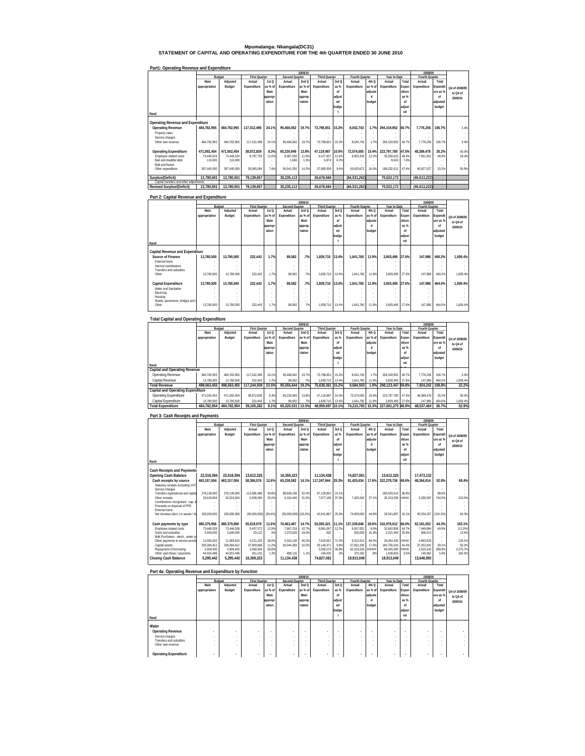**Mpumalanga: Nkangala(DC31) STATEMENT OF CAPITAL AND OPERATING EXPENDITURE FOR THE 4th QUARTER ENDED 30 JUNE 2010**

### **Part1: Operating Revenue and Expenditure**

|                                         | 2009/10       |             |                      |         |                |         |                      |        |                |         |                   |        | 2008/09        |          |               |
|-----------------------------------------|---------------|-------------|----------------------|---------|----------------|---------|----------------------|--------|----------------|---------|-------------------|--------|----------------|----------|---------------|
|                                         |               | Budget      | <b>First Quarter</b> |         | Second Quarter |         | <b>Third Quarter</b> |        | Fourth Quarter |         | Year to Date      |        | Fourth Quarter |          |               |
|                                         | Main          | Adjusted    | Actual               | 1st Q   | Actual         | 2ndQ    | Actual               | 3rd Q  | Actual         | 4th Q   | Actual            | Total  | Actual         | Total    |               |
|                                         | appropriation | Budget      | Expenditure          | as % of | Expenditure    | as % of | Expenditure          | as %   | Expenditure    | as % of | Expenditure       | Expen  | Expenditure    | Expendit | Q4 of 2008/09 |
|                                         |               |             |                      | Main    |                | Main    |                      | nf     |                | adjuste |                   | diture |                | ure as % |               |
|                                         |               |             |                      | appropr |                |         |                      | adjust |                | d       |                   | as %   |                | nf       | to O4 of      |
|                                         |               |             |                      | iation  |                | approp  |                      |        |                |         |                   |        |                |          | 2009/10       |
|                                         |               |             |                      |         |                | riation |                      | ed     |                | budget  |                   | nf     |                | adjusted |               |
|                                         |               |             |                      |         |                |         |                      | budge  |                |         |                   | adjust |                | budget   |               |
| Rand                                    |               |             |                      |         |                |         |                      |        |                |         |                   | ed     |                |          |               |
|                                         |               |             |                      |         |                |         |                      |        |                |         |                   |        |                |          |               |
| Operating Revenue and Expenditure       |               |             |                      |         |                |         |                      |        |                |         |                   |        |                |          |               |
| <b>Operating Revenue</b>                | 484.782.955   | 484.782.955 | 117.012.496          | 24.1%   | 95.466.062     | 19.7%   | 73,798,651           | 15.2%  | 8.042.743      | 1.7%    | 294.319.952       | 60.7%  | 7.776.256      | 106.7%   | 3.4%          |
| Property rates                          |               |             |                      |         |                |         |                      |        |                |         |                   |        |                |          |               |
| Service charges                         |               |             |                      |         |                |         |                      |        |                |         |                   |        |                |          |               |
| Other own revenue                       | 484.782.955   | 484.782.955 | 117.012.496          | 24.1%   | 95.466.062     | 19.7%   | 73.798.651           | 15.2%  | 8.042.743      | 1.7%    | 294.319.952       | 60.7%  | 7.776.256      | 106.7%   | 3.4%          |
|                                         |               |             |                      |         |                |         |                      |        |                |         |                   |        |                |          |               |
| <b>Operating Expenditure</b>            | 471.002.454   | 471.002.454 | 38.872.839           | 8.3%    | 65.230.949     | 13.8%   | 47.119.987           | 10.0%  | 72.574.005     | 15.4%   | 223.797.780 47.5% |        | 48.389.478     | 35.2%    | 50.0%         |
| Employee related costs                  | 73.446.524    | 73.446.524  | 8.787.755            | 12.09   | 8.687.930      | 11.8%   | 9.127.607            | 12 4%  | 8.953.333      | 12.2%   | 35.556.625        | 48 4%  | 7.561.951      | 46.9%    | 18.4%         |
| Bad and doubtful debt                   | 110,000       | 110,000     |                      |         | 1.669          | 1.5%    | 6.874                | 6.2%   |                |         | 8.543             | 7.8%   |                |          |               |
| <b>Bulk purchases</b>                   |               |             |                      |         |                |         |                      |        |                |         |                   |        |                |          |               |
| Other expenditure                       | 397.445.930   | 397.445.930 | 30.085.084           | 7.6%    | 56.541.350     | 14.2%   | 37.985.506           | 9.6%   | 63.620.672     | 16.0%   | 188,232,612       | 47.4%  | 40.827.527     | 33.2%    | 55.8%         |
|                                         |               |             |                      |         |                |         |                      |        |                |         |                   |        |                |          |               |
| Surplus/(Deficit)                       | 13.780.501    | 13,780,501  | 78,139,657           |         | 30,235,113     |         | 26,678,664           |        | (64, 531, 262) |         | 70,522,172        |        | (40,613,222)   |          |               |
| Capital transfers and other adjustments |               |             |                      |         |                |         |                      |        |                |         |                   |        |                |          |               |
| <b>Revised Surplus/(Deficit)</b>        | 13.780.501    | 13.780.501  | 78.139.657           |         | 30.235.113     |         | 26.678.664           |        | (64.531.262)   |         | 70.522.172        |        | (40.613.222)   |          |               |

#### **Part 2: Capital Revenue and Expenditure**

|                                     |               |            |                      |                  |                | 2009/10 |                      |        |                |         |              |        | 2008/09        |                          |               |
|-------------------------------------|---------------|------------|----------------------|------------------|----------------|---------|----------------------|--------|----------------|---------|--------------|--------|----------------|--------------------------|---------------|
|                                     |               | Budget     | <b>First Quarter</b> |                  | Second Quarter |         | <b>Third Quarter</b> |        | Fourth Quarter |         | Year to Date |        | Fourth Quarter |                          |               |
|                                     | Main          | Adjusted   | Actual               | 1st <sub>Q</sub> | Actual         | 2ndQ    | Actual               | 3rd Q  | Actual         | 4th Q   | Actual       | Total  | Actual         | Total                    |               |
|                                     | appropriation | Budget     | Expenditure          | as % of          | Expenditure    | as % of | Expenditure          | as %   | Expenditure    | as % of | Expenditure  | Expen  | Expenditure    | Expendi                  | Q4 of 2008/09 |
|                                     |               |            |                      | Main             |                | Main    |                      | of     |                | adjuste |              | diture |                | ure as %                 | to Q4 of      |
|                                     |               |            |                      | appropr          |                | approp  |                      | adjust |                | d       |              | as %   |                | of                       | 2009/10       |
|                                     |               |            |                      | iation           |                | riation |                      | ed     |                | budget  |              | nf     |                | adjusted                 |               |
|                                     |               |            |                      |                  |                |         |                      | budge  |                |         |              | adjust |                | budget                   |               |
|                                     |               |            |                      |                  |                |         |                      |        |                |         |              | ed     |                |                          |               |
| Rand                                |               |            |                      |                  |                |         |                      |        |                |         |              |        |                |                          |               |
| Capital Revenue and Expenditure     |               |            |                      |                  |                |         |                      |        |                |         |              |        |                |                          |               |
| Source of Finance                   | 13.780.500    | 13.780.500 | 232.443              | 1.7%             | 89.582         | .7%     | 1.839.710 13.4%      |        | 1.641.760      | 11.9%   | 3.803.495    | 27.6%  | 147.986        | 460.2%                   | 1.009.4%      |
| External loans                      |               |            |                      |                  |                |         |                      |        |                | ٠       |              |        |                | $\overline{\phantom{a}}$ |               |
| Internal contributions              |               |            |                      |                  |                |         |                      |        |                |         |              |        |                |                          |               |
| Transfers and subsidies             |               |            |                      |                  |                |         |                      |        |                |         |              |        |                |                          |               |
| Other                               | 13.780.500    | 13.780.500 | 232.443              | 1.7%             | 89.582         | 7%      | 1.839.710            | 13.4%  | 1,641,760      | 11.9%   | 3.803.495    | 27.6%  | 147.986        | 460.2%                   | 1.009.4%      |
|                                     | 13.780.500    | 13.780.500 | 232.443              | 1.7%             | 89.582         | .7%     |                      |        | 1.641.760      | 11.9%   | 3.803.495    | 27.6%  | 147.986        | 464.0%                   |               |
| Capital Expenditure                 |               |            |                      |                  |                |         | 1,839,710 13.4%      |        |                |         |              |        |                |                          | 1,009.4%      |
| Water and Sanitation<br>Electricity |               |            |                      |                  |                |         |                      |        |                | ٠       |              |        |                | $\overline{\phantom{a}}$ |               |
| Housing                             |               |            |                      |                  |                |         |                      |        |                | ٠       |              |        |                |                          |               |
| Roads, payements, bridges and s     |               |            |                      |                  |                |         |                      |        |                | ٠       |              |        |                |                          |               |
| Other                               | 13.780.500    | 13,780.500 | 232.443              | 1.7%             | 89.582         | 7%      | 1.839.710            | 13.4%  | 1,641,760      | 11.9%   | 3.803.495    | 27.6%  | 147.986        | 464.0%                   | 1.009.4%      |
|                                     |               |            |                      |                  |                |         |                      |        |                |         |              |        |                |                          |               |

#### **Total Capital and Operating Expenditure** Rand<br>Capita**l and Operating Revenue**<br>Operating Revenue 484,782,955 484,782,955 117,012,496 24.1% 95,466,062 19.7% 73,798,651 15.2% 8,042,743 1.7% 294,319,952 60.7% 7,776,256 106.7% 3.4%  **Main appropriation Adjusted Budget Actual Expenditure 1st Q as % of Main appropr iation Actual Expenditure 2nd Q as % of Main approp riation Actual Expenditure 3rd Q as % of adjust ed budge t Actual Expenditure 4th Q as % of adjuste d budget Actual Expenditure Total Expen diture as % of adjust ed b d Actual Expenditure Total Expendit ure as % of adjusted budget**  Capital Revenue 13,780,500 13,780,500 232,443 1.7% 89,582 .7% 1,839,710 13.4% 1,641,760 11.9% 3,803,495 27.6% 147,986 460.2% 1,009.4% 7,924,242 108.8% 7,924,242 108.8% 7,924,435 17,244,939 123.5% 95,555,644 19.2% 75,638,361 15.2% 9684,503 1.9% 298,123,447 59.8% 7,924,242 108.8% 22.2% **Capital and Operating Expenditure**<br>Operating Expenditure 471,002,454 471,002,454 38,872,839 8.3% 65,230,949 13.8% 47,119,987 10.0% 72,574,005 15.4% 223,797,780 47.5% 48,389,478 35.2% 50.0% Capital Expenditure 13,780,500 13,780,500 232,443 1.7% 89,582 .7% 1,839,710 13.4% 1,641,760 11.9% 3,803,495 27.6% 147,986 464.0% 1,009.4% 7012 1537,464 16.9% 48,537,464 16.9% 48,577,464 16.79% 48,957,464 17.5% 48,959,697 10.1% 74,215,765 17.3% 227,601,275 48,937,464 16.9% 48,537,464 16.9% 48,537,464 16.9% 48,537,464 16.9%  **Fourth Quarter 2009/10 2008/09 Q4 of 2008/09 to Q4 of 2009/10 Budget First Quarter Second Quarter Third Quarter Fourth Quarter Year to Date**

### **Part 3: Cash Receipts and Payments**

|                                                      |               |             |                      |                  |                | 2009/10 |                      |        |                |         |              |        | 2008/09        |          |               |
|------------------------------------------------------|---------------|-------------|----------------------|------------------|----------------|---------|----------------------|--------|----------------|---------|--------------|--------|----------------|----------|---------------|
|                                                      | Budget        |             | <b>First Quarter</b> |                  | Second Quarter |         | <b>Third Quarter</b> |        | Fourth Quarter |         | Year to Date |        | Fourth Quarter |          |               |
|                                                      | Main          | Adjusted    | Actual               | 1st <sub>O</sub> | Actual         | 2ndQ    | Actual               | 3rd Q  | Actual         | 4th Q   | Actual       | Total  | Actual         | Total    |               |
|                                                      | appropriation | Budget      | Expenditure          | as % of          | Expenditure    | as % of | Expenditure          | as %   | Expenditure    | as % of | Expenditure  | Expen  | Expenditure    | Expendi  | O4 of 2008/09 |
|                                                      |               |             |                      | Main             |                | Main    |                      | of     |                | adiuste |              | diture |                | ure as % | to O4 of      |
|                                                      |               |             |                      | appropr          |                | approp  |                      | adjust |                | d       |              | as %   |                | nf       | 2009/10       |
|                                                      |               |             |                      | iation           |                | riation |                      | ed     |                | budget  |              | nf     |                | adjusted |               |
|                                                      |               |             |                      |                  |                |         |                      | budge  |                |         |              | adjust |                | budget   |               |
|                                                      |               |             |                      |                  |                |         |                      |        |                |         |              | ed     |                |          |               |
| Rand                                                 |               |             |                      |                  |                |         |                      |        |                |         |              |        |                |          |               |
|                                                      |               |             |                      |                  |                |         |                      |        |                |         |              |        |                |          |               |
| <b>Cash Receipts and Payments</b>                    |               |             |                      |                  |                |         |                      |        |                |         |              |        |                |          |               |
| <b>Opening Cash Balance</b>                          | 22.518.394    | 22.518.394  | 13.612.325           |                  | 16.359.323     |         | 11.134.438           |        | 74.827.061     |         | 13.612.325   |        | 17.473.132     |          |               |
| Cash receipts by source                              | 463.157.004   | 463.157.004 | 58.366.576           | 12.6%            | 65.238.582     | 14.1%   | 117.247.944          | 25.3%  | 81.425.634     | 17.6%   | 322.278.736  | 69.6%  | 48.364.914     | 52.8%    | 68.4%         |
| Statutory receipts (including VAT                    |               |             |                      |                  |                |         |                      |        |                |         |              |        |                |          |               |
| Service charges                                      |               |             |                      |                  |                |         |                      |        |                |         |              |        |                |          |               |
| Transfers (operational and capita                    | 278.139.000   | 278.139.000 | 113.366.486          | 40.8%            | 88.928.136     | 32.0%   | 67.128.891           | 24.1%  |                | ×.      | 269.423.513  | 96.9%  |                | 98.6%    |               |
| Other receipts                                       | 20.018.004    | 20.018.004  | 5.000.090            | 25.0%            | 6.310.446      | 31.5%   | 7.577.166            | 37.9%  | 7.425.634      | 37.1%   | 26.313.336   | *****  | 3.330.587      | 744.5%   | 123.0%        |
| Contributions recognised - cap. 8                    |               |             |                      |                  |                |         |                      |        |                |         |              |        |                |          |               |
| Proceeds on disposal of PPE<br><b>External loans</b> |               |             |                      |                  |                |         |                      |        |                |         |              |        |                |          |               |
| Net increase (decr.) in assets / lia                 | 165.000.000   | 165,000.000 | (60.000.000)         | (36.4%)          | (30.000.000)   | (18.2%) | 42.541.887           | 25.8%  | 74,000,000     | 44.8%   | 26.541.887   | 16.1%  | 45.034.327     | (124.3%  | 64.3%         |
|                                                      |               |             |                      |                  |                |         |                      |        |                |         |              |        |                |          |               |
| Cash payments by type                                | 480.379.956   | 480.379.956 | 55.619.578           | 11.6%            | 70.463.467     | 14.7%   | 53.555.321           | 11.1%  | 137.339.646    | 28.6%   | 316.978.012  | 66.0%  | 52.191.053     | 44.3%    | 163.1%        |
| Employee related costs                               | 73.446.528    | 73.446.528  | 9.457.572            | 12.9%            | 7.847.218      | 10.7%   | 8.981.067            | 12.2%  | 6.557.001      | 8.9%    | 32.842.858   | 44.7%  | 7.449.884      | 49.9%    | (12.0%        |
| Grant and subsidies                                  | 5.640.000     | 5.640.000   | 29.122               | .5%              | 1.073.628      | 19.0%   | 620                  | ×.     | 918.095        | 16.3%   | 2.021.465    | 35.8%  | 808.413        |          | 13.6%         |
| Bulk Purchases - electr., water an                   |               |             |                      |                  |                |         |                      |        |                |         |              |        |                |          |               |
| Other payments to service provid                     | 11.083.620    | 11.083.620  | 4.211.220            | 38.0%            | 5.010.136      | 45.2%   | 7.919.561            | 71.5%  | 9.313.513      | 84.0%   | 26.454.430   | 55555  | 4.063.633      |          | 129.2%        |
| Capital assets                                       | 339.384.912   | 339.384.912 | 37.909.968           | 11.2%            | 56.044.369     | 16.5%   | 33.148.371           | 9.8%   | 57.652.335     | 17.0%   | 184.755.043  | 54.4%  | 37.202.941     | 39 1%    | 55.0%         |
| Repayment of borrowing                               | 5.909.400     | 5.909.400   | 3.460.594            | 58.6%            |                |         | 3.359.276            | 56.8%  | 62.525.520     | ******  | 69.345.390   | *****  | 2.525.520      | 289.9%   | 2.375.7%      |
| Other cash flows / payments                          | 44.915.496    | 44.915.496  | 551.102              | 1.2%             | 488.116        | 11%     | 146.426              | .3%    | 373.182        | 8%      | 1.558.826    | 3.5%   | 140.662        | 5.6%     | 165.3%        |
| <b>Closing Cash Balance</b>                          | 5.295.442     | 5.295.442   | 16.359.323           |                  | 11.134.438     |         | 74.827.061           |        | 18.913.049     |         | 18.913.049   |        | 13.646.993     |          |               |
|                                                      |               |             |                      |                  |                |         |                      |        |                |         |              |        |                |          |               |

### **Part 4a: Operating Revenue and Expenditure by Function**

| Tent for operating novembe and Experience by Famouout |               |                          |                      |         |                |           |                      |           |                |         |              |        |                |          |                          |
|-------------------------------------------------------|---------------|--------------------------|----------------------|---------|----------------|-----------|----------------------|-----------|----------------|---------|--------------|--------|----------------|----------|--------------------------|
|                                                       |               |                          |                      |         |                | 2009/10   |                      |           |                |         |              |        | 2008/09        |          |                          |
|                                                       |               | Budget                   | <b>First Quarter</b> |         | Second Quarter |           | <b>Third Quarter</b> |           | Fourth Quarter |         | Year to Date |        | Fourth Quarter |          |                          |
|                                                       | Main          | Adjusted                 | Actual               | 1st Q   | Actual         | 2ndQ      | Actual               | 3rd Q     | Actual         | 4th Q   | Actual       | Total  | Actual         | Total    |                          |
|                                                       | appropriation | Budget                   | Expenditure          | as % of | Expenditure    | as % of   | Expenditure          | as %      | Expenditure    | as % of | Expenditure  | Expen  | Expenditure    | Expendit | Q4 of 2008/09            |
|                                                       |               |                          |                      | Main    |                | Main      |                      | of        |                | adjuste |              | diture |                | ure as % |                          |
|                                                       |               |                          |                      |         |                |           |                      |           |                |         |              |        |                |          | to Q4 of                 |
|                                                       |               |                          |                      | appropr |                | approp    |                      | adjust    |                | d       |              | as %   |                | of       | 2009/10                  |
|                                                       |               |                          |                      | iation  |                | riation   |                      | ed        |                | budget  |              | of     |                | adjusted |                          |
|                                                       |               |                          |                      |         |                |           |                      | budge     |                |         |              | adjust |                | budget   |                          |
| Rand                                                  |               |                          |                      |         |                |           |                      |           |                |         |              | ed     |                |          |                          |
|                                                       |               |                          |                      |         |                |           |                      |           |                |         |              |        |                |          |                          |
| Water                                                 |               |                          |                      |         |                |           |                      |           |                |         |              |        |                |          |                          |
| <b>Operating Revenue</b>                              |               | ٠                        | $\bullet$            |         |                |           |                      | $\bullet$ |                | ٠       |              | ٠      | ٠              |          |                          |
| Service charges                                       | ٠             | $\sim$                   | $\sim$               |         |                |           |                      |           | $\sim$         | ٠       | $\sim$       |        | ٠              | -        |                          |
| Transfers and subsidies                               |               | ٠                        | $\sim$               |         |                |           |                      |           | $\sim$         | ٠       | $\sim$       |        | ٠              | $\sim$   |                          |
| Other own revenue                                     |               |                          | ٠                    |         |                |           |                      | ٠         |                | ٠       | ٠            |        |                | ٠        |                          |
|                                                       |               |                          |                      |         |                |           |                      |           |                |         |              |        |                |          |                          |
| <b>Operating Expenditure</b>                          | ٠             | $\overline{\phantom{a}}$ | $\bullet$            |         |                | $\bullet$ |                      | $\bullet$ |                | ٠       | ٠            |        | ۰              |          | $\overline{\phantom{a}}$ |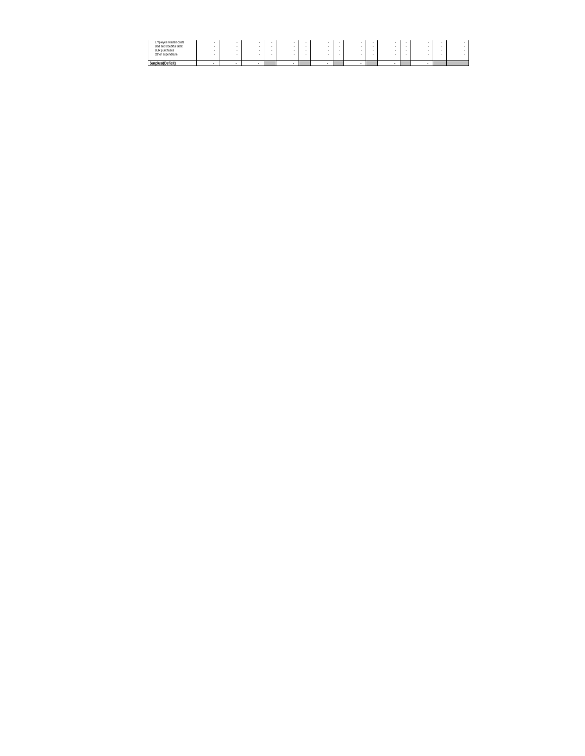| Employee related costs<br>Bad and doubtful debt<br><b>Bulk purchases</b><br>Other expenditure |  |  |  |  |  |  |  |  |
|-----------------------------------------------------------------------------------------------|--|--|--|--|--|--|--|--|
| Surplus/(Deficit)                                                                             |  |  |  |  |  |  |  |  |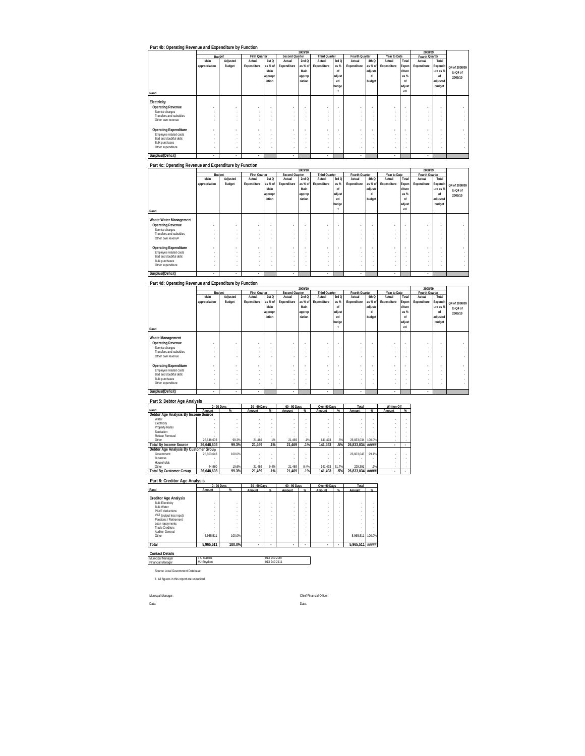|                              |                          |                          |                          |         |                          | 2009/10        |                      |                          |                          |         |                          |        | 2008/09                  |                          |                          |
|------------------------------|--------------------------|--------------------------|--------------------------|---------|--------------------------|----------------|----------------------|--------------------------|--------------------------|---------|--------------------------|--------|--------------------------|--------------------------|--------------------------|
|                              |                          | Budget                   | <b>First Quarter</b>     |         | Second Quarter           |                | <b>Third Quarter</b> |                          | Fourth Quarter           |         | Year to Date             |        | Fourth Quarter           |                          |                          |
|                              | Main                     | Adjusted                 | Actual                   | 1stQ    | Actual                   | 2ndQ           | Actual               | 3rd Q                    | Actual                   | 4th Q   | Actual                   | Total  | Actual                   | Total                    |                          |
|                              | appropriation            | Budget                   | Expenditure              | as % of | Expenditure              | as % of        | Expenditure          | as %                     | Expenditure              | as % of | Expenditure              | Expen  | Expenditure              | Expendit                 | Q4 of 2008/09            |
|                              |                          |                          |                          | Main    |                          | Main           |                      | of                       |                          | adjuste |                          | diture |                          | ure as %                 | to Q4 of                 |
|                              |                          |                          |                          | appropr |                          | approp         |                      | adjust                   |                          | d       |                          | as %   |                          | of                       | 2009/10                  |
|                              |                          |                          |                          | iation  |                          | riation        |                      | ed                       |                          | budget  |                          | nf     |                          | adjusted                 |                          |
|                              |                          |                          |                          |         |                          |                |                      | budge                    |                          |         |                          | adjust |                          | budget                   |                          |
|                              |                          |                          |                          |         |                          |                |                      |                          |                          |         |                          | ed     |                          |                          |                          |
| Rand                         |                          |                          |                          |         |                          |                |                      |                          |                          |         |                          |        |                          |                          |                          |
| Electricity                  |                          |                          |                          |         |                          |                |                      |                          |                          |         |                          |        |                          |                          |                          |
| <b>Operating Revenue</b>     | $\overline{a}$           | $\overline{\phantom{a}}$ | $\overline{\phantom{a}}$ | ٠       | $\overline{\phantom{a}}$ | $\blacksquare$ | ٠                    | $\overline{\phantom{a}}$ |                          | ٠       | $\overline{\phantom{a}}$ | ٠      | $\overline{\phantom{a}}$ |                          | $\overline{\phantom{a}}$ |
| Service charges              | $\sim$                   | $\overline{\phantom{a}}$ | $\sim$                   | ٠       | $\sim$                   |                | $\sim$               | $\sim$                   | $\sim$                   | ٠       | $\sim$                   | ٠      | ٠                        | $\overline{\phantom{a}}$ | $\sim$                   |
| Transfers and subsidies      | $\sim$                   | $\overline{\phantom{a}}$ | $\sim$                   |         | $\sim$                   |                | ×.                   | ٠                        | $\sim$                   | ٠       | $\overline{\phantom{a}}$ | ٠      | ٠                        | $\overline{\phantom{a}}$ | $\sim$                   |
| Other own revenue            |                          |                          |                          |         | $\sim$                   |                |                      |                          | $\sim$                   | ٠       | ٠                        |        | ٠                        |                          | $\sim$                   |
|                              |                          |                          |                          |         |                          |                |                      |                          |                          |         |                          |        |                          |                          |                          |
| <b>Operating Expenditure</b> | $\overline{a}$           | $\overline{\phantom{a}}$ | $\overline{\phantom{a}}$ | ٠       | ٠                        | $\blacksquare$ | ٠                    | $\overline{\phantom{a}}$ |                          | ٠       | $\overline{\phantom{a}}$ | ٠      | $\overline{\phantom{a}}$ |                          | $\overline{\phantom{a}}$ |
| Employee related costs       | $\sim$                   | $\overline{\phantom{a}}$ | $\sim$                   | ٠       | $\sim$                   | $\sim$         | $\sim$               | $\sim$                   | $\overline{\phantom{a}}$ | ٠       | $\sim$                   | ٠      | ٠                        | $\overline{\phantom{a}}$ | $\sim$                   |
| Bad and doubtful debt        | $\overline{\phantom{a}}$ | $\overline{\phantom{a}}$ | $\sim$                   | ٠       | $\sim$                   | $\sim$         | ×.                   | ٠                        | $\sim$                   | ٠       | $\sim$                   | ٠      | ٠                        | $\overline{\phantom{a}}$ | $\sim$                   |
| <b>Bulk purchases</b>        | $\overline{\phantom{a}}$ | $\overline{\phantom{a}}$ | $\sim$                   | ٠       | $\sim$                   | ٠              | ٠                    | ٠                        | $\sim$                   | ٠       | $\sim$                   | ٠      | ٠                        | J.                       | $\sim$                   |
| Other expenditure            | ٠                        | $\overline{\phantom{a}}$ | $\sim$                   |         | $\overline{\phantom{a}}$ |                | ٠                    | ٠                        | $\sim$                   | ٠       | $\sim$                   | ٠      | ٠                        | $\overline{\phantom{a}}$ | $\sim$                   |
| Surplus/(Deficit)            | ٠                        | ٠                        | ٠                        |         | ٠                        |                | ٠                    |                          | ٠                        |         | ٠                        |        | ٠                        |                          |                          |
|                              |                          |                          |                          |         |                          |                |                      |                          |                          |         |                          |        |                          |                          |                          |

**Part 4c: Operating Revenue and Expenditure by Function**

| Tan 40. Operating Revenue and Experience by Function |               |                          |                          |                          |                |                |                          |        |                |         |              |        |                |                          |               |
|------------------------------------------------------|---------------|--------------------------|--------------------------|--------------------------|----------------|----------------|--------------------------|--------|----------------|---------|--------------|--------|----------------|--------------------------|---------------|
|                                                      |               |                          |                          |                          |                | 2009/10        |                          |        |                |         |              |        | 2008/09        |                          |               |
|                                                      |               | Budget                   | <b>First Quarter</b>     |                          | Second Quarter |                | <b>Third Quarter</b>     |        | Fourth Quarter |         | Year to Date |        | Fourth Quarter |                          |               |
|                                                      | Main          | Adjusted                 | Actual                   | 1st <sub>Q</sub>         | Actual         | 2ndQ           | Actual                   | 3rd Q  | Actual         | 4th Q   | Actual       | Total  | Actual         | Total                    |               |
|                                                      | appropriation | Budget                   | Expenditure              | as % of                  | Expenditure    | as % of        | Expenditure              | as %   | Expenditure    | as % of | Expenditure  | Expen  | Expenditure    | Expendit                 |               |
|                                                      |               |                          |                          | Main                     |                | Main           |                          | of     |                | adjuste |              | diture |                | ure as %                 | Q4 of 2008/09 |
|                                                      |               |                          |                          |                          |                |                |                          |        |                | d       |              | as %   |                |                          | to Q4 of      |
|                                                      |               |                          |                          | appropr                  |                | approp         |                          | adjust |                |         |              |        |                | of                       | 2009/10       |
|                                                      |               |                          |                          | iation                   |                | riation        |                          | ed     |                | budget  |              | nf     |                | adjusted                 |               |
|                                                      |               |                          |                          |                          |                |                |                          | budge  |                |         |              | adjust |                | budget                   |               |
| Rand                                                 |               |                          |                          |                          |                |                |                          |        |                |         |              | ed     |                |                          |               |
|                                                      |               |                          |                          |                          |                |                |                          |        |                |         |              |        |                |                          |               |
| Waste Water Management                               |               |                          |                          |                          |                |                |                          |        |                |         |              |        |                |                          |               |
| <b>Operating Revenue</b>                             |               | ۰                        | $\overline{\phantom{a}}$ | ٠                        | ٠              | $\overline{a}$ | $\overline{\phantom{a}}$ | ٠      | ٠              | ٠       | ٠            |        |                |                          |               |
| Service charges                                      |               | $\sim$                   | $\sim$                   | ٠                        | ٠              | ٠              |                          | $\sim$ |                | $\sim$  |              |        |                | $\overline{\phantom{a}}$ |               |
| Transfers and subsidies                              |               |                          |                          |                          |                |                |                          | ٠      |                |         |              |        |                |                          |               |
| Other own revenue                                    |               |                          |                          |                          |                |                |                          | ٠      |                |         |              |        |                |                          |               |
|                                                      |               |                          |                          |                          |                |                |                          |        |                |         |              |        |                |                          |               |
| <b>Operating Expenditure</b>                         |               | $\overline{\phantom{a}}$ |                          | $\overline{\phantom{a}}$ |                | $\overline{a}$ |                          | ٠      | ٠              |         |              |        |                | ٠                        |               |
| Employee related costs                               |               |                          |                          |                          |                |                |                          | ٠      |                |         |              |        |                |                          |               |
| Bad and doubtful debt                                |               |                          |                          |                          |                |                |                          | ٠      |                |         |              |        |                |                          |               |
| <b>Bulk purchases</b>                                |               |                          |                          |                          |                |                |                          | ٠      |                | $\sim$  |              |        |                |                          |               |
| Other expenditure                                    |               |                          |                          |                          |                |                |                          | ٠      |                |         |              |        |                |                          |               |
|                                                      |               |                          |                          |                          |                |                |                          |        |                |         |              |        |                |                          |               |
| Surplus/(Deficit)                                    | ٠             | ٠                        | $\overline{\phantom{a}}$ |                          | ٠              |                | ٠                        |        | ٠              |         | ٠            |        | ٠              |                          |               |

**Part 4d: Operating Revenue and Expenditure by Function**

|                              |               | 2009/10                  |                          |                          |                          |                |                          |                |                |                          |                          |        | 2008/09                  |                          |               |
|------------------------------|---------------|--------------------------|--------------------------|--------------------------|--------------------------|----------------|--------------------------|----------------|----------------|--------------------------|--------------------------|--------|--------------------------|--------------------------|---------------|
|                              |               | Budget                   | <b>First Quarter</b>     |                          | Second Quarter           |                | <b>Third Quarter</b>     |                | Fourth Quarter |                          | Year to Date             |        | Fourth Quarter           |                          |               |
|                              | Main          | Adjusted                 | Actual                   | 1st <sub>O</sub>         | Actual                   | 2ndQ           | Actual                   | 3rd Q          | Actual         | 4th Q                    | Actual                   | Total  | Actual                   | Total                    |               |
|                              | appropriation | Budget                   | Expenditure              | as % of                  | Expenditure              | as % of        | Expenditure              | as %           | Expenditure    | as % of                  | Expenditure              | Expen  | Expenditure              | Expendit                 | Q4 of 2008/09 |
|                              |               |                          |                          | Main                     |                          | Main           |                          | of             |                | adjuste                  |                          | diture |                          | ure as %                 | to Q4 of      |
|                              |               |                          |                          | appropr                  |                          | approp         |                          | adjust         |                | d                        |                          | as %   |                          | of                       |               |
|                              |               |                          |                          | iation                   |                          | riation        |                          | ed             |                | budget                   |                          | of     |                          | adjusted                 | 2009/10       |
|                              |               |                          |                          |                          |                          |                |                          | budge          |                |                          |                          | adjust |                          | budget                   |               |
|                              |               |                          |                          |                          |                          |                |                          |                |                |                          |                          | ed     |                          |                          |               |
| Rand                         |               |                          |                          |                          |                          |                |                          |                |                |                          |                          |        |                          |                          |               |
| Waste Management             |               |                          |                          |                          |                          |                |                          |                |                |                          |                          |        |                          |                          |               |
|                              |               |                          |                          |                          |                          |                |                          |                |                |                          |                          |        |                          |                          |               |
| <b>Operating Revenue</b>     |               | ٠                        | $\overline{\phantom{a}}$ | $\overline{\phantom{a}}$ | ٠.                       | $\blacksquare$ | $\overline{\phantom{a}}$ | ٠              | ٠              | $\overline{\phantom{a}}$ | $\overline{\phantom{a}}$ | ٠      | ٠                        | $\overline{\phantom{a}}$ |               |
| Service charges              |               | ٠                        | $\sim$                   |                          | $\overline{\phantom{a}}$ | ٠              | ٠                        | ٠              | ٠              | ٠                        | ٠                        |        | ٠                        |                          |               |
| Transfers and subsidies      |               | ٠                        | ٠                        |                          | ٠                        |                | ٠                        | ٠              | ٠              | ٠                        | ٠                        |        |                          |                          |               |
| Other own revenue            |               | ٠                        |                          |                          | ٠                        |                | ٠                        |                | ٠              | ٠                        | ٠                        |        |                          |                          |               |
|                              |               |                          |                          |                          |                          |                |                          |                |                |                          |                          |        |                          |                          |               |
| <b>Operating Expenditure</b> |               | $\overline{\phantom{a}}$ | $\overline{\phantom{a}}$ | ٠                        | ÷                        | $\overline{a}$ | ٠                        | $\blacksquare$ | ٠              | ٠                        | $\overline{\phantom{a}}$ | ٠      | $\overline{\phantom{a}}$ | $\overline{\phantom{a}}$ |               |
| Employee related costs       |               | ٠                        | ۰                        |                          | ٠                        | ٠              | ٠                        | ٠              | ٠              | ٠                        | ٠                        |        |                          |                          |               |
| Bad and doubtful debt        |               | ٠                        | $\sim$                   |                          | $\overline{\phantom{a}}$ | $\sim$         | ٠                        | ٠              | ٠              | $\sim$                   | ٠                        | ٠      | ٠                        | $\sim$                   |               |
| <b>Bulk purchases</b>        |               | ٠                        | ٠                        |                          | $\overline{\phantom{a}}$ | ۰              | ٠                        | ٠              | ٠              | $\overline{\phantom{a}}$ | ٠                        | ٠      | ٠                        |                          |               |
| Other expenditure            |               | ٠                        | ۰                        |                          | ٠                        | ٠              | ٠                        | ٠              | ٠              | ٠                        | ٠                        |        | ٠                        |                          |               |
|                              |               |                          |                          |                          |                          |                |                          |                |                |                          |                          |        |                          |                          |               |
| Surplus/(Deficit)            | ٠             | ٠                        | ٠                        |                          | ٠                        |                | ٠                        |                | ٠              |                          | ٠                        |        | ٠                        |                          |               |

# **Part 5: Debtor Age Analysis**

|                                       |            | 0 - 30 Days | 30 - 60 Days |          | 60 - 90 Days |      | Over 90 Days |                 | Total             |       | <b>Written Off</b> |  |
|---------------------------------------|------------|-------------|--------------|----------|--------------|------|--------------|-----------------|-------------------|-------|--------------------|--|
| Rand                                  | Amount     |             | Amount       | $\alpha$ | Amount       | %    | Amount       | $\mathcal{U}_n$ | Amount            | $\%$  | Amount             |  |
| Debtor Age Analysis By Income Source  |            |             |              |          |              |      |              |                 |                   |       |                    |  |
| Water                                 |            |             |              |          |              |      |              |                 |                   |       |                    |  |
| Electricity                           |            |             |              |          |              |      |              |                 |                   |       |                    |  |
| Property Rates                        |            |             |              |          |              |      |              |                 |                   |       |                    |  |
| Sanitation                            |            |             |              |          |              |      |              |                 |                   |       |                    |  |
| Refuse Removal                        |            |             |              |          |              |      |              |                 |                   |       |                    |  |
| Other                                 | 26.648.603 | 99.3%       | 21.469       | 1%       | 21.469       | 1%   | 141.493      | .5%             | 26.833.034 100.0% |       |                    |  |
| <b>Total By Income Source</b>         | 26.648.603 | 99.3%       | 21.469       | .1%      | 21.469       | .1%  | 141.493      | .5%             | 26.833.034 #####  |       |                    |  |
| Debtor Age Analysis By Customer Group |            |             |              |          |              |      |              |                 |                   |       |                    |  |
| Government                            | 26.603.643 | 100.0%      |              |          |              |      |              |                 | 26.603.643        | 99.1% |                    |  |
| <b>Business</b>                       |            |             |              |          |              |      |              |                 |                   |       |                    |  |
| Households                            |            |             |              |          |              |      |              |                 |                   |       |                    |  |
| Other                                 | 44.960     | 19.6%       | 21.469       | 9.4%     | 21.469       | 9.4% | 141.493      | 61.7%           | 229.391           | .9%   |                    |  |
| <b>Total By Customer Group</b>        | 26.648.603 | 99.3%       | 21.469       | .1%      | 21.469       | .1%  | 141,493      | .5%             | 26.833.034 #####  |       |                    |  |
|                                       |            |             |              |          |              |      |              |                 |                   |       |                    |  |

#### **Part 6: Creditor Age Analysis**

|                                                                                                                                                                                                                              | 0 - 30 Days |                                            | 30 - 60 Days             |    | 60 - 90 Days |   | Over 90 Days |    | Total           |        |
|------------------------------------------------------------------------------------------------------------------------------------------------------------------------------------------------------------------------------|-------------|--------------------------------------------|--------------------------|----|--------------|---|--------------|----|-----------------|--------|
| Rand                                                                                                                                                                                                                         | Amount      | $\%$                                       | Amount                   | Q' | Amount       | ĸ | Amount       | Q' | Amount          | %      |
| <b>Creditor Age Analysis</b><br><b>Bulk Electricity</b><br><b>Bulk Water</b><br>PAYE deductions<br>VAT (output less input)<br>Pensinns / Retirement<br>Loan repayments<br><b>Trade Creditors</b><br>Auditor-General<br>Other | 5.965.511   | ٠<br>٠<br>ä,<br>٠<br>٠<br>$\sim$<br>100.0% |                          |    |              |   |              |    | 5.965.511       | 100.0% |
| Total                                                                                                                                                                                                                        | 5.965.511   | 100.0%                                     | $\overline{\phantom{a}}$ |    |              |   | ٠            |    | 5,965,511 ##### |        |

**Contact Details** Municipal Manager Financial Manager

T C Makola 013 249 2007 MJ Strydom 013 249 2111

Source Local Government Database

1. All figures in this report are unaudited

Date: Date:

Municpal Manager: Chief Financial Officer: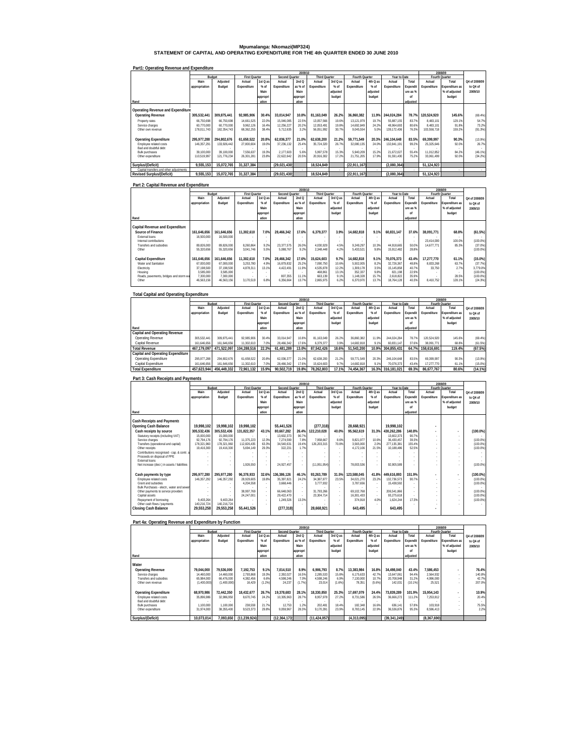# **Mpumalanga: Nkomazi(MP324) STATEMENT OF CAPITAL AND OPERATING EXPENDITURE FOR THE 4th QUARTER ENDED 30 JUNE 2010**

| Part1: Operating Revenue and Expenditure |               |             |                      |          |                |          |                      |          |                |          |              |                          |             |                |               |
|------------------------------------------|---------------|-------------|----------------------|----------|----------------|----------|----------------------|----------|----------------|----------|--------------|--------------------------|-------------|----------------|---------------|
|                                          |               |             |                      |          |                | 2009/10  |                      |          |                |          |              |                          |             | 2008/09        |               |
|                                          |               | Budget      | <b>First Quarter</b> |          | Second Quarter |          | <b>Third Quarter</b> |          | Fourth Quarter |          | Year to Date |                          |             | Fourth Quarter |               |
|                                          | Main          | Adjusted    | Actual               | 1st Q as | Actual         | 2ndQ     | Actual               | 3rd Q as | Actual         | 4th Q as | Actual       | Total                    | Actual      | Total          | Q4 of 2008/09 |
|                                          | appropriation | Budget      | Expenditure          | $%$ of   | Expenditure    | as % of  | Expenditure          | $%$ of   | Expenditure    | $%$ of   | Expenditure  | <b>Expendit</b>          | Expenditure | Expenditure as | to Q4 of      |
|                                          |               |             |                      | Main     |                | Main     |                      | adjusted |                | adjusted |              | ureas%                   |             | % of adjusted  | 2009/10       |
|                                          |               |             |                      | appropri |                | appropri |                      | budget   |                | budget   |              | nf                       |             | budget         |               |
| Rand                                     |               |             |                      | ation    |                | ation    |                      |          |                |          |              | adiusted                 |             |                |               |
|                                          |               |             |                      |          |                |          |                      |          |                |          |              |                          |             |                |               |
| Operating Revenue and Expenditure        |               |             |                      |          |                |          |                      |          |                |          |              |                          |             |                |               |
| <b>Operating Revenue</b>                 | 305.532.441   | 309.875.441 | 92.985.906           | 30.4%    | 33.014.947     | 10.8%    | 81.163.049           | 26.2%    | 36.860.382     | 11.9%    | 244.024.284  | 78.7%                    | 120.524.920 | 145.6%         | (69.4%)       |
| Property rates                           | 66.750.698    | 66.750.698  | 14.661.525           | 22.0%    | 15.046.085     | 22.5%    | 13.057.566           | 19.6%    | 13.121.979     | 19.7%    | 55.887.155   | 83.7%                    | 8.483.101   | 129.1%         | 54.7%         |
| Service charges                          | 60.770.000    | 60.770.000  | 9.962.126            | 16.4%    | 12.256.227     | 20.2%    | 12.053.491           | 19.8%    | 14 692 849     | 24.2%    | 48 964 693   | 80.6%                    | 8.483.101   | 91.8%          | 73.2%         |
| Other own revenue                        | 178.011.743   | 182.354.743 | 68.362.255           | 38.4%    | 5.712.635      | 3.2%     | 56.051.992           | 30.7%    | 9.045.554      | 5.0%     | 139.172.436  | 76.3%                    | 103.558.718 | 159.2%         | (91.3%)       |
|                                          |               |             |                      |          |                |          |                      |          |                |          |              |                          |             |                |               |
| <b>Operating Expenditure</b>             | 295.977.288   | 294.802.676 | 61.658.522           | 20.8%    | 62.036.377     | 21.0%    | 62.638.200           | 21.2%    | 59.771.549     | 20.3%    | 246.104.648  | 83.5%                    | 69.399.997  | 90.3%          | (13.9%)       |
| Employee related costs                   | 146.357.291   | 133.926.442 | 27.800.604           | 19.0%    | 37.236.132     | 25.4%    | 35.724.320           | 26.7%    | 32.080.135     | 24.0%    | 132.841.191  | 99.2%                    | 25.325.646  | 92.0%          | 26.7%         |
| Bad and doubtful debt                    |               |             |                      |          |                |          |                      |          |                |          |              | $\overline{\phantom{a}}$ |             |                |               |
| <b>Bulk purchases</b>                    | 39.100.000    | 39.100.000  | 7.556.637            | 19.3%    | 2.177.603      | 5.6%     | 5.997.578            | 15.3%    | 5.940.209      | 15.2%    | 21.672.027   | 55.4%                    | 11.012.852  | 84.2%          | (46.1%)       |
| Other expenditure                        | 110.519.997   | 121.776.234 | 26.301.281           | 23.8%    | 22.622.642     | 20.5%    | 20.916.302           | 17.2%    | 21.751.205     | 17.9%    | 91.591.430   | 75.2%                    | 33.061.499  | 92.0%          | (34.2%)       |
|                                          |               |             |                      |          |                |          |                      |          |                |          |              |                          |             |                |               |
| Surplus/(Deficit)                        | 9.555.153     | 15.072.765  | 31.327.384           |          | (29,021,430)   |          | 18.524.849           |          | (22.911.167)   |          | (2.080.364)  |                          | 51.124.923  |                |               |
| Capital transfers and other adjustments  |               |             |                      | $\sim$   |                |          |                      |          |                |          |              | $\overline{\phantom{a}}$ |             |                |               |
| <b>Revised Surplus/(Deficit)</b>         | 9.555.153     | 15.072.765  | 31.327.384           |          | (29.021.430)   |          | 18.524.849           |          | (22.911.167)   |          | (2.080.364)  |                          | 51.124.923  |                |               |

### **Part 2: Capital Revenue and Expenditure**

|                                          |               |             |                          |                  |                | 2009/10  |                      |          |                |                          |              |                                    |                | 2008/09        |               |
|------------------------------------------|---------------|-------------|--------------------------|------------------|----------------|----------|----------------------|----------|----------------|--------------------------|--------------|------------------------------------|----------------|----------------|---------------|
|                                          | Budget        |             | <b>First Quarter</b>     |                  | Second Quarter |          | <b>Third Quarter</b> |          | Fourth Quarter |                          | Year to Date |                                    | Fourth Quarter |                |               |
|                                          | Main          | Adjusted    | Actual                   | 1st Q as         | Actual         | 2ndQ     | Actual               | 3rd Q as | Actual         | 4th Q as                 | Actual       | Total                              | Actual         | Total          | Q4 of 2008/09 |
|                                          | appropriation | Budget      | Expenditure              | % of             | Expenditure    | as % of  | Expenditure          | % of     | Expenditure    | $%$ of                   | Expenditure  | Expendit                           | Expenditure    | Expenditure as | to Q4 of      |
|                                          |               |             |                          | Main             |                | Main     |                      | adjusted |                | adjusted                 |              | ure as %                           |                | % of adjusted  | 2009/10       |
|                                          |               |             |                          | appropri         |                | appropri |                      | budget   |                | budget                   |              | nf                                 |                | budget         |               |
| Rand                                     |               |             |                          | ation            |                | ation    |                      |          |                |                          |              | adiusted                           |                |                |               |
| Capital Revenue and Expenditure          |               |             |                          |                  |                |          |                      |          |                |                          |              |                                    |                |                |               |
| Source of Finance                        | 161.646.656   | 161.646.656 | 11.302.610               | 7.0%             | 28.466.342     | 17.6%    | 6.379.377            | 3.9%     | 14.682.818     | 9.1%                     | 60.831.147   | 37.6%                              | 38.091.771     | 68.8%          | (61.5%)       |
| External loans<br>Internal contributions | 16.500.000    | 16.500.000  | $\sim$<br>$\sim$         | $\sim$<br>$\sim$ |                |          |                      |          | ×.             | $\overline{\phantom{a}}$ | . .          | $\sim$<br>$\overline{\phantom{a}}$ | 23.414.000     | 100.0%         | (100.0%       |
| Transfers and subsidies                  | 89.826.000    | 89.826.000  | 8.260.864                | 9.2%             | 23.377.575     | 26.09    | 4.030.929            | 4.5%     | 9.249.297      | 10.3%                    | 44.918.665   | 50.0%                              | 14.677.771     | 85.39          | (37.0%)       |
| Other                                    | 55.320.656    | 55.320.656  | 3.041.746                | 5.5%             | 5.088.767      | 9.2%     | 2.348.448            | 4.2%     | 5.433.521      | 9.8%                     | 15.912.482   | 28.8%                              |                |                | (100.0%       |
| Capital Expenditure                      | 161.646.656   | 161.646.656 | 11.302.610               | 7.0%             | 28.466.342     | 17.6%    | 15.624.603           | 9.7%     | 14.682.818     | 9.1%                     | 70.076.373   | 43.4%                              | 17.277.770     | 61.1%          | $(15.0\%)$    |
| Water and Sanitation                     | 67.000.000    | 67.000.000  | 3,253.780                | 4.9%             | 16.879.832     | 25.2%    | 7.090.750            | 10.6%    | 5.502.005      | 8.2%                     | 32.726.367   | 48.8%                              | 8.833.268      | 63.7%          | (37.7%)       |
| Electricity                              | 37.198.500    | 37.198.500  | 4.878.311                | 13.1%            | 4.422.491      | 11.9%    | 4.535.878            | 12.2%    | 1.309.178      | 3.5%                     | 15.145.858   | 40.7%                              | 33.750         | 2 7%           | 3.779.0%      |
| Housing                                  | 3.585.000     | 3.585.000   | $\overline{\phantom{a}}$ | $\sim$           |                |          | 468.861              | 13.1%    | 352.337        | 9.8%                     | 821.198      | 22.9%                              |                |                | (100.0%       |
| Roads, payements, bridges and storm wa   | 7.300.000     | 7.300.000   |                          |                  | 807.355        | 11.1%    | 663.139              | 9.1%     | 1.148.328      | 15.7%                    | 2.618.822    | 35.9%                              |                | 28.5%          | (100.0%       |
| Other                                    | 46.563.156    | 46.563.156  | 3.170.519                | 6.8%             | 6.356.664      | 13.7%    | 2.865.975            | 6.2%     | 6.370.970      | 13.7%                    | 18.764.128   | 40.3%                              | 8.410.752      | 128.1%         | (24.3%)       |
|                                          |               |             |                          |                  |                |          |                      |          |                |                          |              |                                    |                |                |               |

### **Total Capital and Operating Expenditure**

|                                      |               |             |                      |          |                | 2009/10  |                      |          |                |          |              |          |                | 2008/09               |               |
|--------------------------------------|---------------|-------------|----------------------|----------|----------------|----------|----------------------|----------|----------------|----------|--------------|----------|----------------|-----------------------|---------------|
|                                      | Budget        |             | <b>First Quarter</b> |          | Second Quarter |          | <b>Third Quarter</b> |          | Fourth Quarter |          | Year to Date |          | Fourth Quarter |                       |               |
|                                      | Main          | Adiusted    | Actual               | 1st Q as | Actual         | 2ndQ     | Actual               | 3rd Q as | Actual         | 4th Q as | Actual       | Total    | Actual         | Total                 | Q4 of 2008/09 |
|                                      | appropriation | Budget      | Expenditure          | % of     | Expenditure    | as % of  | Expenditure          | % of     | Expenditure    | $%$ of   | Expenditure  | Expendit | Expenditure    | <b>Expenditure as</b> | to Q4 of      |
|                                      |               |             |                      | Main     |                | Main     |                      | adiusted |                | adiusted |              | ure as % |                | % of adjusted         | 2009/10       |
|                                      |               |             |                      | appropri |                | appropri |                      | budget   |                | budget   |              |          |                | budget                |               |
| Rand                                 |               |             |                      | ation    |                | ation    |                      |          |                |          |              | adiusted |                |                       |               |
| <b>Capital and Operating Revenue</b> |               |             |                      |          |                |          |                      |          |                |          |              |          |                |                       |               |
| Operating Revenue                    | 305.532.441   | 309.875.441 | 92.985.906           | 30.49    | 33.014.947     | 10.89    | 81.163.049           | 26.2%    | 36.860.382     | 11.9%    | 244.024.284  | 78.7%    | 120.524.920    | 145.6%                | (69.4%)       |
| Capital Revenue                      | 161.646.656   | 161.646.656 | 11.302.610           | 7.0%     | 28.466.342     | 17.6%    | 6.379.377            | 3.9%     | 14.682.818     | 9 1%     | 60.831.147   | 37.6%    | 38.091.771     | 68.8%                 | (61.5%)       |
| <b>Total Revenue</b>                 | 467.179.097   | 471.522.097 | 104.288.516          | 22.3%    | 61.481.289     | 13.0%    | 87.542.426           | 18.6%    | 51.543.200     | 10.9%    | 304.855.431  | 64.7%    | 158.616.691    | 119.4%                | (67.5%)       |
| Capital and Operating Expenditure    |               |             |                      |          |                |          |                      |          |                |          |              |          |                |                       |               |
| Operating Expenditure                | 295.977.288   | 294.802.676 | 61.658.522           | 20.8%    | 62.036.377     | 21.0%    | 62.638.200           | 21.2%    | 59.771.549     | 20.3%    | 246.104.648  | 83.5%    | 69.399.997     | 90.3%                 | (13.9%)       |
| Capital Expenditure                  | 161.646.656   | 161.646.656 | 11.302.610           | 7.0%     | 28.466.342     | 17.6%    | 15.624.603           | 9.7%     | 14.682.818     | 9.1%     | 70.076.373   | 43.4%    | 17.277.770     | 61.1%                 | (15.0%        |
| <b>Total Expenditure</b>             | 457.623.944   | 456.449.332 | 72.961.132           | 15.9%    | 90.502.719     | 19.8%    | 78.262.803           | 17.1%    | 74.454.367     | 16.3%    | 316.181.021  | 69.3%    | 86.677.767     | 80.6%                 | (14.1%)       |

| Part 3: Cash Receipts and Payments                    |                          |                          |                      |                          |                |          |                      |          |                |          |              |          |             |                |               |
|-------------------------------------------------------|--------------------------|--------------------------|----------------------|--------------------------|----------------|----------|----------------------|----------|----------------|----------|--------------|----------|-------------|----------------|---------------|
|                                                       |                          |                          |                      |                          |                | 2009/10  |                      |          |                |          |              |          |             | 2008/09        |               |
|                                                       |                          | Budget                   | <b>First Quarter</b> |                          | Second Quarter |          | <b>Third Quarter</b> |          | Fourth Quarter |          | Year to Date |          |             | Fourth Quarter |               |
|                                                       | Main                     | Adjusted                 | Actual               | 1st Q as                 | Actual         | 2ndQ     | Actual               | 3rd Q as | Actual         | 4th Q as | Actual       | Total    | Actual      | Total          | Q4 of 2008/09 |
|                                                       | appropriation            | Budget                   | Expenditure          | % of                     | Expenditure    | as % of  | Expenditure          | % of     | Expenditure    | $%$ of   | Expenditure  | Expendit | Expenditure | Expenditure as | to O4 of      |
|                                                       |                          |                          |                      | Main                     |                | Main     |                      | adjusted |                | adiusted |              | ure as % |             | % of adjusted  | 2009/10       |
|                                                       |                          |                          |                      | appropri                 |                | appropri |                      | budget   |                | budget   |              | nf       |             | budget         |               |
| Rand                                                  |                          |                          |                      | ation                    |                | ation    |                      |          |                |          |              | adiusted |             |                |               |
|                                                       |                          |                          |                      |                          |                |          |                      |          |                |          |              |          |             |                |               |
| <b>Cash Receipts and Payments</b>                     |                          |                          |                      |                          |                |          |                      |          |                |          |              |          |             |                |               |
| <b>Opening Cash Balance</b>                           | 19,998.102               | 19.998.102               | 19.998.102           |                          | 55.441.526     |          | (277, 318)           |          | 28.668.921     |          | 19.998.102   |          |             |                |               |
| Cash receipts by source                               | 305.532.436              | 305.532.436              | 131.822.357          | 43.1%                    | 80.667.282     | 26.4%    | 122,210,028          | 40.0%    | 95.562.619     | 31.3%    | 430.262.286  | 140.8%   | ٠.          |                | $(100.0\%)$   |
| Statutory receipts (including VAT)                    | 15,000,000               | 15.000.000               |                      |                          | 13.602.373     | 90.7%    |                      |          |                |          | 13.602.373   | 90.7%    |             |                |               |
| Service charges                                       | 92.794.176               | 92.794.176               | 11.375.223           | 12.3%                    | 7.274.590      | 7.8%     | 7.958.667            | 8.6%     | 9.821.977      | 10.69    | 36.430.457   | 39.3%    |             |                | (100.0%       |
| Transfers (operational and capital)                   | 178.321.960              | 178.321.960              | 112,826,435          | 63.3%                    | 34.540.631     | 19.4%    | 126.203.315          | 70.8%    | 3.565.000      | 2.0%     | 277.135.381  | 155.4%   |             |                | (100.0%       |
| Other receipts                                        | 19.416.300               | 19.416.300               | 5.694.149            | 29.3%                    | 322.231        | 17%      |                      |          | 4.172.106      | 21.5%    | 10.188.486   | 52.5%    |             |                | (100.0%       |
| Contributions recognised - cap. & contr. a            |                          |                          |                      |                          |                |          |                      |          |                |          |              |          |             |                |               |
| Proceeds on disposal of PPE                           |                          |                          |                      |                          |                |          |                      |          |                |          |              |          |             |                |               |
| <b>External loans</b>                                 |                          |                          |                      | $\overline{\phantom{a}}$ |                |          |                      | ٠        |                |          |              |          |             |                |               |
| Net increase (decr.) in assets / liabilities          |                          |                          | 1.926.550            | ×.                       | 24.927.457     |          | (11.951.954)         | ٠        | 78.003.536     | $\sim$   | 92.905.589   |          |             |                | (100.0%       |
|                                                       | 295.977.280              | 295.977.280              | 96.378.933           | 32.6%                    | 136.386.126    | 46.1%    | 93.263.789           | 31.5%    | 123.588.045    | 41.8%    | 449.616.893  | 151.9%   |             |                | $(100.0\%)$   |
| Cash payments by type                                 |                          |                          |                      |                          |                |          |                      |          |                |          |              |          |             |                |               |
| Employee related costs                                | 146.357.292              | 146.357.292              | 28.929.605           | 19.8%                    | 35.397.821     | 24.2%    | 34.387.877           | 23.5%    | 34.021.270     | 23.2%    | 132.736.573  | 90.7%    |             |                | (100.0%       |
| Grant and subsidies                                   |                          |                          | 4.204.558            | ×.                       | 3.668.446      | $\sim$   | 3.777.932            | ٠        | 3.787.656      | $\sim$   | 15.438.592   |          |             |                | (100.0%       |
| Bulk Purchases - electr., water and sewer             |                          |                          |                      | $\sim$                   |                |          |                      | ٠        |                |          |              |          |             |                |               |
| Other payments to service providers                   |                          | ×.                       | 38.997.769           | ×.                       | 66 648 063     | ÷.       | 31.793.266           | ÷        | 69.102.768     |          | 206 541 866  |          |             |                | (100.0%       |
| Capital assets                                        |                          |                          | 24.247.001           | ×.                       | 29.422.470     | и.       | 23.304.714           | $\sim$   | 16.301.433     |          | 93.275.618   |          |             |                | (100.0%       |
| Repayment of borrowing<br>Other cash flows / payments | 9.403.264<br>140.216.724 | 9.403.264<br>140.216.724 |                      | $\overline{\phantom{a}}$ | 1.249.326      | 13.3%    |                      |          | 374.918        | 4.0%     | 1.624.244    | 17.3%    |             |                | (100.0%       |
|                                                       |                          |                          |                      |                          |                |          |                      |          |                |          |              |          |             |                |               |
| <b>Closing Cash Balance</b>                           | 29,553,258               | 29.553.258               | 55.441.526           |                          | (277, 318)     |          | 28.668.921           |          | 643.495        |          | 643.495      |          |             |                |               |
|                                                       |                          |                          |                      |                          |                |          |                      |          |                |          |              |          |             |                |               |

| Part 4a: Operating Revenue and Expenditure by Function |               |             |                      |          |                |          |                      |          |                |          |              |          |             |                |               |
|--------------------------------------------------------|---------------|-------------|----------------------|----------|----------------|----------|----------------------|----------|----------------|----------|--------------|----------|-------------|----------------|---------------|
|                                                        |               |             |                      |          |                | 2009/10  |                      |          |                |          |              |          |             | 2008/09        |               |
|                                                        | Budget        |             | <b>First Quarter</b> |          | Second Quarter |          | <b>Third Quarter</b> |          | Fourth Quarter |          | Year to Date |          |             | Fourth Quarter |               |
|                                                        | Main          | Adjusted    | Actual               | 1st Q as | Actual         | 2ndQ     | Actual               | 3rd Q as | Actual         | 4th Q as | Actual       | Total    | Actual      | Total          | Q4 of 2008/09 |
|                                                        | appropriation | Budget      | Expenditure          | % of     | Expenditure    | as % of  | Expenditure          | % of     | Expenditure    | $%$ of   | Expenditure  | Expendit | Expenditure | Expenditure as | to Q4 of      |
|                                                        |               |             |                      | Main     |                | Main     |                      | adjusted |                | adiusted |              | ure as % |             | % of adjusted  | 2009/10       |
|                                                        |               |             |                      | appropri |                | appropri |                      | budget   |                | budget   |              | nf       |             | budget         |               |
| Rand                                                   |               |             |                      | ation    |                | ation    |                      |          |                |          |              | adjusted |             |                |               |
|                                                        |               |             |                      |          |                |          |                      |          |                |          |              |          |             |                |               |
| Water                                                  |               |             |                      |          |                |          |                      |          |                |          |              |          |             |                |               |
| <b>Operating Revenue</b>                               | 79.044.000    | 79.536.000  | 7.192.753            | 9.1%     | 7.014.510      | 8.9%     | 6.906.793            | 8.7%     | 13.383.984     | 16.8%    | 34.498.040   | 43.4%    | 7.586.453   |                | 76.4%         |
| Service charges                                        | 14.460.000    | 14.460.000  | 2.793.868            | 19.3%    | 2.392.027      | 16.5%    | 2.285.533            | 15.8%    | 6.175.633      | 42.79    | 13.647.061   | 94.4%    | 2.564.932   | ×.             | 140.8%        |
| Transfers and subsidies                                | 65.984.000    | 66.476.000  | 4.382.456            | 6.6%     | 4.598.246      | 7.0%     | 4.598.246            | 6.99     | 7.130.000      | 10.79    | 20.708.948   | 31.2%    | 4.996.000   |                | 42.7%         |
| Other own revenue                                      | (1,400,000)   | (1,400,000) | 16.429               | (1.2%)   | 24.237         | (1.7%)   | 23.014               | (1.6%)   | 78.351         | (5.6%)   | 142.031      | (10.1%   | 25.521      |                | 207.0%        |
|                                                        |               |             |                      |          |                |          |                      |          |                |          |              |          |             |                |               |
| <b>Operating Expenditure</b>                           | 68.970.986    | 72.442.350  | 18.432.677           | 26.7%    | 19.378.683     | 28.1%    | 18.330.850           | 25.3%    | 17.697.079     | 24.4%    | 73.839.289   | 101.9%   | 15.954.143  |                | 10.9%         |
| Employee related costs                                 | 35.896.986    | 32.986.950  | 8.670.745            | 24.2%    | 10.305.963     | 28.7%    | 8.957.978            | 27.2%    | 8.731.586      | 26.59    | 36.666.272   | 111.2%   | 7,253.812   | ×.             | 20.4%         |
| Bad and doubtful debt                                  |               |             |                      | $\sim$   |                |          |                      |          |                |          |              |          |             |                |               |
| <b>Bulk purchases</b>                                  | 1.100.000     | 1.100.000   | 238.559              | 21.7%    | 12.753         | 1.2%     | 202.481              | 18.4%    | 182.348        | 16.69    | 636.141      | 57.8%    | 103.918     |                | 75.5%         |
| Other expenditure                                      | 31.974.000    | 38.355.400  | 9.523.373            | 29.8%    | 9.059.967      | 28.3%    | 9.170.391            | 23.9%    | 8.783.145      | 22.9%    | 36.536.876   | 95.3%    | 8.596.413   |                | 2.2%          |
|                                                        |               |             |                      |          |                |          |                      |          |                |          |              |          |             |                |               |
| Surplus/(Deficit)                                      | 10.073.014    | 7.093.650   | (11, 239, 924)       |          | (12.364.173)   |          | (11.424.057)         |          | (4.313.095)    |          | (39.341.249) |          | (8.367.690) |                |               |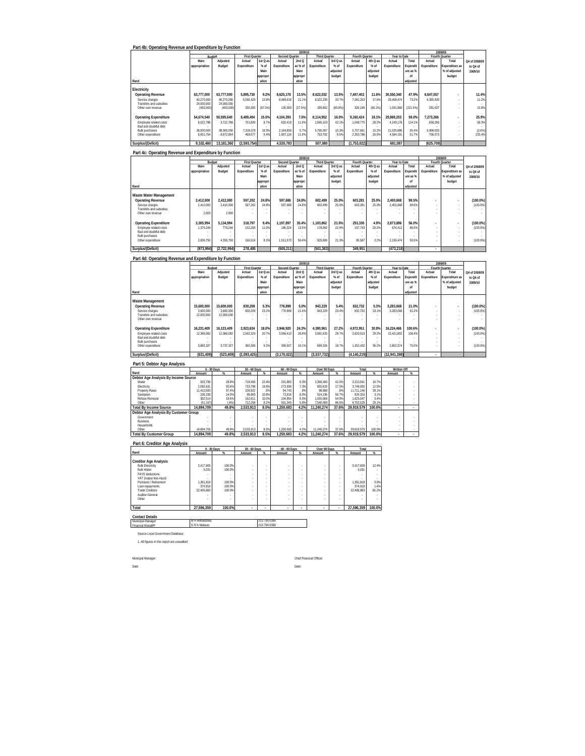| Part 4b: Operating Revenue and Expenditure by Function |               |               |                      |                          |                |          |                      |          |                |          |              |          |             |                |               |
|--------------------------------------------------------|---------------|---------------|----------------------|--------------------------|----------------|----------|----------------------|----------|----------------|----------|--------------|----------|-------------|----------------|---------------|
|                                                        |               |               |                      |                          |                | 2009/10  |                      |          |                |          |              |          |             | 2008/09        |               |
|                                                        |               | <b>Budget</b> | <b>First Quarter</b> |                          | Second Quarter |          | <b>Third Quarter</b> |          | Fourth Quarter |          | Year to Date |          |             | Fourth Quarter |               |
|                                                        | Main          | Adiusted      | Actual               | 1st Q as                 | Actual         | 2ndQ     | Actual               | 3rd Q as | Actual         | 4th Q as | Actual       | Total    | Actual      | Total          | Q4 of 2008/09 |
|                                                        | appropriation | Budget        | Expenditure          | % of                     | Expenditure    | as % of  | Expenditure          | $%$ of   | Expenditure    | $%$ of   | Expenditure  | Expendit | Expenditure | Expenditure as | to Q4 of      |
|                                                        |               |               |                      | Main                     |                | Main     |                      | adjusted |                | adiusted |              | ure as % |             | % of adjusted  | 2009/10       |
|                                                        |               |               |                      | appropri                 |                | appropri |                      | budget   |                | budget   |              | nf       |             | budget         |               |
| Rand                                                   |               |               |                      | ation                    |                | ation    |                      |          |                |          |              | adiusted |             |                |               |
|                                                        |               |               |                      |                          |                |          |                      |          |                |          |              |          |             |                |               |
| Electricity                                            |               |               |                      |                          |                |          |                      |          |                |          |              |          |             |                |               |
| <b>Operating Revenue</b>                               | 63.777.000    | 63.777.000    | 5.895.730            | 9.2%                     | 8.625.176      | 13.5%    | 8.622.032            | 13.5%    | 1.407.402      | 11.6%    | 30.550.340   | 47.9%    | 6.647.557   | ٠              | 11.4%         |
| Service charges                                        | 40.270.000    | 40.270.000    | 5.565.425            | 13.8%                    | 8.489.616      | 21.1%    | 8.322.230            | 20.7%    | 7.081.203      | 17.6%    | 29.458.474   | 73.2%    | 6.365.920   |                | 11.2%         |
| Transfers and subsidies.                               | 24.000.000    | 24.000.000    |                      |                          |                |          |                      |          |                |          |              |          |             | ٠              |               |
| Other own revenue                                      | (493,000)     | (493.000)     | 330.305              | (67.0%                   | 135,560        | (27.5%)  | 299.802              | (60.8%)  | 326.199        | (66.2%)  | 1.091.866    | (221.5%) | 281.637     |                | 15.8%         |
|                                                        |               |               |                      |                          |                |          |                      |          |                |          |              |          |             |                |               |
| <b>Operating Expenditure</b>                           | 54.674.540    | 50.595.640    | 8.489.484            | 15.5%                    | 4.104.393      | 7.5%     | 8.114.952            | 16.0%    | 9.160.424      | 18.1%    | 29.869.253   | 59.0%    | 7.273.266   | ٠              | 25.9%         |
| Employee related costs                                 | 8.022.786     | 3.722.786     | 701.829              | 8.7%                     | 932.419        | 11.6%    | 1,566,153            | 42.1%    | 1.048.775      | 28.2%    | 4.249.176    | 114.1%   | 658.260     |                | 59.3%         |
| Bad and doubtful debt                                  |               |               |                      | $\overline{\phantom{a}}$ |                |          |                      |          |                |          |              |          |             | ٠              |               |
| <b>Bulk purchases</b>                                  | 38.000.000    | 38.000.000    | 7.318.078            | 19.3%                    | 2.164.850      | 5.7%     | 5.795.097            | 15.3%    | 5.757.861      | 15.2%    | 21.035.886   | 55.4%    | 5.908.933   | ٠              | (2.6%)        |
| Other expenditure                                      | 8.651.754     | 8.872.854     | 469.577              | 5.4%                     | 1.007.124      | 11.6%    | 753.702              | 8.5%     | 2.353.788      | 26.5%    | 4.584.191    | 51.7%    | 706.073     |                | 233.4%        |
| Surplus/(Deficit)                                      | 9.102.460     | 13.181.360    | (2.593.754)          |                          | 4.520.783      |          | 507.080              |          | (1,753,022)    |          | 681.087      |          | (625, 709)  |                |               |
|                                                        |               |               |                      |                          |                |          |                      |          |                |          |              |          |             |                |               |

|                                            |               |             |                      |                                  |                | 2009/10  |               |          |                |          |              |          |                          | 2008/09        |               |
|--------------------------------------------|---------------|-------------|----------------------|----------------------------------|----------------|----------|---------------|----------|----------------|----------|--------------|----------|--------------------------|----------------|---------------|
|                                            | Budget        |             | <b>First Quarter</b> |                                  | Second Quarter |          | Third Quarter |          | Fourth Quarter |          | Year to Date |          |                          | Fourth Quarter |               |
|                                            | Main          | Adjusted    | Actual               | 1st Q as                         | Actual         | 2ndQ     | Actual        | 3rd Q as | Actual         | 4th Q as | Actual       | Total    | Actual                   | Total          | Q4 of 2008/09 |
|                                            | appropriation | Budget      | Expenditure          | % of                             | Expenditure    | as % of  | Expenditure   | % of     | Expenditure    | $%$ of   | Expenditure  | Expendit | Expenditure              | Expenditure as | to Q4 of      |
|                                            |               |             |                      | Main                             |                | Main     |               | adjusted |                | adjusted |              | ure as % |                          | % of adjusted  | 2009/10       |
|                                            |               |             |                      | appropri                         |                | appropri |               | budget   |                | budget   |              | of       |                          | budget         |               |
| Rand                                       |               |             |                      | ation                            |                | ation    |               |          |                |          |              | adiusted |                          |                |               |
| Waste Water Management                     |               |             |                      |                                  |                |          |               |          |                |          |              |          |                          |                |               |
| <b>Operating Revenue</b>                   | 2.412.000     | 2.412.000   | 597.202              | 24.8%                            | 597.686        | 24.8%    | 602.499       | 25.0%    | 603.281        | 25.0%    | 2.400.668    | 99.5%    |                          |                | (100.0%       |
| Service charges                            | 2.410.000     | 2,410,000   | 597.202              | 24.89                            | 597.686        | 24.8%    | 602.499       | 25.0%    | 603.281        | 25.0%    | 2.400.668    | 99.6%    |                          |                | (100.0%       |
| Transfers and subsidies                    |               |             |                      |                                  |                |          |               |          |                |          |              |          |                          |                |               |
| Other own revenue                          | 2.000         | 2.000       |                      |                                  |                |          |               |          |                |          |              |          |                          |                |               |
| <b>Operating Expenditure</b>               | 3.385.994     | 5.134.994   | 318.797              | 9.4%                             | 1.197.897      | 35.4%    | 1.103.862     | 21.5%    | 253.330        | 4.9%     | 2.873.886    | 56.0%    | $\overline{\phantom{a}}$ |                | $(100.0\%)$   |
| Employee related costs                     | 1.379.244     | 779.244     | 152.283              | 11.0%                            | 186.324        | 13.5%    | 178.062       | 22.9%    | 157.743        | 20.2%    | 674.412      | 86.5%    |                          |                | (100.0%       |
| Bad and doubtful debt                      |               |             |                      | $\overline{\phantom{a}}$         |                |          |               |          |                |          | ٠            |          |                          |                |               |
| <b>Bulk purchases</b><br>Other expenditure | 2.006.750     | 4.355.750   | 166.514              | $\overline{\phantom{a}}$<br>8.3% | 1.011.573      | 50.4%    | 925,800       | 21.3%    | 95.587         | 2.2%     | 2.199.474    | 50.5%    |                          |                | (100.0%       |
|                                            |               |             |                      |                                  |                |          |               |          |                |          |              |          |                          |                |               |
| Surplus/(Deficit)                          | (973.994)     | (2.722.994) | 278.405              |                                  | (600.211)      |          | (501.363)     |          | 349.951        |          | (473.218)    |          | ٠                        |                |               |

### **Part 4d: Operating Revenue and Expenditure by Function**

|                              |               |            |                      |          |                | 2009/10  |                      |          |                |          |              |                 |                          | 2008/09               |               |
|------------------------------|---------------|------------|----------------------|----------|----------------|----------|----------------------|----------|----------------|----------|--------------|-----------------|--------------------------|-----------------------|---------------|
|                              | Budget        |            | <b>First Quarter</b> |          | Second Quarter |          | <b>Third Quarter</b> |          | Fourth Quarter |          | Year to Date |                 |                          | Fourth Quarter        |               |
|                              | Main          | Adjusted   | Actual               | 1st Q as | Actual         | 2ndQ     | Actual               | 3rd Q as | Actual         | 4th Q as | Actual       | Total           | Actual                   | Total                 | Q4 of 2008/09 |
|                              | appropriation | Budget     | Expenditure          | % of     | Expenditure    | as % of  | Expenditure          | % of     | Expenditure    | $%$ of   | Expenditure  | <b>Expendit</b> | Expenditure              | <b>Expenditure as</b> | to Q4 of      |
|                              |               |            |                      | Main     |                | Main     |                      | adiusted |                | adjusted |              | ure as %        |                          | % of adjusted         | 2009/10       |
|                              |               |            |                      | appropri |                | appropri |                      | budget   |                | budget   |              | nf              |                          | budget                |               |
| Rand                         |               |            |                      | ation    |                | ation    |                      |          |                |          |              | adjusted        |                          |                       |               |
| Waste Management             |               |            |                      |          |                |          |                      |          |                |          |              |                 |                          |                       |               |
| <b>Operating Revenue</b>     | 15,600,000    | 15.600.000 | 830.209              | 5.3%     | 776.898        | 5.0%     | 843.229              | 5.4%     | 832.732        | 5.3%     | 3.283.068    | 21.0%           | ۰                        |                       | $(100.0\%)$   |
| Service charges              | 3.600.000     | 3,600,000  | 830.209              | 23.1%    | 776.898        | 21.6%    | 843.229              | 23.4%    | 832.732        | 23.1%    | 3.283.068    | 91.2%           |                          |                       | (100.0%       |
| Transfers and subsidies      | 12.000.000    | 12.000.000 |                      | $\sim$   |                | ٠        |                      |          |                |          |              |                 | $\sim$                   |                       |               |
| Other own revenue            |               |            |                      |          |                |          |                      |          |                |          |              |                 |                          |                       |               |
| <b>Operating Expenditure</b> | 16.231.409    | 16.123.409 | 2.923.634            | 18.0%    | 3.946.920      | 24.3%    | 4.380.961            | 27.2%    | 4.972.951      | 30.8%    | 16.224.466   | 100.6%          | $\overline{\phantom{a}}$ | $\overline{a}$        | $(100.0\%)$   |
| Employee related costs       | 12.366.082    | 12.386.082 | 2.563.325            | 20.7%    | 3.556.413      | 28.8%    | 3.681.635            | 29.7%    | 3.620.519      | 29.2%    | 13.421.892   | 108.4%          |                          |                       | (100.0%       |
| Bad and doubtful debt        |               |            |                      | $\sim$   |                |          |                      |          |                |          |              |                 |                          |                       |               |
| <b>Bulk purchases</b>        |               |            |                      |          |                |          |                      |          |                |          |              |                 |                          |                       |               |
| Other expenditure            | 3.865.327     | 3.737.327  | 360.309              | 9.3%     | 390.507        | 10.1%    | 699.326              | 18.7%    | 1.352.432      | 36.2%    | 2.802.574    | 75.0%           |                          |                       | (100.0%       |
| Surplus/(Deficit)            | (631.409)     | (523.409)  | (2.093.425)          |          | (3.170.022)    |          | (3.537.732)          |          | (4.140.219)    |          | (12.941.398) |                 | ٠                        |                       |               |

| Part 5: Debtor Age Analysis           | $0 - 30$ Days |       | $30 - 60$ Days |       | $60 - 90$ Days |      | Over 90 Days |       | Total      |        | Written Off |   |
|---------------------------------------|---------------|-------|----------------|-------|----------------|------|--------------|-------|------------|--------|-------------|---|
| Rand                                  | Amount        | %     | Amount         | $\%$  | Amount         | %    | Amount       | %     | Amount     | $\%$   | Amount      | % |
| Debtor Age Analysis By Income Source  |               |       |                |       |                |      |              |       |            |        |             |   |
| Water                                 | 923.799       | 28.8% | 718.459        | 22.4% | 201.883        | 6.3% | 1.366.400    | 42.6% | 3.210.541  | 10.7%  |             |   |
| Electricity                           | 2.082.631     | 55.6% | 733.798        | 19.6% | 273.938        | 7.3% | 655.633      | 17.5% | 3.746.000  | 12.5%  |             |   |
| Property Rates                        | 11.410.593    | 97.4% | 106.922        | .9%   | 94.743         | .8%  | 98.888       | .8%   | 11.711.146 | 39.1%  |             |   |
| Sanitation                            | 226.339       | 24.5% | 99.865         | 10.8% | 73.916         | 8.0% | 524.196      | 56.7% | 924.316    | 3.1%   |             |   |
| Refuse Removal                        | 302.514       | 18.6% | 162.611        | 10.0% | 104.854        | 6.5% | 1.055.068    | 64.9% | 1.625.047  | 5.4%   |             |   |
| Other                                 | (51.167)      | (.6%) | 712.258        | 8.2%  | 501.349        | 5.8% | 7.540.089    | 86.6% | 8.702.529  | 29.1%  |             |   |
| <b>Total By Income Source</b>         | 14.894.709    | 49.8% | 2.533.913      | 8.5%  | 1.250.683      | 4.2% | 11.240.274   | 37.6% | 29.919.579 | 100.0% | $\sim$      |   |
| Debtor Age Analysis By Customer Group |               |       |                |       |                |      |              |       |            |        |             |   |
| Government                            |               |       |                |       |                |      |              |       |            |        |             |   |
| <b>Business</b>                       |               |       |                |       |                |      |              |       |            |        |             |   |
| Households                            |               |       |                |       |                |      |              |       |            |        |             |   |
| Other                                 | 14.894.709    | 49.8% | 2.533.913      | 8.5%  | .250.683       | 4.2% | 11.240.274   | 37.6% | 29.919.579 | 100.0% |             |   |
| <b>Total By Customer Group</b>        | 14.894.709    | 49.8% | 2.533.913      | 8.5%  | 1.250.683      | 4.2% | 11.240.274   | 37.6% | 29.919.579 | 100.0% | $\sim$      |   |

**Part 6: Creditor Age Analysis**

|                                             |               | $0 - 30$ Days | 30 - 60 Days |              | 60 - 90 Days |   | Over 90 Days |        | Total      |        |
|---------------------------------------------|---------------|---------------|--------------|--------------|--------------|---|--------------|--------|------------|--------|
| Rand                                        | Amount        | %             | Amount       | %            | Amount       | % | Amount       | %      | Amount     | $\%$   |
| <b>Creditor Age Analysis</b>                |               |               |              |              |              |   |              |        |            |        |
| <b>Bulk Electricity</b>                     | 3.417.609     | 100.0%        |              | ٠            | ٠            |   | ٠            | ۰      | 3.417.609  | 12.4%  |
| <b>Bulk Water</b>                           | 5.031         | 100.0%        | ٠            | ٠            | ٠            |   |              | ۰      | 5.031      |        |
| PAYE deductions                             |               |               | ٠            | ٠            | ٠            |   | ٠            | ۰      |            |        |
| VAT (output less input)                     | ٠             |               | ٠            | ٠            | ٠            |   | ٠            | $\sim$ |            |        |
| Pensions / Retirement                       | 1.391.818     | 100.0%        | ٠            | ٠            |              |   | ٠            | ۰      | 1.391.818  | 5.0%   |
| Loan repayments                             | 374.918       | 100.0%        | ٠            | ٠            | ٠            |   | ٠            | ۰      | 374.918    | 1.4%   |
| <b>Trade Creditors</b>                      | 22.406.983    | 100.0%        | ٠            | ٠            | ٠            |   | ٠            | ۰      | 22.406.983 | 81.2%  |
| Auditor-General                             |               |               | ٠            | ٠            |              |   | ٠            | ۰      |            |        |
| Other                                       |               |               | ٠            | ٠            |              |   | ٠            | ٠      |            |        |
| Total                                       | 27.596.359    | 100.0%        |              | ÷            | ٠            | ٠ | ٠            | ٠      | 27,596,359 | 100.0% |
| <b>Contact Details</b><br>Municipal Manager | M R Mkhatshwa |               |              | 013 790 0386 |              |   |              |        |            |        |
| <b>Financial Manager</b>                    | S N N Mabaso  |               |              | 013 790 0386 |              |   |              |        |            |        |
|                                             |               |               |              |              |              |   |              |        |            |        |

Source Local Government Database 1. All figures in this report are unaudited

Municpal Manager: Chief Financial Officer:

Date: Date: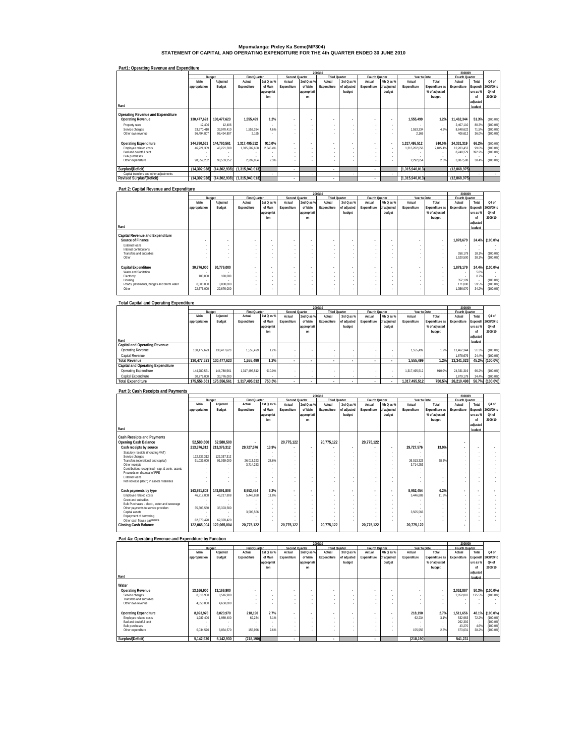# **Mpumalanga: Pixley Ka Seme(MP304) STATEMENT OF CAPITAL AND OPERATING EXPENDITURE FOR THE 4th QUARTER ENDED 30 JUNE 2010**

| Part1: Operating Revenue and Expenditure |  |
|------------------------------------------|--|

|                                         |               |                |                      |            |                |                          | 2009/10              |             |                |                |                 |                | 2008/09        |                          |            |
|-----------------------------------------|---------------|----------------|----------------------|------------|----------------|--------------------------|----------------------|-------------|----------------|----------------|-----------------|----------------|----------------|--------------------------|------------|
|                                         |               | Budget         | <b>First Quarter</b> |            | Second Quarter |                          | <b>Third Quarter</b> |             | Fourth Quarter |                | Year to Date    |                | Fourth Quarter |                          |            |
|                                         | Main          | Adjusted       | Actual               | 1st Q as % | Actual         | 2nd Q as %               | Actual               | 3rd Q as %  | Actual         | 4th Q as %     | Actual          | Total          | Actual         | Total                    | Q4 of      |
|                                         | appropriation | Budget         | Expenditure          | of Main    | Expenditure    | of Main                  | Expenditure          | of adjusted | Expenditure    | of adjusted    | Expenditure     | Expenditure as | Expenditure    | Expendit                 | 2008/09 to |
|                                         |               |                |                      | appropriat |                | appropriati              |                      | budget      |                | budget         |                 | % of adjusted  |                | ure as %                 | Q4 of      |
|                                         |               |                |                      | ion        |                | nn                       |                      |             |                |                |                 | budget         |                | nf                       | 2009/10    |
|                                         |               |                |                      |            |                |                          |                      |             |                |                |                 |                |                | adjusted                 |            |
| Rand                                    |               |                |                      |            |                |                          |                      |             |                |                |                 |                |                | budget                   |            |
| Operating Revenue and Expenditure       |               |                |                      |            |                |                          |                      |             |                |                |                 |                |                |                          |            |
|                                         |               |                |                      |            |                |                          |                      |             |                |                |                 |                |                |                          |            |
| <b>Operating Revenue</b>                | 130.477.623   | 130.477.623    | 1.555.499            | 1.2%       | ٠              |                          | ٠                    |             |                | $\sim$         | 1.555.499       | 1.2%           | 11.462.344     | 51.3%                    | (100.0%    |
| Property rates                          | 12.406        | 12.406         |                      | $\sim$     | $\sim$         |                          | ×.                   | $\sim$      | $\sim$         |                |                 | - 1            | 2.407.110      | 80.3%                    | (100.0%    |
| Service charges                         | 33.970.410    | 33.970.410     | 1,553,334            | 4.6%       |                |                          | ×.                   |             | $\sim$         | $\sim$         | 1.553.334       | 4.6%           | 8.648.622      | 71.5%                    | (100.0%    |
| Other own revenue                       | 96.494.807    | 96.494.807     | 2.165                |            |                |                          |                      |             | ۰              |                | 2.165           | $\sim$         | 406.612        | 36.0%                    | (100.0%    |
| <b>Operating Expenditure</b>            | 144.780.561   | 144.780.561    | 1.317.495.512        | 910.0%     | ٠              |                          | $\overline{a}$       |             |                | $\blacksquare$ | 1.317.495.512   | 910.0%         | 24.331.319     | 66.2%                    | (100.0%    |
| Employee related costs                  | 46.221.309    | 46.221.309     | 1,315,202,658        | 2.845.4%   | $\sim$         |                          | ×.                   |             | ×.             | $\sim$         | 1.315.202.658   | 2.845.4%       | 12.203.452     | 99.69                    | (100.0%    |
| Bad and doubtful debt                   |               |                |                      |            | $\sim$         |                          | ×.                   |             | $\sim$         |                |                 | $\sim$         | 8,240,279      | 392.2%                   | (100.0%    |
| <b>Bulk purchases</b>                   |               |                |                      |            |                |                          | ×.                   |             |                |                |                 |                |                |                          |            |
| Other expenditure                       | 98.559.252    | 98.559.252     | 2.292.854            | 2.3%       |                |                          | ×.                   |             | ٠              |                | 2.292.854       | 2.3%           | 3.887.588      | 38.4%                    | (100.0%    |
|                                         |               |                |                      |            |                |                          |                      |             |                |                |                 |                |                |                          |            |
| Surplus/(Deficit)                       | (14.302.938)  | (14.302.938)   | (1,315,940,013)      |            | ٠              |                          | ٠                    |             | $\mathbf{r}$   |                | (1.315.940.013) |                | (12.868.975)   |                          |            |
| Capital transfers and other adjustments |               |                |                      |            |                | $\overline{\phantom{a}}$ |                      |             |                |                |                 |                |                | $\overline{\phantom{a}}$ |            |
| <b>Revised Surplus/(Deficit)</b>        | (14.302.938)  | (14, 302, 938) | (1,315,940,013)      |            | ٠              |                          | ٠                    |             | $\mathbf{r}$   |                | (1,315,940,013) |                | (12.868.975)   |                          |            |

#### **Part 2: Capital Revenue and Expenditure**

|                                           |               |                          |                      |            |                          |                          | 2009/10                  |             |                          |                          |                          |                | 2008/09        |          |             |
|-------------------------------------------|---------------|--------------------------|----------------------|------------|--------------------------|--------------------------|--------------------------|-------------|--------------------------|--------------------------|--------------------------|----------------|----------------|----------|-------------|
|                                           |               | Budget                   | <b>First Quarter</b> |            | <b>Second Quarter</b>    |                          | Third Quarter            |             | Fourth Quarter           |                          | Year to Date             |                | Fourth Quarter |          |             |
|                                           | Main          | Adjusted                 | Actual               | 1st Q as % | Actual                   | 2nd Q as %               | Actual                   | 3rd Q as %  | Actual                   | 4th Q as %               | Actual                   | Total          | Actual         | Total    | Q4 of       |
|                                           | appropriation | Budget                   | Expenditure          | of Main    | Expenditure              | of Main                  | Expenditure              | of adjusted | Expenditure              | of adjusted              | Expenditure              | Expenditure as | Expenditure    | Expendit | 2008/09 to  |
|                                           |               |                          |                      | appropriat |                          | appropriati              |                          | budget      |                          | budget                   |                          | % of adjusted  |                | ure as % | Q4 of       |
|                                           |               |                          |                      | ion        |                          | on                       |                          |             |                          |                          |                          | budget         |                | of       | 2009/10     |
|                                           |               |                          |                      |            |                          |                          |                          |             |                          |                          |                          |                |                | adjusted |             |
| Rand                                      |               |                          |                      |            |                          |                          |                          |             |                          |                          |                          |                |                | budget   |             |
|                                           |               |                          |                      |            |                          |                          |                          |             |                          |                          |                          |                |                |          |             |
| Capital Revenue and Expenditure           |               |                          |                      |            |                          |                          |                          |             |                          |                          |                          |                |                |          |             |
| Source of Finance                         |               | $\overline{\phantom{a}}$ |                      |            | $\overline{\phantom{a}}$ |                          | $\sim$                   | ٠           | $\overline{\phantom{a}}$ | $\overline{\phantom{a}}$ | $\overline{\phantom{a}}$ |                | 1,878,679      | 24.4%    | $(100.0\%)$ |
| External loans                            |               | -                        |                      |            | $\sim$                   |                          | . .                      |             | . .                      | . .                      | $\sim$                   |                |                |          |             |
| Internal contributions                    | $\sim$        | -                        |                      |            | $\overline{\phantom{a}}$ | $\sim$                   | $\overline{\phantom{a}}$ |             | $\overline{\phantom{a}}$ | . .                      |                          |                |                |          |             |
| Transfers and subsidies                   |               |                          |                      |            | $\sim$                   | $\sim$                   | $\overline{\phantom{a}}$ |             | $\overline{\phantom{a}}$ | . .                      |                          |                | 358.179        | 18.19    | (100.0%     |
| Other                                     |               |                          |                      |            |                          |                          | $\sim$                   |             | . .                      |                          | $\sim$                   |                | 520,500        | 38.19    | (100.0%     |
|                                           |               |                          |                      |            |                          |                          |                          |             |                          |                          |                          |                |                |          |             |
| Capital Expenditure                       | 30,776,000    | 30,776,000               |                      |            | $\overline{\phantom{a}}$ | $\overline{\phantom{a}}$ | $\sim$                   |             | $\overline{\phantom{a}}$ | $\overline{\phantom{a}}$ | $\overline{\phantom{a}}$ |                | 1.879.179      | 24.4%    | $(100.0\%)$ |
| Water and Sanitation                      |               |                          |                      |            | $\sim$                   |                          | $\overline{\phantom{a}}$ |             | $\overline{\phantom{a}}$ | . .                      |                          |                |                | 5.8%     |             |
| Electricity                               | 100,000       | 100,000                  |                      |            | $\sim$                   | $\sim$                   | $\overline{\phantom{a}}$ | ٠           | . .                      | . .                      | $\sim$                   |                |                | 8.7%     |             |
| Housing                                   | $\sim$        |                          |                      |            | $\sim$                   | $\sim$                   | $\overline{\phantom{a}}$ | ٠           | $\overline{\phantom{a}}$ | . .                      |                          |                | 352,109        |          | (100.0%     |
| Roads, pavements, bridges and storm water | 8.000.000     | 8,000,000                |                      |            | $\sim$                   |                          | $\overline{\phantom{a}}$ |             | $\overline{\phantom{a}}$ | . .                      | $\sim$                   |                | 171,000        | 59.5%    | (100.0%     |
| Other                                     | 22,676,000    | 22,676,000               |                      |            |                          |                          | $\sim$                   |             |                          |                          | $\sim$                   |                | 1,356,070      | 34.29    | (100.0%     |
|                                           |               |                          |                      |            |                          |                          |                          |             |                          |                          |                          |                |                |          |             |

| <b>Total Capital and Operating Expenditure</b> |               |             |                      |            |                |             |                          |             |                |             |               |                |                |          |                |
|------------------------------------------------|---------------|-------------|----------------------|------------|----------------|-------------|--------------------------|-------------|----------------|-------------|---------------|----------------|----------------|----------|----------------|
|                                                |               |             |                      |            |                |             | 2009/10                  |             |                |             |               |                | 2008/09        |          |                |
|                                                |               | Budget      | <b>First Quarter</b> |            | Second Quarter |             | <b>Third Quarter</b>     |             | Fourth Quarter |             | Year to Date  |                | Fourth Quarter |          |                |
|                                                | Main          | Adjusted    | Actual               | 1st Q as % | Actual         | 2nd Q as %  | Actual                   | 3rd Q as %  | Actual         | 4th Q as %  | Actual        | Total          | Actual         | Total    | Q4 of          |
|                                                | appropriation | Budget      | Expenditure          | of Main    | Expenditure    | of Main     | Expenditure              | of adjusted | Expenditure    | of adjusted | Expenditure   | Expenditure as | Expenditure    | Expendit | 2008/09 to     |
|                                                |               |             |                      | appropriat |                | appropriati |                          | budget      |                | budget      |               | % of adiusted  |                | ure as % | Q4 of          |
|                                                |               |             |                      | ion        |                | on          |                          |             |                |             |               | budget         |                | of       | 2009/10        |
|                                                |               |             |                      |            |                |             |                          |             |                |             |               |                |                | adjusted |                |
| Rand                                           |               |             |                      |            |                |             |                          |             |                |             |               |                |                | budget   |                |
| Capital and Operating Revenue                  |               |             |                      |            |                |             |                          |             |                |             |               |                |                |          |                |
| Operating Revenue                              | 130.477.623   | 130.477.623 | 1.555.499            | 1.2%       |                |             |                          |             |                | ٠           | 1.555.499     | 1.2%           | 11.462.344     | 51.3%    | (100.0%        |
| Capital Revenue                                |               |             |                      |            |                | $\sim$      |                          |             | ٠.             |             | $\sim$        |                | 1.878.679      | 24.4%    | (100.0%        |
| <b>Total Revenue</b>                           | 130.477.623   | 130.477.623 | 1.555.499            | 1.2%       |                |             | $\overline{\phantom{a}}$ |             |                |             | 1.555.499     | 1.2%           | 13.341.023     |          | 45.2% (100.0%) |
| Capital and Operating Expenditure              |               |             |                      |            |                |             |                          |             |                |             |               |                |                |          |                |
| Operating Expenditure                          | 144.780.561   | 144.780.561 | 1.317.495.512        | 910.0%     |                |             |                          |             |                |             | 1.317.495.512 | 910.0%         | 24.331.319     | 66.2%    | (100.0%        |
| Capital Expenditure                            | 30,776,000    | 30.776.000  |                      |            | $\sim$         | $\sim$      | . .                      |             | ٠.             |             | $\sim$        |                | 1.879.179      | 24.4%    | (100.0%        |
| <b>Total Expenditure</b>                       | 175.556.561   | 175.556.561 | 1.317.495.512        | 750.5%     |                |             | $\overline{\phantom{a}}$ |             |                |             | 1.317.495.512 | 750.5%         | 26.210.498     |          | 56.7% (100.0%) |

#### **Part 3: Cash Receipts and Payments**

|                                                                                |               |             |                      |                |                       |                          | 2009/10       |                          |                          |                          |              |                | 2008/09                  |          |            |
|--------------------------------------------------------------------------------|---------------|-------------|----------------------|----------------|-----------------------|--------------------------|---------------|--------------------------|--------------------------|--------------------------|--------------|----------------|--------------------------|----------|------------|
|                                                                                | Budget        |             | <b>First Quarter</b> |                | <b>Second Quarter</b> |                          | Third Quarter |                          | Fourth Quarter           |                          | Year to Date |                | Fourth Quarter           |          |            |
|                                                                                | Main          | Adjusted    | Actual               | 1st $Q$ as $%$ | Actual                | 2nd Q as %               | Actual        | 3rd Q as %               | Actual                   | 4th Q as %               | Actual       | Total          | Actual                   | Total    | Q4 of      |
|                                                                                | appropriation | Budget      | Expenditure          | of Main        | Expenditure           | of Main                  | Expenditure   | of adjusted              | Expenditure              | of adjusted              | Expenditure  | Expenditure as | Expenditure              | Expendit | 2008/09 to |
|                                                                                |               |             |                      | appropriat     |                       | appropriati              |               | budget                   |                          | budget                   |              | % of adjusted  |                          | ure as % | Q4 of      |
|                                                                                |               |             |                      | ion            |                       | on                       |               |                          |                          |                          |              | budget         |                          | of       | 2009/10    |
|                                                                                |               |             |                      |                |                       |                          |               |                          |                          |                          |              |                |                          | adjusted |            |
| Rand                                                                           |               |             |                      |                |                       |                          |               |                          |                          |                          |              |                |                          | budget   |            |
|                                                                                |               |             |                      |                |                       |                          |               |                          |                          |                          |              |                |                          |          |            |
| <b>Cash Receipts and Payments</b>                                              |               |             |                      |                |                       |                          |               |                          |                          |                          |              |                |                          |          |            |
| Opening Cash Balance                                                           | 52,580,500    | 52,580,500  |                      |                | 20,775,122            |                          | 20,775,122    |                          | 20,775,122               |                          |              |                |                          |          |            |
| Cash receipts by source                                                        | 213,376,312   | 213,376,312 | 29,727,576           | 13.9%          |                       | $\overline{\phantom{a}}$ | ٠.            | $\overline{\phantom{a}}$ | $\overline{\phantom{a}}$ | $\overline{\phantom{a}}$ | 29.727.576   | 13.9%          | $\overline{\phantom{a}}$ |          |            |
| Statutory receipts (including VAT)                                             |               |             |                      |                |                       |                          | ×.            |                          |                          |                          |              |                |                          |          |            |
| Service charges                                                                | 122.337.312   | 122.337.312 |                      | $\sim$         |                       |                          | ×.            |                          |                          |                          |              |                |                          |          |            |
| Transfers (operational and capital)                                            | 91.039.000    | 91.039.000  | 26.013.323           | 28.6%          |                       |                          | ×.            |                          |                          | $\sim$                   | 26.013.323   | 28.6%          |                          |          |            |
| Other receipts                                                                 |               |             | 3,714,253            |                |                       |                          | ×.            |                          |                          |                          | 3.714.253    |                |                          |          |            |
| Contributions recognised - cap. & contr. assets<br>Proceeds on disposal of PPE |               |             |                      |                |                       |                          | $\sim$<br>×.  |                          |                          |                          |              |                |                          |          |            |
| <b>External Inans</b>                                                          |               |             |                      |                |                       |                          | $\sim$        |                          |                          |                          |              |                |                          |          |            |
| Net increase (decr.) in assets / liabilities                                   |               |             |                      |                |                       |                          | ٠             |                          |                          |                          |              |                |                          |          |            |
|                                                                                |               |             |                      |                |                       |                          |               |                          |                          |                          |              |                |                          |          |            |
| Cash payments by type                                                          | 143.891.808   | 143,891,808 | 8,952,454            | 6.2%           | ٠                     |                          |               |                          |                          |                          | 8.952.454    | 6.2%           |                          |          |            |
| Employee related costs                                                         | 46.217.808    | 46.217.808  | 5.446.888            | 11.8%          |                       |                          | ×.            |                          |                          |                          | 5.446.888    | 11.8%          |                          |          |            |
| Grant and subsidies                                                            |               |             |                      |                |                       |                          | $\sim$        |                          |                          |                          |              |                |                          |          |            |
| Bulk Purchases - electr., water and sewerage                                   |               |             |                      |                |                       |                          | $\sim$        |                          |                          |                          |              |                |                          |          |            |
| Other payments to service providers                                            | 35.303.580    | 35.303.580  |                      |                |                       |                          | $\sim$        |                          |                          |                          |              |                |                          |          |            |
| Capital assets<br>Repayment of borrowing                                       |               |             | 3.505.566            |                |                       |                          | $\sim$        |                          |                          |                          | 3.505.566    |                |                          |          |            |
| Other cash flows / payments                                                    | 62.370.420    | 62.370.420  |                      |                |                       |                          | $\sim$        |                          |                          |                          |              |                |                          |          |            |
| Closing Cash Balance                                                           | 122,065,004   | 122,065,004 | 20.775.122           |                | 20,775,122            |                          | 20,775,122    |                          | 20,775,122               |                          | 20,775,122   |                |                          |          |            |
|                                                                                |               |             |                      |                |                       |                          |               |                          |                          |                          |              |                |                          |          |            |
|                                                                                |               |             |                      |                |                       |                          |               |                          |                          |                          |              |                |                          |          |            |

#### **Part 4a: Operating Revenue and Expenditure by Function Rand Main appropriation Adjusted Budget Actual Expenditure 1st Q as % of Main appropriat ion Actual Expenditure 2nd Q as % of Main appropriati on Actual Expenditure 3rd Q as % of adjusted budget Actual Expenditure 4th Q as % of adjusted budget Actual Expenditure Total Expenditure as % of adjusted budget Actual Expenditure Total Expendit ure as % of adjusted budget Water<br>
Operating Revenue**<br>
Service charges<br>
Transfers and subsidies<br>
Other own revenue **Operating Revenue 13,166,900 13,166,900 - - - - - - - - - - 2,052,887 50.3% (100.0%)** Service charges 8,516,900 8,516,900 - - - - - - - - - - 2,052,887 125.5% (100.0%) Transfers and subsidies - - - - - - - - - - - - - - - Other own revenue 4,650,000 4,650,000 - - - - - - - - - - - - - **Operating Expenditure 8,023,970 8,023,970 218,190 2.7% - - - - - - 218,190 2.7% 1,511,656 48.1% (100.0%)** Employee related costs 1,989,400 1,989,400 62,234 3.1% - - - - - - 62,234 3.1% 532,963 72.2% (100.0%) Bad and doubtful debt - - - - - - - - - - - - 262,392 - (100.0%) Bulk purchases - - - - - - - - - - - - 43,270 4.6% (100.0%) Other expenditure | 6,034,570 | 6,034,570 | 155,956 | 2.6% | - - | - | - | - | - 155,956 | 2.6% | 673,031 | 38.2% | (100.0%) **Surplus/(Deficit) 5,142,93 5,142,93 0 (218,190 0 - ) - - (218,190 541,231 ) Fourth Quarter 2009/10 2008/09 Q4 of 2008/09 to Q4 of 2009/10 Budget First Quarter Second Quarter Third Quarter Fourth Quarter Number Sear to Date**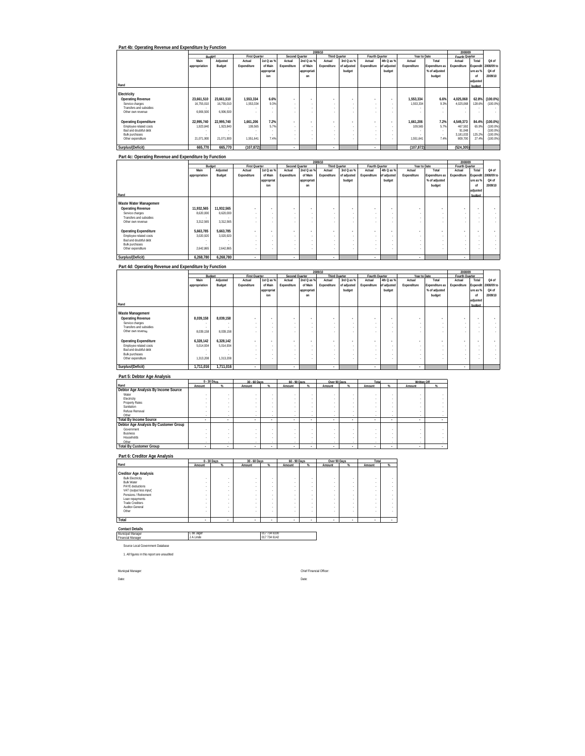|                              |               |            |                      |            |                          |                          | 2009/10                  |             |                          |                          |              |                | 2008/09        |          |                     |
|------------------------------|---------------|------------|----------------------|------------|--------------------------|--------------------------|--------------------------|-------------|--------------------------|--------------------------|--------------|----------------|----------------|----------|---------------------|
|                              |               | Budget     | <b>First Quarter</b> |            | <b>Second Quarter</b>    |                          | <b>Third Quarter</b>     |             | Fourth Quarter           |                          | Year to Date |                | Fourth Quarter |          |                     |
|                              | Main          | Adjusted   | Actual               | 1st Q as % | Actual                   | 2nd Q as %               | Actual                   | 3rd Q as %  | Actual                   | 4th Q as %               | Actual       | Total          | Actual         | Total    | Q4 of               |
|                              | appropriation | Budget     | Expenditure          | of Main    | Expenditure              | of Main                  | Expenditure              | of adjusted | Expenditure              | of adjusted              | Expenditure  | Expenditure as | Expenditure    |          | Expendit 2008/09 to |
|                              |               |            |                      | appropriat |                          | appropriati              |                          | budget      |                          | budget                   |              | % of adjusted  |                | ure as % | Q4 of               |
|                              |               |            |                      | ion        |                          | on                       |                          |             |                          |                          |              | budget         |                | of       | 2009/10             |
|                              |               |            |                      |            |                          |                          |                          |             |                          |                          |              |                |                | adjusted |                     |
| Rand                         |               |            |                      |            |                          |                          |                          |             |                          |                          |              |                |                | budget   |                     |
|                              |               |            |                      |            |                          |                          |                          |             |                          |                          |              |                |                |          |                     |
| Electricity                  |               |            |                      |            |                          |                          |                          |             |                          |                          |              |                |                |          |                     |
| Operating Revenue            | 23.661.510    | 23.661.510 | 1.553.334            | 6.6%       | $\overline{\phantom{a}}$ |                          | $\sim$                   |             | $\sim$                   | $\overline{\phantom{a}}$ | 1.553.334    | 6.6%           | 4.025.068      | 62.8%    | $(100.0\%)$         |
| Service charges              | 16,755,010    | 16,755,010 | 1,553,334            | 9.3%       |                          |                          | $\sim$                   |             | ×.                       | $\sim$                   | 1,553,334    | 9.3%           | 4,025,068      | 128.6%   | (100.0%             |
| Transfers and subsidies      |               |            |                      | $\sim$     |                          |                          | $\sim$                   | $\sim$      | ×.                       | $\sim$                   |              |                |                |          |                     |
| Other own revenue            | 6.906.500     | 6.906.500  |                      |            |                          |                          | $\sim$                   |             | $\sim$                   |                          |              |                |                |          |                     |
|                              |               |            |                      |            |                          |                          |                          |             |                          |                          |              |                |                |          |                     |
| <b>Operating Expenditure</b> | 22.995.740    | 22.995.740 | 1,661,206            | 7.2%       | $\sim$                   | $\overline{\phantom{a}}$ | $\overline{\phantom{a}}$ |             | $\overline{\phantom{a}}$ | $\overline{\phantom{a}}$ | 1.661.206    | 7.2%           | 4,549,373      | 84.4%    | $(100.0\%)$         |
| Employee related costs       | 1.923.840     | 1,923,840  | 109,565              | 5.7%       |                          |                          | $\sim$                   | $\sim$      | ×.                       | $\sim$                   | 109.565      | 5.7%           | 467,592        | 65.9%    | (100.0%             |
| Bad and doubtful debt        |               |            |                      | $\sim$     |                          |                          | $\sim$                   |             | ×.                       | $\sim$                   |              |                | 91.048         | . .      | (100.0%             |
| <b>Bulk purchases</b>        |               |            |                      | $\sim$     | $\sim$                   |                          | $\sim$                   |             | ×.                       | $\sim$                   |              | $\sim$         | 3.181.033      | 125.2%   | (100.0%             |
| Other expenditure            | 21.071.900    | 21.071.900 | 1,551,641            | 7.4%       |                          |                          | $\overline{\phantom{a}}$ |             | $\sim$                   | $\sim$                   | 1.551.641    | 7.4%           | 809,700        | 27.4%    | (100.0%             |
| Surplus/(Deficit)            | 665.770       | 665.770    | (107, 872)           |            |                          |                          |                          |             |                          |                          | (107, 872)   |                | (524, 305)     |          |                     |
|                              |               |            |                      |            | ٠                        |                          | $\mathbf{r}$             |             |                          |                          |              |                |                |          |                     |

|                              |               |            |                          |            |                          |                          | 2009/10                  |             |                          |             |                          |                          | 2008/09        |          |                     |
|------------------------------|---------------|------------|--------------------------|------------|--------------------------|--------------------------|--------------------------|-------------|--------------------------|-------------|--------------------------|--------------------------|----------------|----------|---------------------|
|                              | Budget        |            | <b>First Quarter</b>     |            | Second Quarter           |                          | <b>Third Quarter</b>     |             | Fourth Quarter           |             | Year to Date             |                          | Fourth Quarter |          |                     |
|                              | Main          | Adjusted   | Actual                   | 1st Q as % | Actual                   | 2nd Q as %               | Actual                   | 3rd Q as %  | Actual                   | 4th Q as %  | Actual                   | Total                    | Actual         | Total    | Q4 of               |
|                              | appropriation | Budget     | Expenditure              | of Main    | Expenditure              | of Main                  | Expenditure              | of adjusted | Expenditure              | of adjusted | Expenditure              | Expenditure as           | Expenditure    |          | Expendit 2008/09 to |
|                              |               |            |                          | appropriat |                          | appropriati              |                          | budget      |                          | budget      |                          | % of adjusted            |                | ure as % | Q4 of               |
|                              |               |            |                          | ion        |                          | on                       |                          |             |                          |             |                          | budget                   |                | of       | 2009/10             |
|                              |               |            |                          |            |                          |                          |                          |             |                          |             |                          |                          |                | adjusted |                     |
| Rand                         |               |            |                          |            |                          |                          |                          |             |                          |             |                          |                          |                | budget   |                     |
|                              |               |            |                          |            |                          |                          |                          |             |                          |             |                          |                          |                |          |                     |
| Waste Water Managemen        |               |            |                          |            |                          |                          |                          |             |                          |             |                          |                          |                |          |                     |
| <b>Operating Revenue</b>     | 11,932,565    | 11,932,565 |                          |            | $\overline{\phantom{a}}$ |                          | $\overline{\phantom{a}}$ |             | $\overline{\phantom{a}}$ |             | $\overline{\phantom{a}}$ | $\overline{\phantom{a}}$ |                |          |                     |
| Service charges              | 8,620,000     | 8,620,000  | $\sim$                   |            |                          | $\sim$                   |                          | ٠           |                          |             | $\overline{\phantom{a}}$ | $\sim$                   |                |          |                     |
| Transfers and subsidies      |               |            | $\sim$                   |            |                          | $\sim$                   |                          | ٠           |                          |             | $\sim$                   |                          |                |          |                     |
| Other own revenue            | 3.312.565     | 3.312.565  | $\sim$                   |            |                          | ٠                        |                          |             |                          |             |                          | ٠                        |                |          |                     |
|                              |               |            |                          |            |                          |                          |                          |             |                          |             |                          |                          |                |          |                     |
| <b>Operating Expenditure</b> | 5,663,785     | 5,663,785  |                          |            | $\overline{\phantom{a}}$ | $\overline{\phantom{a}}$ | $\overline{\phantom{a}}$ |             | $\overline{\phantom{a}}$ | $\bullet$   | $\overline{\phantom{a}}$ | $\overline{\phantom{a}}$ |                |          |                     |
| Employee related costs       | 3,020,920     | 3.020.920  | $\sim$                   |            |                          | $\sim$                   |                          | $\sim$      | $\sim$                   |             | . .                      | ×.                       |                |          |                     |
| Bad and doubtful debt        |               |            | $\overline{\phantom{a}}$ |            |                          | $\sim$                   |                          | ٠           |                          |             | $\overline{\phantom{a}}$ | ×.                       |                |          |                     |
| Bulk purchases               |               |            | $\sim$                   |            |                          | $\sim$                   |                          |             |                          |             | . .                      | ×.                       |                |          |                     |
| Other expenditure            | 2.642.865     | 2.642.865  | $\overline{\phantom{a}}$ |            |                          | ٠                        |                          |             |                          |             |                          | ٠                        |                |          |                     |
| Surplus/(Deficit)            | 6,268,780     | 6,268,780  |                          |            |                          |                          | $\mathbf{r}$             |             | ٠                        |             | $\sim$                   |                          |                |          |                     |

### **Part 4d: Operating Revenue and Expenditure by Function**

| Main          | Adjusted                                                      | Actual                                                                                            |         | Actual               | 2nd Q as %               | Actual                             | 3rd Q as %  | Actual                   |        | Actual                                      | Total         | Actual                                         | Total    | Q4 of                                             |
|---------------|---------------------------------------------------------------|---------------------------------------------------------------------------------------------------|---------|----------------------|--------------------------|------------------------------------|-------------|--------------------------|--------|---------------------------------------------|---------------|------------------------------------------------|----------|---------------------------------------------------|
| appropriation | Budget                                                        | Expenditure                                                                                       | of Main | Expenditure          | of Main                  | Expenditure                        | of adjusted | Expenditure              |        | Expenditure                                 |               | Expenditure                                    | Expendit | 2008/09 to                                        |
|               |                                                               |                                                                                                   |         |                      |                          |                                    | budget      |                          | budget |                                             | % of adjusted |                                                |          | Q4 of                                             |
|               |                                                               |                                                                                                   | ion     |                      | on                       |                                    |             |                          |        |                                             |               |                                                | of       | 2009/10                                           |
|               |                                                               |                                                                                                   |         |                      |                          |                                    |             |                          |        |                                             |               |                                                |          |                                                   |
|               |                                                               |                                                                                                   |         |                      |                          |                                    |             |                          |        |                                             |               |                                                | budget   |                                                   |
|               |                                                               |                                                                                                   |         |                      |                          |                                    |             |                          |        |                                             |               |                                                |          |                                                   |
|               |                                                               |                                                                                                   |         |                      |                          |                                    |             |                          |        |                                             |               |                                                |          |                                                   |
|               |                                                               |                                                                                                   |         | ۰                    | $\sim$                   |                                    |             | ۰                        |        | $\overline{\phantom{a}}$                    | ٠             |                                                |          |                                                   |
|               |                                                               | $\sim$                                                                                            |         |                      | $\sim$                   |                                    | ٠           |                          |        | . .                                         |               |                                                |          |                                                   |
|               |                                                               | $\sim$                                                                                            |         |                      | $\sim$                   |                                    | ٠           |                          |        | $\sim$                                      | ×.            |                                                |          |                                                   |
|               |                                                               | $\overline{\phantom{a}}$                                                                          |         |                      | ٠                        |                                    |             |                          |        | $\overline{\phantom{a}}$                    | ٠             |                                                |          |                                                   |
|               |                                                               |                                                                                                   |         |                      |                          |                                    |             |                          |        |                                             |               |                                                |          |                                                   |
|               |                                                               |                                                                                                   |         |                      | $\sim$                   | $\blacksquare$                     |             | $\overline{\phantom{a}}$ |        | $\overline{\phantom{a}}$                    | ٠             |                                                |          |                                                   |
|               |                                                               | $\sim$                                                                                            |         |                      | $\sim$                   |                                    | ٠           |                          |        | . .                                         |               |                                                |          |                                                   |
|               |                                                               | $\sim$                                                                                            |         |                      | $\sim$                   |                                    |             |                          |        | . .                                         |               |                                                |          |                                                   |
|               |                                                               | $\overline{\phantom{a}}$                                                                          |         |                      | $\overline{\phantom{a}}$ |                                    | ٠           |                          |        | $\overline{\phantom{a}}$                    | ×.            |                                                |          |                                                   |
|               |                                                               | $\sim$                                                                                            |         |                      |                          |                                    |             |                          |        | . .                                         |               |                                                |          |                                                   |
|               |                                                               | л.                                                                                                |         |                      |                          | $\sim$                             |             |                          |        | $\sim$                                      |               |                                                |          |                                                   |
|               | 8.039.158<br>8,039,158<br>6,328,142<br>5,014,934<br>1,313,208 | Budget<br>8.039.158<br>8.039.158<br>6.328.142<br>5.014.934<br>1,313,208<br>1,711,016<br>1,711,016 |         | <b>First Quarter</b> | 1st Q as %<br>appropriat | Second Quarter<br>appropriati<br>٠ | 2009/10     | <b>Third Quarter</b>     |        | Fourth Quarter<br>4th Q as %<br>of adjusted |               | Year to Date<br>Expenditure as<br>budget<br>×. |          | 2008/09<br>Fourth Quarter<br>ure as %<br>adjusted |

#### **Part 5: Debtor Age Analysis**

|                                       |        | 0 - 30 Days | 30 - 60 Days |          | 60 - 90 Days |          | Over 90 Days   | Total  |        | Written Off              |  |
|---------------------------------------|--------|-------------|--------------|----------|--------------|----------|----------------|--------|--------|--------------------------|--|
| Rand                                  | Amount |             | Amount       | $\alpha$ | Amount       | $\alpha$ | Amount         | Amount |        | Amount                   |  |
| Debtor Age Analysis By Income Source  |        |             |              |          |              |          |                |        |        |                          |  |
| Water                                 |        |             |              |          |              |          |                |        |        |                          |  |
| Electricity                           |        |             |              |          |              |          |                |        |        |                          |  |
| Property Rates                        |        |             |              |          |              |          |                |        |        |                          |  |
| Sanitation                            |        |             |              |          |              |          |                |        |        |                          |  |
| Refuse Removal                        |        |             |              |          |              |          |                |        |        |                          |  |
| Other                                 |        |             |              |          |              |          |                |        | . .    | $\sim$                   |  |
| <b>Total By Income Source</b>         |        |             |              |          | ٠            |          | $\blacksquare$ |        |        |                          |  |
| Debtor Age Analysis By Customer Group |        |             |              |          |              |          |                |        |        |                          |  |
| Government                            |        |             |              |          |              |          |                |        |        |                          |  |
| <b>Business</b>                       |        |             |              |          |              |          |                |        |        |                          |  |
| Households                            |        |             |              |          |              |          |                |        |        |                          |  |
| Other                                 |        |             |              |          |              |          |                |        | . .    | . .                      |  |
| <b>Total By Customer Group</b>        | ٠      | ٠           |              |          | $\sim$       |          |                |        | $\sim$ | $\overline{\phantom{a}}$ |  |

# **Part 6: Creditor Age Analysis Rand Amount % Amount % Amount % Amount % Amount %** Creditor App Analysis<br>
Bulk Electricity<br>
PANY Globalcotics<br>
PANY Globalcotics<br>
PANY Globalcotics<br>
Pany Globalcotics<br>
Pany Cloud Lectricity<br>
Pany Clobalcotics<br>
Trade Creditors<br>
Trade Creditors<br>
The Clobalcotics<br>
Pany Clobal  **Total 0 - 30 Days 30 - 60 Days 60 - 90 Days Over 90 Days**

**Total - - - - - - - - - -** 

**Contact Details** Municipal Manager Financial Manager

L de Jager 017 734 6100 J A Linde 017 734 6142

Source Local Government Database

1. All figures in this report are unaudited

Date: Date:

Municpal Manager: Chief Financial Officer: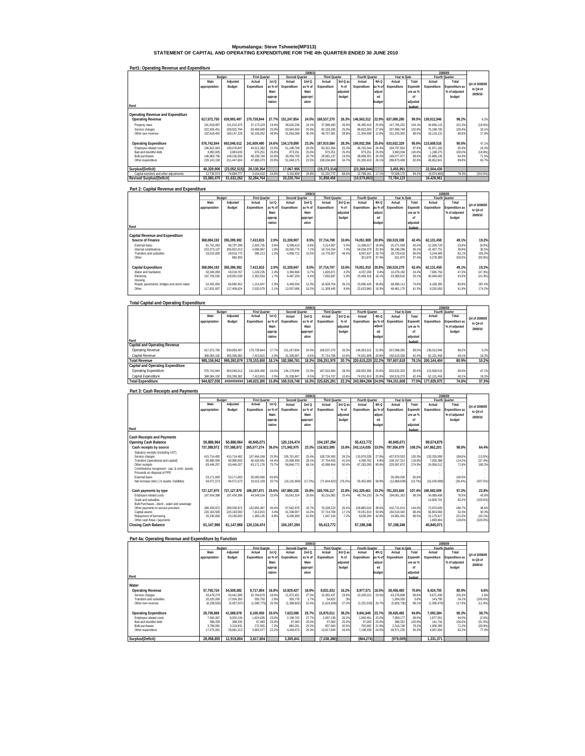# **Mpumalanga: Steve Tshwete(MP313) STATEMENT OF CAPITAL AND OPERATING EXPENDITURE FOR THE 4th QUARTER ENDED 30 JUNE 2010**

| Part1: Operating Revenue and Expenditure |               |              |                      |         |                       |          |                      |          |                |         |              |          |             |                |               |
|------------------------------------------|---------------|--------------|----------------------|---------|-----------------------|----------|----------------------|----------|----------------|---------|--------------|----------|-------------|----------------|---------------|
|                                          |               |              |                      |         |                       | 2009/10  |                      |          |                |         |              |          |             | 2008/09        |               |
|                                          |               | Budget       | <b>First Quarter</b> |         | <b>Second Quarter</b> |          | <b>Third Quarter</b> |          | Fourth Quarter |         | Year to Date |          |             | Fourth Quarter |               |
|                                          | Main          | Adjusted     | Actual               | 1stQ    | Actual                | 2nd Q    | Actual               | 3rd Q as | Actual         | 4th Q   | Actual       | Total    | Actual      | Total          | Q4 of 2008/09 |
|                                          | appropriation | Budget       | Expenditure          | as % of | Expenditure           | as % of  | Expenditure          | $%$ of   | Expenditure    | as % of | Expenditure  | Expendit | Expenditure | Expenditure as |               |
|                                          |               |              |                      | Main    |                       | Main     |                      | adjusted |                | adjust  |              | ure as % |             | % of adjusted  | to Q4 of      |
|                                          |               |              |                      | approp  |                       | appropri |                      | budget   |                | ed      |              | nf       |             | budget         | 2009/10       |
|                                          |               |              |                      | riation |                       | ation    |                      |          |                | budget  |              | adjusted |             |                |               |
| Rand                                     |               |              |                      |         |                       |          |                      |          |                |         |              | budget   |             |                |               |
|                                          |               |              |                      |         |                       |          |                      |          |                |         |              |          |             |                |               |
| Operating Revenue and Expenditure        |               |              |                      |         |                       |          |                      |          |                |         |              |          |             |                |               |
| <b>Operating Revenue</b>                 | 617.072.750   | 639.993.497  | 170.739.844          | 27.7%   | 151.247.854           | 24.5%    | 168.537.270          | 26.3%    | 146.563.312    | 22.9%   | 637.088.280  | 99.5%    | 138.012.946 | 98.2%          | 6.2%          |
|                                          |               |              |                      |         |                       |          |                      |          |                |         |              |          |             |                |               |
| Property rates                           | 191.818.897   | 141 913 475  | 37.173.103           | 19.4%   | 36.620.236            | 19.1%    | 37.586.483           | 26.5%    | 36.385.410     | 25.6%   | 147.765.232  | 104.1%   | 44.696.115  | 101.3%         | (18.6%)       |
| Service charges                          | 322.635.451   | 328.932.794  | 83.408.689           | 25.9%   | 83.564.550            | 25.9%    | 82.193.206           | 25.0%    | 88.823.303     | 27.0%   | 337.989.748  | 102.8%   | 75.198.700  | 105.4%         | 18.1%         |
| Other own revenue                        | 102.618.402   | 169.147.228  | 50.158.052           | 48.9%   | 31.063.068            | 30.3%    | 48.757.581           | 28.8%    | 21.354.599     | 12.6%   | 151.333.300  | 89.5%    | 18.118.131  | 80.6%          | 17.9%         |
|                                          |               |              |                      |         |                       |          |                      |          |                |         |              |          |             |                |               |
| <b>Operating Expenditure</b>             | 576.742.844   | 663.046.012  | 141.609.490          | 24.6%   | 134.179.899           | 23.3%    | 187.910.584          | 28.3%    | 169.932.356    | 25.6%   | 633.632.329  | 95.6%    | 115.508.516 | 90.6%          | 47.1%         |
| Employee related costs                   | 196.822.943   | 199.478.847  | 44,512,382           | 22.6%   | 51.198.768            | 26.09    | 50.321.356           | 25.2%    | 48.755.344     | 24.4%   | 194.787.850  | 97.69    | 41.971.165  | 95.4%          | 16.2%         |
| <b>Bad and doubtful debt</b>             | 3.893.005     | 3.893.005    | 973.251              | 25.0%   | 973.251               | 25.0%    | 973.251              | 25.0%    | 973.251        | 25.0%   | 3.893.004    | 100.0%   | 1.198.275   | 100.0%         | (18.8%)       |
| <b>Bulk purchases</b>                    | 146.883.706   | 148 226.556  | 48.238.784           | 32.8%   | 30.359.705            | 20.7%    | 28.581.137           | 19.3%    | 38.898.351     | 26.2%   | 146.077.977  | 98.69    | 22.686.135  | 84.4%          | 71.5%         |
| Other expenditure                        | 229.143.190   | 311.447.604  | 47.885.073           | 20.9%   | 51.648.175            | 22.59    | 108.034.840          | 34.7%    | 81.305.410     | 26.1%   | 288.873.498  | 92.8%    | 49.652.941  | 89.8%          | 63.7%         |
|                                          |               |              |                      |         |                       |          |                      |          |                |         |              |          |             |                |               |
| Surplus/(Deficit)                        | 40.329.906    | (23.052.515) | 29.130.354           |         | 17.067.955            |          | (19.373.314)         |          | (23.369.044)   |         | 3.455.951    |          | 22.504.430  |                |               |
| Capital transfers and other adjustments  | 12.730.573    | 74.684.777   | 3.154.410            | 24.8%   | 3.152.809             | 24.8%    | 51.231.772           | 68.6%    | 12.789.181     | 171%    | 70.328.172   | 94.2%    | (6.074.469) | 78.3%          | (310.5%)      |
| <b>Revised Surplus/(Deficit)</b>         | 53.060.479    | 51.632.262   | 32.284.764           |         | 20,220,764            |          | 31.858.458           |          | (10, 579, 863) |         | 73.784.123   |          | 16.429.961  |                |               |

#### **Part 2: Capital Revenue and Expenditure Rand Main appropriation Adjusted Budget Actual Expenditure 1st Q as % of Main approp riation Actual Expenditure 2nd Q as % of Main appropri ation Actual Expenditure 3rd Q as % of adjusted budget Actual Expenditure 4th Q as % of adjust ed budget Year to**<br>**Actual Expenditure Total Expendit ure as % of adjusted budget Actual Expenditure Fourth Quarter**<br> **ual** Total **Expenditure as % of adjusted budget**  Capital Revenue and Expenditure<br>
Experiment Capital 1990, 1990, 1990, 1990, 1990, 1990, 1990, 1990, 1990, 1990, 1990, 1990, 1990, 1990, 1990,<br>
Expendituding the state of the state of the state of the state of the state of **Capital Expenditure 368,084,192 355,399,382 7,413,815 2.0% 31,338,847 8.5% 37,714,707 10.6% 74,051,910 20.8% 150,519,279 42.4% 62,131,459 49.1% 19.2%** Water and Sanitation 19, 2006, 1006, 1006, 1006, 1006, 1006, 1006, 1007, 1006, 1007, 1007, 1007, 1007, 1007, 1007, 1007, 1007, 1007, 1007, 1007, 1007, 1007, 1007, 1007, 1007, 1007, 1007, 1007, 1007, 1007, 1007, 1007, 1007, Electricity 129,991,539 147,705,535 2,452,554 1.7% 9,487,259 6.4% 7,655,687 5.9% 23,494,316 18.1% 43,089,816 33.1% 40,046,663 43.0% (41.3%) Housing - - - - - - - - - - - - - - - Roads, pavements, bridges and storm water | 52,402,050 6,4980,452 1214,947 2.3% 6,449,034 12.3% 16,928,704 26.1% 26.78% 267.8% 48,489,111 74.6% 6,168,390 80.8% 287.4% Other 117,631,607 117,408,624 2,520,079 2.1% 12,007,686 10.2% 11,309,445 9.6% 22,623,960 19.3% 48,461,170 41.3% 8,250,650 41.9% 174.2%  **2009/10 2008/09 Q4 of 2008/09 to Q4 of 2009/10 Budget First Quarter Second Quarter Third Quarter Fourth Quarter Year to Date**

| <b>Total Capital and Operating Expenditure</b> |               |             |                      |         |                |          |                      |          |                               |         |              |          |             |                |               |
|------------------------------------------------|---------------|-------------|----------------------|---------|----------------|----------|----------------------|----------|-------------------------------|---------|--------------|----------|-------------|----------------|---------------|
|                                                |               |             |                      |         |                | 2009/10  |                      |          |                               |         |              |          |             | 2008/09        |               |
|                                                |               | Budget      | <b>First Quarter</b> |         | Second Quarter |          | <b>Third Quarter</b> |          | Fourth Quarter                |         | Year to Date |          |             | Fourth Quarter |               |
|                                                | Main          | Adjusted    | Actual               | 1stQ    | Actual         | 2ndQ     | Actual               | 3rd Q as | Actual                        | 4th Q   | Actual       | Total    | Actual      | Total          | Q4 of 2008/09 |
|                                                | appropriation | Budget      | Expenditure          | as % of | Expenditure    | as % of  | Expenditure          | $%$ of   | Expenditure                   | as % of | Expenditure  | Expendit | Expenditure | Expenditure as | to Q4 of      |
|                                                |               |             |                      | Main    |                | Main     |                      | adjusted |                               | adjust  |              | ure as % |             | % of adjusted  | 2009/10       |
|                                                |               |             |                      | approp  |                | appropri |                      | budget   |                               | ed      |              | nf       |             | budget         |               |
|                                                |               |             |                      | riation |                | ation    |                      |          |                               | budget  |              | adjusted |             |                |               |
| Rand                                           |               |             |                      |         |                |          |                      |          |                               |         |              | budget   |             |                |               |
| <b>Capital and Operating Revenue</b>           |               |             |                      |         |                |          |                      |          |                               |         |              |          |             |                |               |
| Operating Revenue                              | 617.072.750   | 639.993.497 | 170.739.844          | 27.7%   | 151,247.854    | 24.5%    | 168.537.270          | 26.3%    | 146.563.312                   | 22.9%   | 637.088.280  | 99.59    | 138.012.946 | 98.2%          | 6.2%          |
| Capital Revenue                                | 368.084.192   | 355.399.382 | 7.413.815            | 2.0%    | 31.338.907     | 8.5%     | 37.714.708           | 10.6%    | 74.051.908                    | 20.8%   | 150.519.338  | 42.49    | 62.131.458  | 49 1%          | 19.2%         |
| <b>Total Revenue</b>                           | 985.156.942   | 995.392.879 | 178.153.659          | 18.1%   | 182.586.761    | 18.3%    | 206.251.978          | 20.7%    | 220.615.220 22.2%             |         | 787.607.618  | 79.1%    | 200.144.404 | 80.9%          | 10.2%         |
| Capital and Operating Expenditure              |               |             |                      |         |                |          |                      |          |                               |         |              |          |             |                |               |
| Operating Expenditure                          | 576.742.844   | 663.046.012 | 141.609.490          | 24.6%   | 134.179.899    | 23.3%    | 187.910.584          | 28.3%    | 169.932.356                   | 25.6%   | 633.632.329  | 95.69    | 115.508.516 | 90.6%          | 47.1%         |
| Capital Expenditure                            | 368.084.192   | 355.399.382 | 7.413.815            | 2.0%    | 31.338.847     | 8.5%     | 37.714.707           | 10.6%    | 74.051.910                    | 20.8%   | 150.519.279  | 42.49    | 62.131.459  | 49.1%          | 19.2%         |
| <b>Total Expenditure</b>                       | 944.827.036   | *********** | 149.023.305          | 15.8%   | 165.518.746    | 16.3%    | 225.625.291          | 22.2%    | 243.984.266 24.0% 784.151.608 |         |              | 77.0%    | 177.639.975 | 74.6%          | 37.3%         |

| Part 3: Cash Receipts and Payments                                             |               |             |                      |         |                       |          |                      |          |                |         |              |          |                         |                  |               |
|--------------------------------------------------------------------------------|---------------|-------------|----------------------|---------|-----------------------|----------|----------------------|----------|----------------|---------|--------------|----------|-------------------------|------------------|---------------|
|                                                                                |               |             |                      |         |                       | 2009/10  |                      |          |                |         |              |          |                         | 2008/09          |               |
|                                                                                | Budget        |             | <b>First Quarter</b> |         | <b>Second Quarter</b> |          | <b>Third Quarter</b> |          | Fourth Quarter |         | Year to Date |          |                         | Fourth Quarter   |               |
|                                                                                | Main          | Adjusted    | Actual               | 1st Q   | Actual                | 2ndQ     | Actual               | 3rd Q as | Actual         | 4th Q   | Actual       | Total    | Actual                  | Total            | Q4 of 2008/09 |
|                                                                                | appropriation | Budget      | Expenditure          | as % of | Expenditure           | as % of  | Expenditure          | $%$ of   | Expenditure    | as % of | Expenditure  | Expendit | Expenditure             | Expenditure as   | to Q4 of      |
|                                                                                |               |             |                      | Main    |                       | Main     |                      | adjusted |                | adjust  |              | ure as % |                         | % of adjusted    |               |
|                                                                                |               |             |                      | approp  |                       | appropri |                      | budget   |                | ed      |              | of       |                         | budget           | 2009/10       |
|                                                                                |               |             |                      | riation |                       | ation    |                      |          |                | budget  |              | adiusted |                         |                  |               |
| Rand                                                                           |               |             |                      |         |                       |          |                      |          |                |         |              | hudget   |                         |                  |               |
|                                                                                |               |             |                      |         |                       |          |                      |          |                |         |              |          |                         |                  |               |
| <b>Cash Receipts and Payments</b>                                              |               |             |                      |         |                       |          |                      |          |                |         |              |          |                         |                  |               |
| Opening Cash Balance                                                           | 50.886.964    | 50.886.964  | 40.845.071           |         | 120.134.474           |          | 104.197.294          |          | 55.413.772     |         | 40.845.071   |          | 89.574.879              |                  |               |
| Cash receipts by source                                                        | 737.388.872   | 737.388.872 | 265.577.274          | 36.0%   | 171.942.975           | 23.3%    | 116.922.595          | 15.9%    | 243.114.035    | 33.0%   | 797,556,879  | 108.2%   | 147.862.201             | 98.8%            | 64.4%         |
| Statutory receipts (including VAT)                                             |               |             |                      |         |                       |          |                      |          |                |         |              |          |                         |                  |               |
| Service charges                                                                | 415.714.492   | 415.714.492 | 107.464.248          | 25.9%   | 105.701.457           | 25.4%    | 108.726.500          | 26.2%    | 115.978.328    | 27.9%   | 437.870.533  | 105.3%   | 133.255.999             | 158.6%           | $(13.0\%)$    |
| Transfers (operational and capital)                                            | 90.985.000    | 90.985.000  | 40.426.691           | 44.4%   | 25.586.406            | 28.1%    | 37.754.453           | 41.5%    | 4.399.762      | 4.8%    | 108.167.312  | 118.9%   | 7.030.388               | 114.2%           | (37.4%)       |
| Other receipts                                                                 | 83.446.207    | 83.446.207  | 63.171.176           | 75.7%   | 56.846.772            | 68.1%    | 42.086.464           | 50.4%    | 67.283.260     | 80.6%   | 229.387.672  | 274.9%   | 24.006.512              | 71.9%            | 180.3%        |
| Contributions recognised - cap. & contr. assets<br>Proceeds on disposal of PPE |               |             |                      |         |                       |          |                      |          |                |         |              |          |                         |                  |               |
| <b>External loans</b>                                                          | 53.171.600    | 53.171.600  | 35.000.000           | 65.8%   |                       |          |                      |          |                |         | 35,000.000   | 65.8%    |                         | 100.0%           |               |
| Net increase (decr.) in assets / liabilities                                   | 94.071.573    | 94.071.573  | 19.515.159           | 20.7%   | (16.191.660)          | (17.2%   | (71.644.822)         | (76.2%   | 55.452.685     | 58.9%   | (12.868.638) | (13.7%)  | (16.430.698)            | (36.4%)          | (437.5%)      |
|                                                                                |               |             |                      |         |                       |          |                      |          |                |         |              |          |                         |                  |               |
| Cash payments by type                                                          | 727.127.870   | 727.127.870 | 186.287.871          | 25.6%   | 187.880.155           | 25.8%    | 165.706.117          | 22.8%    | 241.329.461    | 33.2%   | 781.203.604  | 107.4%   | 196.592.009             | 97.2%            | 22.8%         |
| Employee related costs                                                         | 197.434.398   | 197.434.398 | 44.549.534           | 22.6%   | 50.541.314            | 25.6%    | 50.216.082           | 25.4%    | 48.754.233     | 24.7%   | 194.061.163  | 98.3%    | 34.089.408              | 76.5%            | 43.0%         |
| Grant and subsidies                                                            |               |             |                      |         |                       |          |                      |          |                |         |              |          | 14.605.701              | 82.2%            | $(100.0\%)$   |
| Bulk Purchases - electr., water and sewerage                                   |               |             |                      |         |                       |          |                      |          |                |         |              |          |                         |                  |               |
| Other payments to service providers                                            | 289.339.972   | 289.339.972 | 132.955.387          | 46.0%   | 97.562.976            | 33.7%    | 76.328.223           | 26.4%    | 109.885.024    | 38.0%   | 416.731.610  | 144.0%   | 73.970.600              | 186.7%           | 48.6%         |
| Capital assets                                                                 | 220.163.500   | 220.163.500 | 7.413.815            | 3.4%    | 31.338.907            | 14.2%    | 37.714.708           | 17.1%    | 74,051,910     | 33.6%   | 150.519.340  | 68.4%    | 56.853.069              | 52.4%            | 30.3%         |
| Repayment of borrowing                                                         | 20.190.000    | 20.190.000  | 1.369.135            | 6.8%    | 8,436,958             | 41.8%    | 1,447.104            | 7.2%     | 8,638,294      | 42.8%   | 19.891.491   | 98.5%    | 15.179.427<br>1,893,804 | 221.0%<br>118.6% | (43.1%)       |
| Other cash flows / payments<br><b>Closing Cash Balance</b>                     | 61.147.966    | 61.147.966  | 120.134.474          |         | 104.197.294           |          | 55.413.772           |          |                |         | 57.198.346   |          | 40.845.071              |                  | $(100.0\%)$   |
|                                                                                |               |             |                      |         |                       |          |                      |          | 57,198,346     |         |              |          |                         |                  |               |
|                                                                                |               |             |                      |         |                       |          |                      |          |                |         |              |          |                         |                  |               |

| Part 4a: Operating Revenue and Expenditure by Function |               |             |                      |         |                |          |                      |          |                |         |              |          |             |                |               |
|--------------------------------------------------------|---------------|-------------|----------------------|---------|----------------|----------|----------------------|----------|----------------|---------|--------------|----------|-------------|----------------|---------------|
|                                                        |               |             |                      |         |                | 2009/10  |                      |          |                |         |              |          |             | 2008/09        |               |
|                                                        | Budget        |             | <b>First Quarter</b> |         | Second Quarter |          | <b>Third Quarter</b> |          | Fourth Quarter |         | Year to Date |          |             | Fourth Quarter |               |
|                                                        | Main          | Adjusted    | Actual               | 1stQ    | Actual         | 2ndQ     | Actual               | 3rd Q as | Actual         | 4th Q   | Actual       | Total    | Actual      | Total          | Q4 of 2008/09 |
|                                                        | appropriation | Budget      | Expenditure          | as % of | Expenditure    | as % of  | Expenditure          | $%$ of   | Expenditure    | as % of | Expenditure  | Expendit | Expenditure | Expenditure as | to Q4 of      |
|                                                        |               |             |                      | Main    |                | Main     |                      | adjusted |                | adjust  |              | ure as % |             | % of adjusted  |               |
|                                                        |               |             |                      | approp  |                | appropri |                      | budget   |                | ed      |              | nf       |             | budget         | 2009/10       |
|                                                        |               |             |                      | riation |                | ation    |                      |          |                | budget  |              | adjusted |             |                |               |
| Rand                                                   |               |             |                      |         |                |          |                      |          |                |         |              | hudget   |             |                |               |
|                                                        |               |             |                      |         |                |          |                      |          |                |         |              |          |             |                |               |
| Water                                                  |               |             |                      |         |                |          |                      |          |                |         |              |          |             |                |               |
| <b>Operating Revenue</b>                               | 57.765.724    | 54.508.382  | 9.717.854            | 16.8%   | 10.929.427     | 18.9%    | 8.831.631            | 16.2%    | 8.977.571      | 16.5%   | 38.456.483   | 70.6%    | 8.424.755   | 85.9%          | 6.6%          |
| Service charges                                        | 43.479.279    | 43.441.589  | 10.704.879           | 24.6%   | 11.972.451     | 27.5%    | 10.392.437           | 23.9%    | 10.209.101     | 23.5%   | 43.278.868   | 99.6%    | 9.671.438   | 105.3%         | 5.6%          |
| Transfers and subsidies                                | 20.525.000    | 17.004.350  | 593.750              | 2.9%    | 355.778        | 1 7%     | 54.822               | 3%       |                |         | 1.004.350    | 5.9%     | 143.795     | 24.1%          | $(100.0\%)$   |
| Other own revenue                                      | (6.238.555)   | (5.937.557) | (1,580,775)          | 25.3%   | (1.398.802)    | 22.4%    | (1.615.628)          | 27.2%    | (1.231.530)    | 20.7%   | (5,826,735)  | 98.1%    | (1.390.478) | 117.9%         | (11.4%)       |
|                                                        |               |             |                      |         |                |          |                      |          |                |         |              |          |             |                |               |
| <b>Operating Expenditure</b>                           | 29.706.869    | 41.588.578  | 6.100.050            | 20.5%   | 7.623.586      | 25.7%    | 15.870.011           | 38.2%    | 9.841.845      | 23.7%   | 39.435.492   | 94.8%    | 7.093.384   | 90.3%          | 38.7%         |
| Employee related costs                                 | 7.944.367     | 8.002.104   | 1.824.835            | 23.0%   | 2.196.742      | 27.7%    | 2.097.139            | 26.2%    | 1.840.461      | 23.0%   | 7.959.177    | 99.5%    | 1.877.551   | 94.0%          | (2.0%)        |
| Bad and doubtful debt                                  | 388.330       | 388.330     | 97.083               | 25.0%   | 97.083         | 25.0%    | 97.083               | 25.0%    | 97.083         | 25.0%   | 388.332      | 100.0%   | 141.744     | 100.0%         | (31.5%)       |
| <b>Bulk purchases</b>                                  | 3.799.081     | 3.216.931   | 272.555              | 7.2%    | 880.291        | 23.2%    | 657.940              | 20.5%    | 705.962        | 21.9%   | 2.516.748    | 78.2%    | 1.006.395   | 71.2%          | (29.9%)       |
| Other expenditure                                      | 17.575.091    | 29.981.213  | 3.905.577            | 22.2%   | 4.449.470      | 25.3%    | 13.017.849           | 43.4%    | 7.198.339      | 24.0%   | 28.571.235   | 95.3%    | 4.067.694   | 92.2%          | 77.0%         |
|                                                        |               |             |                      |         |                |          |                      |          |                |         |              |          |             |                |               |
| Surplus/(Deficit)                                      | 28.058.855    | 12.919.804  | 3.617.804            |         | 3.305.841      |          | (7.038.380)          |          | (864.274)      |         | (979.009)    |          | 1.331.371   |                |               |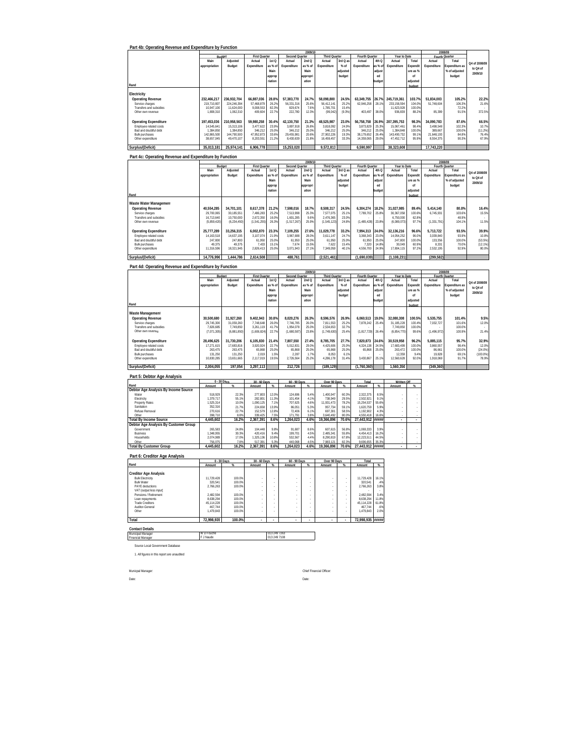| Part 4b: Operating Revenue and Expenditure by Function                 |                           |                           |                                |                   |                         |                          |                                |                |                          |                |                             |                          |                           |                 |                |
|------------------------------------------------------------------------|---------------------------|---------------------------|--------------------------------|-------------------|-------------------------|--------------------------|--------------------------------|----------------|--------------------------|----------------|-----------------------------|--------------------------|---------------------------|-----------------|----------------|
|                                                                        |                           | Budget                    | First Quarter                  |                   | <b>Second Quarter</b>   | 2009/1                   | <b>Third Quarter</b>           |                | Fourth Quarter           |                | Year to Date                |                          | 2008/09<br>Fourth Quarter |                 |                |
|                                                                        | Main                      | Adjusted                  | Actual                         | 1stQ              | Actual                  | 2ndQ                     | Actual                         | 3rd Q a        | Actual                   | 4th Q          | Actual                      | Total                    | Actual                    | Total           | Q4 of 2008/09  |
|                                                                        | appropriation             | Budget                    | Expenditure                    | as % of           | Expenditure             | as % of                  | Expenditure                    | $%$ of         | Expenditure              | as % of        | Expenditure                 | Expendit                 | Expenditure               | xpenditure as   | to Q4 of       |
|                                                                        |                           |                           |                                | Main              |                         | Main                     |                                | adjusted       |                          | adjus          |                             | ure as %                 |                           | % of adjusted   | 2009/10        |
|                                                                        |                           |                           |                                | approp            |                         | appropr                  |                                | budget         |                          | ed             |                             | of                       |                           | budget          |                |
| Rand                                                                   |                           |                           |                                | riation           |                         | ation                    |                                |                |                          | budge          |                             | adjusted<br>budget       |                           |                 |                |
|                                                                        |                           |                           |                                |                   |                         |                          |                                |                |                          |                |                             |                          |                           |                 |                |
| Electricity                                                            |                           |                           |                                |                   |                         |                          |                                |                |                          |                |                             |                          |                           |                 |                |
| <b>Operating Revenue</b>                                               | 232.466.217               | 236.932.704               | 66.887.036                     | 28.8%             | 57.383.770              | 24.7%                    | 58.098.800                     | 24.5%          | 63,349,755               | 26.7%          | 245.719.361                 | 103.7%                   | 51.834.003                | 105.2%          | 22.2%          |
| Service charges<br>Transfers and subsidies                             | 219,710,807<br>10,947,100 | 224,246,394<br>11,624,000 | 57,468,879<br>9,008,553        | 26.2%<br>82.3%    | 56,331,316<br>829,674   | 25.69<br>7.6%            | 56,412,141<br>1,785,701        | 25.2%<br>15.49 | 62,946,258               | 28.19          | 233, 158, 594<br>11,623,928 | 104.09<br>100.09         | 51,748,604                | 106.39<br>72.29 | 21.69          |
| Other own revenue                                                      | 1,808,310                 | 1,062,310                 | 409.604                        | 22.7%             | 222,780                 | 12.3%                    | (99, 042)                      | (9.3%          | 403.497                  | 38.0%          | 936,839                     | 88.2%                    | 85.399                    | 91.59           | 372.59         |
|                                                                        |                           |                           |                                |                   |                         |                          |                                |                |                          |                |                             |                          |                           |                 |                |
| <b>Operating Expenditure</b>                                           | 197,453,036               | 210,958,563               | 59,980,258                     | 30.4%             | 42,130,750              | 21.3%                    | 48,525,987                     | 23.0%          | 56,758,758               | 26.99          | 207,395,753                 | 98.3%                    | 34,090,783                | 87.6%           | 66.5%          |
| Employee related costs                                                 | 14.545.641                | 15,313,106                | 3.477.622                      | 23.9%             | 3.897.918               | 26.89                    | 3.818.092                      | 24 9%          | 3.873.829                | 25.39          | 15,067,461                  | 98.4%                    | 3.498.548                 | 102.39          | 10.7%          |
| Bad and doubtful debt                                                  | 1.384.850                 | 1,384,850                 | 346.212                        | 25.0%             | 346,212                 | 25.09                    | 346,212                        | 25.0%          | 346.212                  | 25.09          | 1,384,848                   | 100.0%                   | 389,667                   | 100.09          | (11.2%         |
| <b>Bulk purchases</b><br>Other expenditure                             | 142 865 500<br>38.657.045 | 144 790 500<br>49,470,107 | 47 952 873<br>8,203,551        | 33.6%<br>21.2%    | 29.455.981<br>8,430,639 | 20.69<br>21.8%           | 27 902 226<br>16,459,457       | 19 3%<br>33.3% | 38.179.652<br>14.359.065 | 26.49<br>29.0% | 143.490.732<br>47,452,712   | <b>QQ 1%</b><br>95.9%    | 21.648.193<br>8,554,375   | 84.8%<br>90.39  | 76.4%<br>67.9% |
|                                                                        |                           |                           |                                |                   |                         |                          |                                |                |                          |                |                             |                          |                           |                 |                |
| Surplus/(Deficit)                                                      | 35,013,181                | 25,974,141                | 6,906,778                      |                   | 15,253,020              |                          | 9,572,813                      |                | 6,590,997                |                | 38,323,608                  |                          | 17,743,220                |                 |                |
|                                                                        |                           |                           |                                |                   |                         |                          |                                |                |                          |                |                             |                          |                           |                 |                |
| Part 4c: Operating Revenue and Expenditure by Function                 |                           |                           |                                |                   |                         |                          |                                |                |                          |                |                             |                          |                           |                 |                |
|                                                                        |                           | Budget                    |                                |                   | <b>Second Quarter</b>   | 2009/1                   |                                |                |                          |                | Year to Date                |                          | 2008/09<br>Fourth Quarter |                 |                |
|                                                                        | Main                      | Adjusted                  | <b>First Quarter</b><br>Actual | 1st <sub>0</sub>  | Actual                  | 2nd Q                    | <b>Third Quarter</b><br>Actual | 3rd Q at       | Fourth Quarter<br>Actual | 4th O          | Actual                      | Total                    | Actual                    | Total           |                |
|                                                                        | appropriation             | Budget                    | Expenditure                    | as % o            | Expenditure             | as % of                  | Expenditure                    | $%$ of         | Expenditure              | as % ol        | Expenditure                 | Expendit                 | Expenditure               | xpenditure as   | Q4 of 2008/09  |
|                                                                        |                           |                           |                                | Main              |                         | Main                     |                                | adjusted       |                          | adjust         |                             | ure as %                 |                           | % of adjusted   | to Q4 of       |
|                                                                        |                           |                           |                                | approp            |                         | appropr                  |                                | budget         |                          | ed             |                             | of                       |                           | budget          | 2009/10        |
|                                                                        |                           |                           |                                | riation           |                         | ation                    |                                |                |                          | budge          |                             | adjusted                 |                           |                 |                |
| Rand                                                                   |                           |                           |                                |                   |                         |                          |                                |                |                          |                |                             | budget                   |                           |                 |                |
|                                                                        |                           |                           |                                |                   |                         |                          |                                |                |                          |                |                             |                          |                           |                 |                |
| Waste Water Management                                                 |                           |                           |                                |                   |                         |                          |                                |                |                          |                |                             |                          |                           |                 |                |
| <b>Operating Revenue</b>                                               | 40.554.285                | 34,701,101                | 8.617.378                      | 21.2%             | 7.598.016               | 18.7%                    | 8.508.317                      | 24.5%          | 6.304.274                | 18.2%          | 31.027.985                  | 89.4%                    | 5.414.140                 | 80.8%           | 16.4%          |
| Service charges<br>Transfers and subsidies                             | 29.700.065<br>16.713.640  | 30.185.55<br>10.750.000   | 7.486.283<br>2.672.350         | 25.29<br>16.0%    | 7,513,998<br>1.601.285  | 25.39<br>9.6%            | 7.577.075<br>2.476.365         | 25.1%<br>23.0% | 7,789,702                | 25.89          | 30.367.058<br>6.750.000     | 100.6%<br>62.8%          | 6,745,931                 | 103.69<br>48.99 | 15.59          |
| Other own revenue                                                      | (5.859.420)               | (6, 234, 450)             | (1,541,255)                    | 26.3%             | (1,517,267)             | 25.9%                    | (1,545,123)                    | 24.8%          | (1.485.428)              | 23.8%          | (6.089.073)                 | 97.7%                    | (1, 331, 791)             | 104.19          | 11.5%          |
|                                                                        |                           |                           |                                |                   |                         |                          |                                |                |                          |                |                             |                          |                           |                 |                |
| <b>Operating Expenditure</b>                                           | 25,777,289                | 33,256,315                | 6.002.870                      | 23.3%             | 7,109,255               | 27.6%                    | 11,029,778                     | 33.2%          | 7,994,313                | 24.0%          | 32,136,216                  | 96.6%                    | 5,713,722                 | 93.5%           | 39.9%          |
| Employee related costs                                                 | 14.163.518                | 14.637.195                | 3.107.074                      | 21.9%             | 3.967.688               | 28.09                    | 3.611.147                      | 24.7%          | 3.368.343                | 23.09          | 14.054.252                  | 96.0%                    | 3.039.840                 | 93.99           | 10.89          |
| Bad and doubtful debt                                                  | 247.800                   | 247.800                   | 61.950                         | 25.0%             | 61,950                  | 25.0%                    | 61.950                         | 25.0%          | 61.950                   | 25.0%          | 247,800                     | 100.0%                   | 133.356                   | 100.0%          | (53.5%)        |
| <b>Bulk purchases</b>                                                  | 49,375                    | 49,375                    | 7,433                          | 15.1%             | 7,674                   | 15.5%                    | 7,622                          | 15.4%          | 7,320                    | 14.8%          | 30,049                      | 60.9%                    | 8,331                     | 70.09           | (12.1%         |
| Other expenditure                                                      | 11,316,596                | 18,321,945                | 2,826,413                      | 25.0%             | 3,071,943               | 27.1%                    | 7,349,059                      | 40.1%          | 4,556,700                | 24.9%          | 17,804,115                  | 97.2%                    | 2,532,195                 | 92.99           | 80.0%          |
| Surplus/(Deficit)                                                      | 14,776,996                | 1,444,786                 | 2,614,508                      |                   | 488,761                 |                          | (2,521,461)                    |                | (1,690,039)              |                | (1.108.231)                 |                          | (299,582                  |                 |                |
|                                                                        |                           |                           |                                |                   |                         |                          |                                |                |                          |                |                             |                          |                           |                 |                |
| Part 4d: Operating Revenue and Expenditure by Function                 |                           |                           |                                |                   |                         |                          |                                |                |                          |                |                             |                          |                           |                 |                |
|                                                                        |                           |                           |                                |                   |                         | 2009/1                   |                                |                |                          |                |                             |                          | 2008/09                   |                 |                |
|                                                                        | Main                      |                           | First Qua                      |                   | Second Qr               | uarter                   | Third Ou                       |                | Fourth Ox                | rter           | Year to Dat                 |                          | <b>Fourth Quarter</b>     |                 |                |
|                                                                        |                           | Adjusted                  | Actual                         | 1st <sub>O</sub>  | Actual                  | 2nd Q                    | Actual<br>Expenditure          | 3rd Q as       | Actual                   | 4th Q          | Actual                      | Total                    | Actual                    | Total           | 04 of 2008/09  |
|                                                                        | appropriation             | Budget                    | Expenditure                    | as % o            | Expenditure             | as % of                  |                                | $%$ of         | Expenditure              | as % o         | Expenditure                 | Expendit                 | Expenditure               | xpenditure a    | to Q4 of       |
|                                                                        |                           |                           |                                | Main              |                         | Main                     |                                | adjusted       |                          | adjus          |                             | ure as %                 |                           | % of adjusted   | 2009/10        |
|                                                                        |                           |                           |                                | approp<br>riation |                         | appropr<br>ation         |                                | budget         |                          | ed<br>budge    |                             | of<br>adiusted           |                           | budget          |                |
| Rand                                                                   |                           |                           |                                |                   |                         |                          |                                |                |                          |                |                             | budget                   |                           |                 |                |
|                                                                        |                           |                           |                                |                   |                         |                          |                                |                |                          |                |                             |                          |                           |                 |                |
| Waste Management                                                       |                           |                           |                                |                   |                         |                          |                                |                |                          |                |                             |                          |                           |                 |                |
| <b>Operating Revenue</b>                                               | 30,500,680                | 31,927,260                | 9,402,943                      | 30.8%             | 8,020,276               | 26.3%                    | 8,596,576                      | 26.9%          | 6,060,513                | 19.0%          | 32,080,308                  | 100.5%                   | 5,535,755                 | 101.4%          | 9.5%           |
| Service charges                                                        | 29.745.300                | 31.059.260                | 7.748.648                      | 26.0%             | 7,746,785               | 26.0%                    | 7,811,553                      | 25.2%          | 7,878,242                | 25.4%          | 31.185.228                  | 100.49                   | 7,032,727                 | 101.69          | 12.0%          |
| Transfers and subsidies                                                | 7,826,685                 | 7,749,850                 | 3,261,119                      | 41.7%             | 1,954,078               | 25.0%                    | 2,534,653                      | 32.7%          |                          |                | 7,749,850                   | 100.0%                   |                           | 100.09          |                |
| Other own revenue                                                      | (7,071,305                | (6,881,850)               | (1,606,824)                    | 22.7%             | (1,680,58)              | 23.89                    | (1,749,630)                    | 25.4%          | (1,817,729)              | 26.49          | (6,854,770)                 | 99.6%                    | (1,496,972)               | 100.99          | 21.49          |
| <b>Operating Expenditure</b>                                           | 28,496,625                | 31,730,206                | 6,105,830                      | 21.4%             | 7,807,550               | 27.4%                    | 8,785,705                      | 27.7%          | 7,820,873                | 24.6%          | 30,519,958                  | 96.2%                    | 5,885,115                 | 95.7%           | 32.9%          |
| Employee related costs                                                 | 17,271,615                | 17,683,816                | 3.920.924                      | 22.7%             | 5,012,831               | 29.0%                    | 4,425,606                      | 25.0%          | 4,324,138                | 24.5%          | 17,683,499                  | 100.09                   | 3.860.557                 | 98.49           | 12.0%          |
| Bad and doubtful debt                                                  | 263,475                   | 263,475                   | 65,868                         | 25.09             | 65,868                  | 25.09                    | 65,868                         | 25.0%          | 65,868                   | 25.0           | 263,472                     | 100.09                   | 86,661                    | 100.09          | $(24.0\%$      |
| <b>Bulk purchases</b>                                                  | 131,250                   | 131,250                   | 2,019                          | 1.59              | 2,287                   | 1.79                     | 8,053                          | 6.19           |                          |                | 12,359                      | 9.49                     | 19,828                    | 69.19           | (100.0%        |
| Other expenditure                                                      | 10,830,285                | 13,651,665                | 2,117,019                      | 19.59             | 2,726,564               | 25.29                    | 4,286,178                      | 31.4%          | 3,430,867                | 25.19          | 12,560,628                  | 92.0%                    | 1,918,069                 | 91.75           | 78.9%          |
| Surplus/(Deficit)                                                      | 2,004,055                 | 197,054                   | 3,297,113                      |                   | 212,726                 |                          | (189, 129)                     |                | (1,760,360)              |                | 1,560,350                   |                          | (349, 360)                |                 |                |
|                                                                        |                           |                           |                                |                   |                         |                          |                                |                |                          |                |                             |                          |                           |                 |                |
| Part 5: Debtor Age Analysis                                            |                           |                           |                                |                   |                         |                          |                                |                |                          |                |                             |                          |                           |                 |                |
|                                                                        |                           | 0 - 30 Days               | 30 - 60 Days                   |                   | 60 - 90 Days            |                          | Over 90 Days                   |                | Total                    |                | Written Off                 |                          |                           |                 |                |
| Rand                                                                   | Amount                    |                           | Amount                         | %                 | Amount                  |                          | Amount                         |                | Amount                   |                | Amount                      |                          |                           |                 |                |
| Debtor Age Analysis By Income Source                                   |                           |                           |                                |                   |                         |                          |                                |                |                          |                |                             |                          |                           |                 |                |
| Water<br>Electricity                                                   | 518.929<br>1,379,717      | 22.3%<br>55.1%            | 277.803<br>282,801             | 12.0%<br>11.3%    | 124.696<br>101,454      | 5.4%<br>4.1%             | 1,400,947<br>738,949           | 60.3%<br>29.5% | 2.322.375<br>2,502,921   | 8.5%<br>9.19   |                             |                          |                           |                 |                |
| <b>Property Rates</b>                                                  | 1,525,314                 | 10.0%                     | 1,090,125                      | 7.19              | 707,625                 | 4.69                     | 11,931,473                     | 78.2%          | 15,254,537               | 55.69          |                             |                          |                           |                 |                |
| Sanitation                                                             | 352.316                   | 21.7%                     | 224 658                        | 13.9%             | 86.051                  | 5.3%                     | 957.734                        | 59.1%          | 1.620.759                | 5.99           |                             |                          |                           |                 |                |
| Refuse Removal                                                         | 270,616                   | 22.7%                     | 152,579                        | 12.8%             | 72,406                  | 6.1%                     | 697,301                        | 58.5%          | 1,192,902                | 4.3%           | $\overline{\phantom{a}}$    |                          |                           |                 |                |
| Other                                                                  | 398.710<br>4,445,602      | 8.89<br>16.2%             | 339 425<br>2,367,391           | 7.5%<br>8.6%      | 171 791<br>1,264,023    | 3.89<br>4.6%             | 3.640.492<br>19,366,896        | 80.0%<br>70.6% | 4 550 418<br>27,443,912  | 16.6%<br>***** |                             |                          |                           |                 |                |
| <b>Total By Income Source</b><br>Debtor Age Analysis By Customer Group |                           |                           |                                |                   |                         |                          |                                |                |                          |                |                             |                          |                           |                 |                |
| Government                                                             | 265.583                   | 24.8%                     | 104.448                        | 9.8%              | 91.687                  | 8.6%                     | 607.615                        | 56.8%          | 1.069.333                | 3.99           |                             |                          |                           |                 |                |
| Business                                                               | 1.348.955                 | 30.3%                     | 420.416                        | 9.4%              | 199.701                 | 4.5%                     | 2.485.341                      | 55.8%          | 4.454.413                | 16.2%          | ×                           |                          |                           |                 |                |
| Households                                                             | 2,074,989                 | 17.0%                     | 1,325,136                      | 10.8%             | 532,567                 | 4.4%                     | 8,290,819                      | 67.8%          | 12,223,511               | 44.5%          | $\cdot$                     | $\overline{\phantom{a}}$ |                           |                 |                |
| Other<br><b>Total By Customer Group</b>                                | 756.075<br>4.445.602      | 7.89<br>16.2%             | 517.391<br>2.367.391           | 5.3%<br>8.6%      | 440,06<br>1.264.023     | 4.59<br>4.6%             | 7,983,121<br>19.366.896        | 82.39<br>70.6% | 9,696,655<br>27.443.912  | 35.39<br>##### |                             |                          |                           |                 |                |
|                                                                        |                           |                           |                                |                   |                         |                          |                                |                |                          |                |                             |                          |                           |                 |                |
| Part 6: Creditor Age Analysis                                          |                           |                           |                                |                   |                         |                          |                                |                |                          |                |                             |                          |                           |                 |                |
|                                                                        | 0 - 30 Days               |                           | 30 - 60 Days                   |                   | 60 - 90 Days            |                          | Over 90 Days                   |                | Total                    |                |                             |                          |                           |                 |                |
| Rand                                                                   | Amount                    |                           | Amount                         | %                 | Amount                  |                          | Amount                         | $\alpha$       | Amount                   | -96            |                             |                          |                           |                 |                |
|                                                                        |                           |                           |                                |                   |                         |                          |                                |                |                          |                |                             |                          |                           |                 |                |
| <b>Creditor Age Analysis</b>                                           |                           |                           |                                |                   |                         |                          |                                |                |                          |                |                             |                          |                           |                 |                |
| <b>Bulk Electricity</b><br><b>Bulk Water</b>                           | 11.729.428                | 100.0%                    |                                |                   |                         |                          |                                |                | 11.729.428               | 16.1%          |                             |                          |                           |                 |                |
| PAYE deductions                                                        | 320.541<br>2.766.263      | 100.0%<br>100.0%          |                                | $\epsilon$        | k,                      |                          |                                |                | 320.541<br>2.766.263     | .4%<br>3.8%    |                             |                          |                           |                 |                |
| VAT (output less input)                                                |                           |                           |                                |                   |                         |                          |                                |                |                          |                |                             |                          |                           |                 |                |
| Pensions / Retirement                                                  | 2.482.594                 | 100.0%                    |                                | ×                 |                         | $\overline{\phantom{a}}$ |                                |                | 2,482,594                | 3.4%           |                             |                          |                           |                 |                |
| Loan repayments                                                        | 8,638,294                 | 100.0%                    |                                |                   |                         |                          |                                |                | 8,638,294                | 11.8%          |                             |                          |                           |                 |                |
| <b>Trade Creditors</b><br>Auditor-General                              | 45,114,228<br>467.744     | 100.0%<br>100.0%          |                                |                   |                         | ×                        |                                |                | 45,114,228<br>467.744    | 61.8%<br>6%    |                             |                          |                           |                 |                |
| Other                                                                  | 1,479,843                 | 100.0%                    |                                |                   |                         | ×                        |                                |                | 1.479.843                | 2.0%           |                             |                          |                           |                 |                |
|                                                                        |                           |                           |                                |                   |                         |                          |                                |                |                          |                |                             |                          |                           |                 |                |
| Total                                                                  | 72,998,935                | 100.0%                    |                                |                   |                         |                          |                                |                | 72,998,935               | #####          |                             |                          |                           |                 |                |
| <b>Contact Details</b>                                                 |                           |                           |                                |                   |                         |                          |                                |                |                          |                |                             |                          |                           |                 |                |
| Municipal Manager                                                      | <b>WD</b> Fouche          |                           |                                | 013 249 7263      |                         |                          |                                |                |                          |                |                             |                          |                           |                 |                |
| Financial Manage                                                       | F J Naude                 |                           |                                | 013 249 7108      |                         |                          |                                |                |                          |                |                             |                          |                           |                 |                |
|                                                                        |                           |                           |                                |                   |                         |                          |                                |                |                          |                |                             |                          |                           |                 |                |
| Source Local Government Database                                       |                           |                           |                                |                   |                         |                          |                                |                |                          |                |                             |                          |                           |                 |                |
| 1. All figures in this report are unaudited                            |                           |                           |                                |                   |                         |                          |                                |                |                          |                |                             |                          |                           |                 |                |

Date: Date:

Municpal Manager: Chief Financial Officer: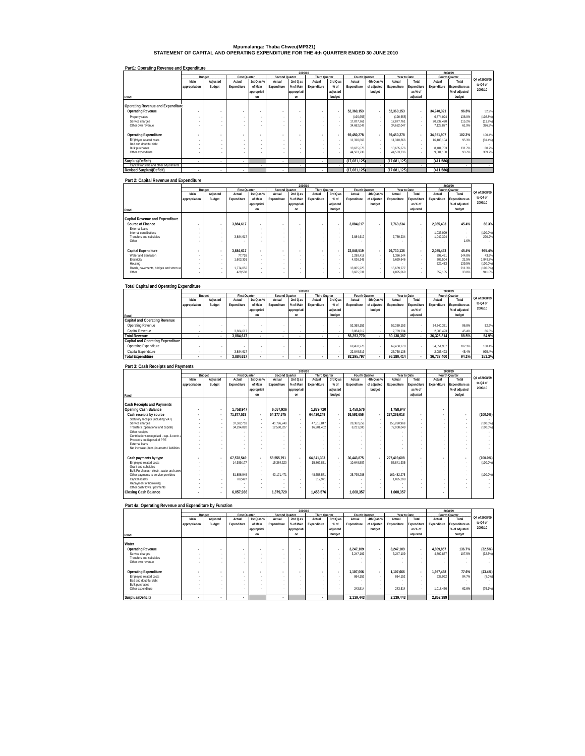# **Mpumalanga: Thaba Chweu(MP321) STATEMENT OF CAPITAL AND OPERATING EXPENDITURE FOR THE 4th QUARTER ENDED 30 JUNE 2010**

### **Part1: Operating Revenue and Expenditure**

|                                            |               |                          |                      |                          |                | 2009/10     |                          |                |                          |                                    |                          |                          |                        | 2008/09         |                 |
|--------------------------------------------|---------------|--------------------------|----------------------|--------------------------|----------------|-------------|--------------------------|----------------|--------------------------|------------------------------------|--------------------------|--------------------------|------------------------|-----------------|-----------------|
|                                            |               | Budget                   | <b>First Quarter</b> |                          | Second Quarter |             | <b>Third Quarter</b>     |                | Fourth Quarter           |                                    | Year to Date             |                          |                        | Fourth Quarter  |                 |
|                                            | Main          | Adjusted                 | Actual               | 1st Q as %               | Actual         | 2nd Q as    | Actual                   | 3rd Q as       | Actual                   | 4th Q as %                         | Actual                   | Total                    | Actual                 | Total           | Q4 of 2008/09   |
|                                            | appropriation | Budget                   | Expenditure          | of Main                  | Expenditure    | % of Main   | Expenditure              | $%$ of         | Expenditure              | of adjusted                        | Expenditure              | Expenditure              | Expenditure            | Expenditure as  | to Q4 of        |
|                                            |               |                          |                      | appropriati              |                | appropriati |                          | adjusted       |                          | budget                             |                          | as % of                  |                        | % of adjusted   | 2009/10         |
| Rand                                       |               |                          |                      | on                       |                | on          |                          | budget         |                          |                                    |                          | adjusted                 |                        | budget          |                 |
| Operating Revenue and Expenditure          |               |                          |                      |                          |                |             |                          |                |                          |                                    |                          |                          |                        |                 |                 |
| <b>Operating Revenue</b>                   |               | $\overline{\phantom{a}}$ |                      | $\overline{\phantom{a}}$ |                |             | $\blacksquare$           |                | 52.369.153               | $\overline{\phantom{a}}$           | 52.369.153               |                          | 34.240.321             | 96.8%           | 52.9%           |
| Property rates                             |               |                          | ×.                   |                          |                |             | $\sim$                   | $\sim$         | (190, 655)               | $\sim$                             | (190, 655)               | $\overline{\phantom{a}}$ | 6.874.024              | 138.0%          | (102.8%)        |
| Service charges                            |               | $\sim$                   |                      |                          |                |             | ×.                       | <b>м.</b>      | 17.877.761               | $\sim$                             | 17.877.761               | $\sim$                   | 20.237.420             | 115.2%          | (11.7%)         |
| Other own revenue                          |               |                          |                      |                          |                |             |                          |                | 34.682.047               |                                    | 34.682.047               |                          | 7.128.877              | 61.9%           | 386.5%          |
| <b>Operating Expenditure</b>               |               |                          |                      |                          |                |             | $\overline{a}$           | $\blacksquare$ | 69.450.278               | $\overline{\phantom{a}}$           | 69.450.278               |                          | 34.651.907             | 102.3%          | 100.4%          |
| Employee related costs                     |               |                          |                      |                          |                |             | $\sim$                   |                | 11,310,866               | $\sim$                             | 11,310,866               | . .                      | 16.486.104             | 95.3%           | (31.4%)         |
| Bad and doubtful debt                      |               |                          | ×.                   |                          |                |             | $\sim$                   | <b>м.</b>      |                          | $\sim$                             |                          | $\overline{\phantom{a}}$ |                        |                 |                 |
| <b>Bulk purchases</b><br>Other expenditure |               |                          | ×.                   |                          |                |             |                          | $\sim$         | 13.635.676<br>44.503.736 | $\sim$<br>$\overline{\phantom{a}}$ | 13.635.676<br>44.503.736 | $\overline{\phantom{a}}$ | 8.484.703<br>9.681.100 | 131.7%<br>93.7% | 60.7%<br>359.7% |
|                                            |               |                          |                      |                          |                |             |                          |                |                          |                                    |                          |                          |                        |                 |                 |
| Surplus/(Deficit)                          | ٠             | ٠                        | $\mathbf{r}$         |                          | ٠              |             | ٠                        |                | (17.081.125)             |                                    | (17.081.125)             |                          | (411,586)              |                 |                 |
| Capital transfers and other adjustments    |               |                          |                      |                          |                |             |                          | $\sim$         |                          |                                    |                          |                          |                        |                 |                 |
| <b>Revised Surplus/(Deficit)</b>           | ٠             | ٠                        | $\mathbf{r}$         |                          | ٠              |             | $\overline{\phantom{a}}$ |                | (17,081,125)             |                                    | (17,081,125)             |                          | (411,586)              |                 |                 |

#### **Part 2: Capital Revenue and Expenditure**

|                                        |                          |                          |                      |                          |                | 2009/10     |                          |                          |                |                          |              |             |                | 2008/09               |               |
|----------------------------------------|--------------------------|--------------------------|----------------------|--------------------------|----------------|-------------|--------------------------|--------------------------|----------------|--------------------------|--------------|-------------|----------------|-----------------------|---------------|
|                                        |                          | Budget                   | <b>First Quarter</b> |                          | Second Quarter |             | <b>Third Quarter</b>     |                          | Fourth Quarter |                          | Year to Date |             | Fourth Quarter |                       |               |
|                                        | Main                     | Adjusted                 | Actual               | 1st Q as %               | Actual         | 2nd Q as    | Actual                   | 3rd Q as                 | Actual         | 4th Q as %               | Actual       | Total       | Actual         | Total                 | Q4 of 2008/09 |
|                                        | appropriation            | Budget                   | Expenditure          | of Main                  | Expenditure    | % of Main   | Expenditure              | $%$ of                   | Expenditure    | of adjusted              | Expenditure  | Expenditure | Expenditure    | <b>Expenditure as</b> | to Q4 of      |
|                                        |                          |                          |                      | appropriati              |                | appropriati |                          | adjusted                 |                | budget                   |              | as % of     |                | % of adjusted         | 2009/10       |
| Rand                                   |                          |                          |                      | on                       |                | on          |                          | budget                   |                |                          |              | adjusted    |                | budget                |               |
|                                        |                          |                          |                      |                          |                |             |                          |                          |                |                          |              |             |                |                       |               |
| Capital Revenue and Expenditure        |                          |                          |                      |                          |                |             |                          |                          |                |                          |              |             |                |                       |               |
| Source of Finance                      | $\overline{\phantom{a}}$ | $\overline{\phantom{a}}$ | 3.884.617            | $\overline{\phantom{a}}$ |                | ٠           | $\overline{\phantom{a}}$ | $\overline{\phantom{a}}$ | 3.884.617      | $\overline{\phantom{a}}$ | 7.769.234    | $\sim$      | 2.085.493      | 45.4%                 | 86.3%         |
| External loans                         |                          |                          |                      | ٠                        |                | $\sim$      |                          | $\sim$                   |                | $\sim$                   | $\sim$       |             |                |                       |               |
| Internal contributions                 |                          | $\sim$                   |                      | ٠                        | $\sim$         | $\sim$      | $\sim$                   | ٠                        |                | $\sim$                   | $\sim$       | ×.          | 1.036.099      | <b>A</b>              | (100.0%       |
| Transfers and subsidies                |                          | $\sim$                   | 3.884.617            |                          |                |             |                          | $\sim$                   | 3.884.617      | $\sim$                   | 7.769.234    |             | 1.049.394      | <b>A</b>              | 270.2%        |
| Other                                  |                          |                          |                      |                          |                |             |                          |                          |                |                          |              | $\sim$      |                | 1.6%                  |               |
|                                        |                          |                          |                      |                          |                |             |                          |                          |                |                          |              |             |                |                       |               |
| <b>Capital Expenditure</b>             | ٠                        | $\overline{\phantom{a}}$ | 3.884.617            | $\overline{\phantom{a}}$ |                | ٠           | $\overline{\phantom{a}}$ | $\overline{\phantom{a}}$ | 22.845.519     | $\overline{\phantom{a}}$ | 26.730.136   | $\sim$      | 2.085.493      | 45.4%                 | 995.4%        |
| Water and Sanitation                   |                          | $\sim$                   | 77.726               |                          |                | $\sim$      |                          | $\sim$                   | 1,288.418      | $\sim$                   | 1.366.144    | $\sim$      | 897.451        | 144.8%                | 43.6%         |
| Electricity                            |                          | $\sim$                   | 1.603.301            |                          |                | -           | $\sim$                   | $\sim$                   | 4.026.345      | $\sim$                   | 5.629.646    |             | 206.504        | 21.5%                 | 1.849.8%      |
| Housing                                | $\sim$                   |                          |                      |                          | . .            | $\sim$      |                          | $\sim$                   |                | $\sim$                   |              | . .         | 629.433        | 139.5%                | (100.0%       |
| Roads, pavements, bridges and storm wa |                          | $\sim$                   | 1.774.052            |                          |                |             |                          | $\sim$                   | 13.865.225     | $\sim$                   | 15.639.277   | ×.          |                | 211.3%                | (100.0%       |
| Other                                  |                          |                          | 429.538              |                          |                |             |                          | ٠                        | 3,665,531      | $\sim$                   | 4.095.069    | $\sim$      | 352.105        | 33.0%                 | 941.0%        |
|                                        |                          |                          |                      |                          |                |             |                          |                          |                |                          |              |             |                |                       |               |

#### **Total Capital and Operating Expenditure Rand Capital and Operating Revenue** Operating Revenue - - - - - - - - 52,369,153 - 52,369,153 - 34,240,321 96.8% 52.9% Capital Revenue - - 3,884,617 - - - - - 3,884,617 - 7,769,234 - 2,085,493 45.4% 86.3%  **Main appropriation Adjusted Budget Actual Expenditure 1st Q as % of Main appropriati on Actual Expenditure 2nd Q as % of Main appropriati on Actual Expenditure 3rd Q as % of adjusted budget Actual Expenditure 4th Q as % of adjusted budget Actual Expenditure Total Expenditure as % of adjusted Actual Expenditure Total Expenditure as % of adjusted budget**   $\textbf{Total Revenue} \textbf{Document} \textbf{To} \textbf{a} \textbf{1} \textbf{1} \textbf{1} \textbf{2} \textbf{3} \textbf{4} \textbf{5} \textbf{5} \textbf{1} \textbf{2} \textbf{3} \textbf{1} \textbf{1} \textbf{2} \textbf{3} \textbf{3} \textbf{3} \textbf{4} \textbf{1} \textbf{1} \textbf{2} \textbf{3} \textbf{4} \textbf{3} \textbf{4} \textbf{5} \textbf{5} \textbf{4} \textbf{6} \textbf{6} \textbf{7} \textbf{1} \textbf$ Capital Expenditure - - - - - 3,884,617 - - - - - - - - 22,845,519 - 26,730,136 - 2,085,493 45.4% 995.4% **Total Expenditure - - 3,884,61 - 7 - - - - 92,295,79 - 7 96,180,41 - 4 36,737,40 94.1 0 % 151.2% Fourth Quarter 2009/10 2008/09 Q4 of 2008/09 to Q4 of 2009/10 Budget First Quarter Second Quarter Third Quarter Fourth Quarter Year to Date**

#### **Part 3: Cash Receipts and Payments**

|                                              |               |          |                      |                          |                | 2009/10                  |                      |                          |                |                          |              |             |             | 2008/09        |               |
|----------------------------------------------|---------------|----------|----------------------|--------------------------|----------------|--------------------------|----------------------|--------------------------|----------------|--------------------------|--------------|-------------|-------------|----------------|---------------|
|                                              | Budget        |          | <b>First Quarter</b> |                          | Second Quarter |                          | <b>Third Quarter</b> |                          | Fourth Quarter |                          | Year to Date |             |             | Fourth Quarter | O4 of 2008/09 |
|                                              | Main          | Adjusted | Actual               | 1st Q as %               | Actual         | 2nd Q as                 | Actual               | 3rd Q as                 | Actual         | 4th Q as %               | Actual       | Total       | Actual      | Total          |               |
|                                              | appropriation | Budget   | Expenditure          | of Main                  | Expenditure    | % of Main                | Expenditure          | $%$ of                   | Expenditure    | of adjusted              | Expenditure  | Expenditure | Expenditure | Expenditure as | to 04 of      |
|                                              |               |          |                      | appropriati              |                | appropriati              |                      | adiusted                 |                | budget                   |              | as % of     |             | % of adjusted  | 2009/10       |
| Rand                                         |               |          |                      | on                       |                | on                       |                      | budget                   |                |                          |              | adjusted    |             | budget         |               |
|                                              |               |          |                      |                          |                |                          |                      |                          |                |                          |              |             |             |                |               |
| <b>Cash Receipts and Payments</b>            |               |          |                      |                          |                |                          |                      |                          |                |                          |              |             |             |                |               |
| Opening Cash Balance                         |               |          | 1.758.947            |                          | 6.057.936      |                          | 1.879.720            |                          | 1,458,576      |                          | 1.758.947    |             |             |                |               |
| Cash receipts by source                      |               |          | 71,877,538           | $\overline{\phantom{a}}$ | 54,377,575     | $\overline{\phantom{a}}$ | 64,420,249           | $\overline{\phantom{a}}$ | 36,593,656     | $\overline{\phantom{a}}$ | 227,269,018  |             |             |                | $(100.0\%)$   |
| Statutory receipts (including VAT)           |               |          |                      | $\sim$                   |                |                          |                      | $\sim$                   |                | $\sim$                   |              |             |             |                |               |
| Service charges                              |               |          | 37.582.718           | <b>м.</b>                | 41.796.748     | $\sim$                   | 47.518.847           | ×.                       | 28.362.656     | $\sim$                   | 155,260.969  |             |             |                | (100.0%       |
| Transfers (operational and capital)          |               |          | 34.294.820           | $\sim$                   | 12.580.827     | $\sim$                   | 16.901.402           | $\sim$                   | 8.231.000      | $\sim$                   | 72.008.049   |             |             |                | (100.0%       |
| Other receipts                               |               |          |                      |                          |                |                          |                      |                          |                |                          |              |             |             |                |               |
| Contributions recognised - cap. & contr.     |               |          |                      |                          |                |                          |                      |                          |                |                          |              |             |             |                |               |
| Proceeds on disposal of PPE                  |               |          |                      |                          | ×.             |                          |                      |                          |                |                          |              |             |             |                |               |
| <b>External loans</b>                        |               |          |                      |                          |                |                          |                      |                          |                |                          |              |             |             |                |               |
| Net increase (decr.) in assets / liabilities |               |          |                      |                          |                |                          |                      |                          |                |                          |              |             |             |                |               |
| Cash payments by type                        |               |          | 67,578,549           | $\sim$                   | 58.555.791     | $\overline{\phantom{a}}$ | 64.841.393           | $\overline{\phantom{a}}$ | 36.443.875     | $\overline{\phantom{a}}$ | 227.419.608  |             |             |                | $(100.0\%)$   |
| Employee related costs                       |               |          | 14.939.177           | $\sim$                   | 15.384.320     |                          | 15.869.851           | $\sim$                   | 10.648.587     |                          | 56.841.935   |             |             |                | (100.0%       |
| Grant and subsidies                          |               |          |                      |                          |                |                          |                      |                          |                |                          |              |             |             |                |               |
| Bulk Purchases - electr., water and sewe     |               |          |                      |                          |                |                          |                      | $\sim$                   |                |                          |              |             |             |                |               |
| Other payments to service providers          |               |          | 51.856.945           | $\sim$                   | 43.171.471     | $\sim$                   | 48.658.571           | $\sim$                   | 25.795.288     | $\sim$                   | 169.482.275  |             |             |                | (100.0%       |
| Capital assets                               |               |          | 782.427              |                          |                |                          | 312.971              |                          |                |                          | 1,095,398    |             |             |                |               |
| Repayment of borrowing                       |               |          |                      |                          |                |                          |                      |                          |                |                          |              |             |             |                |               |
| Other cash flows / payments                  |               |          |                      |                          |                |                          |                      |                          |                |                          |              |             |             |                |               |
| <b>Closing Cash Balance</b>                  |               |          | 6.057.936            |                          | 1.879.720      |                          | 1.458.576            |                          | 1,608,357      |                          | 1.608.357    |             |             |                |               |
|                                              |               |          |                      |                          |                |                          |                      |                          |                |                          |              |             |             |                |               |

### **Part 4a: Operating Revenue and Expenditure by Function**

|                              |                          | 2009/10  |                      |              |                |                          |                      |                          |                |                          |              |                          |             | 2008/09        |               |
|------------------------------|--------------------------|----------|----------------------|--------------|----------------|--------------------------|----------------------|--------------------------|----------------|--------------------------|--------------|--------------------------|-------------|----------------|---------------|
|                              |                          | Budget   | <b>First Quarter</b> |              | Second Quarter |                          | <b>Third Quarter</b> |                          | Fourth Quarter |                          | Year to Date |                          |             | Fourth Quarter |               |
|                              | Main                     | Adjusted | Actual               | 1st Q as %   | Actual         | 2nd Q as                 | Actual               | 3rd Q as                 | Actual         | 4th Q as %               | Actual       | Total                    | Actual      | Total          | Q4 of 2008/09 |
|                              | appropriation            | Budget   | Expenditure          | of Main      | Expenditure    | % of Main                | Expenditure          | $%$ of                   | Expenditure    | of adjusted              | Expenditure  | Expenditure              | Expenditure | Expenditure as | to Q4 of      |
|                              |                          |          |                      | lappropriati |                | lappropriati             |                      | adjusted                 |                | budget                   |              | as % of                  |             | % of adjusted  | 2009/10       |
| Rand                         |                          |          |                      | on           |                | on                       |                      | budget                   |                |                          |              | adjusted                 |             | budget         |               |
|                              |                          |          |                      |              |                |                          |                      |                          |                |                          |              |                          |             |                |               |
| Water                        |                          |          |                      |              |                |                          |                      |                          |                |                          |              |                          |             |                |               |
| <b>Operating Revenue</b>     |                          |          |                      |              |                |                          |                      | $\sim$                   | 3.247.109      | $\overline{\phantom{a}}$ | 3.247.109    | $\overline{\phantom{a}}$ | 4.809.857   | 136.7%         | (32.5%)       |
| Service charges              |                          |          | ٠                    |              |                |                          |                      |                          | 3.247.109      | $\sim$                   | 3.247.109    | $\sim$                   | 4.809.857   | 107.5%         | (32.5%)       |
| Transfers and subsidies      |                          |          |                      |              |                |                          |                      |                          |                | $\sim$                   | $\sim$       |                          |             |                | $\sim$        |
| Other own revenue            |                          |          |                      |              |                |                          |                      |                          |                |                          |              |                          |             |                |               |
| <b>Operating Expenditure</b> | $\overline{\phantom{a}}$ |          |                      |              |                | $\overline{\phantom{a}}$ |                      | $\overline{\phantom{a}}$ | 1.107.666      | $\overline{\phantom{a}}$ | 1.107.666    | $\overline{\phantom{a}}$ | 1.957.468   | 77.6%          | (43.4%)       |
| Employee related costs       |                          |          | ٠                    |              |                |                          |                      | $\sim$                   | 864.152        | $\sim$                   | 864.152      | ×.                       | 938.992     | 94.7%          | (8.0%)        |
| Bad and doubtful debt        |                          |          |                      |              |                |                          |                      | ×.                       |                | $\sim$                   | ×.           | ×.                       |             |                |               |
| Bulk purchases               |                          |          | ٠                    |              |                |                          |                      |                          |                | $\sim$                   | ×.           | ×.                       |             |                |               |
| Other expenditure            |                          |          |                      |              |                |                          |                      |                          | 243.514        |                          | 243.514      | ×.                       | 1.018.476   | 62.6%          | $(76.1\%)$    |
|                              |                          |          |                      |              |                |                          |                      |                          |                |                          |              |                          |             |                |               |
| Surplus/(Deficit)            | ٠                        | ٠        |                      |              |                |                          |                      |                          | 2.139.443      |                          | 2.139.443    |                          | 2.852.389   |                |               |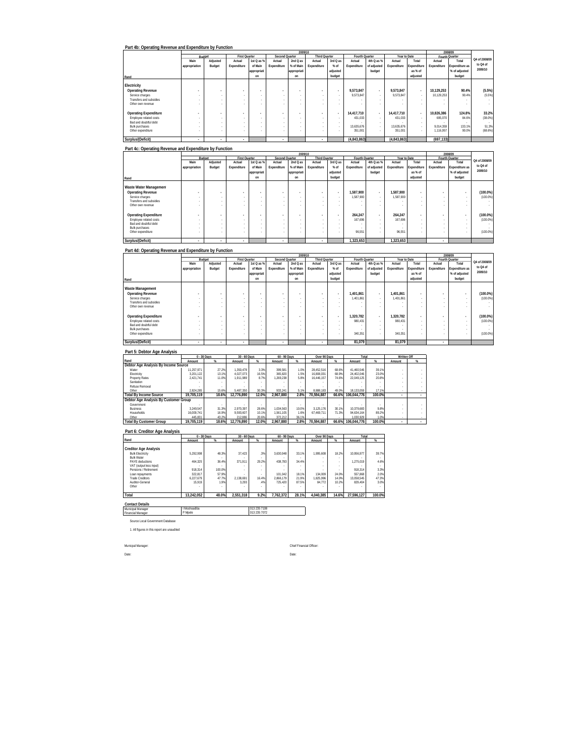|                              |               |          |               |             |                | 2009/10     |                          |                          |                |                          |              |                          |             | 2008/09        |               |
|------------------------------|---------------|----------|---------------|-------------|----------------|-------------|--------------------------|--------------------------|----------------|--------------------------|--------------|--------------------------|-------------|----------------|---------------|
|                              |               | Budget   | First Quarter |             | Second Quarter |             | <b>Third Quarter</b>     |                          | Fourth Quarter |                          | Year to Date |                          |             | Fourth Quarter |               |
|                              | Main          | Adjusted | Actual        | 1st Q as %  | Actual         | 2nd Q as    | Actual                   | 3rd Q as                 | Actual         | 4th Q as %               | Actual       | Total                    | Actual      | Total          | Q4 of 2008/09 |
|                              | appropriation | Budget   | Expenditure   | of Main     | Expenditure    | % of Main   | Expenditure              | % of                     | Expenditure    | of adjusted              | Expenditure  | Expenditure              | Expenditure | Expenditure as | to Q4 of      |
|                              |               |          |               | appropriati |                | appropriati |                          | adjusted                 |                | budget                   |              | as % of                  |             | % of adjusted  | 2009/10       |
| Rand                         |               |          |               | on          |                | on          |                          | budget                   |                |                          |              | adjusted                 |             | budget         |               |
|                              |               |          |               |             |                |             |                          |                          |                |                          |              |                          |             |                |               |
| Electricity                  |               |          |               |             |                |             |                          |                          |                |                          |              |                          |             |                |               |
| <b>Operating Revenue</b>     |               |          | ٠             |             |                |             | <b>Security</b>          | $\overline{\phantom{a}}$ | 9.573.847      | $\overline{\phantom{a}}$ | 9.573.847    | $\overline{\phantom{a}}$ | 10.129.253  | 90.4%          | (5.5%)        |
| Service charges              |               |          |               |             |                |             |                          |                          | 9.573.847      |                          | 9.573.847    |                          | 10.129.253  | 90.4%          | (5.5%)        |
| Transfers and subsidies      |               |          |               |             |                |             | . .                      |                          |                |                          | $\sim$       |                          |             |                |               |
| Other own revenue            |               |          |               |             | ×.             |             |                          |                          |                |                          |              |                          |             |                |               |
| <b>Operating Expenditure</b> |               |          | ٠             |             |                |             | $\overline{\phantom{a}}$ | $\overline{\phantom{a}}$ | 14.417.710     | . .                      | 14.417.710   | $\overline{\phantom{a}}$ | 10.826.386  | 124.8%         | 33.2%         |
| Employee related costs       |               |          |               |             | ×.             |             | $\sim$                   |                          | 431.033        | $\sim$                   | 431.033      |                          | 695.070     | 84.6%          | $(38.0\%)$    |
| Bad and doubtful debt        |               |          | ×.            |             | ×.             |             | . .                      |                          |                |                          |              |                          |             |                |               |
| <b>Bulk purchases</b>        |               |          |               |             | ×.             |             | . .                      | $\sim$                   | 13.635.676     | $\sim$                   | 13.635.676   |                          | 9.014.359   | 133.1%         | 51.3%         |
| Other expenditure            |               |          |               |             | ×.             |             |                          |                          | 351.001        |                          | 351.001      |                          | 1.116.957   | 90.0%          | (68.6%)       |
|                              |               |          |               |             |                |             |                          |                          |                |                          |              |                          |             |                |               |
| Surplus/(Deficit)            |               |          | ٠             |             |                |             | ٠                        |                          | (4,843,863)    |                          | (4,843,863)  |                          | (697.133)   |                |               |

### **Part 4c: Operating Revenue and Expenditure by Function**

|                              |                          | 2009/10      |                      |                          |                |                          |                      |                          |                |                          |              |                          |                          | 2008/09        |               |
|------------------------------|--------------------------|--------------|----------------------|--------------------------|----------------|--------------------------|----------------------|--------------------------|----------------|--------------------------|--------------|--------------------------|--------------------------|----------------|---------------|
|                              |                          | Budget       | <b>First Quarter</b> |                          | Second Quarter |                          | <b>Third Quarter</b> |                          | Fourth Quarter |                          | Year to Date |                          |                          | Fourth Quarter |               |
|                              | Main                     | Adjusted     | Actual               | 1st Q as %               | Actual         | 2nd Q as                 | Actual               | 3rd Q as                 | Actual         | 4th Q as %               | Actual       | Total                    | Actual                   | Total          | Q4 of 2008/09 |
|                              | appropriation            | Budget       | Expenditure          | of Main                  | Expenditure    | % of Main                | Expenditure          | $%$ of                   | Expenditure    | of adjusted              | Expenditure  | Expenditure              | Expenditure              | Expenditure as | to Q4 of      |
|                              |                          |              |                      | appropriati              |                | appropriati              |                      | adjusted                 |                | budget                   |              | as % of                  |                          | % of adjusted  | 2009/10       |
| Rand                         |                          |              |                      | on                       |                | on                       |                      | budget                   |                |                          |              | adjusted                 |                          | budget         |               |
|                              |                          |              |                      |                          |                |                          |                      |                          |                |                          |              |                          |                          |                |               |
| Waste Water Management       |                          |              |                      |                          |                |                          |                      |                          |                |                          |              |                          |                          |                |               |
| <b>Operating Revenue</b>     | $\overline{\phantom{a}}$ |              |                      | $\overline{\phantom{a}}$ |                | $\overline{\phantom{a}}$ | ٠                    | $\overline{\phantom{a}}$ | 1.587.900      | $\overline{\phantom{a}}$ | 1.587.900    | $\overline{\phantom{a}}$ | $\overline{\phantom{a}}$ | $\overline{a}$ | $(100.0\%)$   |
| Service charges              | ×.                       | ۰            |                      |                          |                | $\sim$                   |                      | $\sim$                   | 1.587.900      | $\overline{\phantom{a}}$ | 1.587.900    | . .                      |                          |                | (100.0%       |
| Transfers and subsidies      |                          |              |                      |                          |                |                          |                      |                          |                |                          |              |                          |                          |                |               |
| Other own revenue            |                          |              |                      |                          |                |                          |                      |                          |                |                          |              |                          |                          |                |               |
|                              |                          |              |                      |                          |                |                          |                      |                          |                |                          |              |                          |                          |                |               |
| <b>Operating Expenditure</b> | ۰                        |              |                      | $\bullet$                |                | ۰                        |                      | $\overline{\phantom{a}}$ | 264,247        | $\overline{\phantom{a}}$ | 264.247      | $\overline{\phantom{a}}$ | $\overline{\phantom{a}}$ | $\overline{a}$ | $(100.0\%)$   |
| Employee related costs       |                          | ۰            | ٠                    |                          |                | $\sim$                   |                      |                          | 167.696        | $\sim$                   | 167.696      | . .                      |                          |                | (100.0%       |
| Bad and doubtful debt        |                          | ۰            | ٠                    |                          |                |                          |                      |                          |                | $\sim$                   | $\sim$       | . .                      |                          |                |               |
| <b>Bulk purchases</b>        |                          |              |                      |                          |                |                          |                      |                          |                |                          |              |                          |                          |                |               |
| Other expenditure            |                          |              |                      |                          |                |                          |                      |                          | 96.551         |                          | 96.551       |                          |                          |                | (100.0%       |
|                              |                          |              |                      |                          |                |                          |                      |                          |                |                          |              |                          |                          |                |               |
| Surplus/(Deficit)            | ٠                        | $\mathbf{r}$ | $\sim$               |                          |                |                          |                      |                          | 1.323.653      |                          | 1,323,653    |                          | ٠                        |                |               |

### **Part 4d: Operating Revenue and Expenditure by Function**

|                              |               | 2009/10  |                      |              |                |              |                      |                          |                |                          |              |             |                          | 2008/09        |               |
|------------------------------|---------------|----------|----------------------|--------------|----------------|--------------|----------------------|--------------------------|----------------|--------------------------|--------------|-------------|--------------------------|----------------|---------------|
|                              | Budget        |          | <b>First Quarter</b> |              | Second Quarter |              | <b>Third Quarter</b> |                          | Fourth Quarter |                          | Year to Date |             |                          | Fourth Quarter |               |
|                              | Main          | Adjusted | Actual               | 1st Q as %   | Actual         | 2nd Q as     | Actual               | 3rd Q as                 | Actual         | 4th Q as %               | Actual       | Total       | Actual                   | Total          | Q4 of 2008/09 |
|                              | appropriation | Budget   | Expenditure          | of Main      | Expenditure    | % of Main    | Expenditure          | $%$ of                   | Expenditure    | of adjusted              | Expenditure  | Expenditure | Expenditure              | Expenditure as | to Q4 of      |
|                              |               |          |                      | lappropriati |                | lappropriati |                      | adjusted                 |                | budget                   |              | as % of     |                          | % of adjusted  | 2009/10       |
| Rand                         |               |          |                      | on           |                | on           |                      | budget                   |                |                          |              | adjusted    |                          | budget         |               |
|                              |               |          |                      |              |                |              |                      |                          |                |                          |              |             |                          |                |               |
| Waste Management             |               |          |                      |              |                |              |                      |                          |                |                          |              |             |                          |                |               |
| <b>Operating Revenue</b>     |               |          | $\bullet$            | $\bullet$    |                |              | <b>Security</b>      | $\overline{\phantom{a}}$ | 1.401.861      | $\overline{\phantom{a}}$ | 1.401.861    | ٠           | $\overline{\phantom{a}}$ |                | $(100.0\%)$   |
| Service charges              |               |          |                      |              |                |              |                      |                          | 1.401.861      | $\sim$                   | 1.401.861    | $\sim$      |                          |                | (100.0%       |
| Transfers and subsidies      |               |          |                      |              |                |              |                      |                          | ٠              | $\sim$                   | ٠            | $\sim$      |                          | ٠              |               |
| Other own revenue            |               |          | $\sim$               |              | ×.             |              |                      |                          | ×.             |                          |              |             |                          |                |               |
|                              |               |          |                      |              |                |              |                      |                          |                |                          |              |             |                          |                |               |
| <b>Operating Expenditure</b> |               |          | $\blacksquare$       | $\sim$       |                |              | <b>Security</b>      | $\overline{\phantom{a}}$ | 1.320.782      | $\overline{\phantom{a}}$ | 1.320.782    | ٠           | $\overline{\phantom{a}}$ | ٠              | $(100.0\%)$   |
| Employee related costs       | $\sim$        |          | . .                  |              | $\sim$         |              | $\sim$               |                          | 980.431        | $\sim$                   | 980.431      |             |                          |                | (100.0%       |
| Bad and doubtful debt        |               |          | . .                  |              | ×.             |              | . .                  |                          | $\sim$         | $\sim$                   | $\sim$       | $\sim$      |                          |                |               |
| <b>Bulk purchases</b>        |               |          | . .                  |              | $\sim$         |              | $\sim$               |                          | $\sim$         | $\sim$                   | $\sim$       | $\sim$      | $\sim$                   | ٠              |               |
| Other expenditure            |               |          |                      |              |                |              |                      |                          | 340.351        | $\sim$                   | 340.351      |             | $\sim$                   | ٠              | (100.0%       |
| Surplus/(Deficit)            |               |          | ٠                    |              | ٠              |              | ٠                    |                          | 81.079         |                          | 81.079       |             |                          |                |               |

# **Part 5: Debtor Age Analysis**

|                                       |            | $0 - 30$ Days | 30 - 60 Days |       | 60 - 90 Days |       | Over 90 Days |       | Total       |        | Written Off |   |
|---------------------------------------|------------|---------------|--------------|-------|--------------|-------|--------------|-------|-------------|--------|-------------|---|
| Rand                                  | Amount     | $\%$          | Amount       | 吆     | Amount       | %     | Amount       | %     | Amount      | ж.     | Amount      | % |
| Debtor Age Analysis By Income Source  |            |               |              |       |              |       |              |       |             |        |             |   |
| Water                                 | 11.257.971 | 27.2%         | 1.350.478    | 3.3%  | 399.581      | 1.0%  | 28.452.516   | 68.6% | 41.460.546  | 39.1%  |             |   |
| Electricity                           | 3.201.122  | 13.1%         | 4.027.073    | 16.5% | 365.820      | 1.5%  | 16.808.031   | 68.9% | 24.402.046  | 23.0%  |             |   |
| <b>Property Rates</b>                 | 2.421.741  | 11.0%         | 1.911.989    | 8.7%  | 1.269.238    | 5.8%  | 16.446.157   | 74.6% | 22.049.125  | 20.8%  |             |   |
| Sanitation                            |            |               |              |       |              |       |              |       |             |        |             |   |
| Refuse Removal                        |            |               |              |       |              |       |              |       |             |        |             |   |
| Other                                 | 2.824.285  | 15.69         | 5.487.350    | 30.3% | 933.241      | 5.1%  | 8.888.183    | 49.0% | 18.133.059  | 17.1%  |             |   |
| <b>Total By Income Source</b>         | 19.705.119 | 18.6%         | 12.776.890   | 12.0% | 2.967.880    | 2.8%  | 70.594.887   | 66.6% | 106.044.776 | 100.0% |             |   |
| Debtor Age Analysis By Customer Group |            |               |              |       |              |       |              |       |             |        |             |   |
| Government                            |            |               |              |       |              |       |              |       |             |        |             |   |
| <b>Business</b>                       | 3.249.547  | 31.3%         | 2.970.397    | 28.6% | 1.034.563    | 10.0% | 3.125.176    | 30.1% | 10.379.683  | 9.8%   |             |   |
| Households                            | 16.009.741 | 16.9%         | 9.593.607    | 10.1% | 1.561.105    | 1.6%  | 67.469.711   | 71.3% | 94.634.164  | 89.2%  |             |   |
| Other                                 | 445.831    | 43.2%         | 212.886      | 20.6% | 372.212      | 36.1% |              |       | 1 030 929   | 1.0%   |             |   |
| <b>Total By Customer Group</b>        | 19.705.119 | 18.6%         | 12.776.890   | 12.0% | 2.967.880    | 2.8%  | 70.594.887   | 66.6% | 106.044.776 | 100.0% |             |   |

### **Part 6: Creditor Age Analysis**

|                              | 0 - 30 Days |           | 30 - 60 Days |           | 60 - 90 Days |          | Over 90 Days |       | Total      |        |
|------------------------------|-------------|-----------|--------------|-----------|--------------|----------|--------------|-------|------------|--------|
| Rand                         | Amount      | $\propto$ | Amount       | $\propto$ | Amount       | $\alpha$ | Amount       | 96    | Amount     |        |
|                              |             |           |              |           |              |          |              |       |            |        |
| <b>Creditor Age Analysis</b> |             |           |              |           |              |          |              |       |            |        |
| <b>Bulk Electricity</b>      | 5.292.998   | 48.3%     | 37.423       | .3%       | 3.630.948    | 33.1%    | 1.995.608    | 18.2% | 10.956.977 | 39.7%  |
| <b>Bulk Water</b>            |             | ٠         |              |           |              |          |              |       |            |        |
| PAYE deductions              | 464.325     | 36.4%     | 371.911      | 29.2%     | 438.783      | 34.4%    |              |       | 1.275.019  | 4.6%   |
| VAT (output less input)      |             |           |              |           |              |          |              |       |            |        |
| Pensions / Retirement        | 918.314     | 100.0%    |              |           |              |          |              |       | 918.314    | 3.3%   |
| Loan repayments              | 322.817     | 57.9%     |              |           | 101.042      | 18.1%    | 134.009      | 24.0% | 557.868    | 2.0%   |
| Trade Creditors              | 6.227.679   | 47.7%     | 2.138.691    | 16.4%     | 2.866.179    | 21.9%    | 1.825.996    | 14.0% | 13.058.545 | 47.3%  |
| Auditor-General              | 15.919      | 1.9%      | 3.293        | .4%       | 725.420      | 87.5%    | 84.772       | 10.2% | 829.404    | 3.0%   |
| Other                        |             |           |              |           |              |          |              |       |            |        |
|                              |             |           |              |           |              |          |              |       |            |        |
| Total                        | 13.242.052  | 48.0%     | 2.551.318    | 9.2%      | 7.762.372    | 28.1%    | 4.040.385    | 14.6% | 27.596.127 | 100.0% |

**ntact De** Municipal Manager Financial Manager

I Moshoadiba 013 235 7108 P Mpele 013 235 7072

Source Local Government Database

1. All figures in this report are unaudited

Municpal Manager: Chief Financial Officer:

Date: Date: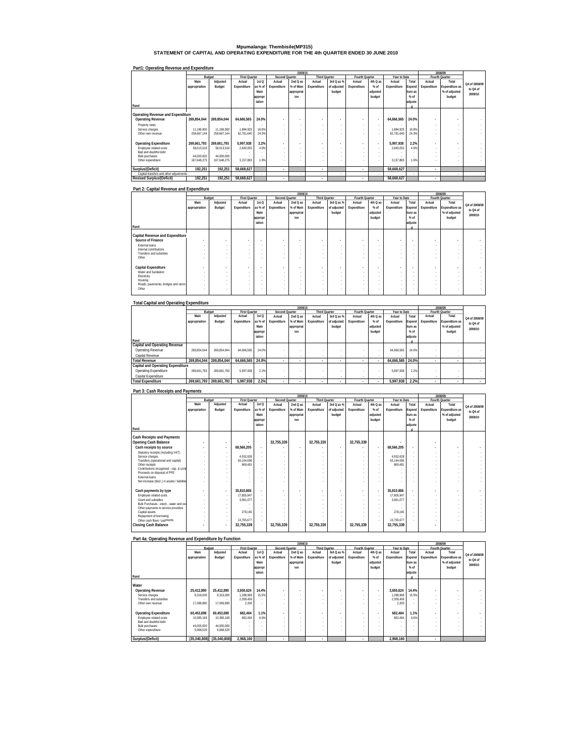# **Mpumalanga: Thembisile(MP315) STATEMENT OF CAPITAL AND OPERATING EXPENDITURE FOR THE 4th QUARTER ENDED 30 JUNE 2010**

| Part1: Operating Revenue and Expenditure |               |             |                      |                  |                          |                          |                          |                |                          |                          |              |          |                          |                |               |
|------------------------------------------|---------------|-------------|----------------------|------------------|--------------------------|--------------------------|--------------------------|----------------|--------------------------|--------------------------|--------------|----------|--------------------------|----------------|---------------|
|                                          |               |             |                      |                  |                          | 2009/10                  |                          |                |                          |                          |              |          |                          | 2008/09        |               |
|                                          |               | Budget      | <b>First Quarter</b> |                  | Second Quarter           |                          | <b>Third Quarter</b>     |                | Fourth Quarter           |                          | Year to Date |          |                          | Fourth Quarter |               |
|                                          | Main          | Adjusted    | Actual               | 1st <sub>O</sub> | Actual                   | 2nd Q as                 | Actual                   | 3rd Q as %     | Actual                   | 4th Q as                 | Actual       | Total    | Actual                   | Total          |               |
|                                          | appropriation | Budget      | Expenditure          | as % of          | Expenditure              | % of Main                | Expenditure              | of adjusted    | Expenditure              | $%$ of                   | Expenditure  | Expend   | Expenditure              | Expenditure as | Q4 of 2008/09 |
|                                          |               |             |                      | Main             |                          | appropriat               |                          | budget         |                          | adjusted                 |              | iture as |                          | % of adjusted  | to Q4 of      |
|                                          |               |             |                      |                  |                          |                          |                          |                |                          |                          |              | $%$ of   |                          |                | 2009/10       |
|                                          |               |             |                      | appropr          |                          | ion                      |                          |                |                          | budget                   |              |          |                          | budget         |               |
|                                          |               |             |                      | iation           |                          |                          |                          |                |                          |                          |              | adjuste  |                          |                |               |
| Rand                                     |               |             |                      |                  |                          |                          |                          |                |                          |                          |              |          |                          |                |               |
| Operating Revenue and Expenditure        |               |             |                      |                  |                          |                          |                          |                |                          |                          |              |          |                          |                |               |
|                                          | 269.854.044   | 269.854.044 | 64.666.565           | 24.0%            |                          |                          |                          |                |                          |                          |              | 24.0%    |                          |                |               |
| <b>Operating Revenue</b>                 |               |             |                      |                  | $\overline{a}$           | $\overline{\phantom{a}}$ | $\overline{\phantom{a}}$ |                | $\overline{\phantom{a}}$ | $\overline{\phantom{a}}$ | 64,666,565   |          |                          |                |               |
| Property rates                           |               |             |                      |                  | $\sim$                   |                          | $\sim$                   | ×.             | $\sim$                   | ×.                       |              |          | ×.                       |                |               |
| Service charges                          | 11.186.900    | 11.186.900  | 1.884.925            | 16.8%            | $\sim$                   |                          | . .                      |                |                          | ×.                       | 1.884.925    | 16.8%    |                          |                |               |
| Other own revenue                        | 258.667.144   | 258.667.144 | 62.781.640           | 24.3%            | ×.                       |                          | $\overline{\phantom{a}}$ |                |                          | ×.                       | 62,781,640   | 24.3%    |                          |                |               |
|                                          |               |             |                      |                  |                          |                          |                          |                |                          |                          |              |          |                          |                |               |
| <b>Operating Expenditure</b>             | 269.661.793   | 269.661.793 | 5.997.938            | 2.2%             | $\overline{\phantom{a}}$ | $\overline{\phantom{a}}$ | $\overline{\phantom{a}}$ | $\overline{a}$ | ٠                        | $\overline{\phantom{a}}$ | 5.997.938    | 2.2%     | $\overline{\phantom{a}}$ |                |               |
| Employee related costs                   | 58,013,518    | 58.013.518  | 2.840.055            | 4.9%             | $\sim$                   |                          | $\overline{\phantom{a}}$ | ×.             | $\sim$                   | ×.                       | 2.840.055    | 4.9%     | ×.                       |                |               |
| Bad and doubtful debt                    |               |             |                      |                  |                          |                          | . .                      |                |                          |                          |              |          |                          |                |               |
| <b>Bulk purchases</b>                    | 44.000.000    | 44.000.000  |                      |                  |                          |                          | . .                      |                |                          |                          |              |          |                          |                |               |
| Other expenditure                        | 167.648.275   | 167.648.275 | 3.157.883            | 1.9%             | ×.                       |                          | $\overline{\phantom{a}}$ |                |                          | ×.                       | 3.157.883    | 1.9%     |                          |                |               |
|                                          |               |             |                      |                  |                          |                          |                          |                |                          |                          |              |          |                          |                |               |
| Surplus/(Deficit)                        | 192.251       | 192.251     | 58.668.627           |                  | $\overline{\phantom{a}}$ |                          | $\overline{\phantom{a}}$ |                | ۰.                       |                          | 58.668.627   |          | ٠                        |                |               |
| Capital transfers and other adjustments  |               |             |                      |                  |                          |                          |                          | ٠              |                          |                          |              |          |                          |                | $\sim$        |
| <b>Revised Surplus/(Deficit)</b>         | 192,251       | 192,251     | 58,668,627           |                  | $\overline{\phantom{a}}$ |                          | ٠                        |                | ٠                        |                          | 58,668,627   |          | ٠                        |                |               |

### **Part 2: Capital Revenue and Expenditure**

|                                     |               |                          |                      |                          |                          | 2009/10                  |                          |             |                          |          |                          |                          |                          | 2008/09        |                          |
|-------------------------------------|---------------|--------------------------|----------------------|--------------------------|--------------------------|--------------------------|--------------------------|-------------|--------------------------|----------|--------------------------|--------------------------|--------------------------|----------------|--------------------------|
|                                     |               | Budget                   | <b>First Quarter</b> |                          | Second Quarter           |                          | <b>Third Quarter</b>     |             | Fourth Quarter           |          | Year to Date             |                          |                          | Fourth Quarter |                          |
|                                     | Main          | Adjusted                 | Actual               | 1st <sub>O</sub>         | Actual                   | $2ndQ$ as                | Actual                   | 3rd Q as %  | Actual                   | 4th Q as | Actual                   | Total                    | Actual                   | Total          | Q4 of 2008/09            |
|                                     | appropriation | Budget                   | Expenditure          | as % of                  | Expenditure              | % of Main                | Expenditure              | of adjusted | Expenditure              | $%$ of   | Expenditure              | Expend                   | Expenditure              | Expenditure as |                          |
|                                     |               |                          |                      | Main                     |                          | appropriat               |                          | budget      |                          | adjusted |                          | iture as                 |                          | % of adjusted  | to Q4 of                 |
|                                     |               |                          |                      | appropr                  |                          | ion                      |                          |             |                          | budget   |                          | $%$ of                   |                          | budget         | 2009/10                  |
|                                     |               |                          |                      | iation                   |                          |                          |                          |             |                          |          |                          | adjuste                  |                          |                |                          |
| Rand                                |               |                          |                      |                          |                          |                          |                          |             |                          |          |                          |                          |                          |                |                          |
|                                     |               |                          |                      |                          |                          |                          |                          |             |                          |          |                          |                          |                          |                |                          |
| Capital Revenue and Expenditure     |               |                          |                      |                          |                          |                          |                          |             |                          |          |                          |                          |                          |                |                          |
| Source of Finance                   | $\sim$        | $\overline{\phantom{a}}$ | $\sim$               | $\overline{\phantom{a}}$ | $\blacksquare$           | ٠                        | $\overline{\phantom{a}}$ |             | $\overline{\phantom{a}}$ |          |                          | $\overline{\phantom{a}}$ | ۰                        |                | $\overline{\phantom{a}}$ |
| External loans                      |               | $\sim$                   | . .                  | $\overline{\phantom{a}}$ | ٠                        | $\sim$                   | ×.                       | ×.          | $\sim$                   | ×.       | ×.                       | - 1                      | $\sim$                   |                | ٠                        |
| Internal contributions              |               | $\sim$                   |                      | $\sim$                   | ٠                        | $\sim$                   | ×.                       |             | $\sim$                   |          | $\sim$                   |                          | $\sim$                   |                |                          |
| Transfers and subsidies             |               | $\sim$                   |                      | $\overline{\phantom{a}}$ | ٠                        | $\sim$                   | ×.                       | ×.          | $\sim$                   | ×.       | ×.                       | - 1                      | $\sim$                   |                | ×.                       |
| Other                               |               |                          |                      | $\sim$                   | ٠                        | $\sim$                   | $\sim$                   |             |                          |          |                          |                          | ٠                        |                | ÷.                       |
|                                     |               |                          |                      |                          |                          |                          |                          |             |                          |          |                          |                          |                          |                |                          |
| Capital Expenditure                 |               | $\overline{\phantom{a}}$ | $\sim$               | ٠                        | $\overline{\phantom{a}}$ | $\overline{\phantom{a}}$ | $\overline{\phantom{a}}$ |             | $\overline{\phantom{a}}$ |          | $\overline{\phantom{a}}$ | $\blacksquare$           | $\overline{\phantom{a}}$ | ٠              | $\overline{\phantom{a}}$ |
| Water and Sanitation                |               | ٠                        | . .                  | $\sim$                   | ٠                        | $\sim$                   | $\sim$                   |             | $\sim$                   |          | $\sim$                   |                          | $\sim$                   |                | ۰                        |
| Electricity                         |               | $\sim$                   |                      | $\overline{\phantom{a}}$ | ٠                        | $\sim$                   | ×.                       |             |                          |          | $\sim$                   |                          | $\sim$                   |                | $\sim$                   |
| Housing                             |               |                          | . .                  | $\sim$                   | ٠                        | $\sim$                   |                          |             |                          |          | $\sim$                   |                          | $\sim$                   |                | ۰                        |
| Roads, pavements, bridges and storm |               |                          | $\sim$               | $\sim$                   | ٠                        | $\sim$                   | ×.                       |             |                          |          | $\sim$                   |                          | $\sim$                   |                | ×.                       |
| Other                               |               |                          |                      | ٠                        |                          |                          | $\sim$                   |             |                          |          |                          |                          | ٠                        |                | ×.                       |
|                                     |               |                          |                      |                          |                          |                          |                          |             |                          |          |                          |                          |                          |                |                          |

| <b>Total Capital and Operating Expenditure</b> |               |             |                      |                  |                |            |                      |             |                |          |              |          |             |                |               |
|------------------------------------------------|---------------|-------------|----------------------|------------------|----------------|------------|----------------------|-------------|----------------|----------|--------------|----------|-------------|----------------|---------------|
|                                                |               |             |                      |                  |                | 2009/10    |                      |             |                |          |              |          |             | 2008/09        |               |
|                                                |               | Budget      | <b>First Quarter</b> |                  | Second Quarter |            | <b>Third Quarter</b> |             | Fourth Quarter |          | Year to Date |          |             | Fourth Quarter |               |
|                                                | Main          | Adjusted    | Actual               | 1st <sub>O</sub> | Actual         | 2nd Q as   | Actual               | 3rd Q as %  | Actual         | 4th Q as | Actual       | Total    | Actual      | Total          | Q4 of 2008/09 |
|                                                | appropriation | Budget      | Expenditure          | as % of          | Expenditure    | % of Main  | Expenditure          | of adjusted | Expenditure    | $%$ of   | Expenditure  | Expend   | Expenditure | Expenditure as |               |
|                                                |               |             |                      | Main             |                | appropriat |                      | budget      |                | adjusted |              | iture as |             | % of adjusted  | to Q4 of      |
|                                                |               |             |                      | appropr          |                | inn        |                      |             |                | budget   |              | $%$ of   |             | budget         | 2009/10       |
|                                                |               |             |                      | iation           |                |            |                      |             |                |          |              | adjuste  |             |                |               |
| Rand                                           |               |             |                      |                  |                |            |                      |             |                |          |              |          |             |                |               |
| Capital and Operating Revenue                  |               |             |                      |                  |                |            |                      |             |                |          |              |          |             |                |               |
| Operating Revenue                              | 269.854.044   | 269.854.044 | 64.666.565           | 24.0%            |                |            |                      |             |                |          | 64.666.565   | 24.0%    |             |                |               |
| Capital Revenue                                |               |             |                      |                  |                |            |                      |             |                | $\sim$   |              |          |             |                |               |
| <b>Total Revenue</b>                           | 269.854.044   | 269.854.044 | 64.666.565           | 24.0%            | $\mathbf{r}$   | ٠          | ٠                    | ٠           |                |          | 64.666.565   | 24.0%    |             |                |               |
| Capital and Operating Expenditure              |               |             |                      |                  |                |            |                      |             |                |          |              |          |             |                |               |
| Operating Expenditure                          | 269.661.793   | 269.661.793 | 5.997.938            | 2.2%             |                |            |                      |             |                |          | 5.997.938    | 2.2%     |             |                |               |
| Capital Expenditure                            |               |             |                      |                  |                |            | . .                  |             |                | $\sim$   |              |          | $\sim$      |                |               |
| <b>Total Expenditure</b>                       | 269.661.793   | 269.661.793 | 5.997.938            | 2.2%             | $\mathbf{r}$   |            | ٠                    | ٠           |                |          | 5.997.938    | 2.2%     | ٠           |                |               |

### **Part 3: Cash Receipts and Payments**

|                                             |               |          |                      |                          |                | 2009/10                  |                      |             |                |          |              |                | 2008/09        |                |               |
|---------------------------------------------|---------------|----------|----------------------|--------------------------|----------------|--------------------------|----------------------|-------------|----------------|----------|--------------|----------------|----------------|----------------|---------------|
|                                             | Budget        |          | <b>First Quarter</b> |                          | Second Quarter |                          | <b>Third Quarter</b> |             | Fourth Quarter |          | Year to Date |                | Fourth Quarter |                |               |
|                                             | Main          | Adjusted | Actual               | 1st Q                    | Actual         | $2ndQ$ as                | Actual               | 3rd Q as %  | Actual         | 4th Q as | Actual       | Total          | Actual         | Total          | O4 of 2008/09 |
|                                             | appropriation | Budget   | Expenditure          | as % of                  | Expenditure    | % of Main                | Expenditure          | of adjusted | Expenditure    | $%$ of   | Expenditure  | Expend         | Expenditure    | Expenditure as |               |
|                                             |               |          |                      | Main                     |                | appropriat               |                      | budget      |                | adjusted |              | iture as       |                | % of adjusted  | to Q4 of      |
|                                             |               |          |                      |                          |                | ion                      |                      |             |                | budget   |              | $%$ of         |                | budget         | 2009/10       |
|                                             |               |          |                      | appropr                  |                |                          |                      |             |                |          |              |                |                |                |               |
| Rand                                        |               |          |                      | iation                   |                |                          |                      |             |                |          |              | adjuste        |                |                |               |
|                                             |               |          |                      |                          |                |                          |                      |             |                |          |              |                |                |                |               |
| <b>Cash Receipts and Payments</b>           |               |          |                      |                          |                |                          |                      |             |                |          |              |                |                |                |               |
|                                             |               |          |                      |                          |                |                          |                      |             |                |          |              |                |                |                |               |
| Opening Cash Balance                        |               |          | ٠                    |                          | 32,755,339     |                          | 32,755,339           |             | 32,755,339     |          |              |                |                |                |               |
| Cash receipts by source                     |               | ٠        | 68,566,205           | $\overline{a}$           |                | $\overline{\phantom{a}}$ |                      |             |                |          | 68,566,205   | $\overline{a}$ |                |                |               |
| Statutory receipts (including VAT)          |               | ÷.       |                      | ×.                       |                |                          | ×.                   |             |                |          |              |                |                |                |               |
| Service charges                             |               | ×.       | 4.552.628            |                          |                |                          |                      |             |                |          | 4.552.628    |                |                |                |               |
| Transfers (operational and capital)         |               |          | 63.144.096           |                          |                |                          | ×.                   |             |                |          | 63.144.096   |                |                |                |               |
| Other receipts                              |               |          | 869.481              |                          |                |                          | ×.                   |             |                |          | 869.481      |                |                |                |               |
| Contributions recognised - cap. & cont      |               |          |                      |                          |                |                          |                      |             |                |          |              |                |                |                |               |
| Proceeds on disposal of PPE                 |               |          |                      |                          |                |                          |                      |             |                |          |              |                |                |                |               |
| External loans                              |               |          |                      |                          |                |                          |                      |             |                |          |              |                |                |                |               |
| Net increase (decr.) in assets / liabilitie |               |          |                      |                          |                |                          |                      |             |                |          |              |                |                |                |               |
|                                             |               |          |                      |                          |                |                          |                      |             |                |          |              |                |                |                |               |
| Cash payments by type                       |               | ٠        | 35,810,866           | $\overline{\phantom{a}}$ |                | ÷                        |                      |             |                |          | 35,810,866   | $\overline{a}$ |                |                |               |
| Employee related costs                      |               |          | 17,805.947           | ×.                       |                |                          | ×.                   |             |                |          | 17.805.947   |                |                |                |               |
| Grant and subsidies                         |               |          | 3.961.077            |                          |                |                          | ×.                   |             |                |          | 3.961.077    |                |                |                |               |
| Bulk Purchases - electr., water and sev     |               |          |                      | $\sim$                   |                |                          | $\sim$               |             |                |          |              |                |                |                |               |
| Other payments to service providers         |               |          |                      |                          |                |                          |                      |             |                |          |              |                |                |                |               |
| Capital assets                              |               |          | 278.165              |                          |                |                          |                      |             |                |          | 278,165      |                |                |                |               |
| Repayment of borrowing                      |               |          |                      |                          |                |                          |                      |             |                |          |              |                |                |                |               |
| Other cash flows / payments                 |               |          | 13.765.677           |                          |                |                          |                      |             |                |          | 13.765.677   |                |                |                |               |
| Closing Cash Balance                        |               |          | 32,755,339           |                          | 32,755,339     |                          | 32,755,339           |             | 32,755,339     |          | 32,755,339   |                |                |                |               |
|                                             |               |          |                      |                          |                |                          |                      |             |                |          |              |                |                |                |               |

| Part 4a: Operating Revenue and Expenditure by Function |               |              |                      |                          |                          |                          |                          |             |                          |                          |              |          |                          |                |               |
|--------------------------------------------------------|---------------|--------------|----------------------|--------------------------|--------------------------|--------------------------|--------------------------|-------------|--------------------------|--------------------------|--------------|----------|--------------------------|----------------|---------------|
|                                                        |               |              |                      |                          |                          | 2009/10                  |                          |             |                          |                          |              |          |                          | 2008/09        |               |
|                                                        | Budget        |              | <b>First Quarter</b> |                          | Second Quarter           |                          | <b>Third Quarter</b>     |             | Fourth Quarter           |                          | Year to Date |          |                          | Fourth Quarter |               |
|                                                        | Main          | Adjusted     | Actual               | 1st <sub>O</sub>         | Actual                   | 2nd Q as                 | Actual                   | 3rd Q as %  | Actual                   | 4th Q as                 | Actual       | Total    | Actual                   | Total          |               |
|                                                        | appropriation | Budget       | Expenditure          | as % of                  | Expenditure              | % of Main                | Expenditure              | of adjusted | Expenditure              | $%$ of                   | Expenditure  | Expend   | Expenditure              | Expenditure as | Q4 of 2008/09 |
|                                                        |               |              |                      | Main                     |                          | lappropriat              |                          | budget      |                          | adjusted                 |              | iture as |                          | % of adjusted  | to Q4 of      |
|                                                        |               |              |                      |                          |                          | ion                      |                          |             |                          | budget                   |              | $%$ of   |                          | budget         | 2009/10       |
|                                                        |               |              |                      | appropr                  |                          |                          |                          |             |                          |                          |              |          |                          |                |               |
|                                                        |               |              |                      | iation                   |                          |                          |                          |             |                          |                          |              | adjuste  |                          |                |               |
| Rand                                                   |               |              |                      |                          |                          |                          |                          |             |                          |                          |              |          |                          |                |               |
| Water                                                  |               |              |                      |                          |                          |                          |                          |             |                          |                          |              |          |                          |                |               |
| <b>Operating Revenue</b>                               | 25.412.890    | 25.412.890   | 3.650.624            | 14.4%                    | $\overline{\phantom{a}}$ | $\overline{\phantom{a}}$ | $\sim$                   |             | ٠                        | $\overline{\phantom{a}}$ | 3.650.624    | 14.4%    | ٠                        |                |               |
| Service charges                                        | 8.316.000     | 8.316.000    | 1.288.968            | 15.5%                    | <b>м.</b>                | $\sim$                   | ×.                       | $\sim$      | $\sim$                   | . .                      | 1,288.968    | 15.5%    | $\overline{\phantom{a}}$ |                |               |
| Transfers and subsidies                                |               |              | 2.359.456            | $\overline{\phantom{a}}$ | <b>м.</b>                | $\sim$                   | $\sim$                   |             | $\sim$                   | ×.                       | 2.359.456    |          | $\overline{\phantom{a}}$ |                |               |
| Other own revenue                                      | 17.096.890    | 17.096.890   | 2.200                |                          |                          |                          | $\sim$                   |             |                          |                          | 2.200        |          | ٠                        |                |               |
|                                                        |               |              |                      |                          |                          |                          |                          |             |                          |                          |              |          |                          |                |               |
| <b>Operating Expenditure</b>                           | 60.453.698    | 60.453.698   | 682.464              | 1.1%                     | $\overline{\phantom{a}}$ | ÷                        | $\overline{\phantom{a}}$ | ٠           | $\overline{\phantom{a}}$ | $\overline{\phantom{a}}$ | 682.464      | 1.1%     | ٠                        |                |               |
| Employee related costs                                 | 10.385.169    | 10.385.169   | 682.464              | 6.6%                     | <b>м.</b>                | $\sim$                   | $\sim$                   | ×.          | $\overline{\phantom{a}}$ | ×.                       | 682.464      | 6.6%     | $\overline{\phantom{a}}$ |                |               |
| Rad and doubtful debt                                  |               |              | ٠                    | $\overline{\phantom{a}}$ | <b>м.</b>                | $\sim$                   | ×.                       | ×.          | $\sim$                   | ×.                       |              |          | $\overline{\phantom{a}}$ |                |               |
| <b>Bulk purchases</b>                                  | 44.000.000    | 44.000.000   | ٠                    |                          |                          |                          | $\sim$                   |             |                          |                          |              |          | ٠                        |                |               |
| Other expenditure                                      | 6.068.529     | 6.068.529    | ٠                    |                          |                          |                          | $\sim$                   |             |                          |                          |              |          | ٠                        |                |               |
|                                                        |               |              |                      |                          |                          |                          |                          |             |                          |                          |              |          |                          |                |               |
| Surplus/(Deficit)                                      | (35.040.808)  | (35.040.808) | 2.968.160            |                          | $\mathbf{r}$             |                          | $\sim$                   |             | ٠                        |                          | 2.968.160    |          |                          |                |               |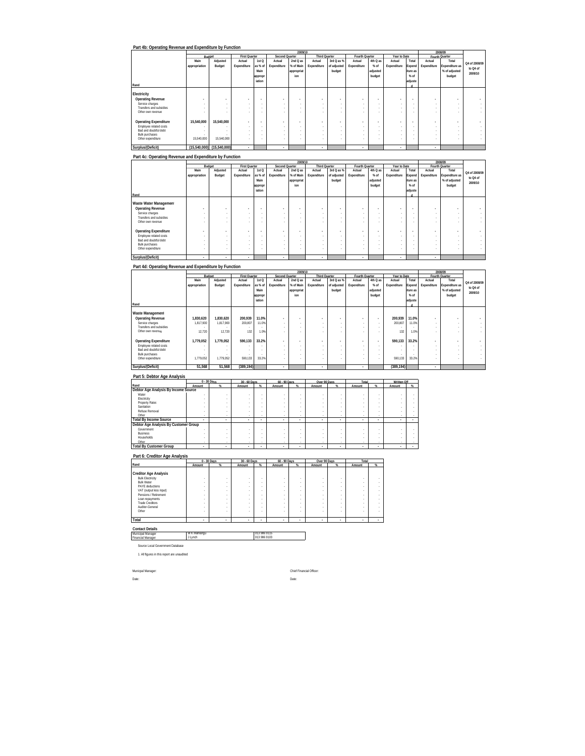| Part 4b: Operating Revenue and Expenditure by Function |               |                          |                          |                          |                |                          |                      |             |                          |          |              |                          |             |                |               |
|--------------------------------------------------------|---------------|--------------------------|--------------------------|--------------------------|----------------|--------------------------|----------------------|-------------|--------------------------|----------|--------------|--------------------------|-------------|----------------|---------------|
|                                                        |               |                          |                          |                          |                | 2009/10                  |                      |             |                          |          |              |                          |             | 2008/09        |               |
|                                                        |               | Budget                   | <b>First Quarter</b>     |                          | Second Quarter |                          | <b>Third Quarter</b> |             | Fourth Quarter           |          | Year to Date |                          |             | Fourth Quarter |               |
|                                                        | Main          | Adjusted                 | Actual                   | 1st <sub>O</sub>         | Actual         | $2ndQ$ as                | Actual               | 3rd Q as %  | Actual                   | 4th Q as | Actual       | Total                    | Actual      | Total          | Q4 of 2008/09 |
|                                                        | appropriation | Budget                   | Expenditure              | as % of                  | Expenditure    | % of Main                | Expenditure          | of adjusted | Expenditure              | $%$ of   | Expenditure  | Expend                   | Expenditure | Expenditure as |               |
|                                                        |               |                          |                          | Main                     |                | appropriat               |                      | budget      |                          | adjusted |              | iture as                 |             | % of adjusted  | to Q4 of      |
|                                                        |               |                          |                          | appropr                  |                | ion                      |                      |             |                          | budget   |              | $%$ of                   |             | budget         | 2009/10       |
|                                                        |               |                          |                          | iation                   |                |                          |                      |             |                          |          |              | adjuste                  |             |                |               |
| Rand                                                   |               |                          |                          |                          |                |                          |                      |             |                          |          |              |                          |             |                |               |
| Electricity                                            |               |                          |                          |                          |                |                          |                      |             |                          |          |              |                          |             |                |               |
| <b>Operating Revenue</b>                               |               | $\overline{\phantom{a}}$ | $\overline{\phantom{a}}$ | $\overline{\phantom{a}}$ |                | $\overline{\phantom{a}}$ | $\overline{a}$       |             | $\overline{\phantom{a}}$ |          |              | $\overline{\phantom{a}}$ |             | ٠              |               |
| Service charges                                        |               | $\sim$                   | ×.                       | ×.                       | ×.             | $\sim$                   | ×.                   |             |                          | $\sim$   |              | $\sim$                   | $\sim$      |                |               |
| Transfers and subsidies                                |               |                          |                          | ×.                       |                | -                        | $\sim$               |             |                          |          |              |                          | $\sim$      |                |               |
| Other own revenue                                      |               |                          |                          |                          |                |                          | ٠                    |             |                          |          |              |                          |             |                |               |
|                                                        |               |                          |                          |                          |                |                          |                      |             |                          |          |              |                          |             |                |               |
| <b>Operating Expenditure</b>                           | 15,540,000    | 15,540,000               | $\overline{\phantom{a}}$ | $\overline{\phantom{a}}$ |                | $\overline{\phantom{a}}$ | $\overline{a}$       |             |                          |          |              | $\blacksquare$           |             | ٠              |               |
| Employee related costs                                 |               |                          |                          | ٠                        |                | -                        | $\sim$               |             |                          |          |              |                          | $\sim$      |                |               |
| Bad and doubtful debt                                  |               |                          | ×.                       | ×.                       | ×.             | $\sim$                   | $\sim$               |             |                          |          |              |                          | $\sim$      |                |               |
| <b>Bulk purchases</b>                                  |               |                          | ×.                       | $\overline{\phantom{a}}$ | ×.             | $\sim$                   | $\sim$               |             |                          |          |              | ٠.                       | $\sim$      |                |               |
| Other expenditure                                      | 15.540.000    | 15.540.000               |                          | ٠                        |                | ٠                        | $\sim$               |             |                          |          |              |                          |             |                |               |
| Surplus/(Deficit)                                      | (15.540.000)  | (15,540,000)             | $\mathbf{r}$             |                          | ٠              |                          |                      |             | ٠                        |          | ٠            |                          |             |                |               |

|                              |               |          |                          |                          |                | 2009/10                  |                      |             |                |          |                          |                          |             | 2008/09                  |                          |
|------------------------------|---------------|----------|--------------------------|--------------------------|----------------|--------------------------|----------------------|-------------|----------------|----------|--------------------------|--------------------------|-------------|--------------------------|--------------------------|
|                              |               | Budget   | <b>First Quarter</b>     |                          | Second Quarter |                          | <b>Third Quarter</b> |             | Fourth Quarter |          | Year to Date             |                          |             | Fourth Quarter           |                          |
|                              | Main          | Adjusted | Actual                   | 1st Q                    | Actual         | 2nd Q as                 | Actual               | 3rd Q as %  | Actual         | 4th Q as | Actual                   | Total                    | Actual      | Total                    | Q4 of 2008/09            |
|                              | appropriation | Budget   | Expenditure              | as % of                  | Expenditure    | % of Main                | Expenditure          | of adjusted | Expenditure    | $%$ of   | Expenditure              | Expend                   | Expenditure | Expenditure as           |                          |
|                              |               |          |                          | Main                     |                | appropriat               |                      | budget      |                | adjusted |                          | iture as                 |             | % of adjusted            | to Q4 of                 |
|                              |               |          |                          | appropr                  |                | ion                      |                      |             |                | budget   |                          | $%$ of                   |             | budget                   | 2009/10                  |
|                              |               |          |                          | iation                   |                |                          |                      |             |                |          |                          |                          |             |                          |                          |
| Rand                         |               |          |                          |                          |                |                          |                      |             |                |          |                          | adjuste                  |             |                          |                          |
|                              |               |          |                          |                          |                |                          |                      |             |                |          |                          |                          |             |                          |                          |
| Waste Water Management       |               |          |                          |                          |                |                          |                      |             |                |          |                          |                          |             |                          |                          |
| <b>Operating Revenue</b>     |               | ۰        | $\overline{\phantom{a}}$ | $\overline{\phantom{a}}$ | $\sim$         | $\overline{\phantom{a}}$ | $\sim$               |             | $\sim$         |          | $\sim$                   | $\overline{\phantom{a}}$ |             | $\overline{\phantom{a}}$ | $\overline{\phantom{a}}$ |
| Service charges              | $\sim$        | . .      | . .                      | ٠.                       |                | $\sim$                   | $\sim$               |             | $\sim$         |          | . .                      |                          | $\sim$      |                          |                          |
| Transfers and subsidies      | $\sim$        | . .      | $\sim$                   | ٠.                       |                | $\sim$                   | ×.                   |             |                |          |                          |                          |             |                          | ÷.                       |
| Other own revenue            |               |          |                          | ٠                        | ٠              | ٠                        | $\sim$               |             |                |          |                          |                          |             |                          |                          |
|                              |               |          |                          |                          |                |                          |                      |             |                |          |                          |                          |             |                          |                          |
| <b>Operating Expenditure</b> | ۰             | ۰        | $\overline{\phantom{a}}$ | $\overline{\phantom{a}}$ |                | $\overline{\phantom{a}}$ | $\sim$               |             |                |          |                          | $\overline{\phantom{a}}$ | ۰           | ۰                        | $\overline{\phantom{a}}$ |
| Employee related costs       | $\sim$        | . .      |                          | ٠.                       |                | $\sim$                   | ×.                   |             | $\sim$         |          |                          |                          | ×.          |                          | ٠                        |
| Bad and doubtful debt        | $\sim$        |          |                          | ٠.                       | ×.             | $\sim$                   | $\sim$               |             |                | $\sim$   |                          |                          | $\sim$      |                          | ٠                        |
| <b>Bulk purchases</b>        | $\sim$        |          |                          | ٠.                       |                | $\sim$                   | ×.                   |             |                |          |                          |                          | $\sim$      |                          | ۰                        |
| Other expenditure            |               |          | $\sim$                   | ٠                        |                | -                        | ×.                   |             |                |          |                          |                          |             |                          |                          |
|                              |               |          |                          |                          |                |                          |                      |             |                |          |                          |                          |             |                          |                          |
| Surplus/(Deficit)            | ٠             | ٠        | ٠                        |                          | ٠              |                          |                      |             |                |          | $\overline{\phantom{a}}$ |                          | ٠           |                          |                          |

### **Part 4d: Operating Revenue and Expenditure by Function**

|                              |                          |           |                      |                  |                          | 2009/10                  |                          |             |                          |                          |              |          |                          | 2008/09        |               |
|------------------------------|--------------------------|-----------|----------------------|------------------|--------------------------|--------------------------|--------------------------|-------------|--------------------------|--------------------------|--------------|----------|--------------------------|----------------|---------------|
|                              | Budget                   |           | <b>First Quarter</b> |                  | Second Quarter           |                          | <b>Third Quarter</b>     |             | Fourth Quarter           |                          | Year to Date |          |                          | Fourth Quarter |               |
|                              | Main                     | Adjusted  | Actual               | 1st <sub>O</sub> | Actual                   | $2ndQ$ as                | Actual                   | 3rd Q as %  | Actual                   | 4th Q as                 | Actual       | Total    | Actual                   | Total          | Q4 of 2008/09 |
|                              | appropriation            | Budget    | Expenditure          | as % of          | Expenditure              | % of Main                | Expenditure              | of adjusted | Expenditure              | $%$ of                   | Expenditure  | Expend   | Expenditure              | Expenditure as |               |
|                              |                          |           |                      | Main             |                          | appropriat               |                          | budget      |                          | adjusted                 |              | iture as |                          | % of adjusted  | to Q4 of      |
|                              |                          |           |                      | appropr          |                          | ion                      |                          |             |                          | budget                   |              | $%$ of   |                          | budget         | 2009/10       |
|                              |                          |           |                      | iation           |                          |                          |                          |             |                          |                          |              | adjuste  |                          |                |               |
| Rand                         |                          |           |                      |                  |                          |                          |                          |             |                          |                          |              |          |                          |                |               |
|                              |                          |           |                      |                  |                          |                          |                          |             |                          |                          |              |          |                          |                |               |
| Waste Management             |                          |           |                      |                  |                          |                          |                          |             |                          |                          |              |          |                          |                |               |
| <b>Operating Revenue</b>     | 1.830.620                | 1.830.620 | 200.939              | 11.0%            | $\overline{\phantom{a}}$ | ٠                        | $\overline{\phantom{a}}$ |             |                          | $\overline{\phantom{a}}$ | 200.939      | 11.0%    | $\overline{\phantom{a}}$ |                |               |
| Service charges              | 1.817.900                | 1.817.900 | 200,807              | 11.0%            | ×.                       | $\sim$                   | $\sim$                   |             | $\sim$                   |                          | 200.807      | 11.0%    | ×.                       | ٠              |               |
| Transfers and subsidies.     |                          |           |                      | $\sim$           | ×.                       | $\overline{\phantom{a}}$ | $\overline{\phantom{a}}$ | $\sim$      | $\overline{\phantom{a}}$ | ×.                       |              |          | ×.                       | ٠              |               |
| Other own revenue            | 12.720                   | 12.720    | 132                  | 1.0%             | ×.                       |                          | $\sim$                   |             |                          |                          | 132          | 1.0%     |                          |                |               |
|                              |                          |           |                      |                  |                          |                          |                          |             |                          |                          |              |          |                          |                |               |
| <b>Operating Expenditure</b> | 1.779.052                | 1.779.052 | 590.133              | 33.2%            | $\overline{\phantom{a}}$ | ٠                        | $\overline{\phantom{a}}$ |             | $\sim$                   | $\overline{\phantom{a}}$ | 590.133      | 33.2%    | ٠                        |                |               |
| Employee related costs       | ٠                        |           |                      | $\sim$           |                          | $\sim$                   | $\sim$                   |             | $\sim$                   |                          |              |          | ×.                       | ٠              |               |
| Bad and doubtful debt        | $\overline{\phantom{a}}$ |           | ×.                   | $\sim$           | ×.                       | $\sim$                   | $\sim$                   | $\sim$      | $\sim$                   |                          |              |          | ×.                       |                |               |
| <b>Bulk purchases</b>        |                          |           |                      | $\sim$           | ×.                       | ٠                        | $\overline{\phantom{a}}$ |             | $\sim$                   |                          |              |          | ×.                       | ٠              |               |
| Other expenditure            | 1.779.052                | 1.779.052 | 590,133              | 33.2%            |                          |                          | $\sim$                   |             |                          |                          | 590,133      | 33.2%    | ×.                       |                |               |
| Surplus/(Deficit)            | 51.568                   | 51.568    | (389.194)            |                  | ٠                        |                          | ٠                        |             |                          |                          | (389.194)    |          |                          |                |               |

### **Part 5: Debtor Age Analysis**

|                                       |        | 0 - 30 Days | 30 - 60 Days |        | 60 - 90 Days |        | Over 90 Days |   | Total  |    | <b>Written Off</b>       |          |
|---------------------------------------|--------|-------------|--------------|--------|--------------|--------|--------------|---|--------|----|--------------------------|----------|
| Rand                                  | Amount |             | Amount       |        | Amount       |        | Amount       |   | Amount | Q' | Amount                   | $\alpha$ |
| Debtor Age Analysis By Income Source  |        |             |              |        |              |        |              |   |        |    |                          |          |
| Water                                 |        |             |              |        |              |        |              |   |        |    |                          |          |
| Electricity                           |        |             | ٠            |        | ٠            |        |              |   |        |    |                          |          |
| <b>Property Rates</b>                 |        |             |              |        | ٠            |        |              |   |        |    |                          |          |
| Sanitation                            |        |             |              |        | ٠            |        |              |   |        |    |                          |          |
| Refuse Removal                        |        |             |              |        |              |        |              |   |        |    |                          |          |
| Other                                 |        |             | ٠            | ٠      |              | $\sim$ | ٠            |   | $\sim$ |    |                          |          |
| <b>Total By Income Source</b>         |        | ٠           | ٠            |        |              | ٠      |              | ٠ |        |    | $\overline{\phantom{a}}$ |          |
| Debtor Age Analysis By Customer Group |        |             |              |        |              |        |              |   |        |    |                          |          |
| Government                            |        |             |              |        |              |        |              |   |        |    |                          |          |
| <b>Business</b>                       |        |             |              |        | ٠            |        |              |   |        |    |                          |          |
| Households                            |        |             |              |        | ٠            |        |              |   |        |    |                          |          |
| Other                                 |        |             | ٠.           | $\sim$ | ٠            | $\sim$ | ٠            |   | $\sim$ |    |                          |          |
| <b>Total By Customer Group</b>        | ٠      | ٠           | ٠            |        | ٠            | ٠      | ٠            |   | ٠      | ٠  | ٠                        |          |

### **Part 6: Creditor Age Analysis**

|                                                                                                                                                                                                                              |        | 0 - 30 Days                | 30 - 60 Days                                                                 |                                                          | 60 - 90 Days |        | Over 90 Days                              |    | Total                           |                |
|------------------------------------------------------------------------------------------------------------------------------------------------------------------------------------------------------------------------------|--------|----------------------------|------------------------------------------------------------------------------|----------------------------------------------------------|--------------|--------|-------------------------------------------|----|---------------------------------|----------------|
| Rand                                                                                                                                                                                                                         | Amount | ٩ċ                         | Amount                                                                       | %                                                        | Amount       | 化      | Amount                                    | qc | Amount                          | $\mathsf{Q}_n$ |
| <b>Creditor Age Analysis</b><br><b>Bulk Electricity</b><br><b>Bulk Water</b><br>PAYE deductions<br>VAT (output less input)<br>Pensions / Retirement<br>Loan repayments<br><b>Trade Creditors</b><br>Auditor-General<br>Other |        | ٠<br>٠<br>٠<br>٠<br>٠<br>٠ | ٠<br>$\sim$<br>$\sim$<br>$\sim$<br>$\sim$<br>$\sim$<br>$\sim$<br>$\sim$<br>٠ | ٠<br>٠<br>$\sim$<br>٠<br>٠<br>$\sim$<br>$\sim$<br>٠<br>٠ | ٠            | ٠<br>٠ | ٠<br>٠<br>٠<br>٠<br>٠<br>٠<br>٠<br>٠<br>٠ |    | ٠<br>٠<br>٠<br>٠<br>٠<br>٠<br>٠ |                |
| Total                                                                                                                                                                                                                        |        | ٠                          | ٠                                                                            | ٠                                                        | ٠            | ٠      | ٠                                         | ٠  | ٠                               | $\sim$         |

#### **Contact Details** Municipal Manager

Financial Man W K Mahlangu 013 986 9115 J Lynch 013 986 9103

Source Local Government Database

1. All figures in this report are unaudited

Municpal Manager: Chief Financial Officer: Date: Date: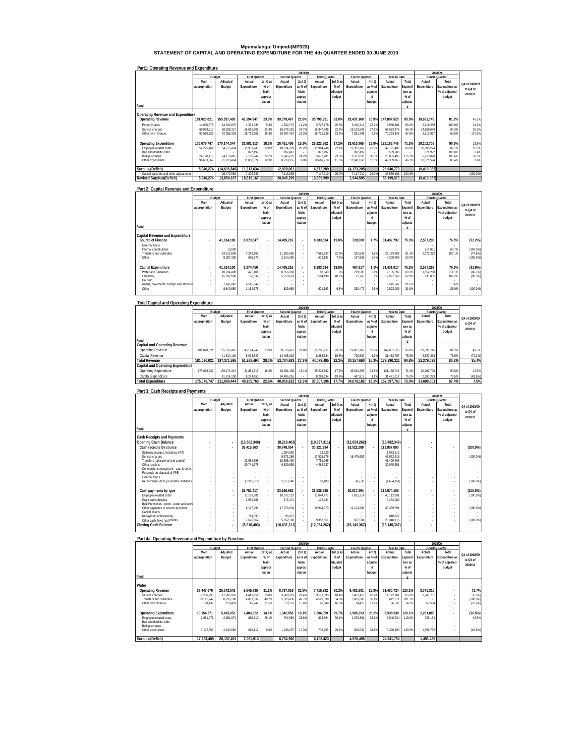# **Mpumalanga: Umjindi(MP323) STATEMENT OF CAPITAL AND OPERATING EXPENDITURE FOR THE 4th QUARTER ENDED 30 JUNE 2010**

#### **Part1: Operating Revenue and Expenditure**

|                                         |               |              |                      |          |                | 2009/10 |                      |          |                |         |              |         |             | 2008/09        |               |
|-----------------------------------------|---------------|--------------|----------------------|----------|----------------|---------|----------------------|----------|----------------|---------|--------------|---------|-------------|----------------|---------------|
|                                         | Budget        |              | <b>First Quarter</b> |          | Second Quarter |         | <b>Third Quarter</b> |          | Fourth Quarter |         | Year to Date |         |             | Fourth Quarter |               |
|                                         | Main          | Adjusted     | Actual               | 1st Q as | Actual         | 2ndQ    | Actual               | 3rd Q as | Actual         | 4th Q   | Actual       | Total   | Actual      | Total          | Q4 of 2008/09 |
|                                         | appropriation | Budget       | Expenditure          | % of     | Expenditure    | as % of | Expenditure          | $%$ of   | Expenditure    | as % of | Expenditure  | Expendi | Expenditure | Expenditure as |               |
|                                         |               |              |                      | Main     |                | Main    |                      | adjusted |                | adjuste |              | ture as |             | % of adjusted  | to Q4 of      |
|                                         |               |              |                      | appropr  |                | approp  |                      | budget   |                |         |              | $%$ of  |             | budget         | 2009/10       |
|                                         |               |              |                      | iation   |                | riation |                      |          |                | budget  |              | adjuste |             |                |               |
| Rand                                    |               |              |                      |          |                |         |                      |          |                |         |              |         |             |                |               |
|                                         |               |              |                      |          |                |         |                      |          |                |         |              |         |             |                |               |
| Operating Revenue and Expenditure       |               |              |                      |          |                |         |                      |          |                |         |              |         |             |                |               |
| <b>Operating Revenue</b>                | 181.020.021   | 155.557.495  | 43.194.947           | 23.9%    | 39.379.467     | 21.8%   | 35.795.951           | 23.0%    | 29.437.160     | 18.9%   | 147.807.525  | 95.0%   | 19.691.745  | 81.2%          | 49.5%         |
| Property rates                          | 14.630.875    | 14.630.875   | 1.373.738            | 9.4%     | 1.632.772      | 11.2%   | 3.727.178            | 25.5%    | 3.246.413      | 22.2%   | 9.980.101    | 68.2%   | 2.918.259   | 100.9%         | 11.2%         |
| Service charges                         | 68.838.317    | 68.838.317   | 16.098.301           | 23.4%    | 16.979.281     | 24.7%   | 15.347.045           | 22.3%    | 19.109.249     | 27.8%   | 67.533.876   | 98.1%   | 14.159.649  | 94.3%          | 35.0%         |
| Other own revenue                       | 97.550.829    | 72.088.303   | 25.722.908           | 26.4%    | 20.767.414     | 21.3%   | 16.721.728           | 23.2%    | 7.081.498      | 9.8%    | 70.293.548   | 97.5%   | 2.613.837   | 63.5%          | 170.9%        |
| <b>Operating Expenditure</b>            | 175.079.747   | 170.174.344  | 31.881.313           | 18.2%    | 26.451.406     | 15.1%   | 29.223.662           | 17.2%    | 33.610.365     | 19.8%   | 121.166.746  | 71.2%   | 29.102.708  | 90.5%          | 15.5%         |
| Employee related costs                  | 54.275.464    | 54.275.464   | 11.931.745           | 22.0%    | 10.974.329     | 20.2%   | 11.984.246           | 22.1%    | 12.301.167     | 22.7%   | 47.191.487   | 86.9%   | 10.605.224  | 89.7%          | 16.0%         |
| Bad and doubtful debt                   |               |              | 892.497              |          | 892.497        |         | 892.497              |          | 892.497        | $\sim$  | 3.569.988    |         | 871.992     | 100.0%         | 2.4%          |
| <b>Bulk purchases</b>                   | 24.170.416    | 24.170.416   | 7.168.747            | 29.7%    | 5.845.625      | 24.2%   | 5.677.201            | 23.5%    | 9.373.833      | 38.8%   | 28.065.406   | 116.1%  | 6.753.898   | 105.6%         | 38.8%         |
| Other expenditure                       | 96.633.867    | 91.728.464   | 11.888.324           | 12.3%    | 8.738.955      | 9.0%    | 10.669.718           | 11.6%    | 11.042.868     | 12.0%   | 42.339.865   | 46.2%   | 10.871.594  | 85.4%          | 1.6%          |
|                                         |               |              |                      |          |                |         |                      |          |                |         |              |         |             |                |               |
| Surplus/(Deficit)                       | 5.940.274     | (14.616.849) | 11.313.634           |          | 12.928.061     |         | 6.572.289            |          | (4.173.205)    |         | 26.640.779   |         | (9,410,963) |                |               |
| Capital transfers and other adjustments |               | 28.470.956   | 7,205,533            |          | 7.118.238      |         | 7.117.710            | 25.0%    | 7.117.710      | 25.0%   | 28.559.191   | 100.3%  |             |                | (100.0%       |
| <b>Revised Surplus/(Deficit)</b>        | 5.940.274     | 13.854.107   | 18.519.167           |          | 20.046.299     |         | 13.689.999           |          | 2.944.505      |         | 55.199.970   |         | (9.410.963) |                |               |

#### **Part 2: Capital Revenue and Expenditure**

|                                       |                          |            |                      |                          |                | 2009/10    |                      |          |                          |           |              |         |             | 2008/09        |                    |
|---------------------------------------|--------------------------|------------|----------------------|--------------------------|----------------|------------|----------------------|----------|--------------------------|-----------|--------------|---------|-------------|----------------|--------------------|
|                                       | Budget                   |            | <b>First Quarter</b> |                          | Second Quarter |            | <b>Third Quarter</b> |          | Fourth Quarter           |           | Year to Date |         |             | Fourth Quarter |                    |
|                                       | Main                     | Adjusted   | Actual               | 1st Q as                 | Actual         | 2ndQ       | Actual               | 3rd Q as | Actual                   | 4th Q     | Actual       | Total   | Actual      | Total          | Q4 of 2008/09      |
|                                       | appropriation            | Budget     | Expenditure          | $%$ of                   | Expenditure    | as % of    | Expenditure          | $%$ of   | Expenditure              | as % of   | Expenditure  | Expendi | Expenditure | Expenditure as | to Q4 of           |
|                                       |                          |            |                      | Main                     |                | Main       |                      | adjusted |                          | adjuste   |              | ture as |             | % of adjusted  |                    |
|                                       |                          |            |                      | appropr                  |                | approp     |                      | budget   |                          |           |              | $%$ of  |             | budget         | 2009/10            |
|                                       |                          |            |                      | iation                   |                | riation    |                      |          |                          | budget    |              | adjuste |             |                |                    |
| Rand                                  |                          |            |                      |                          |                |            |                      |          |                          |           |              |         |             |                |                    |
|                                       |                          |            |                      |                          |                |            |                      |          |                          |           |              |         |             |                |                    |
| Capital Revenue and Expenditure       |                          |            |                      |                          |                |            |                      |          |                          |           |              |         |             |                |                    |
| Source of Finance                     | $\overline{\phantom{a}}$ | 41.814.100 | 8.073.547            | $\overline{\phantom{a}}$ | 14.405.216     | $\sim$     | 8.283.534            | 19.8%    | 720.500                  | 1.7%      | 31.482.797   | 75.3%   | 2.587.293   | 76.5%          | (72.2%)            |
| External loans                        | ٠                        |            |                      | $\sim$                   | ×.             | $\sim$     |                      |          | $\overline{\phantom{a}}$ | $\sim$    |              |         |             |                |                    |
| Internal contributions                | ٠                        | 13.000     |                      | $\sim$                   |                | $\sim$     |                      |          |                          | $\sim$    |              |         | 514.001     | 60.7%          | $(100.0\%)$        |
| Transfers and subsidies               | ٠                        | 33.513.800 | 7.378.169            | ×.                       | 11.590.930     |            | 7.681.347            | 22.9%    | 522.642                  | 1.6%      | 27.173.088   | 81.1%   | 2.073.292   | 100.1%         | (74.8%)            |
| Other                                 |                          | 8.287.300  | 695.378              | $\sim$                   | 2.814.286      | . .        | 602.187              | 7.3%     | 197.858                  | 2.4%      | 4.309.709    | 52.0%   |             |                | $(100.0\%)$        |
| Capital Expenditure                   | ٠                        | 41.814.100 | 8.274.450            | $\overline{\phantom{a}}$ | 14.405.216     |            | 8.283.534            | 19.8%    | 467.817                  | 1.1%      | 31.431.017   | 75.2%   | 2.587.293   | 76.5%          | (81.9%)            |
| Water and Sanitation                  |                          | 10.234.408 | 471.101              |                          | 8.356.868      |            | 87.843               | .9%      | 219.585                  | 2.1%      | 9.135.397    | 89.3%   | 1.652.288   | 211.1%         |                    |
| Electricity                           | ٠<br>٠                   | 15.592.800 | 98.632               | $\sim$<br>$\sim$         | 5.218.679      | . .<br>. . | 7.594.498            | 48.7%    | 15.760                   | .1%       | 12.927.569   | 82.9%   | 935.005     | 102.2%         | (86.7%)<br>(98.3%) |
| Housing                               | ٠                        |            |                      | $\sim$                   | $\sim$         | $\sim$     |                      |          | $\overline{\phantom{a}}$ | $\sim$    |              |         |             |                |                    |
| Roads, pavements, bridges and storm w | ×.                       | 7.146.042  | 6.545.042            | $\sim$                   |                |            |                      |          | $\overline{\phantom{a}}$ | <b>м.</b> | 6.545.042    | 91.6%   |             | 13.6%          |                    |
| Other                                 |                          | 8,840,850  | 1,159,675            | $\sim$                   | 829.669        |            | 601.193              | 6.8%     | 232.472                  | 2.6%      | 2,823,009    | 31.9%   |             | 25.0%          | $(100.0\%)$        |
|                                       |                          |            |                      |                          |                |            |                      |          |                          |           |              |         |             |                |                    |

#### **Total Capital and Operating Expenditure Rand Capital and Operating Revenue Main appropriation Adjusted Budget Actual Expenditure 1st Q as % of Main appropr iation Actual Expenditure 2nd Q as % of Main approp riation Actual Expenditure 3rd Q as % of adjusted budget Actual Expenditure 4th Q as % of adjuste d budget Actual Expenditure Total Expendi ture as % of adjuste d**   $\overline{A}$ **Expenditure Total Expenditure as % of adjusted budget**  Operating Revenue | 181,020,021 155,557,495 43,194,947 23.9% 39,379,467 21.8% 35,795,951 23.0% 29,437,160 18.9% 147,807,525 95.0% 19,691,745 81.2% 49.5% Capital Revenue 41,814,100 | 8,073,547 | 14,405,216 | 8,283,534 19.8% 720,500 1.7% 31,482,797 75.3% 2,587,293 76.5% (72.2%) 1810/02/02/1 1810/02021 197,371,595 51,268,494 28.3% 53,784,683 27.3% 44,079,485 22.3% 30,157,660 15.3% 179,290,322 90.8% 22,279,038 80.2% 35.4%<br>Capital and Operating Expenditure | 175,079,70 170,174,344 31,881,313 18.2% Capital Expenditure 41,814,100 | 8,274,450 | | 14,405,216 | | 8,283,534 | 19.8% | 46,817 | 11% | 31,431,017 | 75.2% | 2,587,293 | 76.5% | (81.9%) Total Expenditure 175,079,747 211,988,444 40,155,763 22.9% 40,856,622 19.3% 37,507,196 17.7% 34,078,182 16.1% 152,597,763 72.0% 31,690,001 87.4% 7.5%  **Fourth Quarter 2009/10 2008/09 Q4 of 2008/09 to Q4 of 2009/10 Budget First Quarter Second Quarter Third Quarter Fourth Quarter Year to Date**

| Part 3: Cash Receipts and Payments                                      |                          |                          |                      |                          |                |         |                      |                          |                |                          |                |         |             |                |               |
|-------------------------------------------------------------------------|--------------------------|--------------------------|----------------------|--------------------------|----------------|---------|----------------------|--------------------------|----------------|--------------------------|----------------|---------|-------------|----------------|---------------|
|                                                                         |                          |                          |                      |                          |                | 2009/10 |                      |                          |                |                          |                |         |             | 2008/09        |               |
|                                                                         |                          | Budget                   | <b>First Quarter</b> |                          | Second Quarter |         | <b>Third Quarter</b> |                          | Fourth Quarter |                          | Year to Date   |         |             | Fourth Quarter |               |
|                                                                         | Main                     | Adjusted                 | Actual               | 1st Q as                 | Actual         | 2ndQ    | Actual               | $3rd$ $0$ as             | Actual         | 4thO                     | Actual         | Total   | Actual      | Total          | O4 of 2008/09 |
|                                                                         | appropriation            | Budget                   | Expenditure          | % of                     | Expenditure    | as % of | Expenditure          | $%$ of                   | Expenditure    | as % of                  | Expenditure    | Expendi | Expenditure | Expenditure as | to 04 of      |
|                                                                         |                          |                          |                      | Main                     |                | Main    |                      | adjusted                 |                | adjuste                  |                | ture as |             | % of adjusted  |               |
|                                                                         |                          |                          |                      | appropr                  |                | approp  |                      | budget                   |                |                          |                | $%$ of  |             | budget         | 2009/10       |
|                                                                         |                          |                          |                      | iation                   |                | riation |                      |                          |                | budget                   |                | adjuste |             |                |               |
| Rand                                                                    |                          |                          |                      |                          |                |         |                      |                          |                |                          |                |         |             |                |               |
|                                                                         |                          |                          |                      |                          |                |         |                      |                          |                |                          |                |         |             |                |               |
| <b>Cash Receipts and Payments</b>                                       |                          |                          |                      |                          |                |         |                      |                          |                |                          |                |         |             |                |               |
| Opening Cash Balance                                                    | ٠                        | $\overline{\phantom{a}}$ | (15,882,349)         |                          | (8, 218, 403)  |         | (10,637,311)         |                          | (12,054,262)   |                          | (15,882,349)   |         | ٠           |                |               |
| Cash receipts by source                                                 | $\overline{\phantom{a}}$ | $\overline{\phantom{a}}$ | 36.415.363           | $\overline{\phantom{a}}$ | 30.748.054     |         | 30.121.384           | $\overline{\phantom{a}}$ | 16.522.289     | $\overline{\phantom{a}}$ | 113.807.090    |         | ٠           |                | $(100.0\%)$   |
| Statutory receipts (including VAT)                                      |                          |                          |                      |                          | 1.054.992      |         | 28.220               |                          |                | $\overline{\phantom{a}}$ | 1.083.212      |         |             |                |               |
| Service charges                                                         |                          | ×,                       |                      |                          | 9.571.286      | ÷.      | 17.825.676           | ٠                        | 16.475.653     | $\sim$                   | 43.872.615     |         |             |                | $(100.0\%)$   |
| Transfers (operational and capital)                                     |                          | ×,                       | 22.989.798           | ×.                       | 10.668.400     | ÷.      | 7.751.268            | ×.                       |                | $\sim$                   | 41.409.466     |         |             |                |               |
| Other receipts                                                          |                          |                          | 20.741.578           |                          | 6.839.636      | ÷.      | 4.464.737            |                          |                |                          | 32.045.951     |         |             |                |               |
| Contributions recognised - cap. & contr.<br>Proceeds on disposal of PPE |                          |                          |                      |                          |                |         |                      |                          |                |                          |                |         |             |                |               |
| <b>External Inans</b>                                                   |                          |                          |                      |                          |                |         |                      |                          |                |                          |                |         |             |                |               |
| Net increase (decr.) in assets / liabilities                            |                          |                          | (7.316.013)          |                          | 2.613.740      |         | 51.483               |                          | 46.636         |                          | (4.604.154)    |         |             |                | $(100.0\%)$   |
|                                                                         |                          |                          |                      |                          |                |         |                      |                          |                |                          |                |         |             |                |               |
| Cash payments by type                                                   |                          | $\overline{\phantom{a}}$ | 28.751.417           | $\overline{a}$           | 33.166.962     |         | 31.538.335           |                          | 20.617.394     | ×                        | 114.074.108    |         |             |                | $(100.0\%)$   |
| Employee related costs                                                  |                          |                          | 11.169.981           |                          | 10 072 119     | ÷.      | 11 044 477           | ٠                        | 7.825.514      | $\sim$                   | 40.112.091     |         | ä,          |                | $(100.0\%)$   |
| Grant and subsidies                                                     |                          |                          | 2.969.681            |                          | 272.174        | ÷.      | 192.234              |                          |                | $\overline{\phantom{a}}$ | 3.434.089      |         |             |                |               |
| Bulk Purchases - electr., water and sewe                                |                          |                          |                      |                          |                |         |                      |                          |                | $\overline{\phantom{a}}$ |                |         |             |                |               |
| Other payments to service providers                                     |                          |                          | 6.197.798            |                          | 17.073.634     |         | 10.944.073           |                          | 12.124.286     | ×.                       | 46.339.791     |         |             |                | $(100.0\%)$   |
| Capital assets                                                          |                          |                          |                      |                          |                |         |                      |                          |                |                          |                |         |             |                |               |
| Repayment of borrowing                                                  |                          |                          | 743.095              |                          | 96.927         |         |                      |                          |                |                          | 840.022        |         |             |                |               |
| Other cash flows / payments                                             |                          |                          | 7.670.862            |                          | 5.652.108      |         | 9.357.551            |                          | 667.594        |                          | 23.348.115     |         |             |                | (100.0%       |
| Closing Cash Balance                                                    |                          | ٠                        | (8, 218, 403)        |                          | (10,637,311)   |         | (12,054,262)         |                          | (16, 149, 367) |                          | (16, 149, 367) |         |             |                |               |
|                                                                         |                          |                          |                      |                          |                |         |                      |                          |                |                          |                |         |             |                |               |

#### **Part 4a: Operating Revenue and Expenditure by Function Rand Main appropriation Adjusted Budget Actual Expenditure 1st Q as % of Main appropr iation Actual Expenditure 2nd Q as % of Main approp riation Actual Expenditure 3rd Q as % of adjusted budget Actual Expenditure 4th Q as % of adjuste d budget Actual Expenditure Total Expendi ture as % of adjuste d Actual Expenditure Total Expenditure as % of adjusted budget Water<br>
Operating Revenue**<br>
Service charges<br>
Transfers and subsidies<br>
Other own revenue **Operating Revenue 27,447,676 25,572,542 8,545,735 31.1% 8,737,816 31.8% 7,715,282 30.2% 6,481,891 25.3% 31,480,724 123.1% 3,775,315 - 71.7%** Service charges 17,206,995 17,206,995 4,443,951 25.8% 3,689,219 21.4% 3,171,595 18.4% 3,467,416 20.2% 14,772,181 85.8% 3,707,751 - (6.5%) Transfers and subsidies | 10,111,242 8,236,108 4,061,037 40.2% 5,028,436 49.7% 4,523,038 54.9% 3,000,000 36.4% 16,612,511 201.7% | - | (100.0%) Other own revenue 129,439 129,439 40,747 31.5% 20,161 15.6% 20,649 16.0% 14,475 11.2% 96,032 74.2% 67,564 - (78.6%) **Operating Expenditure 10,154,271 5,415,051 1,483,822 14.6% 1,942,856 19.1% 1,606,859 29.7% 1,905,393 35.2% 6,938,930 128.1% 2,281,886 - (16.5%)** Employee related costs 2,981,971 2,981,971 868,710 29.1% 704,599 23.6% 898,564 30.1% 1,076,861 36.1% 3,548,734 119.0% 725,134 - 48.5% Bad and doubtful debt - - - - - - - - - - - - - - - Bulk purchases - - - - - - - - - - - - - - - Other expenditure 7,172,300 2,433,080 615,112 8.6% 1,238,257 17.3% 708,295 29.1% 828,532 34.1% 3,390,196 139.3% 1,556,752 - (46.8%) **Surplus/(Deficit) 17,293,40 20,157,491 5 7,061,91 6,794,96 3 6,108,42 0 4,576,49 3 24,541,79 8 1,493,42 4 9 Fourth Quarter 2009/10 2008/09 Q4 of 2008/09 to Q4 of 2009/10 Budget First Quarter Second Quarter Third Quarter Fourth Quarter Year to Date**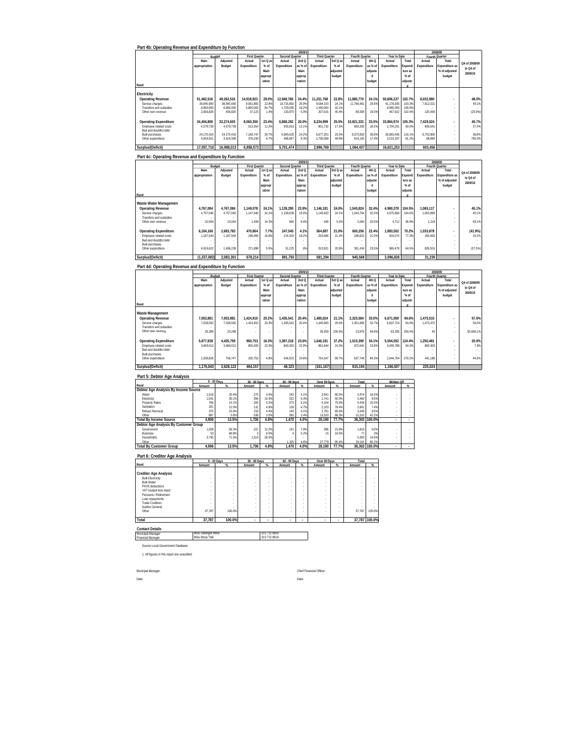|  | Part 4b: Operating Revenue and Expenditure by Function |  |
|--|--------------------------------------------------------|--|

|                              |               |            |                      |          |                | 2009/10 |               |          |                |         |              |         |             | 2008/09                  |               |
|------------------------------|---------------|------------|----------------------|----------|----------------|---------|---------------|----------|----------------|---------|--------------|---------|-------------|--------------------------|---------------|
|                              | Budget        |            | <b>First Quarter</b> |          | Second Quarter |         | Third Quarter |          | Fourth Quarter |         | Year to Date |         |             | Fourth Quarter           |               |
|                              | Main          | Adjusted   | Actual               | 1st Q as | Actual         | 2ndQ    | Actual        | 3rd Q as | Actual         | 4th Q   | Actual       | Total   | Actual      | Total                    | Q4 of 2008/09 |
|                              | appropriation | Budget     | Expenditure          | $%$ of   | Expenditure    | as % of | Expenditure   | $%$ of   | Expenditure    | as % of | Expenditure  | Expendi | Expenditure | Expenditure as           |               |
|                              |               |            |                      | Main     |                | Main    |               | adjusted |                | adjuste |              | ture as |             | % of adjusted            | to Q4 of      |
|                              |               |            |                      | appropr  |                | approp  |               | budget   |                |         |              | $%$ of  |             | budget                   | 2009/10       |
|                              |               |            |                      | iation   |                | riation |               |          |                | budget  |              | adjuste |             |                          |               |
| Rand                         |               |            |                      |          |                |         |               |          |                |         |              |         |             |                          |               |
|                              |               |            |                      |          |                |         |               |          |                |         |              |         |             |                          |               |
| Electricity                  |               |            |                      |          |                |         |               |          |                |         |              |         |             |                          |               |
| <b>Operating Revenue</b>     | 51.462.516    | 49.262.516 | 14.918.923           | 29.0%    | 12.569.766     | 24.4%   | 11.231.768    | 22.8%    | 11.885.770     | 24.1%   | 50.606.227   | 102.7%  | 8.032.980   | ٠                        | 48.0%         |
| Service charges              | 39.845.690    | 39.845.690 | 9.081.800            | 22.8%    | 10.715.891     | 26.9%   | 9.584.153     | 24.1%    | 11.796.461     | 29.6%   | 41.178.305   | 103.3%  | 7.912.521   |                          | 49.1%         |
| Transfers and subsidies      | 8.960.000     | 8.960.000  | 5.800.000            | 64.7%    | 1.720.000      | 19.2%   | 1.440.000     | 16.1%    |                | $\sim$  | 8.960.000    | 100.0%  |             |                          |               |
| Other own revenue            | 2.656.826     | 456.826    | 37.123               | 1.4%     | 133.875        | 5.0%    | 207.615       | 45.4%    | 89.309         | 19.5%   | 467.922      | 102.4%  | 120.459     |                          | (25.9%)       |
|                              |               |            |                      |          |                |         |               |          |                |         |              |         |             |                          |               |
| <b>Operating Expenditure</b> | 34.404.806    | 32.274.503 | 8.060.350            | 23.4%    | 6.868.292      | 20.0%   | 8.234.999     | 25.5%    | 10.821.333     | 33.5%   | 33.984.974   | 105.3%  | 7.429.524   | $\overline{\phantom{a}}$ | 45.7%         |
| Employee related costs       | 4.579.739     | 4.579.739  | 513.354              | 11.2%    | 555.810        | 12.1%   | 801.732       | 17.5%    | 833.335        | 18.2%   | 2.704.231    | 59.0%   | 606.641     |                          | 37.4%         |
| Bad and doubtful debt        |               |            |                      |          |                |         |               |          |                | $\sim$  |              |         |             |                          |               |
| <b>Bulk purchases</b>        | 24.170.416    | 24.170.416 | 7.168.747            | 29.7%    | 5.845.625      | 24.2%   | 5.677.201     | 23.5%    | 9.373.833      | 38.8%   | 28.065.406   | 116.1%  | 6.753.900   |                          | 38.8%         |
| Other expenditure            | 5.654.651     | 3.524.348  | 378.249              | 6.7%     | 466.857        | 8.3%    | 1,756,066     | 49.8%    | 614,165        | 17.4%   | 3.215.337    | 91.2%   | 68.983      |                          | 790.3%        |
| Surplus/(Deficit)            | 17.057.710    | 16.988.013 | 6.858.573            |          | 5.701.474      |         | 2.996.769     |          | 1.064.437      |         | 16.621.253   |         | 603.456     |                          |               |

|                              |               |           |                      |          |                | 2009/10 |                      |          |                |         |              |         |             | 2008/09                  |               |
|------------------------------|---------------|-----------|----------------------|----------|----------------|---------|----------------------|----------|----------------|---------|--------------|---------|-------------|--------------------------|---------------|
|                              | Budget        |           | <b>First Quarter</b> |          | Second Quarter |         | <b>Third Quarter</b> |          | Fourth Quarter |         | Year to Date |         |             | Fourth Quarter           |               |
|                              | Main          | Adjusted  | Actual               | 1st Q as | Actual         | 2ndQ    | Actual               | 3rd Q as | Actual         | 4th Q   | Actual       | Total   | Actual      | Total                    | Q4 of 2008/09 |
|                              | appropriation | Budget    | Expenditure          | $%$ of   | Expenditure    | as % of | Expenditure          | $%$ of   | Expenditure    | as % of | Expenditure  | Expendi | Expenditure | Expenditure as           |               |
|                              |               |           |                      | Main     |                | Main    |                      | adjusted |                | adjuste |              | ture as |             | % of adjusted            | to Q4 of      |
|                              |               |           |                      | appropr  |                | approp  |                      | budget   |                |         |              | $%$ of  |             | budget                   | 2009/10       |
|                              |               |           |                      | iation   |                | riation |                      |          |                | budget  |              | adjuste |             |                          |               |
| Rand                         |               |           |                      |          |                |         |                      |          |                |         |              |         |             |                          |               |
|                              |               |           |                      |          |                |         |                      |          |                |         |              |         |             |                          |               |
| Waste Water Management       |               |           |                      |          |                |         |                      |          |                |         |              |         |             |                          |               |
| Operating Revenue            | 4.767.084     | 4.767.084 | 1.149.078            | 24.1%    | 1.139.295      | 23.9%   | 1.146.181            | 24.0%    | 1.545.824      | 32.4%   | 4.980.378    | 104.5%  | 1.065.117   | $\overline{\phantom{a}}$ | 45.1%         |
| Service charges              | 4.757.040     | 4.757.040 | 1.147.640            | 24.1%    | 1,138,630      | 23.9%   | 1,145,632            | 24.1%    | 1,543,764      | 32.5%   | 4.975.666    | 104.6%  | 1.063.899   |                          | 45.1%         |
| Transfers and subsidies      |               |           |                      |          |                |         |                      |          |                |         |              |         |             |                          |               |
| Other own revenue            | 10.044        | 10.044    | 1.438                | 14.3%    | 665            | 6.6%    | 549                  | 5.5%     | 2.060          | 20.5%   | 4.712        | 46.9%   | 1.218       |                          | 69.1%         |
|                              |               |           |                      |          |                |         |                      |          |                |         |              |         |             |                          |               |
| <b>Operating Expenditure</b> | 6.104.166     | 2.683.783 | 470.864              | 7.7%     | 247.545        | 4.1%    | 564.887              | 21.0%    | 600.256        | 22.4%   | 1.883.552    | 70.2%   | 1.033.878   | $\overline{\phantom{a}}$ | (41.9%)       |
| Employee related costs       | 1.187.544     | 1,187,544 | 198.966              | 16.8%    | 216.320        | 18.2%   | 253,966              | 21.4%    | 248.822        | 21.0%   | 918.074      | 77.3%   | 206.963     |                          | 20.2%         |
| Bad and doubtful debt        |               |           |                      |          |                |         |                      |          |                | ×.      |              |         |             |                          |               |
| <b>Bulk purchases</b>        |               |           |                      |          |                |         |                      |          |                |         |              |         |             |                          |               |
| Other expenditure            | 4.916.622     | 1.496.239 | 271.898              | 5.5%     | 31.225         | 6%      | 310.921              | 20.8%    | 351.434        | 23.5%   | 965.478      | 64.5%   | 826.915     |                          | (57.5%)       |
| Surplus/(Deficit)            | (1.337.082)   | 2.083.301 | 678.214              |          | 891.750        |         | 581.294              |          | 945.568        |         | 3.096.826    |         | 31.239      |                          |               |

### **Part 4d: Operating Revenue and Expenditure by Function**

|                                            |               |           |                      |          |                | 2009/10 |               |          |                |         |              |         |             | 2008/09                  |               |
|--------------------------------------------|---------------|-----------|----------------------|----------|----------------|---------|---------------|----------|----------------|---------|--------------|---------|-------------|--------------------------|---------------|
|                                            | Budget        |           | <b>First Quarter</b> |          | Second Quarter |         | Third Quarter |          | Fourth Quarter |         | Year to Date |         |             | Fourth Quarter           |               |
|                                            | Main          | Adjusted  | Actual               | 1st Q as | Actual         | 2ndQ    | Actual        | 3rd Q as | Actual         | 4th Q   | Actual       | Total   | Actual      | Total                    | Q4 of 2008/09 |
|                                            | appropriation | Budget    | Expenditure          | % of     | Expenditure    | as % of | Expenditure   | $%$ of   | Expenditure    | as % of | Expenditure  | Expendi | Expenditure | Expenditure as           | to Q4 of      |
|                                            |               |           |                      | Main     |                | Main    |               | adjusted |                | adjuste |              | ture as |             | % of adjusted            |               |
|                                            |               |           |                      | appropr  |                | approp  |               | budget   |                |         |              | $%$ of  |             | budget                   | 2009/10       |
|                                            |               |           |                      | iation   |                | riation |               |          |                | budget  |              | adjuste |             |                          |               |
| Rand                                       |               |           |                      |          |                |         |               |          |                |         |              |         |             |                          |               |
| Waste Management                           |               |           |                      |          |                |         |               |          |                |         |              |         |             |                          |               |
| <b>Operating Revenue</b>                   | 7.053.881     | 7.053.881 | 1.424.910            | 20.2%    | 1.435.541      | 20.4%   | 1.485.024     | 21.1%    | 2.325.584      | 33.0%   | 6.671.059    | 94.6%   | 1,475,515   | $\overline{\phantom{a}}$ | 57.6%         |
| Service charges                            | 7.028.592     | 7.028.592 | 1.424.910            | 20.3%    | 1.435.541      | 20.4%   | 1.445.665     | 20.6%    | 2.301.608      | 32.7%   | 6.607.724    | 94.0%   | 1.475.472   |                          | 56.0%         |
| Transfers and subsidies                    |               |           |                      |          |                |         |               |          |                |         |              |         |             |                          |               |
| Other own revenue                          | 25.289        | 25.289    |                      |          |                |         | 39.359        | 155.6%   | 23.976         | 94.8%   | 63.335       | 250.4%  | 43          |                          | 55.658.1%     |
|                                            |               |           |                      |          |                |         |               |          |                |         |              |         |             |                          |               |
| <b>Operating Expenditure</b>               | 5.877.838     | 4.425.759 | 960.753              | 16.3%    | 1.387.218      | 23.6%   | 1.646.191     | 37.2%    | 1.510.390      | 34.1%   | 5.504.552    | 124.4%  | 1.250.491   | $\overline{\phantom{a}}$ | 20.8%         |
| Employee related costs                     | 3.669.012     | 3.669.012 | 855.000              | 23.3%    | 840.303        | 22.9%   | 891.844       | 24.3%    | 872.641        | 23.8%   | 3.459.788    | 94.3%   | 809.303     |                          | 7.8%          |
| Bad and doubtful debt                      |               |           |                      |          |                |         |               |          |                | $\sim$  |              |         |             |                          |               |
| <b>Bulk purchases</b><br>Other expenditure | 2.208.826     | 756.747   | 105.753              | 4.8%     | 546.915        | 24.8%   | 754.347       | 99.7%    | 637.749        | 84.3%   | 2.044.764    | 270.2%  | 441.188     |                          | 44.6%         |
|                                            |               |           |                      |          |                |         |               |          |                |         |              |         |             |                          |               |
|                                            | 1.176.043     | 2.628.122 |                      |          |                |         |               |          | 815.194        |         | 1.166.507    |         | 225.024     |                          |               |
| Surplus/(Deficit)                          |               |           | 464,157              |          | 48,323         |         | (161, 167)    |          |                |         |              |         |             |                          |               |

 $\overline{\mathbf{r}}$ 

#### **Part 5: Debtor Age Analysis**

|                                       |        | 0 - 30 Days | 30 - 60 Days |           | 60 - 90 Days |                 | Over 90 Days |          | Total  |               | <b>Written Off</b> |   |
|---------------------------------------|--------|-------------|--------------|-----------|--------------|-----------------|--------------|----------|--------|---------------|--------------------|---|
| Rand                                  | Amount |             | Amount       | $\propto$ | Amount       | $\mathcal{U}_n$ | Amount       | $\alpha$ | Amount | QC            | Amount             | 化 |
| Debtor Age Analysis By Income Source  |        |             |              |           |              |                 |              |          |        |               |                    |   |
| Water                                 | 1.516  | 25.4%       | 275          | 4.6%      | 242          | 4.1%            | 3.941        | 66.0%    | 5.974  | 16.5%         |                    |   |
| Electricity                           | 1.041  | 30.1%       | 356          | 10.3%     | 322          | 9.3%            | 1.741        | 50.3%    | 3.460  | 9.5%          |                    |   |
| Property Rates                        | 766    | 14.1%       | 283          | 5.2%      | 275          | 5.1%            | 4.104        | 75.6%    | 5.428  | 15.0%         |                    |   |
| Sanitation                            | 321    | 12.0%       | 131          | 4.9%      | 126          | 4.7%            | 2.103        | 78.4%    | 2.681  | 7.4%          |                    |   |
| Refuse Removal                        | 375    | 10.9%       | 153          | 4.4%      | 140          | 4.1%            | 2.781        | 80.6%    | 3.449  | 9.5%          | ٠                  |   |
| Other                                 | 887    | 5.8%        | 538          | 3.5%      | 365          | 2.4%            | 13.520       | 88.3%    | 15.310 | 42.2%         |                    |   |
| <b>Total By Income Source</b>         | 4.906  | 13.5%       | 1.736        | 4.8%      | .470         | 4.0%            | 28.190       | 77.7%    |        | 36.302 100.0% |                    |   |
| Debtor Age Analysis By Customer Group |        |             |              |           |              |                 |              |          |        |               |                    |   |
| Government                            | 1.058  | 58.3%       | 221          | 12.2%     | 141          | 7.8%            | 396          | 21.8%    | 1.816  | 5.0%          |                    |   |
| <b>Business</b>                       | 53     | 68.8%       |              | 6.5%      |              | 5.2%            | 15           | 19.5%    | 77     | .2%           |                    |   |
| Households                            | 3.795  | 71.5%       | 1.510        | 28.5%     |              |                 |              |          | 5.305  | 14.6%         | ٠                  |   |
| Other                                 |        |             |              |           | .325         | 4.6%            | 27.779       | 95.4%    | 29.104 | 80.2%         |                    |   |
| <b>Total By Customer Group</b>        | 4.906  | 13.5%       | 1.736        | 4.8%      | 1.470        | 4.0%            | 28.190       | 77.7%    |        | 36.302 100.0% |                    |   |

|                              | 0 - 30 Days |           | 30 - 60 Days |        | 60 - 90 Days |          | Over 90 Days |          | Total  |               |
|------------------------------|-------------|-----------|--------------|--------|--------------|----------|--------------|----------|--------|---------------|
| Rand                         | Amount      | $\propto$ | Amount       | %      | Amount       | $\alpha$ | Amount       | $\gamma$ | Amount | $\%$          |
| <b>Creditor Age Analysis</b> |             |           |              |        |              |          |              |          |        |               |
| <b>Bulk Electricity</b>      |             | ٠         | ٠            | ٠      |              |          |              |          |        |               |
| <b>Bulk Water</b>            |             | ٠         |              | $\sim$ | ٠            |          | ٠            | ٠        |        |               |
| PAYE deductions              |             | ٠         | ٠            | $\sim$ | ٠            |          | ٠            | ٠        |        |               |
| VAT (output less input)      | ٠           | ٠         | ٠            | $\sim$ | ٠            |          | ٠            | ٠        |        |               |
| Pensions / Retirement        | ٠           | ٠         | ٠            | $\sim$ | ٠            |          | ٠            | ٠        |        |               |
| Loan repayments              | ٠           | ٠         |              | $\sim$ | ٠            |          | ٠            | ٠        |        |               |
| <b>Trade Creditors</b>       | ٠           | ٠         | ٠            | $\sim$ | ٠            |          |              | ٠        |        |               |
| Auditor-General              | ٠           | ٠         | ٠            | -      | ٠            |          | ٠            | ٠        |        |               |
| Other                        | 37.787      | 100.0%    | ٠            | ٠      | ٠            |          | ٠            | ٠        | 37.787 | 100.0%        |
| Total                        | 37.787      | 100.0%    | ٠            | ٠      | ٠            |          | ٠            |          |        | 37.787 100.0% |

# **Contact Details** Municipal Manager Financial Manager

Miss Sibongile Mnisi 013 712 8800 Miss Mosa Tlali 013 712 8814

Source Local Government Database

1. All figures in this report are unaudited

Date: Date:

Municpal Manager: Chief Financial Officer: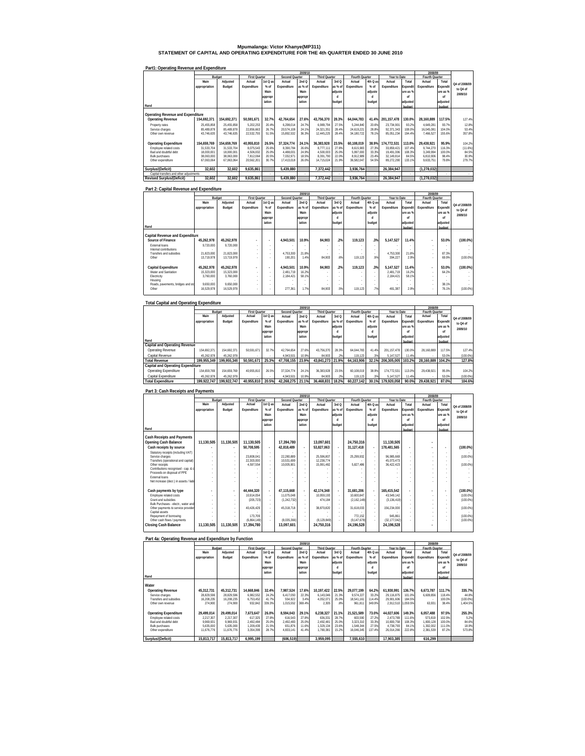# **Mpumalanga: Victor Khanye(MP311) STATEMENT OF CAPITAL AND OPERATING EXPENDITURE FOR THE 4th QUARTER ENDED 30 JUNE 2010**

|                                         |               |             |                      |          |                | 2009/10 |                      |         |                |          |              |          | 2008/09        |          |               |
|-----------------------------------------|---------------|-------------|----------------------|----------|----------------|---------|----------------------|---------|----------------|----------|--------------|----------|----------------|----------|---------------|
|                                         |               | Budget      | <b>First Quarter</b> |          | Second Quarter |         | <b>Third Quarter</b> |         | Fourth Quarter |          | Year to Date |          | Fourth Quarter |          |               |
|                                         | Main          | Adjusted    | Actual               | 1st Q as | Actual         | 2nd Q   | Actual               | 3rd Q   | Actual         | 4th Q as | Actual       | Total    | Actual         | Total    | Q4 of 2008/09 |
|                                         | appropriation | Budget      | Expenditure          | $%$ of   | Expenditure    | as % of | Expenditure          | as % of | Expenditure    | $%$ of   | Expenditure  | Expendit | Expenditure    | Expendit |               |
|                                         |               |             |                      | Main     |                | Main    |                      | adjuste |                | adjuste  |              | ure as % |                | ure as % | to Q4 of      |
|                                         |               |             |                      | appropr  |                | appropr |                      | d       |                |          |              | nf       |                | nf       | 2009/10       |
|                                         |               |             |                      | iation   |                | iation  |                      | budget  |                | budget   |              | adjusted |                | adiusted |               |
| Rand                                    |               |             |                      |          |                |         |                      |         |                |          |              | budget   |                | budget   |               |
|                                         |               |             |                      |          |                |         |                      |         |                |          |              |          |                |          |               |
| Operating Revenue and Expenditure       |               |             |                      |          |                |         |                      |         |                |          |              |          |                |          |               |
| <b>Operating Revenue</b>                | 154.692.371   | 154.692.371 | 50.591.671           | 32.7%    | 42.764.654     | 27.6%   | 43.756.370           | 28.3%   | 64.044.783     | 41.4%    | 201.157.478  | 130.0%   | 28.160.889     | 117.5%   | 127.4%        |
| Property rates                          | 25.455.858    | 25.455.858  | 5.202.253            | 20.4%    | 6.298.014      | 24.7%   | 6.989.794            | 27.5%   | 5.244.840      | 20.6%    | 23.734.901   | 93.2%    | 4.649.281      | 93.7%    | 12.8%         |
| Service charges                         | 85.489.878    | 85.489.878  | 22.856.663           | 26.7%    | 20.574.108     | 24.1%   | 24.321.351           | 28.4%   | 24.619.221     | 28.8%    | 92.371.343   | 108.0%   | 16.045.081     | 104.0%   | 53.4%         |
| Other own revenue                       | 43,746,635    | 43,746,635  | 22,532,755           | 51.5%    | 15,892,532     | 36.3%   | 12.445.225           | 28.4%   | 34.180.722     | 78.1%    | 85.051.234   | 194.4%   | 7.466.527      | 155.6%   | 357.8%        |
|                                         |               |             |                      |          |                |         |                      |         |                |          |              |          |                |          |               |
| <b>Operating Expenditure</b>            | 154.659.769   | 154.659.769 | 40.955.810           | 26.5%    | 37.324.774     | 24.1%   | 36.383.928           | 23.5%   | 60.108.019     | 38.9%    | 174.772.531  | 113.0%   | 29.438.921     | 95.9%    | 104.2%        |
| Employee related costs                  | 31.533.704    | 31.533.704  | 8.075.543            | 25.6%    | 8.390.784      | 26.6%   | 8.777.111            | 27.8%   | 8.615.983      | 27.3%    | 33.859.421   | 107.4%   | 9.744.270      | 116.3%   | (11.6%)       |
| Bad and doubtful debt                   | 18.000.001    | 18.000.001  | 4.506.002            | 25.0%    | 4.488.001      | 24.9%   | 4.500.003            | 25.0%   | 5.997.000      | 33.3%    | 19.491.006   | 108.3%   | 3.249.994      | 100.0%   | 84.5%         |
| <b>Bulk purchases</b>                   | 38.063.000    | 38.063.000  | 7.812.064            | 20.5%    | 7.032.971      | 18.5%   | 8.391.790            | 22.0%   | 8.912.989      | 23.4%    | 32.149.814   | 84.5%    | 6.810.906      | 98.4%    | 30.9%         |
| Other expenditure                       | 67.063.064    | 67.063.064  | 20,562,201           | 30.7%    | 17.413.018     | 26.0%   | 14.715.024           | 21.9%   | 36.582.047     | 54.5%    | 89.272.290   | 133.1%   | 9.633.751      | 79.8%    | 279.7%        |
|                                         |               |             |                      |          |                |         |                      |         |                |          |              |          |                |          |               |
| Surplus/(Deficit)                       | 32.602        | 32.602      | 9.635.861            |          | 5.439.880      |         | 7.372.442            |         | 3.936.764      |          | 26.384.947   |          | (1.278.032)    |          |               |
| Capital transfers and other adjustments |               |             |                      |          |                |         |                      |         |                | $\sim$   |              | $\sim$   |                |          | $\sim$        |
| <b>Revised Surplus/(Deficit)</b>        | 32.602        | 32.602      | 9.635.861            |          | 5.439.880      |         | 7.372.442            |         | 3.936.764      |          | 26.384.947   |          | (1.278.032)    |          |               |

#### **Part1: Operating Revenue and Expenditure**

#### **Part 2: Capital Revenue and Expenditure Rand Main appropriation Adjusted Budget Actual Expenditure 1st Q as % of Main appropr iation Actual Expenditure 2nd Q as % of Main appropr iation Actual Expenditure 3rd Q as % of adjuste d budget Actual Expenditure 4th Q as % of adjuste d budget Actual Expenditure Total Expendit ure as % of adjusted budget Actual Fourth Quarter Expenditure** uarter<br>Total **Expendit ure as % of adjusted budget**   $\text{Capital Revenue} \xspace{ \textcolor{red}{ \textbf{Output}} \xspace{ \textcolor{red}{ \textbf{Output}} \xspace{ \textcolor{red}{ \textbf{Output}} \xspace{ \textcolor{red}{ \textbf{Output}} \xspace{ \textcolor{red}{ \textbf{Output}} \xspace{ \textcolor{red}{ \textbf{Output}} \xspace{ \textcolor{red}{ \textbf{Output}} \xspace{ \textcolor{red}{ \textbf{Output}} \xspace{ \textcolor{red}{ \textbf{Output}} \xspace{ \textcolor{red}{ \textbf{Output}} \xspace{ \textcolor{red}{ \textbf{Output}} \xspace{ \textcolor{red}{ \textbf{Output}} \xspace{ \textcolor{red}{ \textbf{Output}} \xspace{ \text$ Other | 13,719,978 13,719,978 | | 190,201 | 1.4% 84,903 | .6% 119,123 | .9% | 394,227 | 2.9% 69.9% (100.0%) **Capital Expenditure 45,262,978 45,262,978 - - 4,943,501 10.9% 84,903 .2% 119,123 .3% 5,147,527 11.4% - 53.0% (100.0%)** - Water and Sanitation 1 | 15,323,000 | 15,323,000 | - | - | 2,481,719 | 16.2% | - | - | 2,481,719 | 16.2% | -Electricity 3,760,000 3,760,000 - - 2,184,421 58.1% - - - - 2,184,421 58.1% - - - Housing - - - - - - - - - - - - - - - Roads, pavements, bridges and sto 9,650,000 9,650,000 - - - - - - - - - - - 38.1% - Other 16,529,978 16,529,978 - - 277,361 1.7% 84,903 .5% 119,123 .7% 481,387 2.9% - 76.1% (100.0%)  **2009/10 2008/09 Q4 of 2008/09 to Q4 of 2009/10 Budget First Quarter Second Quarter Third Quarter Fourth Quarter Year to Date**

| <b>Total Capital and Operating Expenditure</b> |               |             |                      |          |                |         |                      |         |                |          |              |          |                |          |                     |
|------------------------------------------------|---------------|-------------|----------------------|----------|----------------|---------|----------------------|---------|----------------|----------|--------------|----------|----------------|----------|---------------------|
|                                                |               |             |                      |          |                | 2009/10 |                      |         |                |          |              |          | 2008/09        |          |                     |
|                                                |               | Budget      | <b>First Quarter</b> |          | Second Quarter |         | <b>Third Quarter</b> |         | Fourth Quarter |          | Year to Date |          | Fourth Quarter |          |                     |
|                                                | Main          | Adjusted    | Actual               | 1st Q as | Actual         | 2ndQ    | Actual               | 3rd Q   | Actual         | 4th Q as | Actual       | Total    | Actual         | Total    | Q4 of 2008/09       |
|                                                | appropriation | Budget      | Expenditure          | $%$ of   | Expenditure    | as % of | Expenditure          | as % of | Expenditure    | $%$ of   | Expenditure  | Expendit | Expenditure    | Expendit |                     |
|                                                |               |             |                      | Main     |                | Main    |                      | adjuste |                | adjuste  |              | ure as % |                | ure as % | to Q4 of<br>2009/10 |
|                                                |               |             |                      | appropr  |                | appropr |                      |         |                | п        |              | nf       |                | of       |                     |
|                                                |               |             |                      | iation   |                | iation  |                      | budget  |                | budget   |              | adiusted |                | adiusted |                     |
| Rand                                           |               |             |                      |          |                |         |                      |         |                |          |              | budget   |                | budget   |                     |
| Capital and Operating Revenue                  |               |             |                      |          |                |         |                      |         |                |          |              |          |                |          |                     |
| Operating Revenue                              | 154.692.371   | 154.692.371 | 50.591.671           | 32.7%    | 42.764.654     | 27.6%   | 43.756.370           | 28.3%   | 64.044.783     | 41.4%    | 201.157.478  | 130.0%   | 28.160.889     | 117.5%   | 127.4%              |
| Capital Revenue                                | 45.262.978    | 45.262.978  |                      |          | 4.943.501      | 10.99   | 84.903               | 2%      | 119.123        | .3%      | 5.147.527    | 11.4%    |                | 53.0%    | $(100.0\%)$         |
| Total Revenue                                  | 199.955.349   | 199.955.349 | 50.591.67            | 25.3%    | 47.708.155     | 23.9%   | 43.841.273 21.9%     |         | 64.163.906     | 32.1%    | 206.305.005  | 103.2%   | 28.160.889     | 104.2%   | 127.8%              |
| <b>Capital and Operating Expenditure</b>       |               |             |                      |          |                |         |                      |         |                |          |              |          |                |          |                     |
| Operating Expenditure                          | 154.659.769   | 154.659.769 | 40.955.810           | 26.5%    | 37.324.774     | 24.1%   | 36.383.928           | 23.5%   | 60.108.019     | 38.9%    | 174.772.531  | 113.0%   | 29.438.921     | 95.9%    | 104.2%              |
| Capital Expenditure                            | 45.262.978    | 45.262.978  |                      |          | 4.943.501      | 10.9%   | 84.903               | 2%      | 119.123        | .3%      | 5.147.527    | 11.4%    |                | 53.0%    | $(100.0\%)$         |
| <b>Total Expenditure</b>                       | 199.922.747   | 199.922.747 | 40.955.810           | 20.5%    | 42.268.275     | 21.1%   | 36.468.831           | 18.2%   | 60.227.142     | 30.1%    | 179.920.058  | 90.0%    | 29.438.921     | 87.0%    | 104.6%              |

#### **Part 3: Cash Receipts and Payments**

|                                                       |               |                          |                      |                          |                | 2009/10                  |                      |         |                |                          |              |          | 2008/09        |                |               |
|-------------------------------------------------------|---------------|--------------------------|----------------------|--------------------------|----------------|--------------------------|----------------------|---------|----------------|--------------------------|--------------|----------|----------------|----------------|---------------|
|                                                       | Budget        |                          | <b>First Quarter</b> |                          | Second Quarter |                          | <b>Third Quarter</b> |         | Fourth Quarter |                          | Year to Date |          | Fourth Quarter |                |               |
|                                                       | Main          | Adjusted                 | Actual               | $1st$ Q as               | Actual         | 2ndQ                     | Actual               | 3rdQ    | Actual         | 4th Q as                 | Actual       | Total    | Actual         | Total          | Q4 of 2008/09 |
|                                                       | appropriation | Budget                   | Expenditure          | $%$ of                   | Expenditure    | as % of                  | Expenditure          | as % of | Expenditure    | $%$ of                   | Expenditure  | Expendit | Expenditure    | Expendit       | to Q4 of      |
|                                                       |               |                          |                      | Main                     |                | Main                     |                      | adiuste |                | adjuste                  |              | ure as % |                | ure as %       | 2009/10       |
|                                                       |               |                          |                      | appropr                  |                | appropr                  |                      |         |                |                          |              | nf       |                | nf             |               |
|                                                       |               |                          |                      | iation                   |                | iation                   |                      | budget  |                | budget                   |              | adiusted |                | adjusted       |               |
| Rand                                                  |               |                          |                      |                          |                |                          |                      |         |                |                          |              | budget   |                | budget         |               |
| <b>Cash Receipts and Payments</b>                     |               |                          |                      |                          |                |                          |                      |         |                |                          |              |          |                |                |               |
| Opening Cash Balance                                  | 11.130.505    | 11.130.505               | 11.130.505           |                          | 17.394.780     |                          | 13.097.601           |         | 24.750.316     |                          | 11.130.505   |          |                |                |               |
| Cash receipts by source                               |               | ۰.                       | 50,708,595           | ٠                        | 42,818,489     | $\overline{\phantom{a}}$ | 53,827,063           | ٠.      | 31,127,418     | ٠                        | 178,481,565  |          |                | ٠              | $(100.0\%)$   |
| Statutory receipts (including VAT)                    |               | ×.                       |                      | $\overline{\phantom{a}}$ |                | $\sim$                   |                      | $\sim$  |                |                          |              |          |                |                |               |
| Service charges                                       |               | ×.                       | 23.808.041           | ÷.                       | 22 280 889     | ×.                       | 25.596.807           |         | 25.299.932     | ×.                       | 96.985.669   |          |                |                | $(100.0\%)$   |
| Transfers (operational and capital)                   |               | $\sim$                   | 22.303.000           | $\sim$                   | 10.531.699     | $\sim$                   | 12.238.774           | ×.      |                | ×.                       | 45.073.473   |          |                |                |               |
| Other receipts<br>Contributions recognised - cap. & c |               | ×.                       | 4.597.554            | ×<br>$\sim$              | 10.005.901     | ×.<br>×.                 | 15.991.482           |         | 5.827.486      |                          | 36.422.423   |          |                |                | (100.0%       |
| Proceeds on disposal of PPE                           |               |                          |                      |                          |                |                          |                      |         |                |                          |              |          |                |                |               |
| <b>External loans</b>                                 |               |                          |                      |                          |                |                          |                      |         |                |                          |              |          |                |                |               |
| Net increase (decr.) in assets / liab                 |               |                          |                      |                          |                |                          |                      |         |                |                          |              |          |                |                |               |
|                                                       |               |                          |                      |                          |                |                          |                      |         |                |                          |              |          |                |                |               |
| Cash payments by type                                 |               | $\overline{\phantom{a}}$ | 44,444,320           | $\overline{a}$           | 47.115.668     | $\overline{a}$           | 42.174.348           |         | 31.681.206     | $\overline{\phantom{a}}$ | 165.415.542  |          |                | $\overline{a}$ | $(100.0\%)$   |
| Employee related costs                                |               | ×.                       | 10.914.054           | ×                        | 11.075.048     | $\sim$                   | 10.959.193           | ×.      | 10.600.847     | ×.                       | 43.549.142   |          |                |                | (100.0%       |
| Grant and subsidies                                   |               | ×.                       | (205.723)            | ÷                        | (1.242.732)    | ×.                       | 474.184              | ×.      | (2.162.148)    | ×.                       | (3.136.419)  |          |                |                | (100.0%       |
| Bulk Purchases - electr., water and                   |               |                          |                      | $\sim$                   |                | $\sim$                   |                      | ÷.      |                | $\sim$                   |              |          |                |                |               |
| Other payments to service provider<br>Capital assets  |               | ×.                       | 40.426.429           | $\sim$                   | 45.318.718     | ×.                       | 38.870.820           | ×.      | 31.618.033     | ×.                       | 156,234,000  |          |                |                | $(100.0\%)$   |
| Repayment of borrowing                                |               |                          | 173,709              | ٠                        |                | $\sim$                   |                      |         | 772.152        |                          | 945.861      |          |                |                | (100.0%       |
| Other cash flows / payments                           |               |                          | (6.864.149)          |                          | (8.035.366)    |                          | (8.129.849)          |         | (9, 147, 678)  |                          | (32.177.042) |          |                |                | (100.0%       |
| <b>Closing Cash Balance</b>                           | 11.130.505    | 11.130.505               | 17.394.780           |                          | 13.097.601     |                          | 24.750.316           |         | 24.196.528     |                          | 24.196.528   |          |                |                |               |
|                                                       |               |                          |                      |                          |                |                          |                      |         |                |                          |              |          |                |                |               |

#### **Part 4a: Operating Revenue and Expenditure by Function Rand Main appropriation Adjusted Budget Actual Expenditure 1st Q as % of Main appropr iation Actual Expenditure 2nd Q as % of Main appropr iation Actual Expenditure 3rd Q as % of adjuste d budget Actual Expenditure 4th Q as % of adjuste d budget Actual Expenditure Total Expendit ure as % of adjusted budget Actual Expenditure Total Expendit ure as % of adjusted budget Water Coperating Revenue 45,312,731 45,312,731 14,668,846 32.4% 7,987,524 17.6% 10,97,422 22.5% 29,07,199 64.2% 335.731 14,524 335.737 111.7% 335.737 11.7% 335.737 11.7% 335.737 11.7% 335.737 11.7% 335.737 11.7% 335.7% 61,000** Service charges 28,829,596 28,829,596 6,982,552 24.2% 6,417,050 22.3% 6,143,046 21.3% 9,574,227 33.2% 29,116,875 101.0% 6,609,856 118.4% 44.8% Transfers and subsidies | 16,208,235 16,208,235 | 6,753,452 41.7% 554,922 3.4% 4,052,071 25.0% 18,541,161 114.4% 29,901,606 184.5% | 100.0% (100.0%) Other own revenue 274,900 274,900 932,842 339.3% 1,015,552 369.4% 2,305 .8% 961,811 349.9% 2,912,510 1,059.5% 63,931 38.4% 1,404.5% **Operating Expenditure 29,499,014 29,499,014 7,673,647 26.0% 8,594,043 29.1% 6,238,327 21.1% 21,521,589 73.0% 44,027,606 149.3% 6,057,488 97.5% 255.3% 6,067,488 97.5% 21.7.370 2.21.7.370 168.07 2.21.7.370 168.07 2.21.7.370** Employee related costs 2,217,307 2,217,307 617,325 27.8% 616,543 27.8% 636,331 28.7% 603,590 27.2% 2,473,789 111.6% 573,819 102.9% 5.2% Bad and doubtful debt 9,969,931 9,969,931 2,492,484 25.0% 2,492,483 25.0% 2,492,481 25.0% 3,323,310 33.3% 10,800,758 108.3% 1,800,128 100.0% 84.6% Bulk purchases 5,635,000 5,635,000 1,209,439 21.5% 651,876 11.6% 1,329,134 23.6% 1,548,344 27.5% 4,738,793 84.1% 1,302,002 111.0% 18.9% Other expenditure 11,676,776 11,676,776 3,354,399 28.7% 4,833,141 41.4% 1,780,381 15.2% 16,046,345 137.4% 26,014,266 222.8% 2,381,539 87.2% 573.8% **Surplus/(Deficit) 15,813,71 15,813,71 7 6,995,19 7 (606,519 9 3,959,09 ) 7,555,61 5 17,903,38 0 616,29 5 9 Fourth Quarter 2009/10 2008/09 Q4 of 2008/09 to Q4 of 2009/10 Budget First Quarter Second Quarter Third Quarter Fourth Quarter Year to Date**